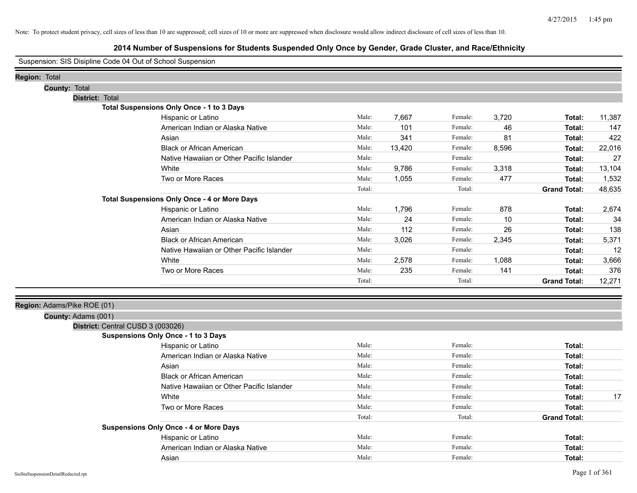|                                    |               |                             | Suspension: SIS Disipline Code 04 Out of School Suspension |        |        |         |       |                     |               |
|------------------------------------|---------------|-----------------------------|------------------------------------------------------------|--------|--------|---------|-------|---------------------|---------------|
| Region: Total                      |               |                             |                                                            |        |        |         |       |                     |               |
|                                    | County: Total |                             |                                                            |        |        |         |       |                     |               |
|                                    |               | District: Total             |                                                            |        |        |         |       |                     |               |
|                                    |               |                             | Total Suspensions Only Once - 1 to 3 Days                  |        |        |         |       |                     |               |
|                                    |               |                             | Hispanic or Latino                                         | Male:  | 7,667  | Female: | 3,720 | Total:              | 11,387        |
|                                    |               |                             | American Indian or Alaska Native                           | Male:  | 101    | Female: | 46    | Total:              | 147           |
|                                    |               |                             | Asian                                                      | Male:  | 341    | Female: | 81    | Total:              | 422           |
|                                    |               |                             | <b>Black or African American</b>                           | Male:  | 13,420 | Female: | 8,596 | Total:              | 22,016        |
|                                    |               |                             | Native Hawaiian or Other Pacific Islander                  | Male:  |        | Female: |       | Total:              | 27            |
|                                    |               |                             | White                                                      | Male:  | 9,786  | Female: | 3,318 | Total:              | 13,104        |
|                                    |               |                             | Two or More Races                                          | Male:  | 1,055  | Female: | 477   | Total:              | 1,532         |
|                                    |               |                             |                                                            | Total: |        | Total:  |       | <b>Grand Total:</b> | 48,635        |
|                                    |               |                             | <b>Total Suspensions Only Once - 4 or More Days</b>        |        |        |         |       |                     |               |
|                                    |               |                             | Hispanic or Latino                                         | Male:  | 1,796  | Female: | 878   | Total:              | 2,674         |
|                                    |               |                             | American Indian or Alaska Native                           | Male:  | 24     | Female: | 10    | Total:              | 34            |
|                                    |               |                             | Asian                                                      | Male:  | 112    | Female: | 26    | Total:              | 138           |
|                                    |               |                             | <b>Black or African American</b>                           | Male:  | 3,026  | Female: | 2,345 | Total:              | 5,371         |
|                                    |               |                             | Native Hawaiian or Other Pacific Islander                  | Male:  |        | Female: |       | Total:              | 12            |
|                                    |               |                             | White                                                      | Male:  | 2,578  | Female: | 1,088 | Total:              | 3,666         |
|                                    |               |                             | Two or More Races                                          | Male:  | 235    | Female: | 141   | Total:              | 376           |
|                                    |               |                             |                                                            | Total: |        | Total:  |       | <b>Grand Total:</b> | 12,271        |
|                                    |               |                             |                                                            |        |        |         |       |                     |               |
|                                    |               | Region: Adams/Pike ROE (01) |                                                            |        |        |         |       |                     |               |
|                                    |               | County: Adams (001)         |                                                            |        |        |         |       |                     |               |
|                                    |               |                             | District: Central CUSD 3 (003026)                          |        |        |         |       |                     |               |
|                                    |               |                             | <b>Suspensions Only Once - 1 to 3 Days</b>                 |        |        |         |       |                     |               |
|                                    |               |                             | Hispanic or Latino                                         | Male:  |        | Female: |       | Total:              |               |
|                                    |               |                             | American Indian or Alaska Native                           | Male:  |        | Female: |       | Total:              |               |
|                                    |               |                             | Asian                                                      | Male:  |        | Female: |       | Total:              |               |
|                                    |               |                             | <b>Black or African American</b>                           | Male:  |        | Female: |       | Total:              |               |
|                                    |               |                             | Native Hawaiian or Other Pacific Islander                  | Male:  |        | Female: |       | Total:              |               |
|                                    |               |                             | White                                                      | Male:  |        | Female: |       | Total:              | 17            |
|                                    |               |                             | Two or More Races                                          | Male:  |        | Female: |       | Total:              |               |
|                                    |               |                             |                                                            | Total: |        | Total:  |       | <b>Grand Total:</b> |               |
|                                    |               |                             | <b>Suspensions Only Once - 4 or More Days</b>              |        |        |         |       |                     |               |
|                                    |               |                             | Hispanic or Latino                                         | Male:  |        | Female: |       | Total:              |               |
|                                    |               |                             | American Indian or Alaska Native                           | Male:  |        | Female: |       | Total:              |               |
|                                    |               |                             | Asian                                                      | Male:  |        | Female: |       | Total:              |               |
| SisStuSuspensionDetailRedacted.rpt |               |                             |                                                            |        |        |         |       |                     | Page 1 of 361 |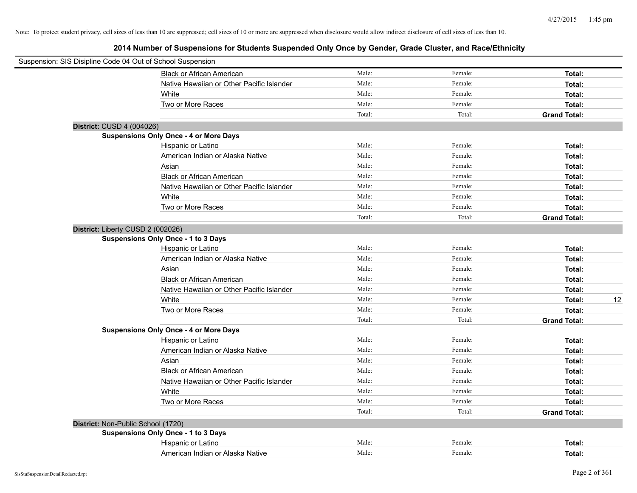| Suspension: SIS Disipline Code 04 Out of School Suspension |                                               |        |         |                     |
|------------------------------------------------------------|-----------------------------------------------|--------|---------|---------------------|
|                                                            | <b>Black or African American</b>              | Male:  | Female: | Total:              |
|                                                            | Native Hawaiian or Other Pacific Islander     | Male:  | Female: | Total:              |
|                                                            | White                                         | Male:  | Female: | Total:              |
|                                                            | Two or More Races                             | Male:  | Female: | Total:              |
|                                                            |                                               | Total: | Total:  | <b>Grand Total:</b> |
| District: CUSD 4 (004026)                                  |                                               |        |         |                     |
|                                                            | <b>Suspensions Only Once - 4 or More Days</b> |        |         |                     |
|                                                            | Hispanic or Latino                            | Male:  | Female: | Total:              |
|                                                            | American Indian or Alaska Native              | Male:  | Female: | Total:              |
|                                                            | Asian                                         | Male:  | Female: | Total:              |
|                                                            | <b>Black or African American</b>              | Male:  | Female: | Total:              |
|                                                            | Native Hawaiian or Other Pacific Islander     | Male:  | Female: | Total:              |
|                                                            | White                                         | Male:  | Female: | Total:              |
|                                                            | Two or More Races                             | Male:  | Female: | Total:              |
|                                                            |                                               | Total: | Total:  | <b>Grand Total:</b> |
| District: Liberty CUSD 2 (002026)                          |                                               |        |         |                     |
|                                                            | <b>Suspensions Only Once - 1 to 3 Days</b>    |        |         |                     |
|                                                            | Hispanic or Latino                            | Male:  | Female: | Total:              |
|                                                            | American Indian or Alaska Native              | Male:  | Female: | Total:              |
|                                                            | Asian                                         | Male:  | Female: | Total:              |
|                                                            | <b>Black or African American</b>              | Male:  | Female: | Total:              |
|                                                            | Native Hawaiian or Other Pacific Islander     | Male:  | Female: | Total:              |
|                                                            | White                                         | Male:  | Female: | 12<br>Total:        |
|                                                            | Two or More Races                             | Male:  | Female: | Total:              |
|                                                            |                                               | Total: | Total:  | <b>Grand Total:</b> |
|                                                            | <b>Suspensions Only Once - 4 or More Days</b> |        |         |                     |
|                                                            | Hispanic or Latino                            | Male:  | Female: | Total:              |
|                                                            | American Indian or Alaska Native              | Male:  | Female: | Total:              |
|                                                            | Asian                                         | Male:  | Female: | Total:              |
|                                                            | <b>Black or African American</b>              | Male:  | Female: | Total:              |
|                                                            | Native Hawaiian or Other Pacific Islander     | Male:  | Female: | Total:              |
|                                                            | White                                         | Male:  | Female: | Total:              |
|                                                            | Two or More Races                             | Male:  | Female: | Total:              |
|                                                            |                                               | Total: | Total:  | <b>Grand Total:</b> |
| District: Non-Public School (1720)                         |                                               |        |         |                     |
|                                                            | Suspensions Only Once - 1 to 3 Days           |        |         |                     |
|                                                            | Hispanic or Latino                            | Male:  | Female: | Total:              |
|                                                            | American Indian or Alaska Native              | Male:  | Female: | Total:              |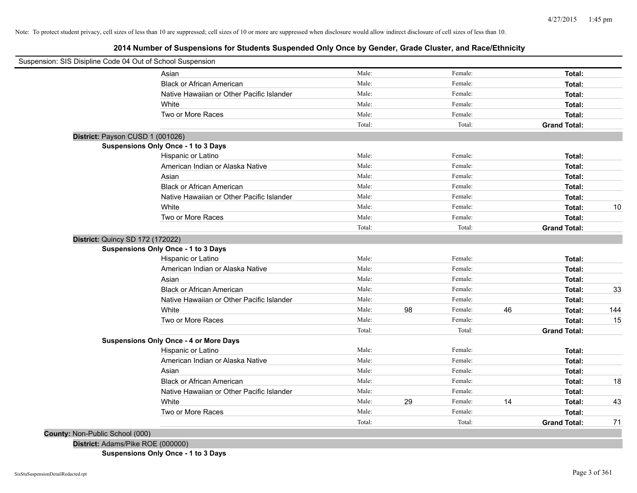**2014 Number of Suspensions for Students Suspended Only Once by Gender, Grade Cluster, and Race/Ethnicity**

| Suspension: SIS Disipline Code 04 Out of School Suspension |                                               |        |    |         |    |                     |     |
|------------------------------------------------------------|-----------------------------------------------|--------|----|---------|----|---------------------|-----|
|                                                            | Asian                                         | Male:  |    | Female: |    | Total:              |     |
|                                                            | <b>Black or African American</b>              | Male:  |    | Female: |    | Total:              |     |
|                                                            | Native Hawaiian or Other Pacific Islander     | Male:  |    | Female: |    | Total:              |     |
|                                                            | White                                         | Male:  |    | Female: |    | Total:              |     |
|                                                            | Two or More Races                             | Male:  |    | Female: |    | Total:              |     |
|                                                            |                                               | Total: |    | Total:  |    | <b>Grand Total:</b> |     |
| District: Payson CUSD 1 (001026)                           |                                               |        |    |         |    |                     |     |
|                                                            | <b>Suspensions Only Once - 1 to 3 Days</b>    |        |    |         |    |                     |     |
|                                                            | Hispanic or Latino                            | Male:  |    | Female: |    | Total:              |     |
|                                                            | American Indian or Alaska Native              | Male:  |    | Female: |    | Total:              |     |
|                                                            | Asian                                         | Male:  |    | Female: |    | Total:              |     |
|                                                            | <b>Black or African American</b>              | Male:  |    | Female: |    | Total:              |     |
|                                                            | Native Hawaiian or Other Pacific Islander     | Male:  |    | Female: |    | Total:              |     |
|                                                            | White                                         | Male:  |    | Female: |    | Total:              | 10  |
|                                                            | Two or More Races                             | Male:  |    | Female: |    | Total:              |     |
|                                                            |                                               | Total: |    | Total:  |    | <b>Grand Total:</b> |     |
| District: Quincy SD 172 (172022)                           |                                               |        |    |         |    |                     |     |
|                                                            | <b>Suspensions Only Once - 1 to 3 Days</b>    |        |    |         |    |                     |     |
|                                                            | Hispanic or Latino                            | Male:  |    | Female: |    | Total:              |     |
|                                                            | American Indian or Alaska Native              | Male:  |    | Female: |    | Total:              |     |
|                                                            | Asian                                         | Male:  |    | Female: |    | Total:              |     |
|                                                            | <b>Black or African American</b>              | Male:  |    | Female: |    | Total:              | 33  |
|                                                            | Native Hawaiian or Other Pacific Islander     | Male:  |    | Female: |    | Total:              |     |
|                                                            | White                                         | Male:  | 98 | Female: | 46 | Total:              | 144 |
|                                                            | Two or More Races                             | Male:  |    | Female: |    | Total:              | 15  |
|                                                            |                                               | Total: |    | Total:  |    | <b>Grand Total:</b> |     |
|                                                            | <b>Suspensions Only Once - 4 or More Days</b> |        |    |         |    |                     |     |
|                                                            | Hispanic or Latino                            | Male:  |    | Female: |    | Total:              |     |
|                                                            | American Indian or Alaska Native              | Male:  |    | Female: |    | Total:              |     |
|                                                            | Asian                                         | Male:  |    | Female: |    | Total:              |     |
|                                                            | <b>Black or African American</b>              | Male:  |    | Female: |    | Total:              | 18  |
|                                                            | Native Hawaiian or Other Pacific Islander     | Male:  |    | Female: |    | Total:              |     |
|                                                            | White                                         | Male:  | 29 | Female: | 14 | Total:              | 43  |
|                                                            | Two or More Races                             | Male:  |    | Female: |    | Total:              |     |
|                                                            |                                               | Total: |    | Total:  |    | <b>Grand Total:</b> | 71  |
| County: Non-Public School (000)                            |                                               |        |    |         |    |                     |     |
| District: Adams/Pike ROE (000000)                          |                                               |        |    |         |    |                     |     |

**Suspensions Only Once - 1 to 3 Days**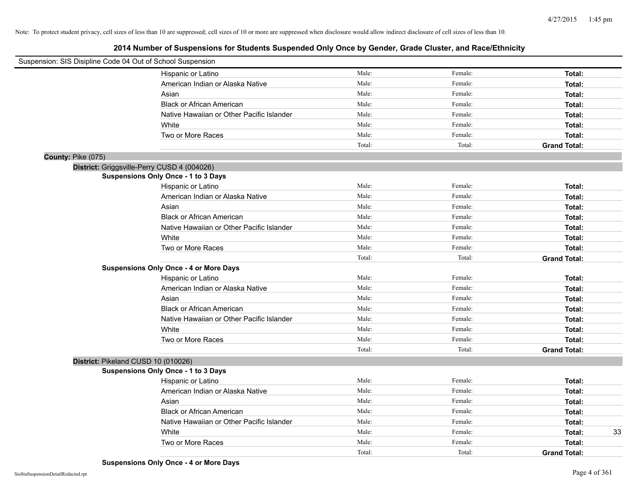| Suspension: SIS Disipline Code 04 Out of School Suspension |                                               |        |         |                     |    |
|------------------------------------------------------------|-----------------------------------------------|--------|---------|---------------------|----|
|                                                            | Hispanic or Latino                            | Male:  | Female: | Total:              |    |
|                                                            | American Indian or Alaska Native              | Male:  | Female: | Total:              |    |
|                                                            | Asian                                         | Male:  | Female: | Total:              |    |
|                                                            | <b>Black or African American</b>              | Male:  | Female: | Total:              |    |
|                                                            | Native Hawaiian or Other Pacific Islander     | Male:  | Female: | Total:              |    |
|                                                            | White                                         | Male:  | Female: | Total:              |    |
|                                                            | Two or More Races                             | Male:  | Female: | Total:              |    |
|                                                            |                                               | Total: | Total:  | <b>Grand Total:</b> |    |
| County: Pike (075)                                         |                                               |        |         |                     |    |
| District: Griggsville-Perry CUSD 4 (004026)                |                                               |        |         |                     |    |
|                                                            | <b>Suspensions Only Once - 1 to 3 Days</b>    |        |         |                     |    |
|                                                            | Hispanic or Latino                            | Male:  | Female: | Total:              |    |
|                                                            | American Indian or Alaska Native              | Male:  | Female: | Total:              |    |
|                                                            | Asian                                         | Male:  | Female: | Total:              |    |
|                                                            | <b>Black or African American</b>              | Male:  | Female: | Total:              |    |
|                                                            | Native Hawaiian or Other Pacific Islander     | Male:  | Female: | Total:              |    |
|                                                            | White                                         | Male:  | Female: | Total:              |    |
|                                                            | Two or More Races                             | Male:  | Female: | Total:              |    |
|                                                            |                                               | Total: | Total:  | <b>Grand Total:</b> |    |
|                                                            | <b>Suspensions Only Once - 4 or More Days</b> |        |         |                     |    |
|                                                            | Hispanic or Latino                            | Male:  | Female: | Total:              |    |
|                                                            | American Indian or Alaska Native              | Male:  | Female: | Total:              |    |
|                                                            | Asian                                         | Male:  | Female: | Total:              |    |
|                                                            | <b>Black or African American</b>              | Male:  | Female: | Total:              |    |
|                                                            | Native Hawaiian or Other Pacific Islander     | Male:  | Female: | Total:              |    |
|                                                            | White                                         | Male:  | Female: | Total:              |    |
|                                                            | Two or More Races                             | Male:  | Female: | Total:              |    |
|                                                            |                                               | Total: | Total:  | <b>Grand Total:</b> |    |
| District: Pikeland CUSD 10 (010026)                        |                                               |        |         |                     |    |
|                                                            | <b>Suspensions Only Once - 1 to 3 Days</b>    |        |         |                     |    |
|                                                            | Hispanic or Latino                            | Male:  | Female: | Total:              |    |
|                                                            | American Indian or Alaska Native              | Male:  | Female: | Total:              |    |
|                                                            | Asian                                         | Male:  | Female: | Total:              |    |
|                                                            | <b>Black or African American</b>              | Male:  | Female: | Total:              |    |
|                                                            | Native Hawaiian or Other Pacific Islander     | Male:  | Female: | Total:              |    |
|                                                            | White                                         | Male:  | Female: | Total:              | 33 |
|                                                            | Two or More Races                             | Male:  | Female: | Total:              |    |
|                                                            |                                               | Total: | Total:  | <b>Grand Total:</b> |    |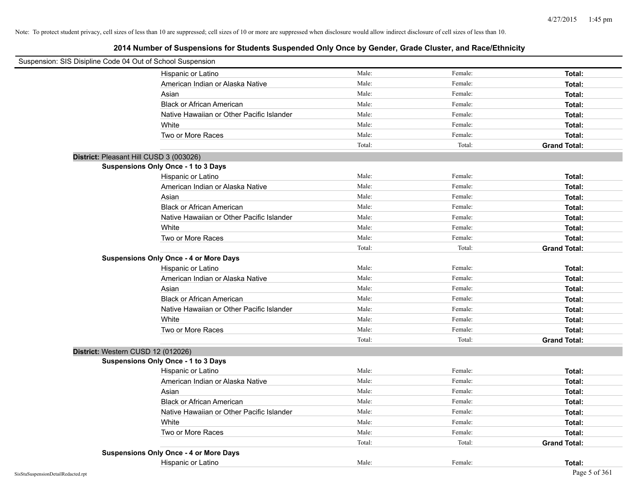| Suspension: SIS Disipline Code 04 Out of School Suspension |                                               |        |         |                     |
|------------------------------------------------------------|-----------------------------------------------|--------|---------|---------------------|
|                                                            | Hispanic or Latino                            | Male:  | Female: | Total:              |
|                                                            | American Indian or Alaska Native              | Male:  | Female: | Total:              |
|                                                            | Asian                                         | Male:  | Female: | Total:              |
|                                                            | <b>Black or African American</b>              | Male:  | Female: | Total:              |
|                                                            | Native Hawaiian or Other Pacific Islander     | Male:  | Female: | Total:              |
|                                                            | White                                         | Male:  | Female: | Total:              |
|                                                            | Two or More Races                             | Male:  | Female: | Total:              |
|                                                            |                                               | Total: | Total:  | <b>Grand Total:</b> |
| District: Pleasant Hill CUSD 3 (003026)                    |                                               |        |         |                     |
|                                                            | Suspensions Only Once - 1 to 3 Days           |        |         |                     |
|                                                            | Hispanic or Latino                            | Male:  | Female: | Total:              |
|                                                            | American Indian or Alaska Native              | Male:  | Female: | Total:              |
|                                                            | Asian                                         | Male:  | Female: | Total:              |
|                                                            | <b>Black or African American</b>              | Male:  | Female: | Total:              |
|                                                            | Native Hawaiian or Other Pacific Islander     | Male:  | Female: | Total:              |
|                                                            | White                                         | Male:  | Female: | Total:              |
|                                                            | Two or More Races                             | Male:  | Female: | Total:              |
|                                                            |                                               | Total: | Total:  | <b>Grand Total:</b> |
|                                                            | <b>Suspensions Only Once - 4 or More Days</b> |        |         |                     |
|                                                            | Hispanic or Latino                            | Male:  | Female: | Total:              |
|                                                            | American Indian or Alaska Native              | Male:  | Female: | Total:              |
|                                                            | Asian                                         | Male:  | Female: | Total:              |
|                                                            | <b>Black or African American</b>              | Male:  | Female: | Total:              |
|                                                            | Native Hawaiian or Other Pacific Islander     | Male:  | Female: | Total:              |
|                                                            | White                                         | Male:  | Female: | Total:              |
|                                                            | Two or More Races                             | Male:  | Female: | Total:              |
|                                                            |                                               | Total: | Total:  | <b>Grand Total:</b> |
| District: Western CUSD 12 (012026)                         |                                               |        |         |                     |
|                                                            | Suspensions Only Once - 1 to 3 Days           |        |         |                     |
|                                                            | Hispanic or Latino                            | Male:  | Female: | Total:              |
|                                                            | American Indian or Alaska Native              | Male:  | Female: | Total:              |
|                                                            | Asian                                         | Male:  | Female: | Total:              |
|                                                            | <b>Black or African American</b>              | Male:  | Female: | Total:              |
|                                                            | Native Hawaiian or Other Pacific Islander     | Male:  | Female: | Total:              |
|                                                            | White                                         | Male:  | Female: | Total:              |
|                                                            | Two or More Races                             | Male:  | Female: | Total:              |
|                                                            |                                               | Total: | Total:  | <b>Grand Total:</b> |
|                                                            | <b>Suspensions Only Once - 4 or More Days</b> |        |         |                     |
|                                                            | Hispanic or Latino                            | Male:  | Female: | Total:              |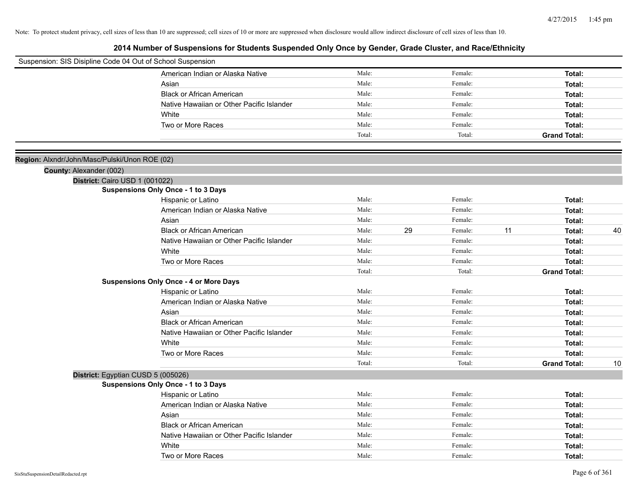| Suspension: SIS Disipline Code 04 Out of School Suspension |                                               |        |    |         |    |                     |    |
|------------------------------------------------------------|-----------------------------------------------|--------|----|---------|----|---------------------|----|
|                                                            | American Indian or Alaska Native              | Male:  |    | Female: |    | Total:              |    |
|                                                            | Asian                                         | Male:  |    | Female: |    | Total:              |    |
|                                                            | <b>Black or African American</b>              | Male:  |    | Female: |    | Total:              |    |
|                                                            | Native Hawaiian or Other Pacific Islander     | Male:  |    | Female: |    | Total:              |    |
|                                                            | White                                         | Male:  |    | Female: |    | Total:              |    |
|                                                            | Two or More Races                             | Male:  |    | Female: |    | Total:              |    |
|                                                            |                                               | Total: |    | Total:  |    | <b>Grand Total:</b> |    |
|                                                            |                                               |        |    |         |    |                     |    |
| Region: Alxndr/John/Masc/Pulski/Unon ROE (02)              |                                               |        |    |         |    |                     |    |
| County: Alexander (002)                                    |                                               |        |    |         |    |                     |    |
|                                                            | District: Cairo USD 1 (001022)                |        |    |         |    |                     |    |
|                                                            | <b>Suspensions Only Once - 1 to 3 Days</b>    |        |    |         |    |                     |    |
|                                                            | Hispanic or Latino                            | Male:  |    | Female: |    | Total:              |    |
|                                                            | American Indian or Alaska Native              | Male:  |    | Female: |    | Total:              |    |
|                                                            | Asian                                         | Male:  |    | Female: |    | Total:              |    |
|                                                            | <b>Black or African American</b>              | Male:  | 29 | Female: | 11 | Total:              | 40 |
|                                                            | Native Hawaiian or Other Pacific Islander     | Male:  |    | Female: |    | Total:              |    |
|                                                            | White                                         | Male:  |    | Female: |    | Total:              |    |
|                                                            | Two or More Races                             | Male:  |    | Female: |    | Total:              |    |
|                                                            |                                               | Total: |    | Total:  |    | <b>Grand Total:</b> |    |
|                                                            | <b>Suspensions Only Once - 4 or More Days</b> |        |    |         |    |                     |    |
|                                                            | Hispanic or Latino                            | Male:  |    | Female: |    | Total:              |    |
|                                                            | American Indian or Alaska Native              | Male:  |    | Female: |    | Total:              |    |
|                                                            | Asian                                         | Male:  |    | Female: |    | Total:              |    |
|                                                            | <b>Black or African American</b>              | Male:  |    | Female: |    | Total:              |    |
|                                                            | Native Hawaiian or Other Pacific Islander     | Male:  |    | Female: |    | Total:              |    |
|                                                            | White                                         | Male:  |    | Female: |    | Total:              |    |
|                                                            | Two or More Races                             | Male:  |    | Female: |    | Total:              |    |
|                                                            |                                               | Total: |    | Total:  |    | <b>Grand Total:</b> | 10 |
|                                                            | District: Egyptian CUSD 5 (005026)            |        |    |         |    |                     |    |
|                                                            | <b>Suspensions Only Once - 1 to 3 Days</b>    |        |    |         |    |                     |    |
|                                                            | Hispanic or Latino                            | Male:  |    | Female: |    | Total:              |    |
|                                                            | American Indian or Alaska Native              | Male:  |    | Female: |    | Total:              |    |
|                                                            | Asian                                         | Male:  |    | Female: |    | Total:              |    |
|                                                            | <b>Black or African American</b>              | Male:  |    | Female: |    | Total:              |    |
|                                                            | Native Hawaiian or Other Pacific Islander     | Male:  |    | Female: |    | Total:              |    |
|                                                            | White                                         | Male:  |    | Female: |    | Total:              |    |
|                                                            | Two or More Races                             | Male:  |    | Female: |    | Total:              |    |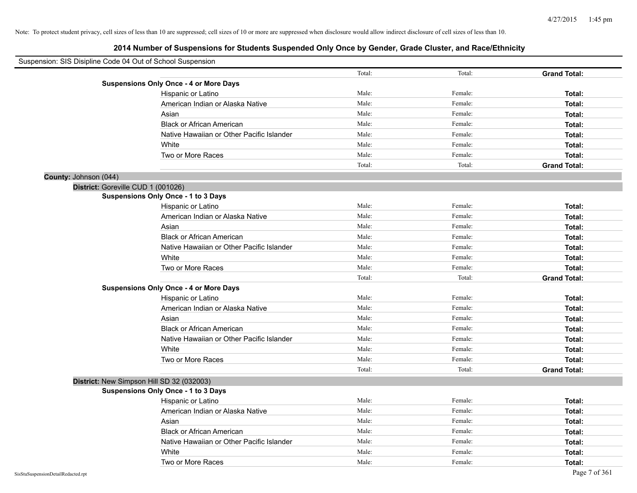| Suspension: SIS Disipline Code 04 Out of School Suspension |                                               |        |         |                     |
|------------------------------------------------------------|-----------------------------------------------|--------|---------|---------------------|
|                                                            |                                               | Total: | Total:  | <b>Grand Total:</b> |
|                                                            | <b>Suspensions Only Once - 4 or More Days</b> |        |         |                     |
|                                                            | Hispanic or Latino                            | Male:  | Female: | Total:              |
|                                                            | American Indian or Alaska Native              | Male:  | Female: | Total:              |
|                                                            | Asian                                         | Male:  | Female: | Total:              |
|                                                            | <b>Black or African American</b>              | Male:  | Female: | Total:              |
|                                                            | Native Hawaiian or Other Pacific Islander     | Male:  | Female: | Total:              |
|                                                            | White                                         | Male:  | Female: | Total:              |
|                                                            | Two or More Races                             | Male:  | Female: | Total:              |
|                                                            |                                               | Total: | Total:  | <b>Grand Total:</b> |
| County: Johnson (044)                                      |                                               |        |         |                     |
| District: Goreville CUD 1 (001026)                         |                                               |        |         |                     |
|                                                            | <b>Suspensions Only Once - 1 to 3 Days</b>    |        |         |                     |
|                                                            | Hispanic or Latino                            | Male:  | Female: | Total:              |
|                                                            | American Indian or Alaska Native              | Male:  | Female: | Total:              |
|                                                            | Asian                                         | Male:  | Female: | Total:              |
|                                                            | <b>Black or African American</b>              | Male:  | Female: | Total:              |
|                                                            | Native Hawaiian or Other Pacific Islander     | Male:  | Female: | Total:              |
|                                                            | White                                         | Male:  | Female: | Total:              |
|                                                            | Two or More Races                             | Male:  | Female: | Total:              |
|                                                            |                                               | Total: | Total:  | <b>Grand Total:</b> |
|                                                            | <b>Suspensions Only Once - 4 or More Days</b> |        |         |                     |
|                                                            | Hispanic or Latino                            | Male:  | Female: | Total:              |
|                                                            | American Indian or Alaska Native              | Male:  | Female: | Total:              |
|                                                            | Asian                                         | Male:  | Female: | Total:              |
|                                                            | <b>Black or African American</b>              | Male:  | Female: | Total:              |
|                                                            | Native Hawaiian or Other Pacific Islander     | Male:  | Female: | Total:              |
|                                                            | White                                         | Male:  | Female: | Total:              |
|                                                            | Two or More Races                             | Male:  | Female: | Total:              |
|                                                            |                                               | Total: | Total:  | <b>Grand Total:</b> |
|                                                            | District: New Simpson Hill SD 32 (032003)     |        |         |                     |
|                                                            | Suspensions Only Once - 1 to 3 Days           |        |         |                     |
|                                                            | Hispanic or Latino                            | Male:  | Female: | Total:              |
|                                                            | American Indian or Alaska Native              | Male:  | Female: | Total:              |
|                                                            | Asian                                         | Male:  | Female: | Total:              |
|                                                            | <b>Black or African American</b>              | Male:  | Female: | Total:              |
|                                                            | Native Hawaiian or Other Pacific Islander     | Male:  | Female: | Total:              |
|                                                            | White                                         | Male:  | Female: | Total:              |
|                                                            | Two or More Races                             | Male:  | Female: | Total:              |
| SisStuSuspensionDetailRedacted.rpt                         |                                               |        |         | Page 7 of 361       |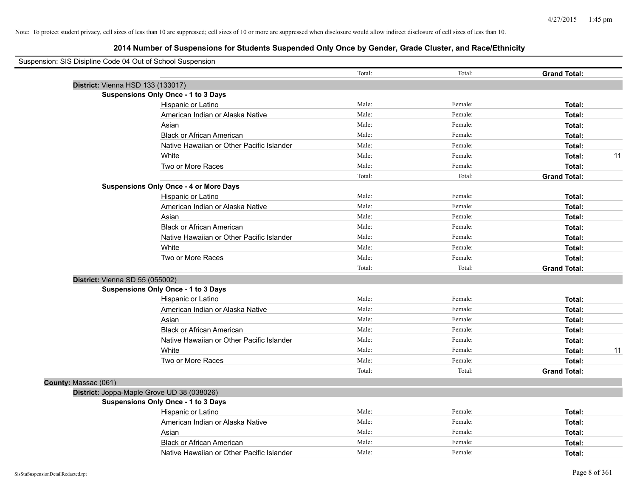| Suspension: SIS Disipline Code 04 Out of School Suspension |                                               |        |         |                     |
|------------------------------------------------------------|-----------------------------------------------|--------|---------|---------------------|
|                                                            |                                               | Total: | Total:  | <b>Grand Total:</b> |
| District: Vienna HSD 133 (133017)                          |                                               |        |         |                     |
|                                                            | <b>Suspensions Only Once - 1 to 3 Days</b>    |        |         |                     |
|                                                            | Hispanic or Latino                            | Male:  | Female: | Total:              |
|                                                            | American Indian or Alaska Native              | Male:  | Female: | Total:              |
|                                                            | Asian                                         | Male:  | Female: | Total:              |
|                                                            | <b>Black or African American</b>              | Male:  | Female: | Total:              |
|                                                            | Native Hawaiian or Other Pacific Islander     | Male:  | Female: | Total:              |
|                                                            | White                                         | Male:  | Female: | 11<br>Total:        |
|                                                            | Two or More Races                             | Male:  | Female: | Total:              |
|                                                            |                                               | Total: | Total:  | <b>Grand Total:</b> |
|                                                            | <b>Suspensions Only Once - 4 or More Days</b> |        |         |                     |
|                                                            | Hispanic or Latino                            | Male:  | Female: | Total:              |
|                                                            | American Indian or Alaska Native              | Male:  | Female: | Total:              |
|                                                            | Asian                                         | Male:  | Female: | Total:              |
|                                                            | <b>Black or African American</b>              | Male:  | Female: | Total:              |
|                                                            | Native Hawaiian or Other Pacific Islander     | Male:  | Female: | Total:              |
|                                                            | White                                         | Male:  | Female: | Total:              |
|                                                            | Two or More Races                             | Male:  | Female: | Total:              |
|                                                            |                                               | Total: | Total:  | <b>Grand Total:</b> |
| District: Vienna SD 55 (055002)                            |                                               |        |         |                     |
|                                                            | <b>Suspensions Only Once - 1 to 3 Days</b>    |        |         |                     |
|                                                            | Hispanic or Latino                            | Male:  | Female: | Total:              |
|                                                            | American Indian or Alaska Native              | Male:  | Female: | Total:              |
|                                                            | Asian                                         | Male:  | Female: | Total:              |
|                                                            | <b>Black or African American</b>              | Male:  | Female: | Total:              |
|                                                            | Native Hawaiian or Other Pacific Islander     | Male:  | Female: | Total:              |
|                                                            | White                                         | Male:  | Female: | Total:<br>11        |
|                                                            | Two or More Races                             | Male:  | Female: | Total:              |
|                                                            |                                               | Total: | Total:  | <b>Grand Total:</b> |
| County: Massac (061)                                       |                                               |        |         |                     |
|                                                            | District: Joppa-Maple Grove UD 38 (038026)    |        |         |                     |
|                                                            | Suspensions Only Once - 1 to 3 Days           |        |         |                     |
|                                                            | Hispanic or Latino                            | Male:  | Female: | Total:              |
|                                                            | American Indian or Alaska Native              | Male:  | Female: | Total:              |
|                                                            | Asian                                         | Male:  | Female: | Total:              |
|                                                            | <b>Black or African American</b>              | Male:  | Female: | Total:              |
|                                                            | Native Hawaiian or Other Pacific Islander     | Male:  | Female: | Total:              |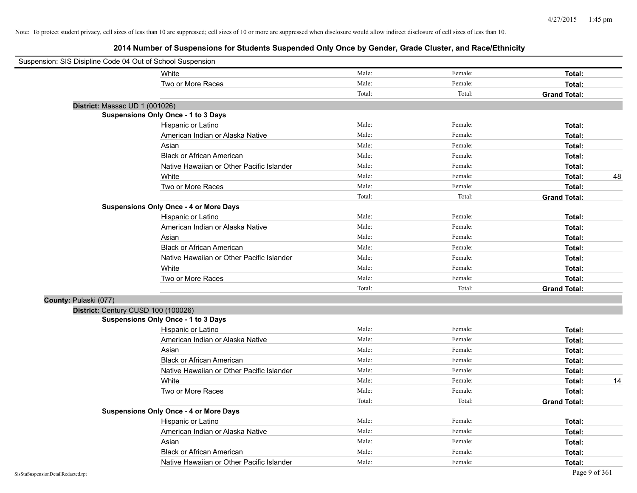| Suspension: SIS Disipline Code 04 Out of School Suspension |                                               |        |         |                     |
|------------------------------------------------------------|-----------------------------------------------|--------|---------|---------------------|
|                                                            | White                                         | Male:  | Female: | Total:              |
|                                                            | Two or More Races                             | Male:  | Female: | Total:              |
|                                                            |                                               | Total: | Total:  | <b>Grand Total:</b> |
| District: Massac UD 1 (001026)                             |                                               |        |         |                     |
|                                                            | Suspensions Only Once - 1 to 3 Days           |        |         |                     |
|                                                            | Hispanic or Latino                            | Male:  | Female: | Total:              |
|                                                            | American Indian or Alaska Native              | Male:  | Female: | Total:              |
|                                                            | Asian                                         | Male:  | Female: | Total:              |
|                                                            | <b>Black or African American</b>              | Male:  | Female: | Total:              |
|                                                            | Native Hawaiian or Other Pacific Islander     | Male:  | Female: | Total:              |
|                                                            | White                                         | Male:  | Female: | 48<br>Total:        |
|                                                            | Two or More Races                             | Male:  | Female: | Total:              |
|                                                            |                                               | Total: | Total:  | <b>Grand Total:</b> |
|                                                            | <b>Suspensions Only Once - 4 or More Days</b> |        |         |                     |
|                                                            | Hispanic or Latino                            | Male:  | Female: | Total:              |
|                                                            | American Indian or Alaska Native              | Male:  | Female: | Total:              |
|                                                            | Asian                                         | Male:  | Female: | Total:              |
|                                                            | <b>Black or African American</b>              | Male:  | Female: | Total:              |
|                                                            | Native Hawaiian or Other Pacific Islander     | Male:  | Female: | Total:              |
|                                                            | White                                         | Male:  | Female: | Total:              |
|                                                            | Two or More Races                             | Male:  | Female: | Total:              |
|                                                            |                                               | Total: | Total:  | <b>Grand Total:</b> |
| County: Pulaski (077)                                      |                                               |        |         |                     |
|                                                            | District: Century CUSD 100 (100026)           |        |         |                     |
|                                                            | Suspensions Only Once - 1 to 3 Days           |        |         |                     |
|                                                            | Hispanic or Latino                            | Male:  | Female: | Total:              |
|                                                            | American Indian or Alaska Native              | Male:  | Female: | Total:              |
|                                                            | Asian                                         | Male:  | Female: | Total:              |
|                                                            | <b>Black or African American</b>              | Male:  | Female: | Total:              |
|                                                            | Native Hawaiian or Other Pacific Islander     | Male:  | Female: | Total:              |
|                                                            | White                                         | Male:  | Female: | 14<br>Total:        |
|                                                            | Two or More Races                             | Male:  | Female: | Total:              |
|                                                            |                                               | Total: | Total:  | <b>Grand Total:</b> |
|                                                            | <b>Suspensions Only Once - 4 or More Days</b> |        |         |                     |
|                                                            | Hispanic or Latino                            | Male:  | Female: | Total:              |
|                                                            | American Indian or Alaska Native              | Male:  | Female: | Total:              |
|                                                            | Asian                                         | Male:  | Female: | Total:              |
|                                                            | <b>Black or African American</b>              | Male:  | Female: | Total:              |
|                                                            | Native Hawaiian or Other Pacific Islander     | Male:  | Female: | Total:              |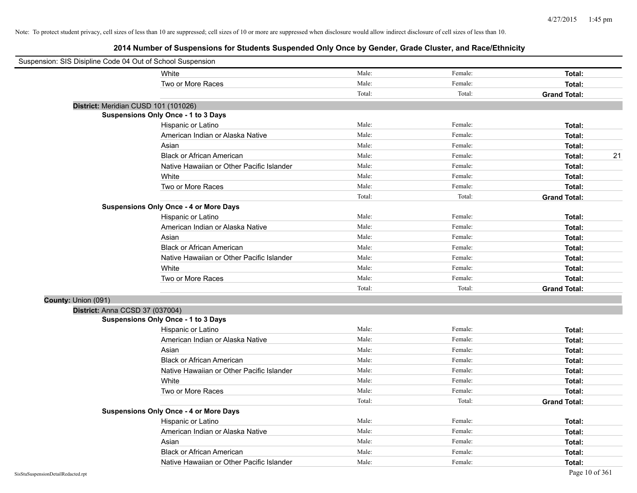| Suspension: SIS Disipline Code 04 Out of School Suspension |                                               |        |         |                     |
|------------------------------------------------------------|-----------------------------------------------|--------|---------|---------------------|
|                                                            | White                                         | Male:  | Female: | Total:              |
|                                                            | Two or More Races                             | Male:  | Female: | Total:              |
|                                                            |                                               | Total: | Total:  | <b>Grand Total:</b> |
|                                                            | District: Meridian CUSD 101 (101026)          |        |         |                     |
|                                                            | Suspensions Only Once - 1 to 3 Days           |        |         |                     |
|                                                            | Hispanic or Latino                            | Male:  | Female: | Total:              |
|                                                            | American Indian or Alaska Native              | Male:  | Female: | Total:              |
|                                                            | Asian                                         | Male:  | Female: | Total:              |
|                                                            | <b>Black or African American</b>              | Male:  | Female: | 21<br>Total:        |
|                                                            | Native Hawaiian or Other Pacific Islander     | Male:  | Female: | Total:              |
|                                                            | White                                         | Male:  | Female: | Total:              |
|                                                            | Two or More Races                             | Male:  | Female: | Total:              |
|                                                            |                                               | Total: | Total:  | <b>Grand Total:</b> |
|                                                            | <b>Suspensions Only Once - 4 or More Days</b> |        |         |                     |
|                                                            | Hispanic or Latino                            | Male:  | Female: | Total:              |
|                                                            | American Indian or Alaska Native              | Male:  | Female: | Total:              |
|                                                            | Asian                                         | Male:  | Female: | Total:              |
|                                                            | <b>Black or African American</b>              | Male:  | Female: | Total:              |
|                                                            | Native Hawaiian or Other Pacific Islander     | Male:  | Female: | Total:              |
|                                                            | White                                         | Male:  | Female: | Total:              |
|                                                            | Two or More Races                             | Male:  | Female: | Total:              |
|                                                            |                                               | Total: | Total:  | <b>Grand Total:</b> |
| County: Union (091)                                        |                                               |        |         |                     |
|                                                            | District: Anna CCSD 37 (037004)               |        |         |                     |
|                                                            | Suspensions Only Once - 1 to 3 Days           |        |         |                     |
|                                                            | Hispanic or Latino                            | Male:  | Female: | Total:              |
|                                                            | American Indian or Alaska Native              | Male:  | Female: | Total:              |
|                                                            | Asian                                         | Male:  | Female: | Total:              |
|                                                            | <b>Black or African American</b>              | Male:  | Female: | Total:              |
|                                                            | Native Hawaiian or Other Pacific Islander     | Male:  | Female: | Total:              |
|                                                            | White                                         | Male:  | Female: | Total:              |
|                                                            | Two or More Races                             | Male:  | Female: | Total:              |
|                                                            |                                               | Total: | Total:  | <b>Grand Total:</b> |
|                                                            | <b>Suspensions Only Once - 4 or More Days</b> |        |         |                     |
|                                                            | Hispanic or Latino                            | Male:  | Female: | Total:              |
|                                                            | American Indian or Alaska Native              | Male:  | Female: | Total:              |
|                                                            | Asian                                         | Male:  | Female: | Total:              |
|                                                            | <b>Black or African American</b>              | Male:  | Female: | Total:              |
|                                                            | Native Hawaiian or Other Pacific Islander     | Male:  | Female: | Total:              |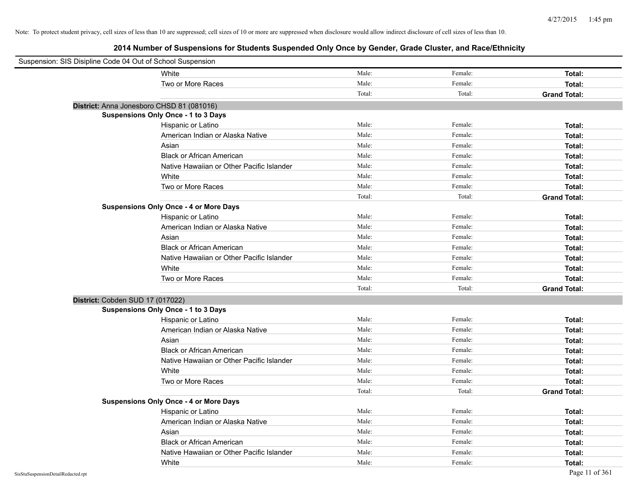| Suspension: SIS Disipline Code 04 Out of School Suspension |                                               |        |         |                     |
|------------------------------------------------------------|-----------------------------------------------|--------|---------|---------------------|
|                                                            | White                                         | Male:  | Female: | Total:              |
|                                                            | Two or More Races                             | Male:  | Female: | Total:              |
|                                                            |                                               | Total: | Total:  | <b>Grand Total:</b> |
| District: Anna Jonesboro CHSD 81 (081016)                  |                                               |        |         |                     |
|                                                            | <b>Suspensions Only Once - 1 to 3 Days</b>    |        |         |                     |
|                                                            | Hispanic or Latino                            | Male:  | Female: | Total:              |
|                                                            | American Indian or Alaska Native              | Male:  | Female: | Total:              |
|                                                            | Asian                                         | Male:  | Female: | Total:              |
|                                                            | <b>Black or African American</b>              | Male:  | Female: | Total:              |
|                                                            | Native Hawaiian or Other Pacific Islander     | Male:  | Female: | Total:              |
|                                                            | White                                         | Male:  | Female: | Total:              |
|                                                            | Two or More Races                             | Male:  | Female: | Total:              |
|                                                            |                                               | Total: | Total:  | <b>Grand Total:</b> |
|                                                            | <b>Suspensions Only Once - 4 or More Days</b> |        |         |                     |
|                                                            | Hispanic or Latino                            | Male:  | Female: | Total:              |
|                                                            | American Indian or Alaska Native              | Male:  | Female: | Total:              |
|                                                            | Asian                                         | Male:  | Female: | Total:              |
|                                                            | <b>Black or African American</b>              | Male:  | Female: | Total:              |
|                                                            | Native Hawaiian or Other Pacific Islander     | Male:  | Female: | Total:              |
|                                                            | White                                         | Male:  | Female: | Total:              |
|                                                            | Two or More Races                             | Male:  | Female: | Total:              |
|                                                            |                                               | Total: | Total:  | <b>Grand Total:</b> |
| District: Cobden SUD 17 (017022)                           |                                               |        |         |                     |
|                                                            | <b>Suspensions Only Once - 1 to 3 Days</b>    |        |         |                     |
|                                                            | Hispanic or Latino                            | Male:  | Female: | Total:              |
|                                                            | American Indian or Alaska Native              | Male:  | Female: | Total:              |
|                                                            | Asian                                         | Male:  | Female: | Total:              |
|                                                            | <b>Black or African American</b>              | Male:  | Female: | Total:              |
|                                                            | Native Hawaiian or Other Pacific Islander     | Male:  | Female: | Total:              |
|                                                            | White                                         | Male:  | Female: | Total:              |
|                                                            | Two or More Races                             | Male:  | Female: | Total:              |
|                                                            |                                               | Total: | Total:  | <b>Grand Total:</b> |
|                                                            | <b>Suspensions Only Once - 4 or More Days</b> |        |         |                     |
|                                                            | Hispanic or Latino                            | Male:  | Female: | Total:              |
|                                                            | American Indian or Alaska Native              | Male:  | Female: | Total:              |
|                                                            | Asian                                         | Male:  | Female: | Total:              |
|                                                            | <b>Black or African American</b>              | Male:  | Female: | Total:              |
|                                                            | Native Hawaiian or Other Pacific Islander     | Male:  | Female: | Total:              |
|                                                            | White                                         | Male:  | Female: | Total:              |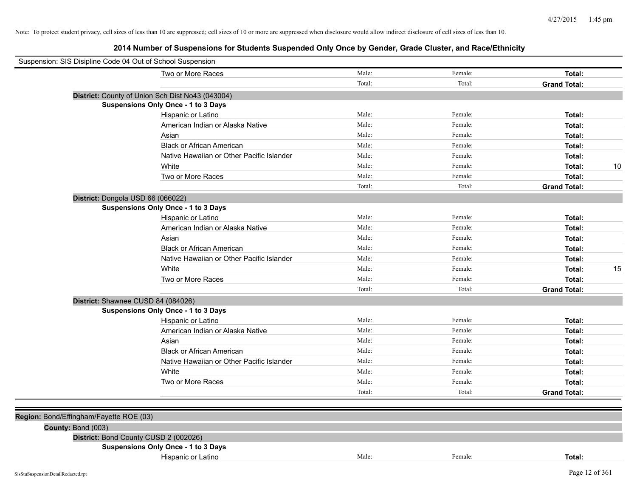| Suspension: SIS Disipline Code 04 Out of School Suspension |                                                  |        |         |                     |
|------------------------------------------------------------|--------------------------------------------------|--------|---------|---------------------|
|                                                            | Two or More Races                                | Male:  | Female: | Total:              |
|                                                            |                                                  | Total: | Total:  | <b>Grand Total:</b> |
|                                                            | District: County of Union Sch Dist No43 (043004) |        |         |                     |
|                                                            | <b>Suspensions Only Once - 1 to 3 Days</b>       |        |         |                     |
|                                                            | Hispanic or Latino                               | Male:  | Female: | Total:              |
|                                                            | American Indian or Alaska Native                 | Male:  | Female: | Total:              |
|                                                            | Asian                                            | Male:  | Female: | Total:              |
|                                                            | <b>Black or African American</b>                 | Male:  | Female: | Total:              |
|                                                            | Native Hawaiian or Other Pacific Islander        | Male:  | Female: | Total:              |
|                                                            | White                                            | Male:  | Female: | 10<br>Total:        |
|                                                            | Two or More Races                                | Male:  | Female: | Total:              |
|                                                            |                                                  | Total: | Total:  | <b>Grand Total:</b> |
|                                                            | District: Dongola USD 66 (066022)                |        |         |                     |
|                                                            | Suspensions Only Once - 1 to 3 Days              |        |         |                     |
|                                                            | Hispanic or Latino                               | Male:  | Female: | Total:              |
|                                                            | American Indian or Alaska Native                 | Male:  | Female: | Total:              |
|                                                            | Asian                                            | Male:  | Female: | Total:              |
|                                                            | <b>Black or African American</b>                 | Male:  | Female: | Total:              |
|                                                            | Native Hawaiian or Other Pacific Islander        | Male:  | Female: | Total:              |
|                                                            | White                                            | Male:  | Female: | 15<br>Total:        |
|                                                            | Two or More Races                                | Male:  | Female: | Total:              |
|                                                            |                                                  | Total: | Total:  | <b>Grand Total:</b> |
|                                                            | District: Shawnee CUSD 84 (084026)               |        |         |                     |
|                                                            | <b>Suspensions Only Once - 1 to 3 Days</b>       |        |         |                     |
|                                                            | Hispanic or Latino                               | Male:  | Female: | Total:              |
|                                                            | American Indian or Alaska Native                 | Male:  | Female: | Total:              |
|                                                            | Asian                                            | Male:  | Female: | Total:              |
|                                                            | <b>Black or African American</b>                 | Male:  | Female: | Total:              |
|                                                            | Native Hawaiian or Other Pacific Islander        | Male:  | Female: | Total:              |
|                                                            | White                                            | Male:  | Female: | Total:              |
|                                                            | Two or More Races                                | Male:  | Female: | Total:              |
|                                                            |                                                  | Total: | Total:  | <b>Grand Total:</b> |
|                                                            |                                                  |        |         |                     |
| Region: Bond/Effingham/Fayette ROE (03)                    |                                                  |        |         |                     |
| County: Bond (003)                                         |                                                  |        |         |                     |
|                                                            | District: Bond County CUSD 2 (002026)            |        |         |                     |
|                                                            | <b>Suspensions Only Once - 1 to 3 Days</b>       |        |         |                     |
|                                                            | Hispanic or Latino                               | Male:  | Female: | Total:              |
|                                                            |                                                  |        |         |                     |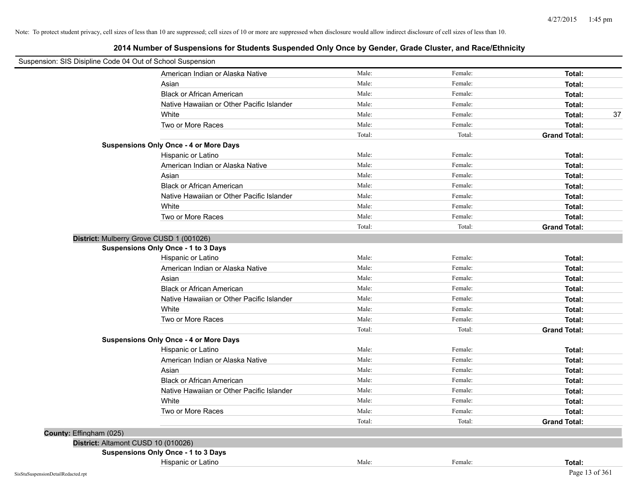| Suspension: SIS Disipline Code 04 Out of School Suspension |                                               |        |         |                     |
|------------------------------------------------------------|-----------------------------------------------|--------|---------|---------------------|
|                                                            | American Indian or Alaska Native              | Male:  | Female: | Total:              |
|                                                            | Asian                                         | Male:  | Female: | Total:              |
|                                                            | <b>Black or African American</b>              | Male:  | Female: | Total:              |
|                                                            | Native Hawaiian or Other Pacific Islander     | Male:  | Female: | Total:              |
|                                                            | White                                         | Male:  | Female: | Total:<br>37        |
|                                                            | Two or More Races                             | Male:  | Female: | Total:              |
|                                                            |                                               | Total: | Total:  | <b>Grand Total:</b> |
|                                                            | <b>Suspensions Only Once - 4 or More Days</b> |        |         |                     |
|                                                            | Hispanic or Latino                            | Male:  | Female: | Total:              |
|                                                            | American Indian or Alaska Native              | Male:  | Female: | Total:              |
|                                                            | Asian                                         | Male:  | Female: | Total:              |
|                                                            | <b>Black or African American</b>              | Male:  | Female: | Total:              |
|                                                            | Native Hawaiian or Other Pacific Islander     | Male:  | Female: | Total:              |
|                                                            | White                                         | Male:  | Female: | Total:              |
|                                                            | Two or More Races                             | Male:  | Female: | Total:              |
|                                                            |                                               | Total: | Total:  | <b>Grand Total:</b> |
|                                                            | District: Mulberry Grove CUSD 1 (001026)      |        |         |                     |
|                                                            | <b>Suspensions Only Once - 1 to 3 Days</b>    |        |         |                     |
|                                                            | Hispanic or Latino                            | Male:  | Female: | Total:              |
|                                                            | American Indian or Alaska Native              | Male:  | Female: | Total:              |
|                                                            | Asian                                         | Male:  | Female: | Total:              |
|                                                            | <b>Black or African American</b>              | Male:  | Female: | Total:              |
|                                                            | Native Hawaiian or Other Pacific Islander     | Male:  | Female: | Total:              |
|                                                            | White                                         | Male:  | Female: | Total:              |
|                                                            | Two or More Races                             | Male:  | Female: | Total:              |
|                                                            |                                               | Total: | Total:  | <b>Grand Total:</b> |
|                                                            | <b>Suspensions Only Once - 4 or More Days</b> |        |         |                     |
|                                                            | Hispanic or Latino                            | Male:  | Female: | Total:              |
|                                                            | American Indian or Alaska Native              | Male:  | Female: | Total:              |
|                                                            | Asian                                         | Male:  | Female: | Total:              |
|                                                            | <b>Black or African American</b>              | Male:  | Female: | Total:              |
|                                                            | Native Hawaiian or Other Pacific Islander     | Male:  | Female: | Total:              |
|                                                            | White                                         | Male:  | Female: | Total:              |
|                                                            | Two or More Races                             | Male:  | Female: | Total:              |
|                                                            |                                               | Total: | Total:  | <b>Grand Total:</b> |
| County: Effingham (025)                                    |                                               |        |         |                     |
|                                                            | District: Altamont CUSD 10 (010026)           |        |         |                     |
|                                                            | <b>Suspensions Only Once - 1 to 3 Days</b>    |        |         |                     |
|                                                            | Hispanic or Latino                            | Male:  | Female: | Total:              |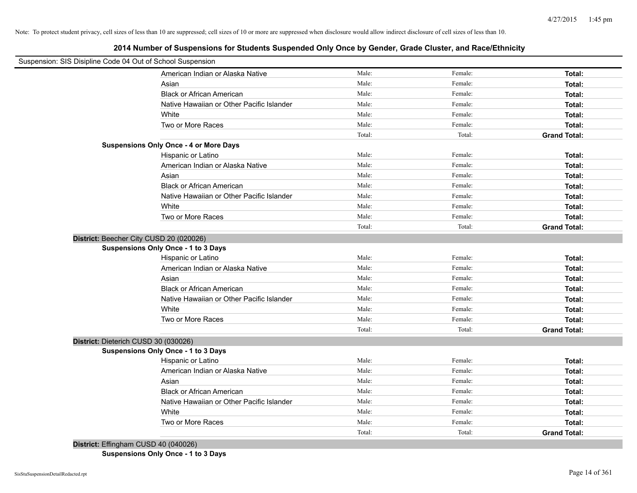**2014 Number of Suspensions for Students Suspended Only Once by Gender, Grade Cluster, and Race/Ethnicity**

| Suspension: SIS Disipline Code 04 Out of School Suspension |                                               |        |         |                     |
|------------------------------------------------------------|-----------------------------------------------|--------|---------|---------------------|
|                                                            | American Indian or Alaska Native              | Male:  | Female: | Total:              |
|                                                            | Asian                                         | Male:  | Female: | Total:              |
|                                                            | <b>Black or African American</b>              | Male:  | Female: | Total:              |
|                                                            | Native Hawaiian or Other Pacific Islander     | Male:  | Female: | Total:              |
|                                                            | White                                         | Male:  | Female: | Total:              |
|                                                            | Two or More Races                             | Male:  | Female: | Total:              |
|                                                            |                                               | Total: | Total:  | <b>Grand Total:</b> |
|                                                            | <b>Suspensions Only Once - 4 or More Days</b> |        |         |                     |
|                                                            | Hispanic or Latino                            | Male:  | Female: | Total:              |
|                                                            | American Indian or Alaska Native              | Male:  | Female: | Total:              |
|                                                            | Asian                                         | Male:  | Female: | Total:              |
|                                                            | <b>Black or African American</b>              | Male:  | Female: | Total:              |
|                                                            | Native Hawaiian or Other Pacific Islander     | Male:  | Female: | Total:              |
|                                                            | White                                         | Male:  | Female: | Total:              |
|                                                            | Two or More Races                             | Male:  | Female: | Total:              |
|                                                            |                                               | Total: | Total:  | <b>Grand Total:</b> |
| District: Beecher City CUSD 20 (020026)                    |                                               |        |         |                     |
|                                                            | <b>Suspensions Only Once - 1 to 3 Days</b>    |        |         |                     |
|                                                            | Hispanic or Latino                            | Male:  | Female: | Total:              |
|                                                            | American Indian or Alaska Native              | Male:  | Female: | Total:              |
|                                                            | Asian                                         | Male:  | Female: | Total:              |
|                                                            | <b>Black or African American</b>              | Male:  | Female: | Total:              |
|                                                            | Native Hawaiian or Other Pacific Islander     | Male:  | Female: | Total:              |
|                                                            | White                                         | Male:  | Female: | Total:              |
|                                                            | Two or More Races                             | Male:  | Female: | Total:              |
|                                                            |                                               | Total: | Total:  | <b>Grand Total:</b> |
| District: Dieterich CUSD 30 (030026)                       |                                               |        |         |                     |
|                                                            | <b>Suspensions Only Once - 1 to 3 Days</b>    |        |         |                     |
|                                                            | Hispanic or Latino                            | Male:  | Female: | Total:              |
|                                                            | American Indian or Alaska Native              | Male:  | Female: | Total:              |
|                                                            | Asian                                         | Male:  | Female: | Total:              |
|                                                            | <b>Black or African American</b>              | Male:  | Female: | Total:              |
|                                                            | Native Hawaiian or Other Pacific Islander     | Male:  | Female: | Total:              |
|                                                            | White                                         | Male:  | Female: | Total:              |
|                                                            | Two or More Races                             | Male:  | Female: | Total:              |
|                                                            |                                               | Total: | Total:  | <b>Grand Total:</b> |

**District:** Effingham CUSD 40 (040026)

**Suspensions Only Once - 1 to 3 Days**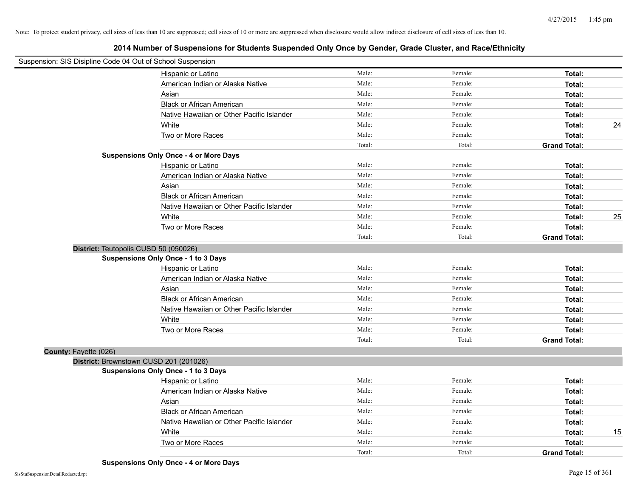|                       | Suspension: SIS Disipline Code 04 Out of School Suspension |        |         |                     |    |
|-----------------------|------------------------------------------------------------|--------|---------|---------------------|----|
|                       | Hispanic or Latino                                         | Male:  | Female: | Total:              |    |
|                       | American Indian or Alaska Native                           | Male:  | Female: | Total:              |    |
|                       | Asian                                                      | Male:  | Female: | Total:              |    |
|                       | <b>Black or African American</b>                           | Male:  | Female: | Total:              |    |
|                       | Native Hawaiian or Other Pacific Islander                  | Male:  | Female: | Total:              |    |
|                       | White                                                      | Male:  | Female: | Total:              | 24 |
|                       | Two or More Races                                          | Male:  | Female: | Total:              |    |
|                       |                                                            | Total: | Total:  | <b>Grand Total:</b> |    |
|                       | <b>Suspensions Only Once - 4 or More Days</b>              |        |         |                     |    |
|                       | Hispanic or Latino                                         | Male:  | Female: | Total:              |    |
|                       | American Indian or Alaska Native                           | Male:  | Female: | Total:              |    |
|                       | Asian                                                      | Male:  | Female: | Total:              |    |
|                       | <b>Black or African American</b>                           | Male:  | Female: | Total:              |    |
|                       | Native Hawaiian or Other Pacific Islander                  | Male:  | Female: | Total:              |    |
|                       | White                                                      | Male:  | Female: | Total:              | 25 |
|                       | Two or More Races                                          | Male:  | Female: | Total:              |    |
|                       |                                                            | Total: | Total:  | <b>Grand Total:</b> |    |
|                       | District: Teutopolis CUSD 50 (050026)                      |        |         |                     |    |
|                       | <b>Suspensions Only Once - 1 to 3 Days</b>                 |        |         |                     |    |
|                       | Hispanic or Latino                                         | Male:  | Female: | Total:              |    |
|                       | American Indian or Alaska Native                           | Male:  | Female: | Total:              |    |
|                       | Asian                                                      | Male:  | Female: | Total:              |    |
|                       | <b>Black or African American</b>                           | Male:  | Female: | Total:              |    |
|                       | Native Hawaiian or Other Pacific Islander                  | Male:  | Female: | Total:              |    |
|                       | White                                                      | Male:  | Female: | Total:              |    |
|                       | Two or More Races                                          | Male:  | Female: | Total:              |    |
|                       |                                                            | Total: | Total:  | <b>Grand Total:</b> |    |
| County: Fayette (026) |                                                            |        |         |                     |    |
|                       | District: Brownstown CUSD 201 (201026)                     |        |         |                     |    |
|                       | <b>Suspensions Only Once - 1 to 3 Days</b>                 |        |         |                     |    |
|                       | Hispanic or Latino                                         | Male:  | Female: | Total:              |    |
|                       | American Indian or Alaska Native                           | Male:  | Female: | Total:              |    |
|                       | Asian                                                      | Male:  | Female: | Total:              |    |
|                       | <b>Black or African American</b>                           | Male:  | Female: | Total:              |    |
|                       | Native Hawaiian or Other Pacific Islander                  | Male:  | Female: | Total:              |    |
|                       | White                                                      | Male:  | Female: | Total:              | 15 |
|                       | Two or More Races                                          | Male:  | Female: | Total:              |    |
|                       |                                                            | Total: | Total:  | <b>Grand Total:</b> |    |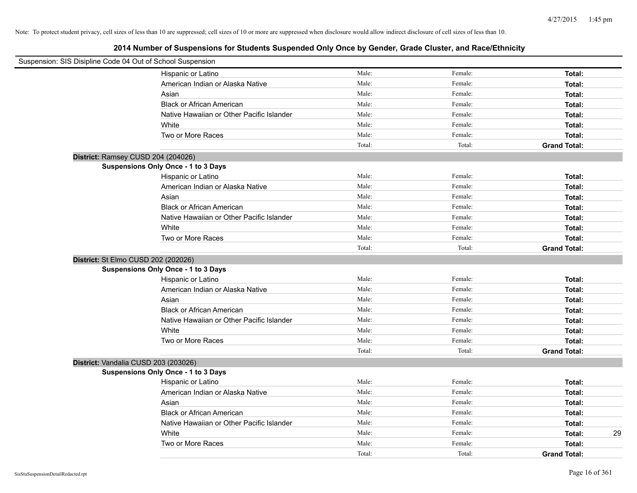| Suspension: SIS Disipline Code 04 Out of School Suspension |                                            |        |         |                     |
|------------------------------------------------------------|--------------------------------------------|--------|---------|---------------------|
|                                                            | Hispanic or Latino                         | Male:  | Female: | Total:              |
|                                                            | American Indian or Alaska Native           | Male:  | Female: | Total:              |
|                                                            | Asian                                      | Male:  | Female: | Total:              |
|                                                            | <b>Black or African American</b>           | Male:  | Female: | Total:              |
|                                                            | Native Hawaiian or Other Pacific Islander  | Male:  | Female: | Total:              |
|                                                            | White                                      | Male:  | Female: | Total:              |
|                                                            | Two or More Races                          | Male:  | Female: | Total:              |
|                                                            |                                            | Total: | Total:  | <b>Grand Total:</b> |
| District: Ramsey CUSD 204 (204026)                         |                                            |        |         |                     |
|                                                            | Suspensions Only Once - 1 to 3 Days        |        |         |                     |
|                                                            | Hispanic or Latino                         | Male:  | Female: | Total:              |
|                                                            | American Indian or Alaska Native           | Male:  | Female: | Total:              |
|                                                            | Asian                                      | Male:  | Female: | Total:              |
|                                                            | <b>Black or African American</b>           | Male:  | Female: | Total:              |
|                                                            | Native Hawaiian or Other Pacific Islander  | Male:  | Female: | Total:              |
|                                                            | White                                      | Male:  | Female: | Total:              |
|                                                            | Two or More Races                          | Male:  | Female: | Total:              |
|                                                            |                                            | Total: | Total:  | <b>Grand Total:</b> |
| District: St Elmo CUSD 202 (202026)                        |                                            |        |         |                     |
|                                                            | <b>Suspensions Only Once - 1 to 3 Days</b> |        |         |                     |
|                                                            | Hispanic or Latino                         | Male:  | Female: | Total:              |
|                                                            | American Indian or Alaska Native           | Male:  | Female: | Total:              |
|                                                            | Asian                                      | Male:  | Female: | Total:              |
|                                                            | <b>Black or African American</b>           | Male:  | Female: | Total:              |
|                                                            | Native Hawaiian or Other Pacific Islander  | Male:  | Female: | Total:              |
|                                                            | White                                      | Male:  | Female: | Total:              |
|                                                            | Two or More Races                          | Male:  | Female: | Total:              |
|                                                            |                                            | Total: | Total:  | <b>Grand Total:</b> |
| District: Vandalia CUSD 203 (203026)                       |                                            |        |         |                     |
|                                                            | <b>Suspensions Only Once - 1 to 3 Days</b> |        |         |                     |
|                                                            | Hispanic or Latino                         | Male:  | Female: | Total:              |
|                                                            | American Indian or Alaska Native           | Male:  | Female: | Total:              |
|                                                            | Asian                                      | Male:  | Female: | Total:              |
|                                                            | <b>Black or African American</b>           | Male:  | Female: | Total:              |
|                                                            | Native Hawaiian or Other Pacific Islander  | Male:  | Female: | Total:              |
|                                                            | White                                      | Male:  | Female: | 29<br>Total:        |
|                                                            | Two or More Races                          | Male:  | Female: | Total:              |
|                                                            |                                            | Total: | Total:  | <b>Grand Total:</b> |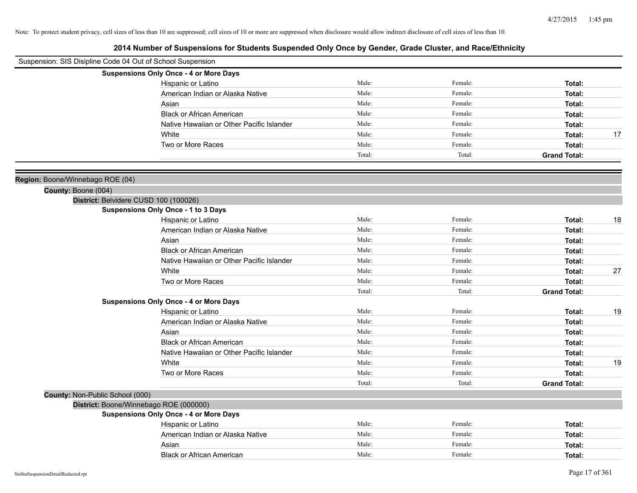| Suspension: SIS Disipline Code 04 Out of School Suspension |                                               |        |         |                     |    |
|------------------------------------------------------------|-----------------------------------------------|--------|---------|---------------------|----|
|                                                            | <b>Suspensions Only Once - 4 or More Days</b> |        |         |                     |    |
|                                                            | Hispanic or Latino                            | Male:  | Female: | Total:              |    |
|                                                            | American Indian or Alaska Native              | Male:  | Female: | Total:              |    |
|                                                            | Asian                                         | Male:  | Female: | Total:              |    |
|                                                            | <b>Black or African American</b>              | Male:  | Female: | Total:              |    |
|                                                            | Native Hawaiian or Other Pacific Islander     | Male:  | Female: | Total:              |    |
|                                                            | White                                         | Male:  | Female: | Total:              | 17 |
|                                                            | Two or More Races                             | Male:  | Female: | Total:              |    |
|                                                            |                                               | Total: | Total:  | <b>Grand Total:</b> |    |
| Region: Boone/Winnebago ROE (04)                           |                                               |        |         |                     |    |
| County: Boone (004)                                        |                                               |        |         |                     |    |
|                                                            | District: Belvidere CUSD 100 (100026)         |        |         |                     |    |
|                                                            | <b>Suspensions Only Once - 1 to 3 Days</b>    |        |         |                     |    |
|                                                            | Hispanic or Latino                            | Male:  | Female: | Total:              | 18 |
|                                                            | American Indian or Alaska Native              | Male:  | Female: | Total:              |    |
|                                                            | Asian                                         | Male:  | Female: | Total:              |    |
|                                                            | <b>Black or African American</b>              | Male:  | Female: | Total:              |    |
|                                                            | Native Hawaiian or Other Pacific Islander     | Male:  | Female: | Total:              |    |
|                                                            | White                                         | Male:  | Female: | Total:              | 27 |
|                                                            | Two or More Races                             | Male:  | Female: | Total:              |    |
|                                                            |                                               | Total: | Total:  | <b>Grand Total:</b> |    |
|                                                            | <b>Suspensions Only Once - 4 or More Days</b> |        |         |                     |    |
|                                                            | Hispanic or Latino                            | Male:  | Female: | Total:              | 19 |
|                                                            | American Indian or Alaska Native              | Male:  | Female: | Total:              |    |
|                                                            | Asian                                         | Male:  | Female: | Total:              |    |
|                                                            | <b>Black or African American</b>              | Male:  | Female: | Total:              |    |
|                                                            | Native Hawaiian or Other Pacific Islander     | Male:  | Female: | Total:              |    |
|                                                            | White                                         | Male:  | Female: | Total:              | 19 |
|                                                            | Two or More Races                             | Male:  | Female: | Total:              |    |
|                                                            |                                               | Total: | Total:  | <b>Grand Total:</b> |    |
| County: Non-Public School (000)                            | District: Boone/Winnebago ROE (000000)        |        |         |                     |    |
|                                                            | <b>Suspensions Only Once - 4 or More Days</b> |        |         |                     |    |
|                                                            | Hispanic or Latino                            | Male:  | Female: | Total:              |    |
|                                                            | American Indian or Alaska Native              | Male:  | Female: | Total:              |    |
|                                                            | Asian                                         | Male:  | Female: | Total:              |    |
|                                                            | <b>Black or African American</b>              | Male:  | Female: | Total:              |    |
|                                                            |                                               |        |         |                     |    |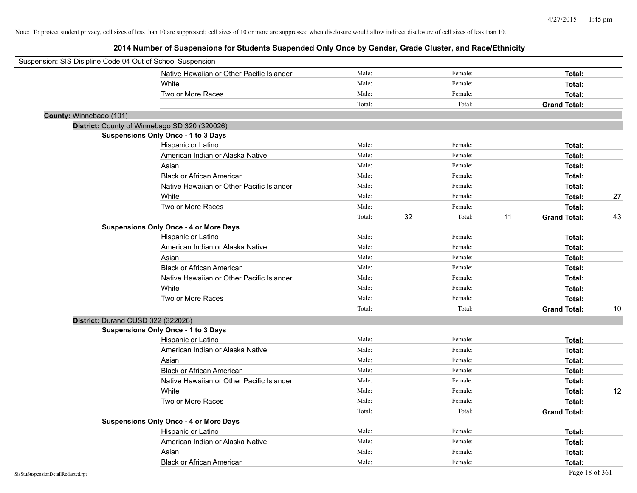| Suspension: SIS Disipline Code 04 Out of School Suspension |                                               |        |              |                           |    |
|------------------------------------------------------------|-----------------------------------------------|--------|--------------|---------------------------|----|
|                                                            | Native Hawaiian or Other Pacific Islander     | Male:  | Female:      | Total:                    |    |
|                                                            | White                                         | Male:  | Female:      | Total:                    |    |
|                                                            | Two or More Races                             | Male:  | Female:      | Total:                    |    |
|                                                            |                                               | Total: | Total:       | <b>Grand Total:</b>       |    |
| County: Winnebago (101)                                    |                                               |        |              |                           |    |
|                                                            | District: County of Winnebago SD 320 (320026) |        |              |                           |    |
|                                                            | <b>Suspensions Only Once - 1 to 3 Days</b>    |        |              |                           |    |
|                                                            | Hispanic or Latino                            | Male:  | Female:      | Total:                    |    |
|                                                            | American Indian or Alaska Native              | Male:  | Female:      | Total:                    |    |
|                                                            | Asian                                         | Male:  | Female:      | Total:                    |    |
|                                                            | <b>Black or African American</b>              | Male:  | Female:      | Total:                    |    |
|                                                            | Native Hawaiian or Other Pacific Islander     | Male:  | Female:      | Total:                    |    |
|                                                            | White                                         | Male:  | Female:      | Total:                    | 27 |
|                                                            | Two or More Races                             | Male:  | Female:      | Total:                    |    |
|                                                            |                                               | Total: | 32<br>Total: | 11<br><b>Grand Total:</b> | 43 |
|                                                            | <b>Suspensions Only Once - 4 or More Days</b> |        |              |                           |    |
|                                                            | Hispanic or Latino                            | Male:  | Female:      | Total:                    |    |
|                                                            | American Indian or Alaska Native              | Male:  | Female:      | Total:                    |    |
|                                                            | Asian                                         | Male:  | Female:      | Total:                    |    |
|                                                            | <b>Black or African American</b>              | Male:  | Female:      | Total:                    |    |
|                                                            | Native Hawaiian or Other Pacific Islander     | Male:  | Female:      | Total:                    |    |
|                                                            | White                                         | Male:  | Female:      | Total:                    |    |
|                                                            | Two or More Races                             | Male:  | Female:      | Total:                    |    |
|                                                            |                                               | Total: | Total:       | <b>Grand Total:</b>       | 10 |
|                                                            | District: Durand CUSD 322 (322026)            |        |              |                           |    |
|                                                            | <b>Suspensions Only Once - 1 to 3 Days</b>    |        |              |                           |    |
|                                                            | Hispanic or Latino                            | Male:  | Female:      | Total:                    |    |
|                                                            | American Indian or Alaska Native              | Male:  | Female:      | Total:                    |    |
|                                                            | Asian                                         | Male:  | Female:      | Total:                    |    |
|                                                            | <b>Black or African American</b>              | Male:  | Female:      | Total:                    |    |
|                                                            | Native Hawaiian or Other Pacific Islander     | Male:  | Female:      | Total:                    |    |
|                                                            | White                                         | Male:  | Female:      | Total:                    | 12 |
|                                                            | Two or More Races                             | Male:  | Female:      | Total:                    |    |
|                                                            |                                               | Total: | Total:       | <b>Grand Total:</b>       |    |
|                                                            | <b>Suspensions Only Once - 4 or More Days</b> |        |              |                           |    |
|                                                            | Hispanic or Latino                            | Male:  | Female:      | Total:                    |    |
|                                                            | American Indian or Alaska Native              | Male:  | Female:      | Total:                    |    |
|                                                            | Asian                                         | Male:  | Female:      | Total:                    |    |
|                                                            | <b>Black or African American</b>              | Male:  | Female:      | Total:                    |    |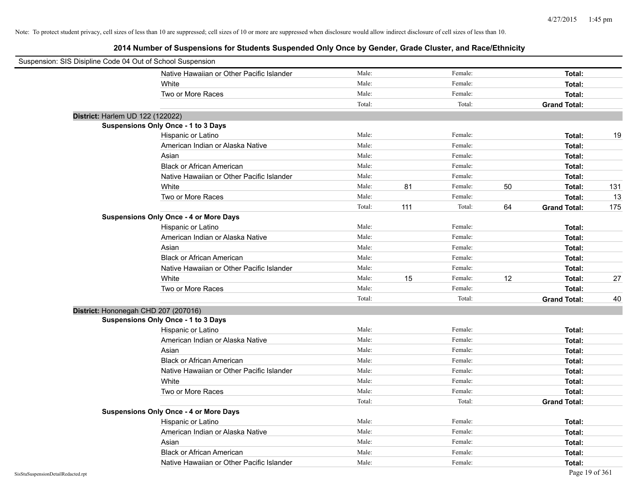| Suspension: SIS Disipline Code 04 Out of School Suspension |                                               |        |     |         |    |                     |     |
|------------------------------------------------------------|-----------------------------------------------|--------|-----|---------|----|---------------------|-----|
|                                                            | Native Hawaiian or Other Pacific Islander     | Male:  |     | Female: |    | Total:              |     |
|                                                            | White                                         | Male:  |     | Female: |    | Total:              |     |
|                                                            | Two or More Races                             | Male:  |     | Female: |    | Total:              |     |
|                                                            |                                               | Total: |     | Total:  |    | <b>Grand Total:</b> |     |
| District: Harlem UD 122 (122022)                           |                                               |        |     |         |    |                     |     |
|                                                            | Suspensions Only Once - 1 to 3 Days           |        |     |         |    |                     |     |
|                                                            | Hispanic or Latino                            | Male:  |     | Female: |    | Total:              | 19  |
|                                                            | American Indian or Alaska Native              | Male:  |     | Female: |    | Total:              |     |
|                                                            | Asian                                         | Male:  |     | Female: |    | Total:              |     |
|                                                            | <b>Black or African American</b>              | Male:  |     | Female: |    | Total:              |     |
|                                                            | Native Hawaiian or Other Pacific Islander     | Male:  |     | Female: |    | Total:              |     |
|                                                            | White                                         | Male:  | 81  | Female: | 50 | Total:              | 131 |
|                                                            | Two or More Races                             | Male:  |     | Female: |    | Total:              | 13  |
|                                                            |                                               | Total: | 111 | Total:  | 64 | <b>Grand Total:</b> | 175 |
|                                                            | <b>Suspensions Only Once - 4 or More Days</b> |        |     |         |    |                     |     |
|                                                            | Hispanic or Latino                            | Male:  |     | Female: |    | Total:              |     |
|                                                            | American Indian or Alaska Native              | Male:  |     | Female: |    | Total:              |     |
|                                                            | Asian                                         | Male:  |     | Female: |    | Total:              |     |
|                                                            | <b>Black or African American</b>              | Male:  |     | Female: |    | Total:              |     |
|                                                            | Native Hawaiian or Other Pacific Islander     | Male:  |     | Female: |    | Total:              |     |
|                                                            | White                                         | Male:  | 15  | Female: | 12 | Total:              | 27  |
|                                                            | Two or More Races                             | Male:  |     | Female: |    | Total:              |     |
|                                                            |                                               | Total: |     | Total:  |    | <b>Grand Total:</b> | 40  |
| District: Hononegah CHD 207 (207016)                       |                                               |        |     |         |    |                     |     |
|                                                            | Suspensions Only Once - 1 to 3 Days           |        |     |         |    |                     |     |
|                                                            | Hispanic or Latino                            | Male:  |     | Female: |    | Total:              |     |
|                                                            | American Indian or Alaska Native              | Male:  |     | Female: |    | Total:              |     |
|                                                            | Asian                                         | Male:  |     | Female: |    | Total:              |     |
|                                                            | <b>Black or African American</b>              | Male:  |     | Female: |    | Total:              |     |
|                                                            | Native Hawaiian or Other Pacific Islander     | Male:  |     | Female: |    | Total:              |     |
|                                                            | White                                         | Male:  |     | Female: |    | Total:              |     |
|                                                            | Two or More Races                             | Male:  |     | Female: |    | Total:              |     |
|                                                            |                                               | Total: |     | Total:  |    | <b>Grand Total:</b> |     |
|                                                            | <b>Suspensions Only Once - 4 or More Days</b> |        |     |         |    |                     |     |
|                                                            | Hispanic or Latino                            | Male:  |     | Female: |    | Total:              |     |
|                                                            | American Indian or Alaska Native              | Male:  |     | Female: |    | Total:              |     |
|                                                            | Asian                                         | Male:  |     | Female: |    | Total:              |     |
|                                                            | <b>Black or African American</b>              | Male:  |     | Female: |    | Total:              |     |
|                                                            | Native Hawaiian or Other Pacific Islander     | Male:  |     | Female: |    | Total:              |     |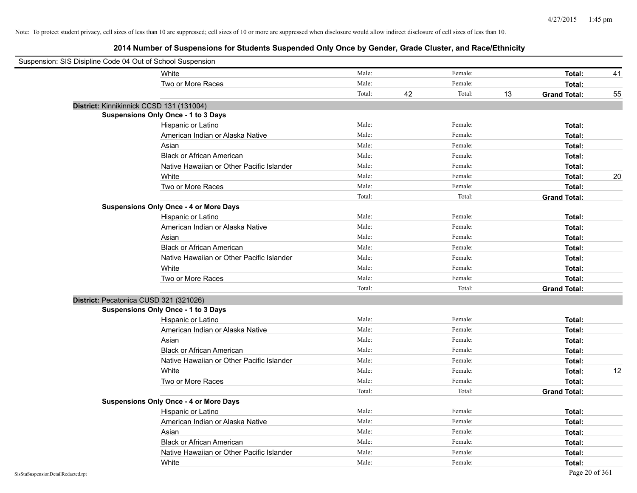| Suspension: SIS Disipline Code 04 Out of School Suspension |                                               |        |    |         |    |                     |    |
|------------------------------------------------------------|-----------------------------------------------|--------|----|---------|----|---------------------|----|
|                                                            | White                                         | Male:  |    | Female: |    | Total:              | 41 |
|                                                            | Two or More Races                             | Male:  |    | Female: |    | Total:              |    |
|                                                            |                                               | Total: | 42 | Total:  | 13 | <b>Grand Total:</b> | 55 |
| District: Kinnikinnick CCSD 131 (131004)                   |                                               |        |    |         |    |                     |    |
|                                                            | <b>Suspensions Only Once - 1 to 3 Days</b>    |        |    |         |    |                     |    |
|                                                            | Hispanic or Latino                            | Male:  |    | Female: |    | Total:              |    |
|                                                            | American Indian or Alaska Native              | Male:  |    | Female: |    | Total:              |    |
|                                                            | Asian                                         | Male:  |    | Female: |    | Total:              |    |
|                                                            | <b>Black or African American</b>              | Male:  |    | Female: |    | Total:              |    |
|                                                            | Native Hawaiian or Other Pacific Islander     | Male:  |    | Female: |    | Total:              |    |
|                                                            | White                                         | Male:  |    | Female: |    | Total:              | 20 |
|                                                            | Two or More Races                             | Male:  |    | Female: |    | Total:              |    |
|                                                            |                                               | Total: |    | Total:  |    | <b>Grand Total:</b> |    |
|                                                            | <b>Suspensions Only Once - 4 or More Days</b> |        |    |         |    |                     |    |
|                                                            | Hispanic or Latino                            | Male:  |    | Female: |    | Total:              |    |
|                                                            | American Indian or Alaska Native              | Male:  |    | Female: |    | Total:              |    |
|                                                            | Asian                                         | Male:  |    | Female: |    | Total:              |    |
|                                                            | <b>Black or African American</b>              | Male:  |    | Female: |    | Total:              |    |
|                                                            | Native Hawaiian or Other Pacific Islander     | Male:  |    | Female: |    | Total:              |    |
|                                                            | White                                         | Male:  |    | Female: |    | Total:              |    |
|                                                            | Two or More Races                             | Male:  |    | Female: |    | Total:              |    |
|                                                            |                                               | Total: |    | Total:  |    | <b>Grand Total:</b> |    |
| District: Pecatonica CUSD 321 (321026)                     |                                               |        |    |         |    |                     |    |
|                                                            | Suspensions Only Once - 1 to 3 Days           |        |    |         |    |                     |    |
|                                                            | Hispanic or Latino                            | Male:  |    | Female: |    | Total:              |    |
|                                                            | American Indian or Alaska Native              | Male:  |    | Female: |    | Total:              |    |
|                                                            | Asian                                         | Male:  |    | Female: |    | Total:              |    |
|                                                            | <b>Black or African American</b>              | Male:  |    | Female: |    | Total:              |    |
|                                                            | Native Hawaiian or Other Pacific Islander     | Male:  |    | Female: |    | Total:              |    |
|                                                            | White                                         | Male:  |    | Female: |    | Total:              | 12 |
|                                                            | Two or More Races                             | Male:  |    | Female: |    | Total:              |    |
|                                                            |                                               | Total: |    | Total:  |    | <b>Grand Total:</b> |    |
|                                                            | <b>Suspensions Only Once - 4 or More Days</b> |        |    |         |    |                     |    |
|                                                            | Hispanic or Latino                            | Male:  |    | Female: |    | Total:              |    |
|                                                            | American Indian or Alaska Native              | Male:  |    | Female: |    | Total:              |    |
|                                                            | Asian                                         | Male:  |    | Female: |    | Total:              |    |
|                                                            | <b>Black or African American</b>              | Male:  |    | Female: |    | Total:              |    |
|                                                            | Native Hawaiian or Other Pacific Islander     | Male:  |    | Female: |    | Total:              |    |
|                                                            | White                                         | Male:  |    | Female: |    | Total:              |    |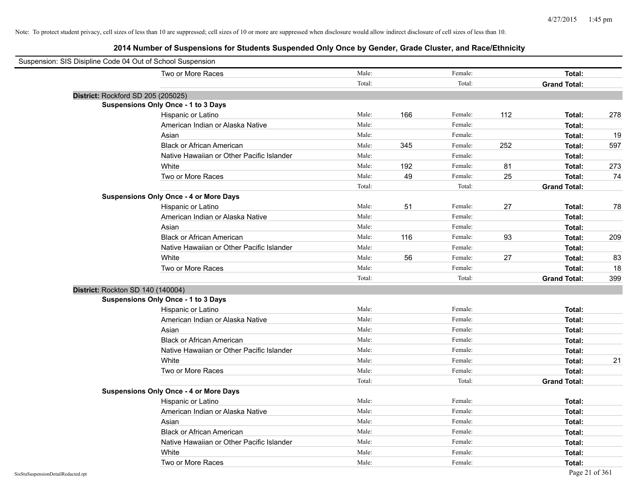| Suspension: SIS Disipline Code 04 Out of School Suspension |                                               |        |     |         |     |                     |     |
|------------------------------------------------------------|-----------------------------------------------|--------|-----|---------|-----|---------------------|-----|
|                                                            | Two or More Races                             | Male:  |     | Female: |     | Total:              |     |
|                                                            |                                               | Total: |     | Total:  |     | <b>Grand Total:</b> |     |
| District: Rockford SD 205 (205025)                         |                                               |        |     |         |     |                     |     |
|                                                            | <b>Suspensions Only Once - 1 to 3 Days</b>    |        |     |         |     |                     |     |
|                                                            | Hispanic or Latino                            | Male:  | 166 | Female: | 112 | Total:              | 278 |
|                                                            | American Indian or Alaska Native              | Male:  |     | Female: |     | Total:              |     |
|                                                            | Asian                                         | Male:  |     | Female: |     | Total:              | 19  |
|                                                            | <b>Black or African American</b>              | Male:  | 345 | Female: | 252 | Total:              | 597 |
|                                                            | Native Hawaiian or Other Pacific Islander     | Male:  |     | Female: |     | Total:              |     |
|                                                            | White                                         | Male:  | 192 | Female: | 81  | Total:              | 273 |
|                                                            | Two or More Races                             | Male:  | 49  | Female: | 25  | Total:              | 74  |
|                                                            |                                               | Total: |     | Total:  |     | <b>Grand Total:</b> |     |
|                                                            | <b>Suspensions Only Once - 4 or More Days</b> |        |     |         |     |                     |     |
|                                                            | Hispanic or Latino                            | Male:  | 51  | Female: | 27  | Total:              | 78  |
|                                                            | American Indian or Alaska Native              | Male:  |     | Female: |     | Total:              |     |
|                                                            | Asian                                         | Male:  |     | Female: |     | Total:              |     |
|                                                            | <b>Black or African American</b>              | Male:  | 116 | Female: | 93  | Total:              | 209 |
|                                                            | Native Hawaiian or Other Pacific Islander     | Male:  |     | Female: |     | Total:              |     |
|                                                            | White                                         | Male:  | 56  | Female: | 27  | Total:              | 83  |
|                                                            | Two or More Races                             | Male:  |     | Female: |     | Total:              | 18  |
|                                                            |                                               | Total: |     | Total:  |     | <b>Grand Total:</b> | 399 |
| District: Rockton SD 140 (140004)                          |                                               |        |     |         |     |                     |     |
|                                                            | <b>Suspensions Only Once - 1 to 3 Days</b>    |        |     |         |     |                     |     |
|                                                            | Hispanic or Latino                            | Male:  |     | Female: |     | Total:              |     |
|                                                            | American Indian or Alaska Native              | Male:  |     | Female: |     | Total:              |     |
|                                                            | Asian                                         | Male:  |     | Female: |     | Total:              |     |
|                                                            | <b>Black or African American</b>              | Male:  |     | Female: |     | Total:              |     |
|                                                            | Native Hawaiian or Other Pacific Islander     | Male:  |     | Female: |     | Total:              |     |
|                                                            | White                                         | Male:  |     | Female: |     | Total:              | 21  |
|                                                            | Two or More Races                             | Male:  |     | Female: |     | Total:              |     |
|                                                            |                                               | Total: |     | Total:  |     | <b>Grand Total:</b> |     |
|                                                            | <b>Suspensions Only Once - 4 or More Days</b> |        |     |         |     |                     |     |
|                                                            | Hispanic or Latino                            | Male:  |     | Female: |     | Total:              |     |
|                                                            | American Indian or Alaska Native              | Male:  |     | Female: |     | Total:              |     |
|                                                            | Asian                                         | Male:  |     | Female: |     | Total:              |     |
|                                                            | <b>Black or African American</b>              | Male:  |     | Female: |     | Total:              |     |
|                                                            | Native Hawaiian or Other Pacific Islander     | Male:  |     | Female: |     | Total:              |     |
|                                                            | White                                         | Male:  |     | Female: |     | Total:              |     |
|                                                            | Two or More Races                             | Male:  |     | Female: |     | Total:              |     |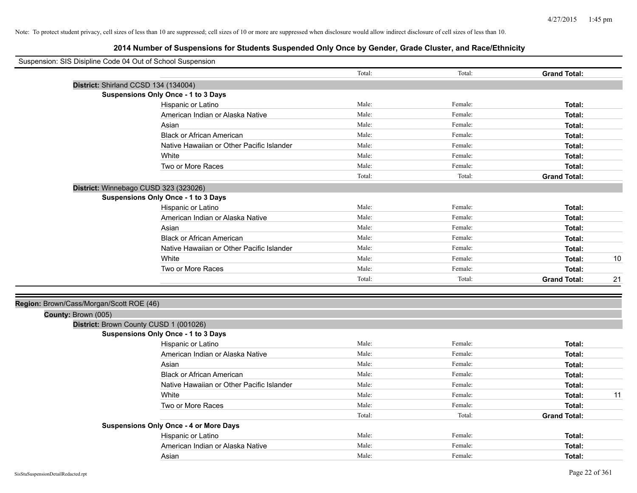| Suspension: SIS Disipline Code 04 Out of School Suspension |                                               |        |         |                     |    |
|------------------------------------------------------------|-----------------------------------------------|--------|---------|---------------------|----|
|                                                            |                                               | Total: | Total:  | <b>Grand Total:</b> |    |
|                                                            | District: Shirland CCSD 134 (134004)          |        |         |                     |    |
|                                                            | Suspensions Only Once - 1 to 3 Days           |        |         |                     |    |
|                                                            | Hispanic or Latino                            | Male:  | Female: | Total:              |    |
|                                                            | American Indian or Alaska Native              | Male:  | Female: | Total:              |    |
|                                                            | Asian                                         | Male:  | Female: | Total:              |    |
|                                                            | <b>Black or African American</b>              | Male:  | Female: | Total:              |    |
|                                                            | Native Hawaiian or Other Pacific Islander     | Male:  | Female: | Total:              |    |
|                                                            | White                                         | Male:  | Female: | Total:              |    |
|                                                            | Two or More Races                             | Male:  | Female: | Total:              |    |
|                                                            |                                               | Total: | Total:  | <b>Grand Total:</b> |    |
|                                                            | District: Winnebago CUSD 323 (323026)         |        |         |                     |    |
|                                                            | <b>Suspensions Only Once - 1 to 3 Days</b>    |        |         |                     |    |
|                                                            | Hispanic or Latino                            | Male:  | Female: | Total:              |    |
|                                                            | American Indian or Alaska Native              | Male:  | Female: | Total:              |    |
|                                                            | Asian                                         | Male:  | Female: | Total:              |    |
|                                                            | <b>Black or African American</b>              | Male:  | Female: | Total:              |    |
|                                                            | Native Hawaiian or Other Pacific Islander     | Male:  | Female: | Total:              |    |
|                                                            | White                                         | Male:  | Female: | Total:              | 10 |
|                                                            | Two or More Races                             | Male:  | Female: | Total:              |    |
|                                                            |                                               | Total: | Total:  | <b>Grand Total:</b> | 21 |
|                                                            |                                               |        |         |                     |    |
| Region: Brown/Cass/Morgan/Scott ROE (46)                   |                                               |        |         |                     |    |
| County: Brown (005)                                        |                                               |        |         |                     |    |
|                                                            | District: Brown County CUSD 1 (001026)        |        |         |                     |    |
|                                                            | <b>Suspensions Only Once - 1 to 3 Days</b>    |        |         |                     |    |
|                                                            | Hispanic or Latino                            | Male:  | Female: | Total:              |    |
|                                                            | American Indian or Alaska Native              | Male:  | Female: | Total:              |    |
|                                                            | Asian                                         | Male:  | Female: | Total:              |    |
|                                                            | <b>Black or African American</b>              | Male:  | Female: | Total:              |    |
|                                                            | Native Hawaiian or Other Pacific Islander     | Male:  | Female: | Total:              |    |
|                                                            | White                                         | Male:  | Female: | Total:              | 11 |
|                                                            | Two or More Races                             | Male:  | Female: | Total:              |    |
|                                                            |                                               | Total: | Total:  | <b>Grand Total:</b> |    |
|                                                            | <b>Suspensions Only Once - 4 or More Days</b> |        |         |                     |    |
|                                                            | Hispanic or Latino                            | Male:  | Female: | Total:              |    |
|                                                            | American Indian or Alaska Native              | Male:  | Female: | Total:              |    |
|                                                            | Asian                                         | Male:  | Female: | Total:              |    |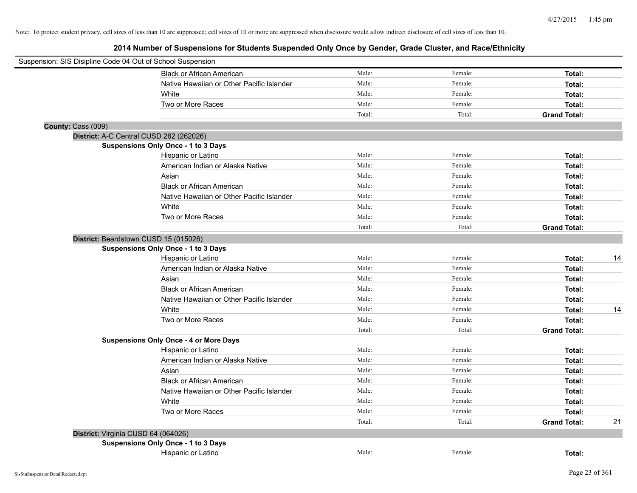| Suspension: SIS Disipline Code 04 Out of School Suspension |                                               |        |         |                     |    |
|------------------------------------------------------------|-----------------------------------------------|--------|---------|---------------------|----|
|                                                            | <b>Black or African American</b>              | Male:  | Female: | Total:              |    |
|                                                            | Native Hawaiian or Other Pacific Islander     | Male:  | Female: | Total:              |    |
|                                                            | White                                         | Male:  | Female: | Total:              |    |
|                                                            | Two or More Races                             | Male:  | Female: | Total:              |    |
|                                                            |                                               | Total: | Total:  | <b>Grand Total:</b> |    |
| County: Cass (009)                                         |                                               |        |         |                     |    |
| District: A-C Central CUSD 262 (262026)                    |                                               |        |         |                     |    |
|                                                            | Suspensions Only Once - 1 to 3 Days           |        |         |                     |    |
|                                                            | Hispanic or Latino                            | Male:  | Female: | Total:              |    |
|                                                            | American Indian or Alaska Native              | Male:  | Female: | Total:              |    |
|                                                            | Asian                                         | Male:  | Female: | Total:              |    |
|                                                            | <b>Black or African American</b>              | Male:  | Female: | Total:              |    |
|                                                            | Native Hawaiian or Other Pacific Islander     | Male:  | Female: | Total:              |    |
|                                                            | White                                         | Male:  | Female: | Total:              |    |
|                                                            | Two or More Races                             | Male:  | Female: | Total:              |    |
|                                                            |                                               | Total: | Total:  | <b>Grand Total:</b> |    |
| District: Beardstown CUSD 15 (015026)                      |                                               |        |         |                     |    |
|                                                            | <b>Suspensions Only Once - 1 to 3 Days</b>    |        |         |                     |    |
|                                                            | Hispanic or Latino                            | Male:  | Female: | Total:              | 14 |
|                                                            | American Indian or Alaska Native              | Male:  | Female: | Total:              |    |
|                                                            | Asian                                         | Male:  | Female: | Total:              |    |
|                                                            | <b>Black or African American</b>              | Male:  | Female: | Total:              |    |
|                                                            | Native Hawaiian or Other Pacific Islander     | Male:  | Female: | Total:              |    |
|                                                            | White                                         | Male:  | Female: | Total:              | 14 |
|                                                            | Two or More Races                             | Male:  | Female: | Total:              |    |
|                                                            |                                               | Total: | Total:  | <b>Grand Total:</b> |    |
|                                                            | <b>Suspensions Only Once - 4 or More Days</b> |        |         |                     |    |
|                                                            | Hispanic or Latino                            | Male:  | Female: | Total:              |    |
|                                                            | American Indian or Alaska Native              | Male:  | Female: | Total:              |    |
|                                                            | Asian                                         | Male:  | Female: | Total:              |    |
|                                                            | <b>Black or African American</b>              | Male:  | Female: | Total:              |    |
|                                                            | Native Hawaiian or Other Pacific Islander     | Male:  | Female: | Total:              |    |
|                                                            | White                                         | Male:  | Female: | Total:              |    |
|                                                            | Two or More Races                             | Male:  | Female: | Total:              |    |
|                                                            |                                               | Total: | Total:  | <b>Grand Total:</b> | 21 |
| District: Virginia CUSD 64 (064026)                        |                                               |        |         |                     |    |
|                                                            | Suspensions Only Once - 1 to 3 Days           |        |         |                     |    |
|                                                            | Hispanic or Latino                            | Male:  | Female: | Total:              |    |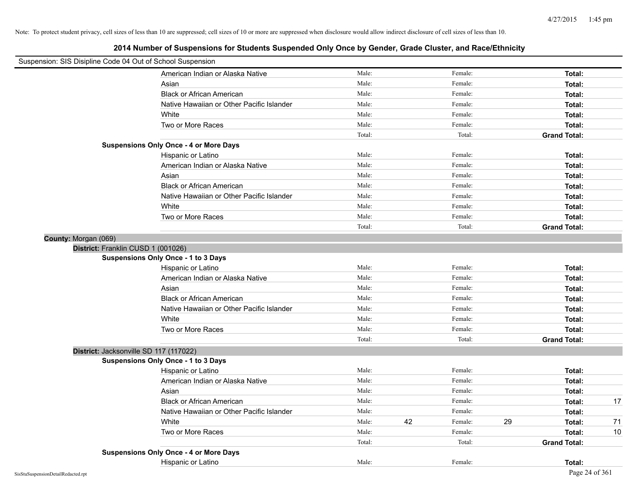| Suspension: SIS Disipline Code 04 Out of School Suspension |                                               |        |               |    |                     |    |
|------------------------------------------------------------|-----------------------------------------------|--------|---------------|----|---------------------|----|
|                                                            | American Indian or Alaska Native              | Male:  | Female:       |    | Total:              |    |
|                                                            | Asian                                         | Male:  | Female:       |    | Total:              |    |
|                                                            | <b>Black or African American</b>              | Male:  | Female:       |    | Total:              |    |
|                                                            | Native Hawaiian or Other Pacific Islander     | Male:  | Female:       |    | Total:              |    |
|                                                            | White                                         | Male:  | Female:       |    | Total:              |    |
|                                                            | Two or More Races                             | Male:  | Female:       |    | Total:              |    |
|                                                            |                                               | Total: | Total:        |    | <b>Grand Total:</b> |    |
|                                                            | <b>Suspensions Only Once - 4 or More Days</b> |        |               |    |                     |    |
|                                                            | Hispanic or Latino                            | Male:  | Female:       |    | Total:              |    |
|                                                            | American Indian or Alaska Native              | Male:  | Female:       |    | Total:              |    |
|                                                            | Asian                                         | Male:  | Female:       |    | Total:              |    |
|                                                            | <b>Black or African American</b>              | Male:  | Female:       |    | Total:              |    |
|                                                            | Native Hawaiian or Other Pacific Islander     | Male:  | Female:       |    | Total:              |    |
|                                                            | White                                         | Male:  | Female:       |    | Total:              |    |
|                                                            | Two or More Races                             | Male:  | Female:       |    | Total:              |    |
|                                                            |                                               | Total: | Total:        |    | <b>Grand Total:</b> |    |
| County: Morgan (069)                                       |                                               |        |               |    |                     |    |
| District: Franklin CUSD 1 (001026)                         |                                               |        |               |    |                     |    |
|                                                            | <b>Suspensions Only Once - 1 to 3 Days</b>    |        |               |    |                     |    |
|                                                            | Hispanic or Latino                            | Male:  | Female:       |    | Total:              |    |
|                                                            | American Indian or Alaska Native              | Male:  | Female:       |    | Total:              |    |
|                                                            | Asian                                         | Male:  | Female:       |    | Total:              |    |
|                                                            | <b>Black or African American</b>              | Male:  | Female:       |    | Total:              |    |
|                                                            | Native Hawaiian or Other Pacific Islander     | Male:  | Female:       |    | Total:              |    |
|                                                            | White                                         | Male:  | Female:       |    | Total:              |    |
|                                                            | Two or More Races                             | Male:  | Female:       |    | Total:              |    |
|                                                            |                                               | Total: | Total:        |    | <b>Grand Total:</b> |    |
| District: Jacksonville SD 117 (117022)                     |                                               |        |               |    |                     |    |
|                                                            | <b>Suspensions Only Once - 1 to 3 Days</b>    |        |               |    |                     |    |
|                                                            | Hispanic or Latino                            | Male:  | Female:       |    | Total:              |    |
|                                                            | American Indian or Alaska Native              | Male:  | Female:       |    | Total:              |    |
|                                                            | Asian                                         | Male:  | Female:       |    | Total:              |    |
|                                                            | <b>Black or African American</b>              | Male:  | Female:       |    | Total:              | 17 |
|                                                            | Native Hawaiian or Other Pacific Islander     | Male:  | Female:       |    | Total:              |    |
|                                                            | White                                         | Male:  | 42<br>Female: | 29 | Total:              | 71 |
|                                                            | Two or More Races                             | Male:  | Female:       |    | Total:              | 10 |
|                                                            |                                               | Total: | Total:        |    | <b>Grand Total:</b> |    |
|                                                            | <b>Suspensions Only Once - 4 or More Days</b> |        |               |    |                     |    |
|                                                            | Hispanic or Latino                            | Male:  | Female:       |    | Total:              |    |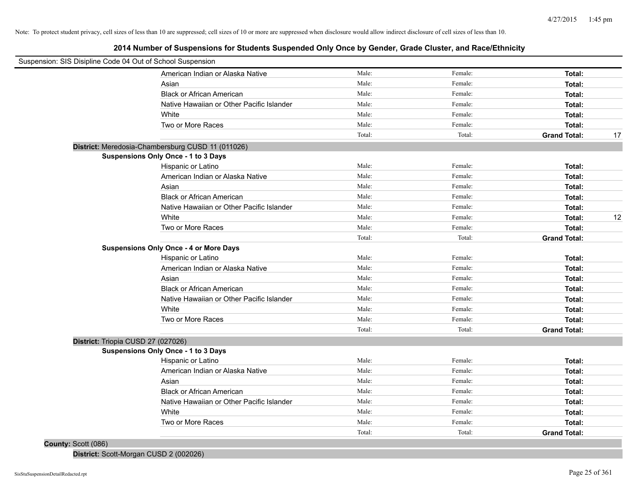**2014 Number of Suspensions for Students Suspended Only Once by Gender, Grade Cluster, and Race/Ethnicity**

| Suspension: SIS Disipline Code 04 Out of School Suspension |                                                   |        |         |                     |    |
|------------------------------------------------------------|---------------------------------------------------|--------|---------|---------------------|----|
|                                                            | American Indian or Alaska Native                  | Male:  | Female: | Total:              |    |
|                                                            | Asian                                             | Male:  | Female: | Total:              |    |
|                                                            | <b>Black or African American</b>                  | Male:  | Female: | Total:              |    |
|                                                            | Native Hawaiian or Other Pacific Islander         | Male:  | Female: | Total:              |    |
|                                                            | White                                             | Male:  | Female: | Total:              |    |
|                                                            | Two or More Races                                 | Male:  | Female: | Total:              |    |
|                                                            |                                                   | Total: | Total:  | <b>Grand Total:</b> | 17 |
|                                                            | District: Meredosia-Chambersburg CUSD 11 (011026) |        |         |                     |    |
|                                                            | Suspensions Only Once - 1 to 3 Days               |        |         |                     |    |
|                                                            | Hispanic or Latino                                | Male:  | Female: | Total:              |    |
|                                                            | American Indian or Alaska Native                  | Male:  | Female: | Total:              |    |
|                                                            | Asian                                             | Male:  | Female: | Total:              |    |
|                                                            | <b>Black or African American</b>                  | Male:  | Female: | Total:              |    |
|                                                            | Native Hawaiian or Other Pacific Islander         | Male:  | Female: | Total:              |    |
|                                                            | White                                             | Male:  | Female: | Total:              | 12 |
|                                                            | Two or More Races                                 | Male:  | Female: | Total:              |    |
|                                                            |                                                   | Total: | Total:  | <b>Grand Total:</b> |    |
|                                                            | <b>Suspensions Only Once - 4 or More Days</b>     |        |         |                     |    |
|                                                            | Hispanic or Latino                                | Male:  | Female: | Total:              |    |
|                                                            | American Indian or Alaska Native                  | Male:  | Female: | Total:              |    |
|                                                            | Asian                                             | Male:  | Female: | Total:              |    |
|                                                            | <b>Black or African American</b>                  | Male:  | Female: | Total:              |    |
|                                                            | Native Hawaiian or Other Pacific Islander         | Male:  | Female: | Total:              |    |
|                                                            | White                                             | Male:  | Female: | Total:              |    |
|                                                            | Two or More Races                                 | Male:  | Female: | Total:              |    |
|                                                            |                                                   | Total: | Total:  | <b>Grand Total:</b> |    |
| District: Triopia CUSD 27 (027026)                         |                                                   |        |         |                     |    |
|                                                            | <b>Suspensions Only Once - 1 to 3 Days</b>        |        |         |                     |    |
|                                                            | Hispanic or Latino                                | Male:  | Female: | Total:              |    |
|                                                            | American Indian or Alaska Native                  | Male:  | Female: | Total:              |    |
|                                                            | Asian                                             | Male:  | Female: | Total:              |    |
|                                                            | <b>Black or African American</b>                  | Male:  | Female: | Total:              |    |
|                                                            | Native Hawaiian or Other Pacific Islander         | Male:  | Female: | Total:              |    |
|                                                            | White                                             | Male:  | Female: | Total:              |    |
|                                                            | Two or More Races                                 | Male:  | Female: | Total:              |    |
|                                                            |                                                   | Total: | Total:  | <b>Grand Total:</b> |    |
| County: Scott (086)                                        |                                                   |        |         |                     |    |

**District:** Scott-Morgan CUSD 2 (002026)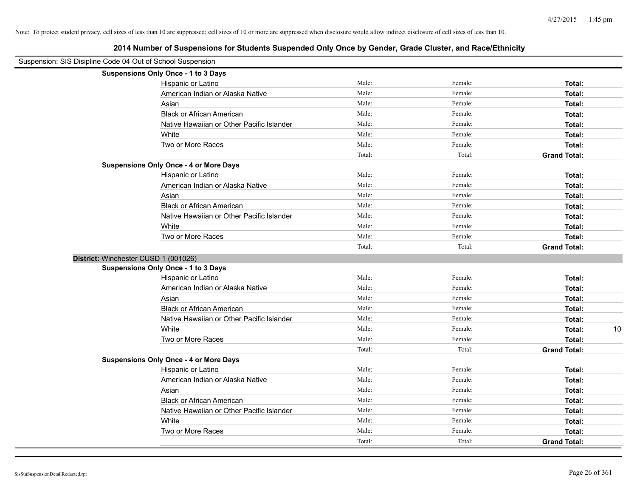| Suspension: SIS Disipline Code 04 Out of School Suspension |                                               |        |         |                     |
|------------------------------------------------------------|-----------------------------------------------|--------|---------|---------------------|
|                                                            | Suspensions Only Once - 1 to 3 Days           |        |         |                     |
|                                                            | Hispanic or Latino                            | Male:  | Female: | Total:              |
|                                                            | American Indian or Alaska Native              | Male:  | Female: | Total:              |
|                                                            | Asian                                         | Male:  | Female: | Total:              |
|                                                            | <b>Black or African American</b>              | Male:  | Female: | Total:              |
|                                                            | Native Hawaiian or Other Pacific Islander     | Male:  | Female: | Total:              |
|                                                            | White                                         | Male:  | Female: | Total:              |
|                                                            | Two or More Races                             | Male:  | Female: | Total:              |
|                                                            |                                               | Total: | Total:  | <b>Grand Total:</b> |
|                                                            | <b>Suspensions Only Once - 4 or More Days</b> |        |         |                     |
|                                                            | Hispanic or Latino                            | Male:  | Female: | Total:              |
|                                                            | American Indian or Alaska Native              | Male:  | Female: | Total:              |
|                                                            | Asian                                         | Male:  | Female: | Total:              |
|                                                            | <b>Black or African American</b>              | Male:  | Female: | Total:              |
|                                                            | Native Hawaiian or Other Pacific Islander     | Male:  | Female: | Total:              |
|                                                            | White                                         | Male:  | Female: | Total:              |
|                                                            | Two or More Races                             | Male:  | Female: | Total:              |
|                                                            |                                               | Total: | Total:  | <b>Grand Total:</b> |
|                                                            | District: Winchester CUSD 1 (001026)          |        |         |                     |
|                                                            | Suspensions Only Once - 1 to 3 Days           |        |         |                     |
|                                                            | Hispanic or Latino                            | Male:  | Female: | Total:              |
|                                                            | American Indian or Alaska Native              | Male:  | Female: | Total:              |
|                                                            | Asian                                         | Male:  | Female: | Total:              |
|                                                            | <b>Black or African American</b>              | Male:  | Female: | Total:              |
|                                                            | Native Hawaiian or Other Pacific Islander     | Male:  | Female: | Total:              |
|                                                            | White                                         | Male:  | Female: | 10<br>Total:        |
|                                                            | Two or More Races                             | Male:  | Female: | Total:              |
|                                                            |                                               | Total: | Total:  | <b>Grand Total:</b> |
|                                                            | <b>Suspensions Only Once - 4 or More Days</b> |        |         |                     |
|                                                            | Hispanic or Latino                            | Male:  | Female: | Total:              |
|                                                            | American Indian or Alaska Native              | Male:  | Female: | Total:              |
|                                                            | Asian                                         | Male:  | Female: | Total:              |
|                                                            | <b>Black or African American</b>              | Male:  | Female: | Total:              |
|                                                            | Native Hawaiian or Other Pacific Islander     | Male:  | Female: | Total:              |
|                                                            | White                                         | Male:  | Female: | Total:              |
|                                                            | Two or More Races                             | Male:  | Female: | Total:              |
|                                                            |                                               | Total: | Total:  | <b>Grand Total:</b> |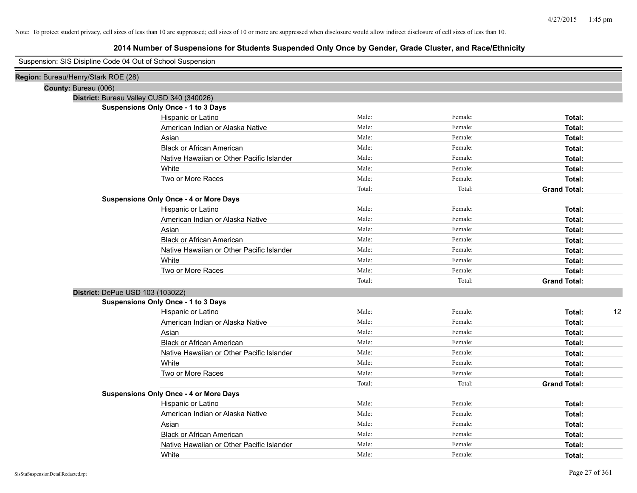| Suspension: SIS Disipline Code 04 Out of School Suspension |        |         |                     |    |
|------------------------------------------------------------|--------|---------|---------------------|----|
| Region: Bureau/Henry/Stark ROE (28)                        |        |         |                     |    |
| County: Bureau (006)                                       |        |         |                     |    |
| District: Bureau Valley CUSD 340 (340026)                  |        |         |                     |    |
| <b>Suspensions Only Once - 1 to 3 Days</b>                 |        |         |                     |    |
| Hispanic or Latino                                         | Male:  | Female: | Total:              |    |
| American Indian or Alaska Native                           | Male:  | Female: | Total:              |    |
| Asian                                                      | Male:  | Female: | Total:              |    |
| <b>Black or African American</b>                           | Male:  | Female: | Total:              |    |
| Native Hawaiian or Other Pacific Islander                  | Male:  | Female: | Total:              |    |
| White                                                      | Male:  | Female: | Total:              |    |
| Two or More Races                                          | Male:  | Female: | Total:              |    |
|                                                            | Total: | Total:  | <b>Grand Total:</b> |    |
| <b>Suspensions Only Once - 4 or More Days</b>              |        |         |                     |    |
| Hispanic or Latino                                         | Male:  | Female: | Total:              |    |
| American Indian or Alaska Native                           | Male:  | Female: | Total:              |    |
| Asian                                                      | Male:  | Female: | Total:              |    |
| <b>Black or African American</b>                           | Male:  | Female: | Total:              |    |
| Native Hawaiian or Other Pacific Islander                  | Male:  | Female: | Total:              |    |
| White                                                      | Male:  | Female: | Total:              |    |
| Two or More Races                                          | Male:  | Female: | Total:              |    |
|                                                            | Total: | Total:  | <b>Grand Total:</b> |    |
| District: DePue USD 103 (103022)                           |        |         |                     |    |
| <b>Suspensions Only Once - 1 to 3 Days</b>                 |        |         |                     |    |
| Hispanic or Latino                                         | Male:  | Female: | Total:              | 12 |
| American Indian or Alaska Native                           | Male:  | Female: | Total:              |    |
| Asian                                                      | Male:  | Female: | Total:              |    |
| <b>Black or African American</b>                           | Male:  | Female: | Total:              |    |
| Native Hawaiian or Other Pacific Islander                  | Male:  | Female: | Total:              |    |
| White                                                      | Male:  | Female: | Total:              |    |
| Two or More Races                                          | Male:  | Female: | Total:              |    |
|                                                            | Total: | Total:  | <b>Grand Total:</b> |    |
| <b>Suspensions Only Once - 4 or More Days</b>              |        |         |                     |    |
| Hispanic or Latino                                         | Male:  | Female: | Total:              |    |
| American Indian or Alaska Native                           | Male:  | Female: | Total:              |    |
| Asian                                                      | Male:  | Female: | Total:              |    |
| <b>Black or African American</b>                           | Male:  | Female: | Total:              |    |
| Native Hawaiian or Other Pacific Islander                  | Male:  | Female: | Total:              |    |
| White                                                      | Male:  | Female: | Total:              |    |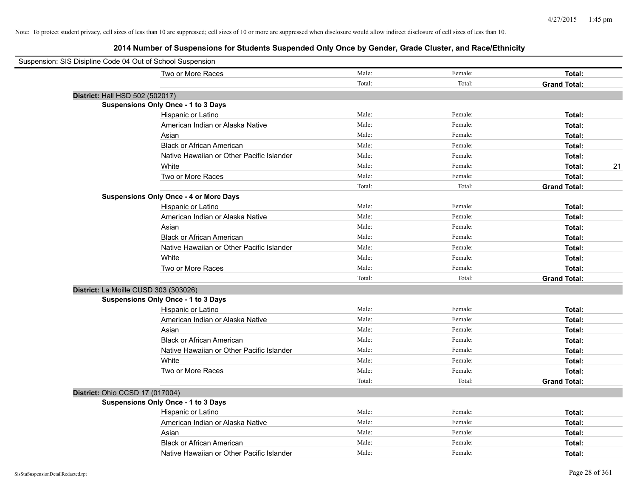| Suspension: SIS Disipline Code 04 Out of School Suspension |        |         |                     |
|------------------------------------------------------------|--------|---------|---------------------|
| Two or More Races                                          | Male:  | Female: | Total:              |
|                                                            | Total: | Total:  | <b>Grand Total:</b> |
| District: Hall HSD 502 (502017)                            |        |         |                     |
| <b>Suspensions Only Once - 1 to 3 Days</b>                 |        |         |                     |
| Hispanic or Latino                                         | Male:  | Female: | Total:              |
| American Indian or Alaska Native                           | Male:  | Female: | Total:              |
| Asian                                                      | Male:  | Female: | Total:              |
| <b>Black or African American</b>                           | Male:  | Female: | Total:              |
| Native Hawaiian or Other Pacific Islander                  | Male:  | Female: | Total:              |
| White                                                      | Male:  | Female: | 21<br>Total:        |
| Two or More Races                                          | Male:  | Female: | Total:              |
|                                                            | Total: | Total:  | <b>Grand Total:</b> |
| <b>Suspensions Only Once - 4 or More Days</b>              |        |         |                     |
| Hispanic or Latino                                         | Male:  | Female: | Total:              |
| American Indian or Alaska Native                           | Male:  | Female: | Total:              |
| Asian                                                      | Male:  | Female: | Total:              |
| <b>Black or African American</b>                           | Male:  | Female: | Total:              |
| Native Hawaiian or Other Pacific Islander                  | Male:  | Female: | Total:              |
| White                                                      | Male:  | Female: | Total:              |
| Two or More Races                                          | Male:  | Female: | Total:              |
|                                                            | Total: | Total:  | <b>Grand Total:</b> |
| District: La Moille CUSD 303 (303026)                      |        |         |                     |
| <b>Suspensions Only Once - 1 to 3 Days</b>                 |        |         |                     |
| Hispanic or Latino                                         | Male:  | Female: | Total:              |
| American Indian or Alaska Native                           | Male:  | Female: | Total:              |
| Asian                                                      | Male:  | Female: | Total:              |
| <b>Black or African American</b>                           | Male:  | Female: | Total:              |
| Native Hawaiian or Other Pacific Islander                  | Male:  | Female: | Total:              |
| White                                                      | Male:  | Female: | Total:              |
| Two or More Races                                          | Male:  | Female: | Total:              |
|                                                            | Total: | Total:  | <b>Grand Total:</b> |
| District: Ohio CCSD 17 (017004)                            |        |         |                     |
| <b>Suspensions Only Once - 1 to 3 Days</b>                 |        |         |                     |
| Hispanic or Latino                                         | Male:  | Female: | Total:              |
| American Indian or Alaska Native                           | Male:  | Female: | Total:              |
| Asian                                                      | Male:  | Female: | Total:              |
| <b>Black or African American</b>                           | Male:  | Female: | Total:              |
| Native Hawaiian or Other Pacific Islander                  | Male:  | Female: | Total:              |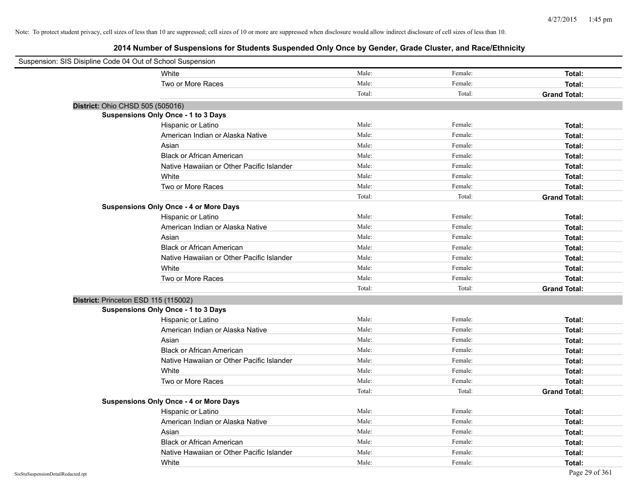| Suspension: SIS Disipline Code 04 Out of School Suspension |                                               |        |         |                     |
|------------------------------------------------------------|-----------------------------------------------|--------|---------|---------------------|
|                                                            | White                                         | Male:  | Female: | Total:              |
|                                                            | Two or More Races                             | Male:  | Female: | Total:              |
|                                                            |                                               | Total: | Total:  | <b>Grand Total:</b> |
| District: Ohio CHSD 505 (505016)                           |                                               |        |         |                     |
|                                                            | Suspensions Only Once - 1 to 3 Days           |        |         |                     |
|                                                            | Hispanic or Latino                            | Male:  | Female: | Total:              |
|                                                            | American Indian or Alaska Native              | Male:  | Female: | Total:              |
|                                                            | Asian                                         | Male:  | Female: | Total:              |
|                                                            | <b>Black or African American</b>              | Male:  | Female: | Total:              |
|                                                            | Native Hawaiian or Other Pacific Islander     | Male:  | Female: | Total:              |
|                                                            | White                                         | Male:  | Female: | Total:              |
|                                                            | Two or More Races                             | Male:  | Female: | Total:              |
|                                                            |                                               | Total: | Total:  | <b>Grand Total:</b> |
|                                                            | <b>Suspensions Only Once - 4 or More Days</b> |        |         |                     |
|                                                            | Hispanic or Latino                            | Male:  | Female: | Total:              |
|                                                            | American Indian or Alaska Native              | Male:  | Female: | Total:              |
|                                                            | Asian                                         | Male:  | Female: | Total:              |
|                                                            | <b>Black or African American</b>              | Male:  | Female: | Total:              |
|                                                            | Native Hawaiian or Other Pacific Islander     | Male:  | Female: | Total:              |
|                                                            | White                                         | Male:  | Female: | Total:              |
|                                                            | Two or More Races                             | Male:  | Female: | Total:              |
|                                                            |                                               | Total: | Total:  | <b>Grand Total:</b> |
| District: Princeton ESD 115 (115002)                       |                                               |        |         |                     |
|                                                            | <b>Suspensions Only Once - 1 to 3 Days</b>    |        |         |                     |
|                                                            | Hispanic or Latino                            | Male:  | Female: | Total:              |
|                                                            | American Indian or Alaska Native              | Male:  | Female: | Total:              |
|                                                            | Asian                                         | Male:  | Female: | Total:              |
|                                                            | <b>Black or African American</b>              | Male:  | Female: | Total:              |
|                                                            | Native Hawaiian or Other Pacific Islander     | Male:  | Female: | Total:              |
|                                                            | White                                         | Male:  | Female: | Total:              |
|                                                            | Two or More Races                             | Male:  | Female: | Total:              |
|                                                            |                                               | Total: | Total:  | <b>Grand Total:</b> |
|                                                            | <b>Suspensions Only Once - 4 or More Days</b> |        |         |                     |
|                                                            | Hispanic or Latino                            | Male:  | Female: | Total:              |
|                                                            | American Indian or Alaska Native              | Male:  | Female: | Total:              |
|                                                            | Asian                                         | Male:  | Female: | Total:              |
|                                                            | <b>Black or African American</b>              | Male:  | Female: | Total:              |
|                                                            | Native Hawaiian or Other Pacific Islander     | Male:  | Female: | Total:              |
|                                                            | White                                         | Male:  | Female: | Total:              |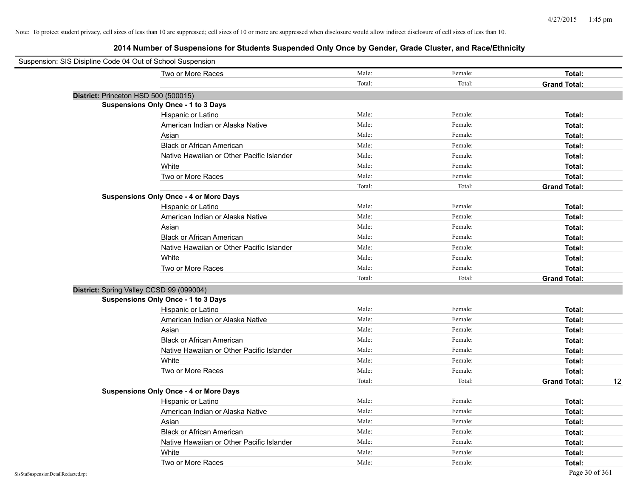| Suspension: SIS Disipline Code 04 Out of School Suspension |                                               |        |         |                           |
|------------------------------------------------------------|-----------------------------------------------|--------|---------|---------------------------|
|                                                            | Two or More Races                             | Male:  | Female: | Total:                    |
|                                                            |                                               | Total: | Total:  | <b>Grand Total:</b>       |
| District: Princeton HSD 500 (500015)                       |                                               |        |         |                           |
|                                                            | <b>Suspensions Only Once - 1 to 3 Days</b>    |        |         |                           |
|                                                            | Hispanic or Latino                            | Male:  | Female: | Total:                    |
|                                                            | American Indian or Alaska Native              | Male:  | Female: | Total:                    |
|                                                            | Asian                                         | Male:  | Female: | Total:                    |
|                                                            | <b>Black or African American</b>              | Male:  | Female: | Total:                    |
|                                                            | Native Hawaiian or Other Pacific Islander     | Male:  | Female: | Total:                    |
|                                                            | White                                         | Male:  | Female: | Total:                    |
|                                                            | Two or More Races                             | Male:  | Female: | Total:                    |
|                                                            |                                               | Total: | Total:  | <b>Grand Total:</b>       |
|                                                            | <b>Suspensions Only Once - 4 or More Days</b> |        |         |                           |
|                                                            | Hispanic or Latino                            | Male:  | Female: | Total:                    |
|                                                            | American Indian or Alaska Native              | Male:  | Female: | Total:                    |
|                                                            | Asian                                         | Male:  | Female: | Total:                    |
|                                                            | <b>Black or African American</b>              | Male:  | Female: | Total:                    |
|                                                            | Native Hawaiian or Other Pacific Islander     | Male:  | Female: | Total:                    |
|                                                            | White                                         | Male:  | Female: | Total:                    |
|                                                            | Two or More Races                             | Male:  | Female: | Total:                    |
|                                                            |                                               | Total: | Total:  | <b>Grand Total:</b>       |
| District: Spring Valley CCSD 99 (099004)                   |                                               |        |         |                           |
|                                                            | <b>Suspensions Only Once - 1 to 3 Days</b>    |        |         |                           |
|                                                            | Hispanic or Latino                            | Male:  | Female: | Total:                    |
|                                                            | American Indian or Alaska Native              | Male:  | Female: | Total:                    |
|                                                            | Asian                                         | Male:  | Female: | Total:                    |
|                                                            | <b>Black or African American</b>              | Male:  | Female: | Total:                    |
|                                                            | Native Hawaiian or Other Pacific Islander     | Male:  | Female: | Total:                    |
|                                                            | White                                         | Male:  | Female: | Total:                    |
|                                                            | Two or More Races                             | Male:  | Female: | Total:                    |
|                                                            |                                               | Total: | Total:  | <b>Grand Total:</b><br>12 |
|                                                            | <b>Suspensions Only Once - 4 or More Days</b> |        |         |                           |
|                                                            | Hispanic or Latino                            | Male:  | Female: | Total:                    |
|                                                            | American Indian or Alaska Native              | Male:  | Female: | Total:                    |
|                                                            | Asian                                         | Male:  | Female: | Total:                    |
|                                                            | <b>Black or African American</b>              | Male:  | Female: | Total:                    |
|                                                            | Native Hawaiian or Other Pacific Islander     | Male:  | Female: | Total:                    |
|                                                            | White                                         | Male:  | Female: | Total:                    |
|                                                            | Two or More Races                             | Male:  | Female: | Total:                    |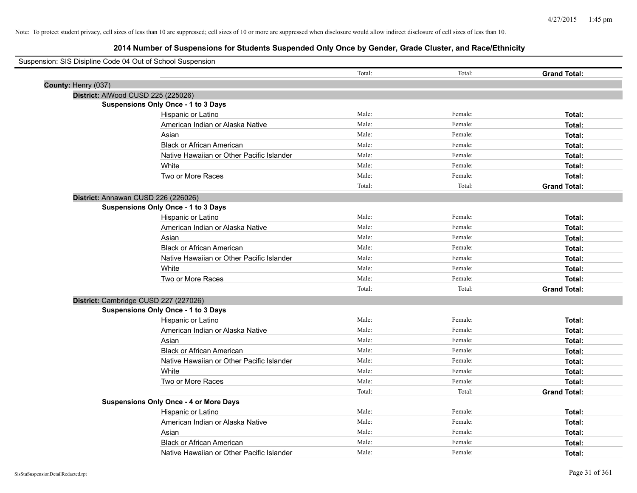| Suspension: SIS Disipline Code 04 Out of School Suspension |                                               |        |         |                     |
|------------------------------------------------------------|-----------------------------------------------|--------|---------|---------------------|
|                                                            |                                               | Total: | Total:  | <b>Grand Total:</b> |
| County: Henry (037)                                        |                                               |        |         |                     |
|                                                            | District: AlWood CUSD 225 (225026)            |        |         |                     |
|                                                            | <b>Suspensions Only Once - 1 to 3 Days</b>    |        |         |                     |
|                                                            | Hispanic or Latino                            | Male:  | Female: | Total:              |
|                                                            | American Indian or Alaska Native              | Male:  | Female: | Total:              |
|                                                            | Asian                                         | Male:  | Female: | Total:              |
|                                                            | <b>Black or African American</b>              | Male:  | Female: | Total:              |
|                                                            | Native Hawaiian or Other Pacific Islander     | Male:  | Female: | Total:              |
|                                                            | White                                         | Male:  | Female: | Total:              |
|                                                            | Two or More Races                             | Male:  | Female: | Total:              |
|                                                            |                                               | Total: | Total:  | <b>Grand Total:</b> |
|                                                            | District: Annawan CUSD 226 (226026)           |        |         |                     |
|                                                            | Suspensions Only Once - 1 to 3 Days           |        |         |                     |
|                                                            | Hispanic or Latino                            | Male:  | Female: | Total:              |
|                                                            | American Indian or Alaska Native              | Male:  | Female: | Total:              |
|                                                            | Asian                                         | Male:  | Female: | Total:              |
|                                                            | <b>Black or African American</b>              | Male:  | Female: | Total:              |
|                                                            | Native Hawaiian or Other Pacific Islander     | Male:  | Female: | Total:              |
|                                                            | White                                         | Male:  | Female: | Total:              |
|                                                            | Two or More Races                             | Male:  | Female: | Total:              |
|                                                            |                                               | Total: | Total:  | <b>Grand Total:</b> |
|                                                            | District: Cambridge CUSD 227 (227026)         |        |         |                     |
|                                                            | Suspensions Only Once - 1 to 3 Days           |        |         |                     |
|                                                            | Hispanic or Latino                            | Male:  | Female: | Total:              |
|                                                            | American Indian or Alaska Native              | Male:  | Female: | Total:              |
|                                                            | Asian                                         | Male:  | Female: | Total:              |
|                                                            | <b>Black or African American</b>              | Male:  | Female: | Total:              |
|                                                            | Native Hawaiian or Other Pacific Islander     | Male:  | Female: | Total:              |
|                                                            | White                                         | Male:  | Female: | Total:              |
|                                                            | Two or More Races                             | Male:  | Female: | Total:              |
|                                                            |                                               | Total: | Total:  | <b>Grand Total:</b> |
|                                                            | <b>Suspensions Only Once - 4 or More Days</b> |        |         |                     |
|                                                            | Hispanic or Latino                            | Male:  | Female: | Total:              |
|                                                            | American Indian or Alaska Native              | Male:  | Female: | Total:              |
|                                                            | Asian                                         | Male:  | Female: | Total:              |
|                                                            | <b>Black or African American</b>              | Male:  | Female: | Total:              |
|                                                            | Native Hawaiian or Other Pacific Islander     | Male:  | Female: | Total:              |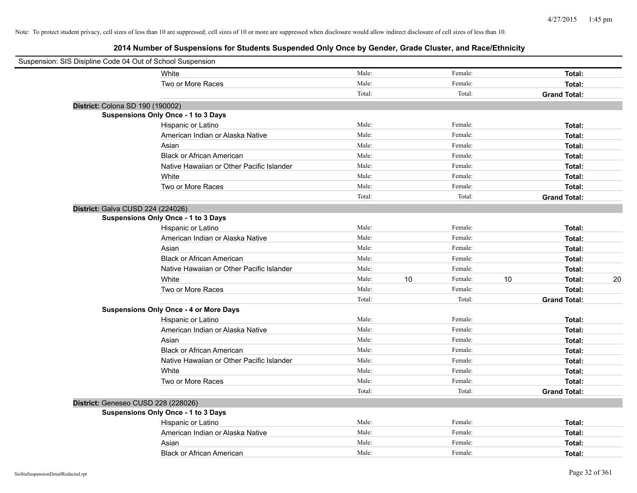| Suspension: SIS Disipline Code 04 Out of School Suspension |                                               |        |    |         |    |                     |    |
|------------------------------------------------------------|-----------------------------------------------|--------|----|---------|----|---------------------|----|
|                                                            | White                                         | Male:  |    | Female: |    | Total:              |    |
|                                                            | Two or More Races                             | Male:  |    | Female: |    | Total:              |    |
|                                                            |                                               | Total: |    | Total:  |    | <b>Grand Total:</b> |    |
| District: Colona SD 190 (190002)                           |                                               |        |    |         |    |                     |    |
|                                                            | Suspensions Only Once - 1 to 3 Days           |        |    |         |    |                     |    |
|                                                            | Hispanic or Latino                            | Male:  |    | Female: |    | Total:              |    |
|                                                            | American Indian or Alaska Native              | Male:  |    | Female: |    | Total:              |    |
|                                                            | Asian                                         | Male:  |    | Female: |    | Total:              |    |
|                                                            | <b>Black or African American</b>              | Male:  |    | Female: |    | Total:              |    |
|                                                            | Native Hawaiian or Other Pacific Islander     | Male:  |    | Female: |    | Total:              |    |
|                                                            | White                                         | Male:  |    | Female: |    | Total:              |    |
|                                                            | Two or More Races                             | Male:  |    | Female: |    | Total:              |    |
|                                                            |                                               | Total: |    | Total:  |    | <b>Grand Total:</b> |    |
| District: Galva CUSD 224 (224026)                          |                                               |        |    |         |    |                     |    |
|                                                            | Suspensions Only Once - 1 to 3 Days           |        |    |         |    |                     |    |
|                                                            | Hispanic or Latino                            | Male:  |    | Female: |    | Total:              |    |
|                                                            | American Indian or Alaska Native              | Male:  |    | Female: |    | Total:              |    |
|                                                            | Asian                                         | Male:  |    | Female: |    | Total:              |    |
|                                                            | <b>Black or African American</b>              | Male:  |    | Female: |    | Total:              |    |
|                                                            | Native Hawaiian or Other Pacific Islander     | Male:  |    | Female: |    | Total:              |    |
|                                                            | White                                         | Male:  | 10 | Female: | 10 | Total:              | 20 |
|                                                            | Two or More Races                             | Male:  |    | Female: |    | Total:              |    |
|                                                            |                                               | Total: |    | Total:  |    | <b>Grand Total:</b> |    |
|                                                            | <b>Suspensions Only Once - 4 or More Days</b> |        |    |         |    |                     |    |
|                                                            | Hispanic or Latino                            | Male:  |    | Female: |    | Total:              |    |
|                                                            | American Indian or Alaska Native              | Male:  |    | Female: |    | Total:              |    |
|                                                            | Asian                                         | Male:  |    | Female: |    | Total:              |    |
|                                                            | <b>Black or African American</b>              | Male:  |    | Female: |    | Total:              |    |
|                                                            | Native Hawaiian or Other Pacific Islander     | Male:  |    | Female: |    | Total:              |    |
|                                                            | White                                         | Male:  |    | Female: |    | Total:              |    |
|                                                            | Two or More Races                             | Male:  |    | Female: |    | Total:              |    |
|                                                            |                                               | Total: |    | Total:  |    | <b>Grand Total:</b> |    |
| District: Geneseo CUSD 228 (228026)                        |                                               |        |    |         |    |                     |    |
|                                                            | Suspensions Only Once - 1 to 3 Days           |        |    |         |    |                     |    |
|                                                            | Hispanic or Latino                            | Male:  |    | Female: |    | Total:              |    |
|                                                            | American Indian or Alaska Native              | Male:  |    | Female: |    | Total:              |    |
|                                                            | Asian                                         | Male:  |    | Female: |    | Total:              |    |
|                                                            | <b>Black or African American</b>              | Male:  |    | Female: |    | Total:              |    |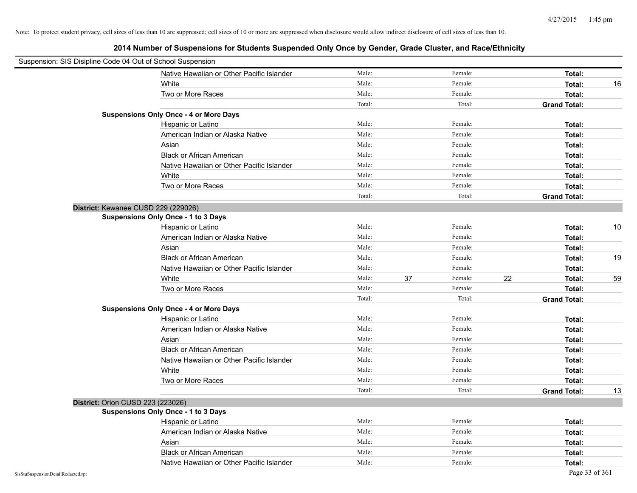|                                    | Suspension: SIS Disipline Code 04 Out of School Suspension |        |    |         |    |                     |    |
|------------------------------------|------------------------------------------------------------|--------|----|---------|----|---------------------|----|
|                                    | Native Hawaiian or Other Pacific Islander                  | Male:  |    | Female: |    | Total:              |    |
|                                    | White                                                      | Male:  |    | Female: |    | Total:              | 16 |
|                                    | Two or More Races                                          | Male:  |    | Female: |    | Total:              |    |
|                                    |                                                            | Total: |    | Total:  |    | <b>Grand Total:</b> |    |
|                                    | <b>Suspensions Only Once - 4 or More Days</b>              |        |    |         |    |                     |    |
|                                    | Hispanic or Latino                                         | Male:  |    | Female: |    | Total:              |    |
|                                    | American Indian or Alaska Native                           | Male:  |    | Female: |    | Total:              |    |
|                                    | Asian                                                      | Male:  |    | Female: |    | Total:              |    |
|                                    | <b>Black or African American</b>                           | Male:  |    | Female: |    | Total:              |    |
|                                    | Native Hawaiian or Other Pacific Islander                  | Male:  |    | Female: |    | Total:              |    |
|                                    | White                                                      | Male:  |    | Female: |    | Total:              |    |
|                                    | Two or More Races                                          | Male:  |    | Female: |    | Total:              |    |
|                                    |                                                            | Total: |    | Total:  |    | <b>Grand Total:</b> |    |
|                                    | District: Kewanee CUSD 229 (229026)                        |        |    |         |    |                     |    |
|                                    | Suspensions Only Once - 1 to 3 Days                        |        |    |         |    |                     |    |
|                                    | Hispanic or Latino                                         | Male:  |    | Female: |    | Total:              | 10 |
|                                    | American Indian or Alaska Native                           | Male:  |    | Female: |    | Total:              |    |
|                                    | Asian                                                      | Male:  |    | Female: |    | Total:              |    |
|                                    | <b>Black or African American</b>                           | Male:  |    | Female: |    | Total:              | 19 |
|                                    | Native Hawaiian or Other Pacific Islander                  | Male:  |    | Female: |    | Total:              |    |
|                                    | White                                                      | Male:  | 37 | Female: | 22 | Total:              | 59 |
|                                    | Two or More Races                                          | Male:  |    | Female: |    | Total:              |    |
|                                    |                                                            | Total: |    | Total:  |    | <b>Grand Total:</b> |    |
|                                    | <b>Suspensions Only Once - 4 or More Days</b>              |        |    |         |    |                     |    |
|                                    | Hispanic or Latino                                         | Male:  |    | Female: |    | Total:              |    |
|                                    | American Indian or Alaska Native                           | Male:  |    | Female: |    | Total:              |    |
|                                    | Asian                                                      | Male:  |    | Female: |    | Total:              |    |
|                                    | <b>Black or African American</b>                           | Male:  |    | Female: |    | Total:              |    |
|                                    | Native Hawaiian or Other Pacific Islander                  | Male:  |    | Female: |    | Total:              |    |
|                                    | White                                                      | Male:  |    | Female: |    | Total:              |    |
|                                    | Two or More Races                                          | Male:  |    | Female: |    | Total:              |    |
|                                    |                                                            | Total: |    | Total:  |    | <b>Grand Total:</b> | 13 |
|                                    | District: Orion CUSD 223 (223026)                          |        |    |         |    |                     |    |
|                                    | <b>Suspensions Only Once - 1 to 3 Days</b>                 |        |    |         |    |                     |    |
|                                    | Hispanic or Latino                                         | Male:  |    | Female: |    | Total:              |    |
|                                    | American Indian or Alaska Native                           | Male:  |    | Female: |    | Total:              |    |
|                                    | Asian                                                      | Male:  |    | Female: |    | Total:              |    |
|                                    | <b>Black or African American</b>                           | Male:  |    | Female: |    | Total:              |    |
|                                    | Native Hawaiian or Other Pacific Islander                  | Male:  |    | Female: |    | Total:              |    |
| SisStuSuspensionDetailRedacted.rpt |                                                            |        |    |         |    | Page 33 of 361      |    |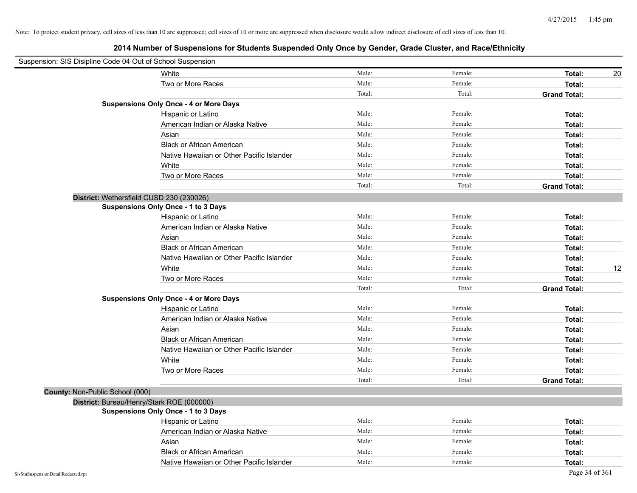| Suspension: SIS Disipline Code 04 Out of School Suspension |                                               |        |         |                     |    |
|------------------------------------------------------------|-----------------------------------------------|--------|---------|---------------------|----|
|                                                            | White                                         | Male:  | Female: | Total:              | 20 |
|                                                            | Two or More Races                             | Male:  | Female: | Total:              |    |
|                                                            |                                               | Total: | Total:  | <b>Grand Total:</b> |    |
|                                                            | <b>Suspensions Only Once - 4 or More Days</b> |        |         |                     |    |
|                                                            | Hispanic or Latino                            | Male:  | Female: | Total:              |    |
|                                                            | American Indian or Alaska Native              | Male:  | Female: | Total:              |    |
|                                                            | Asian                                         | Male:  | Female: | Total:              |    |
|                                                            | <b>Black or African American</b>              | Male:  | Female: | Total:              |    |
|                                                            | Native Hawaiian or Other Pacific Islander     | Male:  | Female: | Total:              |    |
|                                                            | White                                         | Male:  | Female: | Total:              |    |
|                                                            | Two or More Races                             | Male:  | Female: | Total:              |    |
|                                                            |                                               | Total: | Total:  | <b>Grand Total:</b> |    |
|                                                            | District: Wethersfield CUSD 230 (230026)      |        |         |                     |    |
|                                                            | Suspensions Only Once - 1 to 3 Days           |        |         |                     |    |
|                                                            | Hispanic or Latino                            | Male:  | Female: | Total:              |    |
|                                                            | American Indian or Alaska Native              | Male:  | Female: | Total:              |    |
|                                                            | Asian                                         | Male:  | Female: | Total:              |    |
|                                                            | <b>Black or African American</b>              | Male:  | Female: | Total:              |    |
|                                                            | Native Hawaiian or Other Pacific Islander     | Male:  | Female: | Total:              |    |
|                                                            | White                                         | Male:  | Female: | Total:              | 12 |
|                                                            | Two or More Races                             | Male:  | Female: | Total:              |    |
|                                                            |                                               | Total: | Total:  | <b>Grand Total:</b> |    |
|                                                            | <b>Suspensions Only Once - 4 or More Days</b> |        |         |                     |    |
|                                                            | Hispanic or Latino                            | Male:  | Female: | Total:              |    |
|                                                            | American Indian or Alaska Native              | Male:  | Female: | Total:              |    |
|                                                            | Asian                                         | Male:  | Female: | Total:              |    |
|                                                            | <b>Black or African American</b>              | Male:  | Female: | Total:              |    |
|                                                            | Native Hawaiian or Other Pacific Islander     | Male:  | Female: | Total:              |    |
|                                                            | White                                         | Male:  | Female: | Total:              |    |
|                                                            | Two or More Races                             | Male:  | Female: | Total:              |    |
|                                                            |                                               | Total: | Total:  | <b>Grand Total:</b> |    |
| County: Non-Public School (000)                            |                                               |        |         |                     |    |
|                                                            | District: Bureau/Henry/Stark ROE (000000)     |        |         |                     |    |
|                                                            | Suspensions Only Once - 1 to 3 Days           |        |         |                     |    |
|                                                            | Hispanic or Latino                            | Male:  | Female: | Total:              |    |
|                                                            | American Indian or Alaska Native              | Male:  | Female: | Total:              |    |
|                                                            | Asian                                         | Male:  | Female: | Total:              |    |
|                                                            | <b>Black or African American</b>              | Male:  | Female: | Total:              |    |
|                                                            | Native Hawaiian or Other Pacific Islander     | Male:  | Female: | Total:              |    |
| SisStuSuspensionDetailRedacted.rpt                         |                                               |        |         | Page 34 of 361      |    |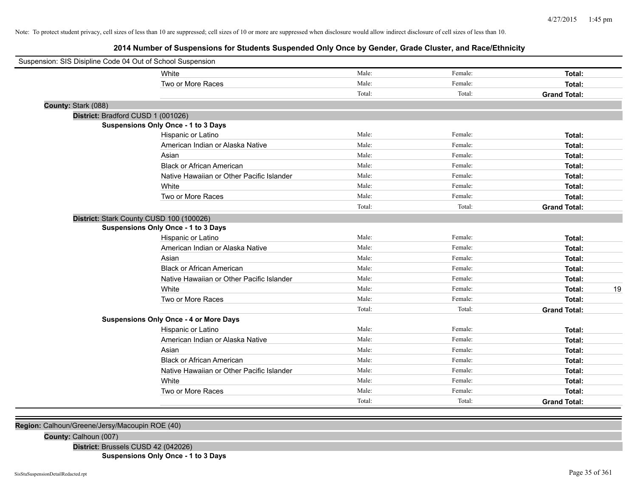**2014 Number of Suspensions for Students Suspended Only Once by Gender, Grade Cluster, and Race/Ethnicity**

|                     | Suspension: SIS Disipline Code 04 Out of School Suspension |        |         |                     |
|---------------------|------------------------------------------------------------|--------|---------|---------------------|
|                     | White                                                      | Male:  | Female: | Total:              |
|                     | Two or More Races                                          | Male:  | Female: | Total:              |
|                     |                                                            | Total: | Total:  | <b>Grand Total:</b> |
| County: Stark (088) |                                                            |        |         |                     |
|                     | District: Bradford CUSD 1 (001026)                         |        |         |                     |
|                     | <b>Suspensions Only Once - 1 to 3 Days</b>                 |        |         |                     |
|                     | Hispanic or Latino                                         | Male:  | Female: | Total:              |
|                     | American Indian or Alaska Native                           | Male:  | Female: | Total:              |
|                     | Asian                                                      | Male:  | Female: | Total:              |
|                     | <b>Black or African American</b>                           | Male:  | Female: | Total:              |
|                     | Native Hawaiian or Other Pacific Islander                  | Male:  | Female: | Total:              |
|                     | White                                                      | Male:  | Female: | Total:              |
|                     | Two or More Races                                          | Male:  | Female: | Total:              |
|                     |                                                            | Total: | Total:  | <b>Grand Total:</b> |
|                     | District: Stark County CUSD 100 (100026)                   |        |         |                     |
|                     | <b>Suspensions Only Once - 1 to 3 Days</b>                 |        |         |                     |
|                     | Hispanic or Latino                                         | Male:  | Female: | Total:              |
|                     | American Indian or Alaska Native                           | Male:  | Female: | Total:              |
|                     | Asian                                                      | Male:  | Female: | Total:              |
|                     | <b>Black or African American</b>                           | Male:  | Female: | Total:              |
|                     | Native Hawaiian or Other Pacific Islander                  | Male:  | Female: | Total:              |
|                     | White                                                      | Male:  | Female: | Total:              |
|                     | Two or More Races                                          | Male:  | Female: | Total:              |
|                     |                                                            | Total: | Total:  | <b>Grand Total:</b> |
|                     | <b>Suspensions Only Once - 4 or More Days</b>              |        |         |                     |
|                     | Hispanic or Latino                                         | Male:  | Female: | Total:              |
|                     | American Indian or Alaska Native                           | Male:  | Female: | Total:              |
|                     | Asian                                                      | Male:  | Female: | Total:              |
|                     | <b>Black or African American</b>                           | Male:  | Female: | Total:              |
|                     | Native Hawaiian or Other Pacific Islander                  | Male:  | Female: | Total:              |
|                     | White                                                      | Male:  | Female: | Total:              |
|                     | Two or More Races                                          | Male:  | Female: | Total:              |
|                     |                                                            | Total: | Total:  | <b>Grand Total:</b> |

**Region:** Calhoun/Greene/Jersy/Macoupin ROE (40)

**County:** Calhoun (007)

**District:** Brussels CUSD 42 (042026)

**Suspensions Only Once - 1 to 3 Days**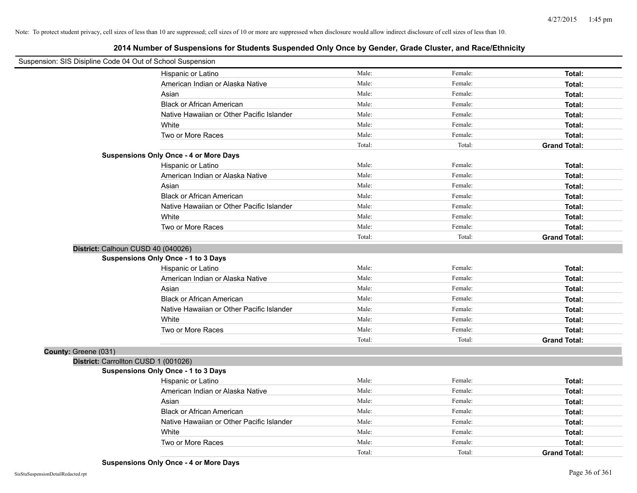| Suspension: SIS Disipline Code 04 Out of School Suspension |                                               |        |         |                     |
|------------------------------------------------------------|-----------------------------------------------|--------|---------|---------------------|
|                                                            | Hispanic or Latino                            | Male:  | Female: | Total:              |
|                                                            | American Indian or Alaska Native              | Male:  | Female: | Total:              |
|                                                            | Asian                                         | Male:  | Female: | Total:              |
|                                                            | <b>Black or African American</b>              | Male:  | Female: | Total:              |
|                                                            | Native Hawaiian or Other Pacific Islander     | Male:  | Female: | Total:              |
|                                                            | White                                         | Male:  | Female: | Total:              |
|                                                            | Two or More Races                             | Male:  | Female: | Total:              |
|                                                            |                                               | Total: | Total:  | <b>Grand Total:</b> |
|                                                            | <b>Suspensions Only Once - 4 or More Days</b> |        |         |                     |
|                                                            | Hispanic or Latino                            | Male:  | Female: | Total:              |
|                                                            | American Indian or Alaska Native              | Male:  | Female: | Total:              |
|                                                            | Asian                                         | Male:  | Female: | Total:              |
|                                                            | <b>Black or African American</b>              | Male:  | Female: | Total:              |
|                                                            | Native Hawaiian or Other Pacific Islander     | Male:  | Female: | Total:              |
|                                                            | White                                         | Male:  | Female: | Total:              |
|                                                            | Two or More Races                             | Male:  | Female: | Total:              |
|                                                            |                                               | Total: | Total:  | <b>Grand Total:</b> |
|                                                            | District: Calhoun CUSD 40 (040026)            |        |         |                     |
|                                                            | <b>Suspensions Only Once - 1 to 3 Days</b>    |        |         |                     |
|                                                            | Hispanic or Latino                            | Male:  | Female: | Total:              |
|                                                            | American Indian or Alaska Native              | Male:  | Female: | Total:              |
|                                                            | Asian                                         | Male:  | Female: | Total:              |
|                                                            | <b>Black or African American</b>              | Male:  | Female: | Total:              |
|                                                            | Native Hawaiian or Other Pacific Islander     | Male:  | Female: | Total:              |
|                                                            | White                                         | Male:  | Female: | Total:              |
|                                                            | Two or More Races                             | Male:  | Female: | Total:              |
|                                                            |                                               | Total: | Total:  | <b>Grand Total:</b> |
| County: Greene (031)                                       |                                               |        |         |                     |
|                                                            | District: Carrollton CUSD 1 (001026)          |        |         |                     |
|                                                            | <b>Suspensions Only Once - 1 to 3 Days</b>    |        |         |                     |
|                                                            | Hispanic or Latino                            | Male:  | Female: | Total:              |
|                                                            | American Indian or Alaska Native              | Male:  | Female: | Total:              |
|                                                            | Asian                                         | Male:  | Female: | Total:              |
|                                                            | <b>Black or African American</b>              | Male:  | Female: | Total:              |
|                                                            | Native Hawaiian or Other Pacific Islander     | Male:  | Female: | Total:              |
|                                                            | White                                         | Male:  | Female: | Total:              |
|                                                            | Two or More Races                             | Male:  | Female: | Total:              |
|                                                            |                                               | Total: | Total:  | <b>Grand Total:</b> |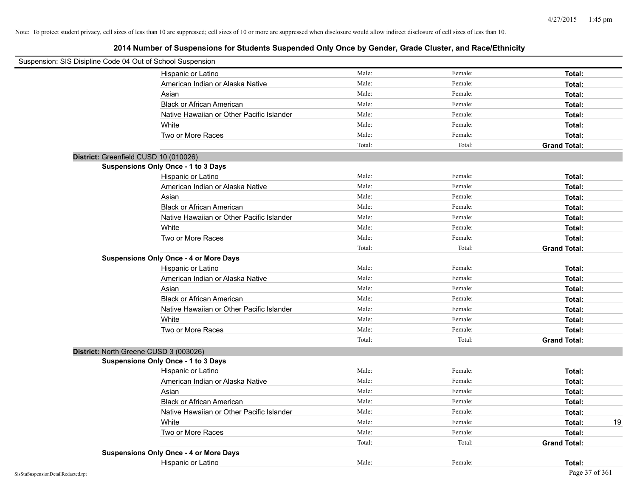| Suspension: SIS Disipline Code 04 Out of School Suspension |                                               |        |         |                     |
|------------------------------------------------------------|-----------------------------------------------|--------|---------|---------------------|
|                                                            | Hispanic or Latino                            | Male:  | Female: | Total:              |
|                                                            | American Indian or Alaska Native              | Male:  | Female: | Total:              |
|                                                            | Asian                                         | Male:  | Female: | Total:              |
|                                                            | <b>Black or African American</b>              | Male:  | Female: | Total:              |
|                                                            | Native Hawaiian or Other Pacific Islander     | Male:  | Female: | Total:              |
|                                                            | White                                         | Male:  | Female: | Total:              |
|                                                            | Two or More Races                             | Male:  | Female: | Total:              |
|                                                            |                                               | Total: | Total:  | <b>Grand Total:</b> |
| District: Greenfield CUSD 10 (010026)                      |                                               |        |         |                     |
|                                                            | Suspensions Only Once - 1 to 3 Days           |        |         |                     |
|                                                            | Hispanic or Latino                            | Male:  | Female: | Total:              |
|                                                            | American Indian or Alaska Native              | Male:  | Female: | Total:              |
|                                                            | Asian                                         | Male:  | Female: | Total:              |
|                                                            | <b>Black or African American</b>              | Male:  | Female: | Total:              |
|                                                            | Native Hawaiian or Other Pacific Islander     | Male:  | Female: | Total:              |
|                                                            | White                                         | Male:  | Female: | Total:              |
|                                                            | Two or More Races                             | Male:  | Female: | Total:              |
|                                                            |                                               | Total: | Total:  | <b>Grand Total:</b> |
|                                                            | <b>Suspensions Only Once - 4 or More Days</b> |        |         |                     |
|                                                            | Hispanic or Latino                            | Male:  | Female: | Total:              |
|                                                            | American Indian or Alaska Native              | Male:  | Female: | Total:              |
|                                                            | Asian                                         | Male:  | Female: | Total:              |
|                                                            | <b>Black or African American</b>              | Male:  | Female: | Total:              |
|                                                            | Native Hawaiian or Other Pacific Islander     | Male:  | Female: | Total:              |
|                                                            | White                                         | Male:  | Female: | Total:              |
|                                                            | Two or More Races                             | Male:  | Female: | Total:              |
|                                                            |                                               | Total: | Total:  | <b>Grand Total:</b> |
| District: North Greene CUSD 3 (003026)                     |                                               |        |         |                     |
|                                                            | <b>Suspensions Only Once - 1 to 3 Days</b>    |        |         |                     |
|                                                            | Hispanic or Latino                            | Male:  | Female: | Total:              |
|                                                            | American Indian or Alaska Native              | Male:  | Female: | Total:              |
|                                                            | Asian                                         | Male:  | Female: | Total:              |
|                                                            | <b>Black or African American</b>              | Male:  | Female: | Total:              |
|                                                            | Native Hawaiian or Other Pacific Islander     | Male:  | Female: | Total:              |
|                                                            | White                                         | Male:  | Female: | Total:<br>19        |
|                                                            | Two or More Races                             | Male:  | Female: | Total:              |
|                                                            |                                               | Total: | Total:  | <b>Grand Total:</b> |
|                                                            | <b>Suspensions Only Once - 4 or More Days</b> |        |         |                     |
|                                                            | Hispanic or Latino                            | Male:  | Female: | Total:              |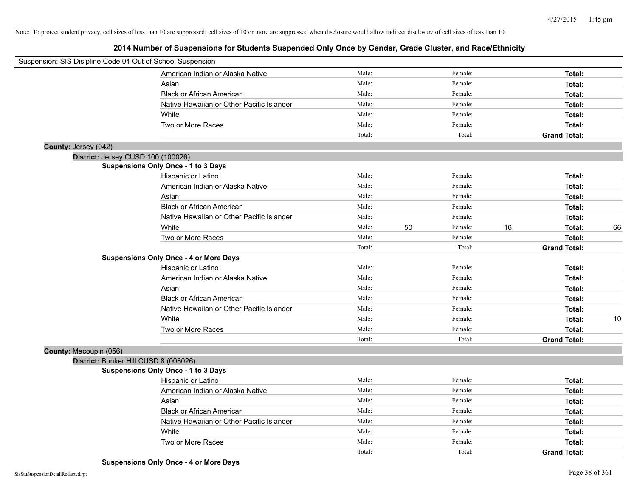| Suspension: SIS Disipline Code 04 Out of School Suspension |                                               |        |    |         |    |                     |    |
|------------------------------------------------------------|-----------------------------------------------|--------|----|---------|----|---------------------|----|
|                                                            | American Indian or Alaska Native              | Male:  |    | Female: |    | Total:              |    |
|                                                            | Asian                                         | Male:  |    | Female: |    | Total:              |    |
|                                                            | <b>Black or African American</b>              | Male:  |    | Female: |    | Total:              |    |
|                                                            | Native Hawaiian or Other Pacific Islander     | Male:  |    | Female: |    | Total:              |    |
|                                                            | White                                         | Male:  |    | Female: |    | Total:              |    |
|                                                            | Two or More Races                             | Male:  |    | Female: |    | Total:              |    |
|                                                            |                                               | Total: |    | Total:  |    | <b>Grand Total:</b> |    |
| County: Jersey (042)                                       |                                               |        |    |         |    |                     |    |
|                                                            | District: Jersey CUSD 100 (100026)            |        |    |         |    |                     |    |
|                                                            | Suspensions Only Once - 1 to 3 Days           |        |    |         |    |                     |    |
|                                                            | Hispanic or Latino                            | Male:  |    | Female: |    | Total:              |    |
|                                                            | American Indian or Alaska Native              | Male:  |    | Female: |    | Total:              |    |
|                                                            | Asian                                         | Male:  |    | Female: |    | Total:              |    |
|                                                            | <b>Black or African American</b>              | Male:  |    | Female: |    | Total:              |    |
|                                                            | Native Hawaiian or Other Pacific Islander     | Male:  |    | Female: |    | Total:              |    |
|                                                            | White                                         | Male:  | 50 | Female: | 16 | Total:              | 66 |
|                                                            | Two or More Races                             | Male:  |    | Female: |    | Total:              |    |
|                                                            |                                               | Total: |    | Total:  |    | <b>Grand Total:</b> |    |
|                                                            | <b>Suspensions Only Once - 4 or More Days</b> |        |    |         |    |                     |    |
|                                                            | Hispanic or Latino                            | Male:  |    | Female: |    | Total:              |    |
|                                                            | American Indian or Alaska Native              | Male:  |    | Female: |    | Total:              |    |
|                                                            | Asian                                         | Male:  |    | Female: |    | Total:              |    |
|                                                            | <b>Black or African American</b>              | Male:  |    | Female: |    | Total:              |    |
|                                                            | Native Hawaiian or Other Pacific Islander     | Male:  |    | Female: |    | Total:              |    |
|                                                            | White                                         | Male:  |    | Female: |    | Total:              | 10 |
|                                                            | Two or More Races                             | Male:  |    | Female: |    | Total:              |    |
|                                                            |                                               | Total: |    | Total:  |    | <b>Grand Total:</b> |    |
| County: Macoupin (056)                                     |                                               |        |    |         |    |                     |    |
|                                                            | District: Bunker Hill CUSD 8 (008026)         |        |    |         |    |                     |    |
|                                                            | <b>Suspensions Only Once - 1 to 3 Days</b>    |        |    |         |    |                     |    |
|                                                            | Hispanic or Latino                            | Male:  |    | Female: |    | Total:              |    |
|                                                            | American Indian or Alaska Native              | Male:  |    | Female: |    | Total:              |    |
|                                                            | Asian                                         | Male:  |    | Female: |    | Total:              |    |
|                                                            | <b>Black or African American</b>              | Male:  |    | Female: |    | Total:              |    |
|                                                            | Native Hawaiian or Other Pacific Islander     | Male:  |    | Female: |    | Total:              |    |
|                                                            | White                                         | Male:  |    | Female: |    | Total:              |    |
|                                                            | Two or More Races                             | Male:  |    | Female: |    | Total:              |    |
|                                                            |                                               | Total: |    | Total:  |    | <b>Grand Total:</b> |    |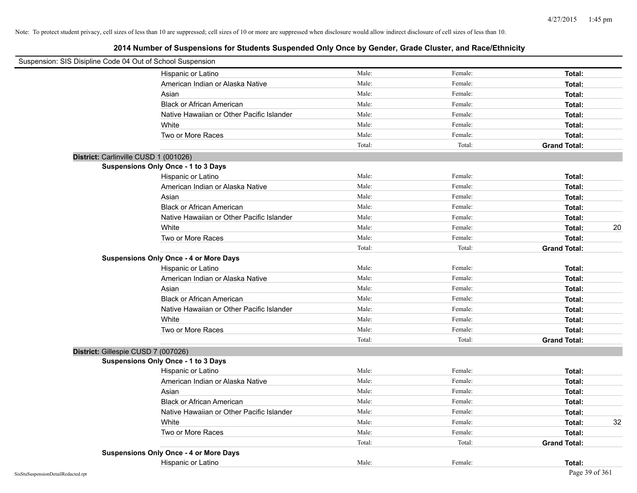| Suspension: SIS Disipline Code 04 Out of School Suspension |                                               |        |         |                     |    |
|------------------------------------------------------------|-----------------------------------------------|--------|---------|---------------------|----|
|                                                            | Hispanic or Latino                            | Male:  | Female: | Total:              |    |
|                                                            | American Indian or Alaska Native              | Male:  | Female: | Total:              |    |
|                                                            | Asian                                         | Male:  | Female: | Total:              |    |
|                                                            | <b>Black or African American</b>              | Male:  | Female: | Total:              |    |
|                                                            | Native Hawaiian or Other Pacific Islander     | Male:  | Female: | Total:              |    |
|                                                            | White                                         | Male:  | Female: | Total:              |    |
|                                                            | Two or More Races                             | Male:  | Female: | Total:              |    |
|                                                            |                                               | Total: | Total:  | <b>Grand Total:</b> |    |
| District: Carlinville CUSD 1 (001026)                      |                                               |        |         |                     |    |
|                                                            | <b>Suspensions Only Once - 1 to 3 Days</b>    |        |         |                     |    |
|                                                            | Hispanic or Latino                            | Male:  | Female: | Total:              |    |
|                                                            | American Indian or Alaska Native              | Male:  | Female: | Total:              |    |
|                                                            | Asian                                         | Male:  | Female: | Total:              |    |
|                                                            | <b>Black or African American</b>              | Male:  | Female: | Total:              |    |
|                                                            | Native Hawaiian or Other Pacific Islander     | Male:  | Female: | Total:              |    |
|                                                            | White                                         | Male:  | Female: | Total:              | 20 |
|                                                            | Two or More Races                             | Male:  | Female: | Total:              |    |
|                                                            |                                               | Total: | Total:  | <b>Grand Total:</b> |    |
|                                                            | <b>Suspensions Only Once - 4 or More Days</b> |        |         |                     |    |
|                                                            | Hispanic or Latino                            | Male:  | Female: | Total:              |    |
|                                                            | American Indian or Alaska Native              | Male:  | Female: | Total:              |    |
|                                                            | Asian                                         | Male:  | Female: | Total:              |    |
|                                                            | <b>Black or African American</b>              | Male:  | Female: | Total:              |    |
|                                                            | Native Hawaiian or Other Pacific Islander     | Male:  | Female: | Total:              |    |
|                                                            | White                                         | Male:  | Female: | Total:              |    |
|                                                            | Two or More Races                             | Male:  | Female: | Total:              |    |
|                                                            |                                               | Total: | Total:  | <b>Grand Total:</b> |    |
| District: Gillespie CUSD 7 (007026)                        |                                               |        |         |                     |    |
|                                                            | <b>Suspensions Only Once - 1 to 3 Days</b>    |        |         |                     |    |
|                                                            | Hispanic or Latino                            | Male:  | Female: | Total:              |    |
|                                                            | American Indian or Alaska Native              | Male:  | Female: | Total:              |    |
|                                                            | Asian                                         | Male:  | Female: | Total:              |    |
|                                                            | <b>Black or African American</b>              | Male:  | Female: | Total:              |    |
|                                                            | Native Hawaiian or Other Pacific Islander     | Male:  | Female: | Total:              |    |
|                                                            | White                                         | Male:  | Female: | Total:              | 32 |
|                                                            | Two or More Races                             | Male:  | Female: | Total:              |    |
|                                                            |                                               | Total: | Total:  | <b>Grand Total:</b> |    |
|                                                            | <b>Suspensions Only Once - 4 or More Days</b> |        |         |                     |    |
|                                                            | Hispanic or Latino                            | Male:  | Female: | Total:              |    |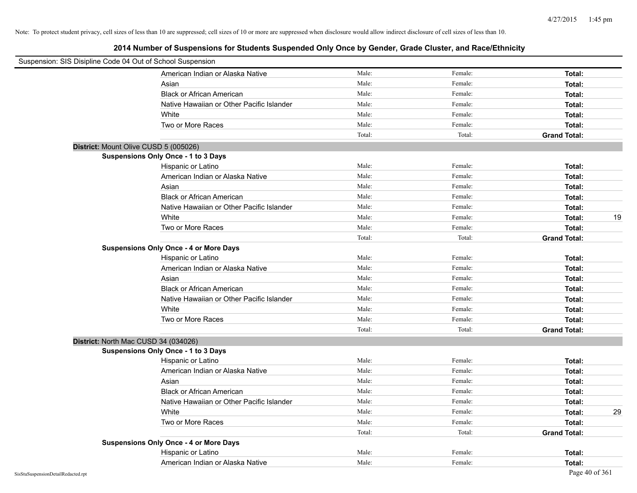| Suspension: SIS Disipline Code 04 Out of School Suspension |                                               |        |         |                     |
|------------------------------------------------------------|-----------------------------------------------|--------|---------|---------------------|
|                                                            | American Indian or Alaska Native              | Male:  | Female: | Total:              |
|                                                            | Asian                                         | Male:  | Female: | Total:              |
|                                                            | <b>Black or African American</b>              | Male:  | Female: | Total:              |
|                                                            | Native Hawaiian or Other Pacific Islander     | Male:  | Female: | Total:              |
|                                                            | White                                         | Male:  | Female: | Total:              |
|                                                            | Two or More Races                             | Male:  | Female: | Total:              |
|                                                            |                                               | Total: | Total:  | <b>Grand Total:</b> |
| District: Mount Olive CUSD 5 (005026)                      |                                               |        |         |                     |
|                                                            | <b>Suspensions Only Once - 1 to 3 Days</b>    |        |         |                     |
|                                                            | Hispanic or Latino                            | Male:  | Female: | Total:              |
|                                                            | American Indian or Alaska Native              | Male:  | Female: | Total:              |
|                                                            | Asian                                         | Male:  | Female: | Total:              |
|                                                            | <b>Black or African American</b>              | Male:  | Female: | Total:              |
|                                                            | Native Hawaiian or Other Pacific Islander     | Male:  | Female: | Total:              |
|                                                            | White                                         | Male:  | Female: | 19<br>Total:        |
|                                                            | Two or More Races                             | Male:  | Female: | Total:              |
|                                                            |                                               | Total: | Total:  | <b>Grand Total:</b> |
|                                                            | <b>Suspensions Only Once - 4 or More Days</b> |        |         |                     |
|                                                            | Hispanic or Latino                            | Male:  | Female: | Total:              |
|                                                            | American Indian or Alaska Native              | Male:  | Female: | Total:              |
|                                                            | Asian                                         | Male:  | Female: | Total:              |
|                                                            | <b>Black or African American</b>              | Male:  | Female: | Total:              |
|                                                            | Native Hawaiian or Other Pacific Islander     | Male:  | Female: | Total:              |
|                                                            | White                                         | Male:  | Female: | Total:              |
|                                                            | Two or More Races                             | Male:  | Female: | Total:              |
|                                                            |                                               | Total: | Total:  | <b>Grand Total:</b> |
| District: North Mac CUSD 34 (034026)                       |                                               |        |         |                     |
|                                                            | <b>Suspensions Only Once - 1 to 3 Days</b>    |        |         |                     |
|                                                            | Hispanic or Latino                            | Male:  | Female: | Total:              |
|                                                            | American Indian or Alaska Native              | Male:  | Female: | Total:              |
|                                                            | Asian                                         | Male:  | Female: | Total:              |
|                                                            | <b>Black or African American</b>              | Male:  | Female: | Total:              |
|                                                            | Native Hawaiian or Other Pacific Islander     | Male:  | Female: | Total:              |
|                                                            | White                                         | Male:  | Female: | Total:<br>29        |
|                                                            | Two or More Races                             | Male:  | Female: | Total:              |
|                                                            |                                               | Total: | Total:  | <b>Grand Total:</b> |
|                                                            | <b>Suspensions Only Once - 4 or More Days</b> |        |         |                     |
|                                                            | Hispanic or Latino                            | Male:  | Female: | Total:              |
|                                                            | American Indian or Alaska Native              | Male:  | Female: | Total:              |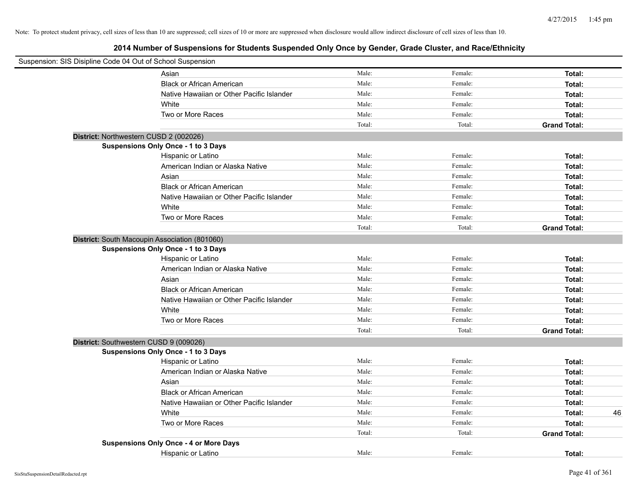| Suspension: SIS Disipline Code 04 Out of School Suspension |                                               |        |         |                     |    |
|------------------------------------------------------------|-----------------------------------------------|--------|---------|---------------------|----|
|                                                            | Asian                                         | Male:  | Female: | Total:              |    |
|                                                            | <b>Black or African American</b>              | Male:  | Female: | Total:              |    |
|                                                            | Native Hawaiian or Other Pacific Islander     | Male:  | Female: | Total:              |    |
|                                                            | White                                         | Male:  | Female: | Total:              |    |
|                                                            | Two or More Races                             | Male:  | Female: | Total:              |    |
|                                                            |                                               | Total: | Total:  | <b>Grand Total:</b> |    |
| District: Northwestern CUSD 2 (002026)                     |                                               |        |         |                     |    |
|                                                            | <b>Suspensions Only Once - 1 to 3 Days</b>    |        |         |                     |    |
|                                                            | Hispanic or Latino                            | Male:  | Female: | Total:              |    |
|                                                            | American Indian or Alaska Native              | Male:  | Female: | Total:              |    |
|                                                            | Asian                                         | Male:  | Female: | Total:              |    |
|                                                            | <b>Black or African American</b>              | Male:  | Female: | Total:              |    |
|                                                            | Native Hawaiian or Other Pacific Islander     | Male:  | Female: | Total:              |    |
|                                                            | White                                         | Male:  | Female: | Total:              |    |
|                                                            | Two or More Races                             | Male:  | Female: | Total:              |    |
|                                                            |                                               | Total: | Total:  | <b>Grand Total:</b> |    |
| District: South Macoupin Association (801060)              |                                               |        |         |                     |    |
|                                                            | <b>Suspensions Only Once - 1 to 3 Days</b>    |        |         |                     |    |
|                                                            | Hispanic or Latino                            | Male:  | Female: | Total:              |    |
|                                                            | American Indian or Alaska Native              | Male:  | Female: | Total:              |    |
|                                                            | Asian                                         | Male:  | Female: | Total:              |    |
|                                                            | <b>Black or African American</b>              | Male:  | Female: | Total:              |    |
|                                                            | Native Hawaiian or Other Pacific Islander     | Male:  | Female: | Total:              |    |
|                                                            | White                                         | Male:  | Female: | Total:              |    |
|                                                            | Two or More Races                             | Male:  | Female: | Total:              |    |
|                                                            |                                               | Total: | Total:  | <b>Grand Total:</b> |    |
| District: Southwestern CUSD 9 (009026)                     |                                               |        |         |                     |    |
|                                                            | <b>Suspensions Only Once - 1 to 3 Days</b>    |        |         |                     |    |
|                                                            | Hispanic or Latino                            | Male:  | Female: | Total:              |    |
|                                                            | American Indian or Alaska Native              | Male:  | Female: | Total:              |    |
|                                                            | Asian                                         | Male:  | Female: | Total:              |    |
|                                                            | <b>Black or African American</b>              | Male:  | Female: | Total:              |    |
|                                                            | Native Hawaiian or Other Pacific Islander     | Male:  | Female: | Total:              |    |
|                                                            | White                                         | Male:  | Female: | Total:              | 46 |
|                                                            | Two or More Races                             | Male:  | Female: | Total:              |    |
|                                                            |                                               | Total: | Total:  | <b>Grand Total:</b> |    |
|                                                            | <b>Suspensions Only Once - 4 or More Days</b> |        |         |                     |    |
|                                                            | Hispanic or Latino                            | Male:  | Female: | Total:              |    |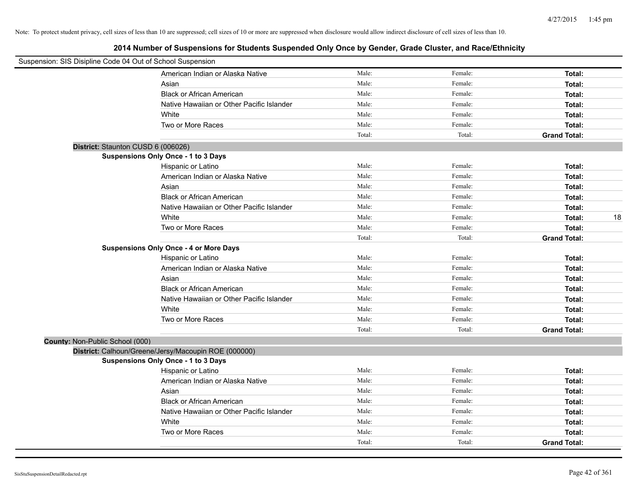| Suspension: SIS Disipline Code 04 Out of School Suspension |                                                      |        |         |                     |
|------------------------------------------------------------|------------------------------------------------------|--------|---------|---------------------|
|                                                            | American Indian or Alaska Native                     | Male:  | Female: | Total:              |
|                                                            | Asian                                                | Male:  | Female: | Total:              |
|                                                            | <b>Black or African American</b>                     | Male:  | Female: | Total:              |
|                                                            | Native Hawaiian or Other Pacific Islander            | Male:  | Female: | Total:              |
|                                                            | White                                                | Male:  | Female: | Total:              |
|                                                            | Two or More Races                                    | Male:  | Female: | Total:              |
|                                                            |                                                      | Total: | Total:  | <b>Grand Total:</b> |
| District: Staunton CUSD 6 (006026)                         |                                                      |        |         |                     |
|                                                            | Suspensions Only Once - 1 to 3 Days                  |        |         |                     |
|                                                            | Hispanic or Latino                                   | Male:  | Female: | Total:              |
|                                                            | American Indian or Alaska Native                     | Male:  | Female: | Total:              |
|                                                            | Asian                                                | Male:  | Female: | Total:              |
|                                                            | <b>Black or African American</b>                     | Male:  | Female: | Total:              |
|                                                            | Native Hawaiian or Other Pacific Islander            | Male:  | Female: | Total:              |
|                                                            | White                                                | Male:  | Female: | 18<br>Total:        |
|                                                            | Two or More Races                                    | Male:  | Female: | Total:              |
|                                                            |                                                      | Total: | Total:  | <b>Grand Total:</b> |
|                                                            | <b>Suspensions Only Once - 4 or More Days</b>        |        |         |                     |
|                                                            | Hispanic or Latino                                   | Male:  | Female: | Total:              |
|                                                            | American Indian or Alaska Native                     | Male:  | Female: | Total:              |
|                                                            | Asian                                                | Male:  | Female: | Total:              |
|                                                            | <b>Black or African American</b>                     | Male:  | Female: | Total:              |
|                                                            | Native Hawaiian or Other Pacific Islander            | Male:  | Female: | Total:              |
|                                                            | White                                                | Male:  | Female: | Total:              |
|                                                            | Two or More Races                                    | Male:  | Female: | Total:              |
|                                                            |                                                      | Total: | Total:  | <b>Grand Total:</b> |
| County: Non-Public School (000)                            |                                                      |        |         |                     |
|                                                            | District: Calhoun/Greene/Jersy/Macoupin ROE (000000) |        |         |                     |
|                                                            | Suspensions Only Once - 1 to 3 Days                  |        |         |                     |
|                                                            | Hispanic or Latino                                   | Male:  | Female: | Total:              |
|                                                            | American Indian or Alaska Native                     | Male:  | Female: | Total:              |
|                                                            | Asian                                                | Male:  | Female: | Total:              |
|                                                            | <b>Black or African American</b>                     | Male:  | Female: | Total:              |
|                                                            | Native Hawaiian or Other Pacific Islander            | Male:  | Female: | Total:              |
|                                                            | White                                                | Male:  | Female: | Total:              |
|                                                            | Two or More Races                                    | Male:  | Female: | Total:              |
|                                                            |                                                      | Total: | Total:  | <b>Grand Total:</b> |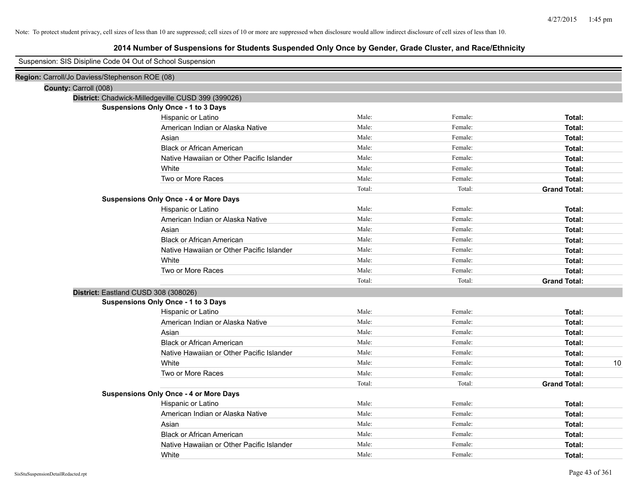|                                                | Suspension: SIS Disipline Code 04 Out of School Suspension |        |         |                     |
|------------------------------------------------|------------------------------------------------------------|--------|---------|---------------------|
| Region: Carroll/Jo Daviess/Stephenson ROE (08) |                                                            |        |         |                     |
| County: Carroll (008)                          |                                                            |        |         |                     |
|                                                | District: Chadwick-Milledgeville CUSD 399 (399026)         |        |         |                     |
|                                                | Suspensions Only Once - 1 to 3 Days                        |        |         |                     |
|                                                | Hispanic or Latino                                         | Male:  | Female: | Total:              |
|                                                | American Indian or Alaska Native                           | Male:  | Female: | Total:              |
|                                                | Asian                                                      | Male:  | Female: | Total:              |
|                                                | <b>Black or African American</b>                           | Male:  | Female: | Total:              |
|                                                | Native Hawaiian or Other Pacific Islander                  | Male:  | Female: | Total:              |
|                                                | White                                                      | Male:  | Female: | Total:              |
|                                                | Two or More Races                                          | Male:  | Female: | Total:              |
|                                                |                                                            | Total: | Total:  | <b>Grand Total:</b> |
|                                                | <b>Suspensions Only Once - 4 or More Days</b>              |        |         |                     |
|                                                | Hispanic or Latino                                         | Male:  | Female: | Total:              |
|                                                | American Indian or Alaska Native                           | Male:  | Female: | Total:              |
|                                                | Asian                                                      | Male:  | Female: | Total:              |
|                                                | <b>Black or African American</b>                           | Male:  | Female: | Total:              |
|                                                | Native Hawaiian or Other Pacific Islander                  | Male:  | Female: | Total:              |
|                                                | White                                                      | Male:  | Female: | Total:              |
|                                                | Two or More Races                                          | Male:  | Female: | Total:              |
|                                                |                                                            | Total: | Total:  | <b>Grand Total:</b> |
|                                                | District: Eastland CUSD 308 (308026)                       |        |         |                     |
|                                                | Suspensions Only Once - 1 to 3 Days                        |        |         |                     |
|                                                | Hispanic or Latino                                         | Male:  | Female: | Total:              |
|                                                | American Indian or Alaska Native                           | Male:  | Female: | Total:              |
|                                                | Asian                                                      | Male:  | Female: | Total:              |
|                                                | <b>Black or African American</b>                           | Male:  | Female: | Total:              |
|                                                | Native Hawaiian or Other Pacific Islander                  | Male:  | Female: | Total:              |
|                                                | White                                                      | Male:  | Female: | 10<br>Total:        |
|                                                | Two or More Races                                          | Male:  | Female: | Total:              |
|                                                |                                                            | Total: | Total:  | <b>Grand Total:</b> |
|                                                | <b>Suspensions Only Once - 4 or More Days</b>              |        |         |                     |
|                                                | Hispanic or Latino                                         | Male:  | Female: | Total:              |
|                                                | American Indian or Alaska Native                           | Male:  | Female: | Total:              |
|                                                | Asian                                                      | Male:  | Female: | Total:              |
|                                                | <b>Black or African American</b>                           | Male:  | Female: | Total:              |
|                                                | Native Hawaiian or Other Pacific Islander                  | Male:  | Female: | Total:              |
|                                                | White                                                      | Male:  | Female: | Total:              |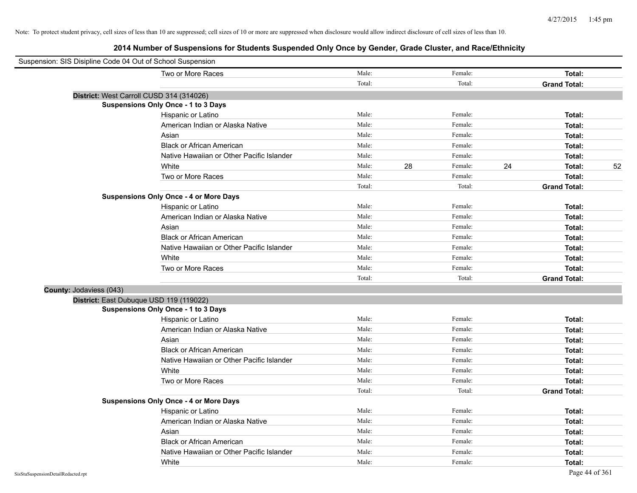| Suspension: SIS Disipline Code 04 Out of School Suspension |                                               |        |    |         |    |                     |    |
|------------------------------------------------------------|-----------------------------------------------|--------|----|---------|----|---------------------|----|
|                                                            | Two or More Races                             | Male:  |    | Female: |    | Total:              |    |
|                                                            |                                               | Total: |    | Total:  |    | <b>Grand Total:</b> |    |
| District: West Carroll CUSD 314 (314026)                   |                                               |        |    |         |    |                     |    |
|                                                            | Suspensions Only Once - 1 to 3 Days           |        |    |         |    |                     |    |
|                                                            | Hispanic or Latino                            | Male:  |    | Female: |    | Total:              |    |
|                                                            | American Indian or Alaska Native              | Male:  |    | Female: |    | Total:              |    |
|                                                            | Asian                                         | Male:  |    | Female: |    | Total:              |    |
|                                                            | <b>Black or African American</b>              | Male:  |    | Female: |    | Total:              |    |
|                                                            | Native Hawaiian or Other Pacific Islander     | Male:  |    | Female: |    | Total:              |    |
|                                                            | White                                         | Male:  | 28 | Female: | 24 | Total:              | 52 |
|                                                            | Two or More Races                             | Male:  |    | Female: |    | Total:              |    |
|                                                            |                                               | Total: |    | Total:  |    | <b>Grand Total:</b> |    |
|                                                            | <b>Suspensions Only Once - 4 or More Days</b> |        |    |         |    |                     |    |
|                                                            | Hispanic or Latino                            | Male:  |    | Female: |    | Total:              |    |
|                                                            | American Indian or Alaska Native              | Male:  |    | Female: |    | Total:              |    |
|                                                            | Asian                                         | Male:  |    | Female: |    | Total:              |    |
|                                                            | <b>Black or African American</b>              | Male:  |    | Female: |    | Total:              |    |
|                                                            | Native Hawaiian or Other Pacific Islander     | Male:  |    | Female: |    | Total:              |    |
|                                                            | White                                         | Male:  |    | Female: |    | Total:              |    |
|                                                            | Two or More Races                             | Male:  |    | Female: |    | Total:              |    |
|                                                            |                                               | Total: |    | Total:  |    | <b>Grand Total:</b> |    |
| County: Jodaviess (043)                                    |                                               |        |    |         |    |                     |    |
| District: East Dubuque USD 119 (119022)                    |                                               |        |    |         |    |                     |    |
|                                                            | Suspensions Only Once - 1 to 3 Days           |        |    |         |    |                     |    |
|                                                            | Hispanic or Latino                            | Male:  |    | Female: |    | Total:              |    |
|                                                            | American Indian or Alaska Native              | Male:  |    | Female: |    | Total:              |    |
|                                                            | Asian                                         | Male:  |    | Female: |    | Total:              |    |
|                                                            | <b>Black or African American</b>              | Male:  |    | Female: |    | Total:              |    |
|                                                            | Native Hawaiian or Other Pacific Islander     | Male:  |    | Female: |    | Total:              |    |
|                                                            | White                                         | Male:  |    | Female: |    | Total:              |    |
|                                                            | Two or More Races                             | Male:  |    | Female: |    | Total:              |    |
|                                                            |                                               | Total: |    | Total:  |    | <b>Grand Total:</b> |    |
|                                                            | <b>Suspensions Only Once - 4 or More Days</b> |        |    |         |    |                     |    |
|                                                            | Hispanic or Latino                            | Male:  |    | Female: |    | Total:              |    |
|                                                            | American Indian or Alaska Native              | Male:  |    | Female: |    | Total:              |    |
|                                                            | Asian                                         | Male:  |    | Female: |    | Total:              |    |
|                                                            | <b>Black or African American</b>              | Male:  |    | Female: |    | Total:              |    |
|                                                            | Native Hawaiian or Other Pacific Islander     | Male:  |    | Female: |    | Total:              |    |
|                                                            | White                                         | Male:  |    | Female: |    | Total:              |    |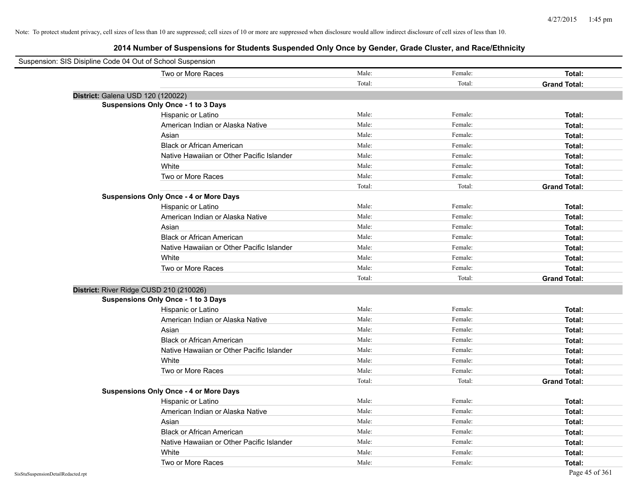| Suspension: SIS Disipline Code 04 Out of School Suspension |                                               |        |         |                     |
|------------------------------------------------------------|-----------------------------------------------|--------|---------|---------------------|
|                                                            | Two or More Races                             | Male:  | Female: | Total:              |
|                                                            |                                               | Total: | Total:  | <b>Grand Total:</b> |
| District: Galena USD 120 (120022)                          |                                               |        |         |                     |
|                                                            | <b>Suspensions Only Once - 1 to 3 Days</b>    |        |         |                     |
|                                                            | Hispanic or Latino                            | Male:  | Female: | Total:              |
|                                                            | American Indian or Alaska Native              | Male:  | Female: | Total:              |
|                                                            | Asian                                         | Male:  | Female: | Total:              |
|                                                            | <b>Black or African American</b>              | Male:  | Female: | Total:              |
|                                                            | Native Hawaiian or Other Pacific Islander     | Male:  | Female: | Total:              |
|                                                            | White                                         | Male:  | Female: | Total:              |
|                                                            | Two or More Races                             | Male:  | Female: | Total:              |
|                                                            |                                               | Total: | Total:  | <b>Grand Total:</b> |
|                                                            | <b>Suspensions Only Once - 4 or More Days</b> |        |         |                     |
|                                                            | Hispanic or Latino                            | Male:  | Female: | Total:              |
|                                                            | American Indian or Alaska Native              | Male:  | Female: | Total:              |
|                                                            | Asian                                         | Male:  | Female: | Total:              |
|                                                            | <b>Black or African American</b>              | Male:  | Female: | Total:              |
|                                                            | Native Hawaiian or Other Pacific Islander     | Male:  | Female: | Total:              |
|                                                            | White                                         | Male:  | Female: | Total:              |
|                                                            | Two or More Races                             | Male:  | Female: | Total:              |
|                                                            |                                               | Total: | Total:  | <b>Grand Total:</b> |
| District: River Ridge CUSD 210 (210026)                    |                                               |        |         |                     |
|                                                            | <b>Suspensions Only Once - 1 to 3 Days</b>    |        |         |                     |
|                                                            | Hispanic or Latino                            | Male:  | Female: | Total:              |
|                                                            | American Indian or Alaska Native              | Male:  | Female: | Total:              |
|                                                            | Asian                                         | Male:  | Female: | Total:              |
|                                                            | <b>Black or African American</b>              | Male:  | Female: | Total:              |
|                                                            | Native Hawaiian or Other Pacific Islander     | Male:  | Female: | Total:              |
|                                                            | White                                         | Male:  | Female: | Total:              |
|                                                            | Two or More Races                             | Male:  | Female: | Total:              |
|                                                            |                                               | Total: | Total:  | <b>Grand Total:</b> |
|                                                            | <b>Suspensions Only Once - 4 or More Days</b> |        |         |                     |
|                                                            | Hispanic or Latino                            | Male:  | Female: | Total:              |
|                                                            | American Indian or Alaska Native              | Male:  | Female: | Total:              |
|                                                            | Asian                                         | Male:  | Female: | Total:              |
|                                                            | <b>Black or African American</b>              | Male:  | Female: | Total:              |
|                                                            | Native Hawaiian or Other Pacific Islander     | Male:  | Female: | Total:              |
|                                                            | White                                         | Male:  | Female: | Total:              |
|                                                            | Two or More Races                             | Male:  | Female: | Total:              |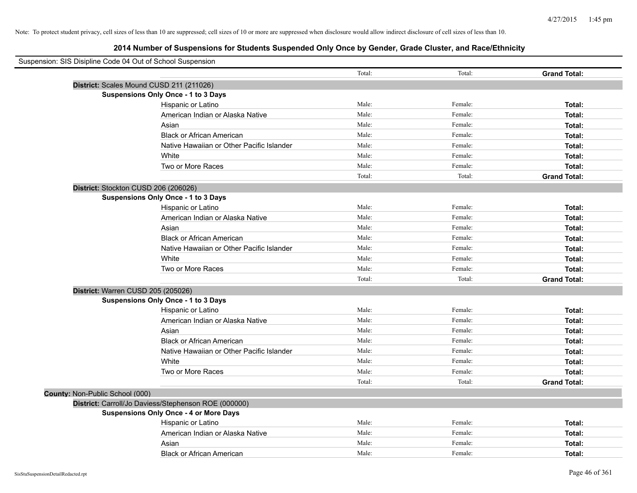| Suspension: SIS Disipline Code 04 Out of School Suspension |                                                      |        |         |                     |
|------------------------------------------------------------|------------------------------------------------------|--------|---------|---------------------|
|                                                            |                                                      | Total: | Total:  | <b>Grand Total:</b> |
|                                                            | District: Scales Mound CUSD 211 (211026)             |        |         |                     |
|                                                            | Suspensions Only Once - 1 to 3 Days                  |        |         |                     |
|                                                            | Hispanic or Latino                                   | Male:  | Female: | Total:              |
|                                                            | American Indian or Alaska Native                     | Male:  | Female: | Total:              |
|                                                            | Asian                                                | Male:  | Female: | Total:              |
|                                                            | <b>Black or African American</b>                     | Male:  | Female: | Total:              |
|                                                            | Native Hawaiian or Other Pacific Islander            | Male:  | Female: | Total:              |
|                                                            | White                                                | Male:  | Female: | Total:              |
|                                                            | Two or More Races                                    | Male:  | Female: | Total:              |
|                                                            |                                                      | Total: | Total:  | <b>Grand Total:</b> |
|                                                            | District: Stockton CUSD 206 (206026)                 |        |         |                     |
|                                                            | Suspensions Only Once - 1 to 3 Days                  |        |         |                     |
|                                                            | Hispanic or Latino                                   | Male:  | Female: | Total:              |
|                                                            | American Indian or Alaska Native                     | Male:  | Female: | Total:              |
|                                                            | Asian                                                | Male:  | Female: | Total:              |
|                                                            | <b>Black or African American</b>                     | Male:  | Female: | Total:              |
|                                                            | Native Hawaiian or Other Pacific Islander            | Male:  | Female: | Total:              |
|                                                            | White                                                | Male:  | Female: | Total:              |
|                                                            | Two or More Races                                    | Male:  | Female: | Total:              |
|                                                            |                                                      | Total: | Total:  | <b>Grand Total:</b> |
|                                                            | District: Warren CUSD 205 (205026)                   |        |         |                     |
|                                                            | <b>Suspensions Only Once - 1 to 3 Days</b>           |        |         |                     |
|                                                            | Hispanic or Latino                                   | Male:  | Female: | Total:              |
|                                                            | American Indian or Alaska Native                     | Male:  | Female: | Total:              |
|                                                            | Asian                                                | Male:  | Female: | Total:              |
|                                                            | <b>Black or African American</b>                     | Male:  | Female: | Total:              |
|                                                            | Native Hawaiian or Other Pacific Islander            | Male:  | Female: | Total:              |
|                                                            | White                                                | Male:  | Female: | Total:              |
|                                                            | Two or More Races                                    | Male:  | Female: | Total:              |
|                                                            |                                                      | Total: | Total:  | <b>Grand Total:</b> |
| County: Non-Public School (000)                            |                                                      |        |         |                     |
|                                                            | District: Carroll/Jo Daviess/Stephenson ROE (000000) |        |         |                     |
|                                                            | <b>Suspensions Only Once - 4 or More Days</b>        |        |         |                     |
|                                                            | Hispanic or Latino                                   | Male:  | Female: | Total:              |
|                                                            | American Indian or Alaska Native                     | Male:  | Female: | Total:              |
|                                                            | Asian                                                | Male:  | Female: | Total:              |
|                                                            | <b>Black or African American</b>                     | Male:  | Female: | Total:              |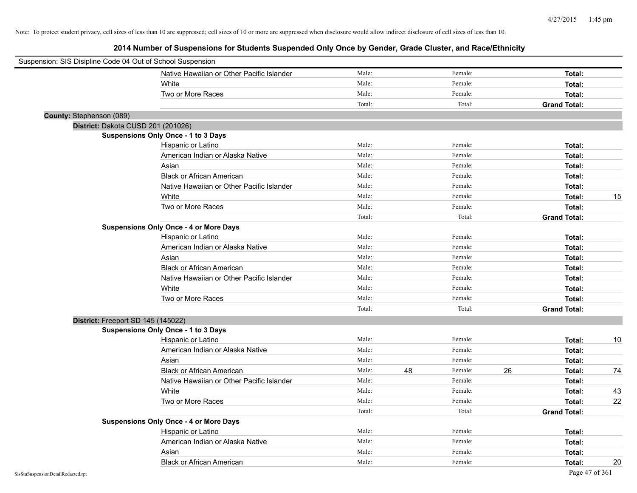| Suspension: SIS Disipline Code 04 Out of School Suspension |                                               |        |    |         |    |                     |    |
|------------------------------------------------------------|-----------------------------------------------|--------|----|---------|----|---------------------|----|
|                                                            | Native Hawaiian or Other Pacific Islander     | Male:  |    | Female: |    | Total:              |    |
|                                                            | White                                         | Male:  |    | Female: |    | Total:              |    |
|                                                            | Two or More Races                             | Male:  |    | Female: |    | Total:              |    |
|                                                            |                                               | Total: |    | Total:  |    | <b>Grand Total:</b> |    |
| County: Stephenson (089)                                   |                                               |        |    |         |    |                     |    |
|                                                            | District: Dakota CUSD 201 (201026)            |        |    |         |    |                     |    |
|                                                            | Suspensions Only Once - 1 to 3 Days           |        |    |         |    |                     |    |
|                                                            | Hispanic or Latino                            | Male:  |    | Female: |    | Total:              |    |
|                                                            | American Indian or Alaska Native              | Male:  |    | Female: |    | Total:              |    |
|                                                            | Asian                                         | Male:  |    | Female: |    | Total:              |    |
|                                                            | <b>Black or African American</b>              | Male:  |    | Female: |    | Total:              |    |
|                                                            | Native Hawaiian or Other Pacific Islander     | Male:  |    | Female: |    | Total:              |    |
|                                                            | White                                         | Male:  |    | Female: |    | Total:              | 15 |
|                                                            | Two or More Races                             | Male:  |    | Female: |    | Total:              |    |
|                                                            |                                               | Total: |    | Total:  |    | <b>Grand Total:</b> |    |
|                                                            | <b>Suspensions Only Once - 4 or More Days</b> |        |    |         |    |                     |    |
|                                                            | Hispanic or Latino                            | Male:  |    | Female: |    | Total:              |    |
|                                                            | American Indian or Alaska Native              | Male:  |    | Female: |    | Total:              |    |
|                                                            | Asian                                         | Male:  |    | Female: |    | Total:              |    |
|                                                            | <b>Black or African American</b>              | Male:  |    | Female: |    | Total:              |    |
|                                                            | Native Hawaiian or Other Pacific Islander     | Male:  |    | Female: |    | Total:              |    |
|                                                            | White                                         | Male:  |    | Female: |    | Total:              |    |
|                                                            | Two or More Races                             | Male:  |    | Female: |    | Total:              |    |
|                                                            |                                               | Total: |    | Total:  |    | <b>Grand Total:</b> |    |
|                                                            | District: Freeport SD 145 (145022)            |        |    |         |    |                     |    |
|                                                            | <b>Suspensions Only Once - 1 to 3 Days</b>    |        |    |         |    |                     |    |
|                                                            | Hispanic or Latino                            | Male:  |    | Female: |    | Total:              | 10 |
|                                                            | American Indian or Alaska Native              | Male:  |    | Female: |    | Total:              |    |
|                                                            | Asian                                         | Male:  |    | Female: |    | Total:              |    |
|                                                            | <b>Black or African American</b>              | Male:  | 48 | Female: | 26 | Total:              | 74 |
|                                                            | Native Hawaiian or Other Pacific Islander     | Male:  |    | Female: |    | Total:              |    |
|                                                            | White                                         | Male:  |    | Female: |    | Total:              | 43 |
|                                                            | Two or More Races                             | Male:  |    | Female: |    | Total:              | 22 |
|                                                            |                                               | Total: |    | Total:  |    | <b>Grand Total:</b> |    |
|                                                            | <b>Suspensions Only Once - 4 or More Days</b> |        |    |         |    |                     |    |
|                                                            | Hispanic or Latino                            | Male:  |    | Female: |    | Total:              |    |
|                                                            | American Indian or Alaska Native              | Male:  |    | Female: |    | Total:              |    |
|                                                            | Asian                                         | Male:  |    | Female: |    | Total:              |    |
|                                                            | <b>Black or African American</b>              | Male:  |    | Female: |    | Total:              | 20 |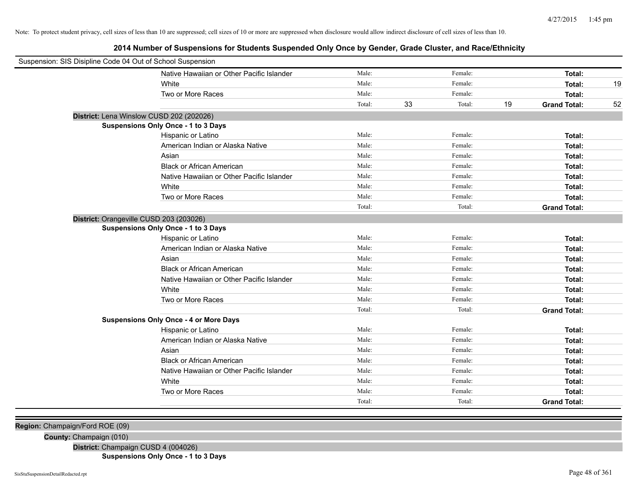**2014 Number of Suspensions for Students Suspended Only Once by Gender, Grade Cluster, and Race/Ethnicity**

| Suspension: SIS Disipline Code 04 Out of School Suspension |                                               |        |    |         |    |                     |    |
|------------------------------------------------------------|-----------------------------------------------|--------|----|---------|----|---------------------|----|
|                                                            | Native Hawaiian or Other Pacific Islander     | Male:  |    | Female: |    | Total:              |    |
|                                                            | White                                         | Male:  |    | Female: |    | Total:              | 19 |
|                                                            | Two or More Races                             | Male:  |    | Female: |    | Total:              |    |
|                                                            |                                               | Total: | 33 | Total:  | 19 | <b>Grand Total:</b> | 52 |
| District: Lena Winslow CUSD 202 (202026)                   |                                               |        |    |         |    |                     |    |
|                                                            | Suspensions Only Once - 1 to 3 Days           |        |    |         |    |                     |    |
|                                                            | Hispanic or Latino                            | Male:  |    | Female: |    | Total:              |    |
|                                                            | American Indian or Alaska Native              | Male:  |    | Female: |    | Total:              |    |
|                                                            | Asian                                         | Male:  |    | Female: |    | Total:              |    |
|                                                            | <b>Black or African American</b>              | Male:  |    | Female: |    | Total:              |    |
|                                                            | Native Hawaiian or Other Pacific Islander     | Male:  |    | Female: |    | Total:              |    |
|                                                            | White                                         | Male:  |    | Female: |    | Total:              |    |
|                                                            | Two or More Races                             | Male:  |    | Female: |    | Total:              |    |
|                                                            |                                               | Total: |    | Total:  |    | <b>Grand Total:</b> |    |
| District: Orangeville CUSD 203 (203026)                    |                                               |        |    |         |    |                     |    |
|                                                            | Suspensions Only Once - 1 to 3 Days           |        |    |         |    |                     |    |
|                                                            | Hispanic or Latino                            | Male:  |    | Female: |    | Total:              |    |
|                                                            | American Indian or Alaska Native              | Male:  |    | Female: |    | Total:              |    |
|                                                            | Asian                                         | Male:  |    | Female: |    | Total:              |    |
|                                                            | <b>Black or African American</b>              | Male:  |    | Female: |    | Total:              |    |
|                                                            | Native Hawaiian or Other Pacific Islander     | Male:  |    | Female: |    | Total:              |    |
|                                                            | White                                         | Male:  |    | Female: |    | Total:              |    |
|                                                            | Two or More Races                             | Male:  |    | Female: |    | Total:              |    |
|                                                            |                                               | Total: |    | Total:  |    | <b>Grand Total:</b> |    |
|                                                            | <b>Suspensions Only Once - 4 or More Days</b> |        |    |         |    |                     |    |
|                                                            | Hispanic or Latino                            | Male:  |    | Female: |    | Total:              |    |
|                                                            | American Indian or Alaska Native              | Male:  |    | Female: |    | Total:              |    |
|                                                            | Asian                                         | Male:  |    | Female: |    | Total:              |    |
|                                                            | <b>Black or African American</b>              | Male:  |    | Female: |    | Total:              |    |
|                                                            | Native Hawaiian or Other Pacific Islander     | Male:  |    | Female: |    | Total:              |    |
|                                                            | White                                         | Male:  |    | Female: |    | Total:              |    |
|                                                            | Two or More Races                             | Male:  |    | Female: |    | Total:              |    |
|                                                            |                                               | Total: |    | Total:  |    | <b>Grand Total:</b> |    |
|                                                            |                                               |        |    |         |    |                     |    |

**Region:** Champaign/Ford ROE (09)

**County:** Champaign (010)

**District:** Champaign CUSD 4 (004026)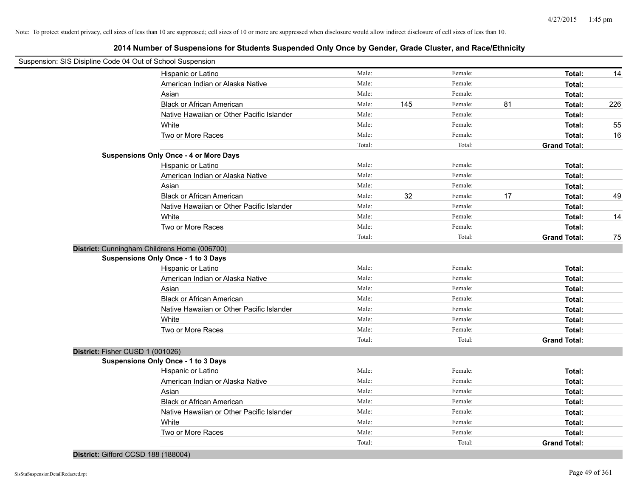|                                  | Suspension: SIS Disipline Code 04 Out of School Suspension |        |     |         |    |                     |     |
|----------------------------------|------------------------------------------------------------|--------|-----|---------|----|---------------------|-----|
|                                  | Hispanic or Latino                                         | Male:  |     | Female: |    | <b>Total:</b>       | 14  |
|                                  | American Indian or Alaska Native                           | Male:  |     | Female: |    | Total:              |     |
|                                  | Asian                                                      | Male:  |     | Female: |    | Total:              |     |
|                                  | <b>Black or African American</b>                           | Male:  | 145 | Female: | 81 | Total:              | 226 |
|                                  | Native Hawaiian or Other Pacific Islander                  | Male:  |     | Female: |    | Total:              |     |
|                                  | White                                                      | Male:  |     | Female: |    | Total:              | 55  |
|                                  | Two or More Races                                          | Male:  |     | Female: |    | Total:              | 16  |
|                                  |                                                            | Total: |     | Total:  |    | <b>Grand Total:</b> |     |
|                                  | <b>Suspensions Only Once - 4 or More Days</b>              |        |     |         |    |                     |     |
|                                  | Hispanic or Latino                                         | Male:  |     | Female: |    | Total:              |     |
|                                  | American Indian or Alaska Native                           | Male:  |     | Female: |    | Total:              |     |
|                                  | Asian                                                      | Male:  |     | Female: |    | Total:              |     |
|                                  | <b>Black or African American</b>                           | Male:  | 32  | Female: | 17 | Total:              | 49  |
|                                  | Native Hawaiian or Other Pacific Islander                  | Male:  |     | Female: |    | Total:              |     |
|                                  | White                                                      | Male:  |     | Female: |    | Total:              | 14  |
|                                  | Two or More Races                                          | Male:  |     | Female: |    | Total:              |     |
|                                  |                                                            | Total: |     | Total:  |    | <b>Grand Total:</b> | 75  |
|                                  | District: Cunningham Childrens Home (006700)               |        |     |         |    |                     |     |
|                                  | Suspensions Only Once - 1 to 3 Days                        |        |     |         |    |                     |     |
|                                  | Hispanic or Latino                                         | Male:  |     | Female: |    | Total:              |     |
|                                  | American Indian or Alaska Native                           | Male:  |     | Female: |    | Total:              |     |
|                                  | Asian                                                      | Male:  |     | Female: |    | Total:              |     |
|                                  | <b>Black or African American</b>                           | Male:  |     | Female: |    | Total:              |     |
|                                  | Native Hawaiian or Other Pacific Islander                  | Male:  |     | Female: |    | Total:              |     |
|                                  | White                                                      | Male:  |     | Female: |    | Total:              |     |
|                                  | Two or More Races                                          | Male:  |     | Female: |    | Total:              |     |
|                                  |                                                            | Total: |     | Total:  |    | <b>Grand Total:</b> |     |
| District: Fisher CUSD 1 (001026) |                                                            |        |     |         |    |                     |     |
|                                  | Suspensions Only Once - 1 to 3 Days                        |        |     |         |    |                     |     |
|                                  | Hispanic or Latino                                         | Male:  |     | Female: |    | Total:              |     |
|                                  | American Indian or Alaska Native                           | Male:  |     | Female: |    | Total:              |     |
|                                  | Asian                                                      | Male:  |     | Female: |    | Total:              |     |
|                                  | <b>Black or African American</b>                           | Male:  |     | Female: |    | Total:              |     |
|                                  | Native Hawaiian or Other Pacific Islander                  | Male:  |     | Female: |    | Total:              |     |
|                                  | White                                                      | Male:  |     | Female: |    | Total:              |     |
|                                  | Two or More Races                                          | Male:  |     | Female: |    | Total:              |     |
|                                  |                                                            | Total: |     | Total:  |    | <b>Grand Total:</b> |     |
|                                  |                                                            |        |     |         |    |                     |     |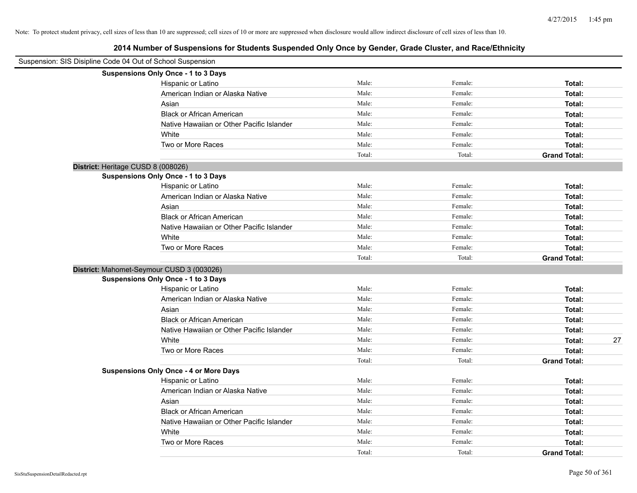| Suspension: SIS Disipline Code 04 Out of School Suspension |                                               |        |         |                     |    |
|------------------------------------------------------------|-----------------------------------------------|--------|---------|---------------------|----|
|                                                            | Suspensions Only Once - 1 to 3 Days           |        |         |                     |    |
|                                                            | Hispanic or Latino                            | Male:  | Female: | Total:              |    |
|                                                            | American Indian or Alaska Native              | Male:  | Female: | Total:              |    |
|                                                            | Asian                                         | Male:  | Female: | Total:              |    |
|                                                            | <b>Black or African American</b>              | Male:  | Female: | Total:              |    |
|                                                            | Native Hawaiian or Other Pacific Islander     | Male:  | Female: | Total:              |    |
|                                                            | White                                         | Male:  | Female: | Total:              |    |
|                                                            | Two or More Races                             | Male:  | Female: | Total:              |    |
|                                                            |                                               | Total: | Total:  | <b>Grand Total:</b> |    |
|                                                            | District: Heritage CUSD 8 (008026)            |        |         |                     |    |
|                                                            | Suspensions Only Once - 1 to 3 Days           |        |         |                     |    |
|                                                            | Hispanic or Latino                            | Male:  | Female: | Total:              |    |
|                                                            | American Indian or Alaska Native              | Male:  | Female: | Total:              |    |
|                                                            | Asian                                         | Male:  | Female: | Total:              |    |
|                                                            | <b>Black or African American</b>              | Male:  | Female: | Total:              |    |
|                                                            | Native Hawaiian or Other Pacific Islander     | Male:  | Female: | Total:              |    |
|                                                            | White                                         | Male:  | Female: | Total:              |    |
|                                                            | Two or More Races                             | Male:  | Female: | Total:              |    |
|                                                            |                                               | Total: | Total:  | <b>Grand Total:</b> |    |
|                                                            | District: Mahomet-Seymour CUSD 3 (003026)     |        |         |                     |    |
|                                                            | <b>Suspensions Only Once - 1 to 3 Days</b>    |        |         |                     |    |
|                                                            | Hispanic or Latino                            | Male:  | Female: | Total:              |    |
|                                                            | American Indian or Alaska Native              | Male:  | Female: | Total:              |    |
|                                                            | Asian                                         | Male:  | Female: | Total:              |    |
|                                                            | <b>Black or African American</b>              | Male:  | Female: | Total:              |    |
|                                                            | Native Hawaiian or Other Pacific Islander     | Male:  | Female: | Total:              |    |
|                                                            | White                                         | Male:  | Female: | Total:              | 27 |
|                                                            | Two or More Races                             | Male:  | Female: | Total:              |    |
|                                                            |                                               | Total: | Total:  | <b>Grand Total:</b> |    |
|                                                            | <b>Suspensions Only Once - 4 or More Days</b> |        |         |                     |    |
|                                                            | Hispanic or Latino                            | Male:  | Female: | Total:              |    |
|                                                            | American Indian or Alaska Native              | Male:  | Female: | Total:              |    |
|                                                            | Asian                                         | Male:  | Female: | Total:              |    |
|                                                            | <b>Black or African American</b>              | Male:  | Female: | Total:              |    |
|                                                            | Native Hawaiian or Other Pacific Islander     | Male:  | Female: | Total:              |    |
|                                                            | White                                         | Male:  | Female: | Total:              |    |
|                                                            | Two or More Races                             | Male:  | Female: | Total:              |    |
|                                                            |                                               | Total: | Total:  | <b>Grand Total:</b> |    |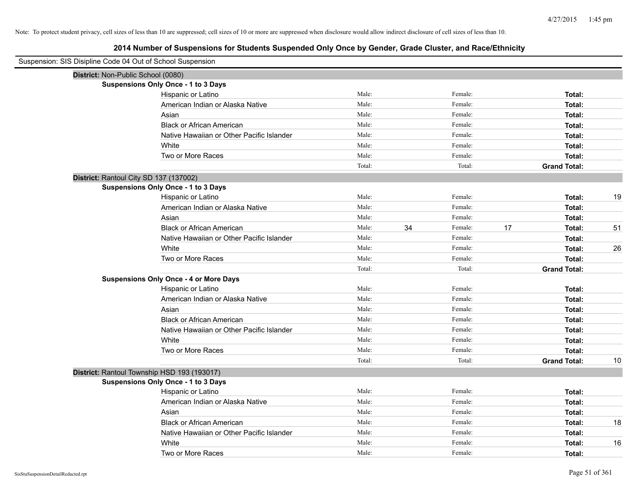| Suspension: SIS Disipline Code 04 Out of School Suspension |                                               |        |    |         |    |                     |    |
|------------------------------------------------------------|-----------------------------------------------|--------|----|---------|----|---------------------|----|
| District: Non-Public School (0080)                         |                                               |        |    |         |    |                     |    |
|                                                            | Suspensions Only Once - 1 to 3 Days           |        |    |         |    |                     |    |
|                                                            | Hispanic or Latino                            | Male:  |    | Female: |    | Total:              |    |
|                                                            | American Indian or Alaska Native              | Male:  |    | Female: |    | Total:              |    |
|                                                            | Asian                                         | Male:  |    | Female: |    | Total:              |    |
|                                                            | <b>Black or African American</b>              | Male:  |    | Female: |    | Total:              |    |
|                                                            | Native Hawaiian or Other Pacific Islander     | Male:  |    | Female: |    | Total:              |    |
|                                                            | White                                         | Male:  |    | Female: |    | Total:              |    |
|                                                            | Two or More Races                             | Male:  |    | Female: |    | Total:              |    |
|                                                            |                                               | Total: |    | Total:  |    | <b>Grand Total:</b> |    |
| District: Rantoul City SD 137 (137002)                     |                                               |        |    |         |    |                     |    |
|                                                            | Suspensions Only Once - 1 to 3 Days           |        |    |         |    |                     |    |
|                                                            | Hispanic or Latino                            | Male:  |    | Female: |    | Total:              | 19 |
|                                                            | American Indian or Alaska Native              | Male:  |    | Female: |    | Total:              |    |
|                                                            | Asian                                         | Male:  |    | Female: |    | Total:              |    |
|                                                            | <b>Black or African American</b>              | Male:  | 34 | Female: | 17 | Total:              | 51 |
|                                                            | Native Hawaiian or Other Pacific Islander     | Male:  |    | Female: |    | Total:              |    |
|                                                            | White                                         | Male:  |    | Female: |    | Total:              | 26 |
|                                                            | Two or More Races                             | Male:  |    | Female: |    | Total:              |    |
|                                                            |                                               | Total: |    | Total:  |    | <b>Grand Total:</b> |    |
|                                                            | <b>Suspensions Only Once - 4 or More Days</b> |        |    |         |    |                     |    |
|                                                            | Hispanic or Latino                            | Male:  |    | Female: |    | Total:              |    |
|                                                            | American Indian or Alaska Native              | Male:  |    | Female: |    | Total:              |    |
|                                                            | Asian                                         | Male:  |    | Female: |    | Total:              |    |
|                                                            | <b>Black or African American</b>              | Male:  |    | Female: |    | Total:              |    |
|                                                            | Native Hawaiian or Other Pacific Islander     | Male:  |    | Female: |    | Total:              |    |
|                                                            | White                                         | Male:  |    | Female: |    | Total:              |    |
|                                                            | Two or More Races                             | Male:  |    | Female: |    | Total:              |    |
|                                                            |                                               | Total: |    | Total:  |    | <b>Grand Total:</b> | 10 |
|                                                            | District: Rantoul Township HSD 193 (193017)   |        |    |         |    |                     |    |
|                                                            | Suspensions Only Once - 1 to 3 Days           |        |    |         |    |                     |    |
|                                                            | Hispanic or Latino                            | Male:  |    | Female: |    | Total:              |    |
|                                                            | American Indian or Alaska Native              | Male:  |    | Female: |    | Total:              |    |
|                                                            | Asian                                         | Male:  |    | Female: |    | Total:              |    |
|                                                            | <b>Black or African American</b>              | Male:  |    | Female: |    | Total:              | 18 |
|                                                            | Native Hawaiian or Other Pacific Islander     | Male:  |    | Female: |    | Total:              |    |
|                                                            | White                                         | Male:  |    | Female: |    | Total:              | 16 |
|                                                            | Two or More Races                             | Male:  |    | Female: |    | Total:              |    |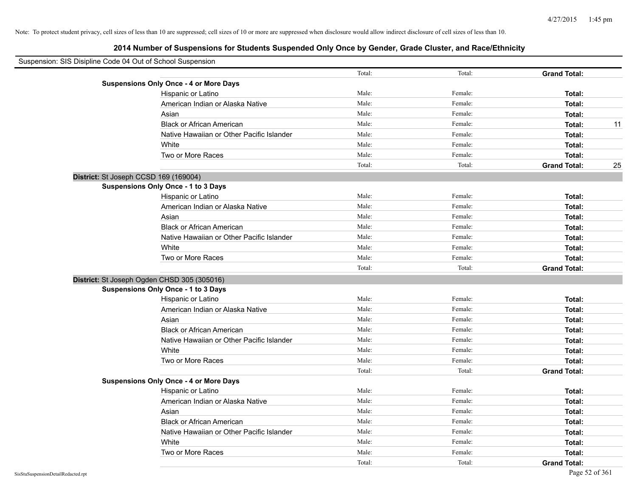| Suspension: SIS Disipline Code 04 Out of School Suspension |                                               |        |         |                     |    |
|------------------------------------------------------------|-----------------------------------------------|--------|---------|---------------------|----|
|                                                            |                                               | Total: | Total:  | <b>Grand Total:</b> |    |
|                                                            | <b>Suspensions Only Once - 4 or More Days</b> |        |         |                     |    |
|                                                            | Hispanic or Latino                            | Male:  | Female: | Total:              |    |
|                                                            | American Indian or Alaska Native              | Male:  | Female: | Total:              |    |
|                                                            | Asian                                         | Male:  | Female: | Total:              |    |
|                                                            | <b>Black or African American</b>              | Male:  | Female: | Total:              | 11 |
|                                                            | Native Hawaiian or Other Pacific Islander     | Male:  | Female: | Total:              |    |
|                                                            | White                                         | Male:  | Female: | Total:              |    |
|                                                            | Two or More Races                             | Male:  | Female: | Total:              |    |
|                                                            |                                               | Total: | Total:  | <b>Grand Total:</b> | 25 |
|                                                            | District: St Joseph CCSD 169 (169004)         |        |         |                     |    |
|                                                            | Suspensions Only Once - 1 to 3 Days           |        |         |                     |    |
|                                                            | Hispanic or Latino                            | Male:  | Female: | Total:              |    |
|                                                            | American Indian or Alaska Native              | Male:  | Female: | Total:              |    |
|                                                            | Asian                                         | Male:  | Female: | Total:              |    |
|                                                            | <b>Black or African American</b>              | Male:  | Female: | Total:              |    |
|                                                            | Native Hawaiian or Other Pacific Islander     | Male:  | Female: | Total:              |    |
|                                                            | White                                         | Male:  | Female: | Total:              |    |
|                                                            | Two or More Races                             | Male:  | Female: | Total:              |    |
|                                                            |                                               | Total: | Total:  | <b>Grand Total:</b> |    |
|                                                            | District: St Joseph Ogden CHSD 305 (305016)   |        |         |                     |    |
|                                                            | Suspensions Only Once - 1 to 3 Days           |        |         |                     |    |
|                                                            | Hispanic or Latino                            | Male:  | Female: | Total:              |    |
|                                                            | American Indian or Alaska Native              | Male:  | Female: | Total:              |    |
|                                                            | Asian                                         | Male:  | Female: | Total:              |    |
|                                                            | <b>Black or African American</b>              | Male:  | Female: | Total:              |    |
|                                                            | Native Hawaiian or Other Pacific Islander     | Male:  | Female: | Total:              |    |
|                                                            | White                                         | Male:  | Female: | Total:              |    |
|                                                            | Two or More Races                             | Male:  | Female: | Total:              |    |
|                                                            |                                               | Total: | Total:  | <b>Grand Total:</b> |    |
|                                                            | <b>Suspensions Only Once - 4 or More Days</b> |        |         |                     |    |
|                                                            | Hispanic or Latino                            | Male:  | Female: | Total:              |    |
|                                                            | American Indian or Alaska Native              | Male:  | Female: | Total:              |    |
|                                                            | Asian                                         | Male:  | Female: | Total:              |    |
|                                                            | <b>Black or African American</b>              | Male:  | Female: | Total:              |    |
|                                                            | Native Hawaiian or Other Pacific Islander     | Male:  | Female: | Total:              |    |
|                                                            | White                                         | Male:  | Female: | Total:              |    |
|                                                            | Two or More Races                             | Male:  | Female: | Total:              |    |
|                                                            |                                               | Total: | Total:  | <b>Grand Total:</b> |    |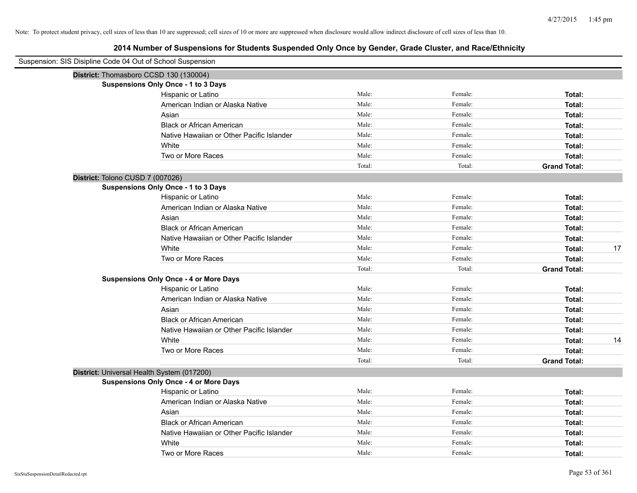| Suspension: SIS Disipline Code 04 Out of School Suspension |        |         |                     |
|------------------------------------------------------------|--------|---------|---------------------|
| District: Thomasboro CCSD 130 (130004)                     |        |         |                     |
| Suspensions Only Once - 1 to 3 Days                        |        |         |                     |
| Hispanic or Latino                                         | Male:  | Female: | Total:              |
| American Indian or Alaska Native                           | Male:  | Female: | Total:              |
| Asian                                                      | Male:  | Female: | Total:              |
| <b>Black or African American</b>                           | Male:  | Female: | Total:              |
| Native Hawaiian or Other Pacific Islander                  | Male:  | Female: | Total:              |
| White                                                      | Male:  | Female: | Total:              |
| Two or More Races                                          | Male:  | Female: | Total:              |
|                                                            | Total: | Total:  | <b>Grand Total:</b> |
| District: Tolono CUSD 7 (007026)                           |        |         |                     |
| Suspensions Only Once - 1 to 3 Days                        |        |         |                     |
| Hispanic or Latino                                         | Male:  | Female: | Total:              |
| American Indian or Alaska Native                           | Male:  | Female: | Total:              |
| Asian                                                      | Male:  | Female: | Total:              |
| <b>Black or African American</b>                           | Male:  | Female: | Total:              |
| Native Hawaiian or Other Pacific Islander                  | Male:  | Female: | Total:              |
| White                                                      | Male:  | Female: | 17<br>Total:        |
| Two or More Races                                          | Male:  | Female: | Total:              |
|                                                            | Total: | Total:  | <b>Grand Total:</b> |
| <b>Suspensions Only Once - 4 or More Days</b>              |        |         |                     |
| Hispanic or Latino                                         | Male:  | Female: | Total:              |
| American Indian or Alaska Native                           | Male:  | Female: | Total:              |
| Asian                                                      | Male:  | Female: | Total:              |
| <b>Black or African American</b>                           | Male:  | Female: | Total:              |
| Native Hawaiian or Other Pacific Islander                  | Male:  | Female: | Total:              |
| White                                                      | Male:  | Female: | Total:<br>14        |
| Two or More Races                                          | Male:  | Female: | Total:              |
|                                                            | Total: | Total:  | <b>Grand Total:</b> |
| District: Universal Health System (017200)                 |        |         |                     |
| <b>Suspensions Only Once - 4 or More Days</b>              |        |         |                     |
| Hispanic or Latino                                         | Male:  | Female: | Total:              |
| American Indian or Alaska Native                           | Male:  | Female: | Total:              |
| Asian                                                      | Male:  | Female: | Total:              |
| <b>Black or African American</b>                           | Male:  | Female: | Total:              |
| Native Hawaiian or Other Pacific Islander                  | Male:  | Female: | Total:              |
| White                                                      | Male:  | Female: | Total:              |
| Two or More Races                                          | Male:  | Female: | Total:              |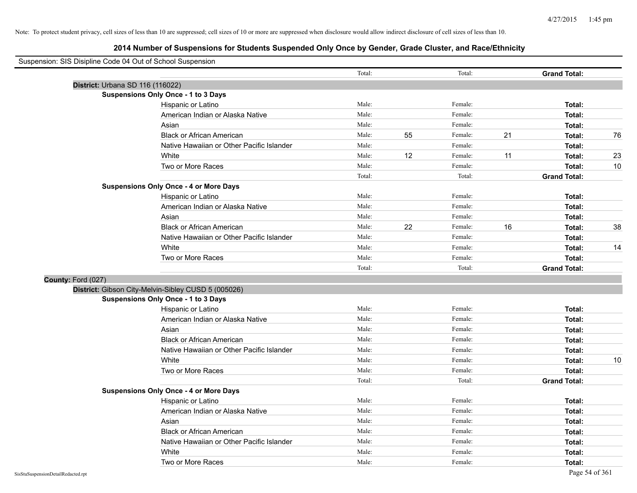| Suspension: SIS Disipline Code 04 Out of School Suspension |        |    |         |    |                     |    |
|------------------------------------------------------------|--------|----|---------|----|---------------------|----|
|                                                            | Total: |    | Total:  |    | <b>Grand Total:</b> |    |
| District: Urbana SD 116 (116022)                           |        |    |         |    |                     |    |
| <b>Suspensions Only Once - 1 to 3 Days</b>                 |        |    |         |    |                     |    |
| Hispanic or Latino                                         | Male:  |    | Female: |    | Total:              |    |
| American Indian or Alaska Native                           | Male:  |    | Female: |    | Total:              |    |
| Asian                                                      | Male:  |    | Female: |    | Total:              |    |
| <b>Black or African American</b>                           | Male:  | 55 | Female: | 21 | Total:              | 76 |
| Native Hawaiian or Other Pacific Islander                  | Male:  |    | Female: |    | Total:              |    |
| White                                                      | Male:  | 12 | Female: | 11 | Total:              | 23 |
| Two or More Races                                          | Male:  |    | Female: |    | Total:              | 10 |
|                                                            | Total: |    | Total:  |    | <b>Grand Total:</b> |    |
| <b>Suspensions Only Once - 4 or More Days</b>              |        |    |         |    |                     |    |
| Hispanic or Latino                                         | Male:  |    | Female: |    | Total:              |    |
| American Indian or Alaska Native                           | Male:  |    | Female: |    | Total:              |    |
| Asian                                                      | Male:  |    | Female: |    | Total:              |    |
| <b>Black or African American</b>                           | Male:  | 22 | Female: | 16 | Total:              | 38 |
| Native Hawaiian or Other Pacific Islander                  | Male:  |    | Female: |    | Total:              |    |
| White                                                      | Male:  |    | Female: |    | Total:              | 14 |
| Two or More Races                                          | Male:  |    | Female: |    | Total:              |    |
|                                                            | Total: |    | Total:  |    | <b>Grand Total:</b> |    |
| County: Ford (027)                                         |        |    |         |    |                     |    |
| District: Gibson City-Melvin-Sibley CUSD 5 (005026)        |        |    |         |    |                     |    |
| <b>Suspensions Only Once - 1 to 3 Days</b>                 |        |    |         |    |                     |    |
| Hispanic or Latino                                         | Male:  |    | Female: |    | Total:              |    |
| American Indian or Alaska Native                           | Male:  |    | Female: |    | Total:              |    |
| Asian                                                      | Male:  |    | Female: |    | Total:              |    |
| <b>Black or African American</b>                           | Male:  |    | Female: |    | Total:              |    |
| Native Hawaiian or Other Pacific Islander                  | Male:  |    | Female: |    | Total:              |    |
| White                                                      | Male:  |    | Female: |    | Total:              | 10 |
| Two or More Races                                          | Male:  |    | Female: |    | Total:              |    |
|                                                            | Total: |    | Total:  |    | <b>Grand Total:</b> |    |
| <b>Suspensions Only Once - 4 or More Days</b>              |        |    |         |    |                     |    |
| Hispanic or Latino                                         | Male:  |    | Female: |    | Total:              |    |
| American Indian or Alaska Native                           | Male:  |    | Female: |    | Total:              |    |
| Asian                                                      | Male:  |    | Female: |    | Total:              |    |
| <b>Black or African American</b>                           | Male:  |    | Female: |    | Total:              |    |
| Native Hawaiian or Other Pacific Islander                  | Male:  |    | Female: |    | Total:              |    |
| White                                                      | Male:  |    | Female: |    | Total:              |    |
| Two or More Races                                          | Male:  |    | Female: |    | Total:              |    |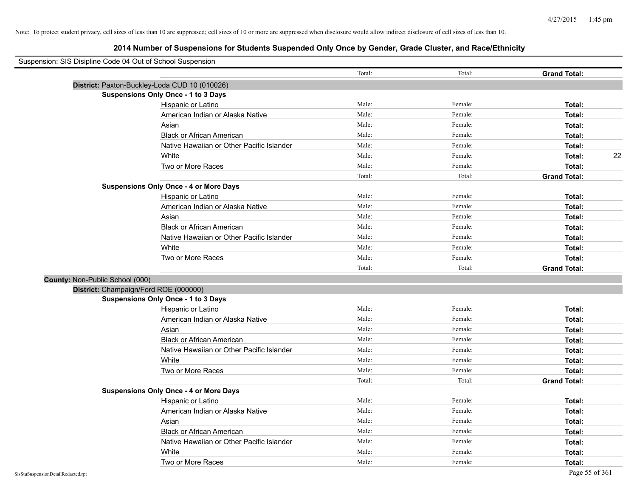| Suspension: SIS Disipline Code 04 Out of School Suspension |        |         |                     |
|------------------------------------------------------------|--------|---------|---------------------|
|                                                            | Total: | Total:  | <b>Grand Total:</b> |
| District: Paxton-Buckley-Loda CUD 10 (010026)              |        |         |                     |
| <b>Suspensions Only Once - 1 to 3 Days</b>                 |        |         |                     |
| Hispanic or Latino                                         | Male:  | Female: | Total:              |
| American Indian or Alaska Native                           | Male:  | Female: | Total:              |
| Asian                                                      | Male:  | Female: | Total:              |
| <b>Black or African American</b>                           | Male:  | Female: | Total:              |
| Native Hawaiian or Other Pacific Islander                  | Male:  | Female: | Total:              |
| White                                                      | Male:  | Female: | 22<br>Total:        |
| Two or More Races                                          | Male:  | Female: | Total:              |
|                                                            | Total: | Total:  | <b>Grand Total:</b> |
| <b>Suspensions Only Once - 4 or More Days</b>              |        |         |                     |
| Hispanic or Latino                                         | Male:  | Female: | Total:              |
| American Indian or Alaska Native                           | Male:  | Female: | Total:              |
| Asian                                                      | Male:  | Female: | Total:              |
| <b>Black or African American</b>                           | Male:  | Female: | Total:              |
| Native Hawaiian or Other Pacific Islander                  | Male:  | Female: | Total:              |
| White                                                      | Male:  | Female: | Total:              |
| Two or More Races                                          | Male:  | Female: | Total:              |
|                                                            | Total: | Total:  | <b>Grand Total:</b> |
| County: Non-Public School (000)                            |        |         |                     |
| District: Champaign/Ford ROE (000000)                      |        |         |                     |
| <b>Suspensions Only Once - 1 to 3 Days</b>                 |        |         |                     |
| Hispanic or Latino                                         | Male:  | Female: | Total:              |
| American Indian or Alaska Native                           | Male:  | Female: | Total:              |
| Asian                                                      | Male:  | Female: | Total:              |
| <b>Black or African American</b>                           | Male:  | Female: | Total:              |
| Native Hawaiian or Other Pacific Islander                  | Male:  | Female: | Total:              |
| White                                                      | Male:  | Female: | Total:              |
| Two or More Races                                          | Male:  | Female: | Total:              |
|                                                            | Total: | Total:  | <b>Grand Total:</b> |
| <b>Suspensions Only Once - 4 or More Days</b>              |        |         |                     |
| Hispanic or Latino                                         | Male:  | Female: | Total:              |
| American Indian or Alaska Native                           | Male:  | Female: | Total:              |
| Asian                                                      | Male:  | Female: | Total:              |
| <b>Black or African American</b>                           | Male:  | Female: | Total:              |
| Native Hawaiian or Other Pacific Islander                  | Male:  | Female: | Total:              |
| White                                                      | Male:  | Female: | Total:              |
| Two or More Races                                          | Male:  | Female: | Total:              |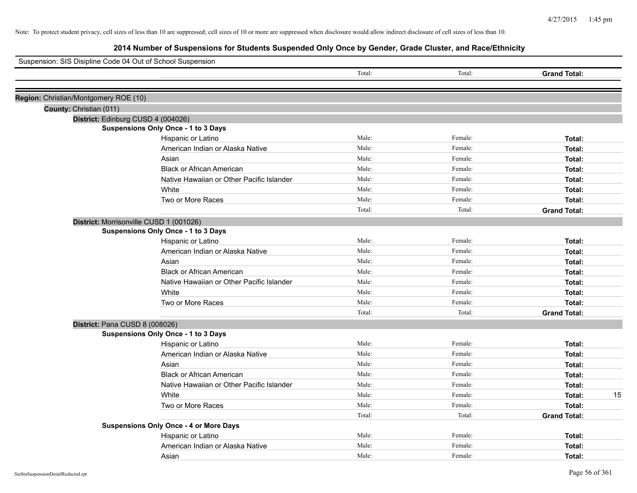| Suspension: SIS Disipline Code 04 Out of School Suspension |                                               |        |         |                     |    |
|------------------------------------------------------------|-----------------------------------------------|--------|---------|---------------------|----|
|                                                            |                                               | Total: | Total:  | <b>Grand Total:</b> |    |
| Region: Christian/Montgomery ROE (10)                      |                                               |        |         |                     |    |
| County: Christian (011)                                    |                                               |        |         |                     |    |
|                                                            | District: Edinburg CUSD 4 (004026)            |        |         |                     |    |
|                                                            | <b>Suspensions Only Once - 1 to 3 Days</b>    |        |         |                     |    |
|                                                            | Hispanic or Latino                            | Male:  | Female: | Total:              |    |
|                                                            | American Indian or Alaska Native              | Male:  | Female: | Total:              |    |
|                                                            | Asian                                         | Male:  | Female: | Total:              |    |
|                                                            | <b>Black or African American</b>              | Male:  | Female: | Total:              |    |
|                                                            | Native Hawaiian or Other Pacific Islander     | Male:  | Female: | Total:              |    |
|                                                            | White                                         | Male:  | Female: | Total:              |    |
|                                                            | Two or More Races                             | Male:  | Female: | Total:              |    |
|                                                            |                                               | Total: | Total:  | <b>Grand Total:</b> |    |
|                                                            | District: Morrisonville CUSD 1 (001026)       |        |         |                     |    |
|                                                            | <b>Suspensions Only Once - 1 to 3 Days</b>    |        |         |                     |    |
|                                                            | Hispanic or Latino                            | Male:  | Female: | Total:              |    |
|                                                            | American Indian or Alaska Native              | Male:  | Female: | Total:              |    |
|                                                            | Asian                                         | Male:  | Female: | Total:              |    |
|                                                            | <b>Black or African American</b>              | Male:  | Female: | Total:              |    |
|                                                            | Native Hawaiian or Other Pacific Islander     | Male:  | Female: | Total:              |    |
|                                                            | White                                         | Male:  | Female: | Total:              |    |
|                                                            | Two or More Races                             | Male:  | Female: | Total:              |    |
|                                                            |                                               | Total: | Total:  | <b>Grand Total:</b> |    |
|                                                            | District: Pana CUSD 8 (008026)                |        |         |                     |    |
|                                                            | <b>Suspensions Only Once - 1 to 3 Days</b>    |        |         |                     |    |
|                                                            | Hispanic or Latino                            | Male:  | Female: | Total:              |    |
|                                                            | American Indian or Alaska Native              | Male:  | Female: | Total:              |    |
|                                                            | Asian                                         | Male:  | Female: | Total:              |    |
|                                                            | <b>Black or African American</b>              | Male:  | Female: | Total:              |    |
|                                                            | Native Hawaiian or Other Pacific Islander     | Male:  | Female: | Total:              |    |
|                                                            | White                                         | Male:  | Female: | Total:              | 15 |
|                                                            | Two or More Races                             | Male:  | Female: | Total:              |    |
|                                                            |                                               | Total: | Total:  | <b>Grand Total:</b> |    |
|                                                            | <b>Suspensions Only Once - 4 or More Days</b> |        |         |                     |    |
|                                                            | Hispanic or Latino                            | Male:  | Female: | Total:              |    |
|                                                            | American Indian or Alaska Native              | Male:  | Female: | Total:              |    |
|                                                            | Asian                                         | Male:  | Female: | Total:              |    |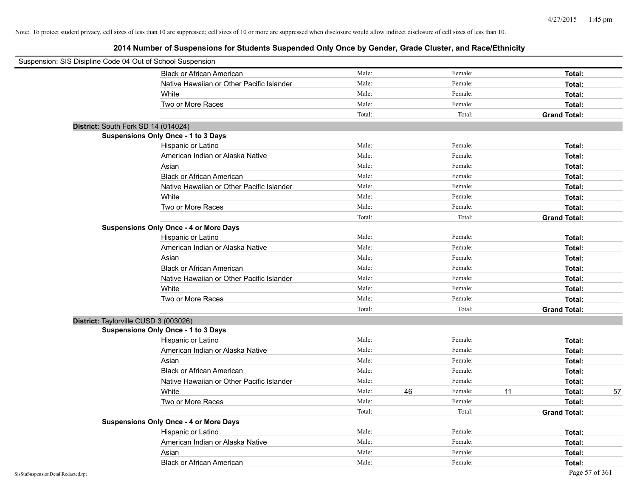| Suspension: SIS Disipline Code 04 Out of School Suspension |                                               |        |    |         |    |                     |    |
|------------------------------------------------------------|-----------------------------------------------|--------|----|---------|----|---------------------|----|
|                                                            | <b>Black or African American</b>              | Male:  |    | Female: |    | Total:              |    |
|                                                            | Native Hawaiian or Other Pacific Islander     | Male:  |    | Female: |    | Total:              |    |
|                                                            | White                                         | Male:  |    | Female: |    | Total:              |    |
|                                                            | Two or More Races                             | Male:  |    | Female: |    | Total:              |    |
|                                                            |                                               | Total: |    | Total:  |    | <b>Grand Total:</b> |    |
| District: South Fork SD 14 (014024)                        |                                               |        |    |         |    |                     |    |
|                                                            | Suspensions Only Once - 1 to 3 Days           |        |    |         |    |                     |    |
|                                                            | Hispanic or Latino                            | Male:  |    | Female: |    | Total:              |    |
|                                                            | American Indian or Alaska Native              | Male:  |    | Female: |    | Total:              |    |
|                                                            | Asian                                         | Male:  |    | Female: |    | Total:              |    |
|                                                            | <b>Black or African American</b>              | Male:  |    | Female: |    | Total:              |    |
|                                                            | Native Hawaiian or Other Pacific Islander     | Male:  |    | Female: |    | Total:              |    |
|                                                            | White                                         | Male:  |    | Female: |    | Total:              |    |
|                                                            | Two or More Races                             | Male:  |    | Female: |    | Total:              |    |
|                                                            |                                               | Total: |    | Total:  |    | <b>Grand Total:</b> |    |
|                                                            | <b>Suspensions Only Once - 4 or More Days</b> |        |    |         |    |                     |    |
|                                                            | Hispanic or Latino                            | Male:  |    | Female: |    | Total:              |    |
|                                                            | American Indian or Alaska Native              | Male:  |    | Female: |    | Total:              |    |
|                                                            | Asian                                         | Male:  |    | Female: |    | Total:              |    |
|                                                            | <b>Black or African American</b>              | Male:  |    | Female: |    | Total:              |    |
|                                                            | Native Hawaiian or Other Pacific Islander     | Male:  |    | Female: |    | Total:              |    |
|                                                            | White                                         | Male:  |    | Female: |    | Total:              |    |
|                                                            | Two or More Races                             | Male:  |    | Female: |    | Total:              |    |
|                                                            |                                               | Total: |    | Total:  |    | <b>Grand Total:</b> |    |
| District: Taylorville CUSD 3 (003026)                      |                                               |        |    |         |    |                     |    |
|                                                            | <b>Suspensions Only Once - 1 to 3 Days</b>    |        |    |         |    |                     |    |
|                                                            | Hispanic or Latino                            | Male:  |    | Female: |    | Total:              |    |
|                                                            | American Indian or Alaska Native              | Male:  |    | Female: |    | Total:              |    |
|                                                            | Asian                                         | Male:  |    | Female: |    | Total:              |    |
|                                                            | <b>Black or African American</b>              | Male:  |    | Female: |    | Total:              |    |
|                                                            | Native Hawaiian or Other Pacific Islander     | Male:  |    | Female: |    | Total:              |    |
|                                                            | White                                         | Male:  | 46 | Female: | 11 | Total:              | 57 |
|                                                            | Two or More Races                             | Male:  |    | Female: |    | Total:              |    |
|                                                            |                                               | Total: |    | Total:  |    | <b>Grand Total:</b> |    |
|                                                            | <b>Suspensions Only Once - 4 or More Days</b> |        |    |         |    |                     |    |
|                                                            | Hispanic or Latino                            | Male:  |    | Female: |    | Total:              |    |
|                                                            | American Indian or Alaska Native              | Male:  |    | Female: |    | Total:              |    |
|                                                            | Asian                                         | Male:  |    | Female: |    | Total:              |    |
|                                                            | <b>Black or African American</b>              | Male:  |    | Female: |    | Total:              |    |
| SisStuSuspensionDetailRedacted.rpt                         |                                               |        |    |         |    | Page 57 of 361      |    |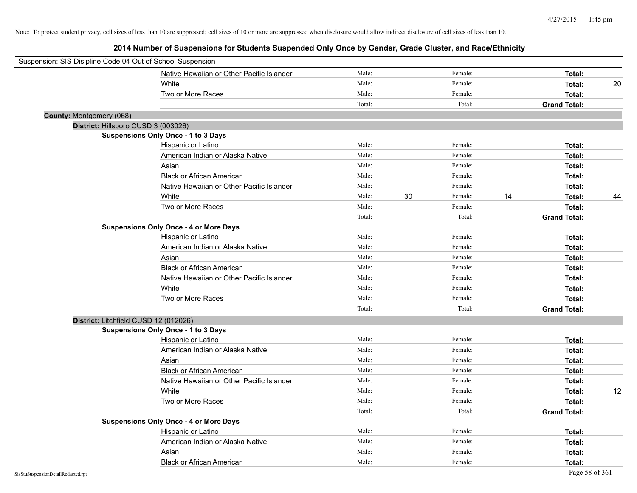| Suspension: SIS Disipline Code 04 Out of School Suspension |                                               |        |    |         |    |                     |    |
|------------------------------------------------------------|-----------------------------------------------|--------|----|---------|----|---------------------|----|
|                                                            | Native Hawaiian or Other Pacific Islander     | Male:  |    | Female: |    | Total:              |    |
|                                                            | White                                         | Male:  |    | Female: |    | Total:              | 20 |
|                                                            | Two or More Races                             | Male:  |    | Female: |    | Total:              |    |
|                                                            |                                               | Total: |    | Total:  |    | <b>Grand Total:</b> |    |
| County: Montgomery (068)                                   |                                               |        |    |         |    |                     |    |
| District: Hillsboro CUSD 3 (003026)                        |                                               |        |    |         |    |                     |    |
|                                                            | <b>Suspensions Only Once - 1 to 3 Days</b>    |        |    |         |    |                     |    |
|                                                            | Hispanic or Latino                            | Male:  |    | Female: |    | Total:              |    |
|                                                            | American Indian or Alaska Native              | Male:  |    | Female: |    | Total:              |    |
|                                                            | Asian                                         | Male:  |    | Female: |    | Total:              |    |
|                                                            | <b>Black or African American</b>              | Male:  |    | Female: |    | Total:              |    |
|                                                            | Native Hawaiian or Other Pacific Islander     | Male:  |    | Female: |    | Total:              |    |
|                                                            | White                                         | Male:  | 30 | Female: | 14 | Total:              | 44 |
|                                                            | Two or More Races                             | Male:  |    | Female: |    | Total:              |    |
|                                                            |                                               | Total: |    | Total:  |    | <b>Grand Total:</b> |    |
|                                                            | <b>Suspensions Only Once - 4 or More Days</b> |        |    |         |    |                     |    |
|                                                            | Hispanic or Latino                            | Male:  |    | Female: |    | Total:              |    |
|                                                            | American Indian or Alaska Native              | Male:  |    | Female: |    | Total:              |    |
|                                                            | Asian                                         | Male:  |    | Female: |    | Total:              |    |
|                                                            | <b>Black or African American</b>              | Male:  |    | Female: |    | Total:              |    |
|                                                            | Native Hawaiian or Other Pacific Islander     | Male:  |    | Female: |    | Total:              |    |
|                                                            | White                                         | Male:  |    | Female: |    | Total:              |    |
|                                                            | Two or More Races                             | Male:  |    | Female: |    | Total:              |    |
|                                                            |                                               | Total: |    | Total:  |    | <b>Grand Total:</b> |    |
| District: Litchfield CUSD 12 (012026)                      |                                               |        |    |         |    |                     |    |
|                                                            | <b>Suspensions Only Once - 1 to 3 Days</b>    |        |    |         |    |                     |    |
|                                                            | Hispanic or Latino                            | Male:  |    | Female: |    | Total:              |    |
|                                                            | American Indian or Alaska Native              | Male:  |    | Female: |    | Total:              |    |
|                                                            | Asian                                         | Male:  |    | Female: |    | Total:              |    |
|                                                            | <b>Black or African American</b>              | Male:  |    | Female: |    | Total:              |    |
|                                                            | Native Hawaiian or Other Pacific Islander     | Male:  |    | Female: |    | Total:              |    |
|                                                            | White                                         | Male:  |    | Female: |    | Total:              | 12 |
|                                                            | Two or More Races                             | Male:  |    | Female: |    | Total:              |    |
|                                                            |                                               | Total: |    | Total:  |    | <b>Grand Total:</b> |    |
|                                                            | <b>Suspensions Only Once - 4 or More Days</b> |        |    |         |    |                     |    |
|                                                            | Hispanic or Latino                            | Male:  |    | Female: |    | Total:              |    |
|                                                            | American Indian or Alaska Native              | Male:  |    | Female: |    | Total:              |    |
|                                                            | Asian                                         | Male:  |    | Female: |    | Total:              |    |
|                                                            | <b>Black or African American</b>              | Male:  |    | Female: |    | Total:              |    |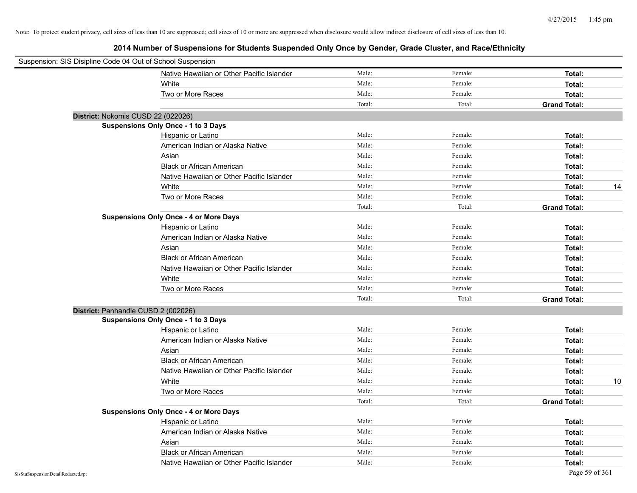| Suspension: SIS Disipline Code 04 Out of School Suspension |                                               |        |         |                     |
|------------------------------------------------------------|-----------------------------------------------|--------|---------|---------------------|
|                                                            | Native Hawaiian or Other Pacific Islander     | Male:  | Female: | Total:              |
|                                                            | White                                         | Male:  | Female: | Total:              |
|                                                            | Two or More Races                             | Male:  | Female: | Total:              |
|                                                            |                                               | Total: | Total:  | <b>Grand Total:</b> |
|                                                            | District: Nokomis CUSD 22 (022026)            |        |         |                     |
|                                                            | <b>Suspensions Only Once - 1 to 3 Days</b>    |        |         |                     |
|                                                            | Hispanic or Latino                            | Male:  | Female: | Total:              |
|                                                            | American Indian or Alaska Native              | Male:  | Female: | Total:              |
|                                                            | Asian                                         | Male:  | Female: | Total:              |
|                                                            | <b>Black or African American</b>              | Male:  | Female: | Total:              |
|                                                            | Native Hawaiian or Other Pacific Islander     | Male:  | Female: | Total:              |
|                                                            | White                                         | Male:  | Female: | 14<br>Total:        |
|                                                            | Two or More Races                             | Male:  | Female: | Total:              |
|                                                            |                                               | Total: | Total:  | <b>Grand Total:</b> |
|                                                            | <b>Suspensions Only Once - 4 or More Days</b> |        |         |                     |
|                                                            | Hispanic or Latino                            | Male:  | Female: | Total:              |
|                                                            | American Indian or Alaska Native              | Male:  | Female: | Total:              |
|                                                            | Asian                                         | Male:  | Female: | Total:              |
|                                                            | <b>Black or African American</b>              | Male:  | Female: | Total:              |
|                                                            | Native Hawaiian or Other Pacific Islander     | Male:  | Female: | Total:              |
|                                                            | White                                         | Male:  | Female: | Total:              |
|                                                            | Two or More Races                             | Male:  | Female: | Total:              |
|                                                            |                                               | Total: | Total:  | <b>Grand Total:</b> |
|                                                            | District: Panhandle CUSD 2 (002026)           |        |         |                     |
|                                                            | <b>Suspensions Only Once - 1 to 3 Days</b>    |        |         |                     |
|                                                            | Hispanic or Latino                            | Male:  | Female: | Total:              |
|                                                            | American Indian or Alaska Native              | Male:  | Female: | Total:              |
|                                                            | Asian                                         | Male:  | Female: | Total:              |
|                                                            | <b>Black or African American</b>              | Male:  | Female: | Total:              |
|                                                            | Native Hawaiian or Other Pacific Islander     | Male:  | Female: | Total:              |
|                                                            | White                                         | Male:  | Female: | Total:<br>10        |
|                                                            | Two or More Races                             | Male:  | Female: | Total:              |
|                                                            |                                               | Total: | Total:  | <b>Grand Total:</b> |
|                                                            | <b>Suspensions Only Once - 4 or More Days</b> |        |         |                     |
|                                                            | Hispanic or Latino                            | Male:  | Female: | Total:              |
|                                                            | American Indian or Alaska Native              | Male:  | Female: | Total:              |
|                                                            | Asian                                         | Male:  | Female: | Total:              |
|                                                            | <b>Black or African American</b>              | Male:  | Female: | Total:              |
|                                                            | Native Hawaiian or Other Pacific Islander     | Male:  | Female: | Total:              |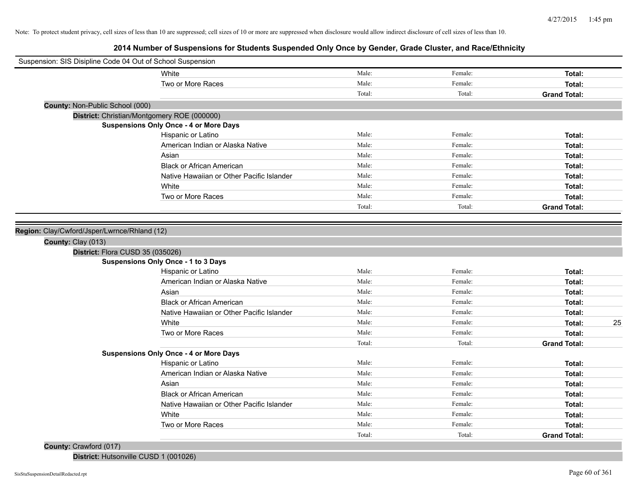# **2014 Number of Suspensions for Students Suspended Only Once by Gender, Grade Cluster, and Race/Ethnicity**

|                                              | Suspension: SIS Disipline Code 04 Out of School Suspension |        |         |                     |
|----------------------------------------------|------------------------------------------------------------|--------|---------|---------------------|
|                                              | White                                                      | Male:  | Female: | Total:              |
|                                              | Two or More Races                                          | Male:  | Female: | Total:              |
|                                              |                                                            | Total: | Total:  | <b>Grand Total:</b> |
| County: Non-Public School (000)              |                                                            |        |         |                     |
|                                              | District: Christian/Montgomery ROE (000000)                |        |         |                     |
|                                              | <b>Suspensions Only Once - 4 or More Days</b>              |        |         |                     |
|                                              | Hispanic or Latino                                         | Male:  | Female: | Total:              |
|                                              | American Indian or Alaska Native                           | Male:  | Female: | Total:              |
|                                              | Asian                                                      | Male:  | Female: | Total:              |
|                                              | <b>Black or African American</b>                           | Male:  | Female: | Total:              |
|                                              | Native Hawaiian or Other Pacific Islander                  | Male:  | Female: | Total:              |
|                                              | White                                                      | Male:  | Female: | Total:              |
|                                              | Two or More Races                                          | Male:  | Female: | Total:              |
|                                              |                                                            | Total: | Total:  | <b>Grand Total:</b> |
|                                              |                                                            |        |         |                     |
| Region: Clay/Cwford/Jsper/Lwrnce/Rhland (12) |                                                            |        |         |                     |
| County: Clay (013)                           |                                                            |        |         |                     |
|                                              | District: Flora CUSD 35 (035026)                           |        |         |                     |
|                                              | <b>Suspensions Only Once - 1 to 3 Days</b>                 |        |         |                     |
|                                              | Hispanic or Latino                                         | Male:  | Female: | Total:              |
|                                              | American Indian or Alaska Native                           | Male:  | Female: | Total:              |
|                                              | Asian                                                      | Male:  | Female: | Total:              |
|                                              | <b>Black or African American</b>                           | Male:  | Female: | Total:              |
|                                              | Native Hawaiian or Other Pacific Islander                  | Male:  | Female: | Total:              |
|                                              | White                                                      | Male:  | Female: | 25<br>Total:        |
|                                              | Two or More Races                                          | Male:  | Female: | Total:              |
|                                              |                                                            | Total: | Total:  | <b>Grand Total:</b> |
|                                              | <b>Suspensions Only Once - 4 or More Days</b>              |        |         |                     |
|                                              | Hispanic or Latino                                         | Male:  | Female: | Total:              |
|                                              | American Indian or Alaska Native                           | Male:  | Female: | Total:              |
|                                              | Asian                                                      | Male:  | Female: | Total:              |
|                                              | <b>Black or African American</b>                           | Male:  | Female: | Total:              |
|                                              | Native Hawaiian or Other Pacific Islander                  | Male:  | Female: | Total:              |
|                                              | White                                                      | Male:  | Female: | Total:              |
|                                              | Two or More Races                                          | Male:  | Female: | Total:              |
|                                              |                                                            | Total: | Total:  | <b>Grand Total:</b> |
|                                              |                                                            |        |         |                     |

## **County:** Crawford (017)

**District:** Hutsonville CUSD 1 (001026)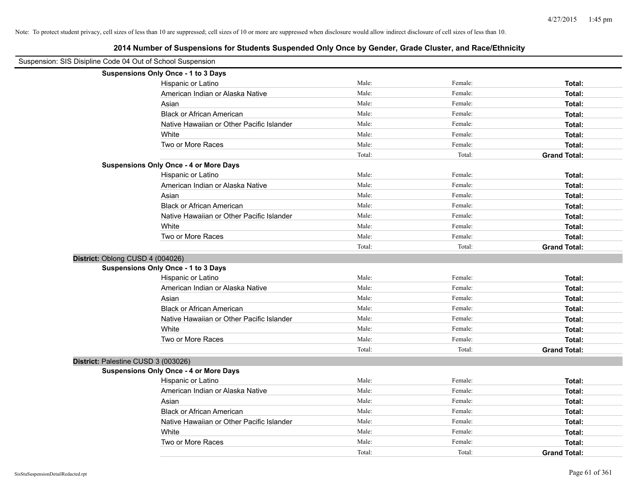| Suspension: SIS Disipline Code 04 Out of School Suspension |                                               |        |         |                     |
|------------------------------------------------------------|-----------------------------------------------|--------|---------|---------------------|
|                                                            | Suspensions Only Once - 1 to 3 Days           |        |         |                     |
|                                                            | Hispanic or Latino                            | Male:  | Female: | Total:              |
|                                                            | American Indian or Alaska Native              | Male:  | Female: | Total:              |
|                                                            | Asian                                         | Male:  | Female: | Total:              |
|                                                            | <b>Black or African American</b>              | Male:  | Female: | Total:              |
|                                                            | Native Hawaiian or Other Pacific Islander     | Male:  | Female: | Total:              |
|                                                            | White                                         | Male:  | Female: | Total:              |
|                                                            | Two or More Races                             | Male:  | Female: | Total:              |
|                                                            |                                               | Total: | Total:  | <b>Grand Total:</b> |
|                                                            | <b>Suspensions Only Once - 4 or More Days</b> |        |         |                     |
|                                                            | Hispanic or Latino                            | Male:  | Female: | Total:              |
|                                                            | American Indian or Alaska Native              | Male:  | Female: | Total:              |
|                                                            | Asian                                         | Male:  | Female: | Total:              |
|                                                            | <b>Black or African American</b>              | Male:  | Female: | Total:              |
|                                                            | Native Hawaiian or Other Pacific Islander     | Male:  | Female: | Total:              |
|                                                            | White                                         | Male:  | Female: | Total:              |
|                                                            | Two or More Races                             | Male:  | Female: | Total:              |
|                                                            |                                               | Total: | Total:  | <b>Grand Total:</b> |
| District: Oblong CUSD 4 (004026)                           |                                               |        |         |                     |
|                                                            | Suspensions Only Once - 1 to 3 Days           |        |         |                     |
|                                                            | Hispanic or Latino                            | Male:  | Female: | Total:              |
|                                                            | American Indian or Alaska Native              | Male:  | Female: | Total:              |
|                                                            | Asian                                         | Male:  | Female: | Total:              |
|                                                            | <b>Black or African American</b>              | Male:  | Female: | Total:              |
|                                                            | Native Hawaiian or Other Pacific Islander     | Male:  | Female: | Total:              |
|                                                            | White                                         | Male:  | Female: | Total:              |
|                                                            | Two or More Races                             | Male:  | Female: | Total:              |
|                                                            |                                               | Total: | Total:  | <b>Grand Total:</b> |
| District: Palestine CUSD 3 (003026)                        |                                               |        |         |                     |
|                                                            | <b>Suspensions Only Once - 4 or More Days</b> |        |         |                     |
|                                                            | Hispanic or Latino                            | Male:  | Female: | Total:              |
|                                                            | American Indian or Alaska Native              | Male:  | Female: | Total:              |
|                                                            | Asian                                         | Male:  | Female: | Total:              |
|                                                            | <b>Black or African American</b>              | Male:  | Female: | Total:              |
|                                                            | Native Hawaiian or Other Pacific Islander     | Male:  | Female: | Total:              |
|                                                            | White                                         | Male:  | Female: | Total:              |
|                                                            | Two or More Races                             | Male:  | Female: | Total:              |
|                                                            |                                               | Total: | Total:  | <b>Grand Total:</b> |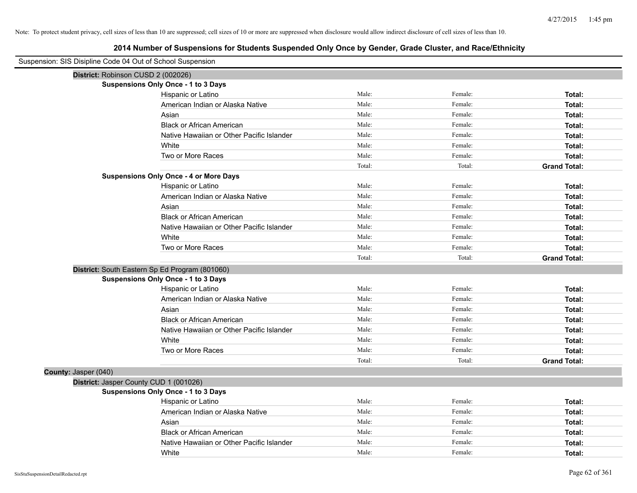| Suspension: SIS Disipline Code 04 Out of School Suspension |                                                |        |         |                     |
|------------------------------------------------------------|------------------------------------------------|--------|---------|---------------------|
| District: Robinson CUSD 2 (002026)                         |                                                |        |         |                     |
|                                                            | <b>Suspensions Only Once - 1 to 3 Days</b>     |        |         |                     |
|                                                            | Hispanic or Latino                             | Male:  | Female: | Total:              |
|                                                            | American Indian or Alaska Native               | Male:  | Female: | Total:              |
|                                                            | Asian                                          | Male:  | Female: | Total:              |
|                                                            | <b>Black or African American</b>               | Male:  | Female: | Total:              |
|                                                            | Native Hawaiian or Other Pacific Islander      | Male:  | Female: | Total:              |
|                                                            | White                                          | Male:  | Female: | Total:              |
|                                                            | Two or More Races                              | Male:  | Female: | Total:              |
|                                                            |                                                | Total: | Total:  | <b>Grand Total:</b> |
|                                                            | <b>Suspensions Only Once - 4 or More Days</b>  |        |         |                     |
|                                                            | Hispanic or Latino                             | Male:  | Female: | Total:              |
|                                                            | American Indian or Alaska Native               | Male:  | Female: | Total:              |
|                                                            | Asian                                          | Male:  | Female: | Total:              |
|                                                            | <b>Black or African American</b>               | Male:  | Female: | Total:              |
|                                                            | Native Hawaiian or Other Pacific Islander      | Male:  | Female: | Total:              |
|                                                            | White                                          | Male:  | Female: | Total:              |
|                                                            | Two or More Races                              | Male:  | Female: | Total:              |
|                                                            |                                                | Total: | Total:  | <b>Grand Total:</b> |
|                                                            | District: South Eastern Sp Ed Program (801060) |        |         |                     |
|                                                            | <b>Suspensions Only Once - 1 to 3 Days</b>     |        |         |                     |
|                                                            | Hispanic or Latino                             | Male:  | Female: | Total:              |
|                                                            | American Indian or Alaska Native               | Male:  | Female: | Total:              |
|                                                            | Asian                                          | Male:  | Female: | Total:              |
|                                                            | <b>Black or African American</b>               | Male:  | Female: | Total:              |
|                                                            | Native Hawaiian or Other Pacific Islander      | Male:  | Female: | Total:              |
|                                                            | White                                          | Male:  | Female: | Total:              |
|                                                            | Two or More Races                              | Male:  | Female: | Total:              |
|                                                            |                                                | Total: | Total:  | <b>Grand Total:</b> |
| County: Jasper (040)                                       |                                                |        |         |                     |
|                                                            | District: Jasper County CUD 1 (001026)         |        |         |                     |
|                                                            | <b>Suspensions Only Once - 1 to 3 Days</b>     |        |         |                     |
|                                                            | Hispanic or Latino                             | Male:  | Female: | Total:              |
|                                                            | American Indian or Alaska Native               | Male:  | Female: | Total:              |
|                                                            | Asian                                          | Male:  | Female: | Total:              |
|                                                            | <b>Black or African American</b>               | Male:  | Female: | Total:              |
|                                                            | Native Hawaiian or Other Pacific Islander      | Male:  | Female: | Total:              |
|                                                            | White                                          | Male:  | Female: | Total:              |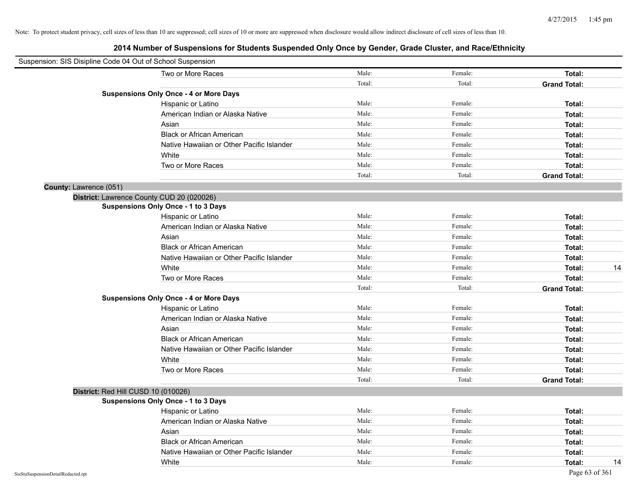| Suspension: SIS Disipline Code 04 Out of School Suspension |                                               |        |         |                     |    |
|------------------------------------------------------------|-----------------------------------------------|--------|---------|---------------------|----|
|                                                            | Two or More Races                             | Male:  | Female: | Total:              |    |
|                                                            |                                               | Total: | Total:  | <b>Grand Total:</b> |    |
|                                                            | <b>Suspensions Only Once - 4 or More Days</b> |        |         |                     |    |
|                                                            | Hispanic or Latino                            | Male:  | Female: | Total:              |    |
|                                                            | American Indian or Alaska Native              | Male:  | Female: | Total:              |    |
|                                                            | Asian                                         | Male:  | Female: | Total:              |    |
|                                                            | <b>Black or African American</b>              | Male:  | Female: | Total:              |    |
|                                                            | Native Hawaiian or Other Pacific Islander     | Male:  | Female: | Total:              |    |
|                                                            | White                                         | Male:  | Female: | Total:              |    |
|                                                            | Two or More Races                             | Male:  | Female: | Total:              |    |
|                                                            |                                               | Total: | Total:  | <b>Grand Total:</b> |    |
| County: Lawrence (051)                                     |                                               |        |         |                     |    |
|                                                            | District: Lawrence County CUD 20 (020026)     |        |         |                     |    |
|                                                            | Suspensions Only Once - 1 to 3 Days           |        |         |                     |    |
|                                                            | Hispanic or Latino                            | Male:  | Female: | Total:              |    |
|                                                            | American Indian or Alaska Native              | Male:  | Female: | Total:              |    |
|                                                            | Asian                                         | Male:  | Female: | Total:              |    |
|                                                            | <b>Black or African American</b>              | Male:  | Female: | Total:              |    |
|                                                            | Native Hawaiian or Other Pacific Islander     | Male:  | Female: | Total:              |    |
|                                                            | White                                         | Male:  | Female: | Total:              | 14 |
|                                                            | Two or More Races                             | Male:  | Female: | Total:              |    |
|                                                            |                                               | Total: | Total:  | <b>Grand Total:</b> |    |
|                                                            | <b>Suspensions Only Once - 4 or More Days</b> |        |         |                     |    |
|                                                            | Hispanic or Latino                            | Male:  | Female: | Total:              |    |
|                                                            | American Indian or Alaska Native              | Male:  | Female: | Total:              |    |
|                                                            | Asian                                         | Male:  | Female: | Total:              |    |
|                                                            | <b>Black or African American</b>              | Male:  | Female: | Total:              |    |
|                                                            | Native Hawaiian or Other Pacific Islander     | Male:  | Female: | Total:              |    |
|                                                            | White                                         | Male:  | Female: | Total:              |    |
|                                                            | Two or More Races                             | Male:  | Female: | Total:              |    |
|                                                            |                                               | Total: | Total:  | <b>Grand Total:</b> |    |
| District: Red Hill CUSD 10 (010026)                        |                                               |        |         |                     |    |
|                                                            | Suspensions Only Once - 1 to 3 Days           |        |         |                     |    |
|                                                            | Hispanic or Latino                            | Male:  | Female: | Total:              |    |
|                                                            | American Indian or Alaska Native              | Male:  | Female: | Total:              |    |
|                                                            | Asian                                         | Male:  | Female: | Total:              |    |
|                                                            | <b>Black or African American</b>              | Male:  | Female: | Total:              |    |
|                                                            | Native Hawaiian or Other Pacific Islander     | Male:  | Female: | Total:              |    |
|                                                            | White                                         | Male:  | Female: | Total:              | 14 |
| SisStuSuspensionDetailRedacted.rpt                         |                                               |        |         | Page 63 of 361      |    |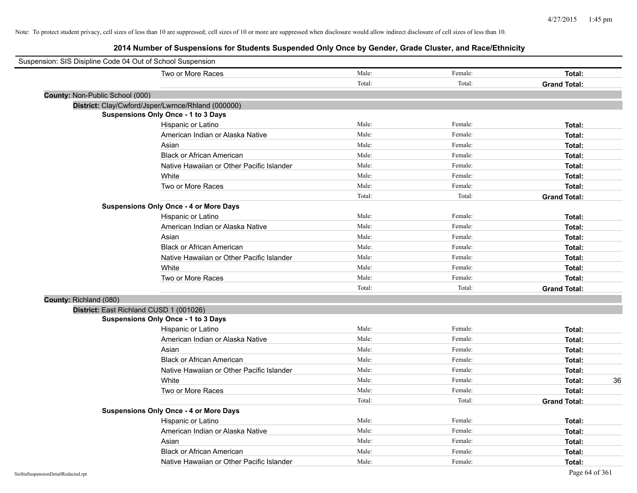| Suspension: SIS Disipline Code 04 Out of School Suspension |                                                    |        |         |                     |
|------------------------------------------------------------|----------------------------------------------------|--------|---------|---------------------|
|                                                            | Two or More Races                                  | Male:  | Female: | Total:              |
|                                                            |                                                    | Total: | Total:  | <b>Grand Total:</b> |
| County: Non-Public School (000)                            |                                                    |        |         |                     |
|                                                            | District: Clay/Cwford/Jsper/Lwrnce/Rhland (000000) |        |         |                     |
|                                                            | <b>Suspensions Only Once - 1 to 3 Days</b>         |        |         |                     |
|                                                            | Hispanic or Latino                                 | Male:  | Female: | Total:              |
|                                                            | American Indian or Alaska Native                   | Male:  | Female: | Total:              |
|                                                            | Asian                                              | Male:  | Female: | Total:              |
|                                                            | <b>Black or African American</b>                   | Male:  | Female: | Total:              |
|                                                            | Native Hawaiian or Other Pacific Islander          | Male:  | Female: | Total:              |
|                                                            | White                                              | Male:  | Female: | Total:              |
|                                                            | Two or More Races                                  | Male:  | Female: | Total:              |
|                                                            |                                                    | Total: | Total:  | <b>Grand Total:</b> |
|                                                            | <b>Suspensions Only Once - 4 or More Days</b>      |        |         |                     |
|                                                            | Hispanic or Latino                                 | Male:  | Female: | Total:              |
|                                                            | American Indian or Alaska Native                   | Male:  | Female: | Total:              |
|                                                            | Asian                                              | Male:  | Female: | Total:              |
|                                                            | <b>Black or African American</b>                   | Male:  | Female: | Total:              |
|                                                            | Native Hawaiian or Other Pacific Islander          | Male:  | Female: | Total:              |
|                                                            | White                                              | Male:  | Female: | Total:              |
|                                                            | Two or More Races                                  | Male:  | Female: | Total:              |
|                                                            |                                                    | Total: | Total:  | <b>Grand Total:</b> |
| County: Richland (080)                                     |                                                    |        |         |                     |
|                                                            | District: East Richland CUSD 1 (001026)            |        |         |                     |
|                                                            | <b>Suspensions Only Once - 1 to 3 Days</b>         |        |         |                     |
|                                                            | Hispanic or Latino                                 | Male:  | Female: | Total:              |
|                                                            | American Indian or Alaska Native                   | Male:  | Female: | Total:              |
|                                                            | Asian                                              | Male:  | Female: | Total:              |
|                                                            | <b>Black or African American</b>                   | Male:  | Female: | Total:              |
|                                                            | Native Hawaiian or Other Pacific Islander          | Male:  | Female: | Total:              |
|                                                            | White                                              | Male:  | Female: | 36<br>Total:        |
|                                                            | Two or More Races                                  | Male:  | Female: | Total:              |
|                                                            |                                                    | Total: | Total:  | <b>Grand Total:</b> |
|                                                            | <b>Suspensions Only Once - 4 or More Days</b>      |        |         |                     |
|                                                            | Hispanic or Latino                                 | Male:  | Female: | Total:              |
|                                                            | American Indian or Alaska Native                   | Male:  | Female: | Total:              |
|                                                            | Asian                                              | Male:  | Female: | Total:              |
|                                                            | <b>Black or African American</b>                   | Male:  | Female: | Total:              |
|                                                            | Native Hawaiian or Other Pacific Islander          | Male:  | Female: | Total:              |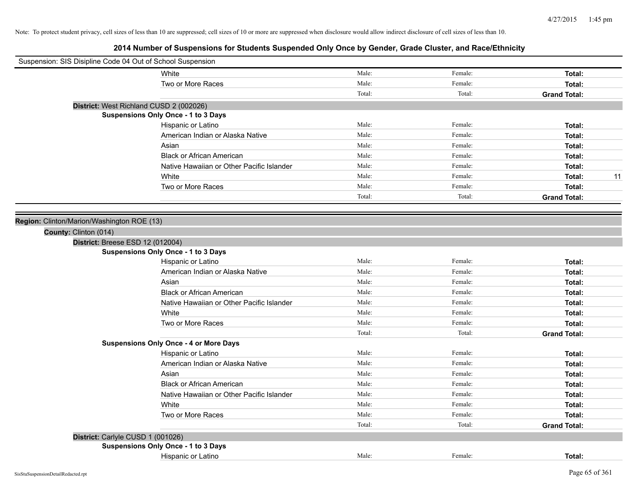| Suspension: SIS Disipline Code 04 Out of School Suspension |        |         |                     |
|------------------------------------------------------------|--------|---------|---------------------|
| White                                                      | Male:  | Female: | Total:              |
| Two or More Races                                          | Male:  | Female: | Total:              |
|                                                            | Total: | Total:  | <b>Grand Total:</b> |
| District: West Richland CUSD 2 (002026)                    |        |         |                     |
| <b>Suspensions Only Once - 1 to 3 Days</b>                 |        |         |                     |
| Hispanic or Latino                                         | Male:  | Female: | Total:              |
| American Indian or Alaska Native                           | Male:  | Female: | Total:              |
| Asian                                                      | Male:  | Female: | Total:              |
| <b>Black or African American</b>                           | Male:  | Female: | Total:              |
| Native Hawaiian or Other Pacific Islander                  | Male:  | Female: | Total:              |
| White                                                      | Male:  | Female: | 11<br>Total:        |
| Two or More Races                                          | Male:  | Female: | Total:              |
|                                                            | Total: | Total:  | <b>Grand Total:</b> |
|                                                            |        |         |                     |
| Region: Clinton/Marion/Washington ROE (13)                 |        |         |                     |
| County: Clinton (014)                                      |        |         |                     |
| District: Breese ESD 12 (012004)                           |        |         |                     |
| <b>Suspensions Only Once - 1 to 3 Days</b>                 |        |         |                     |
| Hispanic or Latino                                         | Male:  | Female: | Total:              |
| American Indian or Alaska Native                           | Male:  | Female: | Total:              |
| Asian                                                      | Male:  | Female: | Total:              |
| <b>Black or African American</b>                           | Male:  | Female: | Total:              |
| Native Hawaiian or Other Pacific Islander                  | Male:  | Female: | Total:              |
| White                                                      | Male:  | Female: | Total:              |
| Two or More Races                                          | Male:  | Female: | Total:              |
|                                                            | Total: | Total:  | <b>Grand Total:</b> |
| <b>Suspensions Only Once - 4 or More Days</b>              |        |         |                     |
| Hispanic or Latino                                         | Male:  | Female: | Total:              |
| American Indian or Alaska Native                           | Male:  | Female: | Total:              |
| Asian                                                      | Male:  | Female: | Total:              |
| <b>Black or African American</b>                           | Male:  | Female: | Total:              |
| Native Hawaiian or Other Pacific Islander                  | Male:  | Female: | Total:              |
| White                                                      | Male:  | Female: | Total:              |
| Two or More Races                                          | Male:  | Female: | Total:              |
|                                                            | Total: | Total:  | <b>Grand Total:</b> |
| District: Carlyle CUSD 1 (001026)                          |        |         |                     |
| <b>Suspensions Only Once - 1 to 3 Days</b>                 |        |         |                     |
| Hispanic or Latino                                         | Male:  | Female: | Total:              |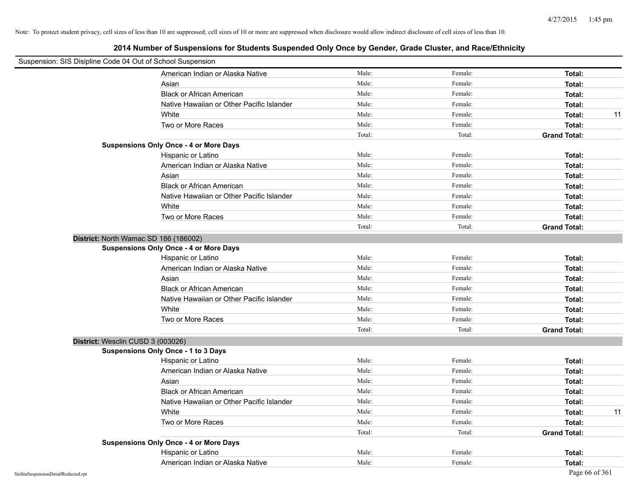| Suspension: SIS Disipline Code 04 Out of School Suspension |                                               |        |         |                     |
|------------------------------------------------------------|-----------------------------------------------|--------|---------|---------------------|
|                                                            | American Indian or Alaska Native              | Male:  | Female: | Total:              |
|                                                            | Asian                                         | Male:  | Female: | Total:              |
|                                                            | <b>Black or African American</b>              | Male:  | Female: | Total:              |
|                                                            | Native Hawaiian or Other Pacific Islander     | Male:  | Female: | Total:              |
|                                                            | White                                         | Male:  | Female: | 11<br>Total:        |
|                                                            | Two or More Races                             | Male:  | Female: | Total:              |
|                                                            |                                               | Total: | Total:  | <b>Grand Total:</b> |
|                                                            | <b>Suspensions Only Once - 4 or More Days</b> |        |         |                     |
|                                                            | Hispanic or Latino                            | Male:  | Female: | Total:              |
|                                                            | American Indian or Alaska Native              | Male:  | Female: | Total:              |
|                                                            | Asian                                         | Male:  | Female: | Total:              |
|                                                            | <b>Black or African American</b>              | Male:  | Female: | Total:              |
|                                                            | Native Hawaiian or Other Pacific Islander     | Male:  | Female: | Total:              |
|                                                            | White                                         | Male:  | Female: | Total:              |
|                                                            | Two or More Races                             | Male:  | Female: | Total:              |
|                                                            |                                               | Total: | Total:  | <b>Grand Total:</b> |
| District: North Wamac SD 186 (186002)                      |                                               |        |         |                     |
|                                                            | <b>Suspensions Only Once - 4 or More Days</b> |        |         |                     |
|                                                            | Hispanic or Latino                            | Male:  | Female: | Total:              |
|                                                            | American Indian or Alaska Native              | Male:  | Female: | Total:              |
|                                                            | Asian                                         | Male:  | Female: | Total:              |
|                                                            | <b>Black or African American</b>              | Male:  | Female: | Total:              |
|                                                            | Native Hawaiian or Other Pacific Islander     | Male:  | Female: | Total:              |
|                                                            | White                                         | Male:  | Female: | Total:              |
|                                                            | Two or More Races                             | Male:  | Female: | Total:              |
|                                                            |                                               | Total: | Total:  | <b>Grand Total:</b> |
| District: Wesclin CUSD 3 (003026)                          |                                               |        |         |                     |
|                                                            | <b>Suspensions Only Once - 1 to 3 Days</b>    |        |         |                     |
|                                                            | Hispanic or Latino                            | Male:  | Female: | Total:              |
|                                                            | American Indian or Alaska Native              | Male:  | Female: | Total:              |
|                                                            | Asian                                         | Male:  | Female: | Total:              |
|                                                            | <b>Black or African American</b>              | Male:  | Female: | Total:              |
|                                                            | Native Hawaiian or Other Pacific Islander     | Male:  | Female: | Total:              |
|                                                            | White                                         | Male:  | Female: | Total:<br>11        |
|                                                            | Two or More Races                             | Male:  | Female: | Total:              |
|                                                            |                                               | Total: | Total:  | <b>Grand Total:</b> |
|                                                            | <b>Suspensions Only Once - 4 or More Days</b> |        |         |                     |
|                                                            | Hispanic or Latino                            | Male:  | Female: | Total:              |
|                                                            | American Indian or Alaska Native              | Male:  | Female: | Total:              |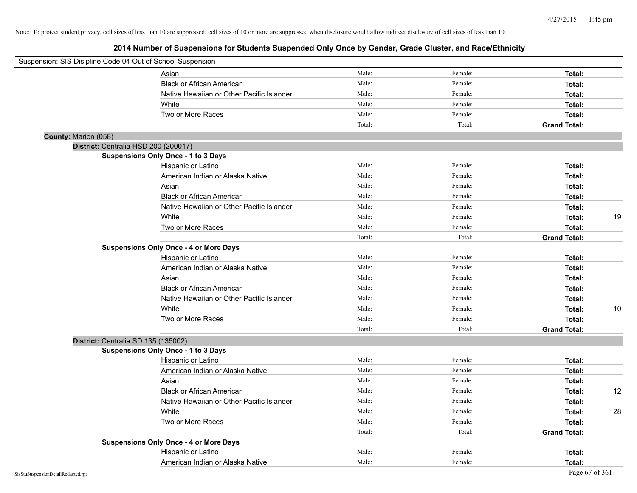| Suspension: SIS Disipline Code 04 Out of School Suspension |                                               |        |         |                     |    |
|------------------------------------------------------------|-----------------------------------------------|--------|---------|---------------------|----|
|                                                            | Asian                                         | Male:  | Female: | Total:              |    |
|                                                            | <b>Black or African American</b>              | Male:  | Female: | Total:              |    |
|                                                            | Native Hawaiian or Other Pacific Islander     | Male:  | Female: | Total:              |    |
|                                                            | White                                         | Male:  | Female: | Total:              |    |
|                                                            | Two or More Races                             | Male:  | Female: | Total:              |    |
|                                                            |                                               | Total: | Total:  | <b>Grand Total:</b> |    |
| County: Marion (058)                                       |                                               |        |         |                     |    |
| District: Centralia HSD 200 (200017)                       |                                               |        |         |                     |    |
|                                                            | Suspensions Only Once - 1 to 3 Days           |        |         |                     |    |
|                                                            | Hispanic or Latino                            | Male:  | Female: | Total:              |    |
|                                                            | American Indian or Alaska Native              | Male:  | Female: | Total:              |    |
|                                                            | Asian                                         | Male:  | Female: | Total:              |    |
|                                                            | <b>Black or African American</b>              | Male:  | Female: | Total:              |    |
|                                                            | Native Hawaiian or Other Pacific Islander     | Male:  | Female: | Total:              |    |
|                                                            | White                                         | Male:  | Female: | Total:              | 19 |
|                                                            | Two or More Races                             | Male:  | Female: | Total:              |    |
|                                                            |                                               | Total: | Total:  | <b>Grand Total:</b> |    |
|                                                            | <b>Suspensions Only Once - 4 or More Days</b> |        |         |                     |    |
|                                                            | Hispanic or Latino                            | Male:  | Female: | Total:              |    |
|                                                            | American Indian or Alaska Native              | Male:  | Female: | Total:              |    |
|                                                            | Asian                                         | Male:  | Female: | Total:              |    |
|                                                            | <b>Black or African American</b>              | Male:  | Female: | Total:              |    |
|                                                            | Native Hawaiian or Other Pacific Islander     | Male:  | Female: | Total:              |    |
|                                                            | White                                         | Male:  | Female: | Total:              | 10 |
|                                                            | Two or More Races                             | Male:  | Female: | Total:              |    |
|                                                            |                                               | Total: | Total:  | <b>Grand Total:</b> |    |
| District: Centralia SD 135 (135002)                        |                                               |        |         |                     |    |
|                                                            | <b>Suspensions Only Once - 1 to 3 Days</b>    |        |         |                     |    |
|                                                            | Hispanic or Latino                            | Male:  | Female: | Total:              |    |
|                                                            | American Indian or Alaska Native              | Male:  | Female: | Total:              |    |
|                                                            | Asian                                         | Male:  | Female: | Total:              |    |
|                                                            | <b>Black or African American</b>              | Male:  | Female: | Total:              | 12 |
|                                                            | Native Hawaiian or Other Pacific Islander     | Male:  | Female: | Total:              |    |
|                                                            | White                                         | Male:  | Female: | Total:              | 28 |
|                                                            | Two or More Races                             | Male:  | Female: | Total:              |    |
|                                                            |                                               | Total: | Total:  | <b>Grand Total:</b> |    |
|                                                            | <b>Suspensions Only Once - 4 or More Days</b> |        |         |                     |    |
|                                                            | Hispanic or Latino                            | Male:  | Female: | Total:              |    |
|                                                            | American Indian or Alaska Native              | Male:  | Female: | Total:              |    |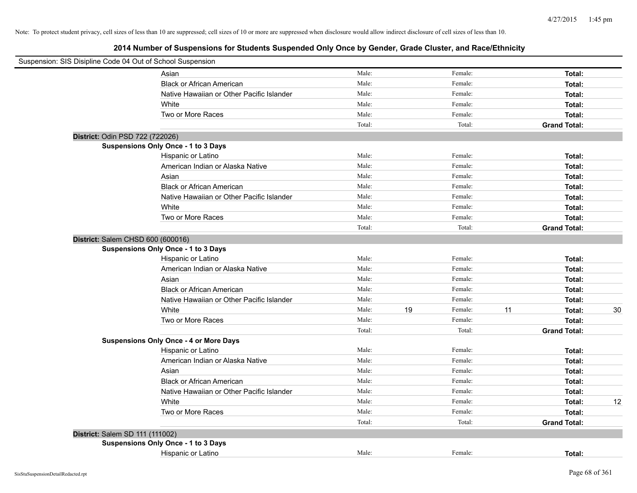| Suspension: SIS Disipline Code 04 Out of School Suspension |                                               |        |               |    |                     |    |
|------------------------------------------------------------|-----------------------------------------------|--------|---------------|----|---------------------|----|
|                                                            | Asian                                         | Male:  | Female:       |    | Total:              |    |
|                                                            | <b>Black or African American</b>              | Male:  | Female:       |    | Total:              |    |
|                                                            | Native Hawaiian or Other Pacific Islander     | Male:  | Female:       |    | Total:              |    |
|                                                            | White                                         | Male:  | Female:       |    | Total:              |    |
|                                                            | Two or More Races                             | Male:  | Female:       |    | Total:              |    |
|                                                            |                                               | Total: | Total:        |    | <b>Grand Total:</b> |    |
| District: Odin PSD 722 (722026)                            |                                               |        |               |    |                     |    |
|                                                            | <b>Suspensions Only Once - 1 to 3 Days</b>    |        |               |    |                     |    |
|                                                            | Hispanic or Latino                            | Male:  | Female:       |    | Total:              |    |
|                                                            | American Indian or Alaska Native              | Male:  | Female:       |    | Total:              |    |
|                                                            | Asian                                         | Male:  | Female:       |    | Total:              |    |
|                                                            | <b>Black or African American</b>              | Male:  | Female:       |    | Total:              |    |
|                                                            | Native Hawaiian or Other Pacific Islander     | Male:  | Female:       |    | Total:              |    |
|                                                            | White                                         | Male:  | Female:       |    | Total:              |    |
|                                                            | Two or More Races                             | Male:  | Female:       |    | Total:              |    |
|                                                            |                                               | Total: | Total:        |    | <b>Grand Total:</b> |    |
| District: Salem CHSD 600 (600016)                          |                                               |        |               |    |                     |    |
|                                                            | <b>Suspensions Only Once - 1 to 3 Days</b>    |        |               |    |                     |    |
|                                                            | Hispanic or Latino                            | Male:  | Female:       |    | Total:              |    |
|                                                            | American Indian or Alaska Native              | Male:  | Female:       |    | Total:              |    |
|                                                            | Asian                                         | Male:  | Female:       |    | Total:              |    |
|                                                            | <b>Black or African American</b>              | Male:  | Female:       |    | Total:              |    |
|                                                            | Native Hawaiian or Other Pacific Islander     | Male:  | Female:       |    | Total:              |    |
|                                                            | White                                         | Male:  | 19<br>Female: | 11 | Total:              | 30 |
|                                                            | Two or More Races                             | Male:  | Female:       |    | Total:              |    |
|                                                            |                                               | Total: | Total:        |    | <b>Grand Total:</b> |    |
|                                                            | <b>Suspensions Only Once - 4 or More Days</b> |        |               |    |                     |    |
|                                                            | Hispanic or Latino                            | Male:  | Female:       |    | Total:              |    |
|                                                            | American Indian or Alaska Native              | Male:  | Female:       |    | Total:              |    |
|                                                            | Asian                                         | Male:  | Female:       |    | Total:              |    |
|                                                            | <b>Black or African American</b>              | Male:  | Female:       |    | Total:              |    |
|                                                            | Native Hawaiian or Other Pacific Islander     | Male:  | Female:       |    | Total:              |    |
|                                                            | White                                         | Male:  | Female:       |    | Total:              | 12 |
|                                                            | Two or More Races                             | Male:  | Female:       |    | Total:              |    |
|                                                            |                                               | Total: | Total:        |    | <b>Grand Total:</b> |    |
| District: Salem SD 111 (111002)                            |                                               |        |               |    |                     |    |
|                                                            | Suspensions Only Once - 1 to 3 Days           |        |               |    |                     |    |
|                                                            | Hispanic or Latino                            | Male:  | Female:       |    | Total:              |    |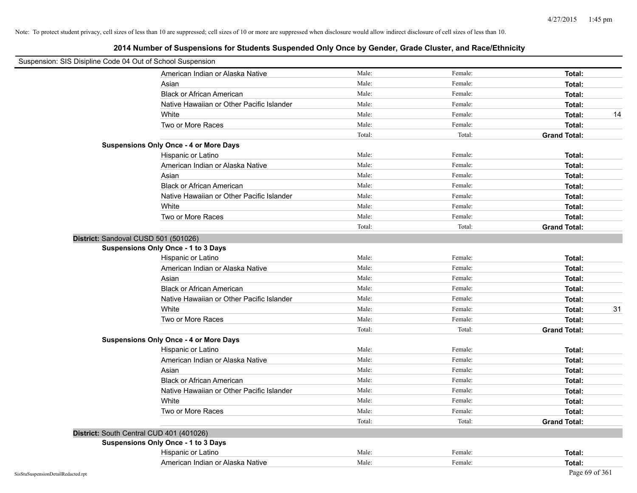| Suspension: SIS Disipline Code 04 Out of School Suspension |                                               |        |         |                     |
|------------------------------------------------------------|-----------------------------------------------|--------|---------|---------------------|
|                                                            | American Indian or Alaska Native              | Male:  | Female: | Total:              |
|                                                            | Asian                                         | Male:  | Female: | Total:              |
|                                                            | <b>Black or African American</b>              | Male:  | Female: | Total:              |
|                                                            | Native Hawaiian or Other Pacific Islander     | Male:  | Female: | Total:              |
|                                                            | White                                         | Male:  | Female: | Total:<br>14        |
|                                                            | Two or More Races                             | Male:  | Female: | Total:              |
|                                                            |                                               | Total: | Total:  | <b>Grand Total:</b> |
|                                                            | <b>Suspensions Only Once - 4 or More Days</b> |        |         |                     |
|                                                            | Hispanic or Latino                            | Male:  | Female: | Total:              |
|                                                            | American Indian or Alaska Native              | Male:  | Female: | Total:              |
|                                                            | Asian                                         | Male:  | Female: | Total:              |
|                                                            | <b>Black or African American</b>              | Male:  | Female: | Total:              |
|                                                            | Native Hawaiian or Other Pacific Islander     | Male:  | Female: | Total:              |
|                                                            | White                                         | Male:  | Female: | Total:              |
|                                                            | Two or More Races                             | Male:  | Female: | Total:              |
|                                                            |                                               | Total: | Total:  | <b>Grand Total:</b> |
|                                                            | District: Sandoval CUSD 501 (501026)          |        |         |                     |
|                                                            | <b>Suspensions Only Once - 1 to 3 Days</b>    |        |         |                     |
|                                                            | Hispanic or Latino                            | Male:  | Female: | Total:              |
|                                                            | American Indian or Alaska Native              | Male:  | Female: | Total:              |
|                                                            | Asian                                         | Male:  | Female: | Total:              |
|                                                            | <b>Black or African American</b>              | Male:  | Female: | Total:              |
|                                                            | Native Hawaiian or Other Pacific Islander     | Male:  | Female: | Total:              |
|                                                            | White                                         | Male:  | Female: | 31<br>Total:        |
|                                                            | Two or More Races                             | Male:  | Female: | Total:              |
|                                                            |                                               | Total: | Total:  | <b>Grand Total:</b> |
|                                                            | <b>Suspensions Only Once - 4 or More Days</b> |        |         |                     |
|                                                            | Hispanic or Latino                            | Male:  | Female: | Total:              |
|                                                            | American Indian or Alaska Native              | Male:  | Female: | Total:              |
|                                                            | Asian                                         | Male:  | Female: | Total:              |
|                                                            | <b>Black or African American</b>              | Male:  | Female: | Total:              |
|                                                            | Native Hawaiian or Other Pacific Islander     | Male:  | Female: | Total:              |
|                                                            | White                                         | Male:  | Female: | Total:              |
|                                                            | Two or More Races                             | Male:  | Female: | Total:              |
|                                                            |                                               | Total: | Total:  | <b>Grand Total:</b> |
|                                                            | District: South Central CUD 401 (401026)      |        |         |                     |
|                                                            | <b>Suspensions Only Once - 1 to 3 Days</b>    |        |         |                     |
|                                                            | Hispanic or Latino                            | Male:  | Female: | Total:              |
|                                                            | American Indian or Alaska Native              | Male:  | Female: | Total:              |
| SisStuSuspensionDetailRedacted.rpt                         |                                               |        |         | Page 69 of 361      |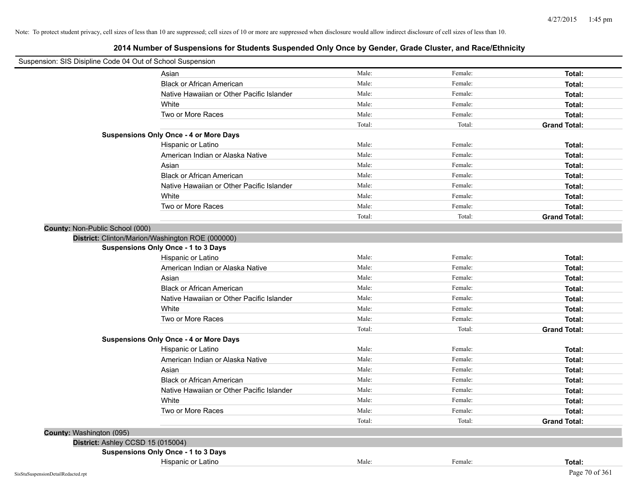| Suspension: SIS Disipline Code 04 Out of School Suspension |        |         |                     |
|------------------------------------------------------------|--------|---------|---------------------|
| Asian                                                      | Male:  | Female: | Total:              |
| <b>Black or African American</b>                           | Male:  | Female: | Total:              |
| Native Hawaiian or Other Pacific Islander                  | Male:  | Female: | Total:              |
| White                                                      | Male:  | Female: | Total:              |
| Two or More Races                                          | Male:  | Female: | Total:              |
|                                                            | Total: | Total:  | <b>Grand Total:</b> |
| <b>Suspensions Only Once - 4 or More Days</b>              |        |         |                     |
| Hispanic or Latino                                         | Male:  | Female: | Total:              |
| American Indian or Alaska Native                           | Male:  | Female: | Total:              |
| Asian                                                      | Male:  | Female: | Total:              |
| <b>Black or African American</b>                           | Male:  | Female: | Total:              |
| Native Hawaiian or Other Pacific Islander                  | Male:  | Female: | Total:              |
| White                                                      | Male:  | Female: | Total:              |
| Two or More Races                                          | Male:  | Female: | Total:              |
|                                                            | Total: | Total:  | <b>Grand Total:</b> |
| County: Non-Public School (000)                            |        |         |                     |
| District: Clinton/Marion/Washington ROE (000000)           |        |         |                     |
| Suspensions Only Once - 1 to 3 Days                        |        |         |                     |
| Hispanic or Latino                                         | Male:  | Female: | Total:              |
| American Indian or Alaska Native                           | Male:  | Female: | Total:              |
| Asian                                                      | Male:  | Female: | Total:              |
| <b>Black or African American</b>                           | Male:  | Female: | Total:              |
| Native Hawaiian or Other Pacific Islander                  | Male:  | Female: | Total:              |
| White                                                      | Male:  | Female: | Total:              |
| Two or More Races                                          | Male:  | Female: | Total:              |
|                                                            | Total: | Total:  | <b>Grand Total:</b> |
| <b>Suspensions Only Once - 4 or More Days</b>              |        |         |                     |
| Hispanic or Latino                                         | Male:  | Female: | Total:              |
| American Indian or Alaska Native                           | Male:  | Female: | Total:              |
| Asian                                                      | Male:  | Female: | Total:              |
| <b>Black or African American</b>                           | Male:  | Female: | Total:              |
| Native Hawaiian or Other Pacific Islander                  | Male:  | Female: | Total:              |
| White                                                      | Male:  | Female: | Total:              |
| Two or More Races                                          | Male:  | Female: | Total:              |
|                                                            | Total: | Total:  | <b>Grand Total:</b> |
| County: Washington (095)                                   |        |         |                     |
| District: Ashley CCSD 15 (015004)                          |        |         |                     |
| Suspensions Only Once - 1 to 3 Days                        |        |         |                     |
| Hispanic or Latino                                         | Male:  | Female: | Total:              |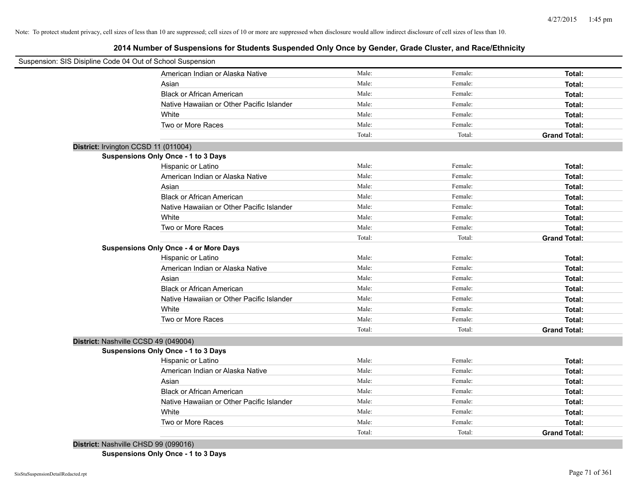**2014 Number of Suspensions for Students Suspended Only Once by Gender, Grade Cluster, and Race/Ethnicity**

| Suspension: SIS Disipline Code 04 Out of School Suspension |        |         |                     |  |
|------------------------------------------------------------|--------|---------|---------------------|--|
| American Indian or Alaska Native                           | Male:  | Female: | Total:              |  |
| Asian                                                      | Male:  | Female: | Total:              |  |
| <b>Black or African American</b>                           | Male:  | Female: | Total:              |  |
| Native Hawaiian or Other Pacific Islander                  | Male:  | Female: | Total:              |  |
| White                                                      | Male:  | Female: | Total:              |  |
| Two or More Races                                          | Male:  | Female: | Total:              |  |
|                                                            | Total: | Total:  | <b>Grand Total:</b> |  |
| District: Irvington CCSD 11 (011004)                       |        |         |                     |  |
| Suspensions Only Once - 1 to 3 Days                        |        |         |                     |  |
| Hispanic or Latino                                         | Male:  | Female: | Total:              |  |
| American Indian or Alaska Native                           | Male:  | Female: | Total:              |  |
| Asian                                                      | Male:  | Female: | Total:              |  |
| <b>Black or African American</b>                           | Male:  | Female: | Total:              |  |
| Native Hawaiian or Other Pacific Islander                  | Male:  | Female: | Total:              |  |
| White                                                      | Male:  | Female: | Total:              |  |
| Two or More Races                                          | Male:  | Female: | Total:              |  |
|                                                            | Total: | Total:  | <b>Grand Total:</b> |  |
| <b>Suspensions Only Once - 4 or More Days</b>              |        |         |                     |  |
| Hispanic or Latino                                         | Male:  | Female: | Total:              |  |
| American Indian or Alaska Native                           | Male:  | Female: | Total:              |  |
| Asian                                                      | Male:  | Female: | Total:              |  |
| <b>Black or African American</b>                           | Male:  | Female: | Total:              |  |
| Native Hawaiian or Other Pacific Islander                  | Male:  | Female: | Total:              |  |
| White                                                      | Male:  | Female: | Total:              |  |
| Two or More Races                                          | Male:  | Female: | Total:              |  |
|                                                            | Total: | Total:  | <b>Grand Total:</b> |  |
| District: Nashville CCSD 49 (049004)                       |        |         |                     |  |
| Suspensions Only Once - 1 to 3 Days                        |        |         |                     |  |
| Hispanic or Latino                                         | Male:  | Female: | Total:              |  |
| American Indian or Alaska Native                           | Male:  | Female: | Total:              |  |
| Asian                                                      | Male:  | Female: | Total:              |  |
| <b>Black or African American</b>                           | Male:  | Female: | Total:              |  |
| Native Hawaiian or Other Pacific Islander                  | Male:  | Female: | Total:              |  |
| White                                                      | Male:  | Female: | Total:              |  |
| Two or More Races                                          | Male:  | Female: | Total:              |  |
|                                                            | Total: | Total:  | <b>Grand Total:</b> |  |
| District: Nashville CHSD 99 (099016)                       |        |         |                     |  |

**Suspensions Only Once - 1 to 3 Days**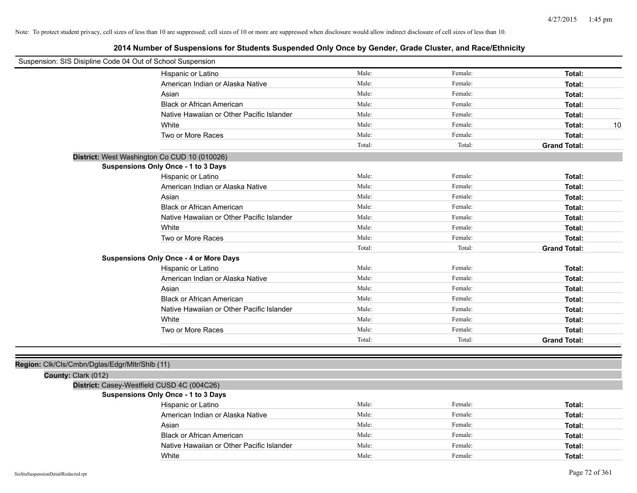| Suspension: SIS Disipline Code 04 Out of School Suspension |                                               |        |         |                     |
|------------------------------------------------------------|-----------------------------------------------|--------|---------|---------------------|
|                                                            | Hispanic or Latino                            | Male:  | Female: | Total:              |
|                                                            | American Indian or Alaska Native              | Male:  | Female: | Total:              |
|                                                            | Asian                                         | Male:  | Female: | Total:              |
|                                                            | <b>Black or African American</b>              | Male:  | Female: | Total:              |
|                                                            | Native Hawaiian or Other Pacific Islander     | Male:  | Female: | Total:              |
|                                                            | White                                         | Male:  | Female: | 10<br>Total:        |
|                                                            | Two or More Races                             | Male:  | Female: | Total:              |
|                                                            |                                               | Total: | Total:  | <b>Grand Total:</b> |
|                                                            | District: West Washington Co CUD 10 (010026)  |        |         |                     |
|                                                            | <b>Suspensions Only Once - 1 to 3 Days</b>    |        |         |                     |
|                                                            | Hispanic or Latino                            | Male:  | Female: | Total:              |
|                                                            | American Indian or Alaska Native              | Male:  | Female: | Total:              |
|                                                            | Asian                                         | Male:  | Female: | Total:              |
|                                                            | <b>Black or African American</b>              | Male:  | Female: | Total:              |
|                                                            | Native Hawaiian or Other Pacific Islander     | Male:  | Female: | Total:              |
|                                                            | White                                         | Male:  | Female: | Total:              |
|                                                            | Two or More Races                             | Male:  | Female: | Total:              |
|                                                            |                                               | Total: | Total:  | <b>Grand Total:</b> |
|                                                            | <b>Suspensions Only Once - 4 or More Days</b> |        |         |                     |
|                                                            | Hispanic or Latino                            | Male:  | Female: | Total:              |
|                                                            | American Indian or Alaska Native              | Male:  | Female: | Total:              |
|                                                            | Asian                                         | Male:  | Female: | Total:              |
|                                                            | <b>Black or African American</b>              | Male:  | Female: | Total:              |
|                                                            | Native Hawaiian or Other Pacific Islander     | Male:  | Female: | Total:              |
|                                                            | White                                         | Male:  | Female: | Total:              |
|                                                            | Two or More Races                             | Male:  | Female: | Total:              |
|                                                            |                                               | Total: | Total:  | <b>Grand Total:</b> |
|                                                            |                                               |        |         |                     |
| Region: Clk/Cls/Cmbn/Dglas/Edgr/Mltr/Shlb (11)             |                                               |        |         |                     |
| County: Clark (012)                                        |                                               |        |         |                     |
|                                                            | District: Casey-Westfield CUSD 4C (004C26)    |        |         |                     |
|                                                            | <b>Suspensions Only Once - 1 to 3 Days</b>    |        |         |                     |
|                                                            | Hispanic or Latino                            | Male:  | Female: | Total:              |
|                                                            | American Indian or Alaska Native              | Male:  | Female: | Total:              |
|                                                            | Asian                                         | Male:  | Female: | Total:              |
|                                                            | <b>Black or African American</b>              | Male:  | Female: | Total:              |
|                                                            | Native Hawaiian or Other Pacific Islander     | Male:  | Female: | Total:              |
|                                                            | White                                         | Male:  | Female: | Total:              |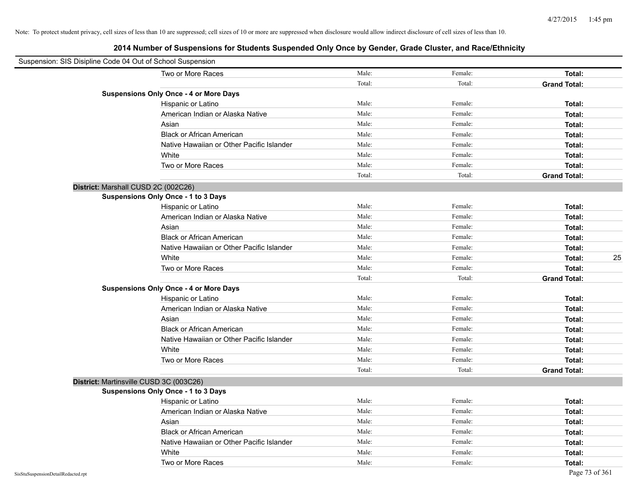| Suspension: SIS Disipline Code 04 Out of School Suspension |                                               |        |         |                     |
|------------------------------------------------------------|-----------------------------------------------|--------|---------|---------------------|
|                                                            | Two or More Races                             | Male:  | Female: | Total:              |
|                                                            |                                               | Total: | Total:  | <b>Grand Total:</b> |
|                                                            | <b>Suspensions Only Once - 4 or More Days</b> |        |         |                     |
|                                                            | Hispanic or Latino                            | Male:  | Female: | Total:              |
|                                                            | American Indian or Alaska Native              | Male:  | Female: | Total:              |
|                                                            | Asian                                         | Male:  | Female: | Total:              |
|                                                            | <b>Black or African American</b>              | Male:  | Female: | Total:              |
|                                                            | Native Hawaiian or Other Pacific Islander     | Male:  | Female: | Total:              |
|                                                            | White                                         | Male:  | Female: | Total:              |
|                                                            | Two or More Races                             | Male:  | Female: | Total:              |
|                                                            |                                               | Total: | Total:  | <b>Grand Total:</b> |
| District: Marshall CUSD 2C (002C26)                        |                                               |        |         |                     |
|                                                            | Suspensions Only Once - 1 to 3 Days           |        |         |                     |
|                                                            | Hispanic or Latino                            | Male:  | Female: | Total:              |
|                                                            | American Indian or Alaska Native              | Male:  | Female: | Total:              |
|                                                            | Asian                                         | Male:  | Female: | Total:              |
|                                                            | <b>Black or African American</b>              | Male:  | Female: | Total:              |
|                                                            | Native Hawaiian or Other Pacific Islander     | Male:  | Female: | Total:              |
|                                                            | White                                         | Male:  | Female: | 25<br>Total:        |
|                                                            | Two or More Races                             | Male:  | Female: | Total:              |
|                                                            |                                               | Total: | Total:  | <b>Grand Total:</b> |
|                                                            | <b>Suspensions Only Once - 4 or More Days</b> |        |         |                     |
|                                                            | Hispanic or Latino                            | Male:  | Female: | Total:              |
|                                                            | American Indian or Alaska Native              | Male:  | Female: | Total:              |
|                                                            | Asian                                         | Male:  | Female: | Total:              |
|                                                            | <b>Black or African American</b>              | Male:  | Female: | Total:              |
|                                                            | Native Hawaiian or Other Pacific Islander     | Male:  | Female: | Total:              |
|                                                            | White                                         | Male:  | Female: | Total:              |
|                                                            | Two or More Races                             | Male:  | Female: | Total:              |
|                                                            |                                               | Total: | Total:  | <b>Grand Total:</b> |
| District: Martinsville CUSD 3C (003C26)                    |                                               |        |         |                     |
|                                                            | <b>Suspensions Only Once - 1 to 3 Days</b>    |        |         |                     |
|                                                            | Hispanic or Latino                            | Male:  | Female: | Total:              |
|                                                            | American Indian or Alaska Native              | Male:  | Female: | Total:              |
|                                                            | Asian                                         | Male:  | Female: | Total:              |
|                                                            | <b>Black or African American</b>              | Male:  | Female: | Total:              |
|                                                            | Native Hawaiian or Other Pacific Islander     | Male:  | Female: | Total:              |
|                                                            | White                                         | Male:  | Female: | Total:              |
|                                                            | Two or More Races                             | Male:  | Female: | Total:              |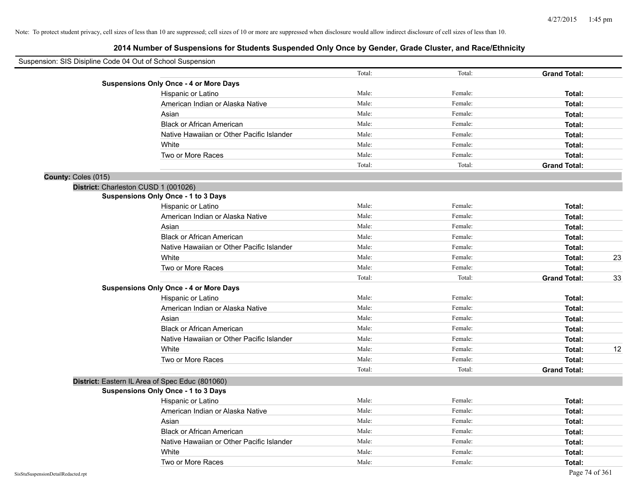|                                    | Suspension: SIS Disipline Code 04 Out of School Suspension | Total: | Total:  |                               |    |
|------------------------------------|------------------------------------------------------------|--------|---------|-------------------------------|----|
|                                    |                                                            |        |         | <b>Grand Total:</b>           |    |
|                                    | <b>Suspensions Only Once - 4 or More Days</b>              | Male:  | Female: | Total:                        |    |
|                                    | Hispanic or Latino                                         | Male:  | Female: |                               |    |
|                                    | American Indian or Alaska Native                           | Male:  | Female: | Total:                        |    |
|                                    | Asian<br><b>Black or African American</b>                  | Male:  | Female: | Total:<br>Total:              |    |
|                                    |                                                            | Male:  | Female: |                               |    |
|                                    | Native Hawaiian or Other Pacific Islander                  | Male:  | Female: | Total:                        |    |
|                                    | White                                                      | Male:  | Female: | Total:                        |    |
|                                    | Two or More Races                                          | Total: | Total:  | Total:<br><b>Grand Total:</b> |    |
|                                    |                                                            |        |         |                               |    |
| County: Coles (015)                | District: Charleston CUSD 1 (001026)                       |        |         |                               |    |
|                                    | <b>Suspensions Only Once - 1 to 3 Days</b>                 |        |         |                               |    |
|                                    | Hispanic or Latino                                         | Male:  | Female: | Total:                        |    |
|                                    | American Indian or Alaska Native                           | Male:  | Female: | Total:                        |    |
|                                    | Asian                                                      | Male:  | Female: | Total:                        |    |
|                                    | <b>Black or African American</b>                           | Male:  | Female: | Total:                        |    |
|                                    | Native Hawaiian or Other Pacific Islander                  | Male:  | Female: | Total:                        |    |
|                                    | White                                                      | Male:  | Female: | Total:                        | 23 |
|                                    | Two or More Races                                          | Male:  | Female: | Total:                        |    |
|                                    |                                                            | Total: | Total:  | <b>Grand Total:</b>           | 33 |
|                                    | <b>Suspensions Only Once - 4 or More Days</b>              |        |         |                               |    |
|                                    | Hispanic or Latino                                         | Male:  | Female: | Total:                        |    |
|                                    | American Indian or Alaska Native                           | Male:  | Female: | Total:                        |    |
|                                    | Asian                                                      | Male:  | Female: | Total:                        |    |
|                                    | <b>Black or African American</b>                           | Male:  | Female: | Total:                        |    |
|                                    | Native Hawaiian or Other Pacific Islander                  | Male:  | Female: | Total:                        |    |
|                                    | White                                                      | Male:  | Female: | Total:                        | 12 |
|                                    | Two or More Races                                          | Male:  | Female: | Total:                        |    |
|                                    |                                                            | Total: | Total:  | <b>Grand Total:</b>           |    |
|                                    | District: Eastern IL Area of Spec Educ (801060)            |        |         |                               |    |
|                                    | <b>Suspensions Only Once - 1 to 3 Days</b>                 |        |         |                               |    |
|                                    | Hispanic or Latino                                         | Male:  | Female: | Total:                        |    |
|                                    | American Indian or Alaska Native                           | Male:  | Female: | Total:                        |    |
|                                    | Asian                                                      | Male:  | Female: | Total:                        |    |
|                                    | <b>Black or African American</b>                           | Male:  | Female: | Total:                        |    |
|                                    | Native Hawaiian or Other Pacific Islander                  | Male:  | Female: | Total:                        |    |
|                                    | White                                                      | Male:  | Female: | Total:                        |    |
|                                    | Two or More Races                                          | Male:  | Female: | Total:                        |    |
| SisStuSuspensionDetailRedacted.rpt |                                                            |        |         | Page 74 of 361                |    |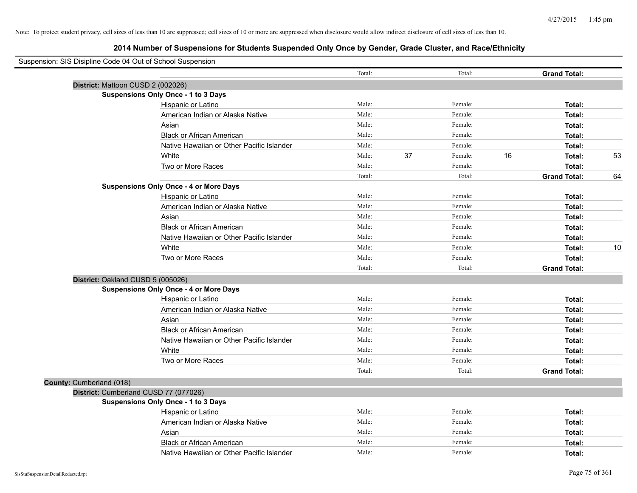| Suspension: SIS Disipline Code 04 Out of School Suspension |                                               |        |    |         |    |                     |    |
|------------------------------------------------------------|-----------------------------------------------|--------|----|---------|----|---------------------|----|
|                                                            |                                               | Total: |    | Total:  |    | <b>Grand Total:</b> |    |
|                                                            | District: Mattoon CUSD 2 (002026)             |        |    |         |    |                     |    |
|                                                            | Suspensions Only Once - 1 to 3 Days           |        |    |         |    |                     |    |
|                                                            | Hispanic or Latino                            | Male:  |    | Female: |    | Total:              |    |
|                                                            | American Indian or Alaska Native              | Male:  |    | Female: |    | Total:              |    |
|                                                            | Asian                                         | Male:  |    | Female: |    | Total:              |    |
|                                                            | <b>Black or African American</b>              | Male:  |    | Female: |    | Total:              |    |
|                                                            | Native Hawaiian or Other Pacific Islander     | Male:  |    | Female: |    | Total:              |    |
|                                                            | White                                         | Male:  | 37 | Female: | 16 | Total:              | 53 |
|                                                            | Two or More Races                             | Male:  |    | Female: |    | Total:              |    |
|                                                            |                                               | Total: |    | Total:  |    | <b>Grand Total:</b> | 64 |
|                                                            | <b>Suspensions Only Once - 4 or More Days</b> |        |    |         |    |                     |    |
|                                                            | Hispanic or Latino                            | Male:  |    | Female: |    | Total:              |    |
|                                                            | American Indian or Alaska Native              | Male:  |    | Female: |    | Total:              |    |
|                                                            | Asian                                         | Male:  |    | Female: |    | Total:              |    |
|                                                            | <b>Black or African American</b>              | Male:  |    | Female: |    | Total:              |    |
|                                                            | Native Hawaiian or Other Pacific Islander     | Male:  |    | Female: |    | Total:              |    |
|                                                            | White                                         | Male:  |    | Female: |    | Total:              | 10 |
|                                                            | Two or More Races                             | Male:  |    | Female: |    | Total:              |    |
|                                                            |                                               | Total: |    | Total:  |    | <b>Grand Total:</b> |    |
|                                                            | District: Oakland CUSD 5 (005026)             |        |    |         |    |                     |    |
|                                                            | <b>Suspensions Only Once - 4 or More Days</b> |        |    |         |    |                     |    |
|                                                            | Hispanic or Latino                            | Male:  |    | Female: |    | Total:              |    |
|                                                            | American Indian or Alaska Native              | Male:  |    | Female: |    | Total:              |    |
|                                                            | Asian                                         | Male:  |    | Female: |    | Total:              |    |
|                                                            | <b>Black or African American</b>              | Male:  |    | Female: |    | Total:              |    |
|                                                            | Native Hawaiian or Other Pacific Islander     | Male:  |    | Female: |    | Total:              |    |
|                                                            | White                                         | Male:  |    | Female: |    | Total:              |    |
|                                                            | Two or More Races                             | Male:  |    | Female: |    | Total:              |    |
|                                                            |                                               | Total: |    | Total:  |    | <b>Grand Total:</b> |    |
| County: Cumberland (018)                                   |                                               |        |    |         |    |                     |    |
|                                                            | District: Cumberland CUSD 77 (077026)         |        |    |         |    |                     |    |
|                                                            | Suspensions Only Once - 1 to 3 Days           |        |    |         |    |                     |    |
|                                                            | Hispanic or Latino                            | Male:  |    | Female: |    | Total:              |    |
|                                                            | American Indian or Alaska Native              | Male:  |    | Female: |    | Total:              |    |
|                                                            | Asian                                         | Male:  |    | Female: |    | Total:              |    |
|                                                            | <b>Black or African American</b>              | Male:  |    | Female: |    | Total:              |    |
|                                                            | Native Hawaiian or Other Pacific Islander     | Male:  |    | Female: |    | Total:              |    |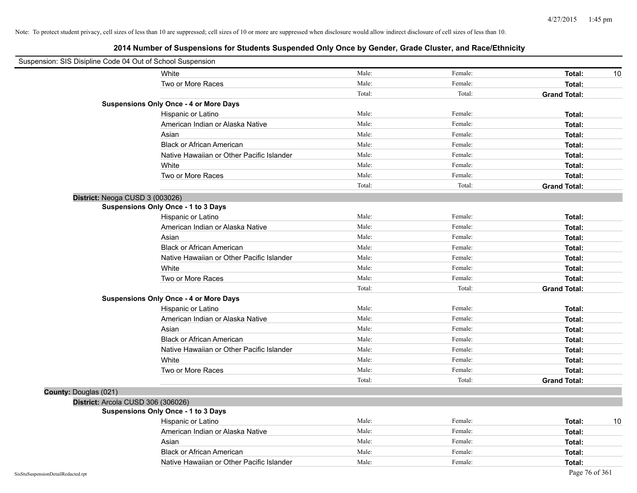|                                    | Suspension: SIS Disipline Code 04 Out of School Suspension |        |         |                     |
|------------------------------------|------------------------------------------------------------|--------|---------|---------------------|
|                                    | White                                                      | Male:  | Female: | Total:<br>10        |
|                                    | Two or More Races                                          | Male:  | Female: | Total:              |
|                                    |                                                            | Total: | Total:  | <b>Grand Total:</b> |
|                                    | <b>Suspensions Only Once - 4 or More Days</b>              |        |         |                     |
|                                    | Hispanic or Latino                                         | Male:  | Female: | Total:              |
|                                    | American Indian or Alaska Native                           | Male:  | Female: | Total:              |
|                                    | Asian                                                      | Male:  | Female: | Total:              |
|                                    | <b>Black or African American</b>                           | Male:  | Female: | Total:              |
|                                    | Native Hawaiian or Other Pacific Islander                  | Male:  | Female: | Total:              |
|                                    | White                                                      | Male:  | Female: | Total:              |
|                                    | Two or More Races                                          | Male:  | Female: | Total:              |
|                                    |                                                            | Total: | Total:  | <b>Grand Total:</b> |
|                                    | District: Neoga CUSD 3 (003026)                            |        |         |                     |
|                                    | <b>Suspensions Only Once - 1 to 3 Days</b>                 |        |         |                     |
|                                    | Hispanic or Latino                                         | Male:  | Female: | Total:              |
|                                    | American Indian or Alaska Native                           | Male:  | Female: | Total:              |
|                                    | Asian                                                      | Male:  | Female: | Total:              |
|                                    | <b>Black or African American</b>                           | Male:  | Female: | Total:              |
|                                    | Native Hawaiian or Other Pacific Islander                  | Male:  | Female: | Total:              |
|                                    | White                                                      | Male:  | Female: | Total:              |
|                                    | Two or More Races                                          | Male:  | Female: | Total:              |
|                                    |                                                            | Total: | Total:  | <b>Grand Total:</b> |
|                                    | <b>Suspensions Only Once - 4 or More Days</b>              |        |         |                     |
|                                    | Hispanic or Latino                                         | Male:  | Female: | Total:              |
|                                    | American Indian or Alaska Native                           | Male:  | Female: | Total:              |
|                                    | Asian                                                      | Male:  | Female: | Total:              |
|                                    | <b>Black or African American</b>                           | Male:  | Female: | Total:              |
|                                    | Native Hawaiian or Other Pacific Islander                  | Male:  | Female: | Total:              |
|                                    | White                                                      | Male:  | Female: | Total:              |
|                                    | Two or More Races                                          | Male:  | Female: | Total:              |
|                                    |                                                            | Total: | Total:  | <b>Grand Total:</b> |
| County: Douglas (021)              |                                                            |        |         |                     |
|                                    | District: Arcola CUSD 306 (306026)                         |        |         |                     |
|                                    | <b>Suspensions Only Once - 1 to 3 Days</b>                 |        |         |                     |
|                                    | Hispanic or Latino                                         | Male:  | Female: | 10<br>Total:        |
|                                    | American Indian or Alaska Native                           | Male:  | Female: | Total:              |
|                                    | Asian                                                      | Male:  | Female: | Total:              |
|                                    | <b>Black or African American</b>                           | Male:  | Female: | Total:              |
|                                    | Native Hawaiian or Other Pacific Islander                  | Male:  | Female: | Total:              |
| SisStuSuspensionDetailRedacted.rpt |                                                            |        |         | Page 76 of 361      |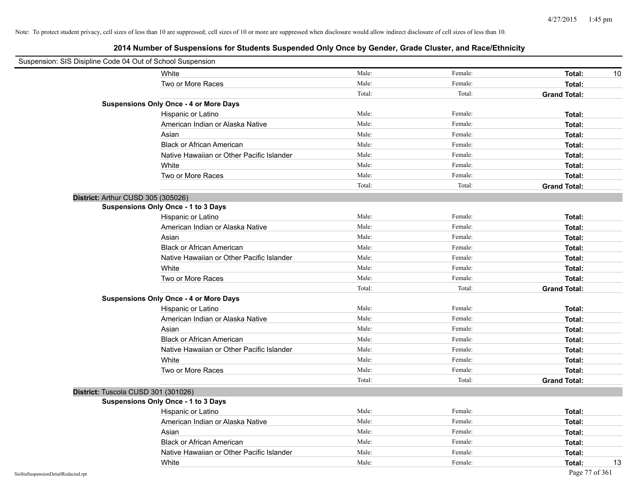| Suspension: SIS Disipline Code 04 Out of School Suspension |                                               |        |         |                     |
|------------------------------------------------------------|-----------------------------------------------|--------|---------|---------------------|
|                                                            | White                                         | Male:  | Female: | Total:<br>10        |
|                                                            | Two or More Races                             | Male:  | Female: | Total:              |
|                                                            |                                               | Total: | Total:  | <b>Grand Total:</b> |
|                                                            | <b>Suspensions Only Once - 4 or More Days</b> |        |         |                     |
|                                                            | Hispanic or Latino                            | Male:  | Female: | Total:              |
|                                                            | American Indian or Alaska Native              | Male:  | Female: | Total:              |
|                                                            | Asian                                         | Male:  | Female: | Total:              |
|                                                            | <b>Black or African American</b>              | Male:  | Female: | Total:              |
|                                                            | Native Hawaiian or Other Pacific Islander     | Male:  | Female: | Total:              |
|                                                            | White                                         | Male:  | Female: | Total:              |
|                                                            | Two or More Races                             | Male:  | Female: | Total:              |
|                                                            |                                               | Total: | Total:  | <b>Grand Total:</b> |
|                                                            | District: Arthur CUSD 305 (305026)            |        |         |                     |
|                                                            | <b>Suspensions Only Once - 1 to 3 Days</b>    |        |         |                     |
|                                                            | Hispanic or Latino                            | Male:  | Female: | Total:              |
|                                                            | American Indian or Alaska Native              | Male:  | Female: | Total:              |
|                                                            | Asian                                         | Male:  | Female: | Total:              |
|                                                            | <b>Black or African American</b>              | Male:  | Female: | Total:              |
|                                                            | Native Hawaiian or Other Pacific Islander     | Male:  | Female: | Total:              |
|                                                            | White                                         | Male:  | Female: | Total:              |
|                                                            | Two or More Races                             | Male:  | Female: | Total:              |
|                                                            |                                               | Total: | Total:  | <b>Grand Total:</b> |
|                                                            | <b>Suspensions Only Once - 4 or More Days</b> |        |         |                     |
|                                                            | Hispanic or Latino                            | Male:  | Female: | Total:              |
|                                                            | American Indian or Alaska Native              | Male:  | Female: | Total:              |
|                                                            | Asian                                         | Male:  | Female: | Total:              |
|                                                            | <b>Black or African American</b>              | Male:  | Female: | Total:              |
|                                                            | Native Hawaiian or Other Pacific Islander     | Male:  | Female: | Total:              |
|                                                            | White                                         | Male:  | Female: | Total:              |
|                                                            | Two or More Races                             | Male:  | Female: | Total:              |
|                                                            |                                               | Total: | Total:  | <b>Grand Total:</b> |
|                                                            | District: Tuscola CUSD 301 (301026)           |        |         |                     |
|                                                            | <b>Suspensions Only Once - 1 to 3 Days</b>    |        |         |                     |
|                                                            | Hispanic or Latino                            | Male:  | Female: | Total:              |
|                                                            | American Indian or Alaska Native              | Male:  | Female: | Total:              |
|                                                            | Asian                                         | Male:  | Female: | Total:              |
|                                                            | <b>Black or African American</b>              | Male:  | Female: | Total:              |
|                                                            | Native Hawaiian or Other Pacific Islander     | Male:  | Female: | Total:              |
|                                                            | White                                         | Male:  | Female: | Total:<br>13        |
| SisStuSuspensionDetailRedacted.rpt                         |                                               |        |         | Page 77 of 361      |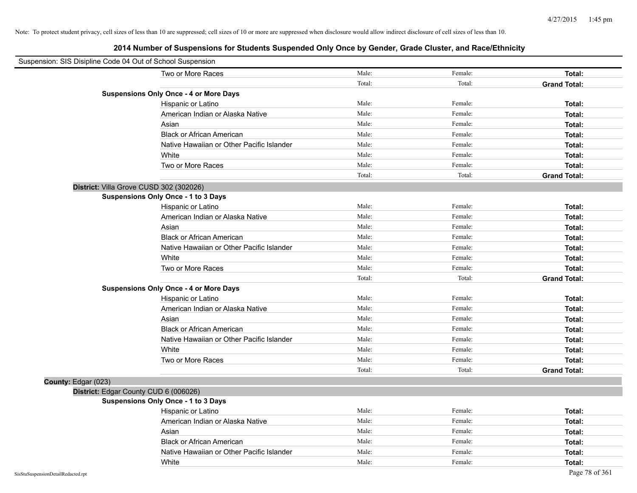| Suspension: SIS Disipline Code 04 Out of School Suspension |                                               |        |         |                     |
|------------------------------------------------------------|-----------------------------------------------|--------|---------|---------------------|
|                                                            | Two or More Races                             | Male:  | Female: | Total:              |
|                                                            |                                               | Total: | Total:  | <b>Grand Total:</b> |
|                                                            | <b>Suspensions Only Once - 4 or More Days</b> |        |         |                     |
|                                                            | Hispanic or Latino                            | Male:  | Female: | Total:              |
|                                                            | American Indian or Alaska Native              | Male:  | Female: | Total:              |
|                                                            | Asian                                         | Male:  | Female: | Total:              |
|                                                            | <b>Black or African American</b>              | Male:  | Female: | Total:              |
|                                                            | Native Hawaiian or Other Pacific Islander     | Male:  | Female: | Total:              |
|                                                            | White                                         | Male:  | Female: | Total:              |
|                                                            | Two or More Races                             | Male:  | Female: | Total:              |
|                                                            |                                               | Total: | Total:  | <b>Grand Total:</b> |
| District: Villa Grove CUSD 302 (302026)                    |                                               |        |         |                     |
|                                                            | Suspensions Only Once - 1 to 3 Days           |        |         |                     |
|                                                            | Hispanic or Latino                            | Male:  | Female: | Total:              |
|                                                            | American Indian or Alaska Native              | Male:  | Female: | Total:              |
|                                                            | Asian                                         | Male:  | Female: | Total:              |
|                                                            | <b>Black or African American</b>              | Male:  | Female: | Total:              |
|                                                            | Native Hawaiian or Other Pacific Islander     | Male:  | Female: | Total:              |
|                                                            | White                                         | Male:  | Female: | Total:              |
|                                                            | Two or More Races                             | Male:  | Female: | Total:              |
|                                                            |                                               | Total: | Total:  | <b>Grand Total:</b> |
|                                                            | <b>Suspensions Only Once - 4 or More Days</b> |        |         |                     |
|                                                            | Hispanic or Latino                            | Male:  | Female: | Total:              |
|                                                            | American Indian or Alaska Native              | Male:  | Female: | Total:              |
|                                                            | Asian                                         | Male:  | Female: | Total:              |
|                                                            | <b>Black or African American</b>              | Male:  | Female: | Total:              |
|                                                            | Native Hawaiian or Other Pacific Islander     | Male:  | Female: | Total:              |
|                                                            | White                                         | Male:  | Female: | Total:              |
|                                                            | Two or More Races                             | Male:  | Female: | Total:              |
|                                                            |                                               | Total: | Total:  | <b>Grand Total:</b> |
| County: Edgar (023)                                        |                                               |        |         |                     |
| District: Edgar County CUD 6 (006026)                      |                                               |        |         |                     |
|                                                            | <b>Suspensions Only Once - 1 to 3 Days</b>    |        |         |                     |
|                                                            | Hispanic or Latino                            | Male:  | Female: | Total:              |
|                                                            | American Indian or Alaska Native              | Male:  | Female: | Total:              |
|                                                            | Asian                                         | Male:  | Female: | Total:              |
|                                                            | <b>Black or African American</b>              | Male:  | Female: | Total:              |
|                                                            | Native Hawaiian or Other Pacific Islander     | Male:  | Female: | Total:              |
|                                                            | White                                         | Male:  | Female: | Total:              |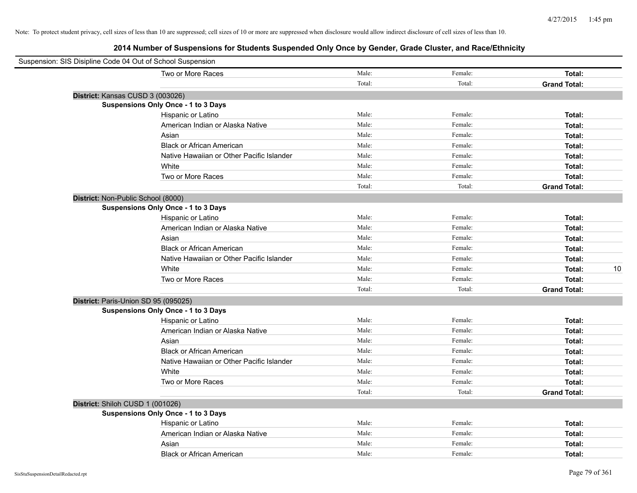| Suspension: SIS Disipline Code 04 Out of School Suspension |                                            |        |         |                     |
|------------------------------------------------------------|--------------------------------------------|--------|---------|---------------------|
|                                                            | Two or More Races                          | Male:  | Female: | Total:              |
|                                                            |                                            | Total: | Total:  | <b>Grand Total:</b> |
| District: Kansas CUSD 3 (003026)                           |                                            |        |         |                     |
|                                                            | Suspensions Only Once - 1 to 3 Days        |        |         |                     |
|                                                            | Hispanic or Latino                         | Male:  | Female: | Total:              |
|                                                            | American Indian or Alaska Native           | Male:  | Female: | Total:              |
|                                                            | Asian                                      | Male:  | Female: | Total:              |
|                                                            | <b>Black or African American</b>           | Male:  | Female: | Total:              |
|                                                            | Native Hawaiian or Other Pacific Islander  | Male:  | Female: | Total:              |
|                                                            | White                                      | Male:  | Female: | Total:              |
|                                                            | Two or More Races                          | Male:  | Female: | Total:              |
|                                                            |                                            | Total: | Total:  | <b>Grand Total:</b> |
| District: Non-Public School (8000)                         |                                            |        |         |                     |
|                                                            | Suspensions Only Once - 1 to 3 Days        |        |         |                     |
|                                                            | Hispanic or Latino                         | Male:  | Female: | Total:              |
|                                                            | American Indian or Alaska Native           | Male:  | Female: | Total:              |
|                                                            | Asian                                      | Male:  | Female: | Total:              |
|                                                            | <b>Black or African American</b>           | Male:  | Female: | Total:              |
|                                                            | Native Hawaiian or Other Pacific Islander  | Male:  | Female: | Total:              |
|                                                            | White                                      | Male:  | Female: | 10<br>Total:        |
|                                                            | Two or More Races                          | Male:  | Female: | Total:              |
|                                                            |                                            | Total: | Total:  | <b>Grand Total:</b> |
| District: Paris-Union SD 95 (095025)                       |                                            |        |         |                     |
|                                                            | <b>Suspensions Only Once - 1 to 3 Days</b> |        |         |                     |
|                                                            | Hispanic or Latino                         | Male:  | Female: | Total:              |
|                                                            | American Indian or Alaska Native           | Male:  | Female: | Total:              |
|                                                            | Asian                                      | Male:  | Female: | Total:              |
|                                                            | <b>Black or African American</b>           | Male:  | Female: | Total:              |
|                                                            | Native Hawaiian or Other Pacific Islander  | Male:  | Female: | Total:              |
|                                                            | White                                      | Male:  | Female: | Total:              |
|                                                            | Two or More Races                          | Male:  | Female: | Total:              |
|                                                            |                                            | Total: | Total:  | <b>Grand Total:</b> |
| District: Shiloh CUSD 1 (001026)                           |                                            |        |         |                     |
|                                                            | Suspensions Only Once - 1 to 3 Days        |        |         |                     |
|                                                            | Hispanic or Latino                         | Male:  | Female: | Total:              |
|                                                            | American Indian or Alaska Native           | Male:  | Female: | Total:              |
|                                                            | Asian                                      | Male:  | Female: | Total:              |
|                                                            | <b>Black or African American</b>           | Male:  | Female: | Total:              |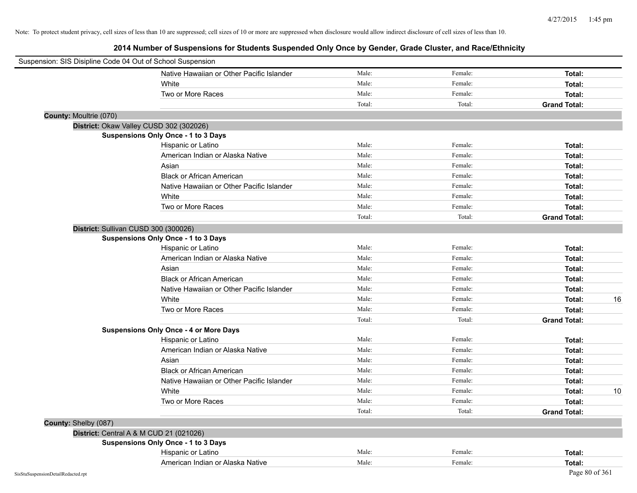| Suspension: SIS Disipline Code 04 Out of School Suspension |                                               |        |         |                     |    |
|------------------------------------------------------------|-----------------------------------------------|--------|---------|---------------------|----|
|                                                            | Native Hawaiian or Other Pacific Islander     | Male:  | Female: | Total:              |    |
|                                                            | White                                         | Male:  | Female: | Total:              |    |
|                                                            | Two or More Races                             | Male:  | Female: | Total:              |    |
|                                                            |                                               | Total: | Total:  | <b>Grand Total:</b> |    |
| County: Moultrie (070)                                     |                                               |        |         |                     |    |
| District: Okaw Valley CUSD 302 (302026)                    |                                               |        |         |                     |    |
|                                                            | <b>Suspensions Only Once - 1 to 3 Days</b>    |        |         |                     |    |
|                                                            | Hispanic or Latino                            | Male:  | Female: | Total:              |    |
|                                                            | American Indian or Alaska Native              | Male:  | Female: | Total:              |    |
|                                                            | Asian                                         | Male:  | Female: | Total:              |    |
|                                                            | <b>Black or African American</b>              | Male:  | Female: | Total:              |    |
|                                                            | Native Hawaiian or Other Pacific Islander     | Male:  | Female: | Total:              |    |
|                                                            | White                                         | Male:  | Female: | Total:              |    |
|                                                            | Two or More Races                             | Male:  | Female: | Total:              |    |
|                                                            |                                               | Total: | Total:  | <b>Grand Total:</b> |    |
| District: Sullivan CUSD 300 (300026)                       |                                               |        |         |                     |    |
|                                                            | <b>Suspensions Only Once - 1 to 3 Days</b>    |        |         |                     |    |
|                                                            | Hispanic or Latino                            | Male:  | Female: | Total:              |    |
|                                                            | American Indian or Alaska Native              | Male:  | Female: | Total:              |    |
|                                                            | Asian                                         | Male:  | Female: | Total:              |    |
|                                                            | <b>Black or African American</b>              | Male:  | Female: | Total:              |    |
|                                                            | Native Hawaiian or Other Pacific Islander     | Male:  | Female: | Total:              |    |
|                                                            | White                                         | Male:  | Female: | Total:              | 16 |
|                                                            | Two or More Races                             | Male:  | Female: | Total:              |    |
|                                                            |                                               | Total: | Total:  | <b>Grand Total:</b> |    |
|                                                            | <b>Suspensions Only Once - 4 or More Days</b> |        |         |                     |    |
|                                                            | Hispanic or Latino                            | Male:  | Female: | Total:              |    |
|                                                            | American Indian or Alaska Native              | Male:  | Female: | Total:              |    |
|                                                            | Asian                                         | Male:  | Female: | Total:              |    |
|                                                            | <b>Black or African American</b>              | Male:  | Female: | Total:              |    |
|                                                            | Native Hawaiian or Other Pacific Islander     | Male:  | Female: | Total:              |    |
|                                                            | White                                         | Male:  | Female: | Total:              | 10 |
|                                                            | Two or More Races                             | Male:  | Female: | Total:              |    |
|                                                            |                                               | Total: | Total:  | <b>Grand Total:</b> |    |
| County: Shelby (087)                                       |                                               |        |         |                     |    |
| District: Central A & M CUD 21 (021026)                    |                                               |        |         |                     |    |
|                                                            | <b>Suspensions Only Once - 1 to 3 Days</b>    |        |         |                     |    |
|                                                            | Hispanic or Latino                            | Male:  | Female: | Total:              |    |
|                                                            | American Indian or Alaska Native              | Male:  | Female: | Total:              |    |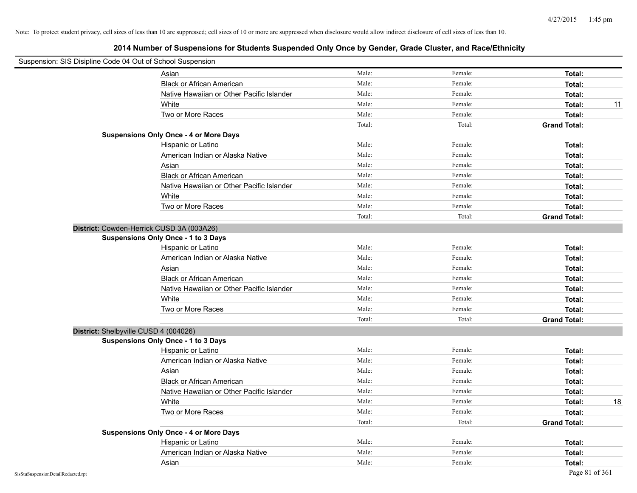| Suspension: SIS Disipline Code 04 Out of School Suspension |                                               |        |         |                     |    |
|------------------------------------------------------------|-----------------------------------------------|--------|---------|---------------------|----|
|                                                            | Asian                                         | Male:  | Female: | Total:              |    |
|                                                            | <b>Black or African American</b>              | Male:  | Female: | Total:              |    |
|                                                            | Native Hawaiian or Other Pacific Islander     | Male:  | Female: | Total:              |    |
|                                                            | White                                         | Male:  | Female: | Total:              | 11 |
|                                                            | Two or More Races                             | Male:  | Female: | Total:              |    |
|                                                            |                                               | Total: | Total:  | <b>Grand Total:</b> |    |
|                                                            | <b>Suspensions Only Once - 4 or More Days</b> |        |         |                     |    |
|                                                            | Hispanic or Latino                            | Male:  | Female: | Total:              |    |
|                                                            | American Indian or Alaska Native              | Male:  | Female: | Total:              |    |
|                                                            | Asian                                         | Male:  | Female: | Total:              |    |
|                                                            | <b>Black or African American</b>              | Male:  | Female: | Total:              |    |
|                                                            | Native Hawaiian or Other Pacific Islander     | Male:  | Female: | Total:              |    |
|                                                            | White                                         | Male:  | Female: | Total:              |    |
|                                                            | Two or More Races                             | Male:  | Female: | Total:              |    |
|                                                            |                                               | Total: | Total:  | <b>Grand Total:</b> |    |
| District: Cowden-Herrick CUSD 3A (003A26)                  |                                               |        |         |                     |    |
|                                                            | Suspensions Only Once - 1 to 3 Days           |        |         |                     |    |
|                                                            | Hispanic or Latino                            | Male:  | Female: | Total:              |    |
|                                                            | American Indian or Alaska Native              | Male:  | Female: | Total:              |    |
|                                                            | Asian                                         | Male:  | Female: | Total:              |    |
|                                                            | <b>Black or African American</b>              | Male:  | Female: | Total:              |    |
|                                                            | Native Hawaiian or Other Pacific Islander     | Male:  | Female: | Total:              |    |
|                                                            | White                                         | Male:  | Female: | Total:              |    |
|                                                            | Two or More Races                             | Male:  | Female: | Total:              |    |
|                                                            |                                               | Total: | Total:  | <b>Grand Total:</b> |    |
| District: Shelbyville CUSD 4 (004026)                      |                                               |        |         |                     |    |
|                                                            | Suspensions Only Once - 1 to 3 Days           |        |         |                     |    |
|                                                            | Hispanic or Latino                            | Male:  | Female: | Total:              |    |
|                                                            | American Indian or Alaska Native              | Male:  | Female: | Total:              |    |
|                                                            | Asian                                         | Male:  | Female: | Total:              |    |
|                                                            | <b>Black or African American</b>              | Male:  | Female: | Total:              |    |
|                                                            | Native Hawaiian or Other Pacific Islander     | Male:  | Female: | Total:              |    |
|                                                            | White                                         | Male:  | Female: | Total:              | 18 |
|                                                            | Two or More Races                             | Male:  | Female: | Total:              |    |
|                                                            |                                               | Total: | Total:  | <b>Grand Total:</b> |    |
|                                                            | <b>Suspensions Only Once - 4 or More Days</b> |        |         |                     |    |
|                                                            | Hispanic or Latino                            | Male:  | Female: | Total:              |    |
|                                                            | American Indian or Alaska Native              | Male:  | Female: | Total:              |    |
|                                                            | Asian                                         | Male:  | Female: | Total:              |    |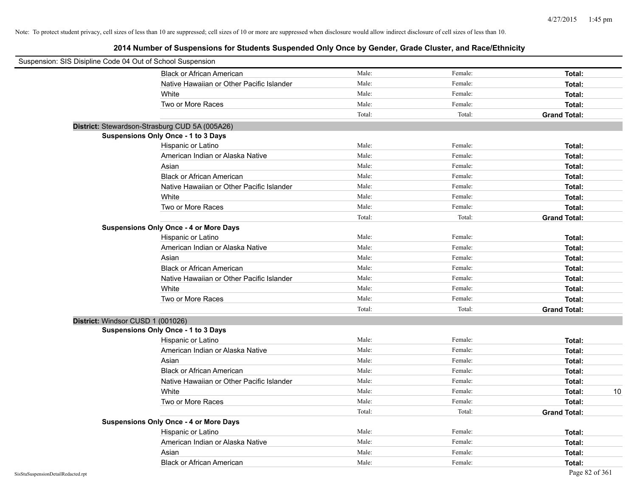|                                    | Suspension: SIS Disipline Code 04 Out of School Suspension |        |         |                     |
|------------------------------------|------------------------------------------------------------|--------|---------|---------------------|
|                                    | <b>Black or African American</b>                           | Male:  | Female: | Total:              |
|                                    | Native Hawaiian or Other Pacific Islander                  | Male:  | Female: | Total:              |
|                                    | White                                                      | Male:  | Female: | Total:              |
|                                    | Two or More Races                                          | Male:  | Female: | Total:              |
|                                    |                                                            | Total: | Total:  | <b>Grand Total:</b> |
|                                    | District: Stewardson-Strasburg CUD 5A (005A26)             |        |         |                     |
|                                    | Suspensions Only Once - 1 to 3 Days                        |        |         |                     |
|                                    | Hispanic or Latino                                         | Male:  | Female: | Total:              |
|                                    | American Indian or Alaska Native                           | Male:  | Female: | Total:              |
|                                    | Asian                                                      | Male:  | Female: | Total:              |
|                                    | <b>Black or African American</b>                           | Male:  | Female: | Total:              |
|                                    | Native Hawaiian or Other Pacific Islander                  | Male:  | Female: | Total:              |
|                                    | White                                                      | Male:  | Female: | Total:              |
|                                    | Two or More Races                                          | Male:  | Female: | Total:              |
|                                    |                                                            | Total: | Total:  | <b>Grand Total:</b> |
|                                    | <b>Suspensions Only Once - 4 or More Days</b>              |        |         |                     |
|                                    | Hispanic or Latino                                         | Male:  | Female: | Total:              |
|                                    | American Indian or Alaska Native                           | Male:  | Female: | Total:              |
|                                    | Asian                                                      | Male:  | Female: | Total:              |
|                                    | <b>Black or African American</b>                           | Male:  | Female: | Total:              |
|                                    | Native Hawaiian or Other Pacific Islander                  | Male:  | Female: | Total:              |
|                                    | White                                                      | Male:  | Female: | Total:              |
|                                    | Two or More Races                                          | Male:  | Female: | Total:              |
|                                    |                                                            | Total: | Total:  | <b>Grand Total:</b> |
|                                    | District: Windsor CUSD 1 (001026)                          |        |         |                     |
|                                    | <b>Suspensions Only Once - 1 to 3 Days</b>                 |        |         |                     |
|                                    | Hispanic or Latino                                         | Male:  | Female: | Total:              |
|                                    | American Indian or Alaska Native                           | Male:  | Female: | Total:              |
|                                    | Asian                                                      | Male:  | Female: | Total:              |
|                                    | <b>Black or African American</b>                           | Male:  | Female: | Total:              |
|                                    | Native Hawaiian or Other Pacific Islander                  | Male:  | Female: | Total:              |
|                                    | White                                                      | Male:  | Female: | Total:<br>10        |
|                                    | Two or More Races                                          | Male:  | Female: | Total:              |
|                                    |                                                            | Total: | Total:  | <b>Grand Total:</b> |
|                                    | <b>Suspensions Only Once - 4 or More Days</b>              |        |         |                     |
|                                    | Hispanic or Latino                                         | Male:  | Female: | Total:              |
|                                    | American Indian or Alaska Native                           | Male:  | Female: | Total:              |
|                                    | Asian                                                      | Male:  | Female: | Total:              |
|                                    | <b>Black or African American</b>                           | Male:  | Female: | Total:              |
| SisStuSuspensionDetailRedacted.rpt |                                                            |        |         | Page 82 of 361      |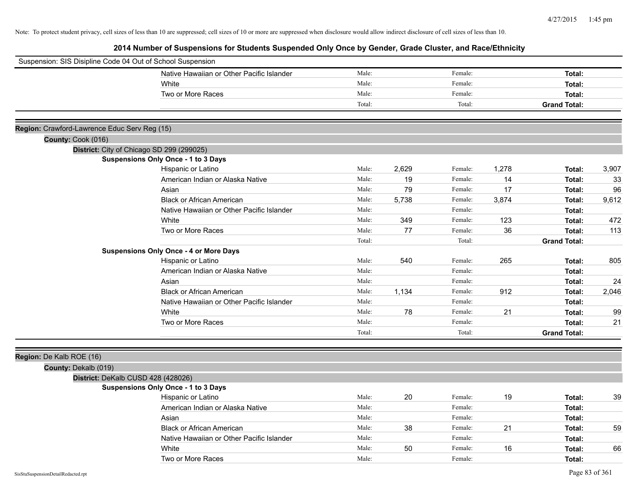| Suspension: SIS Disipline Code 04 Out of School Suspension |                                               |        |       |         |       |                     |       |
|------------------------------------------------------------|-----------------------------------------------|--------|-------|---------|-------|---------------------|-------|
|                                                            | Native Hawaiian or Other Pacific Islander     | Male:  |       | Female: |       | Total:              |       |
|                                                            | White                                         | Male:  |       | Female: |       | Total:              |       |
|                                                            | Two or More Races                             | Male:  |       | Female: |       | Total:              |       |
|                                                            |                                               | Total: |       | Total:  |       | <b>Grand Total:</b> |       |
|                                                            |                                               |        |       |         |       |                     |       |
| Region: Crawford-Lawrence Educ Serv Reg (15)               |                                               |        |       |         |       |                     |       |
| County: Cook (016)                                         |                                               |        |       |         |       |                     |       |
|                                                            | District: City of Chicago SD 299 (299025)     |        |       |         |       |                     |       |
|                                                            | <b>Suspensions Only Once - 1 to 3 Days</b>    |        |       |         |       |                     |       |
|                                                            | Hispanic or Latino                            | Male:  | 2,629 | Female: | 1,278 | Total:              | 3,907 |
|                                                            | American Indian or Alaska Native              | Male:  | 19    | Female: | 14    | Total:              | 33    |
|                                                            | Asian                                         | Male:  | 79    | Female: | 17    | Total:              | 96    |
|                                                            | <b>Black or African American</b>              | Male:  | 5,738 | Female: | 3,874 | Total:              | 9,612 |
|                                                            | Native Hawaiian or Other Pacific Islander     | Male:  |       | Female: |       | Total:              |       |
|                                                            | White                                         | Male:  | 349   | Female: | 123   | Total:              | 472   |
|                                                            | Two or More Races                             | Male:  | 77    | Female: | 36    | Total:              | 113   |
|                                                            |                                               | Total: |       | Total:  |       | <b>Grand Total:</b> |       |
|                                                            | <b>Suspensions Only Once - 4 or More Days</b> |        |       |         |       |                     |       |
|                                                            | Hispanic or Latino                            | Male:  | 540   | Female: | 265   | Total:              | 805   |
|                                                            | American Indian or Alaska Native              | Male:  |       | Female: |       | Total:              |       |
|                                                            | Asian                                         | Male:  |       | Female: |       | Total:              | 24    |
|                                                            | <b>Black or African American</b>              | Male:  | 1,134 | Female: | 912   | Total:              | 2,046 |
|                                                            | Native Hawaiian or Other Pacific Islander     | Male:  |       | Female: |       | Total:              |       |
|                                                            | White                                         | Male:  | 78    | Female: | 21    | Total:              | 99    |
|                                                            | Two or More Races                             | Male:  |       | Female: |       | Total:              | 21    |
|                                                            |                                               | Total: |       | Total:  |       | <b>Grand Total:</b> |       |
|                                                            |                                               |        |       |         |       |                     |       |
| Region: De Kalb ROE (16)                                   |                                               |        |       |         |       |                     |       |
| County: Dekalb (019)                                       |                                               |        |       |         |       |                     |       |
|                                                            | District: DeKalb CUSD 428 (428026)            |        |       |         |       |                     |       |
|                                                            | Suspensions Only Once - 1 to 3 Days           |        |       |         |       |                     |       |
|                                                            | Hispanic or Latino                            | Male:  | 20    | Female: | 19    | Total:              | 39    |
|                                                            | American Indian or Alaska Native              | Male:  |       | Female: |       | Total:              |       |
|                                                            | Asian                                         | Male:  |       | Female: |       | Total:              |       |
|                                                            | <b>Black or African American</b>              | Male:  | 38    | Female: | 21    | Total:              | 59    |
|                                                            | Native Hawaiian or Other Pacific Islander     | Male:  |       | Female: |       | Total:              |       |
|                                                            | White                                         | Male:  | 50    | Female: | 16    | Total:              | 66    |
|                                                            | Two or More Races                             | Male:  |       | Female: |       | Total:              |       |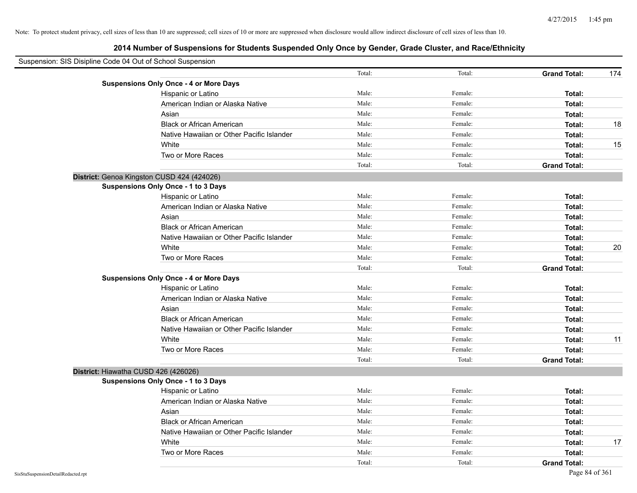| Suspension: SIS Disipline Code 04 Out of School Suspension |                                               |        |         |                     |     |
|------------------------------------------------------------|-----------------------------------------------|--------|---------|---------------------|-----|
|                                                            |                                               | Total: | Total:  | <b>Grand Total:</b> | 174 |
|                                                            | <b>Suspensions Only Once - 4 or More Days</b> |        |         |                     |     |
|                                                            | Hispanic or Latino                            | Male:  | Female: | Total:              |     |
|                                                            | American Indian or Alaska Native              | Male:  | Female: | Total:              |     |
|                                                            | Asian                                         | Male:  | Female: | Total:              |     |
|                                                            | <b>Black or African American</b>              | Male:  | Female: | Total:              | 18  |
|                                                            | Native Hawaiian or Other Pacific Islander     | Male:  | Female: | Total:              |     |
|                                                            | White                                         | Male:  | Female: | Total:              | 15  |
|                                                            | Two or More Races                             | Male:  | Female: | Total:              |     |
|                                                            |                                               | Total: | Total:  | <b>Grand Total:</b> |     |
|                                                            | District: Genoa Kingston CUSD 424 (424026)    |        |         |                     |     |
|                                                            | Suspensions Only Once - 1 to 3 Days           |        |         |                     |     |
|                                                            | Hispanic or Latino                            | Male:  | Female: | Total:              |     |
|                                                            | American Indian or Alaska Native              | Male:  | Female: | Total:              |     |
|                                                            | Asian                                         | Male:  | Female: | Total:              |     |
|                                                            | <b>Black or African American</b>              | Male:  | Female: | Total:              |     |
|                                                            | Native Hawaiian or Other Pacific Islander     | Male:  | Female: | Total:              |     |
|                                                            | White                                         | Male:  | Female: | Total:              | 20  |
|                                                            | Two or More Races                             | Male:  | Female: | Total:              |     |
|                                                            |                                               | Total: | Total:  | <b>Grand Total:</b> |     |
|                                                            | <b>Suspensions Only Once - 4 or More Days</b> |        |         |                     |     |
|                                                            | Hispanic or Latino                            | Male:  | Female: | Total:              |     |
|                                                            | American Indian or Alaska Native              | Male:  | Female: | Total:              |     |
|                                                            | Asian                                         | Male:  | Female: | Total:              |     |
|                                                            | <b>Black or African American</b>              | Male:  | Female: | Total:              |     |
|                                                            | Native Hawaiian or Other Pacific Islander     | Male:  | Female: | Total:              |     |
|                                                            | White                                         | Male:  | Female: | Total:              | 11  |
|                                                            | Two or More Races                             | Male:  | Female: | Total:              |     |
|                                                            |                                               | Total: | Total:  | <b>Grand Total:</b> |     |
|                                                            | District: Hiawatha CUSD 426 (426026)          |        |         |                     |     |
|                                                            | Suspensions Only Once - 1 to 3 Days           |        |         |                     |     |
|                                                            | Hispanic or Latino                            | Male:  | Female: | Total:              |     |
|                                                            | American Indian or Alaska Native              | Male:  | Female: | Total:              |     |
|                                                            | Asian                                         | Male:  | Female: | Total:              |     |
|                                                            | <b>Black or African American</b>              | Male:  | Female: | Total:              |     |
|                                                            | Native Hawaiian or Other Pacific Islander     | Male:  | Female: | Total:              |     |
|                                                            | White                                         | Male:  | Female: | Total:              | 17  |
|                                                            | Two or More Races                             | Male:  | Female: | Total:              |     |
|                                                            |                                               | Total: | Total:  | <b>Grand Total:</b> |     |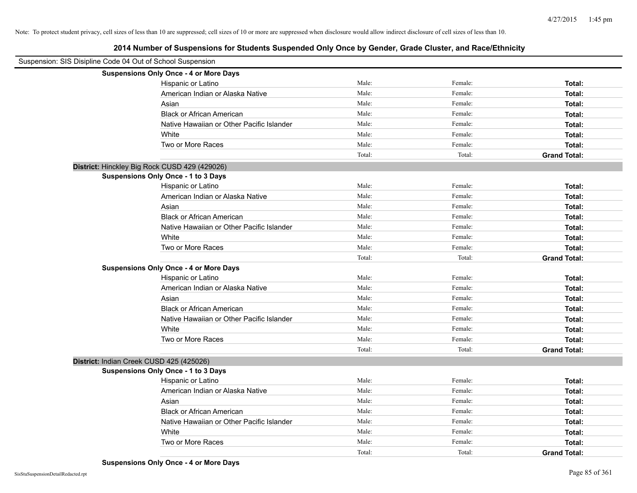| Suspension: SIS Disipline Code 04 Out of School Suspension |                                               |        |         |                     |  |  |
|------------------------------------------------------------|-----------------------------------------------|--------|---------|---------------------|--|--|
|                                                            | <b>Suspensions Only Once - 4 or More Days</b> |        |         |                     |  |  |
|                                                            | Hispanic or Latino                            | Male:  | Female: | Total:              |  |  |
|                                                            | American Indian or Alaska Native              | Male:  | Female: | Total:              |  |  |
|                                                            | Asian                                         | Male:  | Female: | Total:              |  |  |
|                                                            | <b>Black or African American</b>              | Male:  | Female: | Total:              |  |  |
|                                                            | Native Hawaiian or Other Pacific Islander     | Male:  | Female: | Total:              |  |  |
|                                                            | White                                         | Male:  | Female: | Total:              |  |  |
|                                                            | Two or More Races                             | Male:  | Female: | Total:              |  |  |
|                                                            |                                               | Total: | Total:  | <b>Grand Total:</b> |  |  |
| District: Hinckley Big Rock CUSD 429 (429026)              |                                               |        |         |                     |  |  |
|                                                            | Suspensions Only Once - 1 to 3 Days           |        |         |                     |  |  |
|                                                            | Hispanic or Latino                            | Male:  | Female: | Total:              |  |  |
|                                                            | American Indian or Alaska Native              | Male:  | Female: | Total:              |  |  |
|                                                            | Asian                                         | Male:  | Female: | Total:              |  |  |
|                                                            | <b>Black or African American</b>              | Male:  | Female: | Total:              |  |  |
|                                                            | Native Hawaiian or Other Pacific Islander     | Male:  | Female: | Total:              |  |  |
|                                                            | White                                         | Male:  | Female: | Total:              |  |  |
|                                                            | Two or More Races                             | Male:  | Female: | Total:              |  |  |
|                                                            |                                               | Total: | Total:  | <b>Grand Total:</b> |  |  |
|                                                            | <b>Suspensions Only Once - 4 or More Days</b> |        |         |                     |  |  |
|                                                            | Hispanic or Latino                            | Male:  | Female: | Total:              |  |  |
|                                                            | American Indian or Alaska Native              | Male:  | Female: | Total:              |  |  |
|                                                            | Asian                                         | Male:  | Female: | Total:              |  |  |
|                                                            | <b>Black or African American</b>              | Male:  | Female: | Total:              |  |  |
|                                                            | Native Hawaiian or Other Pacific Islander     | Male:  | Female: | Total:              |  |  |
|                                                            | White                                         | Male:  | Female: | Total:              |  |  |
|                                                            | Two or More Races                             | Male:  | Female: | Total:              |  |  |
|                                                            |                                               | Total: | Total:  | <b>Grand Total:</b> |  |  |
| District: Indian Creek CUSD 425 (425026)                   |                                               |        |         |                     |  |  |
|                                                            | Suspensions Only Once - 1 to 3 Days           |        |         |                     |  |  |
|                                                            | Hispanic or Latino                            | Male:  | Female: | Total:              |  |  |
|                                                            | American Indian or Alaska Native              | Male:  | Female: | Total:              |  |  |
|                                                            | Asian                                         | Male:  | Female: | Total:              |  |  |
|                                                            | <b>Black or African American</b>              | Male:  | Female: | Total:              |  |  |
|                                                            | Native Hawaiian or Other Pacific Islander     | Male:  | Female: | Total:              |  |  |
|                                                            | White                                         | Male:  | Female: | Total:              |  |  |
|                                                            | Two or More Races                             | Male:  | Female: | Total:              |  |  |
|                                                            |                                               | Total: | Total:  | <b>Grand Total:</b> |  |  |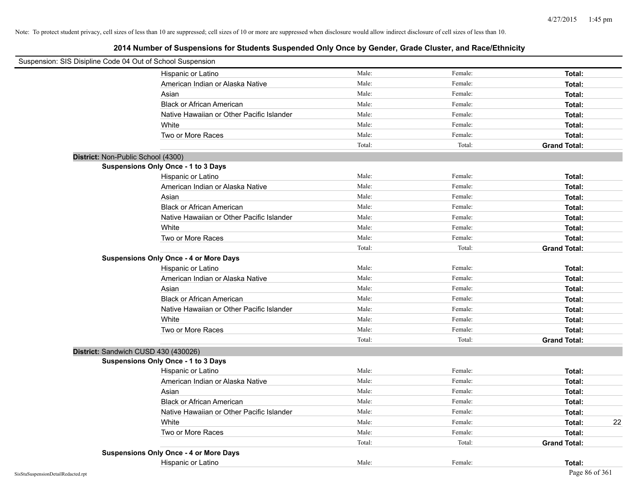| Suspension: SIS Disipline Code 04 Out of School Suspension |                                               |        |         |                     |
|------------------------------------------------------------|-----------------------------------------------|--------|---------|---------------------|
|                                                            | Hispanic or Latino                            | Male:  | Female: | Total:              |
|                                                            | American Indian or Alaska Native              | Male:  | Female: | Total:              |
|                                                            | Asian                                         | Male:  | Female: | Total:              |
|                                                            | <b>Black or African American</b>              | Male:  | Female: | Total:              |
|                                                            | Native Hawaiian or Other Pacific Islander     | Male:  | Female: | Total:              |
|                                                            | White                                         | Male:  | Female: | Total:              |
|                                                            | Two or More Races                             | Male:  | Female: | Total:              |
|                                                            |                                               | Total: | Total:  | <b>Grand Total:</b> |
| District: Non-Public School (4300)                         |                                               |        |         |                     |
|                                                            | Suspensions Only Once - 1 to 3 Days           |        |         |                     |
|                                                            | Hispanic or Latino                            | Male:  | Female: | Total:              |
|                                                            | American Indian or Alaska Native              | Male:  | Female: | Total:              |
|                                                            | Asian                                         | Male:  | Female: | Total:              |
|                                                            | <b>Black or African American</b>              | Male:  | Female: | Total:              |
|                                                            | Native Hawaiian or Other Pacific Islander     | Male:  | Female: | Total:              |
|                                                            | White                                         | Male:  | Female: | Total:              |
|                                                            | Two or More Races                             | Male:  | Female: | Total:              |
|                                                            |                                               | Total: | Total:  | <b>Grand Total:</b> |
|                                                            | <b>Suspensions Only Once - 4 or More Days</b> |        |         |                     |
|                                                            | Hispanic or Latino                            | Male:  | Female: | Total:              |
|                                                            | American Indian or Alaska Native              | Male:  | Female: | Total:              |
|                                                            | Asian                                         | Male:  | Female: | Total:              |
|                                                            | <b>Black or African American</b>              | Male:  | Female: | Total:              |
|                                                            | Native Hawaiian or Other Pacific Islander     | Male:  | Female: | Total:              |
|                                                            | White                                         | Male:  | Female: | Total:              |
|                                                            | Two or More Races                             | Male:  | Female: | Total:              |
|                                                            |                                               | Total: | Total:  | <b>Grand Total:</b> |
| District: Sandwich CUSD 430 (430026)                       |                                               |        |         |                     |
|                                                            | <b>Suspensions Only Once - 1 to 3 Days</b>    |        |         |                     |
|                                                            | Hispanic or Latino                            | Male:  | Female: | Total:              |
|                                                            | American Indian or Alaska Native              | Male:  | Female: | Total:              |
|                                                            | Asian                                         | Male:  | Female: | Total:              |
|                                                            | <b>Black or African American</b>              | Male:  | Female: | Total:              |
|                                                            | Native Hawaiian or Other Pacific Islander     | Male:  | Female: | Total:              |
|                                                            | White                                         | Male:  | Female: | Total:<br>22        |
|                                                            | Two or More Races                             | Male:  | Female: | Total:              |
|                                                            |                                               | Total: | Total:  | <b>Grand Total:</b> |
|                                                            | <b>Suspensions Only Once - 4 or More Days</b> |        |         |                     |
|                                                            | Hispanic or Latino                            | Male:  | Female: | Total:              |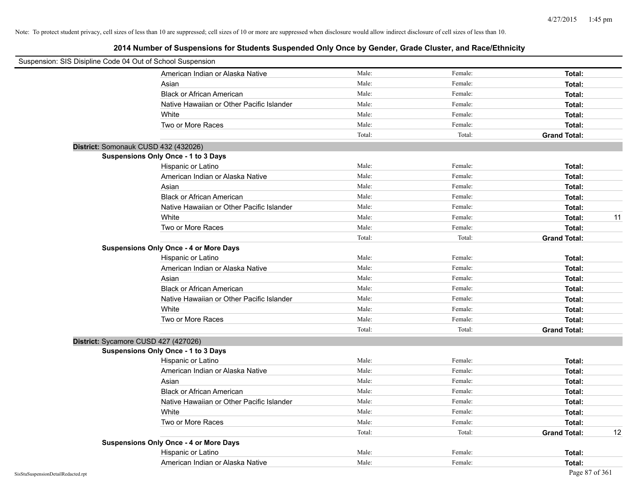| Suspension: SIS Disipline Code 04 Out of School Suspension |                                               |        |         |                     |    |
|------------------------------------------------------------|-----------------------------------------------|--------|---------|---------------------|----|
|                                                            | American Indian or Alaska Native              | Male:  | Female: | Total:              |    |
|                                                            | Asian                                         | Male:  | Female: | Total:              |    |
|                                                            | <b>Black or African American</b>              | Male:  | Female: | Total:              |    |
|                                                            | Native Hawaiian or Other Pacific Islander     | Male:  | Female: | Total:              |    |
|                                                            | White                                         | Male:  | Female: | Total:              |    |
|                                                            | Two or More Races                             | Male:  | Female: | Total:              |    |
|                                                            |                                               | Total: | Total:  | <b>Grand Total:</b> |    |
| District: Somonauk CUSD 432 (432026)                       |                                               |        |         |                     |    |
|                                                            | Suspensions Only Once - 1 to 3 Days           |        |         |                     |    |
|                                                            | Hispanic or Latino                            | Male:  | Female: | Total:              |    |
|                                                            | American Indian or Alaska Native              | Male:  | Female: | Total:              |    |
|                                                            | Asian                                         | Male:  | Female: | Total:              |    |
|                                                            | <b>Black or African American</b>              | Male:  | Female: | Total:              |    |
|                                                            | Native Hawaiian or Other Pacific Islander     | Male:  | Female: | Total:              |    |
|                                                            | White                                         | Male:  | Female: | Total:              | 11 |
|                                                            | Two or More Races                             | Male:  | Female: | Total:              |    |
|                                                            |                                               | Total: | Total:  | <b>Grand Total:</b> |    |
|                                                            | <b>Suspensions Only Once - 4 or More Days</b> |        |         |                     |    |
|                                                            | Hispanic or Latino                            | Male:  | Female: | Total:              |    |
|                                                            | American Indian or Alaska Native              | Male:  | Female: | Total:              |    |
|                                                            | Asian                                         | Male:  | Female: | Total:              |    |
|                                                            | <b>Black or African American</b>              | Male:  | Female: | Total:              |    |
|                                                            | Native Hawaiian or Other Pacific Islander     | Male:  | Female: | Total:              |    |
|                                                            | White                                         | Male:  | Female: | Total:              |    |
|                                                            | Two or More Races                             | Male:  | Female: | Total:              |    |
|                                                            |                                               | Total: | Total:  | <b>Grand Total:</b> |    |
| District: Sycamore CUSD 427 (427026)                       |                                               |        |         |                     |    |
|                                                            | Suspensions Only Once - 1 to 3 Days           |        |         |                     |    |
|                                                            | Hispanic or Latino                            | Male:  | Female: | Total:              |    |
|                                                            | American Indian or Alaska Native              | Male:  | Female: | Total:              |    |
|                                                            | Asian                                         | Male:  | Female: | Total:              |    |
|                                                            | <b>Black or African American</b>              | Male:  | Female: | Total:              |    |
|                                                            | Native Hawaiian or Other Pacific Islander     | Male:  | Female: | Total:              |    |
|                                                            | White                                         | Male:  | Female: | Total:              |    |
|                                                            | Two or More Races                             | Male:  | Female: | Total:              |    |
|                                                            |                                               | Total: | Total:  | <b>Grand Total:</b> | 12 |
|                                                            | <b>Suspensions Only Once - 4 or More Days</b> |        |         |                     |    |
|                                                            | Hispanic or Latino                            | Male:  | Female: | Total:              |    |
|                                                            | American Indian or Alaska Native              | Male:  | Female: | Total:              |    |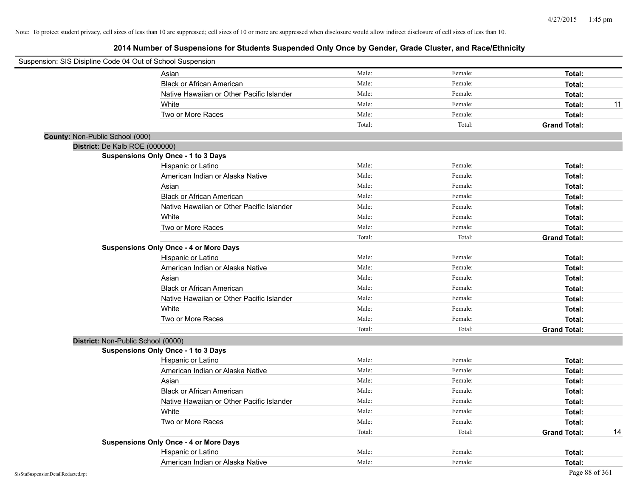| Suspension: SIS Disipline Code 04 Out of School Suspension |                                               |        |         |                           |
|------------------------------------------------------------|-----------------------------------------------|--------|---------|---------------------------|
|                                                            | Asian                                         | Male:  | Female: | Total:                    |
|                                                            | <b>Black or African American</b>              | Male:  | Female: | Total:                    |
|                                                            | Native Hawaiian or Other Pacific Islander     | Male:  | Female: | Total:                    |
|                                                            | White                                         | Male:  | Female: | 11<br>Total:              |
|                                                            | Two or More Races                             | Male:  | Female: | Total:                    |
|                                                            |                                               | Total: | Total:  | <b>Grand Total:</b>       |
| County: Non-Public School (000)                            |                                               |        |         |                           |
| District: De Kalb ROE (000000)                             |                                               |        |         |                           |
|                                                            | Suspensions Only Once - 1 to 3 Days           |        |         |                           |
|                                                            | Hispanic or Latino                            | Male:  | Female: | Total:                    |
|                                                            | American Indian or Alaska Native              | Male:  | Female: | Total:                    |
|                                                            | Asian                                         | Male:  | Female: | Total:                    |
|                                                            | <b>Black or African American</b>              | Male:  | Female: | Total:                    |
|                                                            | Native Hawaiian or Other Pacific Islander     | Male:  | Female: | Total:                    |
|                                                            | White                                         | Male:  | Female: | Total:                    |
|                                                            | Two or More Races                             | Male:  | Female: | Total:                    |
|                                                            |                                               | Total: | Total:  | <b>Grand Total:</b>       |
|                                                            | <b>Suspensions Only Once - 4 or More Days</b> |        |         |                           |
|                                                            | Hispanic or Latino                            | Male:  | Female: | Total:                    |
|                                                            | American Indian or Alaska Native              | Male:  | Female: | Total:                    |
|                                                            | Asian                                         | Male:  | Female: | Total:                    |
|                                                            | <b>Black or African American</b>              | Male:  | Female: | Total:                    |
|                                                            | Native Hawaiian or Other Pacific Islander     | Male:  | Female: | Total:                    |
|                                                            | White                                         | Male:  | Female: | Total:                    |
|                                                            | Two or More Races                             | Male:  | Female: | Total:                    |
|                                                            |                                               | Total: | Total:  | <b>Grand Total:</b>       |
| District: Non-Public School (0000)                         |                                               |        |         |                           |
|                                                            | Suspensions Only Once - 1 to 3 Days           |        |         |                           |
|                                                            | Hispanic or Latino                            | Male:  | Female: | Total:                    |
|                                                            | American Indian or Alaska Native              | Male:  | Female: | Total:                    |
|                                                            | Asian                                         | Male:  | Female: | Total:                    |
|                                                            | <b>Black or African American</b>              | Male:  | Female: | Total:                    |
|                                                            | Native Hawaiian or Other Pacific Islander     | Male:  | Female: | Total:                    |
|                                                            | White                                         | Male:  | Female: | Total:                    |
|                                                            | Two or More Races                             | Male:  | Female: | Total:                    |
|                                                            |                                               | Total: | Total:  | <b>Grand Total:</b><br>14 |
|                                                            | <b>Suspensions Only Once - 4 or More Days</b> |        |         |                           |
|                                                            | Hispanic or Latino                            | Male:  | Female: | Total:                    |
|                                                            | American Indian or Alaska Native              | Male:  | Female: | Total:                    |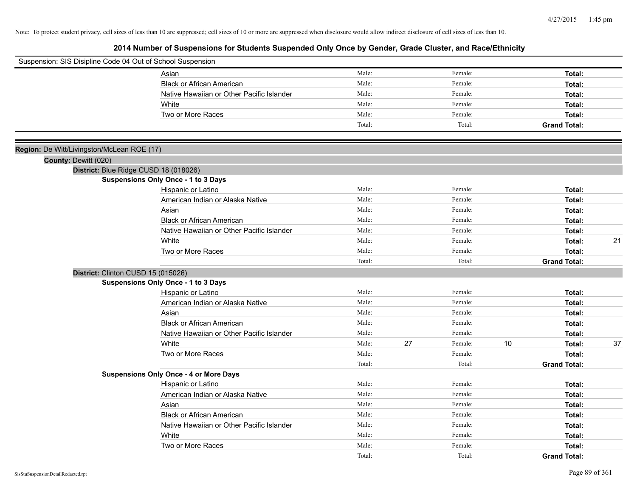| Suspension: SIS Disipline Code 04 Out of School Suspension |                                               |        |    |         |    |                     |    |
|------------------------------------------------------------|-----------------------------------------------|--------|----|---------|----|---------------------|----|
|                                                            | Asian                                         | Male:  |    | Female: |    | Total:              |    |
|                                                            | <b>Black or African American</b>              | Male:  |    | Female: |    | Total:              |    |
|                                                            | Native Hawaiian or Other Pacific Islander     | Male:  |    | Female: |    | Total:              |    |
|                                                            | White                                         | Male:  |    | Female: |    | Total:              |    |
|                                                            | Two or More Races                             | Male:  |    | Female: |    | Total:              |    |
|                                                            |                                               | Total: |    | Total:  |    | <b>Grand Total:</b> |    |
|                                                            |                                               |        |    |         |    |                     |    |
| Region: De Witt/Livingston/McLean ROE (17)                 |                                               |        |    |         |    |                     |    |
| County: Dewitt (020)                                       |                                               |        |    |         |    |                     |    |
|                                                            | District: Blue Ridge CUSD 18 (018026)         |        |    |         |    |                     |    |
|                                                            | Suspensions Only Once - 1 to 3 Days           |        |    |         |    |                     |    |
|                                                            | Hispanic or Latino                            | Male:  |    | Female: |    | Total:              |    |
|                                                            | American Indian or Alaska Native              | Male:  |    | Female: |    | Total:              |    |
|                                                            | Asian                                         | Male:  |    | Female: |    | Total:              |    |
|                                                            | <b>Black or African American</b>              | Male:  |    | Female: |    | Total:              |    |
|                                                            | Native Hawaiian or Other Pacific Islander     | Male:  |    | Female: |    | Total:              |    |
|                                                            | White                                         | Male:  |    | Female: |    | Total:              | 21 |
|                                                            | Two or More Races                             | Male:  |    | Female: |    | Total:              |    |
|                                                            |                                               | Total: |    | Total:  |    | <b>Grand Total:</b> |    |
|                                                            | District: Clinton CUSD 15 (015026)            |        |    |         |    |                     |    |
|                                                            | Suspensions Only Once - 1 to 3 Days           |        |    |         |    |                     |    |
|                                                            | Hispanic or Latino                            | Male:  |    | Female: |    | Total:              |    |
|                                                            | American Indian or Alaska Native              | Male:  |    | Female: |    | Total:              |    |
|                                                            | Asian                                         | Male:  |    | Female: |    | Total:              |    |
|                                                            | <b>Black or African American</b>              | Male:  |    | Female: |    | Total:              |    |
|                                                            | Native Hawaiian or Other Pacific Islander     | Male:  |    | Female: |    | Total:              |    |
|                                                            | White                                         | Male:  | 27 | Female: | 10 | Total:              | 37 |
|                                                            | Two or More Races                             | Male:  |    | Female: |    | Total:              |    |
|                                                            |                                               | Total: |    | Total:  |    | <b>Grand Total:</b> |    |
|                                                            | <b>Suspensions Only Once - 4 or More Days</b> |        |    |         |    |                     |    |
|                                                            | Hispanic or Latino                            | Male:  |    | Female: |    | Total:              |    |
|                                                            | American Indian or Alaska Native              | Male:  |    | Female: |    | Total:              |    |
|                                                            | Asian                                         | Male:  |    | Female: |    | Total:              |    |
|                                                            | <b>Black or African American</b>              | Male:  |    | Female: |    | Total:              |    |
|                                                            | Native Hawaiian or Other Pacific Islander     | Male:  |    | Female: |    | Total:              |    |
|                                                            | White                                         | Male:  |    | Female: |    | Total:              |    |
|                                                            | Two or More Races                             | Male:  |    | Female: |    | Total:              |    |
|                                                            |                                               | Total: |    | Total:  |    | <b>Grand Total:</b> |    |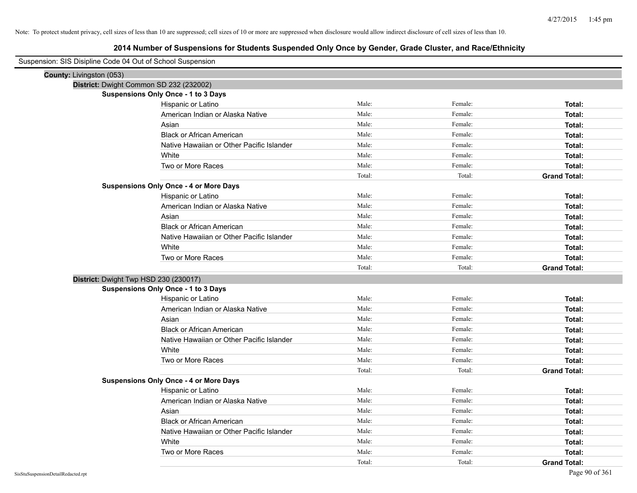| Suspension: SIS Disipline Code 04 Out of School Suspension |                                               |        |         |                     |  |  |
|------------------------------------------------------------|-----------------------------------------------|--------|---------|---------------------|--|--|
| County: Livingston (053)                                   |                                               |        |         |                     |  |  |
| District: Dwight Common SD 232 (232002)                    |                                               |        |         |                     |  |  |
|                                                            | Suspensions Only Once - 1 to 3 Days           |        |         |                     |  |  |
|                                                            | Hispanic or Latino                            | Male:  | Female: | Total:              |  |  |
|                                                            | American Indian or Alaska Native              | Male:  | Female: | Total:              |  |  |
|                                                            | Asian                                         | Male:  | Female: | Total:              |  |  |
|                                                            | <b>Black or African American</b>              | Male:  | Female: | Total:              |  |  |
|                                                            | Native Hawaiian or Other Pacific Islander     | Male:  | Female: | Total:              |  |  |
|                                                            | White                                         | Male:  | Female: | Total:              |  |  |
|                                                            | Two or More Races                             | Male:  | Female: | Total:              |  |  |
|                                                            |                                               | Total: | Total:  | <b>Grand Total:</b> |  |  |
|                                                            | <b>Suspensions Only Once - 4 or More Days</b> |        |         |                     |  |  |
|                                                            | Hispanic or Latino                            | Male:  | Female: | Total:              |  |  |
|                                                            | American Indian or Alaska Native              | Male:  | Female: | Total:              |  |  |
|                                                            | Asian                                         | Male:  | Female: | Total:              |  |  |
|                                                            | <b>Black or African American</b>              | Male:  | Female: | Total:              |  |  |
|                                                            | Native Hawaiian or Other Pacific Islander     | Male:  | Female: | Total:              |  |  |
|                                                            | White                                         | Male:  | Female: | Total:              |  |  |
|                                                            | Two or More Races                             | Male:  | Female: | Total:              |  |  |
|                                                            |                                               | Total: | Total:  | <b>Grand Total:</b> |  |  |
| District: Dwight Twp HSD 230 (230017)                      |                                               |        |         |                     |  |  |
|                                                            | <b>Suspensions Only Once - 1 to 3 Days</b>    |        |         |                     |  |  |
|                                                            | Hispanic or Latino                            | Male:  | Female: | Total:              |  |  |
|                                                            | American Indian or Alaska Native              | Male:  | Female: | Total:              |  |  |
|                                                            | Asian                                         | Male:  | Female: | Total:              |  |  |
|                                                            | <b>Black or African American</b>              | Male:  | Female: | Total:              |  |  |
|                                                            | Native Hawaiian or Other Pacific Islander     | Male:  | Female: | Total:              |  |  |
|                                                            | White                                         | Male:  | Female: | Total:              |  |  |
|                                                            | Two or More Races                             | Male:  | Female: | Total:              |  |  |
|                                                            |                                               | Total: | Total:  | <b>Grand Total:</b> |  |  |
|                                                            | <b>Suspensions Only Once - 4 or More Days</b> |        |         |                     |  |  |
|                                                            | Hispanic or Latino                            | Male:  | Female: | Total:              |  |  |
|                                                            | American Indian or Alaska Native              | Male:  | Female: | Total:              |  |  |
|                                                            | Asian                                         | Male:  | Female: | Total:              |  |  |
|                                                            | <b>Black or African American</b>              | Male:  | Female: | Total:              |  |  |
|                                                            | Native Hawaiian or Other Pacific Islander     | Male:  | Female: | Total:              |  |  |
|                                                            | White                                         | Male:  | Female: | Total:              |  |  |
|                                                            | Two or More Races                             | Male:  | Female: | Total:              |  |  |
|                                                            |                                               | Total: | Total:  | <b>Grand Total:</b> |  |  |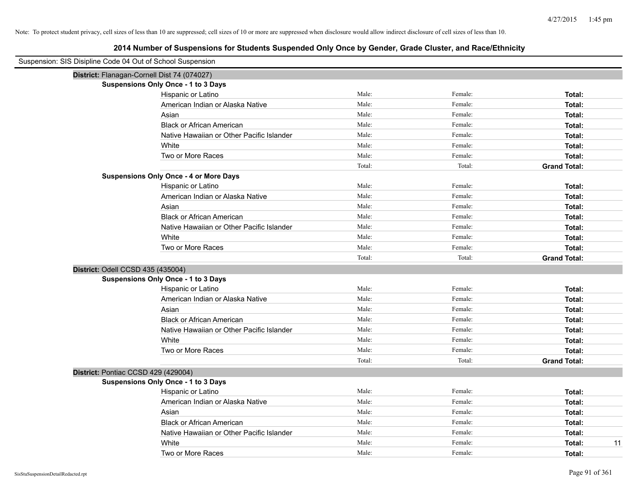| Suspension: SIS Disipline Code 04 Out of School Suspension |                                               |        |         |                     |  |  |  |  |
|------------------------------------------------------------|-----------------------------------------------|--------|---------|---------------------|--|--|--|--|
|                                                            | District: Flanagan-Cornell Dist 74 (074027)   |        |         |                     |  |  |  |  |
|                                                            | Suspensions Only Once - 1 to 3 Days           |        |         |                     |  |  |  |  |
|                                                            | Hispanic or Latino                            | Male:  | Female: | Total:              |  |  |  |  |
|                                                            | American Indian or Alaska Native              | Male:  | Female: | Total:              |  |  |  |  |
|                                                            | Asian                                         | Male:  | Female: | Total:              |  |  |  |  |
|                                                            | <b>Black or African American</b>              | Male:  | Female: | Total:              |  |  |  |  |
|                                                            | Native Hawaiian or Other Pacific Islander     | Male:  | Female: | Total:              |  |  |  |  |
|                                                            | White                                         | Male:  | Female: | Total:              |  |  |  |  |
|                                                            | Two or More Races                             | Male:  | Female: | Total:              |  |  |  |  |
|                                                            |                                               | Total: | Total:  | <b>Grand Total:</b> |  |  |  |  |
|                                                            | <b>Suspensions Only Once - 4 or More Days</b> |        |         |                     |  |  |  |  |
|                                                            | Hispanic or Latino                            | Male:  | Female: | Total:              |  |  |  |  |
|                                                            | American Indian or Alaska Native              | Male:  | Female: | Total:              |  |  |  |  |
|                                                            | Asian                                         | Male:  | Female: | Total:              |  |  |  |  |
|                                                            | <b>Black or African American</b>              | Male:  | Female: | Total:              |  |  |  |  |
|                                                            | Native Hawaiian or Other Pacific Islander     | Male:  | Female: | Total:              |  |  |  |  |
|                                                            | White                                         | Male:  | Female: | Total:              |  |  |  |  |
|                                                            | Two or More Races                             | Male:  | Female: | Total:              |  |  |  |  |
|                                                            |                                               | Total: | Total:  | <b>Grand Total:</b> |  |  |  |  |
| District: Odell CCSD 435 (435004)                          |                                               |        |         |                     |  |  |  |  |
|                                                            | <b>Suspensions Only Once - 1 to 3 Days</b>    |        |         |                     |  |  |  |  |
|                                                            | Hispanic or Latino                            | Male:  | Female: | Total:              |  |  |  |  |
|                                                            | American Indian or Alaska Native              | Male:  | Female: | Total:              |  |  |  |  |
|                                                            | Asian                                         | Male:  | Female: | Total:              |  |  |  |  |
|                                                            | <b>Black or African American</b>              | Male:  | Female: | Total:              |  |  |  |  |
|                                                            | Native Hawaiian or Other Pacific Islander     | Male:  | Female: | Total:              |  |  |  |  |
|                                                            | White                                         | Male:  | Female: | Total:              |  |  |  |  |
|                                                            | Two or More Races                             | Male:  | Female: | Total:              |  |  |  |  |
|                                                            |                                               | Total: | Total:  | <b>Grand Total:</b> |  |  |  |  |
| District: Pontiac CCSD 429 (429004)                        |                                               |        |         |                     |  |  |  |  |
|                                                            | Suspensions Only Once - 1 to 3 Days           |        |         |                     |  |  |  |  |
|                                                            | Hispanic or Latino                            | Male:  | Female: | Total:              |  |  |  |  |
|                                                            | American Indian or Alaska Native              | Male:  | Female: | Total:              |  |  |  |  |
|                                                            | Asian                                         | Male:  | Female: | Total:              |  |  |  |  |
|                                                            | <b>Black or African American</b>              | Male:  | Female: | Total:              |  |  |  |  |
|                                                            | Native Hawaiian or Other Pacific Islander     | Male:  | Female: | Total:              |  |  |  |  |
|                                                            | White                                         | Male:  | Female: | 11<br>Total:        |  |  |  |  |
|                                                            | Two or More Races                             | Male:  | Female: | Total:              |  |  |  |  |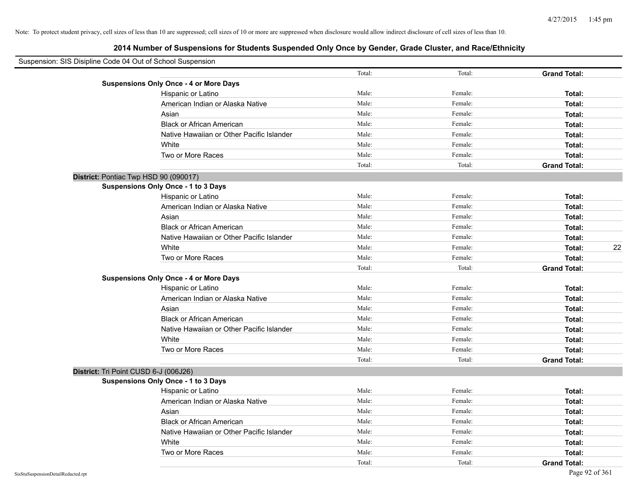| Suspension: SIS Disipline Code 04 Out of School Suspension |                                               |        |         |                     |
|------------------------------------------------------------|-----------------------------------------------|--------|---------|---------------------|
|                                                            |                                               | Total: | Total:  | <b>Grand Total:</b> |
|                                                            | <b>Suspensions Only Once - 4 or More Days</b> |        |         |                     |
|                                                            | Hispanic or Latino                            | Male:  | Female: | Total:              |
|                                                            | American Indian or Alaska Native              | Male:  | Female: | Total:              |
|                                                            | Asian                                         | Male:  | Female: | Total:              |
|                                                            | <b>Black or African American</b>              | Male:  | Female: | Total:              |
|                                                            | Native Hawaiian or Other Pacific Islander     | Male:  | Female: | Total:              |
|                                                            | White                                         | Male:  | Female: | Total:              |
|                                                            | Two or More Races                             | Male:  | Female: | Total:              |
|                                                            |                                               | Total: | Total:  | <b>Grand Total:</b> |
| District: Pontiac Twp HSD 90 (090017)                      |                                               |        |         |                     |
|                                                            | <b>Suspensions Only Once - 1 to 3 Days</b>    |        |         |                     |
|                                                            | Hispanic or Latino                            | Male:  | Female: | Total:              |
|                                                            | American Indian or Alaska Native              | Male:  | Female: | Total:              |
|                                                            | Asian                                         | Male:  | Female: | Total:              |
|                                                            | <b>Black or African American</b>              | Male:  | Female: | Total:              |
|                                                            | Native Hawaiian or Other Pacific Islander     | Male:  | Female: | Total:              |
|                                                            | White                                         | Male:  | Female: | 22<br>Total:        |
|                                                            | Two or More Races                             | Male:  | Female: | Total:              |
|                                                            |                                               | Total: | Total:  | <b>Grand Total:</b> |
|                                                            | <b>Suspensions Only Once - 4 or More Days</b> |        |         |                     |
|                                                            | Hispanic or Latino                            | Male:  | Female: | Total:              |
|                                                            | American Indian or Alaska Native              | Male:  | Female: | Total:              |
|                                                            | Asian                                         | Male:  | Female: | Total:              |
|                                                            | <b>Black or African American</b>              | Male:  | Female: | Total:              |
|                                                            | Native Hawaiian or Other Pacific Islander     | Male:  | Female: | Total:              |
|                                                            | White                                         | Male:  | Female: | Total:              |
|                                                            | Two or More Races                             | Male:  | Female: | Total:              |
|                                                            |                                               | Total: | Total:  | <b>Grand Total:</b> |
| District: Tri Point CUSD 6-J (006J26)                      |                                               |        |         |                     |
|                                                            | <b>Suspensions Only Once - 1 to 3 Days</b>    |        |         |                     |
|                                                            | Hispanic or Latino                            | Male:  | Female: | Total:              |
|                                                            | American Indian or Alaska Native              | Male:  | Female: | Total:              |
|                                                            | Asian                                         | Male:  | Female: | Total:              |
|                                                            | <b>Black or African American</b>              | Male:  | Female: | Total:              |
|                                                            | Native Hawaiian or Other Pacific Islander     | Male:  | Female: | Total:              |
|                                                            | White                                         | Male:  | Female: | Total:              |
|                                                            | Two or More Races                             | Male:  | Female: | Total:              |
|                                                            |                                               | Total: | Total:  | <b>Grand Total:</b> |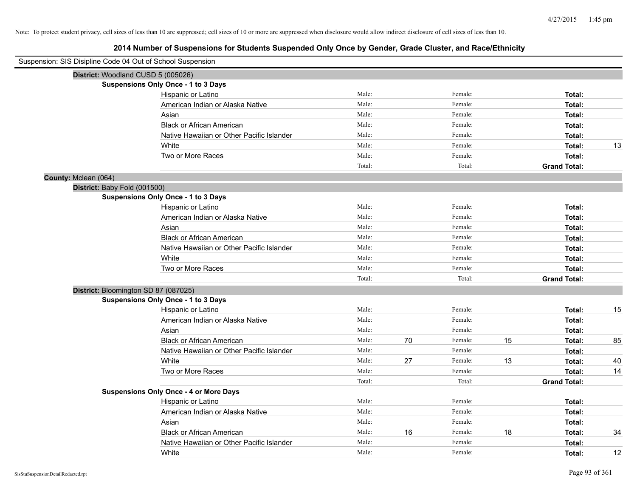| Suspension: SIS Disipline Code 04 Out of School Suspension |        |    |         |    |                     |    |
|------------------------------------------------------------|--------|----|---------|----|---------------------|----|
| District: Woodland CUSD 5 (005026)                         |        |    |         |    |                     |    |
| <b>Suspensions Only Once - 1 to 3 Days</b>                 |        |    |         |    |                     |    |
| Hispanic or Latino                                         | Male:  |    | Female: |    | Total:              |    |
| American Indian or Alaska Native                           | Male:  |    | Female: |    | Total:              |    |
| Asian                                                      | Male:  |    | Female: |    | Total:              |    |
| <b>Black or African American</b>                           | Male:  |    | Female: |    | Total:              |    |
| Native Hawaiian or Other Pacific Islander                  | Male:  |    | Female: |    | Total:              |    |
| White                                                      | Male:  |    | Female: |    | Total:              | 13 |
| Two or More Races                                          | Male:  |    | Female: |    | Total:              |    |
|                                                            | Total: |    | Total:  |    | <b>Grand Total:</b> |    |
| County: Mclean (064)                                       |        |    |         |    |                     |    |
| District: Baby Fold (001500)                               |        |    |         |    |                     |    |
| Suspensions Only Once - 1 to 3 Days                        |        |    |         |    |                     |    |
| Hispanic or Latino                                         | Male:  |    | Female: |    | Total:              |    |
| American Indian or Alaska Native                           | Male:  |    | Female: |    | Total:              |    |
| Asian                                                      | Male:  |    | Female: |    | Total:              |    |
| <b>Black or African American</b>                           | Male:  |    | Female: |    | Total:              |    |
| Native Hawaiian or Other Pacific Islander                  | Male:  |    | Female: |    | Total:              |    |
| White                                                      | Male:  |    | Female: |    | Total:              |    |
| Two or More Races                                          | Male:  |    | Female: |    | Total:              |    |
|                                                            | Total: |    | Total:  |    | <b>Grand Total:</b> |    |
| District: Bloomington SD 87 (087025)                       |        |    |         |    |                     |    |
| <b>Suspensions Only Once - 1 to 3 Days</b>                 |        |    |         |    |                     |    |
| Hispanic or Latino                                         | Male:  |    | Female: |    | Total:              | 15 |
| American Indian or Alaska Native                           | Male:  |    | Female: |    | Total:              |    |
| Asian                                                      | Male:  |    | Female: |    | Total:              |    |
| <b>Black or African American</b>                           | Male:  | 70 | Female: | 15 | Total:              | 85 |
| Native Hawaiian or Other Pacific Islander                  | Male:  |    | Female: |    | Total:              |    |
| White                                                      | Male:  | 27 | Female: | 13 | Total:              | 40 |
| Two or More Races                                          | Male:  |    | Female: |    | Total:              | 14 |
|                                                            | Total: |    | Total:  |    | <b>Grand Total:</b> |    |
| <b>Suspensions Only Once - 4 or More Days</b>              |        |    |         |    |                     |    |
| Hispanic or Latino                                         | Male:  |    | Female: |    | Total:              |    |
| American Indian or Alaska Native                           | Male:  |    | Female: |    | Total:              |    |
| Asian                                                      | Male:  |    | Female: |    | Total:              |    |
| <b>Black or African American</b>                           | Male:  | 16 | Female: | 18 | Total:              | 34 |
| Native Hawaiian or Other Pacific Islander                  | Male:  |    | Female: |    | Total:              |    |
| White                                                      | Male:  |    | Female: |    | Total:              | 12 |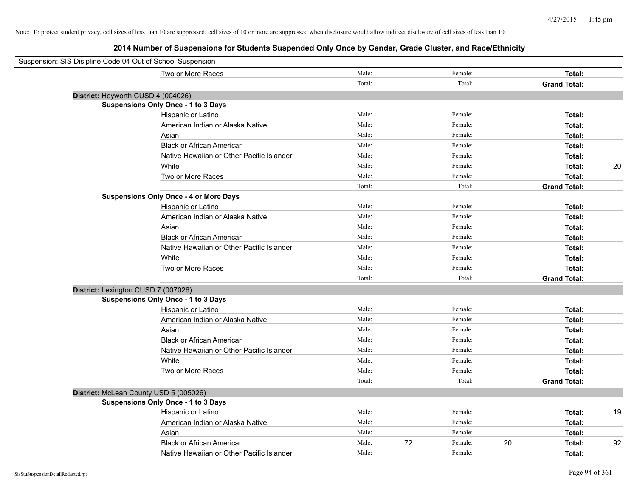| Suspension: SIS Disipline Code 04 Out of School Suspension |                                               |        |    |         |                     |    |
|------------------------------------------------------------|-----------------------------------------------|--------|----|---------|---------------------|----|
|                                                            | Two or More Races                             | Male:  |    | Female: | Total:              |    |
|                                                            |                                               | Total: |    | Total:  | <b>Grand Total:</b> |    |
|                                                            | District: Heyworth CUSD 4 (004026)            |        |    |         |                     |    |
|                                                            | <b>Suspensions Only Once - 1 to 3 Days</b>    |        |    |         |                     |    |
|                                                            | Hispanic or Latino                            | Male:  |    | Female: | Total:              |    |
|                                                            | American Indian or Alaska Native              | Male:  |    | Female: | Total:              |    |
|                                                            | Asian                                         | Male:  |    | Female: | Total:              |    |
|                                                            | <b>Black or African American</b>              | Male:  |    | Female: | Total:              |    |
|                                                            | Native Hawaiian or Other Pacific Islander     | Male:  |    | Female: | Total:              |    |
|                                                            | White                                         | Male:  |    | Female: | Total:              | 20 |
|                                                            | Two or More Races                             | Male:  |    | Female: | Total:              |    |
|                                                            |                                               | Total: |    | Total:  | <b>Grand Total:</b> |    |
|                                                            | <b>Suspensions Only Once - 4 or More Days</b> |        |    |         |                     |    |
|                                                            | Hispanic or Latino                            | Male:  |    | Female: | Total:              |    |
|                                                            | American Indian or Alaska Native              | Male:  |    | Female: | Total:              |    |
|                                                            | Asian                                         | Male:  |    | Female: | Total:              |    |
|                                                            | <b>Black or African American</b>              | Male:  |    | Female: | Total:              |    |
|                                                            | Native Hawaiian or Other Pacific Islander     | Male:  |    | Female: | Total:              |    |
|                                                            | White                                         | Male:  |    | Female: | Total:              |    |
|                                                            | Two or More Races                             | Male:  |    | Female: | Total:              |    |
|                                                            |                                               | Total: |    | Total:  | <b>Grand Total:</b> |    |
|                                                            | District: Lexington CUSD 7 (007026)           |        |    |         |                     |    |
|                                                            | <b>Suspensions Only Once - 1 to 3 Days</b>    |        |    |         |                     |    |
|                                                            | Hispanic or Latino                            | Male:  |    | Female: | Total:              |    |
|                                                            | American Indian or Alaska Native              | Male:  |    | Female: | Total:              |    |
|                                                            | Asian                                         | Male:  |    | Female: | Total:              |    |
|                                                            | <b>Black or African American</b>              | Male:  |    | Female: | Total:              |    |
|                                                            | Native Hawaiian or Other Pacific Islander     | Male:  |    | Female: | Total:              |    |
|                                                            | White                                         | Male:  |    | Female: | Total:              |    |
|                                                            | Two or More Races                             | Male:  |    | Female: | Total:              |    |
|                                                            |                                               | Total: |    | Total:  | <b>Grand Total:</b> |    |
|                                                            | District: McLean County USD 5 (005026)        |        |    |         |                     |    |
|                                                            | <b>Suspensions Only Once - 1 to 3 Days</b>    |        |    |         |                     |    |
|                                                            | Hispanic or Latino                            | Male:  |    | Female: | Total:              | 19 |
|                                                            | American Indian or Alaska Native              | Male:  |    | Female: | Total:              |    |
|                                                            | Asian                                         | Male:  |    | Female: | Total:              |    |
|                                                            | <b>Black or African American</b>              | Male:  | 72 | Female: | 20<br>Total:        | 92 |
|                                                            | Native Hawaiian or Other Pacific Islander     | Male:  |    | Female: | Total:              |    |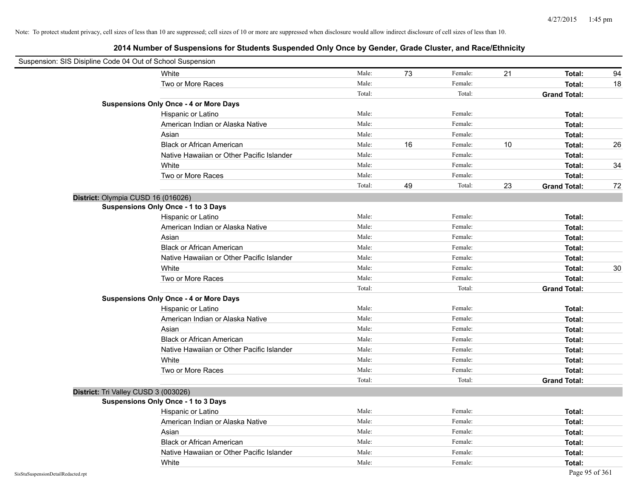| Suspension: SIS Disipline Code 04 Out of School Suspension |                                               |        |    |         |      |                     |    |
|------------------------------------------------------------|-----------------------------------------------|--------|----|---------|------|---------------------|----|
|                                                            | White                                         | Male:  | 73 | Female: | 21   | Total:              | 94 |
|                                                            | Two or More Races                             | Male:  |    | Female: |      | Total:              | 18 |
|                                                            |                                               | Total: |    | Total:  |      | <b>Grand Total:</b> |    |
|                                                            | <b>Suspensions Only Once - 4 or More Days</b> |        |    |         |      |                     |    |
|                                                            | Hispanic or Latino                            | Male:  |    | Female: |      | Total:              |    |
|                                                            | American Indian or Alaska Native              | Male:  |    | Female: |      | Total:              |    |
|                                                            | Asian                                         | Male:  |    | Female: |      | Total:              |    |
|                                                            | <b>Black or African American</b>              | Male:  | 16 | Female: | $10$ | Total:              | 26 |
|                                                            | Native Hawaiian or Other Pacific Islander     | Male:  |    | Female: |      | Total:              |    |
|                                                            | White                                         | Male:  |    | Female: |      | Total:              | 34 |
|                                                            | Two or More Races                             | Male:  |    | Female: |      | Total:              |    |
|                                                            |                                               | Total: | 49 | Total:  | 23   | <b>Grand Total:</b> | 72 |
|                                                            | District: Olympia CUSD 16 (016026)            |        |    |         |      |                     |    |
|                                                            | <b>Suspensions Only Once - 1 to 3 Days</b>    |        |    |         |      |                     |    |
|                                                            | Hispanic or Latino                            | Male:  |    | Female: |      | Total:              |    |
|                                                            | American Indian or Alaska Native              | Male:  |    | Female: |      | Total:              |    |
|                                                            | Asian                                         | Male:  |    | Female: |      | Total:              |    |
|                                                            | <b>Black or African American</b>              | Male:  |    | Female: |      | Total:              |    |
|                                                            | Native Hawaiian or Other Pacific Islander     | Male:  |    | Female: |      | Total:              |    |
|                                                            | White                                         | Male:  |    | Female: |      | Total:              | 30 |
|                                                            | Two or More Races                             | Male:  |    | Female: |      | Total:              |    |
|                                                            |                                               | Total: |    | Total:  |      | <b>Grand Total:</b> |    |
|                                                            | <b>Suspensions Only Once - 4 or More Days</b> |        |    |         |      |                     |    |
|                                                            | Hispanic or Latino                            | Male:  |    | Female: |      | Total:              |    |
|                                                            | American Indian or Alaska Native              | Male:  |    | Female: |      | Total:              |    |
|                                                            | Asian                                         | Male:  |    | Female: |      | Total:              |    |
|                                                            | <b>Black or African American</b>              | Male:  |    | Female: |      | Total:              |    |
|                                                            | Native Hawaiian or Other Pacific Islander     | Male:  |    | Female: |      | Total:              |    |
|                                                            | White                                         | Male:  |    | Female: |      | Total:              |    |
|                                                            | Two or More Races                             | Male:  |    | Female: |      | Total:              |    |
|                                                            |                                               | Total: |    | Total:  |      | <b>Grand Total:</b> |    |
|                                                            | District: Tri Valley CUSD 3 (003026)          |        |    |         |      |                     |    |
|                                                            | <b>Suspensions Only Once - 1 to 3 Days</b>    |        |    |         |      |                     |    |
|                                                            | Hispanic or Latino                            | Male:  |    | Female: |      | Total:              |    |
|                                                            | American Indian or Alaska Native              | Male:  |    | Female: |      | Total:              |    |
|                                                            | Asian                                         | Male:  |    | Female: |      | Total:              |    |
|                                                            | <b>Black or African American</b>              | Male:  |    | Female: |      | Total:              |    |
|                                                            | Native Hawaiian or Other Pacific Islander     | Male:  |    | Female: |      | Total:              |    |
|                                                            | White                                         | Male:  |    | Female: |      | Total:              |    |
| SisStuSuspensionDetailRedacted.rpt                         |                                               |        |    |         |      | Page 95 of 361      |    |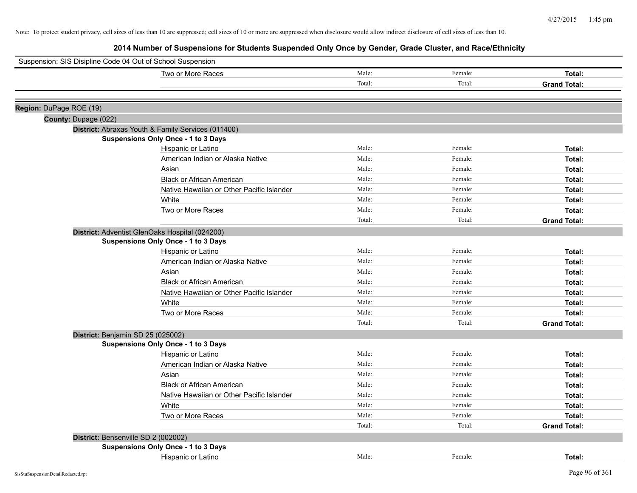| Suspension: SIS Disipline Code 04 Out of School Suspension |                                                    |        |         |                     |
|------------------------------------------------------------|----------------------------------------------------|--------|---------|---------------------|
|                                                            | Two or More Races                                  | Male:  | Female: | Total:              |
|                                                            |                                                    | Total: | Total:  | <b>Grand Total:</b> |
|                                                            |                                                    |        |         |                     |
| Region: DuPage ROE (19)                                    |                                                    |        |         |                     |
| County: Dupage (022)                                       |                                                    |        |         |                     |
|                                                            | District: Abraxas Youth & Family Services (011400) |        |         |                     |
|                                                            | <b>Suspensions Only Once - 1 to 3 Days</b>         |        |         |                     |
|                                                            | Hispanic or Latino                                 | Male:  | Female: | Total:              |
|                                                            | American Indian or Alaska Native                   | Male:  | Female: | Total:              |
|                                                            | Asian                                              | Male:  | Female: | Total:              |
|                                                            | <b>Black or African American</b>                   | Male:  | Female: | Total:              |
|                                                            | Native Hawaiian or Other Pacific Islander          | Male:  | Female: | Total:              |
|                                                            | White                                              | Male:  | Female: | Total:              |
|                                                            | Two or More Races                                  | Male:  | Female: | Total:              |
|                                                            |                                                    | Total: | Total:  | <b>Grand Total:</b> |
|                                                            | District: Adventist GlenOaks Hospital (024200)     |        |         |                     |
|                                                            | Suspensions Only Once - 1 to 3 Days                |        |         |                     |
|                                                            | Hispanic or Latino                                 | Male:  | Female: | Total:              |
|                                                            | American Indian or Alaska Native                   | Male:  | Female: | Total:              |
|                                                            | Asian                                              | Male:  | Female: | Total:              |
|                                                            | <b>Black or African American</b>                   | Male:  | Female: | <b>Total:</b>       |
|                                                            | Native Hawaiian or Other Pacific Islander          | Male:  | Female: | Total:              |
|                                                            | White                                              | Male:  | Female: | Total:              |
|                                                            | Two or More Races                                  | Male:  | Female: | Total:              |
|                                                            |                                                    | Total: | Total:  | <b>Grand Total:</b> |
| District: Benjamin SD 25 (025002)                          |                                                    |        |         |                     |
|                                                            | <b>Suspensions Only Once - 1 to 3 Days</b>         |        |         |                     |
|                                                            | Hispanic or Latino                                 | Male:  | Female: | Total:              |
|                                                            | American Indian or Alaska Native                   | Male:  | Female: | Total:              |
|                                                            | Asian                                              | Male:  | Female: | Total:              |
|                                                            | <b>Black or African American</b>                   | Male:  | Female: | Total:              |
|                                                            | Native Hawaiian or Other Pacific Islander          | Male:  | Female: | Total:              |
|                                                            | White                                              | Male:  | Female: | Total:              |
|                                                            | Two or More Races                                  | Male:  | Female: | Total:              |
|                                                            |                                                    | Total: | Total:  | <b>Grand Total:</b> |
|                                                            | District: Bensenville SD 2 (002002)                |        |         |                     |
|                                                            | Suspensions Only Once - 1 to 3 Days                |        |         |                     |
|                                                            | Hispanic or Latino                                 | Male:  | Female: | Total:              |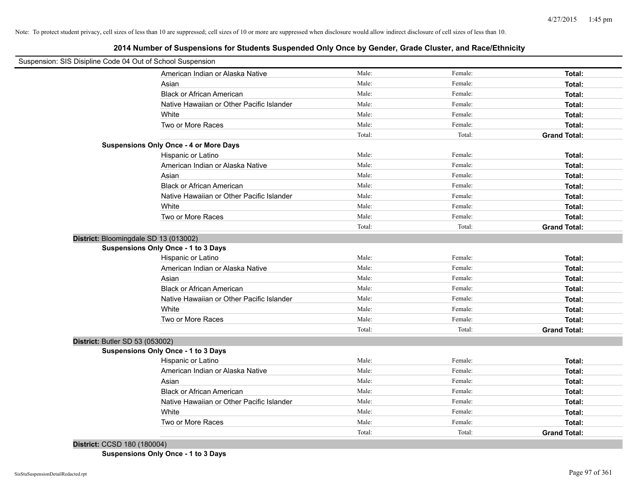**2014 Number of Suspensions for Students Suspended Only Once by Gender, Grade Cluster, and Race/Ethnicity**

| Suspension: SIS Disipline Code 04 Out of School Suspension |                                               |        |         |                     |
|------------------------------------------------------------|-----------------------------------------------|--------|---------|---------------------|
|                                                            | American Indian or Alaska Native              | Male:  | Female: | Total:              |
|                                                            | Asian                                         | Male:  | Female: | Total:              |
|                                                            | <b>Black or African American</b>              | Male:  | Female: | Total:              |
|                                                            | Native Hawaiian or Other Pacific Islander     | Male:  | Female: | Total:              |
|                                                            | White                                         | Male:  | Female: | Total:              |
|                                                            | Two or More Races                             | Male:  | Female: | Total:              |
|                                                            |                                               | Total: | Total:  | <b>Grand Total:</b> |
|                                                            | <b>Suspensions Only Once - 4 or More Days</b> |        |         |                     |
|                                                            | Hispanic or Latino                            | Male:  | Female: | Total:              |
|                                                            | American Indian or Alaska Native              | Male:  | Female: | Total:              |
|                                                            | Asian                                         | Male:  | Female: | Total:              |
|                                                            | <b>Black or African American</b>              | Male:  | Female: | Total:              |
|                                                            | Native Hawaiian or Other Pacific Islander     | Male:  | Female: | Total:              |
|                                                            | White                                         | Male:  | Female: | Total:              |
|                                                            | Two or More Races                             | Male:  | Female: | Total:              |
|                                                            |                                               | Total: | Total:  | <b>Grand Total:</b> |
| District: Bloomingdale SD 13 (013002)                      |                                               |        |         |                     |
| <b>Suspensions Only Once - 1 to 3 Days</b>                 |                                               |        |         |                     |
|                                                            | Hispanic or Latino                            | Male:  | Female: | Total:              |
|                                                            | American Indian or Alaska Native              | Male:  | Female: | Total:              |
|                                                            | Asian                                         | Male:  | Female: | Total:              |
|                                                            | <b>Black or African American</b>              | Male:  | Female: | Total:              |
|                                                            | Native Hawaiian or Other Pacific Islander     | Male:  | Female: | Total:              |
|                                                            | White                                         | Male:  | Female: | Total:              |
|                                                            | Two or More Races                             | Male:  | Female: | Total:              |
|                                                            |                                               | Total: | Total:  | <b>Grand Total:</b> |
| District: Butler SD 53 (053002)                            |                                               |        |         |                     |
| Suspensions Only Once - 1 to 3 Days                        |                                               |        |         |                     |
|                                                            | Hispanic or Latino                            | Male:  | Female: | Total:              |
|                                                            | American Indian or Alaska Native              | Male:  | Female: | Total:              |
|                                                            | Asian                                         | Male:  | Female: | Total:              |
|                                                            | <b>Black or African American</b>              | Male:  | Female: | Total:              |
|                                                            |                                               |        | Female: |                     |
|                                                            | Native Hawaiian or Other Pacific Islander     | Male:  |         | Total:              |
|                                                            | White                                         | Male:  | Female: | Total:              |
|                                                            | Two or More Races                             | Male:  | Female: | Total:              |

**District:** CCSD 180 (180004)

**Suspensions Only Once - 1 to 3 Days**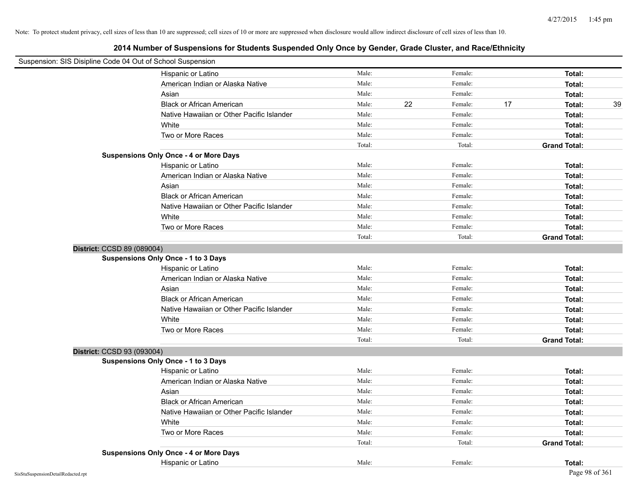| Suspension: SIS Disipline Code 04 Out of School Suspension |                                               |        |    |         |    |                     |    |
|------------------------------------------------------------|-----------------------------------------------|--------|----|---------|----|---------------------|----|
|                                                            | Hispanic or Latino                            | Male:  |    | Female: |    | Total:              |    |
|                                                            | American Indian or Alaska Native              | Male:  |    | Female: |    | Total:              |    |
|                                                            | Asian                                         | Male:  |    | Female: |    | Total:              |    |
|                                                            | <b>Black or African American</b>              | Male:  | 22 | Female: | 17 | Total:              | 39 |
|                                                            | Native Hawaiian or Other Pacific Islander     | Male:  |    | Female: |    | Total:              |    |
|                                                            | White                                         | Male:  |    | Female: |    | Total:              |    |
|                                                            | Two or More Races                             | Male:  |    | Female: |    | Total:              |    |
|                                                            |                                               | Total: |    | Total:  |    | <b>Grand Total:</b> |    |
|                                                            | <b>Suspensions Only Once - 4 or More Days</b> |        |    |         |    |                     |    |
|                                                            | Hispanic or Latino                            | Male:  |    | Female: |    | Total:              |    |
|                                                            | American Indian or Alaska Native              | Male:  |    | Female: |    | Total:              |    |
|                                                            | Asian                                         | Male:  |    | Female: |    | Total:              |    |
|                                                            | <b>Black or African American</b>              | Male:  |    | Female: |    | Total:              |    |
|                                                            | Native Hawaiian or Other Pacific Islander     | Male:  |    | Female: |    | Total:              |    |
|                                                            | White                                         | Male:  |    | Female: |    | Total:              |    |
|                                                            | Two or More Races                             | Male:  |    | Female: |    | Total:              |    |
|                                                            |                                               | Total: |    | Total:  |    | <b>Grand Total:</b> |    |
| District: CCSD 89 (089004)                                 |                                               |        |    |         |    |                     |    |
|                                                            | <b>Suspensions Only Once - 1 to 3 Days</b>    |        |    |         |    |                     |    |
|                                                            | Hispanic or Latino                            | Male:  |    | Female: |    | Total:              |    |
|                                                            | American Indian or Alaska Native              | Male:  |    | Female: |    | Total:              |    |
|                                                            | Asian                                         | Male:  |    | Female: |    | Total:              |    |
|                                                            | <b>Black or African American</b>              | Male:  |    | Female: |    | Total:              |    |
|                                                            | Native Hawaiian or Other Pacific Islander     | Male:  |    | Female: |    | Total:              |    |
|                                                            | White                                         | Male:  |    | Female: |    | Total:              |    |
|                                                            | Two or More Races                             | Male:  |    | Female: |    | Total:              |    |
|                                                            |                                               | Total: |    | Total:  |    | <b>Grand Total:</b> |    |
| District: CCSD 93 (093004)                                 |                                               |        |    |         |    |                     |    |
|                                                            | <b>Suspensions Only Once - 1 to 3 Days</b>    |        |    |         |    |                     |    |
|                                                            | Hispanic or Latino                            | Male:  |    | Female: |    | Total:              |    |
|                                                            | American Indian or Alaska Native              | Male:  |    | Female: |    | Total:              |    |
|                                                            | Asian                                         | Male:  |    | Female: |    | Total:              |    |
|                                                            | <b>Black or African American</b>              | Male:  |    | Female: |    | Total:              |    |
|                                                            | Native Hawaiian or Other Pacific Islander     | Male:  |    | Female: |    | Total:              |    |
|                                                            | White                                         | Male:  |    | Female: |    | Total:              |    |
|                                                            | Two or More Races                             | Male:  |    | Female: |    | Total:              |    |
|                                                            |                                               | Total: |    | Total:  |    | <b>Grand Total:</b> |    |
|                                                            | <b>Suspensions Only Once - 4 or More Days</b> |        |    |         |    |                     |    |
|                                                            | Hispanic or Latino                            | Male:  |    | Female: |    | Total:              |    |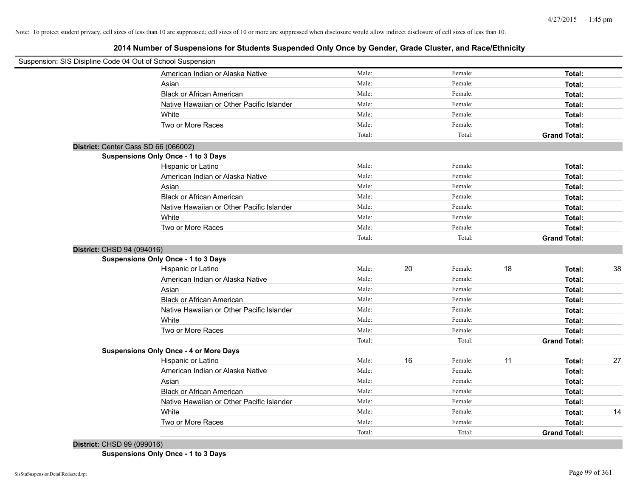**2014 Number of Suspensions for Students Suspended Only Once by Gender, Grade Cluster, and Race/Ethnicity**

| Suspension: SIS Disipline Code 04 Out of School Suspension |                                           |        |    |         |    |                     |    |
|------------------------------------------------------------|-------------------------------------------|--------|----|---------|----|---------------------|----|
|                                                            | American Indian or Alaska Native          | Male:  |    | Female: |    | Total:              |    |
| Asian                                                      |                                           | Male:  |    | Female: |    | Total:              |    |
|                                                            | <b>Black or African American</b>          | Male:  |    | Female: |    | Total:              |    |
|                                                            | Native Hawaiian or Other Pacific Islander | Male:  |    | Female: |    | Total:              |    |
| White                                                      |                                           | Male:  |    | Female: |    | Total:              |    |
|                                                            | Two or More Races                         | Male:  |    | Female: |    | Total:              |    |
|                                                            |                                           | Total: |    | Total:  |    | <b>Grand Total:</b> |    |
| District: Center Cass SD 66 (066002)                       |                                           |        |    |         |    |                     |    |
| Suspensions Only Once - 1 to 3 Days                        |                                           |        |    |         |    |                     |    |
|                                                            | Hispanic or Latino                        | Male:  |    | Female: |    | Total:              |    |
|                                                            | American Indian or Alaska Native          | Male:  |    | Female: |    | Total:              |    |
| Asian                                                      |                                           | Male:  |    | Female: |    | Total:              |    |
|                                                            | <b>Black or African American</b>          | Male:  |    | Female: |    | Total:              |    |
|                                                            | Native Hawaiian or Other Pacific Islander | Male:  |    | Female: |    | Total:              |    |
| White                                                      |                                           | Male:  |    | Female: |    | Total:              |    |
|                                                            | Two or More Races                         | Male:  |    | Female: |    | Total:              |    |
|                                                            |                                           | Total: |    | Total:  |    | <b>Grand Total:</b> |    |
| District: CHSD 94 (094016)                                 |                                           |        |    |         |    |                     |    |
| Suspensions Only Once - 1 to 3 Days                        |                                           |        |    |         |    |                     |    |
|                                                            | Hispanic or Latino                        | Male:  | 20 | Female: | 18 | Total:              | 38 |
|                                                            | American Indian or Alaska Native          | Male:  |    | Female: |    | Total:              |    |
| Asian                                                      |                                           | Male:  |    | Female: |    | Total:              |    |
|                                                            | <b>Black or African American</b>          | Male:  |    | Female: |    | Total:              |    |
|                                                            | Native Hawaiian or Other Pacific Islander | Male:  |    | Female: |    | Total:              |    |
| White                                                      |                                           | Male:  |    | Female: |    | Total:              |    |
|                                                            | Two or More Races                         | Male:  |    | Female: |    | Total:              |    |
|                                                            |                                           | Total: |    | Total:  |    | <b>Grand Total:</b> |    |
| <b>Suspensions Only Once - 4 or More Days</b>              |                                           |        |    |         |    |                     |    |
|                                                            | Hispanic or Latino                        | Male:  | 16 | Female: | 11 | Total:              | 27 |
|                                                            | American Indian or Alaska Native          | Male:  |    | Female: |    | Total:              |    |
| Asian                                                      |                                           | Male:  |    | Female: |    | Total:              |    |
|                                                            | <b>Black or African American</b>          | Male:  |    | Female: |    | Total:              |    |
|                                                            | Native Hawaiian or Other Pacific Islander | Male:  |    | Female: |    | Total:              |    |
| White                                                      |                                           | Male:  |    | Female: |    | Total:              | 14 |
|                                                            | Two or More Races                         | Male:  |    | Female: |    | Total:              |    |
|                                                            |                                           | Total: |    | Total:  |    | <b>Grand Total:</b> |    |

**District:** CHSD 99 (099016) **Suspensions Only Once - 1 to 3 Days**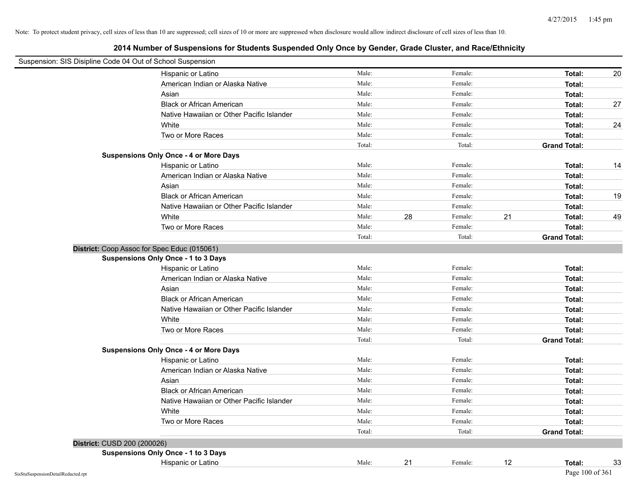| Suspension: SIS Disipline Code 04 Out of School Suspension |                                               |        |    |         |    |                     |    |
|------------------------------------------------------------|-----------------------------------------------|--------|----|---------|----|---------------------|----|
|                                                            | Hispanic or Latino                            | Male:  |    | Female: |    | Total:              | 20 |
|                                                            | American Indian or Alaska Native              | Male:  |    | Female: |    | Total:              |    |
|                                                            | Asian                                         | Male:  |    | Female: |    | Total:              |    |
|                                                            | <b>Black or African American</b>              | Male:  |    | Female: |    | Total:              | 27 |
|                                                            | Native Hawaiian or Other Pacific Islander     | Male:  |    | Female: |    | Total:              |    |
|                                                            | White                                         | Male:  |    | Female: |    | Total:              | 24 |
|                                                            | Two or More Races                             | Male:  |    | Female: |    | Total:              |    |
|                                                            |                                               | Total: |    | Total:  |    | <b>Grand Total:</b> |    |
|                                                            | <b>Suspensions Only Once - 4 or More Days</b> |        |    |         |    |                     |    |
|                                                            | Hispanic or Latino                            | Male:  |    | Female: |    | Total:              | 14 |
|                                                            | American Indian or Alaska Native              | Male:  |    | Female: |    | Total:              |    |
|                                                            | Asian                                         | Male:  |    | Female: |    | Total:              |    |
|                                                            | <b>Black or African American</b>              | Male:  |    | Female: |    | Total:              | 19 |
|                                                            | Native Hawaiian or Other Pacific Islander     | Male:  |    | Female: |    | Total:              |    |
|                                                            | White                                         | Male:  | 28 | Female: | 21 | Total:              | 49 |
|                                                            | Two or More Races                             | Male:  |    | Female: |    | Total:              |    |
|                                                            |                                               | Total: |    | Total:  |    | <b>Grand Total:</b> |    |
|                                                            | District: Coop Assoc for Spec Educ (015061)   |        |    |         |    |                     |    |
|                                                            | Suspensions Only Once - 1 to 3 Days           |        |    |         |    |                     |    |
|                                                            | Hispanic or Latino                            | Male:  |    | Female: |    | Total:              |    |
|                                                            | American Indian or Alaska Native              | Male:  |    | Female: |    | Total:              |    |
|                                                            | Asian                                         | Male:  |    | Female: |    | Total:              |    |
|                                                            | <b>Black or African American</b>              | Male:  |    | Female: |    | Total:              |    |
|                                                            | Native Hawaiian or Other Pacific Islander     | Male:  |    | Female: |    | Total:              |    |
|                                                            | White                                         | Male:  |    | Female: |    | Total:              |    |
|                                                            | Two or More Races                             | Male:  |    | Female: |    | Total:              |    |
|                                                            |                                               | Total: |    | Total:  |    | <b>Grand Total:</b> |    |
|                                                            | <b>Suspensions Only Once - 4 or More Days</b> |        |    |         |    |                     |    |
|                                                            | Hispanic or Latino                            | Male:  |    | Female: |    | Total:              |    |
|                                                            | American Indian or Alaska Native              | Male:  |    | Female: |    | Total:              |    |
|                                                            | Asian                                         | Male:  |    | Female: |    | Total:              |    |
|                                                            | <b>Black or African American</b>              | Male:  |    | Female: |    | Total:              |    |
|                                                            | Native Hawaiian or Other Pacific Islander     | Male:  |    | Female: |    | Total:              |    |
|                                                            | White                                         | Male:  |    | Female: |    | Total:              |    |
|                                                            | Two or More Races                             | Male:  |    | Female: |    | Total:              |    |
|                                                            |                                               | Total: |    | Total:  |    | <b>Grand Total:</b> |    |
| <b>District: CUSD 200 (200026)</b>                         |                                               |        |    |         |    |                     |    |
|                                                            | <b>Suspensions Only Once - 1 to 3 Days</b>    |        |    |         |    |                     |    |
|                                                            | Hispanic or Latino                            | Male:  | 21 | Female: | 12 | Total:              | 33 |
| SisStuSuspensionDetailRedacted.rpt                         |                                               |        |    |         |    | Page 100 of 361     |    |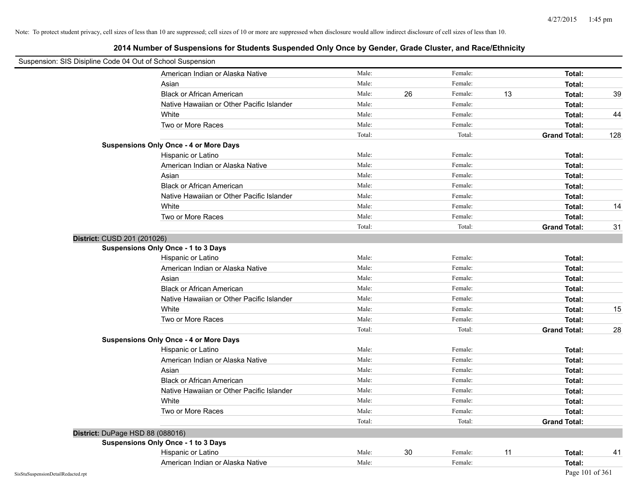| Suspension: SIS Disipline Code 04 Out of School Suspension |                                               |        |    |         |    |                     |     |
|------------------------------------------------------------|-----------------------------------------------|--------|----|---------|----|---------------------|-----|
|                                                            | American Indian or Alaska Native              | Male:  |    | Female: |    | Total:              |     |
|                                                            | Asian                                         | Male:  |    | Female: |    | Total:              |     |
|                                                            | <b>Black or African American</b>              | Male:  | 26 | Female: | 13 | Total:              | 39  |
|                                                            | Native Hawaiian or Other Pacific Islander     | Male:  |    | Female: |    | Total:              |     |
|                                                            | White                                         | Male:  |    | Female: |    | Total:              | 44  |
|                                                            | Two or More Races                             | Male:  |    | Female: |    | Total:              |     |
|                                                            |                                               | Total: |    | Total:  |    | <b>Grand Total:</b> | 128 |
|                                                            | <b>Suspensions Only Once - 4 or More Days</b> |        |    |         |    |                     |     |
|                                                            | Hispanic or Latino                            | Male:  |    | Female: |    | Total:              |     |
|                                                            | American Indian or Alaska Native              | Male:  |    | Female: |    | Total:              |     |
|                                                            | Asian                                         | Male:  |    | Female: |    | Total:              |     |
|                                                            | <b>Black or African American</b>              | Male:  |    | Female: |    | Total:              |     |
|                                                            | Native Hawaiian or Other Pacific Islander     | Male:  |    | Female: |    | Total:              |     |
|                                                            | White                                         | Male:  |    | Female: |    | Total:              | 14  |
|                                                            | Two or More Races                             | Male:  |    | Female: |    | Total:              |     |
|                                                            |                                               | Total: |    | Total:  |    | <b>Grand Total:</b> | 31  |
| District: CUSD 201 (201026)                                |                                               |        |    |         |    |                     |     |
|                                                            | <b>Suspensions Only Once - 1 to 3 Days</b>    |        |    |         |    |                     |     |
|                                                            | Hispanic or Latino                            | Male:  |    | Female: |    | Total:              |     |
|                                                            | American Indian or Alaska Native              | Male:  |    | Female: |    | Total:              |     |
|                                                            | Asian                                         | Male:  |    | Female: |    | Total:              |     |
|                                                            | <b>Black or African American</b>              | Male:  |    | Female: |    | Total:              |     |
|                                                            | Native Hawaiian or Other Pacific Islander     | Male:  |    | Female: |    | Total:              |     |
|                                                            | White                                         | Male:  |    | Female: |    | Total:              | 15  |
|                                                            | Two or More Races                             | Male:  |    | Female: |    | Total:              |     |
|                                                            |                                               | Total: |    | Total:  |    | <b>Grand Total:</b> | 28  |
|                                                            | <b>Suspensions Only Once - 4 or More Days</b> |        |    |         |    |                     |     |
|                                                            | Hispanic or Latino                            | Male:  |    | Female: |    | Total:              |     |
|                                                            | American Indian or Alaska Native              | Male:  |    | Female: |    | Total:              |     |
|                                                            | Asian                                         | Male:  |    | Female: |    | Total:              |     |
|                                                            | <b>Black or African American</b>              | Male:  |    | Female: |    | Total:              |     |
|                                                            | Native Hawaiian or Other Pacific Islander     | Male:  |    | Female: |    | Total:              |     |
|                                                            | White                                         | Male:  |    | Female: |    | Total:              |     |
|                                                            | Two or More Races                             | Male:  |    | Female: |    | Total:              |     |
|                                                            |                                               | Total: |    | Total:  |    | <b>Grand Total:</b> |     |
|                                                            | District: DuPage HSD 88 (088016)              |        |    |         |    |                     |     |
|                                                            | <b>Suspensions Only Once - 1 to 3 Days</b>    |        |    |         |    |                     |     |
|                                                            | Hispanic or Latino                            | Male:  | 30 | Female: | 11 | Total:              | 41  |
|                                                            | American Indian or Alaska Native              | Male:  |    | Female: |    | Total:              |     |
| SisStuSuspensionDetailRedacted.rpt                         |                                               |        |    |         |    | Page 101 of 361     |     |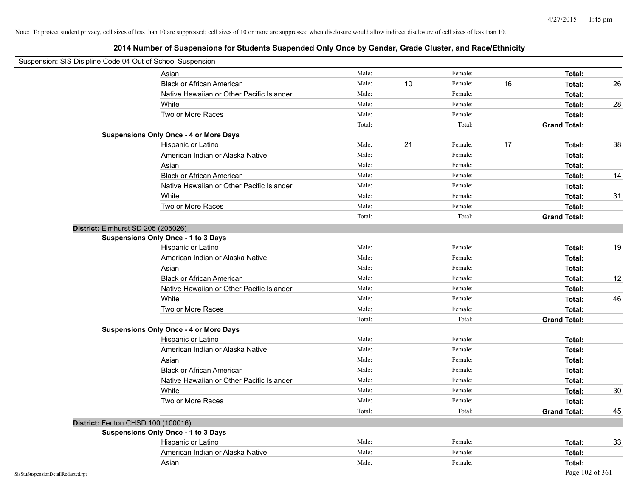| Suspension: SIS Disipline Code 04 Out of School Suspension |        |    |         |    |                     |    |
|------------------------------------------------------------|--------|----|---------|----|---------------------|----|
| Asian                                                      | Male:  |    | Female: |    | Total:              |    |
| <b>Black or African American</b>                           | Male:  | 10 | Female: | 16 | Total:              | 26 |
| Native Hawaiian or Other Pacific Islander                  | Male:  |    | Female: |    | Total:              |    |
| White                                                      | Male:  |    | Female: |    | Total:              | 28 |
| Two or More Races                                          | Male:  |    | Female: |    | Total:              |    |
|                                                            | Total: |    | Total:  |    | <b>Grand Total:</b> |    |
| <b>Suspensions Only Once - 4 or More Days</b>              |        |    |         |    |                     |    |
| Hispanic or Latino                                         | Male:  | 21 | Female: | 17 | Total:              | 38 |
| American Indian or Alaska Native                           | Male:  |    | Female: |    | Total:              |    |
| Asian                                                      | Male:  |    | Female: |    | Total:              |    |
| <b>Black or African American</b>                           | Male:  |    | Female: |    | Total:              | 14 |
| Native Hawaiian or Other Pacific Islander                  | Male:  |    | Female: |    | Total:              |    |
| White                                                      | Male:  |    | Female: |    | Total:              | 31 |
| Two or More Races                                          | Male:  |    | Female: |    | Total:              |    |
|                                                            | Total: |    | Total:  |    | <b>Grand Total:</b> |    |
| District: Elmhurst SD 205 (205026)                         |        |    |         |    |                     |    |
| Suspensions Only Once - 1 to 3 Days                        |        |    |         |    |                     |    |
| Hispanic or Latino                                         | Male:  |    | Female: |    | Total:              | 19 |
| American Indian or Alaska Native                           | Male:  |    | Female: |    | Total:              |    |
| Asian                                                      | Male:  |    | Female: |    | Total:              |    |
| <b>Black or African American</b>                           | Male:  |    | Female: |    | Total:              | 12 |
| Native Hawaiian or Other Pacific Islander                  | Male:  |    | Female: |    | Total:              |    |
| White                                                      | Male:  |    | Female: |    | Total:              | 46 |
| Two or More Races                                          | Male:  |    | Female: |    | Total:              |    |
|                                                            | Total: |    | Total:  |    | <b>Grand Total:</b> |    |
| <b>Suspensions Only Once - 4 or More Days</b>              |        |    |         |    |                     |    |
| Hispanic or Latino                                         | Male:  |    | Female: |    | Total:              |    |
| American Indian or Alaska Native                           | Male:  |    | Female: |    | Total:              |    |
| Asian                                                      | Male:  |    | Female: |    | Total:              |    |
| <b>Black or African American</b>                           | Male:  |    | Female: |    | Total:              |    |
| Native Hawaiian or Other Pacific Islander                  | Male:  |    | Female: |    | Total:              |    |
| White                                                      | Male:  |    | Female: |    | Total:              | 30 |
| Two or More Races                                          | Male:  |    | Female: |    | Total:              |    |
|                                                            | Total: |    | Total:  |    | <b>Grand Total:</b> | 45 |
| District: Fenton CHSD 100 (100016)                         |        |    |         |    |                     |    |
| Suspensions Only Once - 1 to 3 Days                        |        |    |         |    |                     |    |
| Hispanic or Latino                                         | Male:  |    | Female: |    | Total:              | 33 |
| American Indian or Alaska Native                           | Male:  |    | Female: |    | Total:              |    |
| Asian                                                      | Male:  |    | Female: |    | Total:              |    |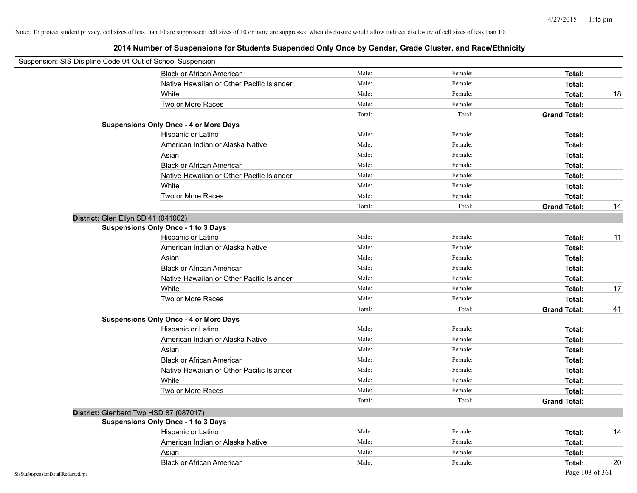| Suspension: SIS Disipline Code 04 Out of School Suspension |                                               |        |         |                     |    |
|------------------------------------------------------------|-----------------------------------------------|--------|---------|---------------------|----|
|                                                            | <b>Black or African American</b>              | Male:  | Female: | Total:              |    |
|                                                            | Native Hawaiian or Other Pacific Islander     | Male:  | Female: | Total:              |    |
|                                                            | White                                         | Male:  | Female: | Total:              | 18 |
|                                                            | Two or More Races                             | Male:  | Female: | Total:              |    |
|                                                            |                                               | Total: | Total:  | <b>Grand Total:</b> |    |
|                                                            | <b>Suspensions Only Once - 4 or More Days</b> |        |         |                     |    |
|                                                            | Hispanic or Latino                            | Male:  | Female: | Total:              |    |
|                                                            | American Indian or Alaska Native              | Male:  | Female: | Total:              |    |
|                                                            | Asian                                         | Male:  | Female: | Total:              |    |
|                                                            | <b>Black or African American</b>              | Male:  | Female: | Total:              |    |
|                                                            | Native Hawaiian or Other Pacific Islander     | Male:  | Female: | Total:              |    |
|                                                            | White                                         | Male:  | Female: | Total:              |    |
|                                                            | Two or More Races                             | Male:  | Female: | Total:              |    |
|                                                            |                                               | Total: | Total:  | <b>Grand Total:</b> | 14 |
| District: Glen Ellyn SD 41 (041002)                        |                                               |        |         |                     |    |
|                                                            | Suspensions Only Once - 1 to 3 Days           |        |         |                     |    |
|                                                            | Hispanic or Latino                            | Male:  | Female: | Total:              | 11 |
|                                                            | American Indian or Alaska Native              | Male:  | Female: | Total:              |    |
|                                                            | Asian                                         | Male:  | Female: | Total:              |    |
|                                                            | <b>Black or African American</b>              | Male:  | Female: | Total:              |    |
|                                                            | Native Hawaiian or Other Pacific Islander     | Male:  | Female: | Total:              |    |
|                                                            | White                                         | Male:  | Female: | Total:              | 17 |
|                                                            | Two or More Races                             | Male:  | Female: | Total:              |    |
|                                                            |                                               | Total: | Total:  | <b>Grand Total:</b> | 41 |
|                                                            | <b>Suspensions Only Once - 4 or More Days</b> |        |         |                     |    |
|                                                            | Hispanic or Latino                            | Male:  | Female: | Total:              |    |
|                                                            | American Indian or Alaska Native              | Male:  | Female: | Total:              |    |
|                                                            | Asian                                         | Male:  | Female: | Total:              |    |
|                                                            | <b>Black or African American</b>              | Male:  | Female: | Total:              |    |
|                                                            | Native Hawaiian or Other Pacific Islander     | Male:  | Female: | Total:              |    |
|                                                            | White                                         | Male:  | Female: | Total:              |    |
|                                                            | Two or More Races                             | Male:  | Female: | Total:              |    |
|                                                            |                                               | Total: | Total:  | <b>Grand Total:</b> |    |
|                                                            | District: Glenbard Twp HSD 87 (087017)        |        |         |                     |    |
|                                                            | <b>Suspensions Only Once - 1 to 3 Days</b>    |        |         |                     |    |
|                                                            | Hispanic or Latino                            | Male:  | Female: | Total:              | 14 |
|                                                            | American Indian or Alaska Native              | Male:  | Female: | Total:              |    |
|                                                            | Asian                                         | Male:  | Female: | Total:              |    |
|                                                            | <b>Black or African American</b>              | Male:  | Female: | Total:              | 20 |
| SisStuSuspensionDetailRedacted.rpt                         |                                               |        |         | Page 103 of 361     |    |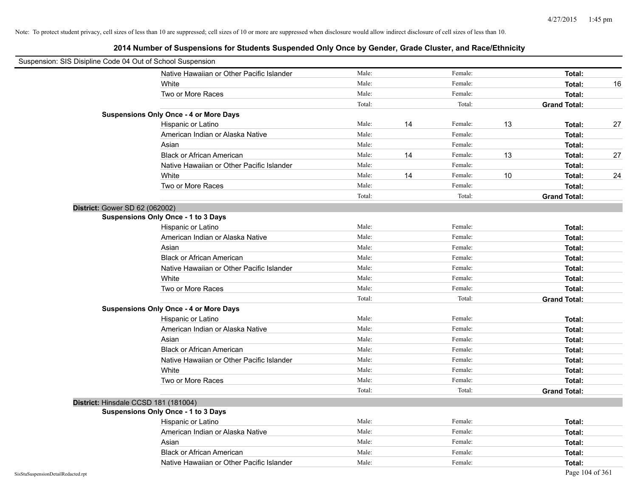|                                    | Suspension: SIS Disipline Code 04 Out of School Suspension |        |    |         |    |                     |    |
|------------------------------------|------------------------------------------------------------|--------|----|---------|----|---------------------|----|
|                                    | Native Hawaiian or Other Pacific Islander                  | Male:  |    | Female: |    | Total:              |    |
|                                    | White                                                      | Male:  |    | Female: |    | Total:              | 16 |
|                                    | Two or More Races                                          | Male:  |    | Female: |    | Total:              |    |
|                                    |                                                            | Total: |    | Total:  |    | <b>Grand Total:</b> |    |
|                                    | <b>Suspensions Only Once - 4 or More Days</b>              |        |    |         |    |                     |    |
|                                    | Hispanic or Latino                                         | Male:  | 14 | Female: | 13 | Total:              | 27 |
|                                    | American Indian or Alaska Native                           | Male:  |    | Female: |    | Total:              |    |
|                                    | Asian                                                      | Male:  |    | Female: |    | Total:              |    |
|                                    | <b>Black or African American</b>                           | Male:  | 14 | Female: | 13 | Total:              | 27 |
|                                    | Native Hawaiian or Other Pacific Islander                  | Male:  |    | Female: |    | Total:              |    |
|                                    | White                                                      | Male:  | 14 | Female: | 10 | Total:              | 24 |
|                                    | Two or More Races                                          | Male:  |    | Female: |    | Total:              |    |
|                                    |                                                            | Total: |    | Total:  |    | <b>Grand Total:</b> |    |
|                                    | District: Gower SD 62 (062002)                             |        |    |         |    |                     |    |
|                                    | <b>Suspensions Only Once - 1 to 3 Days</b>                 |        |    |         |    |                     |    |
|                                    | Hispanic or Latino                                         | Male:  |    | Female: |    | Total:              |    |
|                                    | American Indian or Alaska Native                           | Male:  |    | Female: |    | Total:              |    |
|                                    | Asian                                                      | Male:  |    | Female: |    | Total:              |    |
|                                    | <b>Black or African American</b>                           | Male:  |    | Female: |    | Total:              |    |
|                                    | Native Hawaiian or Other Pacific Islander                  | Male:  |    | Female: |    | Total:              |    |
|                                    | White                                                      | Male:  |    | Female: |    | Total:              |    |
|                                    | Two or More Races                                          | Male:  |    | Female: |    | Total:              |    |
|                                    |                                                            | Total: |    | Total:  |    | <b>Grand Total:</b> |    |
|                                    | <b>Suspensions Only Once - 4 or More Days</b>              |        |    |         |    |                     |    |
|                                    | Hispanic or Latino                                         | Male:  |    | Female: |    | Total:              |    |
|                                    | American Indian or Alaska Native                           | Male:  |    | Female: |    | Total:              |    |
|                                    | Asian                                                      | Male:  |    | Female: |    | Total:              |    |
|                                    | <b>Black or African American</b>                           | Male:  |    | Female: |    | Total:              |    |
|                                    | Native Hawaiian or Other Pacific Islander                  | Male:  |    | Female: |    | Total:              |    |
|                                    | White                                                      | Male:  |    | Female: |    | Total:              |    |
|                                    | Two or More Races                                          | Male:  |    | Female: |    | Total:              |    |
|                                    |                                                            | Total: |    | Total:  |    | <b>Grand Total:</b> |    |
|                                    | District: Hinsdale CCSD 181 (181004)                       |        |    |         |    |                     |    |
|                                    | <b>Suspensions Only Once - 1 to 3 Days</b>                 |        |    |         |    |                     |    |
|                                    | Hispanic or Latino                                         | Male:  |    | Female: |    | Total:              |    |
|                                    | American Indian or Alaska Native                           | Male:  |    | Female: |    | Total:              |    |
|                                    | Asian                                                      | Male:  |    | Female: |    | Total:              |    |
|                                    | <b>Black or African American</b>                           | Male:  |    | Female: |    | Total:              |    |
|                                    | Native Hawaiian or Other Pacific Islander                  | Male:  |    | Female: |    | Total:              |    |
| SisStuSuspensionDetailRedacted.rpt |                                                            |        |    |         |    | Page 104 of 361     |    |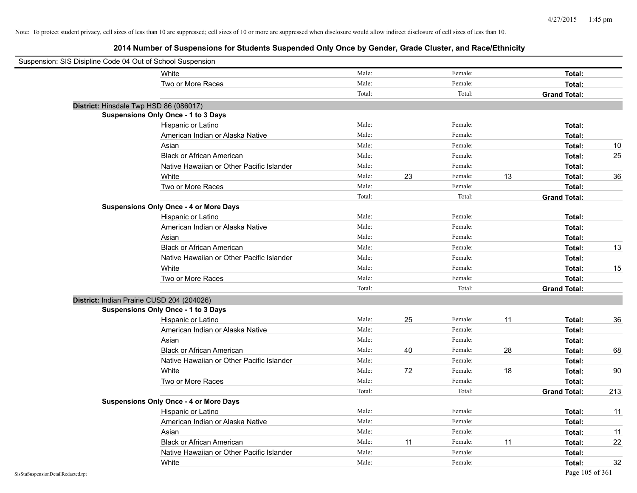| Suspension: SIS Disipline Code 04 Out of School Suspension |                                               |        |    |         |    |                     |        |
|------------------------------------------------------------|-----------------------------------------------|--------|----|---------|----|---------------------|--------|
|                                                            | White                                         | Male:  |    | Female: |    | Total:              |        |
|                                                            | Two or More Races                             | Male:  |    | Female: |    | Total:              |        |
|                                                            |                                               | Total: |    | Total:  |    | <b>Grand Total:</b> |        |
| District: Hinsdale Twp HSD 86 (086017)                     |                                               |        |    |         |    |                     |        |
|                                                            | <b>Suspensions Only Once - 1 to 3 Days</b>    |        |    |         |    |                     |        |
|                                                            | Hispanic or Latino                            | Male:  |    | Female: |    | Total:              |        |
|                                                            | American Indian or Alaska Native              | Male:  |    | Female: |    | Total:              |        |
|                                                            | Asian                                         | Male:  |    | Female: |    | Total:              | 10     |
|                                                            | <b>Black or African American</b>              | Male:  |    | Female: |    | Total:              | 25     |
|                                                            | Native Hawaiian or Other Pacific Islander     | Male:  |    | Female: |    | Total:              |        |
|                                                            | White                                         | Male:  | 23 | Female: | 13 | Total:              | 36     |
|                                                            | Two or More Races                             | Male:  |    | Female: |    | Total:              |        |
|                                                            |                                               | Total: |    | Total:  |    | <b>Grand Total:</b> |        |
|                                                            | <b>Suspensions Only Once - 4 or More Days</b> |        |    |         |    |                     |        |
|                                                            | Hispanic or Latino                            | Male:  |    | Female: |    | Total:              |        |
|                                                            | American Indian or Alaska Native              | Male:  |    | Female: |    | Total:              |        |
|                                                            | Asian                                         | Male:  |    | Female: |    | Total:              |        |
|                                                            | <b>Black or African American</b>              | Male:  |    | Female: |    | Total:              | 13     |
|                                                            | Native Hawaiian or Other Pacific Islander     | Male:  |    | Female: |    | Total:              |        |
|                                                            | White                                         | Male:  |    | Female: |    | Total:              | 15     |
|                                                            | Two or More Races                             | Male:  |    | Female: |    | Total:              |        |
|                                                            |                                               | Total: |    | Total:  |    | <b>Grand Total:</b> |        |
| District: Indian Prairie CUSD 204 (204026)                 |                                               |        |    |         |    |                     |        |
|                                                            | Suspensions Only Once - 1 to 3 Days           |        |    |         |    |                     |        |
|                                                            | Hispanic or Latino                            | Male:  | 25 | Female: | 11 | Total:              | 36     |
|                                                            | American Indian or Alaska Native              | Male:  |    | Female: |    | Total:              |        |
|                                                            | Asian                                         | Male:  |    | Female: |    | Total:              |        |
|                                                            | <b>Black or African American</b>              | Male:  | 40 | Female: | 28 | Total:              | 68     |
|                                                            | Native Hawaiian or Other Pacific Islander     | Male:  |    | Female: |    | Total:              |        |
|                                                            | White                                         | Male:  | 72 | Female: | 18 | Total:              | $90\,$ |
|                                                            | Two or More Races                             | Male:  |    | Female: |    | Total:              |        |
|                                                            |                                               | Total: |    | Total:  |    | <b>Grand Total:</b> | 213    |
|                                                            | <b>Suspensions Only Once - 4 or More Days</b> |        |    |         |    |                     |        |
|                                                            | Hispanic or Latino                            | Male:  |    | Female: |    | Total:              | 11     |
|                                                            | American Indian or Alaska Native              | Male:  |    | Female: |    | Total:              |        |
|                                                            | Asian                                         | Male:  |    | Female: |    | Total:              | 11     |
|                                                            | <b>Black or African American</b>              | Male:  | 11 | Female: | 11 | Total:              | 22     |
|                                                            | Native Hawaiian or Other Pacific Islander     | Male:  |    | Female: |    | Total:              |        |
|                                                            | White                                         | Male:  |    | Female: |    | Total:              | 32     |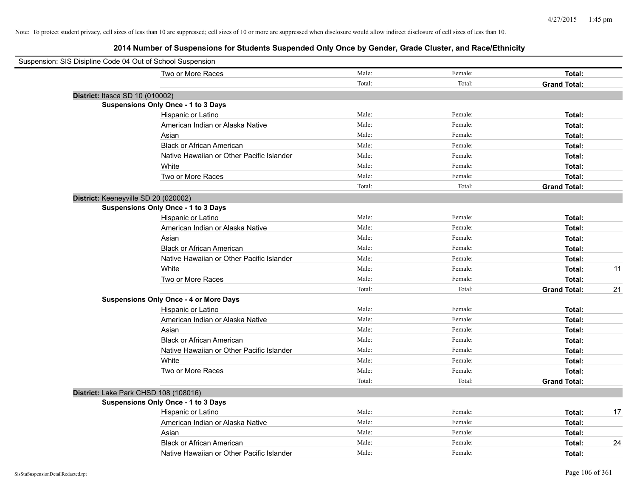| Suspension: SIS Disipline Code 04 Out of School Suspension |        |         |                           |
|------------------------------------------------------------|--------|---------|---------------------------|
| Two or More Races                                          | Male:  | Female: | Total:                    |
|                                                            | Total: | Total:  | <b>Grand Total:</b>       |
| District: Itasca SD 10 (010002)                            |        |         |                           |
| <b>Suspensions Only Once - 1 to 3 Days</b>                 |        |         |                           |
| Hispanic or Latino                                         | Male:  | Female: | Total:                    |
| American Indian or Alaska Native                           | Male:  | Female: | Total:                    |
| Asian                                                      | Male:  | Female: | Total:                    |
| <b>Black or African American</b>                           | Male:  | Female: | Total:                    |
| Native Hawaiian or Other Pacific Islander                  | Male:  | Female: | Total:                    |
| White                                                      | Male:  | Female: | Total:                    |
| Two or More Races                                          | Male:  | Female: | Total:                    |
|                                                            | Total: | Total:  | <b>Grand Total:</b>       |
| District: Keeneyville SD 20 (020002)                       |        |         |                           |
| Suspensions Only Once - 1 to 3 Days                        |        |         |                           |
| Hispanic or Latino                                         | Male:  | Female: | Total:                    |
| American Indian or Alaska Native                           | Male:  | Female: | Total:                    |
| Asian                                                      | Male:  | Female: | Total:                    |
| <b>Black or African American</b>                           | Male:  | Female: | Total:                    |
| Native Hawaiian or Other Pacific Islander                  | Male:  | Female: | Total:                    |
| White                                                      | Male:  | Female: | 11<br>Total:              |
| Two or More Races                                          | Male:  | Female: | Total:                    |
|                                                            | Total: | Total:  | <b>Grand Total:</b><br>21 |
| <b>Suspensions Only Once - 4 or More Days</b>              |        |         |                           |
| Hispanic or Latino                                         | Male:  | Female: | Total:                    |
| American Indian or Alaska Native                           | Male:  | Female: | Total:                    |
| Asian                                                      | Male:  | Female: | Total:                    |
| <b>Black or African American</b>                           | Male:  | Female: | Total:                    |
| Native Hawaiian or Other Pacific Islander                  | Male:  | Female: | Total:                    |
| White                                                      | Male:  | Female: | Total:                    |
| Two or More Races                                          | Male:  | Female: | Total:                    |
|                                                            | Total: | Total:  | <b>Grand Total:</b>       |
| District: Lake Park CHSD 108 (108016)                      |        |         |                           |
| <b>Suspensions Only Once - 1 to 3 Days</b>                 |        |         |                           |
| Hispanic or Latino                                         | Male:  | Female: | 17<br>Total:              |
| American Indian or Alaska Native                           | Male:  | Female: | Total:                    |
| Asian                                                      | Male:  | Female: | Total:                    |
| <b>Black or African American</b>                           | Male:  | Female: | 24<br>Total:              |
| Native Hawaiian or Other Pacific Islander                  | Male:  | Female: | Total:                    |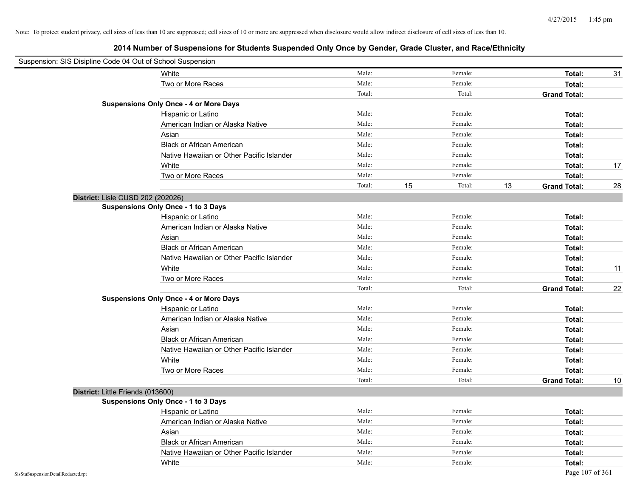| Suspension: SIS Disipline Code 04 Out of School Suspension |                                               |        |    |         |    |                     |    |
|------------------------------------------------------------|-----------------------------------------------|--------|----|---------|----|---------------------|----|
|                                                            | White                                         | Male:  |    | Female: |    | Total:              | 31 |
|                                                            | Two or More Races                             | Male:  |    | Female: |    | Total:              |    |
|                                                            |                                               | Total: |    | Total:  |    | <b>Grand Total:</b> |    |
|                                                            | <b>Suspensions Only Once - 4 or More Days</b> |        |    |         |    |                     |    |
|                                                            | Hispanic or Latino                            | Male:  |    | Female: |    | Total:              |    |
|                                                            | American Indian or Alaska Native              | Male:  |    | Female: |    | Total:              |    |
|                                                            | Asian                                         | Male:  |    | Female: |    | Total:              |    |
|                                                            | <b>Black or African American</b>              | Male:  |    | Female: |    | Total:              |    |
|                                                            | Native Hawaiian or Other Pacific Islander     | Male:  |    | Female: |    | Total:              |    |
|                                                            | White                                         | Male:  |    | Female: |    | Total:              | 17 |
|                                                            | Two or More Races                             | Male:  |    | Female: |    | Total:              |    |
|                                                            |                                               | Total: | 15 | Total:  | 13 | <b>Grand Total:</b> | 28 |
| District: Lisle CUSD 202 (202026)                          |                                               |        |    |         |    |                     |    |
|                                                            | Suspensions Only Once - 1 to 3 Days           |        |    |         |    |                     |    |
|                                                            | Hispanic or Latino                            | Male:  |    | Female: |    | Total:              |    |
|                                                            | American Indian or Alaska Native              | Male:  |    | Female: |    | Total:              |    |
|                                                            | Asian                                         | Male:  |    | Female: |    | Total:              |    |
|                                                            | <b>Black or African American</b>              | Male:  |    | Female: |    | Total:              |    |
|                                                            | Native Hawaiian or Other Pacific Islander     | Male:  |    | Female: |    | Total:              |    |
|                                                            | White                                         | Male:  |    | Female: |    | Total:              | 11 |
|                                                            | Two or More Races                             | Male:  |    | Female: |    | Total:              |    |
|                                                            |                                               | Total: |    | Total:  |    | <b>Grand Total:</b> | 22 |
|                                                            | <b>Suspensions Only Once - 4 or More Days</b> |        |    |         |    |                     |    |
|                                                            | Hispanic or Latino                            | Male:  |    | Female: |    | Total:              |    |
|                                                            | American Indian or Alaska Native              | Male:  |    | Female: |    | Total:              |    |
|                                                            | Asian                                         | Male:  |    | Female: |    | Total:              |    |
|                                                            | <b>Black or African American</b>              | Male:  |    | Female: |    | Total:              |    |
|                                                            | Native Hawaiian or Other Pacific Islander     | Male:  |    | Female: |    | Total:              |    |
|                                                            | White                                         | Male:  |    | Female: |    | Total:              |    |
|                                                            | Two or More Races                             | Male:  |    | Female: |    | Total:              |    |
|                                                            |                                               | Total: |    | Total:  |    | <b>Grand Total:</b> | 10 |
| District: Little Friends (013600)                          |                                               |        |    |         |    |                     |    |
|                                                            | <b>Suspensions Only Once - 1 to 3 Days</b>    |        |    |         |    |                     |    |
|                                                            | Hispanic or Latino                            | Male:  |    | Female: |    | Total:              |    |
|                                                            | American Indian or Alaska Native              | Male:  |    | Female: |    | Total:              |    |
|                                                            | Asian                                         | Male:  |    | Female: |    | Total:              |    |
|                                                            | <b>Black or African American</b>              | Male:  |    | Female: |    | Total:              |    |
|                                                            | Native Hawaiian or Other Pacific Islander     | Male:  |    | Female: |    | Total:              |    |
|                                                            | White                                         | Male:  |    | Female: |    | Total:              |    |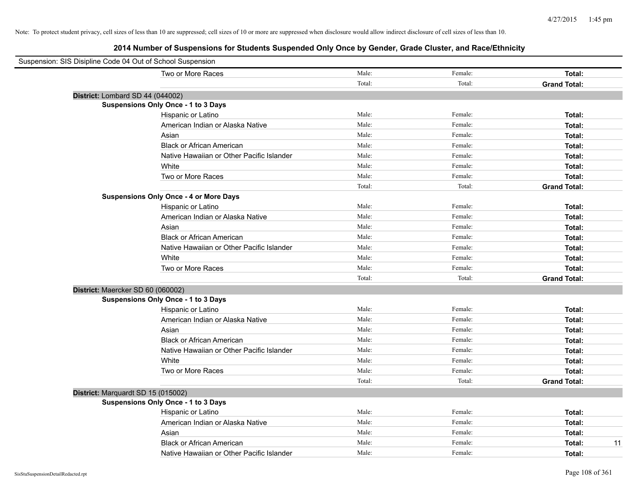| Suspension: SIS Disipline Code 04 Out of School Suspension |                                               |        |         |                     |
|------------------------------------------------------------|-----------------------------------------------|--------|---------|---------------------|
|                                                            | Two or More Races                             | Male:  | Female: | Total:              |
|                                                            |                                               | Total: | Total:  | <b>Grand Total:</b> |
|                                                            | District: Lombard SD 44 (044002)              |        |         |                     |
|                                                            | <b>Suspensions Only Once - 1 to 3 Days</b>    |        |         |                     |
|                                                            | Hispanic or Latino                            | Male:  | Female: | Total:              |
|                                                            | American Indian or Alaska Native              | Male:  | Female: | Total:              |
|                                                            | Asian                                         | Male:  | Female: | Total:              |
|                                                            | <b>Black or African American</b>              | Male:  | Female: | Total:              |
|                                                            | Native Hawaiian or Other Pacific Islander     | Male:  | Female: | Total:              |
|                                                            | White                                         | Male:  | Female: | Total:              |
|                                                            | Two or More Races                             | Male:  | Female: | Total:              |
|                                                            |                                               | Total: | Total:  | <b>Grand Total:</b> |
|                                                            | <b>Suspensions Only Once - 4 or More Days</b> |        |         |                     |
|                                                            | Hispanic or Latino                            | Male:  | Female: | Total:              |
|                                                            | American Indian or Alaska Native              | Male:  | Female: | Total:              |
|                                                            | Asian                                         | Male:  | Female: | Total:              |
|                                                            | <b>Black or African American</b>              | Male:  | Female: | Total:              |
|                                                            | Native Hawaiian or Other Pacific Islander     | Male:  | Female: | Total:              |
|                                                            | White                                         | Male:  | Female: | Total:              |
|                                                            | Two or More Races                             | Male:  | Female: | Total:              |
|                                                            |                                               | Total: | Total:  | <b>Grand Total:</b> |
|                                                            | District: Maercker SD 60 (060002)             |        |         |                     |
|                                                            | <b>Suspensions Only Once - 1 to 3 Days</b>    |        |         |                     |
|                                                            | Hispanic or Latino                            | Male:  | Female: | Total:              |
|                                                            | American Indian or Alaska Native              | Male:  | Female: | Total:              |
|                                                            | Asian                                         | Male:  | Female: | Total:              |
|                                                            | <b>Black or African American</b>              | Male:  | Female: | Total:              |
|                                                            | Native Hawaiian or Other Pacific Islander     | Male:  | Female: | Total:              |
|                                                            | White                                         | Male:  | Female: | Total:              |
|                                                            | Two or More Races                             | Male:  | Female: | Total:              |
|                                                            |                                               | Total: | Total:  | <b>Grand Total:</b> |
|                                                            | District: Marquardt SD 15 (015002)            |        |         |                     |
|                                                            | <b>Suspensions Only Once - 1 to 3 Days</b>    |        |         |                     |
|                                                            | Hispanic or Latino                            | Male:  | Female: | Total:              |
|                                                            | American Indian or Alaska Native              | Male:  | Female: | Total:              |
|                                                            | Asian                                         | Male:  | Female: | Total:              |
|                                                            | <b>Black or African American</b>              | Male:  | Female: | 11<br>Total:        |
|                                                            | Native Hawaiian or Other Pacific Islander     | Male:  | Female: | Total:              |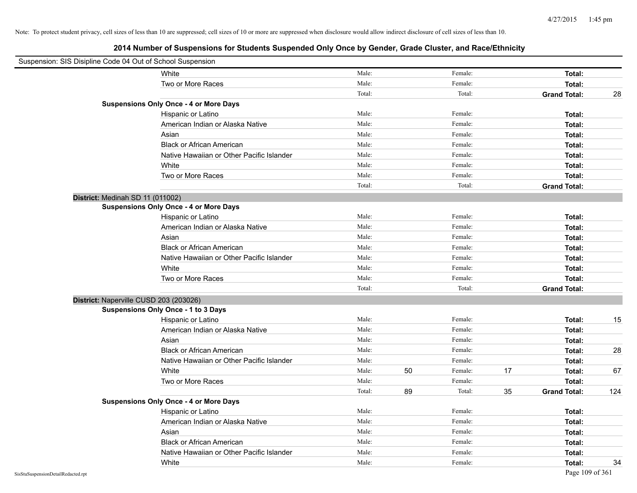| Suspension: SIS Disipline Code 04 Out of School Suspension |                                               |        |    |         |    |                     |     |
|------------------------------------------------------------|-----------------------------------------------|--------|----|---------|----|---------------------|-----|
|                                                            | White                                         | Male:  |    | Female: |    | Total:              |     |
|                                                            | Two or More Races                             | Male:  |    | Female: |    | Total:              |     |
|                                                            |                                               | Total: |    | Total:  |    | <b>Grand Total:</b> | 28  |
|                                                            | <b>Suspensions Only Once - 4 or More Days</b> |        |    |         |    |                     |     |
|                                                            | Hispanic or Latino                            | Male:  |    | Female: |    | Total:              |     |
|                                                            | American Indian or Alaska Native              | Male:  |    | Female: |    | Total:              |     |
|                                                            | Asian                                         | Male:  |    | Female: |    | Total:              |     |
|                                                            | <b>Black or African American</b>              | Male:  |    | Female: |    | Total:              |     |
|                                                            | Native Hawaiian or Other Pacific Islander     | Male:  |    | Female: |    | Total:              |     |
|                                                            | White                                         | Male:  |    | Female: |    | Total:              |     |
|                                                            | Two or More Races                             | Male:  |    | Female: |    | Total:              |     |
|                                                            |                                               | Total: |    | Total:  |    | <b>Grand Total:</b> |     |
|                                                            | District: Medinah SD 11 (011002)              |        |    |         |    |                     |     |
|                                                            | <b>Suspensions Only Once - 4 or More Days</b> |        |    |         |    |                     |     |
|                                                            | Hispanic or Latino                            | Male:  |    | Female: |    | Total:              |     |
|                                                            | American Indian or Alaska Native              | Male:  |    | Female: |    | Total:              |     |
|                                                            | Asian                                         | Male:  |    | Female: |    | Total:              |     |
|                                                            | <b>Black or African American</b>              | Male:  |    | Female: |    | Total:              |     |
|                                                            | Native Hawaiian or Other Pacific Islander     | Male:  |    | Female: |    | Total:              |     |
|                                                            | White                                         | Male:  |    | Female: |    | Total:              |     |
|                                                            | Two or More Races                             | Male:  |    | Female: |    | Total:              |     |
|                                                            |                                               | Total: |    | Total:  |    | <b>Grand Total:</b> |     |
|                                                            | District: Naperville CUSD 203 (203026)        |        |    |         |    |                     |     |
|                                                            | Suspensions Only Once - 1 to 3 Days           |        |    |         |    |                     |     |
|                                                            | Hispanic or Latino                            | Male:  |    | Female: |    | Total:              | 15  |
|                                                            | American Indian or Alaska Native              | Male:  |    | Female: |    | Total:              |     |
|                                                            | Asian                                         | Male:  |    | Female: |    | Total:              |     |
|                                                            | <b>Black or African American</b>              | Male:  |    | Female: |    | Total:              | 28  |
|                                                            | Native Hawaiian or Other Pacific Islander     | Male:  |    | Female: |    | Total:              |     |
|                                                            | White                                         | Male:  | 50 | Female: | 17 | Total:              | 67  |
|                                                            | Two or More Races                             | Male:  |    | Female: |    | Total:              |     |
|                                                            |                                               | Total: | 89 | Total:  | 35 | <b>Grand Total:</b> | 124 |
|                                                            | <b>Suspensions Only Once - 4 or More Days</b> |        |    |         |    |                     |     |
|                                                            | Hispanic or Latino                            | Male:  |    | Female: |    | Total:              |     |
|                                                            | American Indian or Alaska Native              | Male:  |    | Female: |    | Total:              |     |
|                                                            | Asian                                         | Male:  |    | Female: |    | Total:              |     |
|                                                            | <b>Black or African American</b>              | Male:  |    | Female: |    | Total:              |     |
|                                                            | Native Hawaiian or Other Pacific Islander     | Male:  |    | Female: |    | Total:              |     |
|                                                            | White                                         | Male:  |    | Female: |    | Total:              | 34  |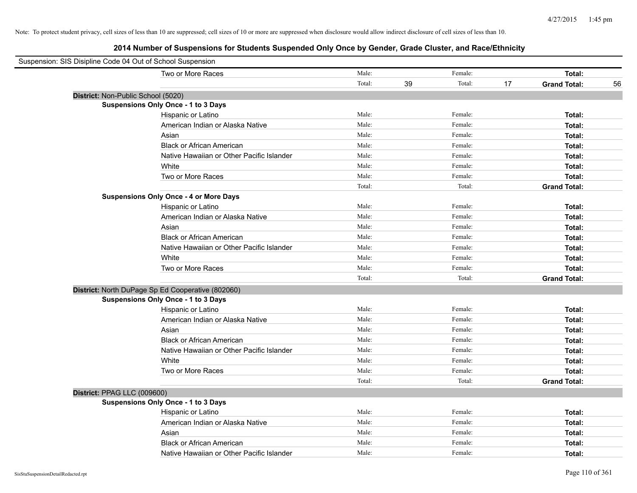| Suspension: SIS Disipline Code 04 Out of School Suspension |        |    |         |    |                     |    |
|------------------------------------------------------------|--------|----|---------|----|---------------------|----|
| Two or More Races                                          | Male:  |    | Female: |    | Total:              |    |
|                                                            | Total: | 39 | Total:  | 17 | <b>Grand Total:</b> | 56 |
| District: Non-Public School (5020)                         |        |    |         |    |                     |    |
| <b>Suspensions Only Once - 1 to 3 Days</b>                 |        |    |         |    |                     |    |
| Hispanic or Latino                                         | Male:  |    | Female: |    | Total:              |    |
| American Indian or Alaska Native                           | Male:  |    | Female: |    | Total:              |    |
| Asian                                                      | Male:  |    | Female: |    | Total:              |    |
| <b>Black or African American</b>                           | Male:  |    | Female: |    | Total:              |    |
| Native Hawaiian or Other Pacific Islander                  | Male:  |    | Female: |    | Total:              |    |
| White                                                      | Male:  |    | Female: |    | Total:              |    |
| Two or More Races                                          | Male:  |    | Female: |    | Total:              |    |
|                                                            | Total: |    | Total:  |    | <b>Grand Total:</b> |    |
| <b>Suspensions Only Once - 4 or More Days</b>              |        |    |         |    |                     |    |
| Hispanic or Latino                                         | Male:  |    | Female: |    | Total:              |    |
| American Indian or Alaska Native                           | Male:  |    | Female: |    | Total:              |    |
| Asian                                                      | Male:  |    | Female: |    | Total:              |    |
| <b>Black or African American</b>                           | Male:  |    | Female: |    | Total:              |    |
| Native Hawaiian or Other Pacific Islander                  | Male:  |    | Female: |    | Total:              |    |
| White                                                      | Male:  |    | Female: |    | Total:              |    |
| Two or More Races                                          | Male:  |    | Female: |    | Total:              |    |
|                                                            | Total: |    | Total:  |    | <b>Grand Total:</b> |    |
| District: North DuPage Sp Ed Cooperative (802060)          |        |    |         |    |                     |    |
| <b>Suspensions Only Once - 1 to 3 Days</b>                 |        |    |         |    |                     |    |
| Hispanic or Latino                                         | Male:  |    | Female: |    | Total:              |    |
| American Indian or Alaska Native                           | Male:  |    | Female: |    | Total:              |    |
| Asian                                                      | Male:  |    | Female: |    | Total:              |    |
| <b>Black or African American</b>                           | Male:  |    | Female: |    | Total:              |    |
| Native Hawaiian or Other Pacific Islander                  | Male:  |    | Female: |    | Total:              |    |
| White                                                      | Male:  |    | Female: |    | Total:              |    |
| Two or More Races                                          | Male:  |    | Female: |    | Total:              |    |
|                                                            | Total: |    | Total:  |    | <b>Grand Total:</b> |    |
| District: PPAG LLC (009600)                                |        |    |         |    |                     |    |
| <b>Suspensions Only Once - 1 to 3 Days</b>                 |        |    |         |    |                     |    |
| Hispanic or Latino                                         | Male:  |    | Female: |    | Total:              |    |
| American Indian or Alaska Native                           | Male:  |    | Female: |    | Total:              |    |
| Asian                                                      | Male:  |    | Female: |    | Total:              |    |
| <b>Black or African American</b>                           | Male:  |    | Female: |    | Total:              |    |
| Native Hawaiian or Other Pacific Islander                  | Male:  |    | Female: |    | Total:              |    |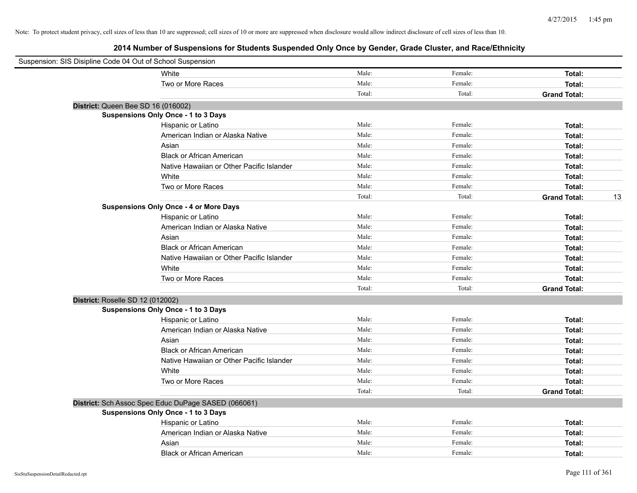| Suspension: SIS Disipline Code 04 Out of School Suspension |                                                     |        |         |                     |    |
|------------------------------------------------------------|-----------------------------------------------------|--------|---------|---------------------|----|
|                                                            | White                                               | Male:  | Female: | Total:              |    |
|                                                            | Two or More Races                                   | Male:  | Female: | Total:              |    |
|                                                            |                                                     | Total: | Total:  | <b>Grand Total:</b> |    |
| District: Queen Bee SD 16 (016002)                         |                                                     |        |         |                     |    |
|                                                            | <b>Suspensions Only Once - 1 to 3 Days</b>          |        |         |                     |    |
|                                                            | Hispanic or Latino                                  | Male:  | Female: | Total:              |    |
|                                                            | American Indian or Alaska Native                    | Male:  | Female: | Total:              |    |
|                                                            | Asian                                               | Male:  | Female: | Total:              |    |
|                                                            | <b>Black or African American</b>                    | Male:  | Female: | Total:              |    |
|                                                            | Native Hawaiian or Other Pacific Islander           | Male:  | Female: | Total:              |    |
|                                                            | White                                               | Male:  | Female: | Total:              |    |
|                                                            | Two or More Races                                   | Male:  | Female: | Total:              |    |
|                                                            |                                                     | Total: | Total:  | <b>Grand Total:</b> | 13 |
|                                                            | <b>Suspensions Only Once - 4 or More Days</b>       |        |         |                     |    |
|                                                            | Hispanic or Latino                                  | Male:  | Female: | Total:              |    |
|                                                            | American Indian or Alaska Native                    | Male:  | Female: | Total:              |    |
|                                                            | Asian                                               | Male:  | Female: | Total:              |    |
|                                                            | <b>Black or African American</b>                    | Male:  | Female: | Total:              |    |
|                                                            | Native Hawaiian or Other Pacific Islander           | Male:  | Female: | Total:              |    |
|                                                            | White                                               | Male:  | Female: | Total:              |    |
|                                                            | Two or More Races                                   | Male:  | Female: | Total:              |    |
|                                                            |                                                     | Total: | Total:  | <b>Grand Total:</b> |    |
| District: Roselle SD 12 (012002)                           |                                                     |        |         |                     |    |
|                                                            | <b>Suspensions Only Once - 1 to 3 Days</b>          |        |         |                     |    |
|                                                            | Hispanic or Latino                                  | Male:  | Female: | Total:              |    |
|                                                            | American Indian or Alaska Native                    | Male:  | Female: | Total:              |    |
|                                                            | Asian                                               | Male:  | Female: | Total:              |    |
|                                                            | <b>Black or African American</b>                    | Male:  | Female: | Total:              |    |
|                                                            | Native Hawaiian or Other Pacific Islander           | Male:  | Female: | Total:              |    |
|                                                            | White                                               | Male:  | Female: | Total:              |    |
|                                                            | Two or More Races                                   | Male:  | Female: | Total:              |    |
|                                                            |                                                     | Total: | Total:  | <b>Grand Total:</b> |    |
|                                                            | District: Sch Assoc Spec Educ DuPage SASED (066061) |        |         |                     |    |
|                                                            | <b>Suspensions Only Once - 1 to 3 Days</b>          |        |         |                     |    |
|                                                            | Hispanic or Latino                                  | Male:  | Female: | Total:              |    |
|                                                            | American Indian or Alaska Native                    | Male:  | Female: | Total:              |    |
|                                                            | Asian                                               | Male:  | Female: | Total:              |    |
|                                                            | <b>Black or African American</b>                    | Male:  | Female: | Total:              |    |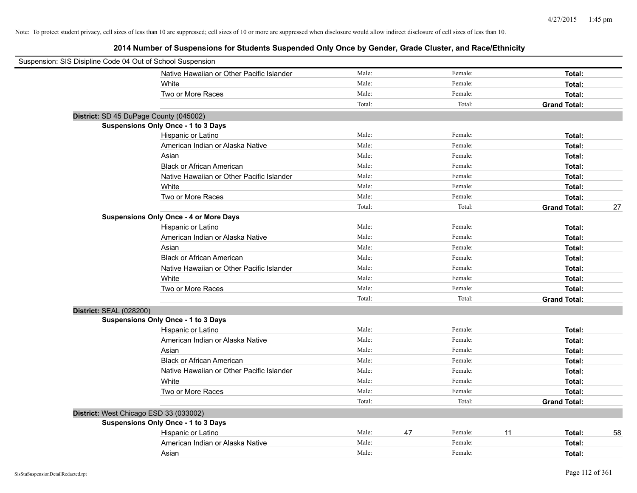| Suspension: SIS Disipline Code 04 Out of School Suspension |                                               |        |               |                     |    |
|------------------------------------------------------------|-----------------------------------------------|--------|---------------|---------------------|----|
|                                                            | Native Hawaiian or Other Pacific Islander     | Male:  | Female:       | Total:              |    |
|                                                            | White                                         | Male:  | Female:       | Total:              |    |
|                                                            | Two or More Races                             | Male:  | Female:       | Total:              |    |
|                                                            |                                               | Total: | Total:        | <b>Grand Total:</b> |    |
| District: SD 45 DuPage County (045002)                     |                                               |        |               |                     |    |
|                                                            | <b>Suspensions Only Once - 1 to 3 Days</b>    |        |               |                     |    |
|                                                            | Hispanic or Latino                            | Male:  | Female:       | Total:              |    |
|                                                            | American Indian or Alaska Native              | Male:  | Female:       | Total:              |    |
|                                                            | Asian                                         | Male:  | Female:       | Total:              |    |
|                                                            | <b>Black or African American</b>              | Male:  | Female:       | Total:              |    |
|                                                            | Native Hawaiian or Other Pacific Islander     | Male:  | Female:       | Total:              |    |
|                                                            | White                                         | Male:  | Female:       | Total:              |    |
|                                                            | Two or More Races                             | Male:  | Female:       | Total:              |    |
|                                                            |                                               | Total: | Total:        | <b>Grand Total:</b> | 27 |
|                                                            | <b>Suspensions Only Once - 4 or More Days</b> |        |               |                     |    |
|                                                            | Hispanic or Latino                            | Male:  | Female:       | Total:              |    |
|                                                            | American Indian or Alaska Native              | Male:  | Female:       | Total:              |    |
|                                                            | Asian                                         | Male:  | Female:       | Total:              |    |
|                                                            | <b>Black or African American</b>              | Male:  | Female:       | Total:              |    |
|                                                            | Native Hawaiian or Other Pacific Islander     | Male:  | Female:       | Total:              |    |
|                                                            | White                                         | Male:  | Female:       | Total:              |    |
|                                                            | Two or More Races                             | Male:  | Female:       | Total:              |    |
|                                                            |                                               | Total: | Total:        | <b>Grand Total:</b> |    |
| <b>District: SEAL (028200)</b>                             |                                               |        |               |                     |    |
|                                                            | <b>Suspensions Only Once - 1 to 3 Days</b>    |        |               |                     |    |
|                                                            | Hispanic or Latino                            | Male:  | Female:       | Total:              |    |
|                                                            | American Indian or Alaska Native              | Male:  | Female:       | Total:              |    |
|                                                            | Asian                                         | Male:  | Female:       | Total:              |    |
|                                                            | <b>Black or African American</b>              | Male:  | Female:       | Total:              |    |
|                                                            | Native Hawaiian or Other Pacific Islander     | Male:  | Female:       | Total:              |    |
|                                                            | White                                         | Male:  | Female:       | Total:              |    |
|                                                            | Two or More Races                             | Male:  | Female:       | Total:              |    |
|                                                            |                                               | Total: | Total:        | <b>Grand Total:</b> |    |
| District: West Chicago ESD 33 (033002)                     |                                               |        |               |                     |    |
|                                                            | Suspensions Only Once - 1 to 3 Days           |        |               |                     |    |
|                                                            | Hispanic or Latino                            | Male:  | 47<br>Female: | 11<br>Total:        | 58 |
|                                                            | American Indian or Alaska Native              | Male:  | Female:       | Total:              |    |
|                                                            | Asian                                         | Male:  | Female:       | Total:              |    |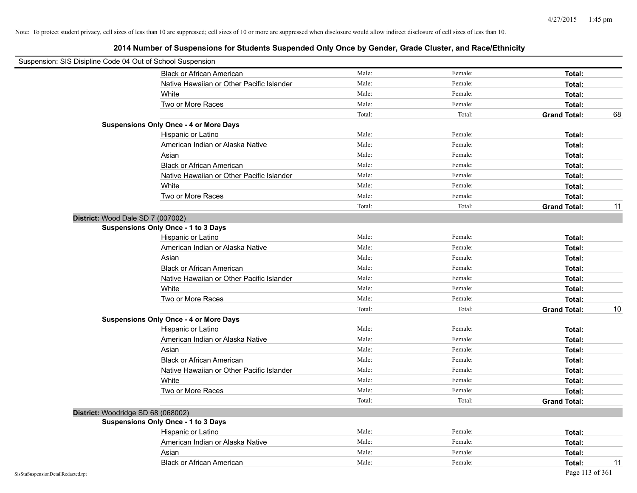| Suspension: SIS Disipline Code 04 Out of School Suspension |                                               |        |         |                     |    |
|------------------------------------------------------------|-----------------------------------------------|--------|---------|---------------------|----|
|                                                            | <b>Black or African American</b>              | Male:  | Female: | Total:              |    |
|                                                            | Native Hawaiian or Other Pacific Islander     | Male:  | Female: | Total:              |    |
|                                                            | White                                         | Male:  | Female: | Total:              |    |
|                                                            | Two or More Races                             | Male:  | Female: | Total:              |    |
|                                                            |                                               | Total: | Total:  | <b>Grand Total:</b> | 68 |
|                                                            | <b>Suspensions Only Once - 4 or More Days</b> |        |         |                     |    |
|                                                            | Hispanic or Latino                            | Male:  | Female: | Total:              |    |
|                                                            | American Indian or Alaska Native              | Male:  | Female: | Total:              |    |
|                                                            | Asian                                         | Male:  | Female: | Total:              |    |
|                                                            | <b>Black or African American</b>              | Male:  | Female: | Total:              |    |
|                                                            | Native Hawaiian or Other Pacific Islander     | Male:  | Female: | Total:              |    |
|                                                            | White                                         | Male:  | Female: | Total:              |    |
|                                                            | Two or More Races                             | Male:  | Female: | Total:              |    |
|                                                            |                                               | Total: | Total:  | <b>Grand Total:</b> | 11 |
|                                                            | District: Wood Dale SD 7 (007002)             |        |         |                     |    |
|                                                            | <b>Suspensions Only Once - 1 to 3 Days</b>    |        |         |                     |    |
|                                                            | Hispanic or Latino                            | Male:  | Female: | Total:              |    |
|                                                            | American Indian or Alaska Native              | Male:  | Female: | Total:              |    |
|                                                            | Asian                                         | Male:  | Female: | Total:              |    |
|                                                            | <b>Black or African American</b>              | Male:  | Female: | Total:              |    |
|                                                            | Native Hawaiian or Other Pacific Islander     | Male:  | Female: | Total:              |    |
|                                                            | White                                         | Male:  | Female: | Total:              |    |
|                                                            | Two or More Races                             | Male:  | Female: | Total:              |    |
|                                                            |                                               | Total: | Total:  | <b>Grand Total:</b> | 10 |
|                                                            | <b>Suspensions Only Once - 4 or More Days</b> |        |         |                     |    |
|                                                            | Hispanic or Latino                            | Male:  | Female: | Total:              |    |
|                                                            | American Indian or Alaska Native              | Male:  | Female: | Total:              |    |
|                                                            | Asian                                         | Male:  | Female: | Total:              |    |
|                                                            | <b>Black or African American</b>              | Male:  | Female: | Total:              |    |
|                                                            | Native Hawaiian or Other Pacific Islander     | Male:  | Female: | Total:              |    |
|                                                            | White                                         | Male:  | Female: | Total:              |    |
|                                                            | Two or More Races                             | Male:  | Female: | Total:              |    |
|                                                            |                                               | Total: | Total:  | <b>Grand Total:</b> |    |
|                                                            | District: Woodridge SD 68 (068002)            |        |         |                     |    |
|                                                            | <b>Suspensions Only Once - 1 to 3 Days</b>    |        |         |                     |    |
|                                                            | Hispanic or Latino                            | Male:  | Female: | Total:              |    |
|                                                            | American Indian or Alaska Native              | Male:  | Female: | Total:              |    |
|                                                            | Asian                                         | Male:  | Female: | Total:              |    |
|                                                            | <b>Black or African American</b>              | Male:  | Female: | Total:              | 11 |
| SisStuSuspensionDetailRedacted.rpt                         |                                               |        |         | Page 113 of 361     |    |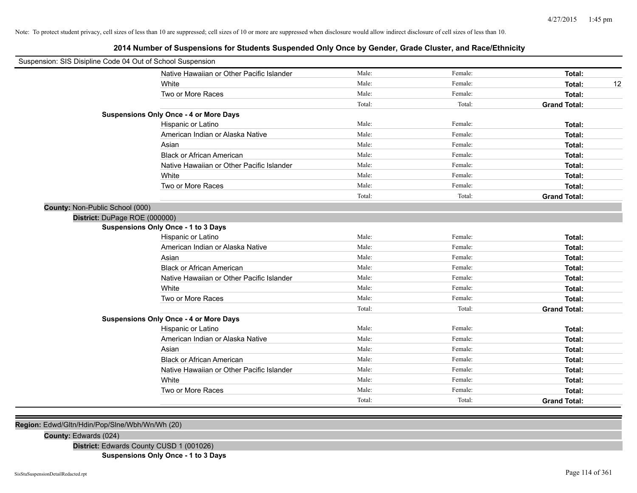**2014 Number of Suspensions for Students Suspended Only Once by Gender, Grade Cluster, and Race/Ethnicity**

| Male:<br>Female:<br>Native Hawaiian or Other Pacific Islander | Total:              |
|---------------------------------------------------------------|---------------------|
|                                                               |                     |
| Male:<br>White<br>Female:                                     | 12<br>Total:        |
| Male:<br>Female:<br>Two or More Races                         | Total:              |
| Total:<br>Total:                                              | <b>Grand Total:</b> |
| <b>Suspensions Only Once - 4 or More Days</b>                 |                     |
| Male:<br>Female:<br>Hispanic or Latino                        | Total:              |
| Male:<br>Female:<br>American Indian or Alaska Native          | Total:              |
| Male:<br>Female:<br>Asian                                     | Total:              |
| Male:<br>Female:<br><b>Black or African American</b>          | Total:              |
| Male:<br>Native Hawaiian or Other Pacific Islander<br>Female: | Total:              |
| Male:<br>Female:<br>White                                     | Total:              |
| Male:<br>Female:<br>Two or More Races                         | Total:              |
| Total:<br>Total:                                              | <b>Grand Total:</b> |
| County: Non-Public School (000)                               |                     |
| District: DuPage ROE (000000)                                 |                     |
| <b>Suspensions Only Once - 1 to 3 Days</b>                    |                     |
| Male:<br>Female:<br>Hispanic or Latino                        | Total:              |
| Male:<br>American Indian or Alaska Native<br>Female:          | Total:              |
| Male:<br>Female:<br>Asian                                     | Total:              |
| Male:<br>Female:<br><b>Black or African American</b>          | Total:              |
| Male:<br>Female:<br>Native Hawaiian or Other Pacific Islander | Total:              |
| Male:<br>White<br>Female:                                     | Total:              |
| Male:<br>Female:<br>Two or More Races                         | Total:              |
| Total:<br>Total:                                              | <b>Grand Total:</b> |
| <b>Suspensions Only Once - 4 or More Days</b>                 |                     |
| Male:<br>Female:<br>Hispanic or Latino                        | Total:              |
| Male:<br>Female:<br>American Indian or Alaska Native          | Total:              |
| Male:<br>Female:<br>Asian                                     | Total:              |
| Male:<br>Female:<br><b>Black or African American</b>          | Total:              |
| Male:<br>Female:<br>Native Hawaiian or Other Pacific Islander | Total:              |
| Male:<br>Female:<br>White                                     | Total:              |
| Male:<br>Female:<br>Two or More Races                         | Total:              |
| Total:<br>Total:                                              | <b>Grand Total:</b> |

**Region:** Edwd/Gltn/Hdin/Pop/Slne/Wbh/Wn/Wh (20)

**County:** Edwards (024)

**District:** Edwards County CUSD 1 (001026)

**Suspensions Only Once - 1 to 3 Days**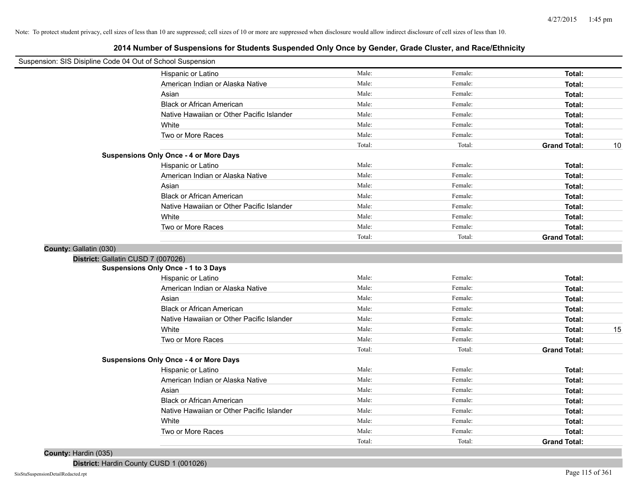**2014 Number of Suspensions for Students Suspended Only Once by Gender, Grade Cluster, and Race/Ethnicity**

| Suspension: SIS Disipline Code 04 Out of School Suspension |                                               |        |         |                     |    |
|------------------------------------------------------------|-----------------------------------------------|--------|---------|---------------------|----|
|                                                            | Hispanic or Latino                            | Male:  | Female: | Total:              |    |
|                                                            | American Indian or Alaska Native              | Male:  | Female: | Total:              |    |
|                                                            | Asian                                         | Male:  | Female: | Total:              |    |
|                                                            | <b>Black or African American</b>              | Male:  | Female: | Total:              |    |
|                                                            | Native Hawaiian or Other Pacific Islander     | Male:  | Female: | Total:              |    |
|                                                            | White                                         | Male:  | Female: | Total:              |    |
|                                                            | Two or More Races                             | Male:  | Female: | Total:              |    |
|                                                            |                                               | Total: | Total:  | <b>Grand Total:</b> | 10 |
|                                                            | <b>Suspensions Only Once - 4 or More Days</b> |        |         |                     |    |
|                                                            | Hispanic or Latino                            | Male:  | Female: | Total:              |    |
|                                                            | American Indian or Alaska Native              | Male:  | Female: | Total:              |    |
|                                                            | Asian                                         | Male:  | Female: | Total:              |    |
|                                                            | <b>Black or African American</b>              | Male:  | Female: | Total:              |    |
|                                                            | Native Hawaiian or Other Pacific Islander     | Male:  | Female: | Total:              |    |
|                                                            | White                                         | Male:  | Female: | Total:              |    |
|                                                            | Two or More Races                             | Male:  | Female: | Total:              |    |
|                                                            |                                               | Total: | Total:  | <b>Grand Total:</b> |    |
| County: Gallatin (030)                                     |                                               |        |         |                     |    |
| District: Gallatin CUSD 7 (007026)                         |                                               |        |         |                     |    |
|                                                            | Suspensions Only Once - 1 to 3 Days           |        |         |                     |    |
|                                                            | Hispanic or Latino                            | Male:  | Female: | Total:              |    |
|                                                            | American Indian or Alaska Native              | Male:  | Female: | Total:              |    |
|                                                            | Asian                                         | Male:  | Female: | Total:              |    |
|                                                            | <b>Black or African American</b>              | Male:  | Female: | Total:              |    |
|                                                            | Native Hawaiian or Other Pacific Islander     | Male:  | Female: | Total:              |    |
|                                                            | White                                         | Male:  | Female: | Total:              | 15 |
|                                                            | Two or More Races                             | Male:  | Female: | Total:              |    |
|                                                            |                                               | Total: | Total:  | <b>Grand Total:</b> |    |
|                                                            | <b>Suspensions Only Once - 4 or More Days</b> |        |         |                     |    |
|                                                            | Hispanic or Latino                            | Male:  | Female: | Total:              |    |
|                                                            | American Indian or Alaska Native              | Male:  | Female: | Total:              |    |
|                                                            | Asian                                         | Male:  | Female: | Total:              |    |
|                                                            | <b>Black or African American</b>              | Male:  | Female: | Total:              |    |
|                                                            | Native Hawaiian or Other Pacific Islander     | Male:  | Female: | Total:              |    |
|                                                            | White                                         | Male:  | Female: | Total:              |    |
|                                                            | Two or More Races                             | Male:  | Female: | Total:              |    |
|                                                            |                                               | Total: | Total:  | <b>Grand Total:</b> |    |

### **County:** Hardin (035)

**District:** Hardin County CUSD 1 (001026)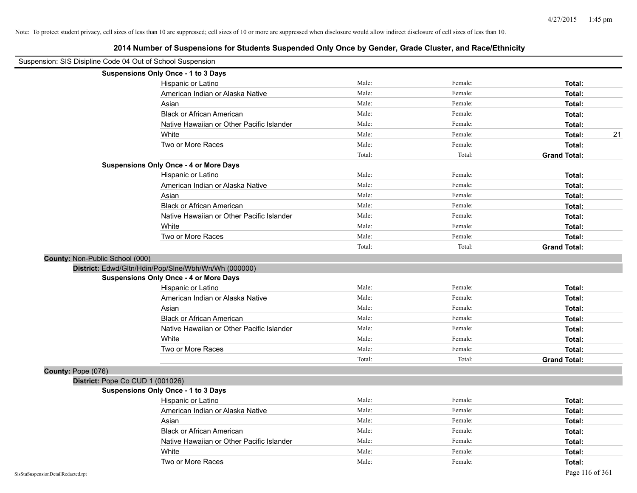| Suspension: SIS Disipline Code 04 Out of School Suspension |                                                      |        |         |                     |
|------------------------------------------------------------|------------------------------------------------------|--------|---------|---------------------|
|                                                            | Suspensions Only Once - 1 to 3 Days                  |        |         |                     |
|                                                            | Hispanic or Latino                                   | Male:  | Female: | Total:              |
|                                                            | American Indian or Alaska Native                     | Male:  | Female: | Total:              |
|                                                            | Asian                                                | Male:  | Female: | Total:              |
|                                                            | <b>Black or African American</b>                     | Male:  | Female: | Total:              |
|                                                            | Native Hawaiian or Other Pacific Islander            | Male:  | Female: | Total:              |
|                                                            | White                                                | Male:  | Female: | 21<br>Total:        |
|                                                            | Two or More Races                                    | Male:  | Female: | Total:              |
|                                                            |                                                      | Total: | Total:  | <b>Grand Total:</b> |
|                                                            | <b>Suspensions Only Once - 4 or More Days</b>        |        |         |                     |
|                                                            | Hispanic or Latino                                   | Male:  | Female: | Total:              |
|                                                            | American Indian or Alaska Native                     | Male:  | Female: | Total:              |
|                                                            | Asian                                                | Male:  | Female: | Total:              |
|                                                            | <b>Black or African American</b>                     | Male:  | Female: | Total:              |
|                                                            | Native Hawaiian or Other Pacific Islander            | Male:  | Female: | Total:              |
|                                                            | White                                                | Male:  | Female: | Total:              |
|                                                            | Two or More Races                                    | Male:  | Female: | Total:              |
|                                                            |                                                      | Total: | Total:  | <b>Grand Total:</b> |
| County: Non-Public School (000)                            |                                                      |        |         |                     |
|                                                            | District: Edwd/Gltn/Hdin/Pop/Slne/Wbh/Wn/Wh (000000) |        |         |                     |
|                                                            | <b>Suspensions Only Once - 4 or More Days</b>        |        |         |                     |
|                                                            | Hispanic or Latino                                   | Male:  | Female: | Total:              |
|                                                            | American Indian or Alaska Native                     | Male:  | Female: | Total:              |
|                                                            | Asian                                                | Male:  | Female: | Total:              |
|                                                            | <b>Black or African American</b>                     | Male:  | Female: | Total:              |
|                                                            | Native Hawaiian or Other Pacific Islander            | Male:  | Female: | Total:              |
|                                                            | White                                                | Male:  | Female: | Total:              |
|                                                            | Two or More Races                                    | Male:  | Female: | Total:              |
|                                                            |                                                      | Total: | Total:  | <b>Grand Total:</b> |
| County: Pope (076)                                         |                                                      |        |         |                     |
| District: Pope Co CUD 1 (001026)                           |                                                      |        |         |                     |
|                                                            | <b>Suspensions Only Once - 1 to 3 Days</b>           |        |         |                     |
|                                                            | Hispanic or Latino                                   | Male:  | Female: | Total:              |
|                                                            | American Indian or Alaska Native                     | Male:  | Female: | Total:              |
|                                                            | Asian                                                | Male:  | Female: | Total:              |
|                                                            | <b>Black or African American</b>                     | Male:  | Female: | Total:              |
|                                                            | Native Hawaiian or Other Pacific Islander            | Male:  | Female: | Total:              |
|                                                            | White                                                | Male:  | Female: | Total:              |
|                                                            | Two or More Races                                    | Male:  | Female: | Total:              |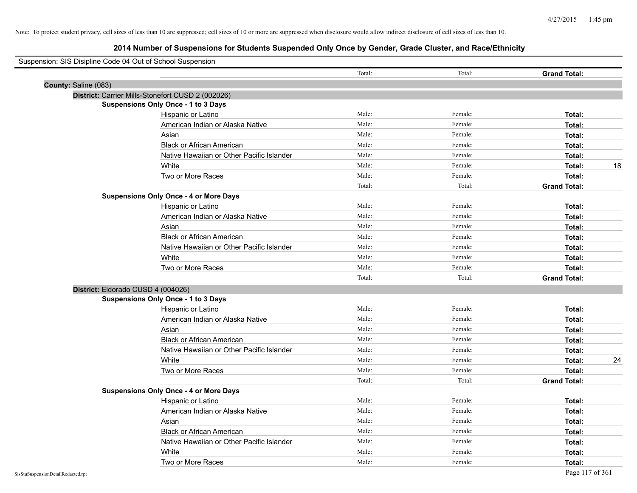| Suspension: SIS Disipline Code 04 Out of School Suspension |                                                   |        |         |                     |
|------------------------------------------------------------|---------------------------------------------------|--------|---------|---------------------|
|                                                            |                                                   | Total: | Total:  | <b>Grand Total:</b> |
| County: Saline (083)                                       |                                                   |        |         |                     |
|                                                            | District: Carrier Mills-Stonefort CUSD 2 (002026) |        |         |                     |
|                                                            | <b>Suspensions Only Once - 1 to 3 Days</b>        |        |         |                     |
|                                                            | Hispanic or Latino                                | Male:  | Female: | Total:              |
|                                                            | American Indian or Alaska Native                  | Male:  | Female: | Total:              |
|                                                            | Asian                                             | Male:  | Female: | Total:              |
|                                                            | <b>Black or African American</b>                  | Male:  | Female: | Total:              |
|                                                            | Native Hawaiian or Other Pacific Islander         | Male:  | Female: | Total:              |
|                                                            | White                                             | Male:  | Female: | 18<br>Total:        |
|                                                            | Two or More Races                                 | Male:  | Female: | Total:              |
|                                                            |                                                   | Total: | Total:  | <b>Grand Total:</b> |
|                                                            | <b>Suspensions Only Once - 4 or More Days</b>     |        |         |                     |
|                                                            | Hispanic or Latino                                | Male:  | Female: | Total:              |
|                                                            | American Indian or Alaska Native                  | Male:  | Female: | Total:              |
|                                                            | Asian                                             | Male:  | Female: | Total:              |
|                                                            | <b>Black or African American</b>                  | Male:  | Female: | Total:              |
|                                                            | Native Hawaiian or Other Pacific Islander         | Male:  | Female: | Total:              |
|                                                            | White                                             | Male:  | Female: | Total:              |
|                                                            | Two or More Races                                 | Male:  | Female: | Total:              |
|                                                            |                                                   | Total: | Total:  | <b>Grand Total:</b> |
| District: Eldorado CUSD 4 (004026)                         |                                                   |        |         |                     |
|                                                            | <b>Suspensions Only Once - 1 to 3 Days</b>        |        |         |                     |
|                                                            | Hispanic or Latino                                | Male:  | Female: | Total:              |
|                                                            | American Indian or Alaska Native                  | Male:  | Female: | Total:              |
|                                                            | Asian                                             | Male:  | Female: | Total:              |
|                                                            | <b>Black or African American</b>                  | Male:  | Female: | Total:              |
|                                                            | Native Hawaiian or Other Pacific Islander         | Male:  | Female: | Total:              |
|                                                            | White                                             | Male:  | Female: | 24<br>Total:        |
|                                                            | Two or More Races                                 | Male:  | Female: | Total:              |
|                                                            |                                                   | Total: | Total:  | <b>Grand Total:</b> |
|                                                            | <b>Suspensions Only Once - 4 or More Days</b>     |        |         |                     |
|                                                            | Hispanic or Latino                                | Male:  | Female: | Total:              |
|                                                            | American Indian or Alaska Native                  | Male:  | Female: | Total:              |
|                                                            | Asian                                             | Male:  | Female: | Total:              |
|                                                            | <b>Black or African American</b>                  | Male:  | Female: | Total:              |
|                                                            | Native Hawaiian or Other Pacific Islander         | Male:  | Female: | Total:              |
|                                                            | White                                             | Male:  | Female: | Total:              |
|                                                            | Two or More Races                                 | Male:  | Female: | Total:              |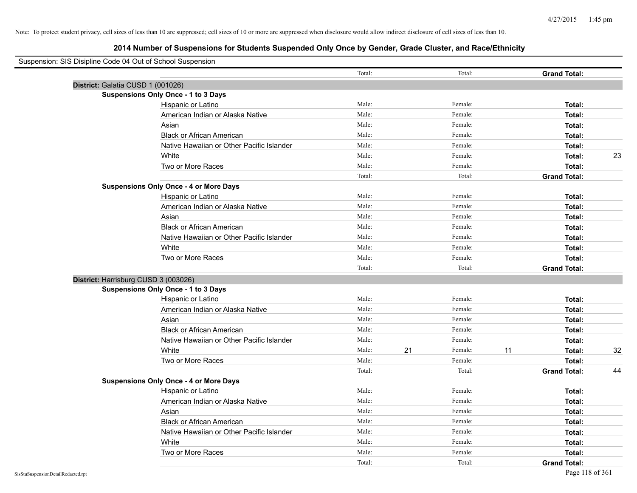| Suspension: SIS Disipline Code 04 Out of School Suspension |                                               |        |               |                     |    |
|------------------------------------------------------------|-----------------------------------------------|--------|---------------|---------------------|----|
|                                                            |                                               | Total: | Total:        | <b>Grand Total:</b> |    |
| District: Galatia CUSD 1 (001026)                          |                                               |        |               |                     |    |
|                                                            | Suspensions Only Once - 1 to 3 Days           |        |               |                     |    |
|                                                            | Hispanic or Latino                            | Male:  | Female:       | Total:              |    |
|                                                            | American Indian or Alaska Native              | Male:  | Female:       | Total:              |    |
|                                                            | Asian                                         | Male:  | Female:       | Total:              |    |
|                                                            | <b>Black or African American</b>              | Male:  | Female:       | Total:              |    |
|                                                            | Native Hawaiian or Other Pacific Islander     | Male:  | Female:       | Total:              |    |
|                                                            | White                                         | Male:  | Female:       | Total:              | 23 |
|                                                            | Two or More Races                             | Male:  | Female:       | Total:              |    |
|                                                            |                                               | Total: | Total:        | <b>Grand Total:</b> |    |
|                                                            | <b>Suspensions Only Once - 4 or More Days</b> |        |               |                     |    |
|                                                            | Hispanic or Latino                            | Male:  | Female:       | Total:              |    |
|                                                            | American Indian or Alaska Native              | Male:  | Female:       | Total:              |    |
|                                                            | Asian                                         | Male:  | Female:       | Total:              |    |
|                                                            | <b>Black or African American</b>              | Male:  | Female:       | Total:              |    |
|                                                            | Native Hawaiian or Other Pacific Islander     | Male:  | Female:       | Total:              |    |
|                                                            | White                                         | Male:  | Female:       | Total:              |    |
|                                                            | Two or More Races                             | Male:  | Female:       | Total:              |    |
|                                                            |                                               | Total: | Total:        | <b>Grand Total:</b> |    |
| District: Harrisburg CUSD 3 (003026)                       |                                               |        |               |                     |    |
|                                                            | <b>Suspensions Only Once - 1 to 3 Days</b>    |        |               |                     |    |
|                                                            | Hispanic or Latino                            | Male:  | Female:       | Total:              |    |
|                                                            | American Indian or Alaska Native              | Male:  | Female:       | Total:              |    |
|                                                            | Asian                                         | Male:  | Female:       | Total:              |    |
|                                                            | <b>Black or African American</b>              | Male:  | Female:       | Total:              |    |
|                                                            | Native Hawaiian or Other Pacific Islander     | Male:  | Female:       | Total:              |    |
|                                                            | White                                         | Male:  | 21<br>Female: | 11<br>Total:        | 32 |
|                                                            | Two or More Races                             | Male:  | Female:       | Total:              |    |
|                                                            |                                               | Total: | Total:        | <b>Grand Total:</b> | 44 |
|                                                            | <b>Suspensions Only Once - 4 or More Days</b> |        |               |                     |    |
|                                                            | Hispanic or Latino                            | Male:  | Female:       | Total:              |    |
|                                                            | American Indian or Alaska Native              | Male:  | Female:       | Total:              |    |
|                                                            | Asian                                         | Male:  | Female:       | Total:              |    |
|                                                            | <b>Black or African American</b>              | Male:  | Female:       | Total:              |    |
|                                                            | Native Hawaiian or Other Pacific Islander     | Male:  | Female:       | Total:              |    |
|                                                            | White                                         | Male:  | Female:       | Total:              |    |
|                                                            | Two or More Races                             | Male:  | Female:       | Total:              |    |
|                                                            |                                               | Total: | Total:        | <b>Grand Total:</b> |    |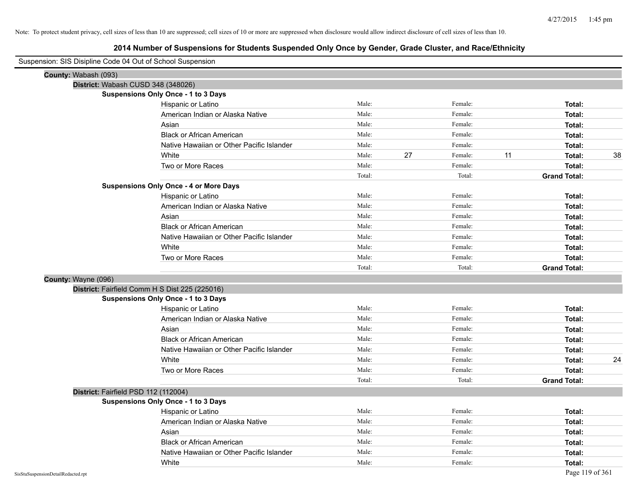| Suspension: SIS Disipline Code 04 Out of School Suspension |                                               |        |    |         |    |                     |    |
|------------------------------------------------------------|-----------------------------------------------|--------|----|---------|----|---------------------|----|
| County: Wabash (093)                                       |                                               |        |    |         |    |                     |    |
| District: Wabash CUSD 348 (348026)                         |                                               |        |    |         |    |                     |    |
|                                                            | Suspensions Only Once - 1 to 3 Days           |        |    |         |    |                     |    |
|                                                            | Hispanic or Latino                            | Male:  |    | Female: |    | Total:              |    |
|                                                            | American Indian or Alaska Native              | Male:  |    | Female: |    | Total:              |    |
|                                                            | Asian                                         | Male:  |    | Female: |    | Total:              |    |
|                                                            | <b>Black or African American</b>              | Male:  |    | Female: |    | Total:              |    |
|                                                            | Native Hawaiian or Other Pacific Islander     | Male:  |    | Female: |    | Total:              |    |
|                                                            | White                                         | Male:  | 27 | Female: | 11 | Total:              | 38 |
|                                                            | Two or More Races                             | Male:  |    | Female: |    | Total:              |    |
|                                                            |                                               | Total: |    | Total:  |    | <b>Grand Total:</b> |    |
|                                                            | <b>Suspensions Only Once - 4 or More Days</b> |        |    |         |    |                     |    |
|                                                            | Hispanic or Latino                            | Male:  |    | Female: |    | Total:              |    |
|                                                            | American Indian or Alaska Native              | Male:  |    | Female: |    | Total:              |    |
|                                                            | Asian                                         | Male:  |    | Female: |    | Total:              |    |
|                                                            | <b>Black or African American</b>              | Male:  |    | Female: |    | Total:              |    |
|                                                            | Native Hawaiian or Other Pacific Islander     | Male:  |    | Female: |    | Total:              |    |
|                                                            | White                                         | Male:  |    | Female: |    | Total:              |    |
|                                                            | Two or More Races                             | Male:  |    | Female: |    | <b>Total:</b>       |    |
|                                                            |                                               | Total: |    | Total:  |    | <b>Grand Total:</b> |    |
| County: Wayne (096)                                        |                                               |        |    |         |    |                     |    |
| District: Fairfield Comm H S Dist 225 (225016)             |                                               |        |    |         |    |                     |    |
|                                                            | Suspensions Only Once - 1 to 3 Days           |        |    |         |    |                     |    |
|                                                            | Hispanic or Latino                            | Male:  |    | Female: |    | Total:              |    |
|                                                            | American Indian or Alaska Native              | Male:  |    | Female: |    | Total:              |    |
|                                                            | Asian                                         | Male:  |    | Female: |    | Total:              |    |
|                                                            | <b>Black or African American</b>              | Male:  |    | Female: |    | Total:              |    |
|                                                            | Native Hawaiian or Other Pacific Islander     | Male:  |    | Female: |    | Total:              |    |
|                                                            | White                                         | Male:  |    | Female: |    | Total:              | 24 |
|                                                            | Two or More Races                             | Male:  |    | Female: |    | Total:              |    |
|                                                            |                                               | Total: |    | Total:  |    | <b>Grand Total:</b> |    |
| District: Fairfield PSD 112 (112004)                       |                                               |        |    |         |    |                     |    |
|                                                            | <b>Suspensions Only Once - 1 to 3 Days</b>    |        |    |         |    |                     |    |
|                                                            | Hispanic or Latino                            | Male:  |    | Female: |    | Total:              |    |
|                                                            | American Indian or Alaska Native              | Male:  |    | Female: |    | Total:              |    |
|                                                            | Asian                                         | Male:  |    | Female: |    | Total:              |    |
|                                                            | <b>Black or African American</b>              | Male:  |    | Female: |    | Total:              |    |
|                                                            | Native Hawaiian or Other Pacific Islander     | Male:  |    | Female: |    | Total:              |    |
|                                                            | White                                         | Male:  |    | Female: |    | Total:              |    |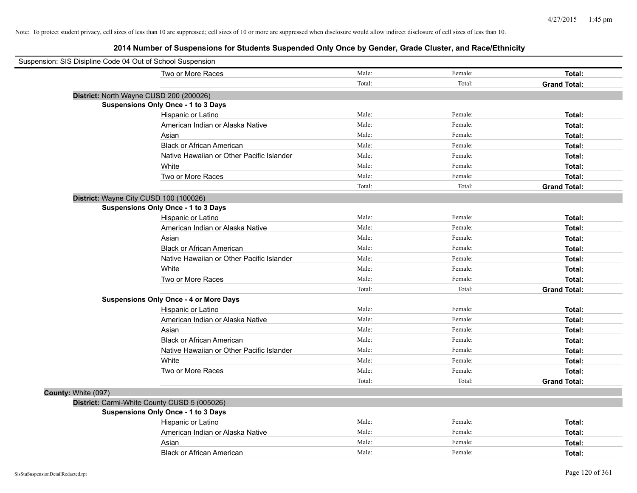| Suspension: SIS Disipline Code 04 Out of School Suspension |                                               |        |         |                     |
|------------------------------------------------------------|-----------------------------------------------|--------|---------|---------------------|
|                                                            | Two or More Races                             | Male:  | Female: | Total:              |
|                                                            |                                               | Total: | Total:  | <b>Grand Total:</b> |
| District: North Wayne CUSD 200 (200026)                    |                                               |        |         |                     |
|                                                            | Suspensions Only Once - 1 to 3 Days           |        |         |                     |
|                                                            | Hispanic or Latino                            | Male:  | Female: | Total:              |
|                                                            | American Indian or Alaska Native              | Male:  | Female: | Total:              |
|                                                            | Asian                                         | Male:  | Female: | Total:              |
|                                                            | <b>Black or African American</b>              | Male:  | Female: | Total:              |
|                                                            | Native Hawaiian or Other Pacific Islander     | Male:  | Female: | Total:              |
|                                                            | White                                         | Male:  | Female: | Total:              |
|                                                            | Two or More Races                             | Male:  | Female: | Total:              |
|                                                            |                                               | Total: | Total:  | <b>Grand Total:</b> |
| District: Wayne City CUSD 100 (100026)                     |                                               |        |         |                     |
|                                                            | Suspensions Only Once - 1 to 3 Days           |        |         |                     |
|                                                            | Hispanic or Latino                            | Male:  | Female: | Total:              |
|                                                            | American Indian or Alaska Native              | Male:  | Female: | Total:              |
|                                                            | Asian                                         | Male:  | Female: | Total:              |
|                                                            | <b>Black or African American</b>              | Male:  | Female: | Total:              |
|                                                            | Native Hawaiian or Other Pacific Islander     | Male:  | Female: | Total:              |
|                                                            | White                                         | Male:  | Female: | Total:              |
|                                                            | Two or More Races                             | Male:  | Female: | Total:              |
|                                                            |                                               | Total: | Total:  | <b>Grand Total:</b> |
|                                                            | <b>Suspensions Only Once - 4 or More Days</b> |        |         |                     |
|                                                            | Hispanic or Latino                            | Male:  | Female: | Total:              |
|                                                            | American Indian or Alaska Native              | Male:  | Female: | Total:              |
|                                                            | Asian                                         | Male:  | Female: | Total:              |
|                                                            | <b>Black or African American</b>              | Male:  | Female: | Total:              |
|                                                            | Native Hawaiian or Other Pacific Islander     | Male:  | Female: | Total:              |
|                                                            | White                                         | Male:  | Female: | Total:              |
|                                                            | Two or More Races                             | Male:  | Female: | Total:              |
|                                                            |                                               | Total: | Total:  | <b>Grand Total:</b> |
| County: White (097)                                        |                                               |        |         |                     |
|                                                            | District: Carmi-White County CUSD 5 (005026)  |        |         |                     |
|                                                            | Suspensions Only Once - 1 to 3 Days           |        |         |                     |
|                                                            | Hispanic or Latino                            | Male:  | Female: | Total:              |
|                                                            | American Indian or Alaska Native              | Male:  | Female: | Total:              |
|                                                            | Asian                                         | Male:  | Female: | Total:              |
|                                                            | <b>Black or African American</b>              | Male:  | Female: | Total:              |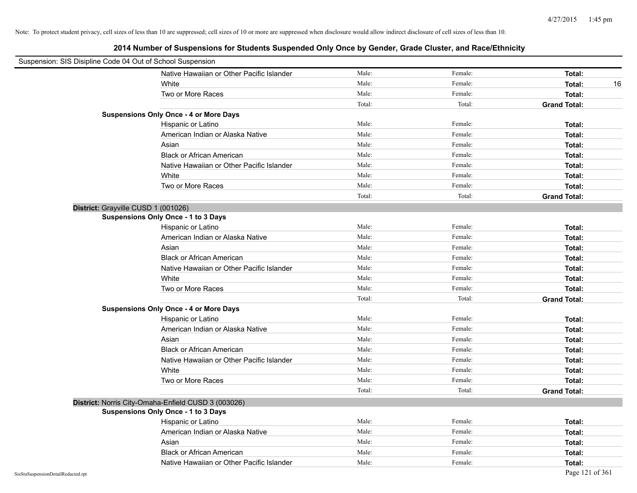| Suspension: SIS Disipline Code 04 Out of School Suspension |                                                     |        |         |                     |
|------------------------------------------------------------|-----------------------------------------------------|--------|---------|---------------------|
|                                                            | Native Hawaiian or Other Pacific Islander           | Male:  | Female: | Total:              |
|                                                            | White                                               | Male:  | Female: | Total:<br>16        |
|                                                            | Two or More Races                                   | Male:  | Female: | Total:              |
|                                                            |                                                     | Total: | Total:  | <b>Grand Total:</b> |
|                                                            | <b>Suspensions Only Once - 4 or More Days</b>       |        |         |                     |
|                                                            | Hispanic or Latino                                  | Male:  | Female: | Total:              |
|                                                            | American Indian or Alaska Native                    | Male:  | Female: | Total:              |
|                                                            | Asian                                               | Male:  | Female: | Total:              |
|                                                            | <b>Black or African American</b>                    | Male:  | Female: | Total:              |
|                                                            | Native Hawaiian or Other Pacific Islander           | Male:  | Female: | Total:              |
|                                                            | White                                               | Male:  | Female: | Total:              |
|                                                            | Two or More Races                                   | Male:  | Female: | Total:              |
|                                                            |                                                     | Total: | Total:  | <b>Grand Total:</b> |
|                                                            | District: Grayville CUSD 1 (001026)                 |        |         |                     |
|                                                            | <b>Suspensions Only Once - 1 to 3 Days</b>          |        |         |                     |
|                                                            | Hispanic or Latino                                  | Male:  | Female: | Total:              |
|                                                            | American Indian or Alaska Native                    | Male:  | Female: | Total:              |
|                                                            | Asian                                               | Male:  | Female: | Total:              |
|                                                            | <b>Black or African American</b>                    | Male:  | Female: | Total:              |
|                                                            | Native Hawaiian or Other Pacific Islander           | Male:  | Female: | Total:              |
|                                                            | White                                               | Male:  | Female: | Total:              |
|                                                            | Two or More Races                                   | Male:  | Female: | Total:              |
|                                                            |                                                     | Total: | Total:  | <b>Grand Total:</b> |
|                                                            | <b>Suspensions Only Once - 4 or More Days</b>       |        |         |                     |
|                                                            | Hispanic or Latino                                  | Male:  | Female: | Total:              |
|                                                            | American Indian or Alaska Native                    | Male:  | Female: | Total:              |
|                                                            | Asian                                               | Male:  | Female: | Total:              |
|                                                            | <b>Black or African American</b>                    | Male:  | Female: | Total:              |
|                                                            | Native Hawaiian or Other Pacific Islander           | Male:  | Female: | Total:              |
|                                                            | White                                               | Male:  | Female: | Total:              |
|                                                            | Two or More Races                                   | Male:  | Female: | Total:              |
|                                                            |                                                     | Total: | Total:  | <b>Grand Total:</b> |
|                                                            | District: Norris City-Omaha-Enfield CUSD 3 (003026) |        |         |                     |
|                                                            | Suspensions Only Once - 1 to 3 Days                 |        |         |                     |
|                                                            | Hispanic or Latino                                  | Male:  | Female: | Total:              |
|                                                            | American Indian or Alaska Native                    | Male:  | Female: | Total:              |
|                                                            | Asian                                               | Male:  | Female: | Total:              |
|                                                            | <b>Black or African American</b>                    | Male:  | Female: | Total:              |
|                                                            | Native Hawaiian or Other Pacific Islander           | Male:  | Female: | Total:              |
| SisStuSuspensionDetailRedacted.rpt                         |                                                     |        |         | Page 121 of 361     |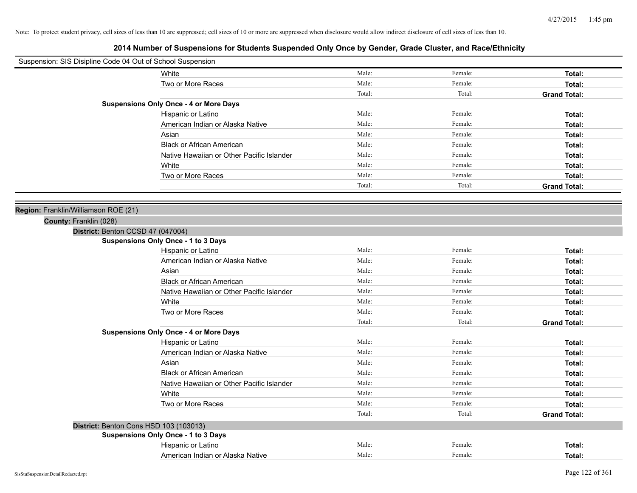| Suspension: SIS Disipline Code 04 Out of School Suspension |                                               |        |         |                     |
|------------------------------------------------------------|-----------------------------------------------|--------|---------|---------------------|
|                                                            | White                                         | Male:  | Female: | Total:              |
|                                                            | Two or More Races                             | Male:  | Female: | Total:              |
|                                                            |                                               | Total: | Total:  | <b>Grand Total:</b> |
|                                                            | <b>Suspensions Only Once - 4 or More Days</b> |        |         |                     |
|                                                            | Hispanic or Latino                            | Male:  | Female: | Total:              |
|                                                            | American Indian or Alaska Native              | Male:  | Female: | Total:              |
|                                                            | Asian                                         | Male:  | Female: | Total:              |
|                                                            | <b>Black or African American</b>              | Male:  | Female: | Total:              |
|                                                            | Native Hawaiian or Other Pacific Islander     | Male:  | Female: | Total:              |
|                                                            | White                                         | Male:  | Female: | Total:              |
|                                                            | Two or More Races                             | Male:  | Female: | Total:              |
|                                                            |                                               | Total: | Total:  | <b>Grand Total:</b> |
|                                                            |                                               |        |         |                     |
| Region: Franklin/Williamson ROE (21)                       |                                               |        |         |                     |
| County: Franklin (028)                                     |                                               |        |         |                     |
|                                                            | District: Benton CCSD 47 (047004)             |        |         |                     |
|                                                            | Suspensions Only Once - 1 to 3 Days           |        |         |                     |
|                                                            | Hispanic or Latino                            | Male:  | Female: | Total:              |
|                                                            | American Indian or Alaska Native              | Male:  | Female: | Total:              |
|                                                            | Asian                                         | Male:  | Female: | Total:              |
|                                                            | <b>Black or African American</b>              | Male:  | Female: | Total:              |
|                                                            | Native Hawaiian or Other Pacific Islander     | Male:  | Female: | Total:              |
|                                                            | White                                         | Male:  | Female: | Total:              |
|                                                            | Two or More Races                             | Male:  | Female: | Total:              |
|                                                            |                                               | Total: | Total:  | <b>Grand Total:</b> |
|                                                            | <b>Suspensions Only Once - 4 or More Days</b> |        |         |                     |
|                                                            | Hispanic or Latino                            | Male:  | Female: | Total:              |
|                                                            | American Indian or Alaska Native              | Male:  | Female: | Total:              |
|                                                            | Asian                                         | Male:  | Female: | Total:              |
|                                                            | <b>Black or African American</b>              | Male:  | Female: | Total:              |
|                                                            | Native Hawaiian or Other Pacific Islander     | Male:  | Female: | Total:              |
|                                                            | White                                         | Male:  | Female: | Total:              |
|                                                            | Two or More Races                             | Male:  | Female: | Total:              |
|                                                            |                                               | Total: | Total:  | <b>Grand Total:</b> |
|                                                            | District: Benton Cons HSD 103 (103013)        |        |         |                     |
|                                                            | <b>Suspensions Only Once - 1 to 3 Days</b>    |        |         |                     |
|                                                            | Hispanic or Latino                            | Male:  | Female: | Total:              |
|                                                            | American Indian or Alaska Native              | Male:  | Female: | Total:              |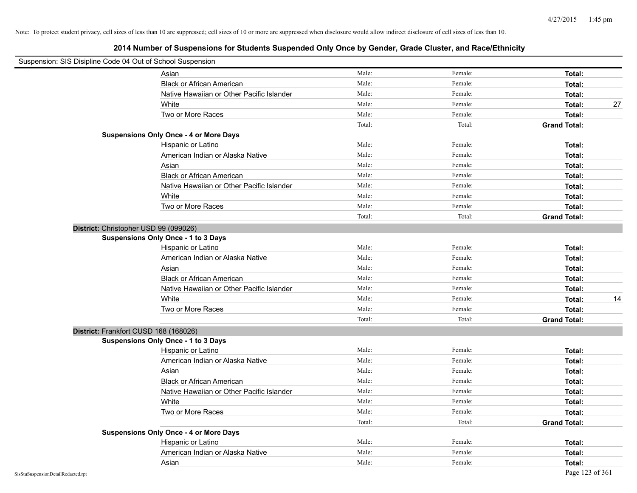| Suspension: SIS Disipline Code 04 Out of School Suspension |                                               |        |         |                     |
|------------------------------------------------------------|-----------------------------------------------|--------|---------|---------------------|
|                                                            | Asian                                         | Male:  | Female: | Total:              |
|                                                            | <b>Black or African American</b>              | Male:  | Female: | Total:              |
|                                                            | Native Hawaiian or Other Pacific Islander     | Male:  | Female: | Total:              |
|                                                            | White                                         | Male:  | Female: | 27<br>Total:        |
|                                                            | Two or More Races                             | Male:  | Female: | Total:              |
|                                                            |                                               | Total: | Total:  | <b>Grand Total:</b> |
|                                                            | <b>Suspensions Only Once - 4 or More Days</b> |        |         |                     |
|                                                            | Hispanic or Latino                            | Male:  | Female: | Total:              |
|                                                            | American Indian or Alaska Native              | Male:  | Female: | Total:              |
|                                                            | Asian                                         | Male:  | Female: | Total:              |
|                                                            | <b>Black or African American</b>              | Male:  | Female: | Total:              |
|                                                            | Native Hawaiian or Other Pacific Islander     | Male:  | Female: | Total:              |
|                                                            | White                                         | Male:  | Female: | Total:              |
|                                                            | Two or More Races                             | Male:  | Female: | Total:              |
|                                                            |                                               | Total: | Total:  | <b>Grand Total:</b> |
| District: Christopher USD 99 (099026)                      |                                               |        |         |                     |
|                                                            | Suspensions Only Once - 1 to 3 Days           |        |         |                     |
|                                                            | Hispanic or Latino                            | Male:  | Female: | Total:              |
|                                                            | American Indian or Alaska Native              | Male:  | Female: | Total:              |
|                                                            | Asian                                         | Male:  | Female: | Total:              |
|                                                            | <b>Black or African American</b>              | Male:  | Female: | Total:              |
|                                                            | Native Hawaiian or Other Pacific Islander     | Male:  | Female: | Total:              |
|                                                            | White                                         | Male:  | Female: | 14<br>Total:        |
|                                                            | Two or More Races                             | Male:  | Female: | Total:              |
|                                                            |                                               | Total: | Total:  | <b>Grand Total:</b> |
| District: Frankfort CUSD 168 (168026)                      |                                               |        |         |                     |
|                                                            | Suspensions Only Once - 1 to 3 Days           |        |         |                     |
|                                                            | Hispanic or Latino                            | Male:  | Female: | Total:              |
|                                                            | American Indian or Alaska Native              | Male:  | Female: | Total:              |
|                                                            | Asian                                         | Male:  | Female: | Total:              |
|                                                            | <b>Black or African American</b>              | Male:  | Female: | Total:              |
|                                                            | Native Hawaiian or Other Pacific Islander     | Male:  | Female: | Total:              |
|                                                            | White                                         | Male:  | Female: | Total:              |
|                                                            | Two or More Races                             | Male:  | Female: | Total:              |
|                                                            |                                               | Total: | Total:  | <b>Grand Total:</b> |
|                                                            | <b>Suspensions Only Once - 4 or More Days</b> |        |         |                     |
|                                                            | Hispanic or Latino                            | Male:  | Female: | Total:              |
|                                                            | American Indian or Alaska Native              | Male:  | Female: | Total:              |
|                                                            | Asian                                         | Male:  | Female: | Total:              |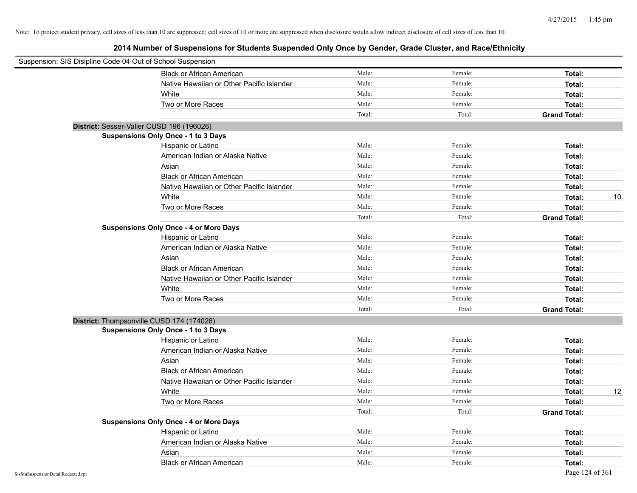|                                    | Suspension: SIS Disipline Code 04 Out of School Suspension |        |         |                     |
|------------------------------------|------------------------------------------------------------|--------|---------|---------------------|
|                                    | <b>Black or African American</b>                           | Male:  | Female: | Total:              |
|                                    | Native Hawaiian or Other Pacific Islander                  | Male:  | Female: | Total:              |
|                                    | White                                                      | Male:  | Female: | Total:              |
|                                    | Two or More Races                                          | Male:  | Female: | Total:              |
|                                    |                                                            | Total: | Total:  | <b>Grand Total:</b> |
|                                    | District: Sesser-Valier CUSD 196 (196026)                  |        |         |                     |
|                                    | Suspensions Only Once - 1 to 3 Days                        |        |         |                     |
|                                    | Hispanic or Latino                                         | Male:  | Female: | Total:              |
|                                    | American Indian or Alaska Native                           | Male:  | Female: | Total:              |
|                                    | Asian                                                      | Male:  | Female: | Total:              |
|                                    | <b>Black or African American</b>                           | Male:  | Female: | Total:              |
|                                    | Native Hawaiian or Other Pacific Islander                  | Male:  | Female: | Total:              |
|                                    | White                                                      | Male:  | Female: | Total:<br>10        |
|                                    | Two or More Races                                          | Male:  | Female: | Total:              |
|                                    |                                                            | Total: | Total:  | <b>Grand Total:</b> |
|                                    | <b>Suspensions Only Once - 4 or More Days</b>              |        |         |                     |
|                                    | Hispanic or Latino                                         | Male:  | Female: | Total:              |
|                                    | American Indian or Alaska Native                           | Male:  | Female: | Total:              |
|                                    | Asian                                                      | Male:  | Female: | Total:              |
|                                    | <b>Black or African American</b>                           | Male:  | Female: | Total:              |
|                                    | Native Hawaiian or Other Pacific Islander                  | Male:  | Female: | Total:              |
|                                    | White                                                      | Male:  | Female: | Total:              |
|                                    | Two or More Races                                          | Male:  | Female: | Total:              |
|                                    |                                                            | Total: | Total:  | <b>Grand Total:</b> |
|                                    | District: Thompsonville CUSD 174 (174026)                  |        |         |                     |
|                                    | Suspensions Only Once - 1 to 3 Days                        |        |         |                     |
|                                    | Hispanic or Latino                                         | Male:  | Female: | Total:              |
|                                    | American Indian or Alaska Native                           | Male:  | Female: | Total:              |
|                                    | Asian                                                      | Male:  | Female: | Total:              |
|                                    | <b>Black or African American</b>                           | Male:  | Female: | Total:              |
|                                    | Native Hawaiian or Other Pacific Islander                  | Male:  | Female: | Total:              |
|                                    | White                                                      | Male:  | Female: | 12<br>Total:        |
|                                    | Two or More Races                                          | Male:  | Female: | Total:              |
|                                    |                                                            | Total: | Total:  | <b>Grand Total:</b> |
|                                    | <b>Suspensions Only Once - 4 or More Days</b>              |        |         |                     |
|                                    | Hispanic or Latino                                         | Male:  | Female: | Total:              |
|                                    | American Indian or Alaska Native                           | Male:  | Female: | Total:              |
|                                    | Asian                                                      | Male:  | Female: | Total:              |
|                                    | <b>Black or African American</b>                           | Male:  | Female: | Total:              |
| SisStuSuspensionDetailRedacted.rpt |                                                            |        |         | Page 124 of 361     |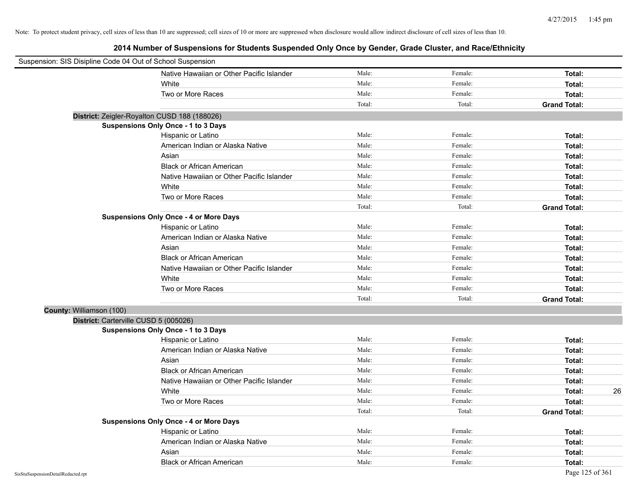| Suspension: SIS Disipline Code 04 Out of School Suspension |                                               |        |         |                     |
|------------------------------------------------------------|-----------------------------------------------|--------|---------|---------------------|
|                                                            | Native Hawaiian or Other Pacific Islander     | Male:  | Female: | Total:              |
|                                                            | White                                         | Male:  | Female: | Total:              |
|                                                            | Two or More Races                             | Male:  | Female: | Total:              |
|                                                            |                                               | Total: | Total:  | <b>Grand Total:</b> |
|                                                            | District: Zeigler-Royalton CUSD 188 (188026)  |        |         |                     |
|                                                            | Suspensions Only Once - 1 to 3 Days           |        |         |                     |
|                                                            | Hispanic or Latino                            | Male:  | Female: | Total:              |
|                                                            | American Indian or Alaska Native              | Male:  | Female: | Total:              |
|                                                            | Asian                                         | Male:  | Female: | Total:              |
|                                                            | <b>Black or African American</b>              | Male:  | Female: | Total:              |
|                                                            | Native Hawaiian or Other Pacific Islander     | Male:  | Female: | Total:              |
|                                                            | White                                         | Male:  | Female: | Total:              |
|                                                            | Two or More Races                             | Male:  | Female: | Total:              |
|                                                            |                                               | Total: | Total:  | <b>Grand Total:</b> |
|                                                            | <b>Suspensions Only Once - 4 or More Days</b> |        |         |                     |
|                                                            | Hispanic or Latino                            | Male:  | Female: | Total:              |
|                                                            | American Indian or Alaska Native              | Male:  | Female: | Total:              |
|                                                            | Asian                                         | Male:  | Female: | Total:              |
|                                                            | <b>Black or African American</b>              | Male:  | Female: | Total:              |
|                                                            | Native Hawaiian or Other Pacific Islander     | Male:  | Female: | Total:              |
|                                                            | White                                         | Male:  | Female: | Total:              |
|                                                            | Two or More Races                             | Male:  | Female: | Total:              |
|                                                            |                                               | Total: | Total:  | <b>Grand Total:</b> |
| County: Williamson (100)                                   |                                               |        |         |                     |
|                                                            | District: Carterville CUSD 5 (005026)         |        |         |                     |
|                                                            | <b>Suspensions Only Once - 1 to 3 Days</b>    |        |         |                     |
|                                                            | Hispanic or Latino                            | Male:  | Female: | Total:              |
|                                                            | American Indian or Alaska Native              | Male:  | Female: | Total:              |
|                                                            | Asian                                         | Male:  | Female: | Total:              |
|                                                            | <b>Black or African American</b>              | Male:  | Female: | Total:              |
|                                                            | Native Hawaiian or Other Pacific Islander     | Male:  | Female: | Total:              |
|                                                            | White                                         | Male:  | Female: | 26<br>Total:        |
|                                                            | Two or More Races                             | Male:  | Female: | Total:              |
|                                                            |                                               | Total: | Total:  | <b>Grand Total:</b> |
|                                                            | <b>Suspensions Only Once - 4 or More Days</b> |        |         |                     |
|                                                            | Hispanic or Latino                            | Male:  | Female: | Total:              |
|                                                            | American Indian or Alaska Native              | Male:  | Female: | Total:              |
|                                                            | Asian                                         | Male:  | Female: | Total:              |
|                                                            | <b>Black or African American</b>              | Male:  | Female: | Total:              |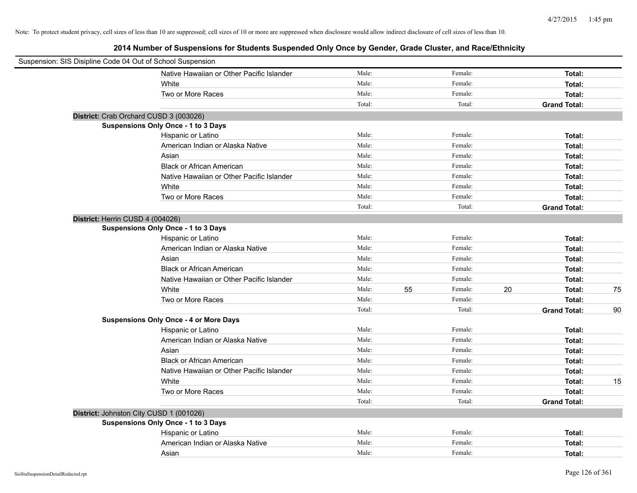| Suspension: SIS Disipline Code 04 Out of School Suspension |                                               |        |    |         |    |                     |    |
|------------------------------------------------------------|-----------------------------------------------|--------|----|---------|----|---------------------|----|
|                                                            | Native Hawaiian or Other Pacific Islander     | Male:  |    | Female: |    | Total:              |    |
|                                                            | White                                         | Male:  |    | Female: |    | Total:              |    |
|                                                            | Two or More Races                             | Male:  |    | Female: |    | Total:              |    |
|                                                            |                                               | Total: |    | Total:  |    | <b>Grand Total:</b> |    |
| District: Crab Orchard CUSD 3 (003026)                     |                                               |        |    |         |    |                     |    |
|                                                            | Suspensions Only Once - 1 to 3 Days           |        |    |         |    |                     |    |
|                                                            | Hispanic or Latino                            | Male:  |    | Female: |    | Total:              |    |
|                                                            | American Indian or Alaska Native              | Male:  |    | Female: |    | Total:              |    |
|                                                            | Asian                                         | Male:  |    | Female: |    | Total:              |    |
|                                                            | <b>Black or African American</b>              | Male:  |    | Female: |    | Total:              |    |
|                                                            | Native Hawaiian or Other Pacific Islander     | Male:  |    | Female: |    | Total:              |    |
|                                                            | White                                         | Male:  |    | Female: |    | Total:              |    |
|                                                            | Two or More Races                             | Male:  |    | Female: |    | Total:              |    |
|                                                            |                                               | Total: |    | Total:  |    | <b>Grand Total:</b> |    |
| District: Herrin CUSD 4 (004026)                           |                                               |        |    |         |    |                     |    |
|                                                            | Suspensions Only Once - 1 to 3 Days           |        |    |         |    |                     |    |
|                                                            | Hispanic or Latino                            | Male:  |    | Female: |    | Total:              |    |
|                                                            | American Indian or Alaska Native              | Male:  |    | Female: |    | Total:              |    |
|                                                            | Asian                                         | Male:  |    | Female: |    | Total:              |    |
|                                                            | <b>Black or African American</b>              | Male:  |    | Female: |    | Total:              |    |
|                                                            | Native Hawaiian or Other Pacific Islander     | Male:  |    | Female: |    | Total:              |    |
|                                                            | White                                         | Male:  | 55 | Female: | 20 | Total:              | 75 |
|                                                            | Two or More Races                             | Male:  |    | Female: |    | Total:              |    |
|                                                            |                                               | Total: |    | Total:  |    | <b>Grand Total:</b> | 90 |
|                                                            | <b>Suspensions Only Once - 4 or More Days</b> |        |    |         |    |                     |    |
|                                                            | Hispanic or Latino                            | Male:  |    | Female: |    | Total:              |    |
|                                                            | American Indian or Alaska Native              | Male:  |    | Female: |    | Total:              |    |
|                                                            | Asian                                         | Male:  |    | Female: |    | Total:              |    |
|                                                            | <b>Black or African American</b>              | Male:  |    | Female: |    | Total:              |    |
|                                                            | Native Hawaiian or Other Pacific Islander     | Male:  |    | Female: |    | Total:              |    |
|                                                            | White                                         | Male:  |    | Female: |    | Total:              | 15 |
|                                                            | Two or More Races                             | Male:  |    | Female: |    | Total:              |    |
|                                                            |                                               | Total: |    | Total:  |    | <b>Grand Total:</b> |    |
| District: Johnston City CUSD 1 (001026)                    |                                               |        |    |         |    |                     |    |
|                                                            | Suspensions Only Once - 1 to 3 Days           |        |    |         |    |                     |    |
|                                                            | Hispanic or Latino                            | Male:  |    | Female: |    | Total:              |    |
|                                                            | American Indian or Alaska Native              | Male:  |    | Female: |    | Total:              |    |
|                                                            | Asian                                         | Male:  |    | Female: |    | Total:              |    |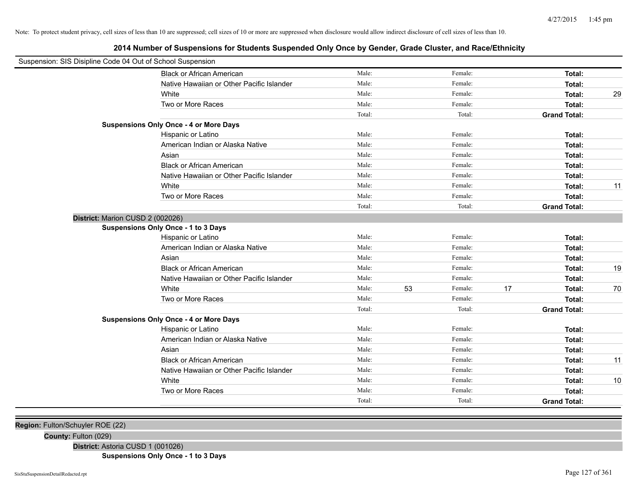**2014 Number of Suspensions for Students Suspended Only Once by Gender, Grade Cluster, and Race/Ethnicity**

| Suspension: SIS Disipline Code 04 Out of School Suspension |                                               |        |    |         |    |                     |    |
|------------------------------------------------------------|-----------------------------------------------|--------|----|---------|----|---------------------|----|
|                                                            | <b>Black or African American</b>              | Male:  |    | Female: |    | Total:              |    |
|                                                            | Native Hawaiian or Other Pacific Islander     | Male:  |    | Female: |    | Total:              |    |
|                                                            | White                                         | Male:  |    | Female: |    | Total:              | 29 |
|                                                            | Two or More Races                             | Male:  |    | Female: |    | Total:              |    |
|                                                            |                                               | Total: |    | Total:  |    | <b>Grand Total:</b> |    |
|                                                            | <b>Suspensions Only Once - 4 or More Days</b> |        |    |         |    |                     |    |
|                                                            | Hispanic or Latino                            | Male:  |    | Female: |    | Total:              |    |
|                                                            | American Indian or Alaska Native              | Male:  |    | Female: |    | Total:              |    |
|                                                            | Asian                                         | Male:  |    | Female: |    | Total:              |    |
|                                                            | <b>Black or African American</b>              | Male:  |    | Female: |    | Total:              |    |
|                                                            | Native Hawaiian or Other Pacific Islander     | Male:  |    | Female: |    | Total:              |    |
|                                                            | White                                         | Male:  |    | Female: |    | Total:              | 11 |
|                                                            | Two or More Races                             | Male:  |    | Female: |    | Total:              |    |
|                                                            |                                               | Total: |    | Total:  |    | <b>Grand Total:</b> |    |
| District: Marion CUSD 2 (002026)                           |                                               |        |    |         |    |                     |    |
|                                                            | Suspensions Only Once - 1 to 3 Days           |        |    |         |    |                     |    |
|                                                            | Hispanic or Latino                            | Male:  |    | Female: |    | Total:              |    |
|                                                            | American Indian or Alaska Native              | Male:  |    | Female: |    | Total:              |    |
|                                                            | Asian                                         | Male:  |    | Female: |    | Total:              |    |
|                                                            | <b>Black or African American</b>              | Male:  |    | Female: |    | Total:              | 19 |
|                                                            | Native Hawaiian or Other Pacific Islander     | Male:  |    | Female: |    | Total:              |    |
|                                                            | White                                         | Male:  | 53 | Female: | 17 | Total:              | 70 |
|                                                            | Two or More Races                             | Male:  |    | Female: |    | Total:              |    |
|                                                            |                                               | Total: |    | Total:  |    | <b>Grand Total:</b> |    |
|                                                            | <b>Suspensions Only Once - 4 or More Days</b> |        |    |         |    |                     |    |
|                                                            | Hispanic or Latino                            | Male:  |    | Female: |    | Total:              |    |
|                                                            | American Indian or Alaska Native              | Male:  |    | Female: |    | Total:              |    |
|                                                            | Asian                                         | Male:  |    | Female: |    | Total:              |    |
|                                                            | <b>Black or African American</b>              | Male:  |    | Female: |    | Total:              | 11 |
|                                                            | Native Hawaiian or Other Pacific Islander     | Male:  |    | Female: |    | Total:              |    |
|                                                            | White                                         | Male:  |    | Female: |    | Total:              | 10 |
|                                                            | Two or More Races                             | Male:  |    | Female: |    | Total:              |    |
|                                                            |                                               | Total: |    | Total:  |    | <b>Grand Total:</b> |    |
|                                                            |                                               |        |    |         |    |                     |    |

**Region:** Fulton/Schuyler ROE (22)

**County:** Fulton (029)

**District:** Astoria CUSD 1 (001026)

**Suspensions Only Once - 1 to 3 Days**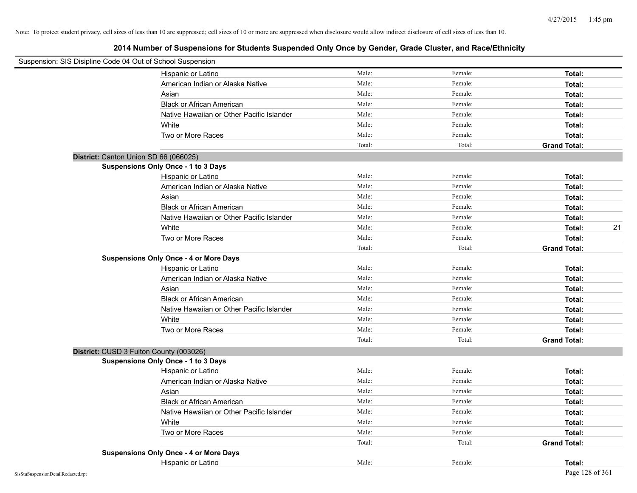| Suspension: SIS Disipline Code 04 Out of School Suspension |                                               |        |         |                     |
|------------------------------------------------------------|-----------------------------------------------|--------|---------|---------------------|
|                                                            | Hispanic or Latino                            | Male:  | Female: | Total:              |
|                                                            | American Indian or Alaska Native              | Male:  | Female: | Total:              |
|                                                            | Asian                                         | Male:  | Female: | Total:              |
|                                                            | <b>Black or African American</b>              | Male:  | Female: | Total:              |
|                                                            | Native Hawaiian or Other Pacific Islander     | Male:  | Female: | Total:              |
|                                                            | White                                         | Male:  | Female: | Total:              |
|                                                            | Two or More Races                             | Male:  | Female: | Total:              |
|                                                            |                                               | Total: | Total:  | <b>Grand Total:</b> |
| District: Canton Union SD 66 (066025)                      |                                               |        |         |                     |
|                                                            | Suspensions Only Once - 1 to 3 Days           |        |         |                     |
|                                                            | Hispanic or Latino                            | Male:  | Female: | Total:              |
|                                                            | American Indian or Alaska Native              | Male:  | Female: | Total:              |
|                                                            | Asian                                         | Male:  | Female: | Total:              |
|                                                            | <b>Black or African American</b>              | Male:  | Female: | Total:              |
|                                                            | Native Hawaiian or Other Pacific Islander     | Male:  | Female: | Total:              |
|                                                            | White                                         | Male:  | Female: | 21<br>Total:        |
|                                                            | Two or More Races                             | Male:  | Female: | Total:              |
|                                                            |                                               | Total: | Total:  | <b>Grand Total:</b> |
|                                                            | <b>Suspensions Only Once - 4 or More Days</b> |        |         |                     |
|                                                            | Hispanic or Latino                            | Male:  | Female: | Total:              |
|                                                            | American Indian or Alaska Native              | Male:  | Female: | Total:              |
|                                                            | Asian                                         | Male:  | Female: | Total:              |
|                                                            | <b>Black or African American</b>              | Male:  | Female: | Total:              |
|                                                            | Native Hawaiian or Other Pacific Islander     | Male:  | Female: | Total:              |
|                                                            | White                                         | Male:  | Female: | Total:              |
|                                                            | Two or More Races                             | Male:  | Female: | Total:              |
|                                                            |                                               | Total: | Total:  | <b>Grand Total:</b> |
| District: CUSD 3 Fulton County (003026)                    |                                               |        |         |                     |
|                                                            | <b>Suspensions Only Once - 1 to 3 Days</b>    |        |         |                     |
|                                                            | Hispanic or Latino                            | Male:  | Female: | Total:              |
|                                                            | American Indian or Alaska Native              | Male:  | Female: | Total:              |
|                                                            | Asian                                         | Male:  | Female: | Total:              |
|                                                            | <b>Black or African American</b>              | Male:  | Female: | Total:              |
|                                                            | Native Hawaiian or Other Pacific Islander     | Male:  | Female: | Total:              |
|                                                            | White                                         | Male:  | Female: | Total:              |
|                                                            | Two or More Races                             | Male:  | Female: | Total:              |
|                                                            |                                               | Total: | Total:  | <b>Grand Total:</b> |
|                                                            | <b>Suspensions Only Once - 4 or More Days</b> |        |         |                     |
|                                                            | Hispanic or Latino                            | Male:  | Female: | Total:              |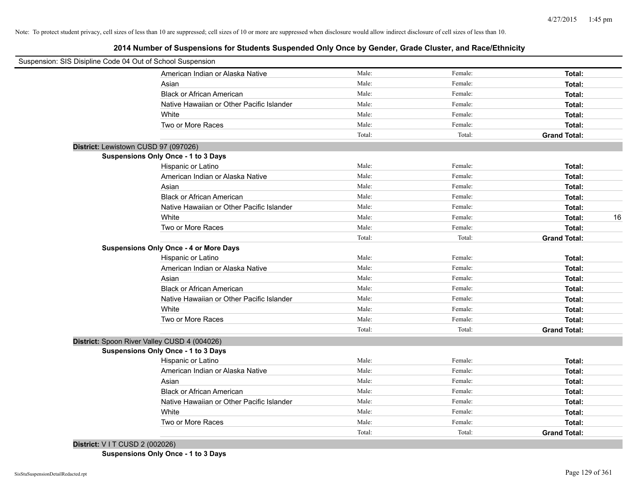**2014 Number of Suspensions for Students Suspended Only Once by Gender, Grade Cluster, and Race/Ethnicity**

| Suspension: SIS Disipline Code 04 Out of School Suspension |        |         |                     |    |
|------------------------------------------------------------|--------|---------|---------------------|----|
| American Indian or Alaska Native                           | Male:  | Female: | Total:              |    |
| Asian                                                      | Male:  | Female: | Total:              |    |
| <b>Black or African American</b>                           | Male:  | Female: | Total:              |    |
| Native Hawaiian or Other Pacific Islander                  | Male:  | Female: | Total:              |    |
| White                                                      | Male:  | Female: | Total:              |    |
| Two or More Races                                          | Male:  | Female: | Total:              |    |
|                                                            | Total: | Total:  | <b>Grand Total:</b> |    |
| District: Lewistown CUSD 97 (097026)                       |        |         |                     |    |
| Suspensions Only Once - 1 to 3 Days                        |        |         |                     |    |
| Hispanic or Latino                                         | Male:  | Female: | Total:              |    |
| American Indian or Alaska Native                           | Male:  | Female: | Total:              |    |
| Asian                                                      | Male:  | Female: | Total:              |    |
| <b>Black or African American</b>                           | Male:  | Female: | Total:              |    |
| Native Hawaiian or Other Pacific Islander                  | Male:  | Female: | Total:              |    |
| White                                                      | Male:  | Female: | Total:              | 16 |
| Two or More Races                                          | Male:  | Female: | Total:              |    |
|                                                            | Total: | Total:  | <b>Grand Total:</b> |    |
| <b>Suspensions Only Once - 4 or More Days</b>              |        |         |                     |    |
| Hispanic or Latino                                         | Male:  | Female: | Total:              |    |
| American Indian or Alaska Native                           | Male:  | Female: | Total:              |    |
| Asian                                                      | Male:  | Female: | Total:              |    |
| <b>Black or African American</b>                           | Male:  | Female: | Total:              |    |
| Native Hawaiian or Other Pacific Islander                  | Male:  | Female: | Total:              |    |
| White                                                      | Male:  | Female: | Total:              |    |
| Two or More Races                                          | Male:  | Female: | Total:              |    |
|                                                            | Total: | Total:  | <b>Grand Total:</b> |    |
| District: Spoon River Valley CUSD 4 (004026)               |        |         |                     |    |
| Suspensions Only Once - 1 to 3 Days                        |        |         |                     |    |
| Hispanic or Latino                                         | Male:  | Female: | Total:              |    |
| American Indian or Alaska Native                           | Male:  | Female: | Total:              |    |
| Asian                                                      | Male:  | Female: | Total:              |    |
| <b>Black or African American</b>                           | Male:  | Female: | Total:              |    |
| Native Hawaiian or Other Pacific Islander                  | Male:  | Female: | Total:              |    |
| White                                                      | Male:  | Female: | Total:              |    |
| Two or More Races                                          | Male:  | Female: | Total:              |    |
|                                                            | Total: | Total:  | <b>Grand Total:</b> |    |
| District: V I T CUSD 2 (002026)                            |        |         |                     |    |

**Suspensions Only Once - 1 to 3 Days**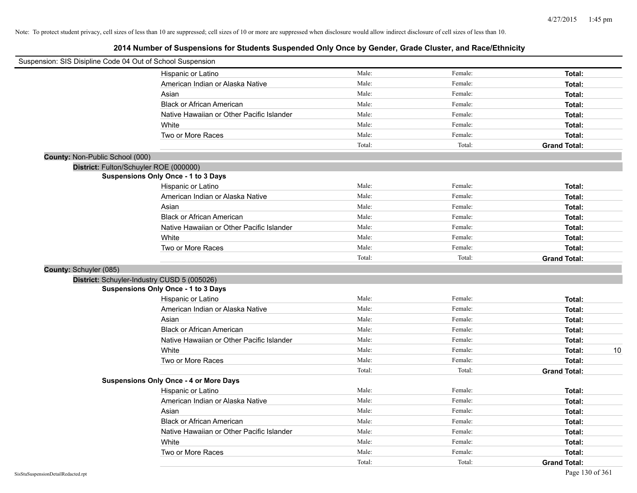| Suspension: SIS Disipline Code 04 Out of School Suspension |                                               |        |         |                     |
|------------------------------------------------------------|-----------------------------------------------|--------|---------|---------------------|
|                                                            | Hispanic or Latino                            | Male:  | Female: | Total:              |
|                                                            | American Indian or Alaska Native              | Male:  | Female: | Total:              |
|                                                            | Asian                                         | Male:  | Female: | Total:              |
|                                                            | <b>Black or African American</b>              | Male:  | Female: | Total:              |
|                                                            | Native Hawaiian or Other Pacific Islander     | Male:  | Female: | Total:              |
|                                                            | White                                         | Male:  | Female: | Total:              |
|                                                            | Two or More Races                             | Male:  | Female: | Total:              |
|                                                            |                                               | Total: | Total:  | <b>Grand Total:</b> |
| <b>County: Non-Public School (000)</b>                     |                                               |        |         |                     |
| District: Fulton/Schuyler ROE (000000)                     |                                               |        |         |                     |
|                                                            | <b>Suspensions Only Once - 1 to 3 Days</b>    |        |         |                     |
|                                                            | Hispanic or Latino                            | Male:  | Female: | Total:              |
|                                                            | American Indian or Alaska Native              | Male:  | Female: | Total:              |
|                                                            | Asian                                         | Male:  | Female: | Total:              |
|                                                            | <b>Black or African American</b>              | Male:  | Female: | Total:              |
|                                                            | Native Hawaiian or Other Pacific Islander     | Male:  | Female: | Total:              |
|                                                            | White                                         | Male:  | Female: | Total:              |
|                                                            | Two or More Races                             | Male:  | Female: | Total:              |
|                                                            |                                               | Total: | Total:  | <b>Grand Total:</b> |
| County: Schuyler (085)                                     |                                               |        |         |                     |
|                                                            | District: Schuyler-Industry CUSD 5 (005026)   |        |         |                     |
|                                                            | Suspensions Only Once - 1 to 3 Days           |        |         |                     |
|                                                            | Hispanic or Latino                            | Male:  | Female: | Total:              |
|                                                            | American Indian or Alaska Native              | Male:  | Female: | Total:              |
|                                                            | Asian                                         | Male:  | Female: | Total:              |
|                                                            | <b>Black or African American</b>              | Male:  | Female: | Total:              |
|                                                            | Native Hawaiian or Other Pacific Islander     | Male:  | Female: | Total:              |
|                                                            | White                                         | Male:  | Female: | 10<br>Total:        |
|                                                            | Two or More Races                             | Male:  | Female: | Total:              |
|                                                            |                                               | Total: | Total:  | <b>Grand Total:</b> |
|                                                            | <b>Suspensions Only Once - 4 or More Days</b> |        |         |                     |
|                                                            | Hispanic or Latino                            | Male:  | Female: | Total:              |
|                                                            | American Indian or Alaska Native              | Male:  | Female: | Total:              |
|                                                            | Asian                                         | Male:  | Female: | Total:              |
|                                                            | <b>Black or African American</b>              | Male:  | Female: | Total:              |
|                                                            | Native Hawaiian or Other Pacific Islander     | Male:  | Female: | Total:              |
|                                                            | White                                         | Male:  | Female: | Total:              |
|                                                            | Two or More Races                             | Male:  | Female: | Total:              |
|                                                            |                                               | Total: | Total:  | <b>Grand Total:</b> |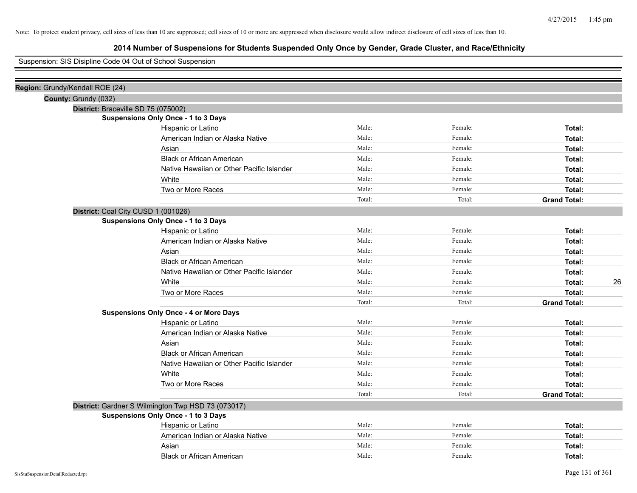# **2014 Number of Suspensions for Students Suspended Only Once by Gender, Grade Cluster, and Race/Ethnicity**

### Suspension: SIS Disipline Code 04 Out of School Suspension

| Region: Grundy/Kendall ROE (24) |                                                    |        |         |                     |
|---------------------------------|----------------------------------------------------|--------|---------|---------------------|
| County: Grundy (032)            |                                                    |        |         |                     |
|                                 | District: Braceville SD 75 (075002)                |        |         |                     |
|                                 | Suspensions Only Once - 1 to 3 Days                |        |         |                     |
|                                 | Hispanic or Latino                                 | Male:  | Female: | Total:              |
|                                 | American Indian or Alaska Native                   | Male:  | Female: | Total:              |
|                                 | Asian                                              | Male:  | Female: | Total:              |
|                                 | <b>Black or African American</b>                   | Male:  | Female: | Total:              |
|                                 | Native Hawaiian or Other Pacific Islander          | Male:  | Female: | Total:              |
|                                 | White                                              | Male:  | Female: | Total:              |
|                                 | Two or More Races                                  | Male:  | Female: | Total:              |
|                                 |                                                    | Total: | Total:  | <b>Grand Total:</b> |
|                                 | District: Coal City CUSD 1 (001026)                |        |         |                     |
|                                 | Suspensions Only Once - 1 to 3 Days                |        |         |                     |
|                                 | Hispanic or Latino                                 | Male:  | Female: | Total:              |
|                                 | American Indian or Alaska Native                   | Male:  | Female: | Total:              |
|                                 | Asian                                              | Male:  | Female: | Total:              |
|                                 | <b>Black or African American</b>                   | Male:  | Female: | Total:              |
|                                 | Native Hawaiian or Other Pacific Islander          | Male:  | Female: | Total:              |
|                                 | White                                              | Male:  | Female: | 26<br>Total:        |
|                                 | Two or More Races                                  | Male:  | Female: | Total:              |
|                                 |                                                    | Total: | Total:  | <b>Grand Total:</b> |
|                                 | <b>Suspensions Only Once - 4 or More Days</b>      |        |         |                     |
|                                 | Hispanic or Latino                                 | Male:  | Female: | Total:              |
|                                 | American Indian or Alaska Native                   | Male:  | Female: | Total:              |
|                                 | Asian                                              | Male:  | Female: | Total:              |
|                                 | <b>Black or African American</b>                   | Male:  | Female: | Total:              |
|                                 | Native Hawaiian or Other Pacific Islander          | Male:  | Female: | Total:              |
|                                 | White                                              | Male:  | Female: | Total:              |
|                                 | Two or More Races                                  | Male:  | Female: | Total:              |
|                                 |                                                    | Total: | Total:  | <b>Grand Total:</b> |
|                                 | District: Gardner S Wilmington Twp HSD 73 (073017) |        |         |                     |
|                                 | Suspensions Only Once - 1 to 3 Days                |        |         |                     |
|                                 | Hispanic or Latino                                 | Male:  | Female: | Total:              |
|                                 | American Indian or Alaska Native                   | Male:  | Female: | Total:              |
|                                 | Asian                                              | Male:  | Female: | Total:              |
|                                 | <b>Black or African American</b>                   | Male:  | Female: | Total:              |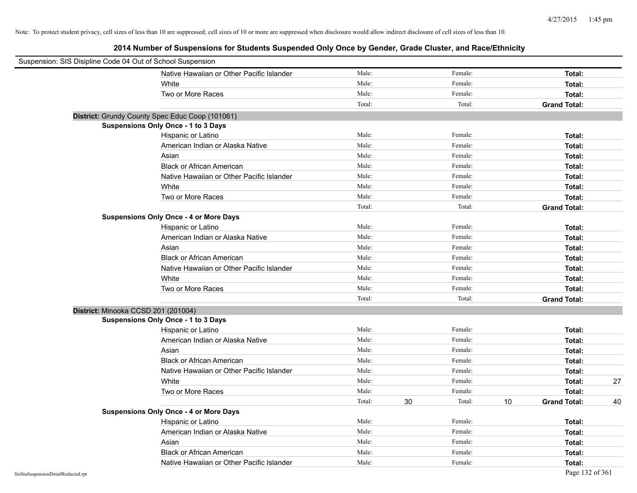| Suspension: SIS Disipline Code 04 Out of School Suspension |                                                 |        |         |              |                     |    |
|------------------------------------------------------------|-------------------------------------------------|--------|---------|--------------|---------------------|----|
|                                                            | Native Hawaiian or Other Pacific Islander       | Male:  | Female: |              | Total:              |    |
|                                                            | White                                           | Male:  | Female: |              | Total:              |    |
|                                                            | Two or More Races                               | Male:  | Female: |              | Total:              |    |
|                                                            |                                                 | Total: | Total:  |              | <b>Grand Total:</b> |    |
|                                                            | District: Grundy County Spec Educ Coop (101061) |        |         |              |                     |    |
|                                                            | <b>Suspensions Only Once - 1 to 3 Days</b>      |        |         |              |                     |    |
|                                                            | Hispanic or Latino                              | Male:  | Female: |              | Total:              |    |
|                                                            | American Indian or Alaska Native                | Male:  | Female: |              | Total:              |    |
|                                                            | Asian                                           | Male:  | Female: |              | Total:              |    |
|                                                            | <b>Black or African American</b>                | Male:  | Female: |              | Total:              |    |
|                                                            | Native Hawaiian or Other Pacific Islander       | Male:  | Female: |              | Total:              |    |
|                                                            | White                                           | Male:  | Female: |              | Total:              |    |
|                                                            | Two or More Races                               | Male:  | Female: |              | Total:              |    |
|                                                            |                                                 | Total: |         | Total:       | <b>Grand Total:</b> |    |
|                                                            | <b>Suspensions Only Once - 4 or More Days</b>   |        |         |              |                     |    |
|                                                            | Hispanic or Latino                              | Male:  | Female: |              | Total:              |    |
|                                                            | American Indian or Alaska Native                | Male:  | Female: |              | Total:              |    |
|                                                            | Asian                                           | Male:  | Female: |              | Total:              |    |
|                                                            | <b>Black or African American</b>                | Male:  | Female: |              | Total:              |    |
|                                                            | Native Hawaiian or Other Pacific Islander       | Male:  | Female: |              | Total:              |    |
|                                                            | White                                           | Male:  | Female: |              | Total:              |    |
|                                                            | Two or More Races                               | Male:  | Female: |              | Total:              |    |
|                                                            |                                                 | Total: | Total:  |              | <b>Grand Total:</b> |    |
| District: Minooka CCSD 201 (201004)                        |                                                 |        |         |              |                     |    |
|                                                            | <b>Suspensions Only Once - 1 to 3 Days</b>      |        |         |              |                     |    |
|                                                            | Hispanic or Latino                              | Male:  | Female: |              | Total:              |    |
|                                                            | American Indian or Alaska Native                | Male:  | Female: |              | Total:              |    |
|                                                            | Asian                                           | Male:  | Female: |              | Total:              |    |
|                                                            | <b>Black or African American</b>                | Male:  | Female: |              | Total:              |    |
|                                                            | Native Hawaiian or Other Pacific Islander       | Male:  | Female: |              | Total:              |    |
|                                                            | White                                           | Male:  | Female: |              | Total:              | 27 |
|                                                            | Two or More Races                               | Male:  | Female: |              | Total:              |    |
|                                                            |                                                 | Total: | 30      | Total:<br>10 | <b>Grand Total:</b> | 40 |
|                                                            | <b>Suspensions Only Once - 4 or More Days</b>   |        |         |              |                     |    |
|                                                            | Hispanic or Latino                              | Male:  | Female: |              | Total:              |    |
|                                                            | American Indian or Alaska Native                | Male:  | Female: |              | Total:              |    |
|                                                            | Asian                                           | Male:  | Female: |              | Total:              |    |
|                                                            | <b>Black or African American</b>                | Male:  | Female: |              | Total:              |    |
|                                                            | Native Hawaiian or Other Pacific Islander       | Male:  | Female: |              | Total:              |    |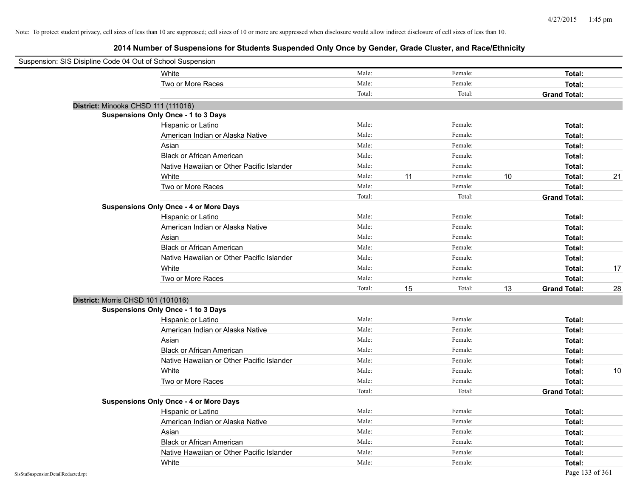| Suspension: SIS Disipline Code 04 Out of School Suspension |                                               |        |    |         |    |                     |    |
|------------------------------------------------------------|-----------------------------------------------|--------|----|---------|----|---------------------|----|
|                                                            | White                                         | Male:  |    | Female: |    | Total:              |    |
|                                                            | Two or More Races                             | Male:  |    | Female: |    | Total:              |    |
|                                                            |                                               | Total: |    | Total:  |    | <b>Grand Total:</b> |    |
| District: Minooka CHSD 111 (111016)                        |                                               |        |    |         |    |                     |    |
|                                                            | Suspensions Only Once - 1 to 3 Days           |        |    |         |    |                     |    |
|                                                            | Hispanic or Latino                            | Male:  |    | Female: |    | Total:              |    |
|                                                            | American Indian or Alaska Native              | Male:  |    | Female: |    | Total:              |    |
|                                                            | Asian                                         | Male:  |    | Female: |    | Total:              |    |
|                                                            | <b>Black or African American</b>              | Male:  |    | Female: |    | Total:              |    |
|                                                            | Native Hawaiian or Other Pacific Islander     | Male:  |    | Female: |    | Total:              |    |
|                                                            | White                                         | Male:  | 11 | Female: | 10 | Total:              | 21 |
|                                                            | Two or More Races                             | Male:  |    | Female: |    | Total:              |    |
|                                                            |                                               | Total: |    | Total:  |    | <b>Grand Total:</b> |    |
|                                                            | <b>Suspensions Only Once - 4 or More Days</b> |        |    |         |    |                     |    |
|                                                            | Hispanic or Latino                            | Male:  |    | Female: |    | Total:              |    |
|                                                            | American Indian or Alaska Native              | Male:  |    | Female: |    | Total:              |    |
|                                                            | Asian                                         | Male:  |    | Female: |    | Total:              |    |
|                                                            | <b>Black or African American</b>              | Male:  |    | Female: |    | Total:              |    |
|                                                            | Native Hawaiian or Other Pacific Islander     | Male:  |    | Female: |    | Total:              |    |
|                                                            | White                                         | Male:  |    | Female: |    | Total:              | 17 |
|                                                            | Two or More Races                             | Male:  |    | Female: |    | Total:              |    |
|                                                            |                                               | Total: | 15 | Total:  | 13 | <b>Grand Total:</b> | 28 |
| District: Morris CHSD 101 (101016)                         |                                               |        |    |         |    |                     |    |
|                                                            | Suspensions Only Once - 1 to 3 Days           |        |    |         |    |                     |    |
|                                                            | Hispanic or Latino                            | Male:  |    | Female: |    | Total:              |    |
|                                                            | American Indian or Alaska Native              | Male:  |    | Female: |    | Total:              |    |
|                                                            | Asian                                         | Male:  |    | Female: |    | Total:              |    |
|                                                            | <b>Black or African American</b>              | Male:  |    | Female: |    | Total:              |    |
|                                                            | Native Hawaiian or Other Pacific Islander     | Male:  |    | Female: |    | Total:              |    |
|                                                            | White                                         | Male:  |    | Female: |    | Total:              | 10 |
|                                                            | Two or More Races                             | Male:  |    | Female: |    | Total:              |    |
|                                                            |                                               | Total: |    | Total:  |    | <b>Grand Total:</b> |    |
|                                                            | <b>Suspensions Only Once - 4 or More Days</b> |        |    |         |    |                     |    |
|                                                            | Hispanic or Latino                            | Male:  |    | Female: |    | Total:              |    |
|                                                            | American Indian or Alaska Native              | Male:  |    | Female: |    | Total:              |    |
|                                                            | Asian                                         | Male:  |    | Female: |    | Total:              |    |
|                                                            | <b>Black or African American</b>              | Male:  |    | Female: |    | Total:              |    |
|                                                            | Native Hawaiian or Other Pacific Islander     | Male:  |    | Female: |    | Total:              |    |
|                                                            | White                                         | Male:  |    | Female: |    | Total:              |    |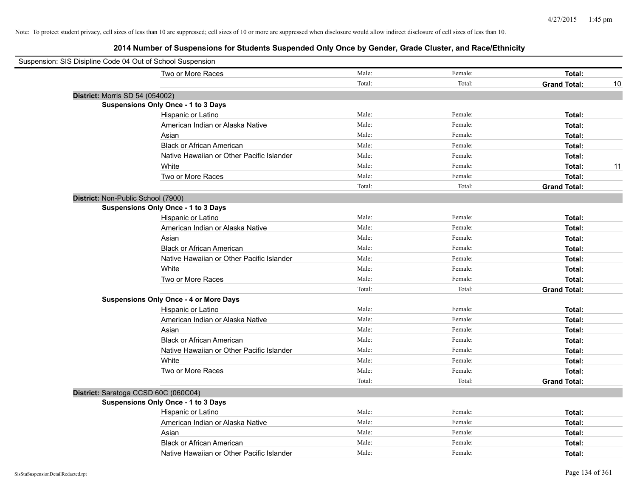| Suspension: SIS Disipline Code 04 Out of School Suspension |                                               |        |         |                           |
|------------------------------------------------------------|-----------------------------------------------|--------|---------|---------------------------|
|                                                            | Two or More Races                             | Male:  | Female: | Total:                    |
|                                                            |                                               | Total: | Total:  | <b>Grand Total:</b><br>10 |
| District: Morris SD 54 (054002)                            |                                               |        |         |                           |
|                                                            | Suspensions Only Once - 1 to 3 Days           |        |         |                           |
|                                                            | Hispanic or Latino                            | Male:  | Female: | Total:                    |
|                                                            | American Indian or Alaska Native              | Male:  | Female: | Total:                    |
|                                                            | Asian                                         | Male:  | Female: | Total:                    |
|                                                            | <b>Black or African American</b>              | Male:  | Female: | Total:                    |
|                                                            | Native Hawaiian or Other Pacific Islander     | Male:  | Female: | Total:                    |
|                                                            | White                                         | Male:  | Female: | 11<br>Total:              |
|                                                            | Two or More Races                             | Male:  | Female: | Total:                    |
|                                                            |                                               | Total: | Total:  | <b>Grand Total:</b>       |
|                                                            | District: Non-Public School (7900)            |        |         |                           |
|                                                            | Suspensions Only Once - 1 to 3 Days           |        |         |                           |
|                                                            | Hispanic or Latino                            | Male:  | Female: | Total:                    |
|                                                            | American Indian or Alaska Native              | Male:  | Female: | Total:                    |
|                                                            | Asian                                         | Male:  | Female: | Total:                    |
|                                                            | <b>Black or African American</b>              | Male:  | Female: | Total:                    |
|                                                            | Native Hawaiian or Other Pacific Islander     | Male:  | Female: | Total:                    |
|                                                            | White                                         | Male:  | Female: | Total:                    |
|                                                            | Two or More Races                             | Male:  | Female: | Total:                    |
|                                                            |                                               | Total: | Total:  | <b>Grand Total:</b>       |
|                                                            | <b>Suspensions Only Once - 4 or More Days</b> |        |         |                           |
|                                                            | Hispanic or Latino                            | Male:  | Female: | Total:                    |
|                                                            | American Indian or Alaska Native              | Male:  | Female: | Total:                    |
|                                                            | Asian                                         | Male:  | Female: | Total:                    |
|                                                            | <b>Black or African American</b>              | Male:  | Female: | Total:                    |
|                                                            | Native Hawaiian or Other Pacific Islander     | Male:  | Female: | Total:                    |
|                                                            | White                                         | Male:  | Female: | Total:                    |
|                                                            | Two or More Races                             | Male:  | Female: | Total:                    |
|                                                            |                                               | Total: | Total:  | <b>Grand Total:</b>       |
|                                                            | District: Saratoga CCSD 60C (060C04)          |        |         |                           |
|                                                            | Suspensions Only Once - 1 to 3 Days           |        |         |                           |
|                                                            | Hispanic or Latino                            | Male:  | Female: | Total:                    |
|                                                            | American Indian or Alaska Native              | Male:  | Female: | Total:                    |
|                                                            | Asian                                         | Male:  | Female: | Total:                    |
|                                                            | <b>Black or African American</b>              | Male:  | Female: | Total:                    |
|                                                            | Native Hawaiian or Other Pacific Islander     | Male:  | Female: | Total:                    |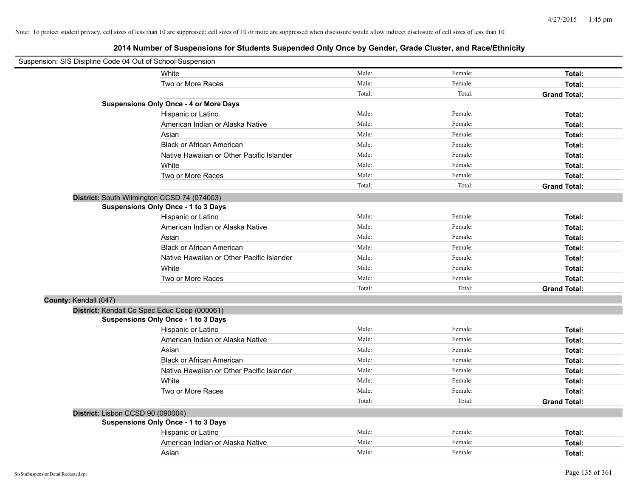| Suspension: SIS Disipline Code 04 Out of School Suspension |                                               |        |         |                     |
|------------------------------------------------------------|-----------------------------------------------|--------|---------|---------------------|
|                                                            | White                                         | Male:  | Female: | Total:              |
|                                                            | Two or More Races                             | Male:  | Female: | Total:              |
|                                                            |                                               | Total: | Total:  | <b>Grand Total:</b> |
|                                                            | <b>Suspensions Only Once - 4 or More Days</b> |        |         |                     |
|                                                            | Hispanic or Latino                            | Male:  | Female: | Total:              |
|                                                            | American Indian or Alaska Native              | Male:  | Female: | Total:              |
|                                                            | Asian                                         | Male:  | Female: | Total:              |
|                                                            | <b>Black or African American</b>              | Male:  | Female: | Total:              |
|                                                            | Native Hawaiian or Other Pacific Islander     | Male:  | Female: | Total:              |
|                                                            | White                                         | Male:  | Female: | Total:              |
|                                                            | Two or More Races                             | Male:  | Female: | Total:              |
|                                                            |                                               | Total: | Total:  | <b>Grand Total:</b> |
|                                                            | District: South Wilmington CCSD 74 (074003)   |        |         |                     |
|                                                            | <b>Suspensions Only Once - 1 to 3 Days</b>    |        |         |                     |
|                                                            | Hispanic or Latino                            | Male:  | Female: | Total:              |
|                                                            | American Indian or Alaska Native              | Male:  | Female: | Total:              |
|                                                            | Asian                                         | Male:  | Female: | Total:              |
|                                                            | <b>Black or African American</b>              | Male:  | Female: | Total:              |
|                                                            | Native Hawaiian or Other Pacific Islander     | Male:  | Female: | Total:              |
|                                                            | White                                         | Male:  | Female: | Total:              |
|                                                            | Two or More Races                             | Male:  | Female: | Total:              |
|                                                            |                                               | Total: | Total:  | <b>Grand Total:</b> |
| County: Kendall (047)                                      |                                               |        |         |                     |
|                                                            | District: Kendall Co Spec Educ Coop (000061)  |        |         |                     |
|                                                            | Suspensions Only Once - 1 to 3 Days           |        |         |                     |
|                                                            | Hispanic or Latino                            | Male:  | Female: | Total:              |
|                                                            | American Indian or Alaska Native              | Male:  | Female: | Total:              |
|                                                            | Asian                                         | Male:  | Female: | Total:              |
|                                                            | <b>Black or African American</b>              | Male:  | Female: | Total:              |
|                                                            | Native Hawaiian or Other Pacific Islander     | Male:  | Female: | Total:              |
|                                                            | White                                         | Male:  | Female: | Total:              |
|                                                            | Two or More Races                             | Male:  | Female: | Total:              |
|                                                            |                                               | Total: | Total:  | <b>Grand Total:</b> |
| District: Lisbon CCSD 90 (090004)                          |                                               |        |         |                     |
|                                                            | <b>Suspensions Only Once - 1 to 3 Days</b>    |        |         |                     |
|                                                            | Hispanic or Latino                            | Male:  | Female: | Total:              |
|                                                            | American Indian or Alaska Native              | Male:  | Female: | Total:              |
|                                                            | Asian                                         | Male:  | Female: | Total:              |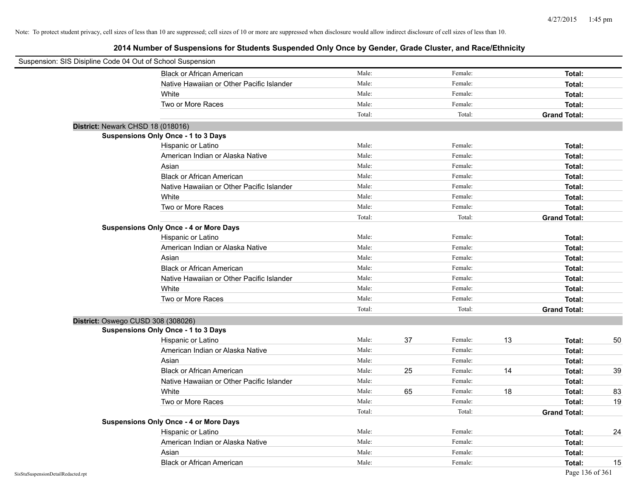| Suspension: SIS Disipline Code 04 Out of School Suspension |                                               |        |    |         |    |                     |    |
|------------------------------------------------------------|-----------------------------------------------|--------|----|---------|----|---------------------|----|
|                                                            | <b>Black or African American</b>              | Male:  |    | Female: |    | Total:              |    |
|                                                            | Native Hawaiian or Other Pacific Islander     | Male:  |    | Female: |    | Total:              |    |
|                                                            | White                                         | Male:  |    | Female: |    | Total:              |    |
|                                                            | Two or More Races                             | Male:  |    | Female: |    | Total:              |    |
|                                                            |                                               | Total: |    | Total:  |    | <b>Grand Total:</b> |    |
| District: Newark CHSD 18 (018016)                          |                                               |        |    |         |    |                     |    |
|                                                            | <b>Suspensions Only Once - 1 to 3 Days</b>    |        |    |         |    |                     |    |
|                                                            | Hispanic or Latino                            | Male:  |    | Female: |    | Total:              |    |
|                                                            | American Indian or Alaska Native              | Male:  |    | Female: |    | Total:              |    |
|                                                            | Asian                                         | Male:  |    | Female: |    | Total:              |    |
|                                                            | <b>Black or African American</b>              | Male:  |    | Female: |    | Total:              |    |
|                                                            | Native Hawaiian or Other Pacific Islander     | Male:  |    | Female: |    | Total:              |    |
|                                                            | White                                         | Male:  |    | Female: |    | Total:              |    |
|                                                            | Two or More Races                             | Male:  |    | Female: |    | Total:              |    |
|                                                            |                                               | Total: |    | Total:  |    | <b>Grand Total:</b> |    |
|                                                            | <b>Suspensions Only Once - 4 or More Days</b> |        |    |         |    |                     |    |
|                                                            | Hispanic or Latino                            | Male:  |    | Female: |    | Total:              |    |
|                                                            | American Indian or Alaska Native              | Male:  |    | Female: |    | Total:              |    |
|                                                            | Asian                                         | Male:  |    | Female: |    | Total:              |    |
|                                                            | <b>Black or African American</b>              | Male:  |    | Female: |    | Total:              |    |
|                                                            | Native Hawaiian or Other Pacific Islander     | Male:  |    | Female: |    | Total:              |    |
|                                                            | White                                         | Male:  |    | Female: |    | Total:              |    |
|                                                            | Two or More Races                             | Male:  |    | Female: |    | Total:              |    |
|                                                            |                                               | Total: |    | Total:  |    | <b>Grand Total:</b> |    |
| District: Oswego CUSD 308 (308026)                         |                                               |        |    |         |    |                     |    |
|                                                            | <b>Suspensions Only Once - 1 to 3 Days</b>    |        |    |         |    |                     |    |
|                                                            | Hispanic or Latino                            | Male:  | 37 | Female: | 13 | Total:              | 50 |
|                                                            | American Indian or Alaska Native              | Male:  |    | Female: |    | Total:              |    |
|                                                            | Asian                                         | Male:  |    | Female: |    | Total:              |    |
|                                                            | <b>Black or African American</b>              | Male:  | 25 | Female: | 14 | Total:              | 39 |
|                                                            | Native Hawaiian or Other Pacific Islander     | Male:  |    | Female: |    | Total:              |    |
|                                                            | White                                         | Male:  | 65 | Female: | 18 | Total:              | 83 |
|                                                            | Two or More Races                             | Male:  |    | Female: |    | Total:              | 19 |
|                                                            |                                               | Total: |    | Total:  |    | <b>Grand Total:</b> |    |
|                                                            | <b>Suspensions Only Once - 4 or More Days</b> |        |    |         |    |                     |    |
|                                                            | Hispanic or Latino                            | Male:  |    | Female: |    | Total:              | 24 |
|                                                            | American Indian or Alaska Native              | Male:  |    | Female: |    | Total:              |    |
|                                                            | Asian                                         | Male:  |    | Female: |    | Total:              |    |
|                                                            | <b>Black or African American</b>              | Male:  |    | Female: |    | Total:              | 15 |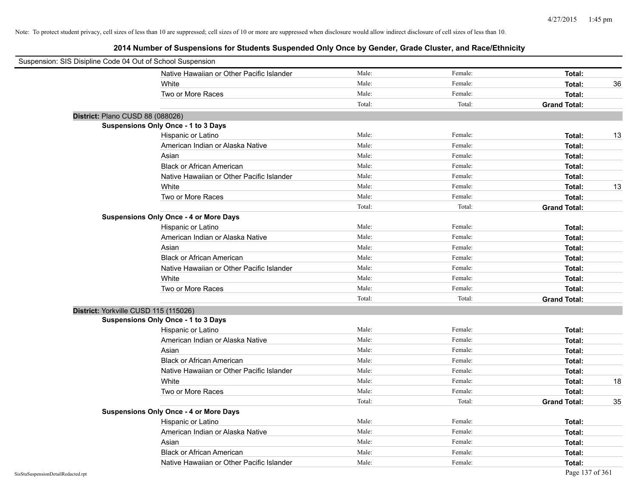| Suspension: SIS Disipline Code 04 Out of School Suspension |                                               |        |         |                     |    |
|------------------------------------------------------------|-----------------------------------------------|--------|---------|---------------------|----|
|                                                            | Native Hawaiian or Other Pacific Islander     | Male:  | Female: | Total:              |    |
|                                                            | White                                         | Male:  | Female: | Total:              | 36 |
|                                                            | Two or More Races                             | Male:  | Female: | Total:              |    |
|                                                            |                                               | Total: | Total:  | <b>Grand Total:</b> |    |
|                                                            | District: Plano CUSD 88 (088026)              |        |         |                     |    |
|                                                            | <b>Suspensions Only Once - 1 to 3 Days</b>    |        |         |                     |    |
|                                                            | Hispanic or Latino                            | Male:  | Female: | Total:              | 13 |
|                                                            | American Indian or Alaska Native              | Male:  | Female: | Total:              |    |
|                                                            | Asian                                         | Male:  | Female: | Total:              |    |
|                                                            | <b>Black or African American</b>              | Male:  | Female: | Total:              |    |
|                                                            | Native Hawaiian or Other Pacific Islander     | Male:  | Female: | Total:              |    |
|                                                            | White                                         | Male:  | Female: | Total:              | 13 |
|                                                            | Two or More Races                             | Male:  | Female: | Total:              |    |
|                                                            |                                               | Total: | Total:  | <b>Grand Total:</b> |    |
|                                                            | <b>Suspensions Only Once - 4 or More Days</b> |        |         |                     |    |
|                                                            | Hispanic or Latino                            | Male:  | Female: | Total:              |    |
|                                                            | American Indian or Alaska Native              | Male:  | Female: | Total:              |    |
|                                                            | Asian                                         | Male:  | Female: | Total:              |    |
|                                                            | <b>Black or African American</b>              | Male:  | Female: | Total:              |    |
|                                                            | Native Hawaiian or Other Pacific Islander     | Male:  | Female: | Total:              |    |
|                                                            | White                                         | Male:  | Female: | Total:              |    |
|                                                            | Two or More Races                             | Male:  | Female: | Total:              |    |
|                                                            |                                               | Total: | Total:  | <b>Grand Total:</b> |    |
|                                                            | District: Yorkville CUSD 115 (115026)         |        |         |                     |    |
|                                                            | Suspensions Only Once - 1 to 3 Days           |        |         |                     |    |
|                                                            | Hispanic or Latino                            | Male:  | Female: | Total:              |    |
|                                                            | American Indian or Alaska Native              | Male:  | Female: | Total:              |    |
|                                                            | Asian                                         | Male:  | Female: | Total:              |    |
|                                                            | <b>Black or African American</b>              | Male:  | Female: | Total:              |    |
|                                                            | Native Hawaiian or Other Pacific Islander     | Male:  | Female: | Total:              |    |
|                                                            | White                                         | Male:  | Female: | Total:              | 18 |
|                                                            | Two or More Races                             | Male:  | Female: | Total:              |    |
|                                                            |                                               | Total: | Total:  | <b>Grand Total:</b> | 35 |
|                                                            | <b>Suspensions Only Once - 4 or More Days</b> |        |         |                     |    |
|                                                            | Hispanic or Latino                            | Male:  | Female: | Total:              |    |
|                                                            | American Indian or Alaska Native              | Male:  | Female: | Total:              |    |
|                                                            | Asian                                         | Male:  | Female: | Total:              |    |
|                                                            | <b>Black or African American</b>              | Male:  | Female: | Total:              |    |
|                                                            | Native Hawaiian or Other Pacific Islander     | Male:  | Female: | Total:              |    |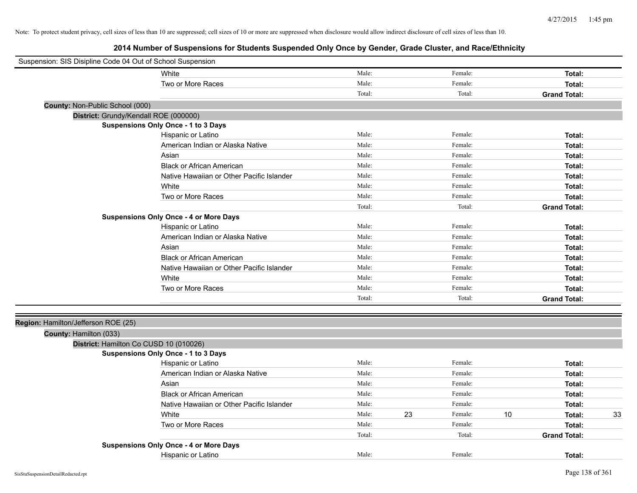| Suspension: SIS Disipline Code 04 Out of School Suspension |                                               |        |    |         |    |                     |    |
|------------------------------------------------------------|-----------------------------------------------|--------|----|---------|----|---------------------|----|
|                                                            | White                                         | Male:  |    | Female: |    | Total:              |    |
|                                                            | Two or More Races                             | Male:  |    | Female: |    | Total:              |    |
|                                                            |                                               | Total: |    | Total:  |    | <b>Grand Total:</b> |    |
| County: Non-Public School (000)                            |                                               |        |    |         |    |                     |    |
| District: Grundy/Kendall ROE (000000)                      |                                               |        |    |         |    |                     |    |
|                                                            | <b>Suspensions Only Once - 1 to 3 Days</b>    |        |    |         |    |                     |    |
|                                                            | Hispanic or Latino                            | Male:  |    | Female: |    | Total:              |    |
|                                                            | American Indian or Alaska Native              | Male:  |    | Female: |    | Total:              |    |
|                                                            | Asian                                         | Male:  |    | Female: |    | Total:              |    |
|                                                            | <b>Black or African American</b>              | Male:  |    | Female: |    | Total:              |    |
|                                                            | Native Hawaiian or Other Pacific Islander     | Male:  |    | Female: |    | Total:              |    |
|                                                            | White                                         | Male:  |    | Female: |    | Total:              |    |
|                                                            | Two or More Races                             | Male:  |    | Female: |    | Total:              |    |
|                                                            |                                               | Total: |    | Total:  |    | <b>Grand Total:</b> |    |
|                                                            | <b>Suspensions Only Once - 4 or More Days</b> |        |    |         |    |                     |    |
|                                                            | Hispanic or Latino                            | Male:  |    | Female: |    | Total:              |    |
|                                                            | American Indian or Alaska Native              | Male:  |    | Female: |    | Total:              |    |
|                                                            | Asian                                         | Male:  |    | Female: |    | Total:              |    |
|                                                            | <b>Black or African American</b>              | Male:  |    | Female: |    | Total:              |    |
|                                                            | Native Hawaiian or Other Pacific Islander     | Male:  |    | Female: |    | Total:              |    |
|                                                            | White                                         | Male:  |    | Female: |    | Total:              |    |
|                                                            | Two or More Races                             | Male:  |    | Female: |    | Total:              |    |
|                                                            |                                               | Total: |    | Total:  |    | <b>Grand Total:</b> |    |
| Region: Hamilton/Jefferson ROE (25)                        |                                               |        |    |         |    |                     |    |
| County: Hamilton (033)                                     |                                               |        |    |         |    |                     |    |
| District: Hamilton Co CUSD 10 (010026)                     |                                               |        |    |         |    |                     |    |
|                                                            | <b>Suspensions Only Once - 1 to 3 Days</b>    |        |    |         |    |                     |    |
|                                                            | Hispanic or Latino                            | Male:  |    | Female: |    | Total:              |    |
|                                                            | American Indian or Alaska Native              | Male:  |    | Female: |    | Total:              |    |
|                                                            | Asian                                         | Male:  |    | Female: |    | Total:              |    |
|                                                            | <b>Black or African American</b>              | Male:  |    | Female: |    | Total:              |    |
|                                                            | Native Hawaiian or Other Pacific Islander     | Male:  |    | Female: |    | Total:              |    |
|                                                            | White                                         | Male:  | 23 | Female: | 10 | Total:              | 33 |
|                                                            | Two or More Races                             | Male:  |    | Female: |    | Total:              |    |
|                                                            |                                               | Total: |    | Total:  |    | <b>Grand Total:</b> |    |
|                                                            | <b>Suspensions Only Once - 4 or More Days</b> |        |    |         |    |                     |    |
|                                                            | Hispanic or Latino                            | Male:  |    | Female: |    | Total:              |    |
|                                                            |                                               |        |    |         |    |                     |    |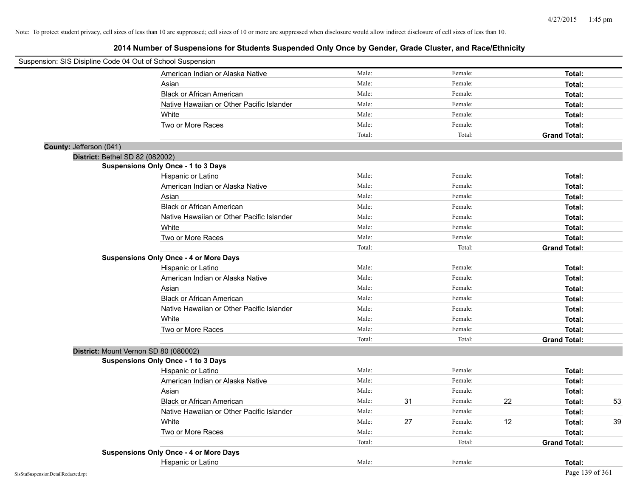| Suspension: SIS Disipline Code 04 Out of School Suspension |                                               |        |    |         |    |                     |    |
|------------------------------------------------------------|-----------------------------------------------|--------|----|---------|----|---------------------|----|
|                                                            | American Indian or Alaska Native              | Male:  |    | Female: |    | Total:              |    |
|                                                            | Asian                                         | Male:  |    | Female: |    | Total:              |    |
|                                                            | <b>Black or African American</b>              | Male:  |    | Female: |    | Total:              |    |
|                                                            | Native Hawaiian or Other Pacific Islander     | Male:  |    | Female: |    | Total:              |    |
|                                                            | White                                         | Male:  |    | Female: |    | Total:              |    |
|                                                            | Two or More Races                             | Male:  |    | Female: |    | Total:              |    |
|                                                            |                                               | Total: |    | Total:  |    | <b>Grand Total:</b> |    |
| County: Jefferson (041)                                    |                                               |        |    |         |    |                     |    |
| District: Bethel SD 82 (082002)                            |                                               |        |    |         |    |                     |    |
|                                                            | Suspensions Only Once - 1 to 3 Days           |        |    |         |    |                     |    |
|                                                            | Hispanic or Latino                            | Male:  |    | Female: |    | Total:              |    |
|                                                            | American Indian or Alaska Native              | Male:  |    | Female: |    | Total:              |    |
|                                                            | Asian                                         | Male:  |    | Female: |    | Total:              |    |
|                                                            | <b>Black or African American</b>              | Male:  |    | Female: |    | Total:              |    |
|                                                            | Native Hawaiian or Other Pacific Islander     | Male:  |    | Female: |    | Total:              |    |
|                                                            | White                                         | Male:  |    | Female: |    | Total:              |    |
|                                                            | Two or More Races                             | Male:  |    | Female: |    | Total:              |    |
|                                                            |                                               | Total: |    | Total:  |    | <b>Grand Total:</b> |    |
|                                                            | <b>Suspensions Only Once - 4 or More Days</b> |        |    |         |    |                     |    |
|                                                            | Hispanic or Latino                            | Male:  |    | Female: |    | Total:              |    |
|                                                            | American Indian or Alaska Native              | Male:  |    | Female: |    | Total:              |    |
|                                                            | Asian                                         | Male:  |    | Female: |    | Total:              |    |
|                                                            | <b>Black or African American</b>              | Male:  |    | Female: |    | Total:              |    |
|                                                            | Native Hawaiian or Other Pacific Islander     | Male:  |    | Female: |    | Total:              |    |
|                                                            | White                                         | Male:  |    | Female: |    | Total:              |    |
|                                                            | Two or More Races                             | Male:  |    | Female: |    | Total:              |    |
|                                                            |                                               | Total: |    | Total:  |    | <b>Grand Total:</b> |    |
| District: Mount Vernon SD 80 (080002)                      |                                               |        |    |         |    |                     |    |
|                                                            | <b>Suspensions Only Once - 1 to 3 Days</b>    |        |    |         |    |                     |    |
|                                                            | Hispanic or Latino                            | Male:  |    | Female: |    | Total:              |    |
|                                                            | American Indian or Alaska Native              | Male:  |    | Female: |    | Total:              |    |
|                                                            | Asian                                         | Male:  |    | Female: |    | Total:              |    |
|                                                            | <b>Black or African American</b>              | Male:  | 31 | Female: | 22 | Total:              | 53 |
|                                                            | Native Hawaiian or Other Pacific Islander     | Male:  |    | Female: |    | Total:              |    |
|                                                            | White                                         | Male:  | 27 | Female: | 12 | Total:              | 39 |
|                                                            | Two or More Races                             | Male:  |    | Female: |    | Total:              |    |
|                                                            |                                               | Total: |    | Total:  |    | <b>Grand Total:</b> |    |
|                                                            | <b>Suspensions Only Once - 4 or More Days</b> |        |    |         |    |                     |    |
|                                                            | Hispanic or Latino                            | Male:  |    | Female: |    | Total:              |    |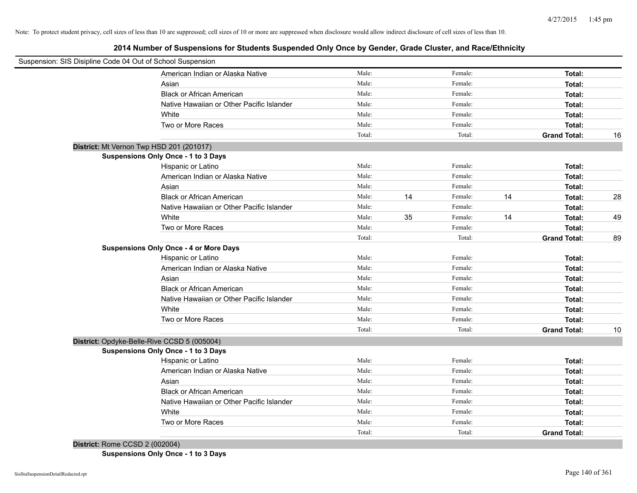**2014 Number of Suspensions for Students Suspended Only Once by Gender, Grade Cluster, and Race/Ethnicity**

| Suspension: SIS Disipline Code 04 Out of School Suspension |                                               |        |    |         |    |                     |    |
|------------------------------------------------------------|-----------------------------------------------|--------|----|---------|----|---------------------|----|
|                                                            | American Indian or Alaska Native              | Male:  |    | Female: |    | Total:              |    |
|                                                            | Asian                                         | Male:  |    | Female: |    | Total:              |    |
|                                                            | <b>Black or African American</b>              | Male:  |    | Female: |    | Total:              |    |
|                                                            | Native Hawaiian or Other Pacific Islander     | Male:  |    | Female: |    | Total:              |    |
|                                                            | White                                         | Male:  |    | Female: |    | Total:              |    |
|                                                            | Two or More Races                             | Male:  |    | Female: |    | Total:              |    |
|                                                            |                                               | Total: |    | Total:  |    | <b>Grand Total:</b> | 16 |
|                                                            | District: Mt Vernon Twp HSD 201 (201017)      |        |    |         |    |                     |    |
|                                                            | <b>Suspensions Only Once - 1 to 3 Days</b>    |        |    |         |    |                     |    |
|                                                            | Hispanic or Latino                            | Male:  |    | Female: |    | Total:              |    |
|                                                            | American Indian or Alaska Native              | Male:  |    | Female: |    | Total:              |    |
|                                                            | Asian                                         | Male:  |    | Female: |    | Total:              |    |
|                                                            | <b>Black or African American</b>              | Male:  | 14 | Female: | 14 | Total:              | 28 |
|                                                            | Native Hawaiian or Other Pacific Islander     | Male:  |    | Female: |    | Total:              |    |
|                                                            | White                                         | Male:  | 35 | Female: | 14 | Total:              | 49 |
|                                                            | Two or More Races                             | Male:  |    | Female: |    | Total:              |    |
|                                                            |                                               | Total: |    | Total:  |    | <b>Grand Total:</b> | 89 |
|                                                            | <b>Suspensions Only Once - 4 or More Days</b> |        |    |         |    |                     |    |
|                                                            | Hispanic or Latino                            | Male:  |    | Female: |    | Total:              |    |
|                                                            | American Indian or Alaska Native              | Male:  |    | Female: |    | Total:              |    |
|                                                            | Asian                                         | Male:  |    | Female: |    | Total:              |    |
|                                                            | <b>Black or African American</b>              | Male:  |    | Female: |    | Total:              |    |
|                                                            | Native Hawaiian or Other Pacific Islander     | Male:  |    | Female: |    | Total:              |    |
|                                                            | White                                         | Male:  |    | Female: |    | Total:              |    |
|                                                            | Two or More Races                             | Male:  |    | Female: |    | Total:              |    |
|                                                            |                                               | Total: |    | Total:  |    | <b>Grand Total:</b> | 10 |
|                                                            | District: Opdyke-Belle-Rive CCSD 5 (005004)   |        |    |         |    |                     |    |
|                                                            | <b>Suspensions Only Once - 1 to 3 Days</b>    |        |    |         |    |                     |    |
|                                                            | Hispanic or Latino                            | Male:  |    | Female: |    | Total:              |    |
|                                                            | American Indian or Alaska Native              | Male:  |    | Female: |    | Total:              |    |
|                                                            | Asian                                         | Male:  |    | Female: |    | Total:              |    |
|                                                            | <b>Black or African American</b>              | Male:  |    | Female: |    | Total:              |    |
|                                                            | Native Hawaiian or Other Pacific Islander     | Male:  |    | Female: |    | Total:              |    |
|                                                            | White                                         | Male:  |    | Female: |    | Total:              |    |
|                                                            | Two or More Races                             | Male:  |    | Female: |    | Total:              |    |
|                                                            |                                               | Total: |    | Total:  |    | <b>Grand Total:</b> |    |
| District: Rome CCSD 2 (002004)                             |                                               |        |    |         |    |                     |    |

**Suspensions Only Once - 1 to 3 Days**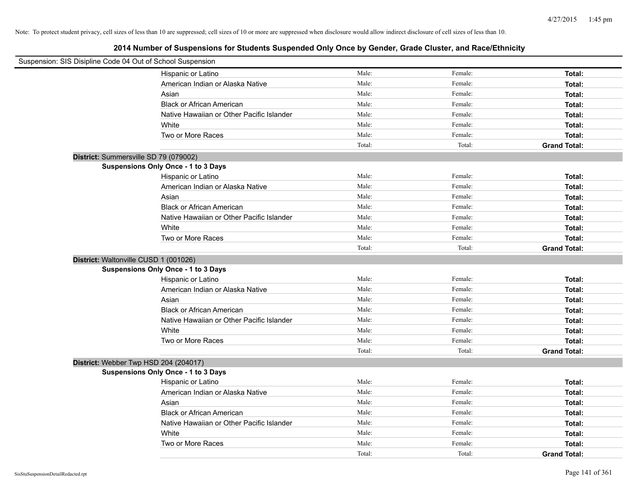| Suspension: SIS Disipline Code 04 Out of School Suspension |                                            |        |         |                     |
|------------------------------------------------------------|--------------------------------------------|--------|---------|---------------------|
|                                                            | Hispanic or Latino                         | Male:  | Female: | Total:              |
|                                                            | American Indian or Alaska Native           | Male:  | Female: | Total:              |
|                                                            | Asian                                      | Male:  | Female: | Total:              |
|                                                            | <b>Black or African American</b>           | Male:  | Female: | Total:              |
|                                                            | Native Hawaiian or Other Pacific Islander  | Male:  | Female: | Total:              |
|                                                            | White                                      | Male:  | Female: | Total:              |
|                                                            | Two or More Races                          | Male:  | Female: | Total:              |
|                                                            |                                            | Total: | Total:  | <b>Grand Total:</b> |
| District: Summersville SD 79 (079002)                      |                                            |        |         |                     |
|                                                            | Suspensions Only Once - 1 to 3 Days        |        |         |                     |
|                                                            | Hispanic or Latino                         | Male:  | Female: | Total:              |
|                                                            | American Indian or Alaska Native           | Male:  | Female: | Total:              |
|                                                            | Asian                                      | Male:  | Female: | Total:              |
|                                                            | <b>Black or African American</b>           | Male:  | Female: | Total:              |
|                                                            | Native Hawaiian or Other Pacific Islander  | Male:  | Female: | Total:              |
|                                                            | White                                      | Male:  | Female: | Total:              |
|                                                            | Two or More Races                          | Male:  | Female: | Total:              |
|                                                            |                                            | Total: | Total:  | <b>Grand Total:</b> |
| District: Waltonville CUSD 1 (001026)                      |                                            |        |         |                     |
|                                                            | Suspensions Only Once - 1 to 3 Days        |        |         |                     |
|                                                            | Hispanic or Latino                         | Male:  | Female: | Total:              |
|                                                            | American Indian or Alaska Native           | Male:  | Female: | Total:              |
|                                                            | Asian                                      | Male:  | Female: | Total:              |
|                                                            | <b>Black or African American</b>           | Male:  | Female: | Total:              |
|                                                            | Native Hawaiian or Other Pacific Islander  | Male:  | Female: | Total:              |
|                                                            | White                                      | Male:  | Female: | Total:              |
|                                                            | Two or More Races                          | Male:  | Female: | <b>Total:</b>       |
|                                                            |                                            | Total: | Total:  | <b>Grand Total:</b> |
| District: Webber Twp HSD 204 (204017)                      |                                            |        |         |                     |
|                                                            | <b>Suspensions Only Once - 1 to 3 Days</b> |        |         |                     |
|                                                            | Hispanic or Latino                         | Male:  | Female: | Total:              |
|                                                            | American Indian or Alaska Native           | Male:  | Female: | Total:              |
|                                                            | Asian                                      | Male:  | Female: | Total:              |
|                                                            | <b>Black or African American</b>           | Male:  | Female: | Total:              |
|                                                            | Native Hawaiian or Other Pacific Islander  | Male:  | Female: | Total:              |
|                                                            | White                                      | Male:  | Female: | Total:              |
|                                                            | Two or More Races                          | Male:  | Female: | Total:              |
|                                                            |                                            | Total: | Total:  | <b>Grand Total:</b> |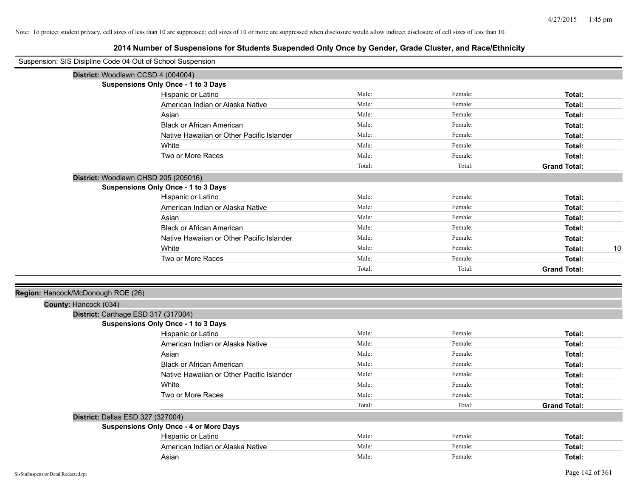| Suspension: SIS Disipline Code 04 Out of School Suspension |                                               |        |         |                     |    |
|------------------------------------------------------------|-----------------------------------------------|--------|---------|---------------------|----|
|                                                            | District: Woodlawn CCSD 4 (004004)            |        |         |                     |    |
|                                                            | <b>Suspensions Only Once - 1 to 3 Days</b>    |        |         |                     |    |
|                                                            | Hispanic or Latino                            | Male:  | Female: | Total:              |    |
|                                                            | American Indian or Alaska Native              | Male:  | Female: | Total:              |    |
|                                                            | Asian                                         | Male:  | Female: | Total:              |    |
|                                                            | <b>Black or African American</b>              | Male:  | Female: | Total:              |    |
|                                                            | Native Hawaiian or Other Pacific Islander     | Male:  | Female: | Total:              |    |
|                                                            | White                                         | Male:  | Female: | Total:              |    |
|                                                            | Two or More Races                             | Male:  | Female: | Total:              |    |
|                                                            |                                               | Total: | Total:  | <b>Grand Total:</b> |    |
|                                                            | District: Woodlawn CHSD 205 (205016)          |        |         |                     |    |
|                                                            | <b>Suspensions Only Once - 1 to 3 Days</b>    |        |         |                     |    |
|                                                            | Hispanic or Latino                            | Male:  | Female: | Total:              |    |
|                                                            | American Indian or Alaska Native              | Male:  | Female: | Total:              |    |
|                                                            | Asian                                         | Male:  | Female: | Total:              |    |
|                                                            | <b>Black or African American</b>              | Male:  | Female: | Total:              |    |
|                                                            | Native Hawaiian or Other Pacific Islander     | Male:  | Female: | Total:              |    |
|                                                            | White                                         | Male:  | Female: | Total:              | 10 |
|                                                            | Two or More Races                             | Male:  | Female: | Total:              |    |
|                                                            |                                               | Total: | Total:  | <b>Grand Total:</b> |    |
|                                                            |                                               |        |         |                     |    |
| Region: Hancock/McDonough ROE (26)                         |                                               |        |         |                     |    |
| County: Hancock (034)                                      |                                               |        |         |                     |    |
|                                                            | District: Carthage ESD 317 (317004)           |        |         |                     |    |
|                                                            | <b>Suspensions Only Once - 1 to 3 Days</b>    |        |         |                     |    |
|                                                            | Hispanic or Latino                            | Male:  | Female: | Total:              |    |
|                                                            | American Indian or Alaska Native              | Male:  | Female: | Total:              |    |
|                                                            | Asian                                         | Male:  | Female: | Total:              |    |
|                                                            | <b>Black or African American</b>              | Male:  | Female: | Total:              |    |
|                                                            | Native Hawaiian or Other Pacific Islander     | Male:  | Female: | Total:              |    |
|                                                            | White                                         | Male:  | Female: | Total:              |    |
|                                                            | Two or More Races                             | Male:  | Female: | Total:              |    |
|                                                            |                                               | Total: | Total:  | <b>Grand Total:</b> |    |
| District: Dallas ESD 327 (327004)                          |                                               |        |         |                     |    |
|                                                            | <b>Suspensions Only Once - 4 or More Days</b> |        |         |                     |    |
|                                                            | Hispanic or Latino                            | Male:  | Female: | Total:              |    |
|                                                            | American Indian or Alaska Native              | Male:  | Female: | Total:              |    |
|                                                            | Asian                                         | Male:  | Female: | Total:              |    |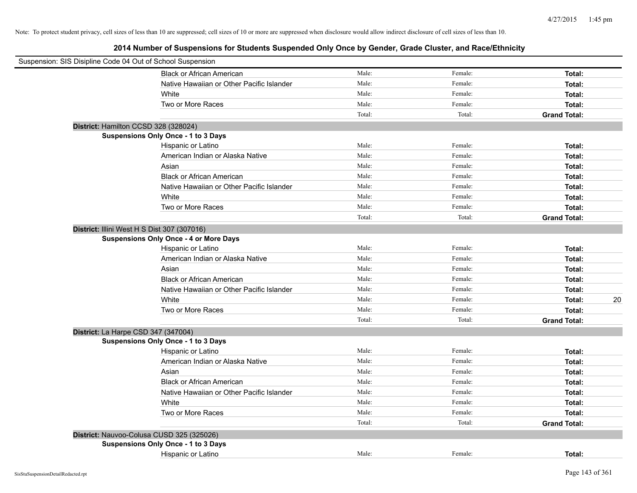| Suspension: SIS Disipline Code 04 Out of School Suspension |        |         |                     |    |
|------------------------------------------------------------|--------|---------|---------------------|----|
| <b>Black or African American</b>                           | Male:  | Female: | Total:              |    |
| Native Hawaiian or Other Pacific Islander                  | Male:  | Female: | Total:              |    |
| White                                                      | Male:  | Female: | Total:              |    |
| Two or More Races                                          | Male:  | Female: | Total:              |    |
|                                                            | Total: | Total:  | <b>Grand Total:</b> |    |
| District: Hamilton CCSD 328 (328024)                       |        |         |                     |    |
| Suspensions Only Once - 1 to 3 Days                        |        |         |                     |    |
| Hispanic or Latino                                         | Male:  | Female: | Total:              |    |
| American Indian or Alaska Native                           | Male:  | Female: | Total:              |    |
| Asian                                                      | Male:  | Female: | Total:              |    |
| <b>Black or African American</b>                           | Male:  | Female: | Total:              |    |
| Native Hawaiian or Other Pacific Islander                  | Male:  | Female: | Total:              |    |
| White                                                      | Male:  | Female: | Total:              |    |
| Two or More Races                                          | Male:  | Female: | Total:              |    |
|                                                            | Total: | Total:  | <b>Grand Total:</b> |    |
| District: Illini West H S Dist 307 (307016)                |        |         |                     |    |
| <b>Suspensions Only Once - 4 or More Days</b>              |        |         |                     |    |
| Hispanic or Latino                                         | Male:  | Female: | Total:              |    |
| American Indian or Alaska Native                           | Male:  | Female: | Total:              |    |
| Asian                                                      | Male:  | Female: | Total:              |    |
| <b>Black or African American</b>                           | Male:  | Female: | Total:              |    |
| Native Hawaiian or Other Pacific Islander                  | Male:  | Female: | Total:              |    |
| White                                                      | Male:  | Female: | Total:              | 20 |
| Two or More Races                                          | Male:  | Female: | Total:              |    |
|                                                            | Total: | Total:  | <b>Grand Total:</b> |    |
| District: La Harpe CSD 347 (347004)                        |        |         |                     |    |
| <b>Suspensions Only Once - 1 to 3 Days</b>                 |        |         |                     |    |
| Hispanic or Latino                                         | Male:  | Female: | Total:              |    |
| American Indian or Alaska Native                           | Male:  | Female: | Total:              |    |
| Asian                                                      | Male:  | Female: | Total:              |    |
| <b>Black or African American</b>                           | Male:  | Female: | Total:              |    |
| Native Hawaiian or Other Pacific Islander                  | Male:  | Female: | Total:              |    |
| White                                                      | Male:  | Female: | Total:              |    |
| Two or More Races                                          | Male:  | Female: | Total:              |    |
|                                                            | Total: | Total:  | <b>Grand Total:</b> |    |
| District: Nauvoo-Colusa CUSD 325 (325026)                  |        |         |                     |    |
| Suspensions Only Once - 1 to 3 Days                        |        |         |                     |    |
| Hispanic or Latino                                         | Male:  | Female: | Total:              |    |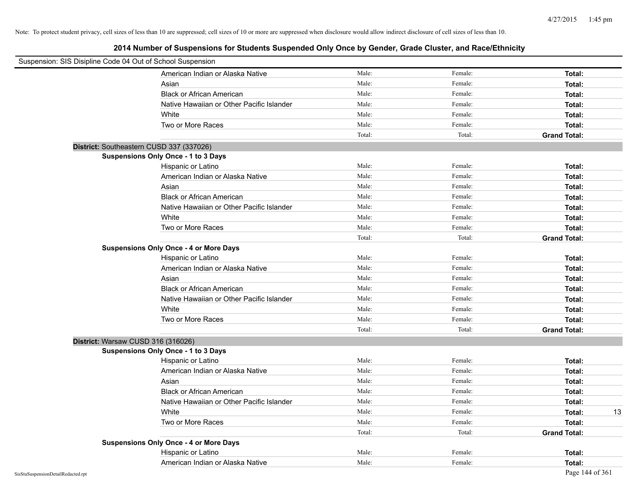| Suspension: SIS Disipline Code 04 Out of School Suspension |                                               |        |         |                     |
|------------------------------------------------------------|-----------------------------------------------|--------|---------|---------------------|
|                                                            | American Indian or Alaska Native              | Male:  | Female: | Total:              |
|                                                            | Asian                                         | Male:  | Female: | Total:              |
|                                                            | <b>Black or African American</b>              | Male:  | Female: | Total:              |
|                                                            | Native Hawaiian or Other Pacific Islander     | Male:  | Female: | Total:              |
|                                                            | White                                         | Male:  | Female: | Total:              |
|                                                            | Two or More Races                             | Male:  | Female: | Total:              |
|                                                            |                                               | Total: | Total:  | <b>Grand Total:</b> |
|                                                            | District: Southeastern CUSD 337 (337026)      |        |         |                     |
|                                                            | Suspensions Only Once - 1 to 3 Days           |        |         |                     |
|                                                            | Hispanic or Latino                            | Male:  | Female: | Total:              |
|                                                            | American Indian or Alaska Native              | Male:  | Female: | Total:              |
|                                                            | Asian                                         | Male:  | Female: | Total:              |
|                                                            | <b>Black or African American</b>              | Male:  | Female: | Total:              |
|                                                            | Native Hawaiian or Other Pacific Islander     | Male:  | Female: | Total:              |
|                                                            | White                                         | Male:  | Female: | Total:              |
|                                                            | Two or More Races                             | Male:  | Female: | Total:              |
|                                                            |                                               | Total: | Total:  | <b>Grand Total:</b> |
|                                                            | <b>Suspensions Only Once - 4 or More Days</b> |        |         |                     |
|                                                            | Hispanic or Latino                            | Male:  | Female: | Total:              |
|                                                            | American Indian or Alaska Native              | Male:  | Female: | Total:              |
|                                                            | Asian                                         | Male:  | Female: | Total:              |
|                                                            | <b>Black or African American</b>              | Male:  | Female: | Total:              |
|                                                            | Native Hawaiian or Other Pacific Islander     | Male:  | Female: | Total:              |
|                                                            | White                                         | Male:  | Female: | Total:              |
|                                                            | Two or More Races                             | Male:  | Female: | Total:              |
|                                                            |                                               | Total: | Total:  | <b>Grand Total:</b> |
| District: Warsaw CUSD 316 (316026)                         |                                               |        |         |                     |
|                                                            | <b>Suspensions Only Once - 1 to 3 Days</b>    |        |         |                     |
|                                                            | Hispanic or Latino                            | Male:  | Female: | Total:              |
|                                                            | American Indian or Alaska Native              | Male:  | Female: | Total:              |
|                                                            | Asian                                         | Male:  | Female: | Total:              |
|                                                            | <b>Black or African American</b>              | Male:  | Female: | Total:              |
|                                                            | Native Hawaiian or Other Pacific Islander     | Male:  | Female: | Total:              |
|                                                            | White                                         | Male:  | Female: | Total:<br>13        |
|                                                            | Two or More Races                             | Male:  | Female: | Total:              |
|                                                            |                                               | Total: | Total:  | <b>Grand Total:</b> |
|                                                            | <b>Suspensions Only Once - 4 or More Days</b> |        |         |                     |
|                                                            | Hispanic or Latino                            | Male:  | Female: | Total:              |
|                                                            | American Indian or Alaska Native              | Male:  | Female: | Total:              |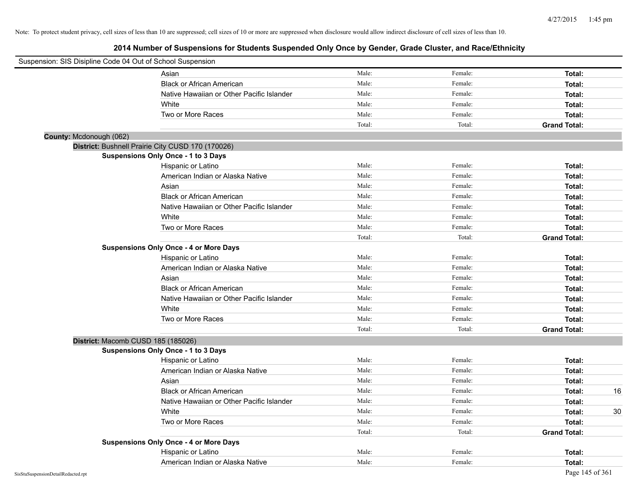| Suspension: SIS Disipline Code 04 Out of School Suspension |                                                   |        |         |                     |
|------------------------------------------------------------|---------------------------------------------------|--------|---------|---------------------|
|                                                            | Asian                                             | Male:  | Female: | Total:              |
|                                                            | <b>Black or African American</b>                  | Male:  | Female: | Total:              |
|                                                            | Native Hawaiian or Other Pacific Islander         | Male:  | Female: | Total:              |
|                                                            | White                                             | Male:  | Female: | Total:              |
|                                                            | Two or More Races                                 | Male:  | Female: | Total:              |
|                                                            |                                                   | Total: | Total:  | <b>Grand Total:</b> |
| County: Mcdonough (062)                                    |                                                   |        |         |                     |
|                                                            | District: Bushnell Prairie City CUSD 170 (170026) |        |         |                     |
|                                                            | Suspensions Only Once - 1 to 3 Days               |        |         |                     |
|                                                            | Hispanic or Latino                                | Male:  | Female: | Total:              |
|                                                            | American Indian or Alaska Native                  | Male:  | Female: | Total:              |
|                                                            | Asian                                             | Male:  | Female: | Total:              |
|                                                            | <b>Black or African American</b>                  | Male:  | Female: | Total:              |
|                                                            | Native Hawaiian or Other Pacific Islander         | Male:  | Female: | Total:              |
|                                                            | White                                             | Male:  | Female: | Total:              |
|                                                            | Two or More Races                                 | Male:  | Female: | Total:              |
|                                                            |                                                   | Total: | Total:  | <b>Grand Total:</b> |
|                                                            | <b>Suspensions Only Once - 4 or More Days</b>     |        |         |                     |
|                                                            | Hispanic or Latino                                | Male:  | Female: | Total:              |
|                                                            | American Indian or Alaska Native                  | Male:  | Female: | Total:              |
|                                                            | Asian                                             | Male:  | Female: | Total:              |
|                                                            | <b>Black or African American</b>                  | Male:  | Female: | Total:              |
|                                                            | Native Hawaiian or Other Pacific Islander         | Male:  | Female: | Total:              |
|                                                            | White                                             | Male:  | Female: | Total:              |
|                                                            | Two or More Races                                 | Male:  | Female: | Total:              |
|                                                            |                                                   | Total: | Total:  | <b>Grand Total:</b> |
|                                                            | District: Macomb CUSD 185 (185026)                |        |         |                     |
|                                                            | <b>Suspensions Only Once - 1 to 3 Days</b>        |        |         |                     |
|                                                            | Hispanic or Latino                                | Male:  | Female: | Total:              |
|                                                            | American Indian or Alaska Native                  | Male:  | Female: | Total:              |
|                                                            | Asian                                             | Male:  | Female: | Total:              |
|                                                            | <b>Black or African American</b>                  | Male:  | Female: | 16<br>Total:        |
|                                                            | Native Hawaiian or Other Pacific Islander         | Male:  | Female: | Total:              |
|                                                            | White                                             | Male:  | Female: | 30<br>Total:        |
|                                                            | Two or More Races                                 | Male:  | Female: | Total:              |
|                                                            |                                                   | Total: | Total:  | <b>Grand Total:</b> |
|                                                            | <b>Suspensions Only Once - 4 or More Days</b>     |        |         |                     |
|                                                            | Hispanic or Latino                                | Male:  | Female: | Total:              |
|                                                            | American Indian or Alaska Native                  | Male:  | Female: | Total:              |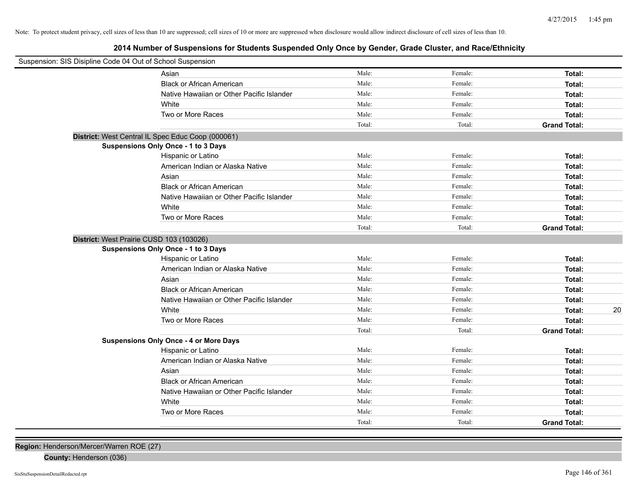**2014 Number of Suspensions for Students Suspended Only Once by Gender, Grade Cluster, and Race/Ethnicity**

| Suspension: SIS Disipline Code 04 Out of School Suspension |                                               |        |         |                     |
|------------------------------------------------------------|-----------------------------------------------|--------|---------|---------------------|
|                                                            | Asian                                         | Male:  | Female: | Total:              |
|                                                            | <b>Black or African American</b>              | Male:  | Female: | Total:              |
|                                                            | Native Hawaiian or Other Pacific Islander     | Male:  | Female: | Total:              |
|                                                            | White                                         | Male:  | Female: | Total:              |
|                                                            | Two or More Races                             | Male:  | Female: | Total:              |
|                                                            |                                               | Total: | Total:  | <b>Grand Total:</b> |
| District: West Central IL Spec Educ Coop (000061)          |                                               |        |         |                     |
|                                                            | <b>Suspensions Only Once - 1 to 3 Days</b>    |        |         |                     |
|                                                            | Hispanic or Latino                            | Male:  | Female: | Total:              |
|                                                            | American Indian or Alaska Native              | Male:  | Female: | Total:              |
|                                                            | Asian                                         | Male:  | Female: | Total:              |
|                                                            | <b>Black or African American</b>              | Male:  | Female: | Total:              |
|                                                            | Native Hawaiian or Other Pacific Islander     | Male:  | Female: | Total:              |
|                                                            | White                                         | Male:  | Female: | Total:              |
|                                                            | Two or More Races                             | Male:  | Female: | Total:              |
|                                                            |                                               | Total: | Total:  | <b>Grand Total:</b> |
| District: West Prairie CUSD 103 (103026)                   |                                               |        |         |                     |
|                                                            | <b>Suspensions Only Once - 1 to 3 Days</b>    |        |         |                     |
|                                                            | Hispanic or Latino                            | Male:  | Female: | Total:              |
|                                                            | American Indian or Alaska Native              | Male:  | Female: | Total:              |
|                                                            | Asian                                         | Male:  | Female: | Total:              |
|                                                            | <b>Black or African American</b>              | Male:  | Female: | Total:              |
|                                                            | Native Hawaiian or Other Pacific Islander     | Male:  | Female: | Total:              |
|                                                            | White                                         | Male:  | Female: | Total:<br>20        |
|                                                            | Two or More Races                             | Male:  | Female: | Total:              |
|                                                            |                                               | Total: | Total:  | <b>Grand Total:</b> |
|                                                            | <b>Suspensions Only Once - 4 or More Days</b> |        |         |                     |
|                                                            | Hispanic or Latino                            | Male:  | Female: | Total:              |
|                                                            | American Indian or Alaska Native              | Male:  | Female: | Total:              |
|                                                            | Asian                                         | Male:  | Female: | Total:              |
|                                                            | <b>Black or African American</b>              | Male:  | Female: | Total:              |
|                                                            | Native Hawaiian or Other Pacific Islander     | Male:  | Female: | Total:              |
|                                                            | White                                         | Male:  | Female: | Total:              |
|                                                            | Two or More Races                             | Male:  | Female: | Total:              |
|                                                            |                                               | Total: | Total:  | <b>Grand Total:</b> |

**Region:** Henderson/Mercer/Warren ROE (27)

**County:** Henderson (036)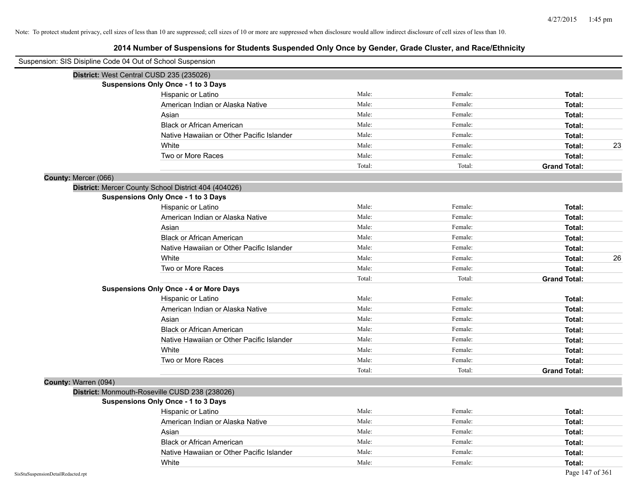| Suspension: SIS Disipline Code 04 Out of School Suspension |                                                      |        |         |                     |
|------------------------------------------------------------|------------------------------------------------------|--------|---------|---------------------|
|                                                            | District: West Central CUSD 235 (235026)             |        |         |                     |
|                                                            | <b>Suspensions Only Once - 1 to 3 Days</b>           |        |         |                     |
|                                                            | Hispanic or Latino                                   | Male:  | Female: | Total:              |
|                                                            | American Indian or Alaska Native                     | Male:  | Female: | Total:              |
|                                                            | Asian                                                | Male:  | Female: | Total:              |
|                                                            | <b>Black or African American</b>                     | Male:  | Female: | Total:              |
|                                                            | Native Hawaiian or Other Pacific Islander            | Male:  | Female: | Total:              |
|                                                            | White                                                | Male:  | Female: | 23<br>Total:        |
|                                                            | Two or More Races                                    | Male:  | Female: | Total:              |
|                                                            |                                                      | Total: | Total:  | <b>Grand Total:</b> |
| County: Mercer (066)                                       |                                                      |        |         |                     |
|                                                            | District: Mercer County School District 404 (404026) |        |         |                     |
|                                                            | <b>Suspensions Only Once - 1 to 3 Days</b>           |        |         |                     |
|                                                            | Hispanic or Latino                                   | Male:  | Female: | Total:              |
|                                                            | American Indian or Alaska Native                     | Male:  | Female: | Total:              |
|                                                            | Asian                                                | Male:  | Female: | Total:              |
|                                                            | <b>Black or African American</b>                     | Male:  | Female: | Total:              |
|                                                            | Native Hawaiian or Other Pacific Islander            | Male:  | Female: | Total:              |
|                                                            | White                                                | Male:  | Female: | 26<br>Total:        |
|                                                            | Two or More Races                                    | Male:  | Female: | Total:              |
|                                                            |                                                      | Total: | Total:  | <b>Grand Total:</b> |
|                                                            | <b>Suspensions Only Once - 4 or More Days</b>        |        |         |                     |
|                                                            | Hispanic or Latino                                   | Male:  | Female: | Total:              |
|                                                            | American Indian or Alaska Native                     | Male:  | Female: | Total:              |
|                                                            | Asian                                                | Male:  | Female: | Total:              |
|                                                            | <b>Black or African American</b>                     | Male:  | Female: | Total:              |
|                                                            | Native Hawaiian or Other Pacific Islander            | Male:  | Female: | Total:              |
|                                                            | White                                                | Male:  | Female: | Total:              |
|                                                            | Two or More Races                                    | Male:  | Female: | Total:              |
|                                                            |                                                      | Total: | Total:  | <b>Grand Total:</b> |
| County: Warren (094)                                       |                                                      |        |         |                     |
|                                                            | District: Monmouth-Roseville CUSD 238 (238026)       |        |         |                     |
|                                                            | <b>Suspensions Only Once - 1 to 3 Days</b>           |        |         |                     |
|                                                            | Hispanic or Latino                                   | Male:  | Female: | Total:              |
|                                                            | American Indian or Alaska Native                     | Male:  | Female: | Total:              |
|                                                            | Asian                                                | Male:  | Female: | Total:              |
|                                                            | <b>Black or African American</b>                     | Male:  | Female: | Total:              |
|                                                            | Native Hawaiian or Other Pacific Islander            | Male:  | Female: | Total:              |
|                                                            | White                                                | Male:  | Female: | Total:              |
| SisStuSuspensionDetailRedacted.rpt                         |                                                      |        |         | Page 147 of 361     |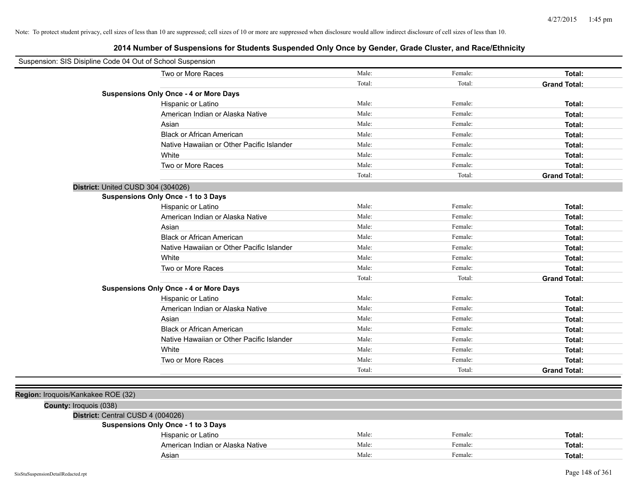| Suspension: SIS Disipline Code 04 Out of School Suspension |                                               |        |         |                     |
|------------------------------------------------------------|-----------------------------------------------|--------|---------|---------------------|
|                                                            | Two or More Races                             | Male:  | Female: | Total:              |
|                                                            |                                               | Total: | Total:  | <b>Grand Total:</b> |
|                                                            | <b>Suspensions Only Once - 4 or More Days</b> |        |         |                     |
|                                                            | Hispanic or Latino                            | Male:  | Female: | Total:              |
|                                                            | American Indian or Alaska Native              | Male:  | Female: | Total:              |
|                                                            | Asian                                         | Male:  | Female: | Total:              |
|                                                            | <b>Black or African American</b>              | Male:  | Female: | Total:              |
|                                                            | Native Hawaiian or Other Pacific Islander     | Male:  | Female: | Total:              |
|                                                            | White                                         | Male:  | Female: | Total:              |
|                                                            | Two or More Races                             | Male:  | Female: | Total:              |
|                                                            |                                               | Total: | Total:  | <b>Grand Total:</b> |
| District: United CUSD 304 (304026)                         |                                               |        |         |                     |
|                                                            | <b>Suspensions Only Once - 1 to 3 Days</b>    |        |         |                     |
|                                                            | Hispanic or Latino                            | Male:  | Female: | Total:              |
|                                                            | American Indian or Alaska Native              | Male:  | Female: | Total:              |
|                                                            | Asian                                         | Male:  | Female: | Total:              |
|                                                            | <b>Black or African American</b>              | Male:  | Female: | Total:              |
|                                                            | Native Hawaiian or Other Pacific Islander     | Male:  | Female: | Total:              |
|                                                            | White                                         | Male:  | Female: | Total:              |
|                                                            | Two or More Races                             | Male:  | Female: | Total:              |
|                                                            |                                               | Total: | Total:  | <b>Grand Total:</b> |
|                                                            | <b>Suspensions Only Once - 4 or More Days</b> |        |         |                     |
|                                                            | Hispanic or Latino                            | Male:  | Female: | Total:              |
|                                                            | American Indian or Alaska Native              | Male:  | Female: | Total:              |
|                                                            | Asian                                         | Male:  | Female: | Total:              |
|                                                            | <b>Black or African American</b>              | Male:  | Female: | Total:              |
|                                                            | Native Hawaiian or Other Pacific Islander     | Male:  | Female: | Total:              |
|                                                            | White                                         | Male:  | Female: | Total:              |
|                                                            | Two or More Races                             | Male:  | Female: | Total:              |
|                                                            |                                               | Total: | Total:  | <b>Grand Total:</b> |
|                                                            |                                               |        |         |                     |
| Region: Iroquois/Kankakee ROE (32)                         |                                               |        |         |                     |
| County: Iroquois (038)                                     |                                               |        |         |                     |
| District: Central CUSD 4 (004026)                          |                                               |        |         |                     |
|                                                            | <b>Suspensions Only Once - 1 to 3 Days</b>    |        |         |                     |
|                                                            | Hispanic or Latino                            | Male:  | Female: | Total:              |
|                                                            | American Indian or Alaska Native              | Male:  | Female: | Total:              |
|                                                            | Asian                                         | Male:  | Female: | Total:              |
|                                                            |                                               |        |         |                     |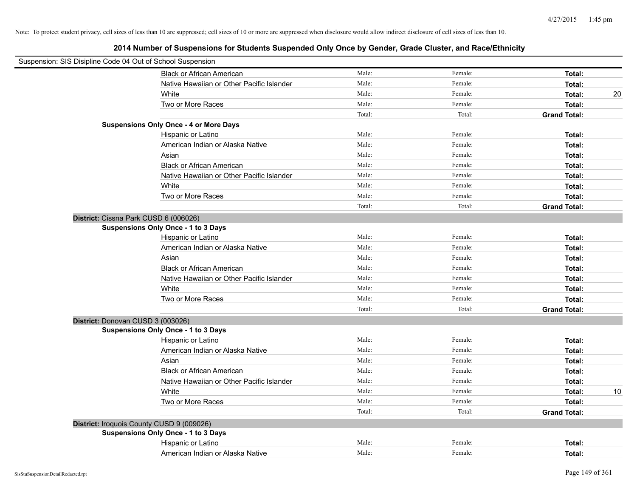| Suspension: SIS Disipline Code 04 Out of School Suspension |                                               |        |         |                     |    |
|------------------------------------------------------------|-----------------------------------------------|--------|---------|---------------------|----|
|                                                            | <b>Black or African American</b>              | Male:  | Female: | Total:              |    |
|                                                            | Native Hawaiian or Other Pacific Islander     | Male:  | Female: | Total:              |    |
|                                                            | White                                         | Male:  | Female: | Total:              | 20 |
|                                                            | Two or More Races                             | Male:  | Female: | Total:              |    |
|                                                            |                                               | Total: | Total:  | <b>Grand Total:</b> |    |
|                                                            | <b>Suspensions Only Once - 4 or More Days</b> |        |         |                     |    |
|                                                            | Hispanic or Latino                            | Male:  | Female: | Total:              |    |
|                                                            | American Indian or Alaska Native              | Male:  | Female: | Total:              |    |
|                                                            | Asian                                         | Male:  | Female: | Total:              |    |
|                                                            | <b>Black or African American</b>              | Male:  | Female: | Total:              |    |
|                                                            | Native Hawaiian or Other Pacific Islander     | Male:  | Female: | Total:              |    |
|                                                            | White                                         | Male:  | Female: | Total:              |    |
|                                                            | Two or More Races                             | Male:  | Female: | Total:              |    |
|                                                            |                                               | Total: | Total:  | <b>Grand Total:</b> |    |
| District: Cissna Park CUSD 6 (006026)                      |                                               |        |         |                     |    |
|                                                            | Suspensions Only Once - 1 to 3 Days           |        |         |                     |    |
|                                                            | Hispanic or Latino                            | Male:  | Female: | Total:              |    |
|                                                            | American Indian or Alaska Native              | Male:  | Female: | Total:              |    |
|                                                            | Asian                                         | Male:  | Female: | Total:              |    |
|                                                            | <b>Black or African American</b>              | Male:  | Female: | Total:              |    |
|                                                            | Native Hawaiian or Other Pacific Islander     | Male:  | Female: | Total:              |    |
|                                                            | White                                         | Male:  | Female: | Total:              |    |
|                                                            | Two or More Races                             | Male:  | Female: | Total:              |    |
|                                                            |                                               | Total: | Total:  | <b>Grand Total:</b> |    |
| District: Donovan CUSD 3 (003026)                          |                                               |        |         |                     |    |
|                                                            | <b>Suspensions Only Once - 1 to 3 Days</b>    |        |         |                     |    |
|                                                            | Hispanic or Latino                            | Male:  | Female: | Total:              |    |
|                                                            | American Indian or Alaska Native              | Male:  | Female: | Total:              |    |
|                                                            | Asian                                         | Male:  | Female: | Total:              |    |
|                                                            | <b>Black or African American</b>              | Male:  | Female: | Total:              |    |
|                                                            | Native Hawaiian or Other Pacific Islander     | Male:  | Female: | Total:              |    |
|                                                            | White                                         | Male:  | Female: | Total:              | 10 |
|                                                            | Two or More Races                             | Male:  | Female: | Total:              |    |
|                                                            |                                               | Total: | Total:  | <b>Grand Total:</b> |    |
| District: Iroquois County CUSD 9 (009026)                  |                                               |        |         |                     |    |
|                                                            | Suspensions Only Once - 1 to 3 Days           |        |         |                     |    |
|                                                            | Hispanic or Latino                            | Male:  | Female: | Total:              |    |
|                                                            | American Indian or Alaska Native              | Male:  | Female: | Total:              |    |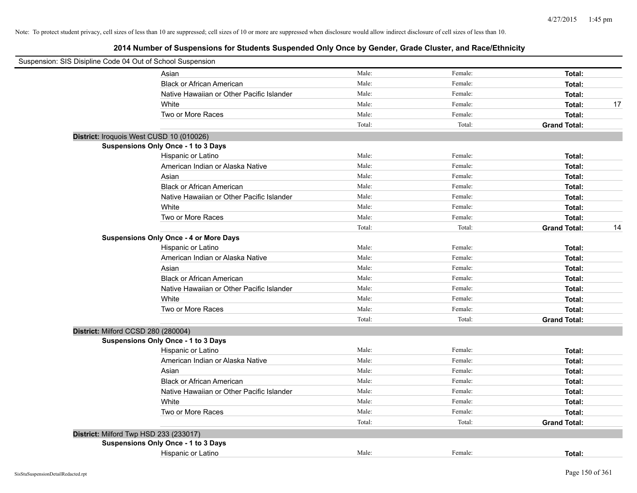|                                     | Suspension: SIS Disipline Code 04 Out of School Suspension |        |         |                     |    |
|-------------------------------------|------------------------------------------------------------|--------|---------|---------------------|----|
|                                     | Asian                                                      | Male:  | Female: | Total:              |    |
|                                     | <b>Black or African American</b>                           | Male:  | Female: | Total:              |    |
|                                     | Native Hawaiian or Other Pacific Islander                  | Male:  | Female: | Total:              |    |
|                                     | White                                                      | Male:  | Female: | Total:              | 17 |
|                                     | Two or More Races                                          | Male:  | Female: | Total:              |    |
|                                     |                                                            | Total: | Total:  | <b>Grand Total:</b> |    |
|                                     | District: Iroquois West CUSD 10 (010026)                   |        |         |                     |    |
|                                     | Suspensions Only Once - 1 to 3 Days                        |        |         |                     |    |
|                                     | Hispanic or Latino                                         | Male:  | Female: | Total:              |    |
|                                     | American Indian or Alaska Native                           | Male:  | Female: | Total:              |    |
|                                     | Asian                                                      | Male:  | Female: | Total:              |    |
|                                     | <b>Black or African American</b>                           | Male:  | Female: | Total:              |    |
|                                     | Native Hawaiian or Other Pacific Islander                  | Male:  | Female: | Total:              |    |
|                                     | White                                                      | Male:  | Female: | Total:              |    |
|                                     | Two or More Races                                          | Male:  | Female: | Total:              |    |
|                                     |                                                            | Total: | Total:  | <b>Grand Total:</b> | 14 |
|                                     | <b>Suspensions Only Once - 4 or More Days</b>              |        |         |                     |    |
|                                     | Hispanic or Latino                                         | Male:  | Female: | Total:              |    |
|                                     | American Indian or Alaska Native                           | Male:  | Female: | Total:              |    |
|                                     | Asian                                                      | Male:  | Female: | Total:              |    |
|                                     | <b>Black or African American</b>                           | Male:  | Female: | Total:              |    |
|                                     | Native Hawaiian or Other Pacific Islander                  | Male:  | Female: | Total:              |    |
|                                     | White                                                      | Male:  | Female: | Total:              |    |
|                                     | Two or More Races                                          | Male:  | Female: | Total:              |    |
|                                     |                                                            | Total: | Total:  | <b>Grand Total:</b> |    |
| District: Milford CCSD 280 (280004) |                                                            |        |         |                     |    |
|                                     | Suspensions Only Once - 1 to 3 Days                        |        |         |                     |    |
|                                     | Hispanic or Latino                                         | Male:  | Female: | Total:              |    |
|                                     | American Indian or Alaska Native                           | Male:  | Female: | Total:              |    |
|                                     | Asian                                                      | Male:  | Female: | Total:              |    |
|                                     | <b>Black or African American</b>                           | Male:  | Female: | Total:              |    |
|                                     | Native Hawaiian or Other Pacific Islander                  | Male:  | Female: | Total:              |    |
|                                     | White                                                      | Male:  | Female: | Total:              |    |
|                                     | Two or More Races                                          | Male:  | Female: | Total:              |    |
|                                     |                                                            | Total: | Total:  | <b>Grand Total:</b> |    |
|                                     | District: Milford Twp HSD 233 (233017)                     |        |         |                     |    |
|                                     | Suspensions Only Once - 1 to 3 Days                        |        |         |                     |    |
|                                     | Hispanic or Latino                                         | Male:  | Female: | Total:              |    |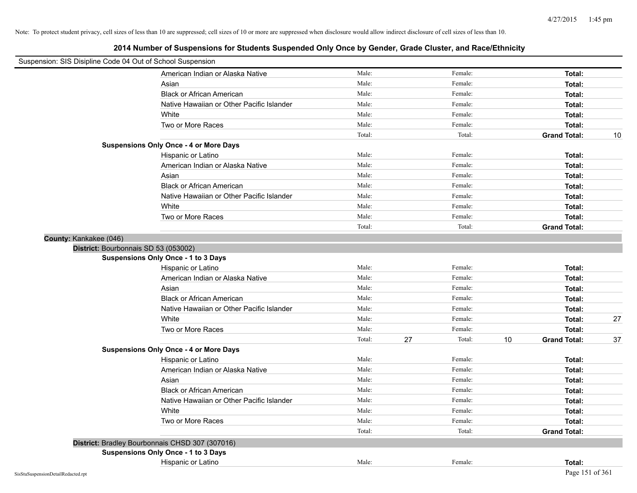| Suspension: SIS Disipline Code 04 Out of School Suspension |                                                 |        |              |                           |    |
|------------------------------------------------------------|-------------------------------------------------|--------|--------------|---------------------------|----|
|                                                            | American Indian or Alaska Native                | Male:  | Female:      | Total:                    |    |
|                                                            | Asian                                           | Male:  | Female:      | Total:                    |    |
|                                                            | <b>Black or African American</b>                | Male:  | Female:      | Total:                    |    |
|                                                            | Native Hawaiian or Other Pacific Islander       | Male:  | Female:      | Total:                    |    |
|                                                            | White                                           | Male:  | Female:      | Total:                    |    |
|                                                            | Two or More Races                               | Male:  | Female:      | Total:                    |    |
|                                                            |                                                 | Total: | Total:       | <b>Grand Total:</b>       | 10 |
|                                                            | <b>Suspensions Only Once - 4 or More Days</b>   |        |              |                           |    |
|                                                            | Hispanic or Latino                              | Male:  | Female:      | Total:                    |    |
|                                                            | American Indian or Alaska Native                | Male:  | Female:      | Total:                    |    |
|                                                            | Asian                                           | Male:  | Female:      | Total:                    |    |
|                                                            | Black or African American                       | Male:  | Female:      | Total:                    |    |
|                                                            | Native Hawaiian or Other Pacific Islander       | Male:  | Female:      | Total:                    |    |
|                                                            | White                                           | Male:  | Female:      | Total:                    |    |
|                                                            | Two or More Races                               | Male:  | Female:      | Total:                    |    |
|                                                            |                                                 | Total: | Total:       | <b>Grand Total:</b>       |    |
| County: Kankakee (046)                                     |                                                 |        |              |                           |    |
| District: Bourbonnais SD 53 (053002)                       |                                                 |        |              |                           |    |
|                                                            | Suspensions Only Once - 1 to 3 Days             |        |              |                           |    |
|                                                            | Hispanic or Latino                              | Male:  | Female:      | Total:                    |    |
|                                                            | American Indian or Alaska Native                | Male:  | Female:      | Total:                    |    |
|                                                            | Asian                                           | Male:  | Female:      | Total:                    |    |
|                                                            | <b>Black or African American</b>                | Male:  | Female:      | Total:                    |    |
|                                                            | Native Hawaiian or Other Pacific Islander       | Male:  | Female:      | Total:                    |    |
|                                                            | White                                           | Male:  | Female:      | Total:                    | 27 |
|                                                            | Two or More Races                               | Male:  | Female:      | Total:                    |    |
|                                                            |                                                 | Total: | 27<br>Total: | 10<br><b>Grand Total:</b> | 37 |
|                                                            | <b>Suspensions Only Once - 4 or More Days</b>   |        |              |                           |    |
|                                                            | Hispanic or Latino                              | Male:  | Female:      | Total:                    |    |
|                                                            | American Indian or Alaska Native                | Male:  | Female:      | Total:                    |    |
|                                                            | Asian                                           | Male:  | Female:      | Total:                    |    |
|                                                            | <b>Black or African American</b>                | Male:  | Female:      | Total:                    |    |
|                                                            | Native Hawaiian or Other Pacific Islander       | Male:  | Female:      | Total:                    |    |
|                                                            | White                                           | Male:  | Female:      | Total:                    |    |
|                                                            | Two or More Races                               | Male:  | Female:      | Total:                    |    |
|                                                            |                                                 | Total: | Total:       | <b>Grand Total:</b>       |    |
|                                                            | District: Bradley Bourbonnais CHSD 307 (307016) |        |              |                           |    |
|                                                            | <b>Suspensions Only Once - 1 to 3 Days</b>      |        |              |                           |    |
|                                                            | Hispanic or Latino                              | Male:  | Female:      | Total:                    |    |
| SisStuSuspensionDetailRedacted.rpt                         |                                                 |        |              | Page 151 of 361           |    |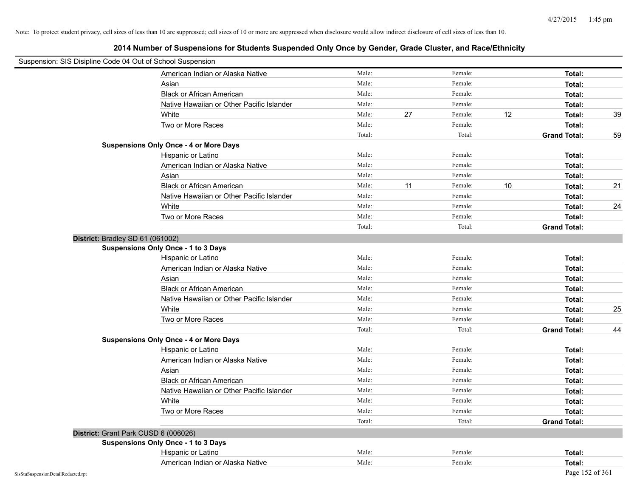|                                    | Suspension: SIS Disipline Code 04 Out of School Suspension |        |    |         |    |                     |    |
|------------------------------------|------------------------------------------------------------|--------|----|---------|----|---------------------|----|
|                                    | American Indian or Alaska Native                           | Male:  |    | Female: |    | Total:              |    |
|                                    | Asian                                                      | Male:  |    | Female: |    | Total:              |    |
|                                    | <b>Black or African American</b>                           | Male:  |    | Female: |    | Total:              |    |
|                                    | Native Hawaiian or Other Pacific Islander                  | Male:  |    | Female: |    | Total:              |    |
|                                    | White                                                      | Male:  | 27 | Female: | 12 | Total:              | 39 |
|                                    | Two or More Races                                          | Male:  |    | Female: |    | Total:              |    |
|                                    |                                                            | Total: |    | Total:  |    | <b>Grand Total:</b> | 59 |
|                                    | <b>Suspensions Only Once - 4 or More Days</b>              |        |    |         |    |                     |    |
|                                    | Hispanic or Latino                                         | Male:  |    | Female: |    | Total:              |    |
|                                    | American Indian or Alaska Native                           | Male:  |    | Female: |    | Total:              |    |
|                                    | Asian                                                      | Male:  |    | Female: |    | Total:              |    |
|                                    | <b>Black or African American</b>                           | Male:  | 11 | Female: | 10 | Total:              | 21 |
|                                    | Native Hawaiian or Other Pacific Islander                  | Male:  |    | Female: |    | Total:              |    |
|                                    | White                                                      | Male:  |    | Female: |    | Total:              | 24 |
|                                    | Two or More Races                                          | Male:  |    | Female: |    | Total:              |    |
|                                    |                                                            | Total: |    | Total:  |    | <b>Grand Total:</b> |    |
|                                    | District: Bradley SD 61 (061002)                           |        |    |         |    |                     |    |
|                                    | <b>Suspensions Only Once - 1 to 3 Days</b>                 |        |    |         |    |                     |    |
|                                    | Hispanic or Latino                                         | Male:  |    | Female: |    | Total:              |    |
|                                    | American Indian or Alaska Native                           | Male:  |    | Female: |    | Total:              |    |
|                                    | Asian                                                      | Male:  |    | Female: |    | Total:              |    |
|                                    | <b>Black or African American</b>                           | Male:  |    | Female: |    | Total:              |    |
|                                    | Native Hawaiian or Other Pacific Islander                  | Male:  |    | Female: |    | Total:              |    |
|                                    | White                                                      | Male:  |    | Female: |    | Total:              | 25 |
|                                    | Two or More Races                                          | Male:  |    | Female: |    | Total:              |    |
|                                    |                                                            | Total: |    | Total:  |    | <b>Grand Total:</b> | 44 |
|                                    | <b>Suspensions Only Once - 4 or More Days</b>              |        |    |         |    |                     |    |
|                                    | Hispanic or Latino                                         | Male:  |    | Female: |    | Total:              |    |
|                                    | American Indian or Alaska Native                           | Male:  |    | Female: |    | Total:              |    |
|                                    | Asian                                                      | Male:  |    | Female: |    | Total:              |    |
|                                    | <b>Black or African American</b>                           | Male:  |    | Female: |    | Total:              |    |
|                                    | Native Hawaiian or Other Pacific Islander                  | Male:  |    | Female: |    | Total:              |    |
|                                    | White                                                      | Male:  |    | Female: |    | Total:              |    |
|                                    | Two or More Races                                          | Male:  |    | Female: |    | Total:              |    |
|                                    |                                                            | Total: |    | Total:  |    | <b>Grand Total:</b> |    |
|                                    | District: Grant Park CUSD 6 (006026)                       |        |    |         |    |                     |    |
|                                    | <b>Suspensions Only Once - 1 to 3 Days</b>                 |        |    |         |    |                     |    |
|                                    | Hispanic or Latino                                         | Male:  |    | Female: |    | Total:              |    |
|                                    | American Indian or Alaska Native                           | Male:  |    | Female: |    | Total:              |    |
| SisStuSuspensionDetailRedacted.rpt |                                                            |        |    |         |    | Page 152 of 361     |    |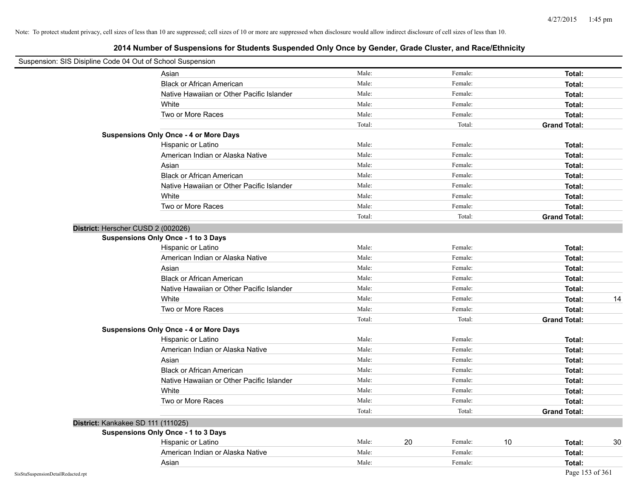| Suspension: SIS Disipline Code 04 Out of School Suspension |                                               |        |               |                     |    |
|------------------------------------------------------------|-----------------------------------------------|--------|---------------|---------------------|----|
|                                                            | Asian                                         | Male:  | Female:       | Total:              |    |
|                                                            | <b>Black or African American</b>              | Male:  | Female:       | Total:              |    |
|                                                            | Native Hawaiian or Other Pacific Islander     | Male:  | Female:       | Total:              |    |
|                                                            | White                                         | Male:  | Female:       | Total:              |    |
|                                                            | Two or More Races                             | Male:  | Female:       | Total:              |    |
|                                                            |                                               | Total: | Total:        | <b>Grand Total:</b> |    |
|                                                            | <b>Suspensions Only Once - 4 or More Days</b> |        |               |                     |    |
|                                                            | Hispanic or Latino                            | Male:  | Female:       | Total:              |    |
|                                                            | American Indian or Alaska Native              | Male:  | Female:       | Total:              |    |
|                                                            | Asian                                         | Male:  | Female:       | Total:              |    |
|                                                            | <b>Black or African American</b>              | Male:  | Female:       | Total:              |    |
|                                                            | Native Hawaiian or Other Pacific Islander     | Male:  | Female:       | Total:              |    |
|                                                            | White                                         | Male:  | Female:       | Total:              |    |
|                                                            | Two or More Races                             | Male:  | Female:       | Total:              |    |
|                                                            |                                               | Total: | Total:        | <b>Grand Total:</b> |    |
| District: Herscher CUSD 2 (002026)                         |                                               |        |               |                     |    |
|                                                            | Suspensions Only Once - 1 to 3 Days           |        |               |                     |    |
|                                                            | Hispanic or Latino                            | Male:  | Female:       | Total:              |    |
|                                                            | American Indian or Alaska Native              | Male:  | Female:       | Total:              |    |
|                                                            | Asian                                         | Male:  | Female:       | Total:              |    |
|                                                            | <b>Black or African American</b>              | Male:  | Female:       | Total:              |    |
|                                                            | Native Hawaiian or Other Pacific Islander     | Male:  | Female:       | Total:              |    |
|                                                            | White                                         | Male:  | Female:       | Total:              | 14 |
|                                                            | Two or More Races                             | Male:  | Female:       | Total:              |    |
|                                                            |                                               | Total: | Total:        | <b>Grand Total:</b> |    |
|                                                            | <b>Suspensions Only Once - 4 or More Days</b> |        |               |                     |    |
|                                                            | Hispanic or Latino                            | Male:  | Female:       | Total:              |    |
|                                                            | American Indian or Alaska Native              | Male:  | Female:       | Total:              |    |
|                                                            | Asian                                         | Male:  | Female:       | Total:              |    |
|                                                            | <b>Black or African American</b>              | Male:  | Female:       | Total:              |    |
|                                                            | Native Hawaiian or Other Pacific Islander     | Male:  | Female:       | Total:              |    |
|                                                            | White                                         | Male:  | Female:       | Total:              |    |
|                                                            | Two or More Races                             | Male:  | Female:       | Total:              |    |
|                                                            |                                               | Total: | Total:        | <b>Grand Total:</b> |    |
| District: Kankakee SD 111 (111025)                         |                                               |        |               |                     |    |
|                                                            | Suspensions Only Once - 1 to 3 Days           |        |               |                     |    |
|                                                            | Hispanic or Latino                            | Male:  | 20<br>Female: | 10<br>Total:        | 30 |
|                                                            | American Indian or Alaska Native              | Male:  | Female:       | Total:              |    |
|                                                            | Asian                                         | Male:  | Female:       | Total:              |    |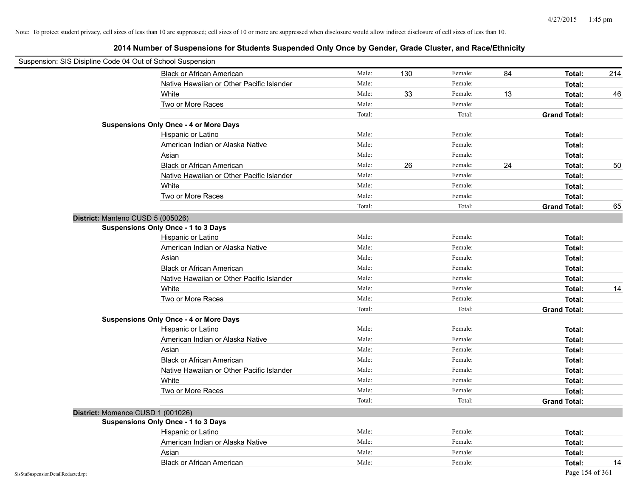|                                    | Suspension: SIS Disipline Code 04 Out of School Suspension |        |     |         |    |                     |     |
|------------------------------------|------------------------------------------------------------|--------|-----|---------|----|---------------------|-----|
|                                    | <b>Black or African American</b>                           | Male:  | 130 | Female: | 84 | Total:              | 214 |
|                                    | Native Hawaiian or Other Pacific Islander                  | Male:  |     | Female: |    | Total:              |     |
|                                    | White                                                      | Male:  | 33  | Female: | 13 | Total:              | 46  |
|                                    | Two or More Races                                          | Male:  |     | Female: |    | Total:              |     |
|                                    |                                                            | Total: |     | Total:  |    | <b>Grand Total:</b> |     |
|                                    | <b>Suspensions Only Once - 4 or More Days</b>              |        |     |         |    |                     |     |
|                                    | Hispanic or Latino                                         | Male:  |     | Female: |    | Total:              |     |
|                                    | American Indian or Alaska Native                           | Male:  |     | Female: |    | Total:              |     |
|                                    | Asian                                                      | Male:  |     | Female: |    | Total:              |     |
|                                    | <b>Black or African American</b>                           | Male:  | 26  | Female: | 24 | Total:              | 50  |
|                                    | Native Hawaiian or Other Pacific Islander                  | Male:  |     | Female: |    | Total:              |     |
|                                    | White                                                      | Male:  |     | Female: |    | Total:              |     |
|                                    | Two or More Races                                          | Male:  |     | Female: |    | Total:              |     |
|                                    |                                                            | Total: |     | Total:  |    | <b>Grand Total:</b> | 65  |
|                                    | District: Manteno CUSD 5 (005026)                          |        |     |         |    |                     |     |
|                                    | Suspensions Only Once - 1 to 3 Days                        |        |     |         |    |                     |     |
|                                    | Hispanic or Latino                                         | Male:  |     | Female: |    | Total:              |     |
|                                    | American Indian or Alaska Native                           | Male:  |     | Female: |    | Total:              |     |
|                                    | Asian                                                      | Male:  |     | Female: |    | Total:              |     |
|                                    | <b>Black or African American</b>                           | Male:  |     | Female: |    | Total:              |     |
|                                    | Native Hawaiian or Other Pacific Islander                  | Male:  |     | Female: |    | Total:              |     |
|                                    | White                                                      | Male:  |     | Female: |    | Total:              | 14  |
|                                    | Two or More Races                                          | Male:  |     | Female: |    | Total:              |     |
|                                    |                                                            | Total: |     | Total:  |    | <b>Grand Total:</b> |     |
|                                    | <b>Suspensions Only Once - 4 or More Days</b>              |        |     |         |    |                     |     |
|                                    | Hispanic or Latino                                         | Male:  |     | Female: |    | Total:              |     |
|                                    | American Indian or Alaska Native                           | Male:  |     | Female: |    | Total:              |     |
|                                    | Asian                                                      | Male:  |     | Female: |    | Total:              |     |
|                                    | <b>Black or African American</b>                           | Male:  |     | Female: |    | Total:              |     |
|                                    | Native Hawaiian or Other Pacific Islander                  | Male:  |     | Female: |    | Total:              |     |
|                                    | White                                                      | Male:  |     | Female: |    | Total:              |     |
|                                    | Two or More Races                                          | Male:  |     | Female: |    | Total:              |     |
|                                    |                                                            | Total: |     | Total:  |    | <b>Grand Total:</b> |     |
|                                    | District: Momence CUSD 1 (001026)                          |        |     |         |    |                     |     |
|                                    | <b>Suspensions Only Once - 1 to 3 Days</b>                 |        |     |         |    |                     |     |
|                                    | Hispanic or Latino                                         | Male:  |     | Female: |    | Total:              |     |
|                                    | American Indian or Alaska Native                           | Male:  |     | Female: |    | Total:              |     |
|                                    | Asian                                                      | Male:  |     | Female: |    | Total:              |     |
|                                    | <b>Black or African American</b>                           | Male:  |     | Female: |    | Total:              | 14  |
| SisStuSuspensionDetailRedacted.rpt |                                                            |        |     |         |    | Page 154 of 361     |     |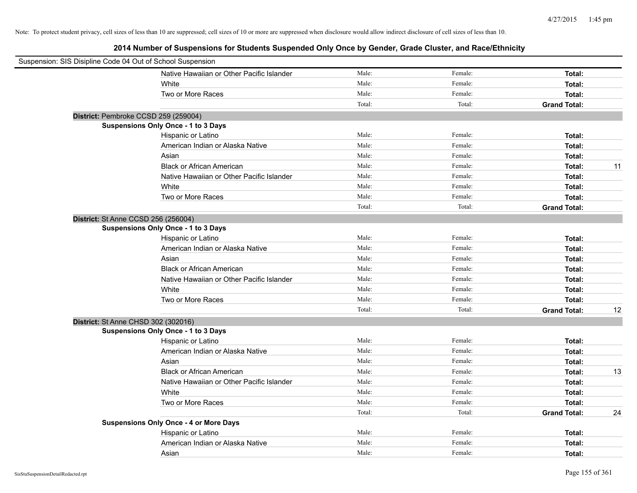| Suspension: SIS Disipline Code 04 Out of School Suspension |                                               |        |         |                     |    |
|------------------------------------------------------------|-----------------------------------------------|--------|---------|---------------------|----|
|                                                            | Native Hawaiian or Other Pacific Islander     | Male:  | Female: | Total:              |    |
|                                                            | White                                         | Male:  | Female: | Total:              |    |
|                                                            | Two or More Races                             | Male:  | Female: | Total:              |    |
|                                                            |                                               | Total: | Total:  | <b>Grand Total:</b> |    |
|                                                            | District: Pembroke CCSD 259 (259004)          |        |         |                     |    |
|                                                            | <b>Suspensions Only Once - 1 to 3 Days</b>    |        |         |                     |    |
|                                                            | Hispanic or Latino                            | Male:  | Female: | Total:              |    |
|                                                            | American Indian or Alaska Native              | Male:  | Female: | Total:              |    |
|                                                            | Asian                                         | Male:  | Female: | Total:              |    |
|                                                            | <b>Black or African American</b>              | Male:  | Female: | Total:              | 11 |
|                                                            | Native Hawaiian or Other Pacific Islander     | Male:  | Female: | Total:              |    |
|                                                            | White                                         | Male:  | Female: | Total:              |    |
|                                                            | Two or More Races                             | Male:  | Female: | Total:              |    |
|                                                            |                                               | Total: | Total:  | <b>Grand Total:</b> |    |
| District: St Anne CCSD 256 (256004)                        |                                               |        |         |                     |    |
|                                                            | Suspensions Only Once - 1 to 3 Days           |        |         |                     |    |
|                                                            | Hispanic or Latino                            | Male:  | Female: | Total:              |    |
|                                                            | American Indian or Alaska Native              | Male:  | Female: | Total:              |    |
|                                                            | Asian                                         | Male:  | Female: | Total:              |    |
|                                                            | <b>Black or African American</b>              | Male:  | Female: | Total:              |    |
|                                                            | Native Hawaiian or Other Pacific Islander     | Male:  | Female: | Total:              |    |
|                                                            | White                                         | Male:  | Female: | Total:              |    |
|                                                            | Two or More Races                             | Male:  | Female: | Total:              |    |
|                                                            |                                               | Total: | Total:  | <b>Grand Total:</b> | 12 |
| District: St Anne CHSD 302 (302016)                        |                                               |        |         |                     |    |
|                                                            | <b>Suspensions Only Once - 1 to 3 Days</b>    |        |         |                     |    |
|                                                            | Hispanic or Latino                            | Male:  | Female: | Total:              |    |
|                                                            | American Indian or Alaska Native              | Male:  | Female: | Total:              |    |
|                                                            | Asian                                         | Male:  | Female: | Total:              |    |
|                                                            | <b>Black or African American</b>              | Male:  | Female: | Total:              | 13 |
|                                                            | Native Hawaiian or Other Pacific Islander     | Male:  | Female: | Total:              |    |
|                                                            | White                                         | Male:  | Female: | Total:              |    |
|                                                            | Two or More Races                             | Male:  | Female: | Total:              |    |
|                                                            |                                               | Total: | Total:  | <b>Grand Total:</b> | 24 |
|                                                            | <b>Suspensions Only Once - 4 or More Days</b> |        |         |                     |    |
|                                                            | Hispanic or Latino                            | Male:  | Female: | Total:              |    |
|                                                            | American Indian or Alaska Native              | Male:  | Female: | Total:              |    |
|                                                            | Asian                                         | Male:  | Female: | Total:              |    |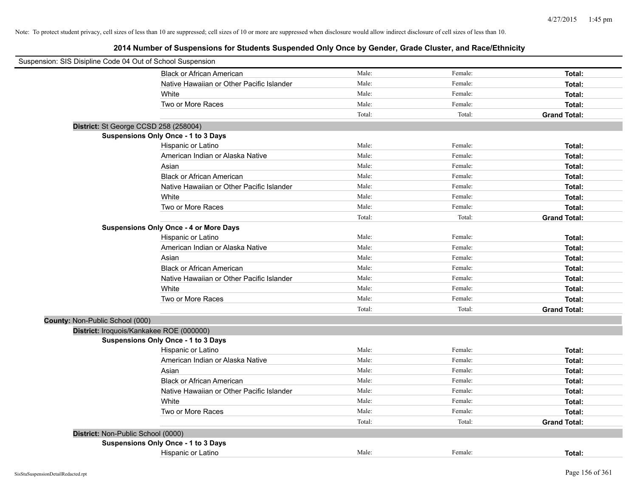| Suspension: SIS Disipline Code 04 Out of School Suspension |                                               |        |         |                     |
|------------------------------------------------------------|-----------------------------------------------|--------|---------|---------------------|
|                                                            | <b>Black or African American</b>              | Male:  | Female: | Total:              |
|                                                            | Native Hawaiian or Other Pacific Islander     | Male:  | Female: | Total:              |
|                                                            | White                                         | Male:  | Female: | Total:              |
|                                                            | Two or More Races                             | Male:  | Female: | Total:              |
|                                                            |                                               | Total: | Total:  | <b>Grand Total:</b> |
| District: St George CCSD 258 (258004)                      |                                               |        |         |                     |
|                                                            | Suspensions Only Once - 1 to 3 Days           |        |         |                     |
|                                                            | Hispanic or Latino                            | Male:  | Female: | Total:              |
|                                                            | American Indian or Alaska Native              | Male:  | Female: | Total:              |
|                                                            | Asian                                         | Male:  | Female: | Total:              |
|                                                            | <b>Black or African American</b>              | Male:  | Female: | Total:              |
|                                                            | Native Hawaiian or Other Pacific Islander     | Male:  | Female: | Total:              |
|                                                            | White                                         | Male:  | Female: | Total:              |
|                                                            | Two or More Races                             | Male:  | Female: | Total:              |
|                                                            |                                               | Total: | Total:  | <b>Grand Total:</b> |
|                                                            | <b>Suspensions Only Once - 4 or More Days</b> |        |         |                     |
|                                                            | Hispanic or Latino                            | Male:  | Female: | Total:              |
|                                                            | American Indian or Alaska Native              | Male:  | Female: | Total:              |
|                                                            | Asian                                         | Male:  | Female: | Total:              |
|                                                            | <b>Black or African American</b>              | Male:  | Female: | Total:              |
|                                                            | Native Hawaiian or Other Pacific Islander     | Male:  | Female: | Total:              |
|                                                            | White                                         | Male:  | Female: | Total:              |
|                                                            | Two or More Races                             | Male:  | Female: | Total:              |
|                                                            |                                               | Total: | Total:  | <b>Grand Total:</b> |
| County: Non-Public School (000)                            |                                               |        |         |                     |
| District: Iroquois/Kankakee ROE (000000)                   |                                               |        |         |                     |
|                                                            | <b>Suspensions Only Once - 1 to 3 Days</b>    |        |         |                     |
|                                                            | Hispanic or Latino                            | Male:  | Female: | Total:              |
|                                                            | American Indian or Alaska Native              | Male:  | Female: | Total:              |
|                                                            | Asian                                         | Male:  | Female: | Total:              |
|                                                            | <b>Black or African American</b>              | Male:  | Female: | Total:              |
|                                                            | Native Hawaiian or Other Pacific Islander     | Male:  | Female: | Total:              |
|                                                            | White                                         | Male:  | Female: | Total:              |
|                                                            | Two or More Races                             | Male:  | Female: | Total:              |
|                                                            |                                               | Total: | Total:  | <b>Grand Total:</b> |
| District: Non-Public School (0000)                         |                                               |        |         |                     |
|                                                            | Suspensions Only Once - 1 to 3 Days           |        |         |                     |
|                                                            | Hispanic or Latino                            | Male:  | Female: | Total:              |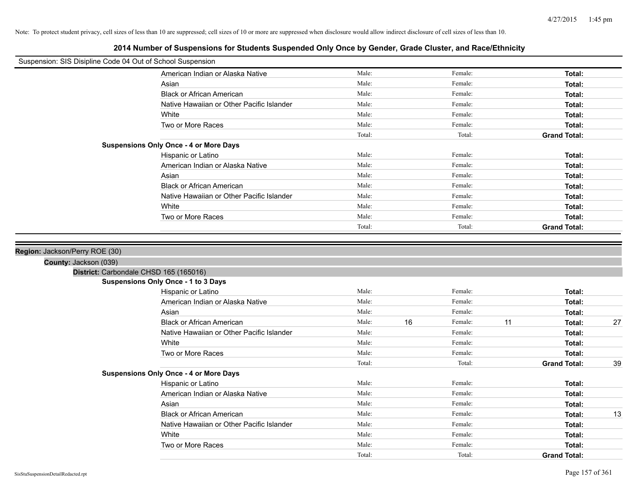**2014 Number of Suspensions for Students Suspended Only Once by Gender, Grade Cluster, and Race/Ethnicity**

| Suspension: SIS Disipline Code 04 Out of School Suspension      |                                               |        |    |         |    |                     |    |
|-----------------------------------------------------------------|-----------------------------------------------|--------|----|---------|----|---------------------|----|
|                                                                 | American Indian or Alaska Native              | Male:  |    | Female: |    | Total:              |    |
|                                                                 | Asian                                         | Male:  |    | Female: |    | Total:              |    |
|                                                                 | <b>Black or African American</b>              | Male:  |    | Female: |    | Total:              |    |
|                                                                 | Native Hawaiian or Other Pacific Islander     | Male:  |    | Female: |    | Total:              |    |
|                                                                 | White                                         | Male:  |    | Female: |    | Total:              |    |
|                                                                 | Two or More Races                             | Male:  |    | Female: |    | Total:              |    |
|                                                                 |                                               | Total: |    | Total:  |    | <b>Grand Total:</b> |    |
|                                                                 | <b>Suspensions Only Once - 4 or More Days</b> |        |    |         |    |                     |    |
|                                                                 | Hispanic or Latino                            | Male:  |    | Female: |    | Total:              |    |
|                                                                 | American Indian or Alaska Native              | Male:  |    | Female: |    | Total:              |    |
|                                                                 | Asian                                         | Male:  |    | Female: |    | Total:              |    |
|                                                                 | <b>Black or African American</b>              | Male:  |    | Female: |    | Total:              |    |
|                                                                 | Native Hawaiian or Other Pacific Islander     | Male:  |    | Female: |    | Total:              |    |
|                                                                 | White                                         | Male:  |    | Female: |    | Total:              |    |
|                                                                 | Two or More Races                             | Male:  |    | Female: |    | Total:              |    |
|                                                                 |                                               | Total: |    | Total:  |    | <b>Grand Total:</b> |    |
| County: Jackson (039)<br>District: Carbondale CHSD 165 (165016) |                                               |        |    |         |    |                     |    |
|                                                                 | Suspensions Only Once - 1 to 3 Days           |        |    |         |    |                     |    |
|                                                                 | Hispanic or Latino                            | Male:  |    | Female: |    | Total:              |    |
|                                                                 | American Indian or Alaska Native              | Male:  |    | Female: |    | Total:              |    |
|                                                                 | Asian                                         | Male:  |    | Female: |    | Total:              |    |
|                                                                 | <b>Black or African American</b>              | Male:  | 16 | Female: | 11 | Total:              | 27 |
|                                                                 | Native Hawaiian or Other Pacific Islander     | Male:  |    | Female: |    | Total:              |    |
|                                                                 | White                                         | Male:  |    | Female: |    | Total:              |    |
|                                                                 | Two or More Races                             | Male:  |    | Female: |    | Total:              |    |
|                                                                 |                                               | Total: |    | Total:  |    | <b>Grand Total:</b> | 39 |
|                                                                 | <b>Suspensions Only Once - 4 or More Days</b> |        |    |         |    |                     |    |
|                                                                 | Hispanic or Latino                            | Male:  |    | Female: |    | Total:              |    |
|                                                                 | American Indian or Alaska Native              | Male:  |    | Female: |    | Total:              |    |
|                                                                 | Asian                                         | Male:  |    | Female: |    | Total:              |    |
|                                                                 | <b>Black or African American</b>              | Male:  |    | Female: |    | Total:              | 13 |
|                                                                 | Native Hawaiian or Other Pacific Islander     | Male:  |    | Female: |    | Total:              |    |
|                                                                 | White                                         | Male:  |    | Female: |    | Total:              |    |
|                                                                 | Two or More Races                             | Male:  |    | Female: |    | Total:              |    |
|                                                                 |                                               | Total: |    | Total:  |    | <b>Grand Total:</b> |    |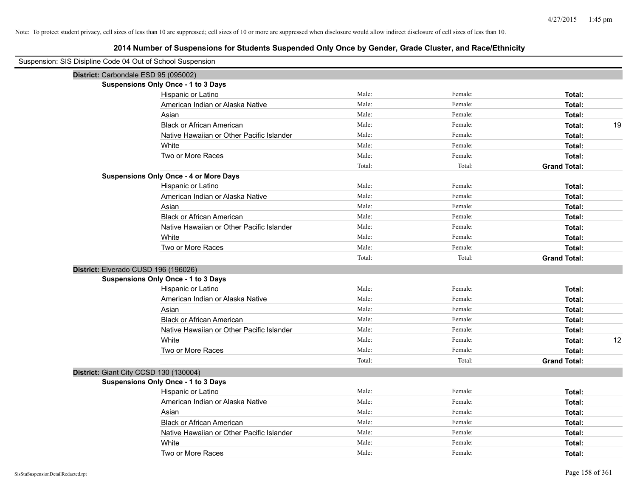| Suspension: SIS Disipline Code 04 Out of School Suspension |                                               |        |         |                     |
|------------------------------------------------------------|-----------------------------------------------|--------|---------|---------------------|
|                                                            | District: Carbondale ESD 95 (095002)          |        |         |                     |
|                                                            | Suspensions Only Once - 1 to 3 Days           |        |         |                     |
|                                                            | Hispanic or Latino                            | Male:  | Female: | Total:              |
|                                                            | American Indian or Alaska Native              | Male:  | Female: | Total:              |
|                                                            | Asian                                         | Male:  | Female: | Total:              |
|                                                            | <b>Black or African American</b>              | Male:  | Female: | 19<br>Total:        |
|                                                            | Native Hawaiian or Other Pacific Islander     | Male:  | Female: | Total:              |
|                                                            | White                                         | Male:  | Female: | Total:              |
|                                                            | Two or More Races                             | Male:  | Female: | Total:              |
|                                                            |                                               | Total: | Total:  | <b>Grand Total:</b> |
|                                                            | <b>Suspensions Only Once - 4 or More Days</b> |        |         |                     |
|                                                            | Hispanic or Latino                            | Male:  | Female: | Total:              |
|                                                            | American Indian or Alaska Native              | Male:  | Female: | Total:              |
|                                                            | Asian                                         | Male:  | Female: | Total:              |
|                                                            | <b>Black or African American</b>              | Male:  | Female: | Total:              |
|                                                            | Native Hawaiian or Other Pacific Islander     | Male:  | Female: | Total:              |
|                                                            | White                                         | Male:  | Female: | Total:              |
|                                                            | Two or More Races                             | Male:  | Female: | Total:              |
|                                                            |                                               | Total: | Total:  | <b>Grand Total:</b> |
|                                                            | District: Elverado CUSD 196 (196026)          |        |         |                     |
|                                                            | Suspensions Only Once - 1 to 3 Days           |        |         |                     |
|                                                            | Hispanic or Latino                            | Male:  | Female: | Total:              |
|                                                            | American Indian or Alaska Native              | Male:  | Female: | Total:              |
|                                                            | Asian                                         | Male:  | Female: | Total:              |
|                                                            | <b>Black or African American</b>              | Male:  | Female: | Total:              |
|                                                            | Native Hawaiian or Other Pacific Islander     | Male:  | Female: | Total:              |
|                                                            | White                                         | Male:  | Female: | 12<br>Total:        |
|                                                            | Two or More Races                             | Male:  | Female: | Total:              |
|                                                            |                                               | Total: | Total:  | <b>Grand Total:</b> |
|                                                            | District: Giant City CCSD 130 (130004)        |        |         |                     |
|                                                            | <b>Suspensions Only Once - 1 to 3 Days</b>    |        |         |                     |
|                                                            | Hispanic or Latino                            | Male:  | Female: | Total:              |
|                                                            | American Indian or Alaska Native              | Male:  | Female: | Total:              |
|                                                            | Asian                                         | Male:  | Female: | Total:              |
|                                                            | <b>Black or African American</b>              | Male:  | Female: | Total:              |
|                                                            | Native Hawaiian or Other Pacific Islander     | Male:  | Female: | Total:              |
|                                                            | White                                         | Male:  | Female: | Total:              |
|                                                            | Two or More Races                             | Male:  | Female: | Total:              |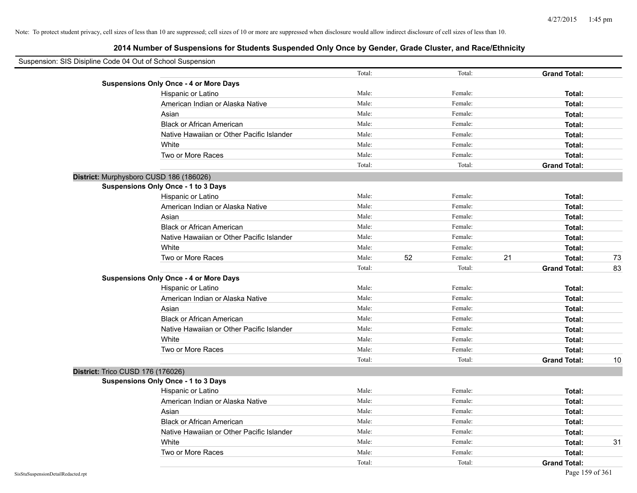| Suspension: SIS Disipline Code 04 Out of School Suspension |                                               |        |    |         |    |                     |    |
|------------------------------------------------------------|-----------------------------------------------|--------|----|---------|----|---------------------|----|
|                                                            |                                               | Total: |    | Total:  |    | <b>Grand Total:</b> |    |
|                                                            | <b>Suspensions Only Once - 4 or More Days</b> |        |    |         |    |                     |    |
|                                                            | Hispanic or Latino                            | Male:  |    | Female: |    | Total:              |    |
|                                                            | American Indian or Alaska Native              | Male:  |    | Female: |    | Total:              |    |
|                                                            | Asian                                         | Male:  |    | Female: |    | Total:              |    |
|                                                            | <b>Black or African American</b>              | Male:  |    | Female: |    | Total:              |    |
|                                                            | Native Hawaiian or Other Pacific Islander     | Male:  |    | Female: |    | Total:              |    |
|                                                            | White                                         | Male:  |    | Female: |    | Total:              |    |
|                                                            | Two or More Races                             | Male:  |    | Female: |    | <b>Total:</b>       |    |
|                                                            |                                               | Total: |    | Total:  |    | <b>Grand Total:</b> |    |
|                                                            | District: Murphysboro CUSD 186 (186026)       |        |    |         |    |                     |    |
|                                                            | Suspensions Only Once - 1 to 3 Days           |        |    |         |    |                     |    |
|                                                            | Hispanic or Latino                            | Male:  |    | Female: |    | Total:              |    |
|                                                            | American Indian or Alaska Native              | Male:  |    | Female: |    | Total:              |    |
|                                                            | Asian                                         | Male:  |    | Female: |    | Total:              |    |
|                                                            | <b>Black or African American</b>              | Male:  |    | Female: |    | Total:              |    |
|                                                            | Native Hawaiian or Other Pacific Islander     | Male:  |    | Female: |    | Total:              |    |
|                                                            | White                                         | Male:  |    | Female: |    | Total:              |    |
|                                                            | Two or More Races                             | Male:  | 52 | Female: | 21 | Total:              | 73 |
|                                                            |                                               | Total: |    | Total:  |    | <b>Grand Total:</b> | 83 |
|                                                            | <b>Suspensions Only Once - 4 or More Days</b> |        |    |         |    |                     |    |
|                                                            | Hispanic or Latino                            | Male:  |    | Female: |    | Total:              |    |
|                                                            | American Indian or Alaska Native              | Male:  |    | Female: |    | Total:              |    |
|                                                            | Asian                                         | Male:  |    | Female: |    | Total:              |    |
|                                                            | <b>Black or African American</b>              | Male:  |    | Female: |    | Total:              |    |
|                                                            | Native Hawaiian or Other Pacific Islander     | Male:  |    | Female: |    | Total:              |    |
|                                                            | White                                         | Male:  |    | Female: |    | Total:              |    |
|                                                            | Two or More Races                             | Male:  |    | Female: |    | Total:              |    |
|                                                            |                                               | Total: |    | Total:  |    | <b>Grand Total:</b> | 10 |
| District: Trico CUSD 176 (176026)                          |                                               |        |    |         |    |                     |    |
|                                                            | Suspensions Only Once - 1 to 3 Days           |        |    |         |    |                     |    |
|                                                            | Hispanic or Latino                            | Male:  |    | Female: |    | Total:              |    |
|                                                            | American Indian or Alaska Native              | Male:  |    | Female: |    | Total:              |    |
|                                                            | Asian                                         | Male:  |    | Female: |    | Total:              |    |
|                                                            | <b>Black or African American</b>              | Male:  |    | Female: |    | Total:              |    |
|                                                            | Native Hawaiian or Other Pacific Islander     | Male:  |    | Female: |    | Total:              |    |
|                                                            | White                                         | Male:  |    | Female: |    | Total:              | 31 |
|                                                            | Two or More Races                             | Male:  |    | Female: |    | Total:              |    |
|                                                            |                                               | Total: |    | Total:  |    | <b>Grand Total:</b> |    |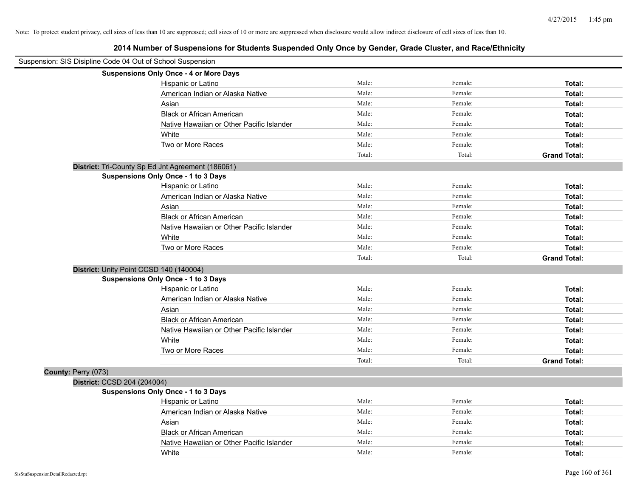| Suspension: SIS Disipline Code 04 Out of School Suspension |                                                   |        |         |                     |
|------------------------------------------------------------|---------------------------------------------------|--------|---------|---------------------|
|                                                            | <b>Suspensions Only Once - 4 or More Days</b>     |        |         |                     |
|                                                            | Hispanic or Latino                                | Male:  | Female: | Total:              |
|                                                            | American Indian or Alaska Native                  | Male:  | Female: | Total:              |
|                                                            | Asian                                             | Male:  | Female: | Total:              |
|                                                            | <b>Black or African American</b>                  | Male:  | Female: | Total:              |
|                                                            | Native Hawaiian or Other Pacific Islander         | Male:  | Female: | Total:              |
|                                                            | White                                             | Male:  | Female: | Total:              |
|                                                            | Two or More Races                                 | Male:  | Female: | Total:              |
|                                                            |                                                   | Total: | Total:  | <b>Grand Total:</b> |
|                                                            | District: Tri-County Sp Ed Jnt Agreement (186061) |        |         |                     |
|                                                            | <b>Suspensions Only Once - 1 to 3 Days</b>        |        |         |                     |
|                                                            | Hispanic or Latino                                | Male:  | Female: | Total:              |
|                                                            | American Indian or Alaska Native                  | Male:  | Female: | Total:              |
|                                                            | Asian                                             | Male:  | Female: | Total:              |
|                                                            | <b>Black or African American</b>                  | Male:  | Female: | Total:              |
|                                                            | Native Hawaiian or Other Pacific Islander         | Male:  | Female: | Total:              |
|                                                            | White                                             | Male:  | Female: | Total:              |
|                                                            | Two or More Races                                 | Male:  | Female: | Total:              |
|                                                            |                                                   | Total: | Total:  | <b>Grand Total:</b> |
|                                                            | District: Unity Point CCSD 140 (140004)           |        |         |                     |
|                                                            | Suspensions Only Once - 1 to 3 Days               |        |         |                     |
|                                                            | Hispanic or Latino                                | Male:  | Female: | Total:              |
|                                                            | American Indian or Alaska Native                  | Male:  | Female: | Total:              |
|                                                            | Asian                                             | Male:  | Female: | Total:              |
|                                                            | <b>Black or African American</b>                  | Male:  | Female: | Total:              |
|                                                            | Native Hawaiian or Other Pacific Islander         | Male:  | Female: | Total:              |
|                                                            | White                                             | Male:  | Female: | Total:              |
|                                                            | Two or More Races                                 | Male:  | Female: | Total:              |
|                                                            |                                                   | Total: | Total:  | <b>Grand Total:</b> |
| County: Perry (073)                                        |                                                   |        |         |                     |
| District: CCSD 204 (204004)                                |                                                   |        |         |                     |
|                                                            | <b>Suspensions Only Once - 1 to 3 Days</b>        |        |         |                     |
|                                                            | Hispanic or Latino                                | Male:  | Female: | Total:              |
|                                                            | American Indian or Alaska Native                  | Male:  | Female: | Total:              |
|                                                            | Asian                                             | Male:  | Female: | Total:              |
|                                                            | <b>Black or African American</b>                  | Male:  | Female: | Total:              |
|                                                            | Native Hawaiian or Other Pacific Islander         | Male:  | Female: | Total:              |
|                                                            | White                                             | Male:  | Female: | Total:              |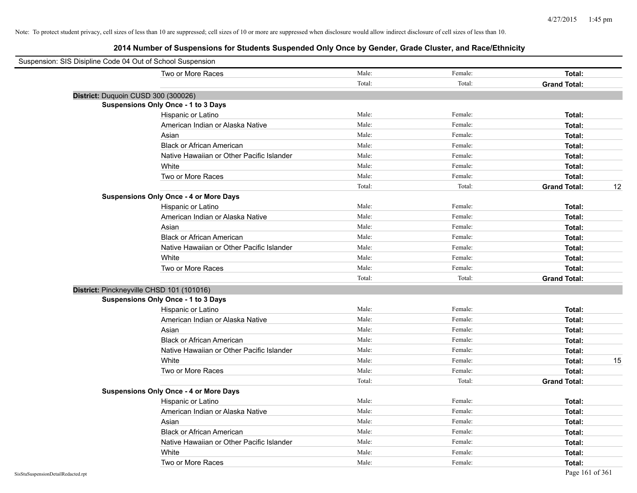| Suspension: SIS Disipline Code 04 Out of School Suspension |                                               |        |         |                     |    |
|------------------------------------------------------------|-----------------------------------------------|--------|---------|---------------------|----|
|                                                            | Two or More Races                             | Male:  | Female: | Total:              |    |
|                                                            |                                               | Total: | Total:  | <b>Grand Total:</b> |    |
| District: Duquoin CUSD 300 (300026)                        |                                               |        |         |                     |    |
|                                                            | Suspensions Only Once - 1 to 3 Days           |        |         |                     |    |
|                                                            | Hispanic or Latino                            | Male:  | Female: | Total:              |    |
|                                                            | American Indian or Alaska Native              | Male:  | Female: | Total:              |    |
|                                                            | Asian                                         | Male:  | Female: | Total:              |    |
|                                                            | <b>Black or African American</b>              | Male:  | Female: | Total:              |    |
|                                                            | Native Hawaiian or Other Pacific Islander     | Male:  | Female: | Total:              |    |
|                                                            | White                                         | Male:  | Female: | Total:              |    |
|                                                            | Two or More Races                             | Male:  | Female: | Total:              |    |
|                                                            |                                               | Total: | Total:  | <b>Grand Total:</b> | 12 |
|                                                            | <b>Suspensions Only Once - 4 or More Days</b> |        |         |                     |    |
|                                                            | Hispanic or Latino                            | Male:  | Female: | Total:              |    |
|                                                            | American Indian or Alaska Native              | Male:  | Female: | Total:              |    |
|                                                            | Asian                                         | Male:  | Female: | Total:              |    |
|                                                            | <b>Black or African American</b>              | Male:  | Female: | Total:              |    |
|                                                            | Native Hawaiian or Other Pacific Islander     | Male:  | Female: | Total:              |    |
|                                                            | White                                         | Male:  | Female: | Total:              |    |
|                                                            | Two or More Races                             | Male:  | Female: | Total:              |    |
|                                                            |                                               | Total: | Total:  | <b>Grand Total:</b> |    |
|                                                            | District: Pinckneyville CHSD 101 (101016)     |        |         |                     |    |
|                                                            | <b>Suspensions Only Once - 1 to 3 Days</b>    |        |         |                     |    |
|                                                            | Hispanic or Latino                            | Male:  | Female: | Total:              |    |
|                                                            | American Indian or Alaska Native              | Male:  | Female: | Total:              |    |
|                                                            | Asian                                         | Male:  | Female: | Total:              |    |
|                                                            | <b>Black or African American</b>              | Male:  | Female: | Total:              |    |
|                                                            | Native Hawaiian or Other Pacific Islander     | Male:  | Female: | Total:              |    |
|                                                            | White                                         | Male:  | Female: | Total:              | 15 |
|                                                            | Two or More Races                             | Male:  | Female: | Total:              |    |
|                                                            |                                               | Total: | Total:  | <b>Grand Total:</b> |    |
|                                                            | <b>Suspensions Only Once - 4 or More Days</b> |        |         |                     |    |
|                                                            | Hispanic or Latino                            | Male:  | Female: | Total:              |    |
|                                                            | American Indian or Alaska Native              | Male:  | Female: | Total:              |    |
|                                                            | Asian                                         | Male:  | Female: | Total:              |    |
|                                                            | <b>Black or African American</b>              | Male:  | Female: | Total:              |    |
|                                                            | Native Hawaiian or Other Pacific Islander     | Male:  | Female: | Total:              |    |
|                                                            | White                                         | Male:  | Female: | Total:              |    |
|                                                            | Two or More Races                             | Male:  | Female: | Total:              |    |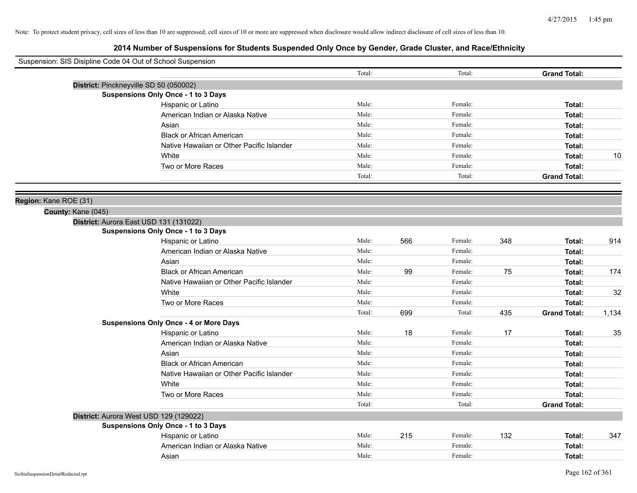| Total:<br>Total:<br><b>Grand Total:</b><br>District: Pinckneyville SD 50 (050002)<br><b>Suspensions Only Once - 1 to 3 Days</b><br>Male:<br>Female:<br>Hispanic or Latino<br>Total:<br>Male:<br>Female:<br>American Indian or Alaska Native<br>Total:<br>Male:<br>Female:<br>Asian<br>Total:<br><b>Black or African American</b><br>Male:<br>Female:<br>Total:<br>Native Hawaiian or Other Pacific Islander<br>Male:<br>Female:<br>Total:<br>Male:<br>10<br>White<br>Female:<br>Total:<br>Two or More Races<br>Male:<br>Female:<br>Total:<br>Total:<br>Total:<br><b>Grand Total:</b><br>Region: Kane ROE (31)<br>County: Kane (045)<br>District: Aurora East USD 131 (131022)<br><b>Suspensions Only Once - 1 to 3 Days</b><br>566<br>348<br>914<br>Hispanic or Latino<br>Male:<br>Female:<br>Total:<br>Male:<br>American Indian or Alaska Native<br>Female:<br>Total:<br>Asian<br>Male:<br>Female:<br>Total:<br>99<br>75<br>174<br><b>Black or African American</b><br>Male:<br>Female:<br>Total:<br>Male:<br>Native Hawaiian or Other Pacific Islander<br>Female:<br>Total:<br>White<br>Male:<br>Female:<br>32<br>Total:<br>Male:<br>Two or More Races<br>Female:<br>Total:<br>Total:<br>699<br>435<br>Total:<br><b>Grand Total:</b><br>1,134<br><b>Suspensions Only Once - 4 or More Days</b><br>18<br>17<br>Hispanic or Latino<br>Male:<br>Female:<br>35<br>Total:<br>American Indian or Alaska Native<br>Male:<br>Female:<br>Total:<br>Male:<br>Female:<br>Asian<br>Total:<br>Male:<br><b>Black or African American</b><br>Female:<br>Total:<br>Male:<br>Female:<br>Native Hawaiian or Other Pacific Islander<br>Total:<br>White<br>Male:<br>Female:<br>Total:<br>Two or More Races<br>Male:<br>Female:<br>Total:<br>Total:<br>Total:<br><b>Grand Total:</b><br>District: Aurora West USD 129 (129022)<br><b>Suspensions Only Once - 1 to 3 Days</b><br>Male:<br>215<br>132<br>Female:<br>347<br>Hispanic or Latino<br>Total:<br>Male:<br>Female:<br>American Indian or Alaska Native<br>Total:<br>Male:<br>Female:<br>Asian<br>Total: | Suspension: SIS Disipline Code 04 Out of School Suspension |  |  |  |  |
|---------------------------------------------------------------------------------------------------------------------------------------------------------------------------------------------------------------------------------------------------------------------------------------------------------------------------------------------------------------------------------------------------------------------------------------------------------------------------------------------------------------------------------------------------------------------------------------------------------------------------------------------------------------------------------------------------------------------------------------------------------------------------------------------------------------------------------------------------------------------------------------------------------------------------------------------------------------------------------------------------------------------------------------------------------------------------------------------------------------------------------------------------------------------------------------------------------------------------------------------------------------------------------------------------------------------------------------------------------------------------------------------------------------------------------------------------------------------------------------------------------------------------------------------------------------------------------------------------------------------------------------------------------------------------------------------------------------------------------------------------------------------------------------------------------------------------------------------------------------------------------------------------------------------------------------------------------------------------------------------------------------------------------------------|------------------------------------------------------------|--|--|--|--|
|                                                                                                                                                                                                                                                                                                                                                                                                                                                                                                                                                                                                                                                                                                                                                                                                                                                                                                                                                                                                                                                                                                                                                                                                                                                                                                                                                                                                                                                                                                                                                                                                                                                                                                                                                                                                                                                                                                                                                                                                                                             |                                                            |  |  |  |  |
|                                                                                                                                                                                                                                                                                                                                                                                                                                                                                                                                                                                                                                                                                                                                                                                                                                                                                                                                                                                                                                                                                                                                                                                                                                                                                                                                                                                                                                                                                                                                                                                                                                                                                                                                                                                                                                                                                                                                                                                                                                             |                                                            |  |  |  |  |
|                                                                                                                                                                                                                                                                                                                                                                                                                                                                                                                                                                                                                                                                                                                                                                                                                                                                                                                                                                                                                                                                                                                                                                                                                                                                                                                                                                                                                                                                                                                                                                                                                                                                                                                                                                                                                                                                                                                                                                                                                                             |                                                            |  |  |  |  |
|                                                                                                                                                                                                                                                                                                                                                                                                                                                                                                                                                                                                                                                                                                                                                                                                                                                                                                                                                                                                                                                                                                                                                                                                                                                                                                                                                                                                                                                                                                                                                                                                                                                                                                                                                                                                                                                                                                                                                                                                                                             |                                                            |  |  |  |  |
|                                                                                                                                                                                                                                                                                                                                                                                                                                                                                                                                                                                                                                                                                                                                                                                                                                                                                                                                                                                                                                                                                                                                                                                                                                                                                                                                                                                                                                                                                                                                                                                                                                                                                                                                                                                                                                                                                                                                                                                                                                             |                                                            |  |  |  |  |
|                                                                                                                                                                                                                                                                                                                                                                                                                                                                                                                                                                                                                                                                                                                                                                                                                                                                                                                                                                                                                                                                                                                                                                                                                                                                                                                                                                                                                                                                                                                                                                                                                                                                                                                                                                                                                                                                                                                                                                                                                                             |                                                            |  |  |  |  |
|                                                                                                                                                                                                                                                                                                                                                                                                                                                                                                                                                                                                                                                                                                                                                                                                                                                                                                                                                                                                                                                                                                                                                                                                                                                                                                                                                                                                                                                                                                                                                                                                                                                                                                                                                                                                                                                                                                                                                                                                                                             |                                                            |  |  |  |  |
|                                                                                                                                                                                                                                                                                                                                                                                                                                                                                                                                                                                                                                                                                                                                                                                                                                                                                                                                                                                                                                                                                                                                                                                                                                                                                                                                                                                                                                                                                                                                                                                                                                                                                                                                                                                                                                                                                                                                                                                                                                             |                                                            |  |  |  |  |
|                                                                                                                                                                                                                                                                                                                                                                                                                                                                                                                                                                                                                                                                                                                                                                                                                                                                                                                                                                                                                                                                                                                                                                                                                                                                                                                                                                                                                                                                                                                                                                                                                                                                                                                                                                                                                                                                                                                                                                                                                                             |                                                            |  |  |  |  |
|                                                                                                                                                                                                                                                                                                                                                                                                                                                                                                                                                                                                                                                                                                                                                                                                                                                                                                                                                                                                                                                                                                                                                                                                                                                                                                                                                                                                                                                                                                                                                                                                                                                                                                                                                                                                                                                                                                                                                                                                                                             |                                                            |  |  |  |  |
|                                                                                                                                                                                                                                                                                                                                                                                                                                                                                                                                                                                                                                                                                                                                                                                                                                                                                                                                                                                                                                                                                                                                                                                                                                                                                                                                                                                                                                                                                                                                                                                                                                                                                                                                                                                                                                                                                                                                                                                                                                             |                                                            |  |  |  |  |
|                                                                                                                                                                                                                                                                                                                                                                                                                                                                                                                                                                                                                                                                                                                                                                                                                                                                                                                                                                                                                                                                                                                                                                                                                                                                                                                                                                                                                                                                                                                                                                                                                                                                                                                                                                                                                                                                                                                                                                                                                                             |                                                            |  |  |  |  |
|                                                                                                                                                                                                                                                                                                                                                                                                                                                                                                                                                                                                                                                                                                                                                                                                                                                                                                                                                                                                                                                                                                                                                                                                                                                                                                                                                                                                                                                                                                                                                                                                                                                                                                                                                                                                                                                                                                                                                                                                                                             |                                                            |  |  |  |  |
|                                                                                                                                                                                                                                                                                                                                                                                                                                                                                                                                                                                                                                                                                                                                                                                                                                                                                                                                                                                                                                                                                                                                                                                                                                                                                                                                                                                                                                                                                                                                                                                                                                                                                                                                                                                                                                                                                                                                                                                                                                             |                                                            |  |  |  |  |
|                                                                                                                                                                                                                                                                                                                                                                                                                                                                                                                                                                                                                                                                                                                                                                                                                                                                                                                                                                                                                                                                                                                                                                                                                                                                                                                                                                                                                                                                                                                                                                                                                                                                                                                                                                                                                                                                                                                                                                                                                                             |                                                            |  |  |  |  |
|                                                                                                                                                                                                                                                                                                                                                                                                                                                                                                                                                                                                                                                                                                                                                                                                                                                                                                                                                                                                                                                                                                                                                                                                                                                                                                                                                                                                                                                                                                                                                                                                                                                                                                                                                                                                                                                                                                                                                                                                                                             |                                                            |  |  |  |  |
|                                                                                                                                                                                                                                                                                                                                                                                                                                                                                                                                                                                                                                                                                                                                                                                                                                                                                                                                                                                                                                                                                                                                                                                                                                                                                                                                                                                                                                                                                                                                                                                                                                                                                                                                                                                                                                                                                                                                                                                                                                             |                                                            |  |  |  |  |
|                                                                                                                                                                                                                                                                                                                                                                                                                                                                                                                                                                                                                                                                                                                                                                                                                                                                                                                                                                                                                                                                                                                                                                                                                                                                                                                                                                                                                                                                                                                                                                                                                                                                                                                                                                                                                                                                                                                                                                                                                                             |                                                            |  |  |  |  |
|                                                                                                                                                                                                                                                                                                                                                                                                                                                                                                                                                                                                                                                                                                                                                                                                                                                                                                                                                                                                                                                                                                                                                                                                                                                                                                                                                                                                                                                                                                                                                                                                                                                                                                                                                                                                                                                                                                                                                                                                                                             |                                                            |  |  |  |  |
|                                                                                                                                                                                                                                                                                                                                                                                                                                                                                                                                                                                                                                                                                                                                                                                                                                                                                                                                                                                                                                                                                                                                                                                                                                                                                                                                                                                                                                                                                                                                                                                                                                                                                                                                                                                                                                                                                                                                                                                                                                             |                                                            |  |  |  |  |
|                                                                                                                                                                                                                                                                                                                                                                                                                                                                                                                                                                                                                                                                                                                                                                                                                                                                                                                                                                                                                                                                                                                                                                                                                                                                                                                                                                                                                                                                                                                                                                                                                                                                                                                                                                                                                                                                                                                                                                                                                                             |                                                            |  |  |  |  |
|                                                                                                                                                                                                                                                                                                                                                                                                                                                                                                                                                                                                                                                                                                                                                                                                                                                                                                                                                                                                                                                                                                                                                                                                                                                                                                                                                                                                                                                                                                                                                                                                                                                                                                                                                                                                                                                                                                                                                                                                                                             |                                                            |  |  |  |  |
|                                                                                                                                                                                                                                                                                                                                                                                                                                                                                                                                                                                                                                                                                                                                                                                                                                                                                                                                                                                                                                                                                                                                                                                                                                                                                                                                                                                                                                                                                                                                                                                                                                                                                                                                                                                                                                                                                                                                                                                                                                             |                                                            |  |  |  |  |
|                                                                                                                                                                                                                                                                                                                                                                                                                                                                                                                                                                                                                                                                                                                                                                                                                                                                                                                                                                                                                                                                                                                                                                                                                                                                                                                                                                                                                                                                                                                                                                                                                                                                                                                                                                                                                                                                                                                                                                                                                                             |                                                            |  |  |  |  |
|                                                                                                                                                                                                                                                                                                                                                                                                                                                                                                                                                                                                                                                                                                                                                                                                                                                                                                                                                                                                                                                                                                                                                                                                                                                                                                                                                                                                                                                                                                                                                                                                                                                                                                                                                                                                                                                                                                                                                                                                                                             |                                                            |  |  |  |  |
|                                                                                                                                                                                                                                                                                                                                                                                                                                                                                                                                                                                                                                                                                                                                                                                                                                                                                                                                                                                                                                                                                                                                                                                                                                                                                                                                                                                                                                                                                                                                                                                                                                                                                                                                                                                                                                                                                                                                                                                                                                             |                                                            |  |  |  |  |
|                                                                                                                                                                                                                                                                                                                                                                                                                                                                                                                                                                                                                                                                                                                                                                                                                                                                                                                                                                                                                                                                                                                                                                                                                                                                                                                                                                                                                                                                                                                                                                                                                                                                                                                                                                                                                                                                                                                                                                                                                                             |                                                            |  |  |  |  |
|                                                                                                                                                                                                                                                                                                                                                                                                                                                                                                                                                                                                                                                                                                                                                                                                                                                                                                                                                                                                                                                                                                                                                                                                                                                                                                                                                                                                                                                                                                                                                                                                                                                                                                                                                                                                                                                                                                                                                                                                                                             |                                                            |  |  |  |  |
|                                                                                                                                                                                                                                                                                                                                                                                                                                                                                                                                                                                                                                                                                                                                                                                                                                                                                                                                                                                                                                                                                                                                                                                                                                                                                                                                                                                                                                                                                                                                                                                                                                                                                                                                                                                                                                                                                                                                                                                                                                             |                                                            |  |  |  |  |
|                                                                                                                                                                                                                                                                                                                                                                                                                                                                                                                                                                                                                                                                                                                                                                                                                                                                                                                                                                                                                                                                                                                                                                                                                                                                                                                                                                                                                                                                                                                                                                                                                                                                                                                                                                                                                                                                                                                                                                                                                                             |                                                            |  |  |  |  |
|                                                                                                                                                                                                                                                                                                                                                                                                                                                                                                                                                                                                                                                                                                                                                                                                                                                                                                                                                                                                                                                                                                                                                                                                                                                                                                                                                                                                                                                                                                                                                                                                                                                                                                                                                                                                                                                                                                                                                                                                                                             |                                                            |  |  |  |  |
|                                                                                                                                                                                                                                                                                                                                                                                                                                                                                                                                                                                                                                                                                                                                                                                                                                                                                                                                                                                                                                                                                                                                                                                                                                                                                                                                                                                                                                                                                                                                                                                                                                                                                                                                                                                                                                                                                                                                                                                                                                             |                                                            |  |  |  |  |
|                                                                                                                                                                                                                                                                                                                                                                                                                                                                                                                                                                                                                                                                                                                                                                                                                                                                                                                                                                                                                                                                                                                                                                                                                                                                                                                                                                                                                                                                                                                                                                                                                                                                                                                                                                                                                                                                                                                                                                                                                                             |                                                            |  |  |  |  |
|                                                                                                                                                                                                                                                                                                                                                                                                                                                                                                                                                                                                                                                                                                                                                                                                                                                                                                                                                                                                                                                                                                                                                                                                                                                                                                                                                                                                                                                                                                                                                                                                                                                                                                                                                                                                                                                                                                                                                                                                                                             |                                                            |  |  |  |  |
|                                                                                                                                                                                                                                                                                                                                                                                                                                                                                                                                                                                                                                                                                                                                                                                                                                                                                                                                                                                                                                                                                                                                                                                                                                                                                                                                                                                                                                                                                                                                                                                                                                                                                                                                                                                                                                                                                                                                                                                                                                             |                                                            |  |  |  |  |
|                                                                                                                                                                                                                                                                                                                                                                                                                                                                                                                                                                                                                                                                                                                                                                                                                                                                                                                                                                                                                                                                                                                                                                                                                                                                                                                                                                                                                                                                                                                                                                                                                                                                                                                                                                                                                                                                                                                                                                                                                                             |                                                            |  |  |  |  |
|                                                                                                                                                                                                                                                                                                                                                                                                                                                                                                                                                                                                                                                                                                                                                                                                                                                                                                                                                                                                                                                                                                                                                                                                                                                                                                                                                                                                                                                                                                                                                                                                                                                                                                                                                                                                                                                                                                                                                                                                                                             |                                                            |  |  |  |  |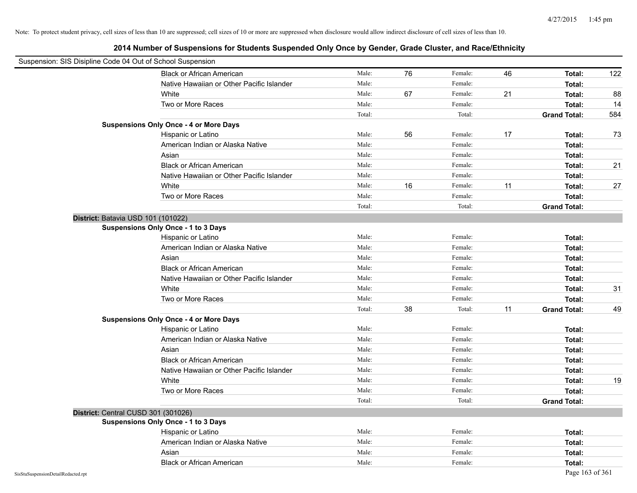| Suspension: SIS Disipline Code 04 Out of School Suspension |                                               |        |    |         |    |                     |     |
|------------------------------------------------------------|-----------------------------------------------|--------|----|---------|----|---------------------|-----|
|                                                            | <b>Black or African American</b>              | Male:  | 76 | Female: | 46 | Total:              | 122 |
|                                                            | Native Hawaiian or Other Pacific Islander     | Male:  |    | Female: |    | Total:              |     |
|                                                            | White                                         | Male:  | 67 | Female: | 21 | Total:              | 88  |
|                                                            | Two or More Races                             | Male:  |    | Female: |    | Total:              | 14  |
|                                                            |                                               | Total: |    | Total:  |    | <b>Grand Total:</b> | 584 |
|                                                            | <b>Suspensions Only Once - 4 or More Days</b> |        |    |         |    |                     |     |
|                                                            | Hispanic or Latino                            | Male:  | 56 | Female: | 17 | Total:              | 73  |
|                                                            | American Indian or Alaska Native              | Male:  |    | Female: |    | Total:              |     |
|                                                            | Asian                                         | Male:  |    | Female: |    | Total:              |     |
|                                                            | <b>Black or African American</b>              | Male:  |    | Female: |    | Total:              | 21  |
|                                                            | Native Hawaiian or Other Pacific Islander     | Male:  |    | Female: |    | Total:              |     |
|                                                            | White                                         | Male:  | 16 | Female: | 11 | Total:              | 27  |
|                                                            | Two or More Races                             | Male:  |    | Female: |    | Total:              |     |
|                                                            |                                               | Total: |    | Total:  |    | <b>Grand Total:</b> |     |
| District: Batavia USD 101 (101022)                         |                                               |        |    |         |    |                     |     |
|                                                            | Suspensions Only Once - 1 to 3 Days           |        |    |         |    |                     |     |
|                                                            | Hispanic or Latino                            | Male:  |    | Female: |    | Total:              |     |
|                                                            | American Indian or Alaska Native              | Male:  |    | Female: |    | Total:              |     |
|                                                            | Asian                                         | Male:  |    | Female: |    | Total:              |     |
|                                                            | <b>Black or African American</b>              | Male:  |    | Female: |    | Total:              |     |
|                                                            | Native Hawaiian or Other Pacific Islander     | Male:  |    | Female: |    | Total:              |     |
|                                                            | White                                         | Male:  |    | Female: |    | Total:              | 31  |
|                                                            | Two or More Races                             | Male:  |    | Female: |    | Total:              |     |
|                                                            |                                               | Total: | 38 | Total:  | 11 | <b>Grand Total:</b> | 49  |
|                                                            | <b>Suspensions Only Once - 4 or More Days</b> |        |    |         |    |                     |     |
|                                                            | Hispanic or Latino                            | Male:  |    | Female: |    | Total:              |     |
|                                                            | American Indian or Alaska Native              | Male:  |    | Female: |    | Total:              |     |
|                                                            | Asian                                         | Male:  |    | Female: |    | Total:              |     |
|                                                            | <b>Black or African American</b>              | Male:  |    | Female: |    | Total:              |     |
|                                                            | Native Hawaiian or Other Pacific Islander     | Male:  |    | Female: |    | Total:              |     |
|                                                            | White                                         | Male:  |    | Female: |    | Total:              | 19  |
|                                                            | Two or More Races                             | Male:  |    | Female: |    | Total:              |     |
|                                                            |                                               | Total: |    | Total:  |    | <b>Grand Total:</b> |     |
| District: Central CUSD 301 (301026)                        |                                               |        |    |         |    |                     |     |
|                                                            | Suspensions Only Once - 1 to 3 Days           |        |    |         |    |                     |     |
|                                                            | Hispanic or Latino                            | Male:  |    | Female: |    | Total:              |     |
|                                                            | American Indian or Alaska Native              | Male:  |    | Female: |    | Total:              |     |
|                                                            | Asian                                         | Male:  |    | Female: |    | Total:              |     |
|                                                            | <b>Black or African American</b>              | Male:  |    | Female: |    | Total:              |     |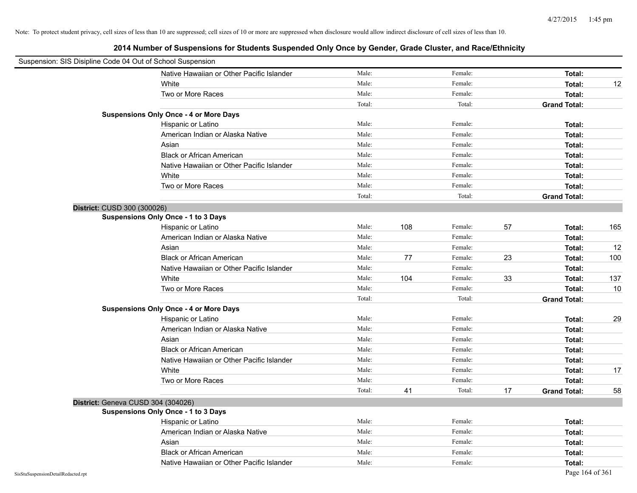|                                    | Suspension: SIS Disipline Code 04 Out of School Suspension |        |     |         |    |                     |     |
|------------------------------------|------------------------------------------------------------|--------|-----|---------|----|---------------------|-----|
|                                    | Native Hawaiian or Other Pacific Islander                  | Male:  |     | Female: |    | Total:              |     |
|                                    | White                                                      | Male:  |     | Female: |    | Total:              | 12  |
|                                    | Two or More Races                                          | Male:  |     | Female: |    | Total:              |     |
|                                    |                                                            | Total: |     | Total:  |    | <b>Grand Total:</b> |     |
|                                    | <b>Suspensions Only Once - 4 or More Days</b>              |        |     |         |    |                     |     |
|                                    | Hispanic or Latino                                         | Male:  |     | Female: |    | Total:              |     |
|                                    | American Indian or Alaska Native                           | Male:  |     | Female: |    | Total:              |     |
|                                    | Asian                                                      | Male:  |     | Female: |    | Total:              |     |
|                                    | <b>Black or African American</b>                           | Male:  |     | Female: |    | Total:              |     |
|                                    | Native Hawaiian or Other Pacific Islander                  | Male:  |     | Female: |    | Total:              |     |
|                                    | White                                                      | Male:  |     | Female: |    | Total:              |     |
|                                    | Two or More Races                                          | Male:  |     | Female: |    | Total:              |     |
|                                    |                                                            | Total: |     | Total:  |    | <b>Grand Total:</b> |     |
|                                    | District: CUSD 300 (300026)                                |        |     |         |    |                     |     |
|                                    | Suspensions Only Once - 1 to 3 Days                        |        |     |         |    |                     |     |
|                                    | Hispanic or Latino                                         | Male:  | 108 | Female: | 57 | Total:              | 165 |
|                                    | American Indian or Alaska Native                           | Male:  |     | Female: |    | Total:              |     |
|                                    | Asian                                                      | Male:  |     | Female: |    | Total:              | 12  |
|                                    | <b>Black or African American</b>                           | Male:  | 77  | Female: | 23 | Total:              | 100 |
|                                    | Native Hawaiian or Other Pacific Islander                  | Male:  |     | Female: |    | Total:              |     |
|                                    | White                                                      | Male:  | 104 | Female: | 33 | Total:              | 137 |
|                                    | Two or More Races                                          | Male:  |     | Female: |    | Total:              | 10  |
|                                    |                                                            | Total: |     | Total:  |    | <b>Grand Total:</b> |     |
|                                    | <b>Suspensions Only Once - 4 or More Days</b>              |        |     |         |    |                     |     |
|                                    | Hispanic or Latino                                         | Male:  |     | Female: |    | Total:              | 29  |
|                                    | American Indian or Alaska Native                           | Male:  |     | Female: |    | Total:              |     |
|                                    | Asian                                                      | Male:  |     | Female: |    | Total:              |     |
|                                    | <b>Black or African American</b>                           | Male:  |     | Female: |    | Total:              |     |
|                                    | Native Hawaiian or Other Pacific Islander                  | Male:  |     | Female: |    | Total:              |     |
|                                    | White                                                      | Male:  |     | Female: |    | Total:              | 17  |
|                                    | Two or More Races                                          | Male:  |     | Female: |    | Total:              |     |
|                                    |                                                            | Total: | 41  | Total:  | 17 | <b>Grand Total:</b> | 58  |
|                                    | District: Geneva CUSD 304 (304026)                         |        |     |         |    |                     |     |
|                                    | <b>Suspensions Only Once - 1 to 3 Days</b>                 |        |     |         |    |                     |     |
|                                    | Hispanic or Latino                                         | Male:  |     | Female: |    | Total:              |     |
|                                    | American Indian or Alaska Native                           | Male:  |     | Female: |    | Total:              |     |
|                                    | Asian                                                      | Male:  |     | Female: |    | Total:              |     |
|                                    | <b>Black or African American</b>                           | Male:  |     | Female: |    | Total:              |     |
|                                    | Native Hawaiian or Other Pacific Islander                  | Male:  |     | Female: |    | Total:              |     |
| SisStuSuspensionDetailRedacted.rpt |                                                            |        |     |         |    | Page 164 of 361     |     |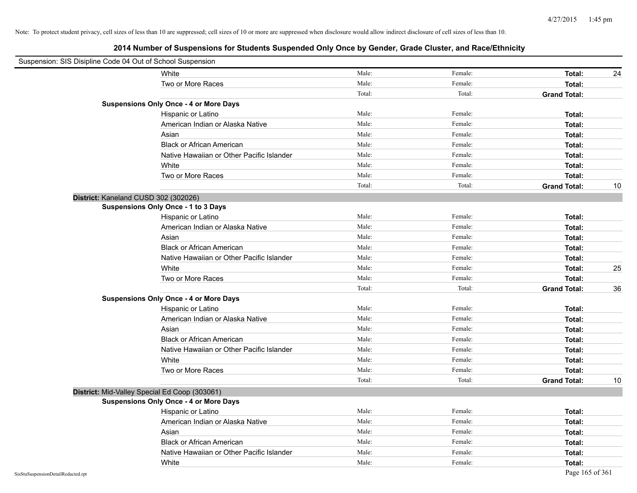| Suspension: SIS Disipline Code 04 Out of School Suspension |                                               |        |         |                     |    |
|------------------------------------------------------------|-----------------------------------------------|--------|---------|---------------------|----|
|                                                            | White                                         | Male:  | Female: | Total:              | 24 |
|                                                            | Two or More Races                             | Male:  | Female: | Total:              |    |
|                                                            |                                               | Total: | Total:  | <b>Grand Total:</b> |    |
|                                                            | <b>Suspensions Only Once - 4 or More Days</b> |        |         |                     |    |
|                                                            | Hispanic or Latino                            | Male:  | Female: | Total:              |    |
|                                                            | American Indian or Alaska Native              | Male:  | Female: | Total:              |    |
|                                                            | Asian                                         | Male:  | Female: | Total:              |    |
|                                                            | <b>Black or African American</b>              | Male:  | Female: | Total:              |    |
|                                                            | Native Hawaiian or Other Pacific Islander     | Male:  | Female: | Total:              |    |
|                                                            | White                                         | Male:  | Female: | Total:              |    |
|                                                            | Two or More Races                             | Male:  | Female: | Total:              |    |
|                                                            |                                               | Total: | Total:  | <b>Grand Total:</b> | 10 |
|                                                            | District: Kaneland CUSD 302 (302026)          |        |         |                     |    |
|                                                            | Suspensions Only Once - 1 to 3 Days           |        |         |                     |    |
|                                                            | Hispanic or Latino                            | Male:  | Female: | Total:              |    |
|                                                            | American Indian or Alaska Native              | Male:  | Female: | Total:              |    |
|                                                            | Asian                                         | Male:  | Female: | Total:              |    |
|                                                            | <b>Black or African American</b>              | Male:  | Female: | Total:              |    |
|                                                            | Native Hawaiian or Other Pacific Islander     | Male:  | Female: | Total:              |    |
|                                                            | White                                         | Male:  | Female: | Total:              | 25 |
|                                                            | Two or More Races                             | Male:  | Female: | Total:              |    |
|                                                            |                                               | Total: | Total:  | <b>Grand Total:</b> | 36 |
|                                                            | <b>Suspensions Only Once - 4 or More Days</b> |        |         |                     |    |
|                                                            | Hispanic or Latino                            | Male:  | Female: | Total:              |    |
|                                                            | American Indian or Alaska Native              | Male:  | Female: | Total:              |    |
|                                                            | Asian                                         | Male:  | Female: | Total:              |    |
|                                                            | <b>Black or African American</b>              | Male:  | Female: | Total:              |    |
|                                                            | Native Hawaiian or Other Pacific Islander     | Male:  | Female: | Total:              |    |
|                                                            | White                                         | Male:  | Female: | Total:              |    |
|                                                            | Two or More Races                             | Male:  | Female: | Total:              |    |
|                                                            |                                               | Total: | Total:  | <b>Grand Total:</b> | 10 |
|                                                            | District: Mid-Valley Special Ed Coop (303061) |        |         |                     |    |
|                                                            | <b>Suspensions Only Once - 4 or More Days</b> |        |         |                     |    |
|                                                            | Hispanic or Latino                            | Male:  | Female: | Total:              |    |
|                                                            | American Indian or Alaska Native              | Male:  | Female: | Total:              |    |
|                                                            | Asian                                         | Male:  | Female: | Total:              |    |
|                                                            | <b>Black or African American</b>              | Male:  | Female: | Total:              |    |
|                                                            | Native Hawaiian or Other Pacific Islander     | Male:  | Female: | Total:              |    |
|                                                            | White                                         | Male:  | Female: | Total:              |    |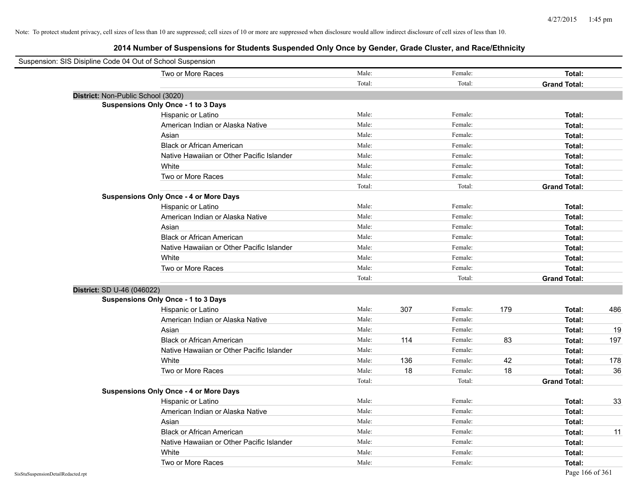| Suspension: SIS Disipline Code 04 Out of School Suspension |                                               |        |     |         |     |                     |     |
|------------------------------------------------------------|-----------------------------------------------|--------|-----|---------|-----|---------------------|-----|
|                                                            | Two or More Races                             | Male:  |     | Female: |     | Total:              |     |
|                                                            |                                               | Total: |     | Total:  |     | <b>Grand Total:</b> |     |
| District: Non-Public School (3020)                         |                                               |        |     |         |     |                     |     |
|                                                            | <b>Suspensions Only Once - 1 to 3 Days</b>    |        |     |         |     |                     |     |
|                                                            | Hispanic or Latino                            | Male:  |     | Female: |     | Total:              |     |
|                                                            | American Indian or Alaska Native              | Male:  |     | Female: |     | Total:              |     |
|                                                            | Asian                                         | Male:  |     | Female: |     | Total:              |     |
|                                                            | <b>Black or African American</b>              | Male:  |     | Female: |     | Total:              |     |
|                                                            | Native Hawaiian or Other Pacific Islander     | Male:  |     | Female: |     | Total:              |     |
|                                                            | White                                         | Male:  |     | Female: |     | Total:              |     |
|                                                            | Two or More Races                             | Male:  |     | Female: |     | Total:              |     |
|                                                            |                                               | Total: |     | Total:  |     | <b>Grand Total:</b> |     |
|                                                            | <b>Suspensions Only Once - 4 or More Days</b> |        |     |         |     |                     |     |
|                                                            | Hispanic or Latino                            | Male:  |     | Female: |     | Total:              |     |
|                                                            | American Indian or Alaska Native              | Male:  |     | Female: |     | Total:              |     |
|                                                            | Asian                                         | Male:  |     | Female: |     | Total:              |     |
|                                                            | <b>Black or African American</b>              | Male:  |     | Female: |     | Total:              |     |
|                                                            | Native Hawaiian or Other Pacific Islander     | Male:  |     | Female: |     | Total:              |     |
|                                                            | White                                         | Male:  |     | Female: |     | Total:              |     |
|                                                            | Two or More Races                             | Male:  |     | Female: |     | Total:              |     |
|                                                            |                                               | Total: |     | Total:  |     | <b>Grand Total:</b> |     |
| District: SD U-46 (046022)                                 |                                               |        |     |         |     |                     |     |
|                                                            | Suspensions Only Once - 1 to 3 Days           |        |     |         |     |                     |     |
|                                                            | Hispanic or Latino                            | Male:  | 307 | Female: | 179 | Total:              | 486 |
|                                                            | American Indian or Alaska Native              | Male:  |     | Female: |     | Total:              |     |
|                                                            | Asian                                         | Male:  |     | Female: |     | Total:              | 19  |
|                                                            | <b>Black or African American</b>              | Male:  | 114 | Female: | 83  | Total:              | 197 |
|                                                            | Native Hawaiian or Other Pacific Islander     | Male:  |     | Female: |     | Total:              |     |
|                                                            | White                                         | Male:  | 136 | Female: | 42  | Total:              | 178 |
|                                                            | Two or More Races                             | Male:  | 18  | Female: | 18  | Total:              | 36  |
|                                                            |                                               | Total: |     | Total:  |     | <b>Grand Total:</b> |     |
|                                                            | <b>Suspensions Only Once - 4 or More Days</b> |        |     |         |     |                     |     |
|                                                            | Hispanic or Latino                            | Male:  |     | Female: |     | Total:              | 33  |
|                                                            | American Indian or Alaska Native              | Male:  |     | Female: |     | Total:              |     |
|                                                            | Asian                                         | Male:  |     | Female: |     | Total:              |     |
|                                                            | <b>Black or African American</b>              | Male:  |     | Female: |     | Total:              | 11  |
|                                                            | Native Hawaiian or Other Pacific Islander     | Male:  |     | Female: |     | Total:              |     |
|                                                            | White                                         | Male:  |     | Female: |     | Total:              |     |
|                                                            | Two or More Races                             | Male:  |     | Female: |     | Total:              |     |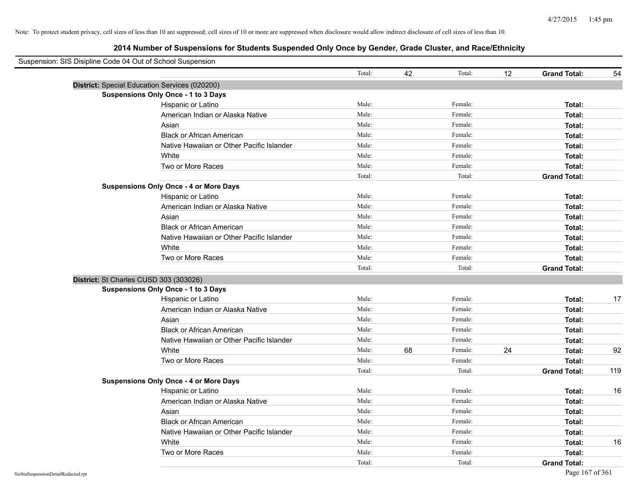| Suspension: SIS Disipline Code 04 Out of School Suspension |                                               |        |    |         |    |                     |     |
|------------------------------------------------------------|-----------------------------------------------|--------|----|---------|----|---------------------|-----|
|                                                            |                                               | Total: | 42 | Total:  | 12 | <b>Grand Total:</b> | 54  |
| District: Special Education Services (020200)              |                                               |        |    |         |    |                     |     |
|                                                            | <b>Suspensions Only Once - 1 to 3 Days</b>    |        |    |         |    |                     |     |
|                                                            | Hispanic or Latino                            | Male:  |    | Female: |    | Total:              |     |
|                                                            | American Indian or Alaska Native              | Male:  |    | Female: |    | Total:              |     |
|                                                            | Asian                                         | Male:  |    | Female: |    | Total:              |     |
|                                                            | <b>Black or African American</b>              | Male:  |    | Female: |    | Total:              |     |
|                                                            | Native Hawaiian or Other Pacific Islander     | Male:  |    | Female: |    | Total:              |     |
|                                                            | White                                         | Male:  |    | Female: |    | Total:              |     |
|                                                            | Two or More Races                             | Male:  |    | Female: |    | Total:              |     |
|                                                            |                                               | Total: |    | Total:  |    | <b>Grand Total:</b> |     |
|                                                            | <b>Suspensions Only Once - 4 or More Days</b> |        |    |         |    |                     |     |
|                                                            | Hispanic or Latino                            | Male:  |    | Female: |    | Total:              |     |
|                                                            | American Indian or Alaska Native              | Male:  |    | Female: |    | Total:              |     |
|                                                            | Asian                                         | Male:  |    | Female: |    | Total:              |     |
|                                                            | <b>Black or African American</b>              | Male:  |    | Female: |    | Total:              |     |
|                                                            | Native Hawaiian or Other Pacific Islander     | Male:  |    | Female: |    | Total:              |     |
|                                                            | White                                         | Male:  |    | Female: |    | Total:              |     |
|                                                            | Two or More Races                             | Male:  |    | Female: |    | Total:              |     |
|                                                            |                                               | Total: |    | Total:  |    | <b>Grand Total:</b> |     |
| District: St Charles CUSD 303 (303026)                     |                                               |        |    |         |    |                     |     |
|                                                            | <b>Suspensions Only Once - 1 to 3 Days</b>    |        |    |         |    |                     |     |
|                                                            | Hispanic or Latino                            | Male:  |    | Female: |    | Total:              | 17  |
|                                                            | American Indian or Alaska Native              | Male:  |    | Female: |    | Total:              |     |
|                                                            | Asian                                         | Male:  |    | Female: |    | Total:              |     |
|                                                            | <b>Black or African American</b>              | Male:  |    | Female: |    | Total:              |     |
|                                                            | Native Hawaiian or Other Pacific Islander     | Male:  |    | Female: |    | Total:              |     |
|                                                            | White                                         | Male:  | 68 | Female: | 24 | Total:              | 92  |
|                                                            | Two or More Races                             | Male:  |    | Female: |    | Total:              |     |
|                                                            |                                               | Total: |    | Total:  |    | <b>Grand Total:</b> | 119 |
|                                                            | <b>Suspensions Only Once - 4 or More Days</b> |        |    |         |    |                     |     |
|                                                            | Hispanic or Latino                            | Male:  |    | Female: |    | Total:              | 16  |
|                                                            | American Indian or Alaska Native              | Male:  |    | Female: |    | Total:              |     |
|                                                            | Asian                                         | Male:  |    | Female: |    | Total:              |     |
|                                                            | <b>Black or African American</b>              | Male:  |    | Female: |    | Total:              |     |
|                                                            | Native Hawaiian or Other Pacific Islander     | Male:  |    | Female: |    | Total:              |     |
|                                                            | White                                         | Male:  |    | Female: |    | Total:              | 16  |
|                                                            | Two or More Races                             | Male:  |    | Female: |    | Total:              |     |
|                                                            |                                               | Total: |    | Total:  |    | <b>Grand Total:</b> |     |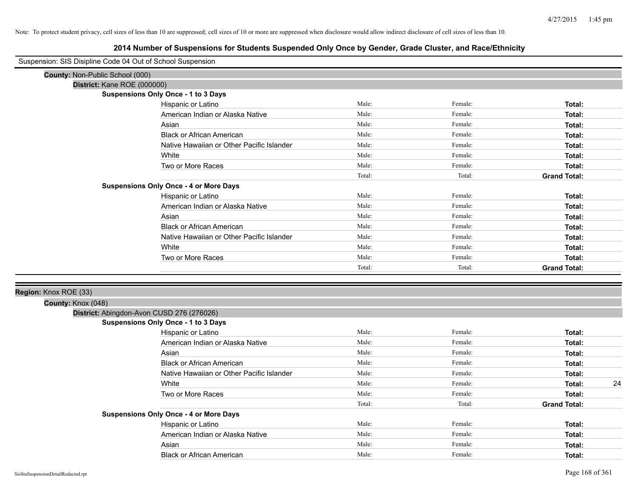| Suspension: SIS Disipline Code 04 Out of School Suspension |                                                                                  |        |         |                     |
|------------------------------------------------------------|----------------------------------------------------------------------------------|--------|---------|---------------------|
| County: Non-Public School (000)                            |                                                                                  |        |         |                     |
| District: Kane ROE (000000)                                |                                                                                  |        |         |                     |
|                                                            | Suspensions Only Once - 1 to 3 Days                                              |        |         |                     |
|                                                            | Hispanic or Latino                                                               | Male:  | Female: | Total:              |
|                                                            | American Indian or Alaska Native                                                 | Male:  | Female: | Total:              |
|                                                            | Asian                                                                            | Male:  | Female: | Total:              |
|                                                            | <b>Black or African American</b>                                                 | Male:  | Female: | Total:              |
|                                                            | Native Hawaiian or Other Pacific Islander                                        | Male:  | Female: | Total:              |
|                                                            | White                                                                            | Male:  | Female: | Total:              |
|                                                            | Two or More Races                                                                | Male:  | Female: | Total:              |
|                                                            |                                                                                  | Total: | Total:  | <b>Grand Total:</b> |
|                                                            | <b>Suspensions Only Once - 4 or More Days</b>                                    |        |         |                     |
|                                                            | Hispanic or Latino                                                               | Male:  | Female: | Total:              |
|                                                            | American Indian or Alaska Native                                                 | Male:  | Female: | Total:              |
|                                                            | Asian                                                                            | Male:  | Female: | Total:              |
|                                                            | <b>Black or African American</b>                                                 | Male:  | Female: | Total:              |
|                                                            | Native Hawaiian or Other Pacific Islander                                        | Male:  | Female: | Total:              |
|                                                            | White                                                                            | Male:  | Female: | Total:              |
|                                                            | Two or More Races                                                                | Male:  | Female: | Total:              |
|                                                            |                                                                                  | Total: | Total:  | <b>Grand Total:</b> |
|                                                            |                                                                                  |        |         |                     |
| Region: Knox ROE (33)                                      |                                                                                  |        |         |                     |
| County: Knox (048)                                         |                                                                                  |        |         |                     |
|                                                            | District: Abingdon-Avon CUSD 276 (276026)<br>Suspensions Only Once - 1 to 3 Days |        |         |                     |
|                                                            | Hispanic or Latino                                                               | Male:  | Female: | Total:              |
|                                                            | American Indian or Alaska Native                                                 | Male:  | Female: |                     |
|                                                            |                                                                                  | Male:  | Female: | Total:              |
|                                                            | Asian                                                                            | Male:  | Female: | Total:              |
|                                                            | <b>Black or African American</b>                                                 | Male:  | Female: | Total:              |
|                                                            | Native Hawaiian or Other Pacific Islander                                        | Male:  | Female: | Total:              |
|                                                            | White                                                                            | Male:  |         | 24<br>Total:        |
|                                                            | Two or More Races                                                                |        | Female: | Total:              |
|                                                            |                                                                                  | Total: | Total:  | <b>Grand Total:</b> |
|                                                            | <b>Suspensions Only Once - 4 or More Days</b>                                    |        |         |                     |
|                                                            | Hispanic or Latino                                                               | Male:  | Female: | Total:              |
|                                                            | American Indian or Alaska Native                                                 | Male:  | Female: | Total:              |
|                                                            | Asian                                                                            | Male:  | Female: | Total:              |
|                                                            | <b>Black or African American</b>                                                 | Male:  | Female: | Total:              |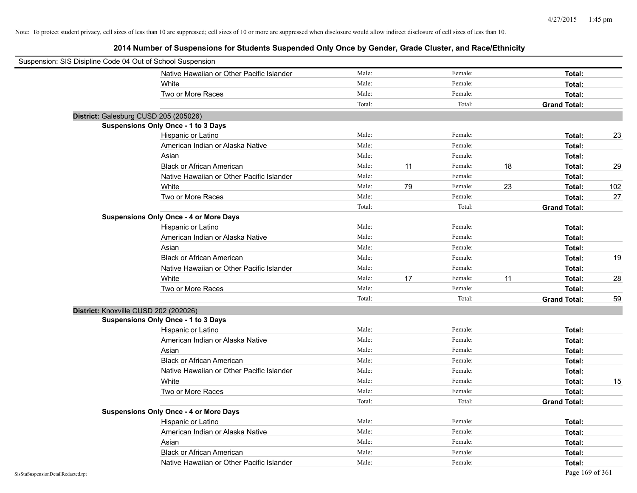| Suspension: SIS Disipline Code 04 Out of School Suspension |        |    |         |    |                     |     |
|------------------------------------------------------------|--------|----|---------|----|---------------------|-----|
| Native Hawaiian or Other Pacific Islander                  | Male:  |    | Female: |    | Total:              |     |
| White                                                      | Male:  |    | Female: |    | Total:              |     |
| Two or More Races                                          | Male:  |    | Female: |    | Total:              |     |
|                                                            | Total: |    | Total:  |    | <b>Grand Total:</b> |     |
| District: Galesburg CUSD 205 (205026)                      |        |    |         |    |                     |     |
| <b>Suspensions Only Once - 1 to 3 Days</b>                 |        |    |         |    |                     |     |
| Hispanic or Latino                                         | Male:  |    | Female: |    | Total:              | 23  |
| American Indian or Alaska Native                           | Male:  |    | Female: |    | Total:              |     |
| Asian                                                      | Male:  |    | Female: |    | Total:              |     |
| <b>Black or African American</b>                           | Male:  | 11 | Female: | 18 | Total:              | 29  |
| Native Hawaiian or Other Pacific Islander                  | Male:  |    | Female: |    | Total:              |     |
| White                                                      | Male:  | 79 | Female: | 23 | Total:              | 102 |
| Two or More Races                                          | Male:  |    | Female: |    | Total:              | 27  |
|                                                            | Total: |    | Total:  |    | <b>Grand Total:</b> |     |
| <b>Suspensions Only Once - 4 or More Days</b>              |        |    |         |    |                     |     |
| Hispanic or Latino                                         | Male:  |    | Female: |    | Total:              |     |
| American Indian or Alaska Native                           | Male:  |    | Female: |    | Total:              |     |
| Asian                                                      | Male:  |    | Female: |    | Total:              |     |
| <b>Black or African American</b>                           | Male:  |    | Female: |    | Total:              | 19  |
| Native Hawaiian or Other Pacific Islander                  | Male:  |    | Female: |    | Total:              |     |
| White                                                      | Male:  | 17 | Female: | 11 | Total:              | 28  |
| Two or More Races                                          | Male:  |    | Female: |    | Total:              |     |
|                                                            | Total: |    | Total:  |    | <b>Grand Total:</b> | 59  |
| District: Knoxville CUSD 202 (202026)                      |        |    |         |    |                     |     |
| <b>Suspensions Only Once - 1 to 3 Days</b>                 |        |    |         |    |                     |     |
| Hispanic or Latino                                         | Male:  |    | Female: |    | Total:              |     |
| American Indian or Alaska Native                           | Male:  |    | Female: |    | Total:              |     |
| Asian                                                      | Male:  |    | Female: |    | Total:              |     |
| <b>Black or African American</b>                           | Male:  |    | Female: |    | Total:              |     |
| Native Hawaiian or Other Pacific Islander                  | Male:  |    | Female: |    | Total:              |     |
| White                                                      | Male:  |    | Female: |    | Total:              | 15  |
| Two or More Races                                          | Male:  |    | Female: |    | Total:              |     |
|                                                            | Total: |    | Total:  |    | <b>Grand Total:</b> |     |
| <b>Suspensions Only Once - 4 or More Days</b>              |        |    |         |    |                     |     |
| Hispanic or Latino                                         | Male:  |    | Female: |    | Total:              |     |
| American Indian or Alaska Native                           | Male:  |    | Female: |    | Total:              |     |
| Asian                                                      | Male:  |    | Female: |    | Total:              |     |
| <b>Black or African American</b>                           | Male:  |    | Female: |    | Total:              |     |
| Native Hawaiian or Other Pacific Islander                  | Male:  |    | Female: |    | Total:              |     |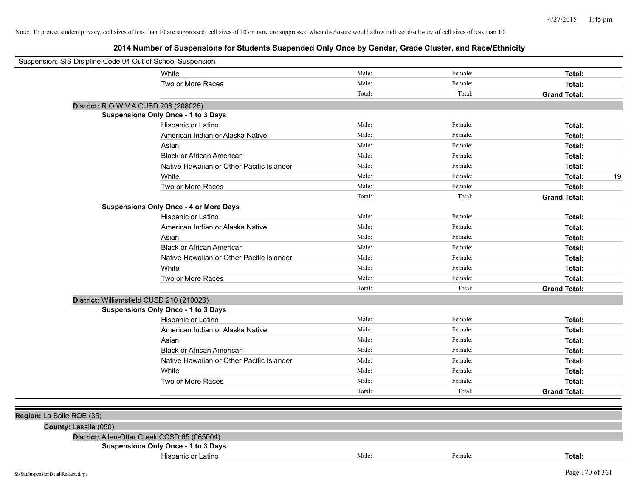| Suspension: SIS Disipline Code 04 Out of School Suspension |                                               |        |         |                     |
|------------------------------------------------------------|-----------------------------------------------|--------|---------|---------------------|
|                                                            | White                                         | Male:  | Female: | Total:              |
|                                                            | Two or More Races                             | Male:  | Female: | Total:              |
|                                                            |                                               | Total: | Total:  | <b>Grand Total:</b> |
|                                                            | District: R O W V A CUSD 208 (208026)         |        |         |                     |
|                                                            | Suspensions Only Once - 1 to 3 Days           |        |         |                     |
|                                                            | Hispanic or Latino                            | Male:  | Female: | Total:              |
|                                                            | American Indian or Alaska Native              | Male:  | Female: | Total:              |
|                                                            | Asian                                         | Male:  | Female: | Total:              |
|                                                            | <b>Black or African American</b>              | Male:  | Female: | Total:              |
|                                                            | Native Hawaiian or Other Pacific Islander     | Male:  | Female: | Total:              |
|                                                            | White                                         | Male:  | Female: | 19<br>Total:        |
|                                                            | Two or More Races                             | Male:  | Female: | Total:              |
|                                                            |                                               | Total: | Total:  | <b>Grand Total:</b> |
|                                                            | <b>Suspensions Only Once - 4 or More Days</b> |        |         |                     |
|                                                            | Hispanic or Latino                            | Male:  | Female: | Total:              |
|                                                            | American Indian or Alaska Native              | Male:  | Female: | Total:              |
|                                                            | Asian                                         | Male:  | Female: | Total:              |
|                                                            | <b>Black or African American</b>              | Male:  | Female: | Total:              |
|                                                            | Native Hawaiian or Other Pacific Islander     | Male:  | Female: | Total:              |
|                                                            | White                                         | Male:  | Female: | Total:              |
|                                                            | Two or More Races                             | Male:  | Female: | Total:              |
|                                                            |                                               | Total: | Total:  | <b>Grand Total:</b> |
|                                                            | District: Williamsfield CUSD 210 (210026)     |        |         |                     |
|                                                            | <b>Suspensions Only Once - 1 to 3 Days</b>    |        |         |                     |
|                                                            | Hispanic or Latino                            | Male:  | Female: | Total:              |
|                                                            | American Indian or Alaska Native              | Male:  | Female: | Total:              |
|                                                            | Asian                                         | Male:  | Female: | Total:              |
|                                                            | <b>Black or African American</b>              | Male:  | Female: | Total:              |
|                                                            | Native Hawaiian or Other Pacific Islander     | Male:  | Female: | Total:              |
|                                                            | White                                         | Male:  | Female: | Total:              |
|                                                            | Two or More Races                             | Male:  | Female: | Total:              |
|                                                            |                                               | Total: | Total:  | <b>Grand Total:</b> |
|                                                            |                                               |        |         |                     |
| Region: La Salle ROE (35)                                  |                                               |        |         |                     |
| County: Lasalle (050)                                      |                                               |        |         |                     |
|                                                            | District: Allen-Otter Creek CCSD 65 (065004)  |        |         |                     |
|                                                            | Suspensions Only Once - 1 to 3 Days           |        |         |                     |
|                                                            | Hispanic or Latino                            | Male:  | Female: | Total:              |
| SisStuSuspensionDetailRedacted.rpt                         |                                               |        |         | Page 170 of 361     |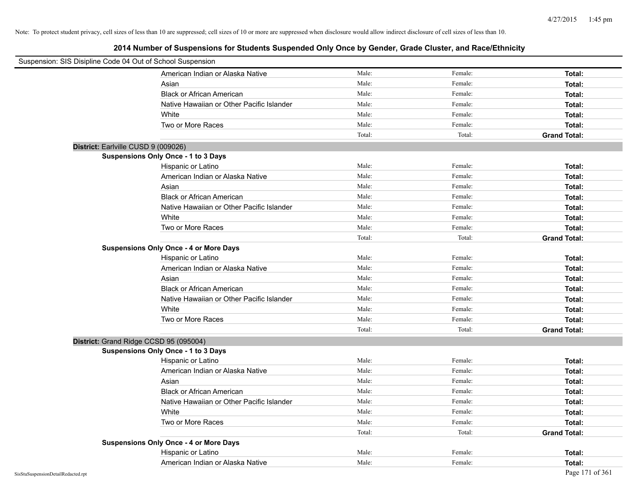| Suspension: SIS Disipline Code 04 Out of School Suspension |                                               |        |         |                     |
|------------------------------------------------------------|-----------------------------------------------|--------|---------|---------------------|
|                                                            | American Indian or Alaska Native              | Male:  | Female: | Total:              |
|                                                            | Asian                                         | Male:  | Female: | Total:              |
|                                                            | <b>Black or African American</b>              | Male:  | Female: | Total:              |
|                                                            | Native Hawaiian or Other Pacific Islander     | Male:  | Female: | Total:              |
|                                                            | White                                         | Male:  | Female: | Total:              |
|                                                            | Two or More Races                             | Male:  | Female: | Total:              |
|                                                            |                                               | Total: | Total:  | <b>Grand Total:</b> |
| District: Earlville CUSD 9 (009026)                        |                                               |        |         |                     |
|                                                            | Suspensions Only Once - 1 to 3 Days           |        |         |                     |
|                                                            | Hispanic or Latino                            | Male:  | Female: | Total:              |
|                                                            | American Indian or Alaska Native              | Male:  | Female: | Total:              |
|                                                            | Asian                                         | Male:  | Female: | Total:              |
|                                                            | <b>Black or African American</b>              | Male:  | Female: | Total:              |
|                                                            | Native Hawaiian or Other Pacific Islander     | Male:  | Female: | Total:              |
|                                                            | White                                         | Male:  | Female: | Total:              |
|                                                            | Two or More Races                             | Male:  | Female: | Total:              |
|                                                            |                                               | Total: | Total:  | <b>Grand Total:</b> |
|                                                            | <b>Suspensions Only Once - 4 or More Days</b> |        |         |                     |
|                                                            | Hispanic or Latino                            | Male:  | Female: | Total:              |
|                                                            | American Indian or Alaska Native              | Male:  | Female: | Total:              |
|                                                            | Asian                                         | Male:  | Female: | Total:              |
|                                                            | <b>Black or African American</b>              | Male:  | Female: | Total:              |
|                                                            | Native Hawaiian or Other Pacific Islander     | Male:  | Female: | Total:              |
|                                                            | White                                         | Male:  | Female: | Total:              |
|                                                            | Two or More Races                             | Male:  | Female: | Total:              |
|                                                            |                                               | Total: | Total:  | <b>Grand Total:</b> |
| District: Grand Ridge CCSD 95 (095004)                     |                                               |        |         |                     |
|                                                            | <b>Suspensions Only Once - 1 to 3 Days</b>    |        |         |                     |
|                                                            | Hispanic or Latino                            | Male:  | Female: | Total:              |
|                                                            | American Indian or Alaska Native              | Male:  | Female: | Total:              |
|                                                            | Asian                                         | Male:  | Female: | Total:              |
|                                                            | <b>Black or African American</b>              | Male:  | Female: | Total:              |
|                                                            | Native Hawaiian or Other Pacific Islander     | Male:  | Female: | Total:              |
|                                                            | White                                         | Male:  | Female: | Total:              |
|                                                            | Two or More Races                             | Male:  | Female: | Total:              |
|                                                            |                                               | Total: | Total:  | <b>Grand Total:</b> |
|                                                            | <b>Suspensions Only Once - 4 or More Days</b> |        |         |                     |
|                                                            | Hispanic or Latino                            | Male:  | Female: | Total:              |
|                                                            | American Indian or Alaska Native              | Male:  | Female: | Total:              |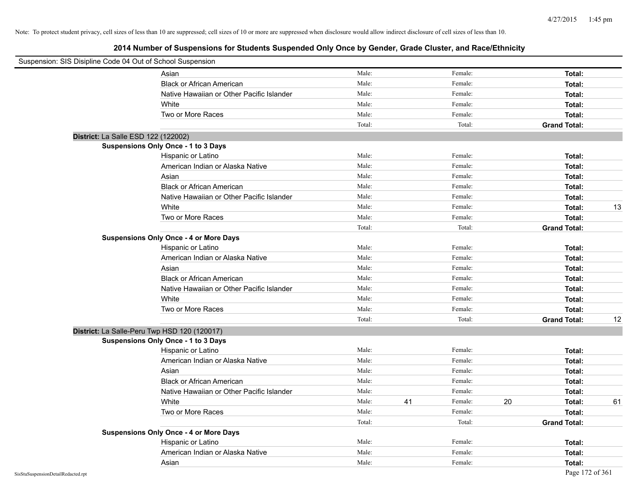| Suspension: SIS Disipline Code 04 Out of School Suspension |                                               |        |    |         |    |                     |    |
|------------------------------------------------------------|-----------------------------------------------|--------|----|---------|----|---------------------|----|
|                                                            | Asian                                         | Male:  |    | Female: |    | Total:              |    |
|                                                            | <b>Black or African American</b>              | Male:  |    | Female: |    | Total:              |    |
|                                                            | Native Hawaiian or Other Pacific Islander     | Male:  |    | Female: |    | Total:              |    |
|                                                            | White                                         | Male:  |    | Female: |    | Total:              |    |
|                                                            | Two or More Races                             | Male:  |    | Female: |    | Total:              |    |
|                                                            |                                               | Total: |    | Total:  |    | <b>Grand Total:</b> |    |
| District: La Salle ESD 122 (122002)                        |                                               |        |    |         |    |                     |    |
|                                                            | Suspensions Only Once - 1 to 3 Days           |        |    |         |    |                     |    |
|                                                            | Hispanic or Latino                            | Male:  |    | Female: |    | Total:              |    |
|                                                            | American Indian or Alaska Native              | Male:  |    | Female: |    | Total:              |    |
|                                                            | Asian                                         | Male:  |    | Female: |    | Total:              |    |
|                                                            | <b>Black or African American</b>              | Male:  |    | Female: |    | Total:              |    |
|                                                            | Native Hawaiian or Other Pacific Islander     | Male:  |    | Female: |    | Total:              |    |
|                                                            | White                                         | Male:  |    | Female: |    | Total:              | 13 |
|                                                            | Two or More Races                             | Male:  |    | Female: |    | Total:              |    |
|                                                            |                                               | Total: |    | Total:  |    | <b>Grand Total:</b> |    |
|                                                            | <b>Suspensions Only Once - 4 or More Days</b> |        |    |         |    |                     |    |
|                                                            | Hispanic or Latino                            | Male:  |    | Female: |    | Total:              |    |
|                                                            | American Indian or Alaska Native              | Male:  |    | Female: |    | Total:              |    |
|                                                            | Asian                                         | Male:  |    | Female: |    | Total:              |    |
|                                                            | <b>Black or African American</b>              | Male:  |    | Female: |    | Total:              |    |
|                                                            | Native Hawaiian or Other Pacific Islander     | Male:  |    | Female: |    | Total:              |    |
|                                                            | White                                         | Male:  |    | Female: |    | Total:              |    |
|                                                            | Two or More Races                             | Male:  |    | Female: |    | Total:              |    |
|                                                            |                                               | Total: |    | Total:  |    | <b>Grand Total:</b> | 12 |
| District: La Salle-Peru Twp HSD 120 (120017)               |                                               |        |    |         |    |                     |    |
|                                                            | Suspensions Only Once - 1 to 3 Days           |        |    |         |    |                     |    |
|                                                            | Hispanic or Latino                            | Male:  |    | Female: |    | Total:              |    |
|                                                            | American Indian or Alaska Native              | Male:  |    | Female: |    | Total:              |    |
|                                                            | Asian                                         | Male:  |    | Female: |    | Total:              |    |
|                                                            | <b>Black or African American</b>              | Male:  |    | Female: |    | Total:              |    |
|                                                            | Native Hawaiian or Other Pacific Islander     | Male:  |    | Female: |    | Total:              |    |
|                                                            | White                                         | Male:  | 41 | Female: | 20 | Total:              | 61 |
|                                                            | Two or More Races                             | Male:  |    | Female: |    | Total:              |    |
|                                                            |                                               | Total: |    | Total:  |    | <b>Grand Total:</b> |    |
|                                                            | <b>Suspensions Only Once - 4 or More Days</b> |        |    |         |    |                     |    |
|                                                            | Hispanic or Latino                            | Male:  |    | Female: |    | Total:              |    |
|                                                            | American Indian or Alaska Native              | Male:  |    | Female: |    | Total:              |    |
|                                                            | Asian                                         | Male:  |    | Female: |    | Total:              |    |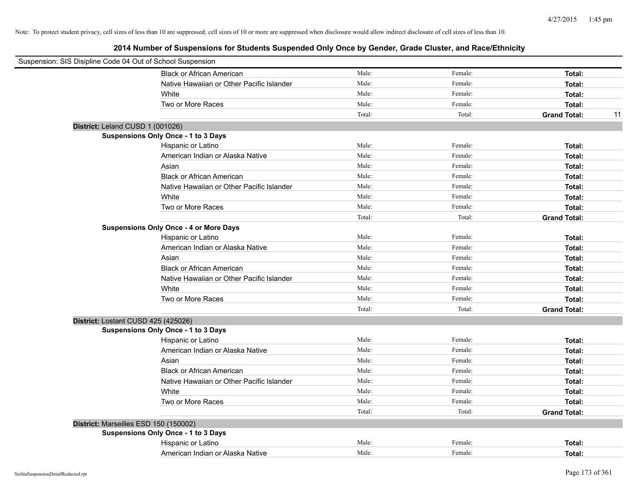| Suspension: SIS Disipline Code 04 Out of School Suspension |                                           |        |         |                     |    |
|------------------------------------------------------------|-------------------------------------------|--------|---------|---------------------|----|
|                                                            | <b>Black or African American</b>          | Male:  | Female: | Total:              |    |
|                                                            | Native Hawaiian or Other Pacific Islander | Male:  | Female: | Total:              |    |
| White                                                      |                                           | Male:  | Female: | Total:              |    |
| Two or More Races                                          |                                           | Male:  | Female: | Total:              |    |
|                                                            |                                           | Total: | Total:  | <b>Grand Total:</b> | 11 |
| District: Leland CUSD 1 (001026)                           |                                           |        |         |                     |    |
| <b>Suspensions Only Once - 1 to 3 Days</b>                 |                                           |        |         |                     |    |
| Hispanic or Latino                                         |                                           | Male:  | Female: | Total:              |    |
|                                                            | American Indian or Alaska Native          | Male:  | Female: | Total:              |    |
| Asian                                                      |                                           | Male:  | Female: | Total:              |    |
|                                                            | <b>Black or African American</b>          | Male:  | Female: | Total:              |    |
|                                                            | Native Hawaiian or Other Pacific Islander | Male:  | Female: | Total:              |    |
| White                                                      |                                           | Male:  | Female: | Total:              |    |
| Two or More Races                                          |                                           | Male:  | Female: | Total:              |    |
|                                                            |                                           | Total: | Total:  | <b>Grand Total:</b> |    |
| <b>Suspensions Only Once - 4 or More Days</b>              |                                           |        |         |                     |    |
| Hispanic or Latino                                         |                                           | Male:  | Female: | Total:              |    |
|                                                            | American Indian or Alaska Native          | Male:  | Female: | Total:              |    |
| Asian                                                      |                                           | Male:  | Female: | Total:              |    |
|                                                            | <b>Black or African American</b>          | Male:  | Female: | Total:              |    |
|                                                            | Native Hawaiian or Other Pacific Islander | Male:  | Female: | Total:              |    |
| White                                                      |                                           | Male:  | Female: | Total:              |    |
| Two or More Races                                          |                                           | Male:  | Female: | Total:              |    |
|                                                            |                                           | Total: | Total:  | <b>Grand Total:</b> |    |
| District: Lostant CUSD 425 (425026)                        |                                           |        |         |                     |    |
| <b>Suspensions Only Once - 1 to 3 Days</b>                 |                                           |        |         |                     |    |
| Hispanic or Latino                                         |                                           | Male:  | Female: | Total:              |    |
|                                                            | American Indian or Alaska Native          | Male:  | Female: | Total:              |    |
| Asian                                                      |                                           | Male:  | Female: | Total:              |    |
|                                                            | <b>Black or African American</b>          | Male:  | Female: | Total:              |    |
|                                                            | Native Hawaiian or Other Pacific Islander | Male:  | Female: | Total:              |    |
| White                                                      |                                           | Male:  | Female: | Total:              |    |
| Two or More Races                                          |                                           | Male:  | Female: | Total:              |    |
|                                                            |                                           | Total: | Total:  | <b>Grand Total:</b> |    |
| District: Marseilles ESD 150 (150002)                      |                                           |        |         |                     |    |
| <b>Suspensions Only Once - 1 to 3 Days</b>                 |                                           |        |         |                     |    |
| Hispanic or Latino                                         |                                           | Male:  | Female: | Total:              |    |
|                                                            | American Indian or Alaska Native          | Male:  | Female: | Total:              |    |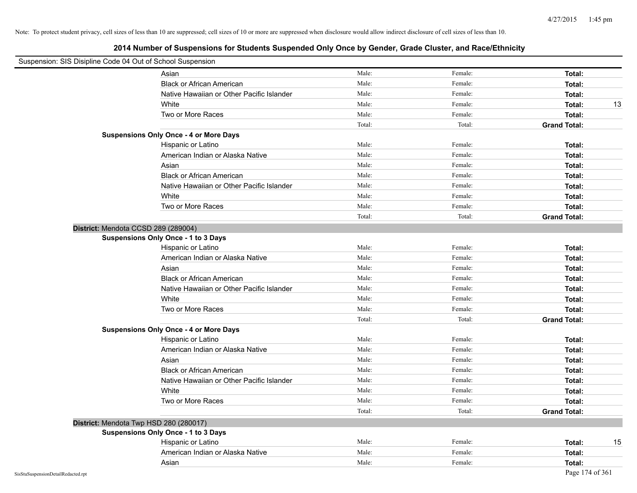| Suspension: SIS Disipline Code 04 Out of School Suspension |                                               |        |         |                     |
|------------------------------------------------------------|-----------------------------------------------|--------|---------|---------------------|
|                                                            | Asian                                         | Male:  | Female: | Total:              |
|                                                            | <b>Black or African American</b>              | Male:  | Female: | Total:              |
|                                                            | Native Hawaiian or Other Pacific Islander     | Male:  | Female: | Total:              |
|                                                            | White                                         | Male:  | Female: | 13<br>Total:        |
|                                                            | Two or More Races                             | Male:  | Female: | Total:              |
|                                                            |                                               | Total: | Total:  | <b>Grand Total:</b> |
|                                                            | <b>Suspensions Only Once - 4 or More Days</b> |        |         |                     |
|                                                            | Hispanic or Latino                            | Male:  | Female: | Total:              |
|                                                            | American Indian or Alaska Native              | Male:  | Female: | Total:              |
|                                                            | Asian                                         | Male:  | Female: | Total:              |
|                                                            | <b>Black or African American</b>              | Male:  | Female: | Total:              |
|                                                            | Native Hawaiian or Other Pacific Islander     | Male:  | Female: | Total:              |
|                                                            | White                                         | Male:  | Female: | Total:              |
|                                                            | Two or More Races                             | Male:  | Female: | Total:              |
|                                                            |                                               | Total: | Total:  | <b>Grand Total:</b> |
| District: Mendota CCSD 289 (289004)                        |                                               |        |         |                     |
|                                                            | Suspensions Only Once - 1 to 3 Days           |        |         |                     |
|                                                            | Hispanic or Latino                            | Male:  | Female: | Total:              |
|                                                            | American Indian or Alaska Native              | Male:  | Female: | Total:              |
|                                                            | Asian                                         | Male:  | Female: | Total:              |
|                                                            | <b>Black or African American</b>              | Male:  | Female: | Total:              |
|                                                            | Native Hawaiian or Other Pacific Islander     | Male:  | Female: | Total:              |
|                                                            | White                                         | Male:  | Female: | Total:              |
|                                                            | Two or More Races                             | Male:  | Female: | Total:              |
|                                                            |                                               | Total: | Total:  | <b>Grand Total:</b> |
|                                                            | <b>Suspensions Only Once - 4 or More Days</b> |        |         |                     |
|                                                            | Hispanic or Latino                            | Male:  | Female: | Total:              |
|                                                            | American Indian or Alaska Native              | Male:  | Female: | Total:              |
|                                                            | Asian                                         | Male:  | Female: | Total:              |
|                                                            | <b>Black or African American</b>              | Male:  | Female: | Total:              |
|                                                            | Native Hawaiian or Other Pacific Islander     | Male:  | Female: | Total:              |
|                                                            | White                                         | Male:  | Female: | Total:              |
|                                                            | Two or More Races                             | Male:  | Female: | Total:              |
|                                                            |                                               | Total: | Total:  | <b>Grand Total:</b> |
| District: Mendota Twp HSD 280 (280017)                     |                                               |        |         |                     |
|                                                            | Suspensions Only Once - 1 to 3 Days           |        |         |                     |
|                                                            | Hispanic or Latino                            | Male:  | Female: | Total:<br>15        |
|                                                            | American Indian or Alaska Native              | Male:  | Female: | Total:              |
|                                                            | Asian                                         | Male:  | Female: | Total:              |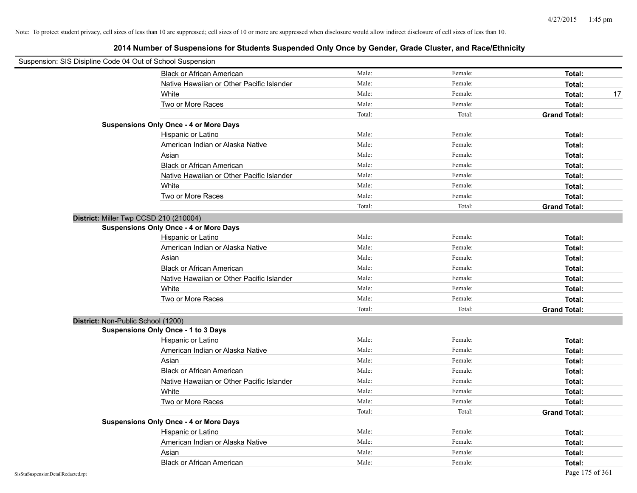| Suspension: SIS Disipline Code 04 Out of School Suspension |                                               |        |         |                     |
|------------------------------------------------------------|-----------------------------------------------|--------|---------|---------------------|
|                                                            | <b>Black or African American</b>              | Male:  | Female: | Total:              |
|                                                            | Native Hawaiian or Other Pacific Islander     | Male:  | Female: | Total:              |
|                                                            | White                                         | Male:  | Female: | Total:<br>17        |
|                                                            | Two or More Races                             | Male:  | Female: | Total:              |
|                                                            |                                               | Total: | Total:  | <b>Grand Total:</b> |
|                                                            | <b>Suspensions Only Once - 4 or More Days</b> |        |         |                     |
|                                                            | Hispanic or Latino                            | Male:  | Female: | Total:              |
|                                                            | American Indian or Alaska Native              | Male:  | Female: | Total:              |
|                                                            | Asian                                         | Male:  | Female: | Total:              |
|                                                            | <b>Black or African American</b>              | Male:  | Female: | Total:              |
|                                                            | Native Hawaiian or Other Pacific Islander     | Male:  | Female: | Total:              |
|                                                            | White                                         | Male:  | Female: | Total:              |
|                                                            | Two or More Races                             | Male:  | Female: | Total:              |
|                                                            |                                               | Total: | Total:  | <b>Grand Total:</b> |
|                                                            | District: Miller Twp CCSD 210 (210004)        |        |         |                     |
|                                                            | <b>Suspensions Only Once - 4 or More Days</b> |        |         |                     |
|                                                            | Hispanic or Latino                            | Male:  | Female: | Total:              |
|                                                            | American Indian or Alaska Native              | Male:  | Female: | Total:              |
|                                                            | Asian                                         | Male:  | Female: | Total:              |
|                                                            | <b>Black or African American</b>              | Male:  | Female: | Total:              |
|                                                            | Native Hawaiian or Other Pacific Islander     | Male:  | Female: | Total:              |
|                                                            | White                                         | Male:  | Female: | Total:              |
|                                                            | Two or More Races                             | Male:  | Female: | Total:              |
|                                                            |                                               | Total: | Total:  | <b>Grand Total:</b> |
| District: Non-Public School (1200)                         |                                               |        |         |                     |
|                                                            | <b>Suspensions Only Once - 1 to 3 Days</b>    |        |         |                     |
|                                                            | Hispanic or Latino                            | Male:  | Female: | Total:              |
|                                                            | American Indian or Alaska Native              | Male:  | Female: | Total:              |
|                                                            | Asian                                         | Male:  | Female: | Total:              |
|                                                            | <b>Black or African American</b>              | Male:  | Female: | Total:              |
|                                                            | Native Hawaiian or Other Pacific Islander     | Male:  | Female: | Total:              |
|                                                            | White                                         | Male:  | Female: | Total:              |
|                                                            | Two or More Races                             | Male:  | Female: | Total:              |
|                                                            |                                               | Total: | Total:  | <b>Grand Total:</b> |
|                                                            | <b>Suspensions Only Once - 4 or More Days</b> |        |         |                     |
|                                                            | Hispanic or Latino                            | Male:  | Female: | Total:              |
|                                                            | American Indian or Alaska Native              | Male:  | Female: | Total:              |
|                                                            | Asian                                         | Male:  | Female: | Total:              |
|                                                            | <b>Black or African American</b>              | Male:  | Female: | Total:              |
| SisStuSuspensionDetailRedacted.rpt                         |                                               |        |         | Page 175 of 361     |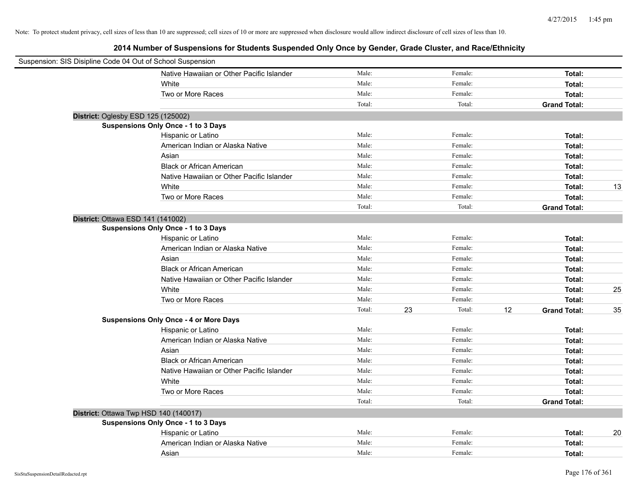| Suspension: SIS Disipline Code 04 Out of School Suspension |                                               |        |              |    |                     |    |
|------------------------------------------------------------|-----------------------------------------------|--------|--------------|----|---------------------|----|
|                                                            | Native Hawaiian or Other Pacific Islander     | Male:  | Female:      |    | Total:              |    |
|                                                            | White                                         | Male:  | Female:      |    | Total:              |    |
|                                                            | Two or More Races                             | Male:  | Female:      |    | Total:              |    |
|                                                            |                                               | Total: | Total:       |    | <b>Grand Total:</b> |    |
| District: Oglesby ESD 125 (125002)                         |                                               |        |              |    |                     |    |
|                                                            | Suspensions Only Once - 1 to 3 Days           |        |              |    |                     |    |
|                                                            | Hispanic or Latino                            | Male:  | Female:      |    | Total:              |    |
|                                                            | American Indian or Alaska Native              | Male:  | Female:      |    | Total:              |    |
|                                                            | Asian                                         | Male:  | Female:      |    | Total:              |    |
|                                                            | <b>Black or African American</b>              | Male:  | Female:      |    | Total:              |    |
|                                                            | Native Hawaiian or Other Pacific Islander     | Male:  | Female:      |    | Total:              |    |
|                                                            | White                                         | Male:  | Female:      |    | Total:              | 13 |
|                                                            | Two or More Races                             | Male:  | Female:      |    | Total:              |    |
|                                                            |                                               | Total: | Total:       |    | <b>Grand Total:</b> |    |
| District: Ottawa ESD 141 (141002)                          |                                               |        |              |    |                     |    |
|                                                            | Suspensions Only Once - 1 to 3 Days           |        |              |    |                     |    |
|                                                            | Hispanic or Latino                            | Male:  | Female:      |    | Total:              |    |
|                                                            | American Indian or Alaska Native              | Male:  | Female:      |    | Total:              |    |
|                                                            | Asian                                         | Male:  | Female:      |    | Total:              |    |
|                                                            | <b>Black or African American</b>              | Male:  | Female:      |    | Total:              |    |
|                                                            | Native Hawaiian or Other Pacific Islander     | Male:  | Female:      |    | Total:              |    |
|                                                            | White                                         | Male:  | Female:      |    | Total:              | 25 |
|                                                            | Two or More Races                             | Male:  | Female:      |    | Total:              |    |
|                                                            |                                               | Total: | Total:<br>23 | 12 | <b>Grand Total:</b> | 35 |
|                                                            | <b>Suspensions Only Once - 4 or More Days</b> |        |              |    |                     |    |
|                                                            | Hispanic or Latino                            | Male:  | Female:      |    | Total:              |    |
|                                                            | American Indian or Alaska Native              | Male:  | Female:      |    | Total:              |    |
|                                                            | Asian                                         | Male:  | Female:      |    | Total:              |    |
|                                                            | <b>Black or African American</b>              | Male:  | Female:      |    | Total:              |    |
|                                                            | Native Hawaiian or Other Pacific Islander     | Male:  | Female:      |    | Total:              |    |
|                                                            | White                                         | Male:  | Female:      |    | Total:              |    |
|                                                            | Two or More Races                             | Male:  | Female:      |    | Total:              |    |
|                                                            |                                               | Total: | Total:       |    | <b>Grand Total:</b> |    |
| District: Ottawa Twp HSD 140 (140017)                      |                                               |        |              |    |                     |    |
|                                                            | Suspensions Only Once - 1 to 3 Days           |        |              |    |                     |    |
|                                                            | Hispanic or Latino                            | Male:  | Female:      |    | Total:              | 20 |
|                                                            | American Indian or Alaska Native              | Male:  | Female:      |    | Total:              |    |
|                                                            | Asian                                         | Male:  | Female:      |    | Total:              |    |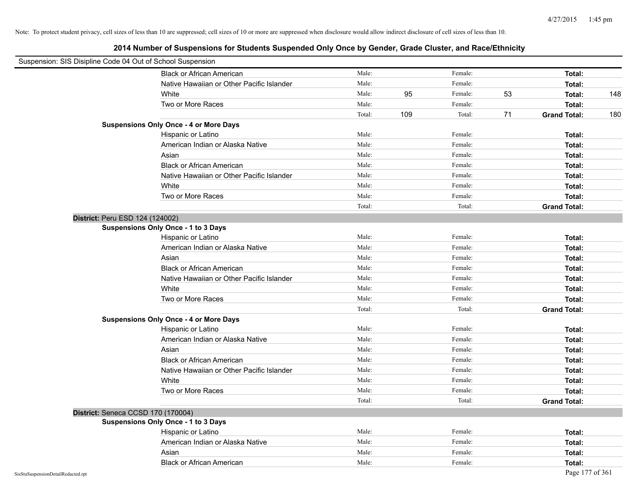|                                    | Suspension: SIS Disipline Code 04 Out of School Suspension |        |     |         |    |                     |     |
|------------------------------------|------------------------------------------------------------|--------|-----|---------|----|---------------------|-----|
|                                    | <b>Black or African American</b>                           | Male:  |     | Female: |    | Total:              |     |
|                                    | Native Hawaiian or Other Pacific Islander                  | Male:  |     | Female: |    | Total:              |     |
|                                    | White                                                      | Male:  | 95  | Female: | 53 | Total:              | 148 |
|                                    | Two or More Races                                          | Male:  |     | Female: |    | Total:              |     |
|                                    |                                                            | Total: | 109 | Total:  | 71 | <b>Grand Total:</b> | 180 |
|                                    | <b>Suspensions Only Once - 4 or More Days</b>              |        |     |         |    |                     |     |
|                                    | Hispanic or Latino                                         | Male:  |     | Female: |    | Total:              |     |
|                                    | American Indian or Alaska Native                           | Male:  |     | Female: |    | Total:              |     |
|                                    | Asian                                                      | Male:  |     | Female: |    | Total:              |     |
|                                    | <b>Black or African American</b>                           | Male:  |     | Female: |    | Total:              |     |
|                                    | Native Hawaiian or Other Pacific Islander                  | Male:  |     | Female: |    | Total:              |     |
|                                    | White                                                      | Male:  |     | Female: |    | Total:              |     |
|                                    | Two or More Races                                          | Male:  |     | Female: |    | Total:              |     |
|                                    |                                                            | Total: |     | Total:  |    | <b>Grand Total:</b> |     |
|                                    | District: Peru ESD 124 (124002)                            |        |     |         |    |                     |     |
|                                    | <b>Suspensions Only Once - 1 to 3 Days</b>                 |        |     |         |    |                     |     |
|                                    | Hispanic or Latino                                         | Male:  |     | Female: |    | Total:              |     |
|                                    | American Indian or Alaska Native                           | Male:  |     | Female: |    | Total:              |     |
|                                    | Asian                                                      | Male:  |     | Female: |    | Total:              |     |
|                                    | <b>Black or African American</b>                           | Male:  |     | Female: |    | Total:              |     |
|                                    | Native Hawaiian or Other Pacific Islander                  | Male:  |     | Female: |    | Total:              |     |
|                                    | White                                                      | Male:  |     | Female: |    | Total:              |     |
|                                    | Two or More Races                                          | Male:  |     | Female: |    | Total:              |     |
|                                    |                                                            | Total: |     | Total:  |    | <b>Grand Total:</b> |     |
|                                    | <b>Suspensions Only Once - 4 or More Days</b>              |        |     |         |    |                     |     |
|                                    | Hispanic or Latino                                         | Male:  |     | Female: |    | Total:              |     |
|                                    | American Indian or Alaska Native                           | Male:  |     | Female: |    | Total:              |     |
|                                    | Asian                                                      | Male:  |     | Female: |    | Total:              |     |
|                                    | <b>Black or African American</b>                           | Male:  |     | Female: |    | Total:              |     |
|                                    | Native Hawaiian or Other Pacific Islander                  | Male:  |     | Female: |    | Total:              |     |
|                                    | White                                                      | Male:  |     | Female: |    | Total:              |     |
|                                    | Two or More Races                                          | Male:  |     | Female: |    | Total:              |     |
|                                    |                                                            | Total: |     | Total:  |    | <b>Grand Total:</b> |     |
|                                    | District: Seneca CCSD 170 (170004)                         |        |     |         |    |                     |     |
|                                    | <b>Suspensions Only Once - 1 to 3 Days</b>                 |        |     |         |    |                     |     |
|                                    | Hispanic or Latino                                         | Male:  |     | Female: |    | Total:              |     |
|                                    | American Indian or Alaska Native                           | Male:  |     | Female: |    | Total:              |     |
|                                    | Asian                                                      | Male:  |     | Female: |    | Total:              |     |
|                                    | <b>Black or African American</b>                           | Male:  |     | Female: |    | Total:              |     |
| SisStuSuspensionDetailRedacted.rpt |                                                            |        |     |         |    | Page 177 of 361     |     |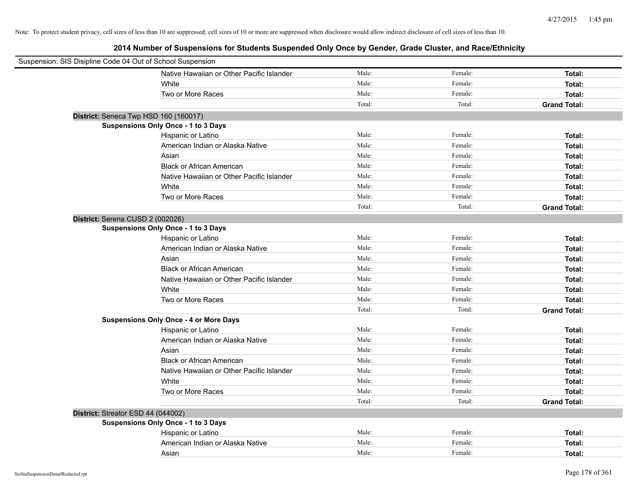| Suspension: SIS Disipline Code 04 Out of School Suspension |                                               |        |         |                     |
|------------------------------------------------------------|-----------------------------------------------|--------|---------|---------------------|
|                                                            | Native Hawaiian or Other Pacific Islander     | Male:  | Female: | Total:              |
|                                                            | White                                         | Male:  | Female: | Total:              |
|                                                            | Two or More Races                             | Male:  | Female: | Total:              |
|                                                            |                                               | Total: | Total:  | <b>Grand Total:</b> |
| District: Seneca Twp HSD 160 (160017)                      |                                               |        |         |                     |
|                                                            | <b>Suspensions Only Once - 1 to 3 Days</b>    |        |         |                     |
|                                                            | Hispanic or Latino                            | Male:  | Female: | Total:              |
|                                                            | American Indian or Alaska Native              | Male:  | Female: | Total:              |
|                                                            | Asian                                         | Male:  | Female: | Total:              |
|                                                            | <b>Black or African American</b>              | Male:  | Female: | Total:              |
|                                                            | Native Hawaiian or Other Pacific Islander     | Male:  | Female: | Total:              |
|                                                            | White                                         | Male:  | Female: | Total:              |
|                                                            | Two or More Races                             | Male:  | Female: | Total:              |
|                                                            |                                               | Total: | Total:  | <b>Grand Total:</b> |
| District: Serena CUSD 2 (002026)                           |                                               |        |         |                     |
|                                                            | Suspensions Only Once - 1 to 3 Days           |        |         |                     |
|                                                            | Hispanic or Latino                            | Male:  | Female: | Total:              |
|                                                            | American Indian or Alaska Native              | Male:  | Female: | Total:              |
|                                                            | Asian                                         | Male:  | Female: | Total:              |
|                                                            | <b>Black or African American</b>              | Male:  | Female: | Total:              |
|                                                            | Native Hawaiian or Other Pacific Islander     | Male:  | Female: | Total:              |
|                                                            | White                                         | Male:  | Female: | Total:              |
|                                                            | Two or More Races                             | Male:  | Female: | Total:              |
|                                                            |                                               | Total: | Total:  | <b>Grand Total:</b> |
|                                                            | <b>Suspensions Only Once - 4 or More Days</b> |        |         |                     |
|                                                            | Hispanic or Latino                            | Male:  | Female: | Total:              |
|                                                            | American Indian or Alaska Native              | Male:  | Female: | Total:              |
|                                                            | Asian                                         | Male:  | Female: | Total:              |
|                                                            | <b>Black or African American</b>              | Male:  | Female: | Total:              |
|                                                            | Native Hawaiian or Other Pacific Islander     | Male:  | Female: | Total:              |
|                                                            | White                                         | Male:  | Female: | Total:              |
|                                                            | Two or More Races                             | Male:  | Female: | Total:              |
|                                                            |                                               | Total: | Total:  | <b>Grand Total:</b> |
| District: Streator ESD 44 (044002)                         |                                               |        |         |                     |
|                                                            | Suspensions Only Once - 1 to 3 Days           |        |         |                     |
|                                                            | Hispanic or Latino                            | Male:  | Female: | Total:              |
|                                                            | American Indian or Alaska Native              | Male:  | Female: | Total:              |
|                                                            | Asian                                         | Male:  | Female: | Total:              |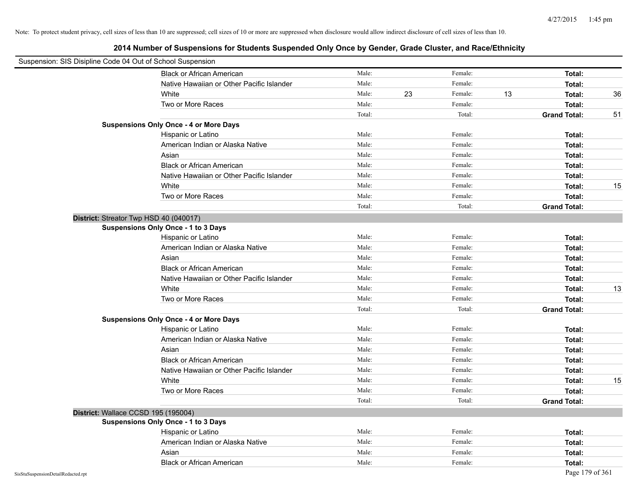|                                    | Suspension: SIS Disipline Code 04 Out of School Suspension |        |    |         |    |                     |    |
|------------------------------------|------------------------------------------------------------|--------|----|---------|----|---------------------|----|
|                                    | Black or African American                                  | Male:  |    | Female: |    | Total:              |    |
|                                    | Native Hawaiian or Other Pacific Islander                  | Male:  |    | Female: |    | Total:              |    |
|                                    | White                                                      | Male:  | 23 | Female: | 13 | Total:              | 36 |
|                                    | Two or More Races                                          | Male:  |    | Female: |    | Total:              |    |
|                                    |                                                            | Total: |    | Total:  |    | <b>Grand Total:</b> | 51 |
|                                    | <b>Suspensions Only Once - 4 or More Days</b>              |        |    |         |    |                     |    |
|                                    | Hispanic or Latino                                         | Male:  |    | Female: |    | Total:              |    |
|                                    | American Indian or Alaska Native                           | Male:  |    | Female: |    | Total:              |    |
|                                    | Asian                                                      | Male:  |    | Female: |    | Total:              |    |
|                                    | <b>Black or African American</b>                           | Male:  |    | Female: |    | Total:              |    |
|                                    | Native Hawaiian or Other Pacific Islander                  | Male:  |    | Female: |    | Total:              |    |
|                                    | White                                                      | Male:  |    | Female: |    | Total:              | 15 |
|                                    | Two or More Races                                          | Male:  |    | Female: |    | Total:              |    |
|                                    |                                                            | Total: |    | Total:  |    | <b>Grand Total:</b> |    |
|                                    | District: Streator Twp HSD 40 (040017)                     |        |    |         |    |                     |    |
|                                    | <b>Suspensions Only Once - 1 to 3 Days</b>                 |        |    |         |    |                     |    |
|                                    | Hispanic or Latino                                         | Male:  |    | Female: |    | Total:              |    |
|                                    | American Indian or Alaska Native                           | Male:  |    | Female: |    | Total:              |    |
|                                    | Asian                                                      | Male:  |    | Female: |    | Total:              |    |
|                                    | <b>Black or African American</b>                           | Male:  |    | Female: |    | Total:              |    |
|                                    | Native Hawaiian or Other Pacific Islander                  | Male:  |    | Female: |    | Total:              |    |
|                                    | White                                                      | Male:  |    | Female: |    | Total:              | 13 |
|                                    | Two or More Races                                          | Male:  |    | Female: |    | Total:              |    |
|                                    |                                                            | Total: |    | Total:  |    | <b>Grand Total:</b> |    |
|                                    | <b>Suspensions Only Once - 4 or More Days</b>              |        |    |         |    |                     |    |
|                                    | Hispanic or Latino                                         | Male:  |    | Female: |    | Total:              |    |
|                                    | American Indian or Alaska Native                           | Male:  |    | Female: |    | Total:              |    |
|                                    | Asian                                                      | Male:  |    | Female: |    | Total:              |    |
|                                    | <b>Black or African American</b>                           | Male:  |    | Female: |    | Total:              |    |
|                                    | Native Hawaiian or Other Pacific Islander                  | Male:  |    | Female: |    | Total:              |    |
|                                    | White                                                      | Male:  |    | Female: |    | Total:              | 15 |
|                                    | Two or More Races                                          | Male:  |    | Female: |    | Total:              |    |
|                                    |                                                            | Total: |    | Total:  |    | <b>Grand Total:</b> |    |
|                                    | District: Wallace CCSD 195 (195004)                        |        |    |         |    |                     |    |
|                                    | <b>Suspensions Only Once - 1 to 3 Days</b>                 |        |    |         |    |                     |    |
|                                    | Hispanic or Latino                                         | Male:  |    | Female: |    | Total:              |    |
|                                    | American Indian or Alaska Native                           | Male:  |    | Female: |    | Total:              |    |
|                                    | Asian                                                      | Male:  |    | Female: |    | Total:              |    |
|                                    | <b>Black or African American</b>                           | Male:  |    | Female: |    | Total:              |    |
| SisStuSuspensionDetailRedacted.rpt |                                                            |        |    |         |    | Page 179 of 361     |    |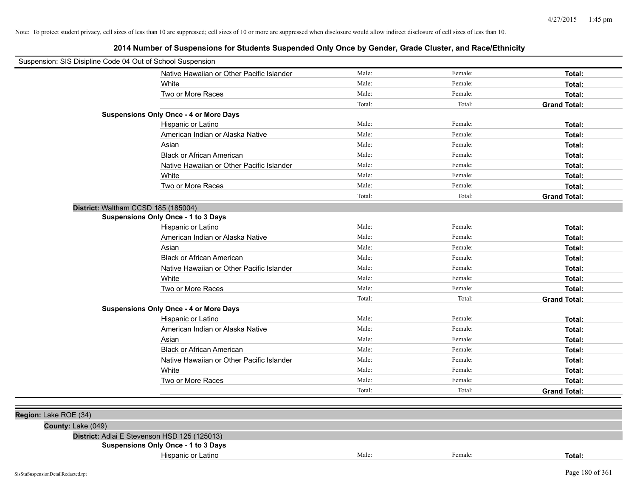|                       | Suspension: SIS Disipline Code 04 Out of School Suspension |        |         |                     |
|-----------------------|------------------------------------------------------------|--------|---------|---------------------|
|                       | Native Hawaiian or Other Pacific Islander                  | Male:  | Female: | Total:              |
|                       | White                                                      | Male:  | Female: | Total:              |
|                       | Two or More Races                                          | Male:  | Female: | Total:              |
|                       |                                                            | Total: | Total:  | <b>Grand Total:</b> |
|                       | <b>Suspensions Only Once - 4 or More Days</b>              |        |         |                     |
|                       | Hispanic or Latino                                         | Male:  | Female: | Total:              |
|                       | American Indian or Alaska Native                           | Male:  | Female: | Total:              |
|                       | Asian                                                      | Male:  | Female: | Total:              |
|                       | <b>Black or African American</b>                           | Male:  | Female: | Total:              |
|                       | Native Hawaiian or Other Pacific Islander                  | Male:  | Female: | Total:              |
|                       | White                                                      | Male:  | Female: | Total:              |
|                       | Two or More Races                                          | Male:  | Female: | Total:              |
|                       |                                                            | Total: | Total:  | <b>Grand Total:</b> |
|                       | District: Waltham CCSD 185 (185004)                        |        |         |                     |
|                       | <b>Suspensions Only Once - 1 to 3 Days</b>                 |        |         |                     |
|                       | Hispanic or Latino                                         | Male:  | Female: | Total:              |
|                       | American Indian or Alaska Native                           | Male:  | Female: | Total:              |
|                       | Asian                                                      | Male:  | Female: | Total:              |
|                       | <b>Black or African American</b>                           | Male:  | Female: | Total:              |
|                       | Native Hawaiian or Other Pacific Islander                  | Male:  | Female: | Total:              |
|                       | White                                                      | Male:  | Female: | Total:              |
|                       | Two or More Races                                          | Male:  | Female: | Total:              |
|                       |                                                            | Total: | Total:  | <b>Grand Total:</b> |
|                       | <b>Suspensions Only Once - 4 or More Days</b>              |        |         |                     |
|                       | Hispanic or Latino                                         | Male:  | Female: | Total:              |
|                       | American Indian or Alaska Native                           | Male:  | Female: | Total:              |
|                       | Asian                                                      | Male:  | Female: | Total:              |
|                       | <b>Black or African American</b>                           | Male:  | Female: | Total:              |
|                       | Native Hawaiian or Other Pacific Islander                  | Male:  | Female: | Total:              |
|                       | White                                                      | Male:  | Female: | Total:              |
|                       | Two or More Races                                          | Male:  | Female: | Total:              |
|                       |                                                            | Total: | Total:  | <b>Grand Total:</b> |
|                       |                                                            |        |         |                     |
| Region: Lake ROE (34) |                                                            |        |         |                     |
| County: Lake (049)    |                                                            |        |         |                     |
|                       | District: Adlai E Stevenson HSD 125 (125013)               |        |         |                     |
|                       | <b>Suspensions Only Once - 1 to 3 Days</b>                 |        |         |                     |
|                       | Hispanic or Latino                                         | Male:  | Female: | Total:              |
|                       |                                                            |        |         |                     |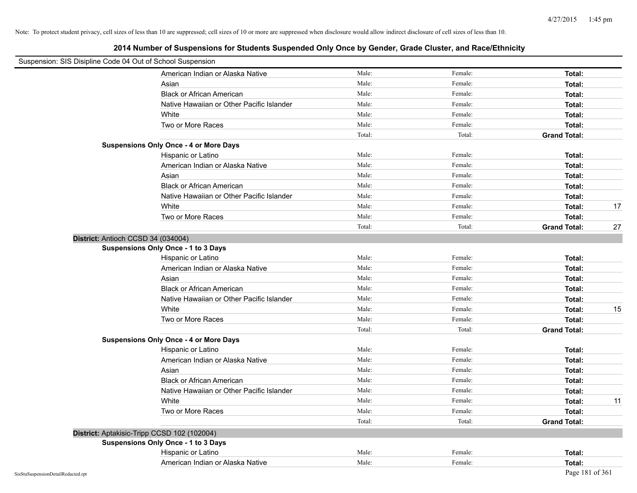|                                    | Suspension: SIS Disipline Code 04 Out of School Suspension |        |         |                           |
|------------------------------------|------------------------------------------------------------|--------|---------|---------------------------|
|                                    | American Indian or Alaska Native                           | Male:  | Female: | Total:                    |
|                                    | Asian                                                      | Male:  | Female: | Total:                    |
|                                    | <b>Black or African American</b>                           | Male:  | Female: | Total:                    |
|                                    | Native Hawaiian or Other Pacific Islander                  | Male:  | Female: | Total:                    |
|                                    | White                                                      | Male:  | Female: | Total:                    |
|                                    | Two or More Races                                          | Male:  | Female: | Total:                    |
|                                    |                                                            | Total: | Total:  | <b>Grand Total:</b>       |
|                                    | <b>Suspensions Only Once - 4 or More Days</b>              |        |         |                           |
|                                    | Hispanic or Latino                                         | Male:  | Female: | Total:                    |
|                                    | American Indian or Alaska Native                           | Male:  | Female: | Total:                    |
|                                    | Asian                                                      | Male:  | Female: | Total:                    |
|                                    | Black or African American                                  | Male:  | Female: | Total:                    |
|                                    | Native Hawaiian or Other Pacific Islander                  | Male:  | Female: | Total:                    |
|                                    | White                                                      | Male:  | Female: | 17<br>Total:              |
|                                    | Two or More Races                                          | Male:  | Female: | Total:                    |
|                                    |                                                            | Total: | Total:  | <b>Grand Total:</b><br>27 |
|                                    | District: Antioch CCSD 34 (034004)                         |        |         |                           |
|                                    | Suspensions Only Once - 1 to 3 Days                        |        |         |                           |
|                                    | Hispanic or Latino                                         | Male:  | Female: | Total:                    |
|                                    | American Indian or Alaska Native                           | Male:  | Female: | Total:                    |
|                                    | Asian                                                      | Male:  | Female: | Total:                    |
|                                    | <b>Black or African American</b>                           | Male:  | Female: | Total:                    |
|                                    | Native Hawaiian or Other Pacific Islander                  | Male:  | Female: | Total:                    |
|                                    | White                                                      | Male:  | Female: | 15<br>Total:              |
|                                    | Two or More Races                                          | Male:  | Female: | Total:                    |
|                                    |                                                            | Total: | Total:  | <b>Grand Total:</b>       |
|                                    | <b>Suspensions Only Once - 4 or More Days</b>              |        |         |                           |
|                                    | Hispanic or Latino                                         | Male:  | Female: | Total:                    |
|                                    | American Indian or Alaska Native                           | Male:  | Female: | Total:                    |
|                                    | Asian                                                      | Male:  | Female: | Total:                    |
|                                    | <b>Black or African American</b>                           | Male:  | Female: | Total:                    |
|                                    | Native Hawaiian or Other Pacific Islander                  | Male:  | Female: | Total:                    |
|                                    | White                                                      | Male:  | Female: | 11<br>Total:              |
|                                    | Two or More Races                                          | Male:  | Female: | Total:                    |
|                                    |                                                            | Total: | Total:  | <b>Grand Total:</b>       |
|                                    | District: Aptakisic-Tripp CCSD 102 (102004)                |        |         |                           |
|                                    | Suspensions Only Once - 1 to 3 Days                        |        |         |                           |
|                                    | Hispanic or Latino                                         | Male:  | Female: | Total:                    |
|                                    | American Indian or Alaska Native                           | Male:  | Female: | Total:                    |
| SisStuSuspensionDetailRedacted.rpt |                                                            |        |         | Page 181 of 361           |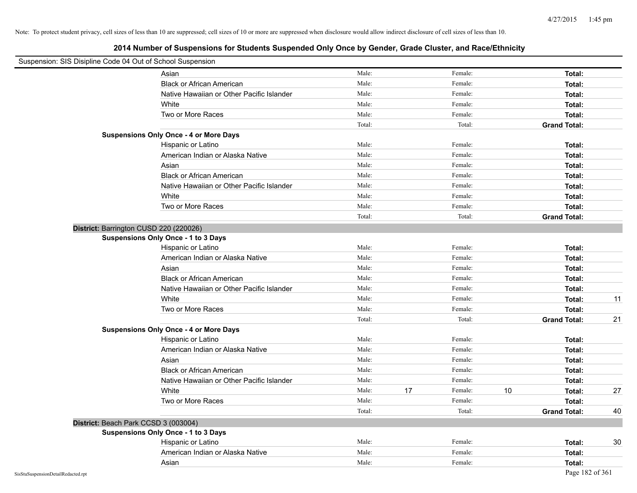| Suspension: SIS Disipline Code 04 Out of School Suspension |                                               |        |               |    |                     |    |
|------------------------------------------------------------|-----------------------------------------------|--------|---------------|----|---------------------|----|
|                                                            | Asian                                         | Male:  | Female:       |    | Total:              |    |
|                                                            | <b>Black or African American</b>              | Male:  | Female:       |    | Total:              |    |
|                                                            | Native Hawaiian or Other Pacific Islander     | Male:  | Female:       |    | Total:              |    |
|                                                            | White                                         | Male:  | Female:       |    | Total:              |    |
|                                                            | Two or More Races                             | Male:  | Female:       |    | Total:              |    |
|                                                            |                                               | Total: | Total:        |    | <b>Grand Total:</b> |    |
|                                                            | <b>Suspensions Only Once - 4 or More Days</b> |        |               |    |                     |    |
|                                                            | Hispanic or Latino                            | Male:  | Female:       |    | Total:              |    |
|                                                            | American Indian or Alaska Native              | Male:  | Female:       |    | Total:              |    |
|                                                            | Asian                                         | Male:  | Female:       |    | Total:              |    |
|                                                            | <b>Black or African American</b>              | Male:  | Female:       |    | Total:              |    |
|                                                            | Native Hawaiian or Other Pacific Islander     | Male:  | Female:       |    | Total:              |    |
|                                                            | White                                         | Male:  | Female:       |    | Total:              |    |
|                                                            | Two or More Races                             | Male:  | Female:       |    | Total:              |    |
|                                                            |                                               | Total: | Total:        |    | <b>Grand Total:</b> |    |
| District: Barrington CUSD 220 (220026)                     |                                               |        |               |    |                     |    |
|                                                            | Suspensions Only Once - 1 to 3 Days           |        |               |    |                     |    |
|                                                            | Hispanic or Latino                            | Male:  | Female:       |    | Total:              |    |
|                                                            | American Indian or Alaska Native              | Male:  | Female:       |    | Total:              |    |
|                                                            | Asian                                         | Male:  | Female:       |    | Total:              |    |
|                                                            | <b>Black or African American</b>              | Male:  | Female:       |    | Total:              |    |
|                                                            | Native Hawaiian or Other Pacific Islander     | Male:  | Female:       |    | Total:              |    |
|                                                            | White                                         | Male:  | Female:       |    | Total:              | 11 |
|                                                            | Two or More Races                             | Male:  | Female:       |    | Total:              |    |
|                                                            |                                               | Total: | Total:        |    | <b>Grand Total:</b> | 21 |
|                                                            | <b>Suspensions Only Once - 4 or More Days</b> |        |               |    |                     |    |
|                                                            | Hispanic or Latino                            | Male:  | Female:       |    | Total:              |    |
|                                                            | American Indian or Alaska Native              | Male:  | Female:       |    | Total:              |    |
|                                                            | Asian                                         | Male:  | Female:       |    | Total:              |    |
|                                                            | <b>Black or African American</b>              | Male:  | Female:       |    | Total:              |    |
|                                                            | Native Hawaiian or Other Pacific Islander     | Male:  | Female:       |    | Total:              |    |
|                                                            | White                                         | Male:  | 17<br>Female: | 10 | Total:              | 27 |
|                                                            | Two or More Races                             | Male:  | Female:       |    | Total:              |    |
|                                                            |                                               | Total: | Total:        |    | <b>Grand Total:</b> | 40 |
| District: Beach Park CCSD 3 (003004)                       |                                               |        |               |    |                     |    |
|                                                            | <b>Suspensions Only Once - 1 to 3 Days</b>    |        |               |    |                     |    |
|                                                            | Hispanic or Latino                            | Male:  | Female:       |    | Total:              | 30 |
|                                                            | American Indian or Alaska Native              | Male:  | Female:       |    | Total:              |    |
|                                                            | Asian                                         | Male:  | Female:       |    | Total:              |    |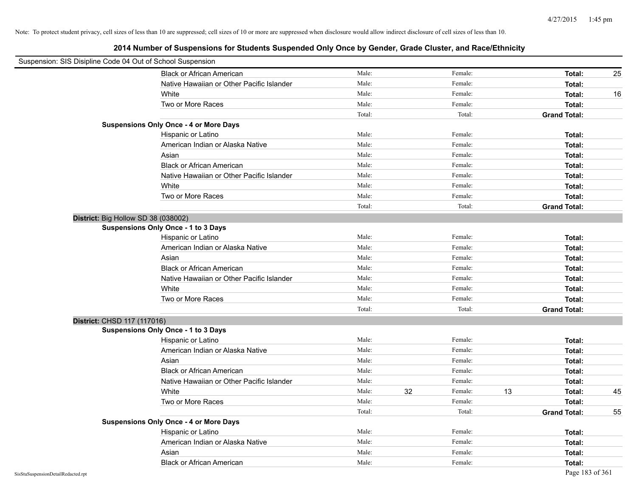|                                    | Suspension: SIS Disipline Code 04 Out of School Suspension |        |    |         |    |                     |    |
|------------------------------------|------------------------------------------------------------|--------|----|---------|----|---------------------|----|
|                                    | <b>Black or African American</b>                           | Male:  |    | Female: |    | Total:              | 25 |
|                                    | Native Hawaiian or Other Pacific Islander                  | Male:  |    | Female: |    | Total:              |    |
|                                    | White                                                      | Male:  |    | Female: |    | Total:              | 16 |
|                                    | Two or More Races                                          | Male:  |    | Female: |    | Total:              |    |
|                                    |                                                            | Total: |    | Total:  |    | <b>Grand Total:</b> |    |
|                                    | <b>Suspensions Only Once - 4 or More Days</b>              |        |    |         |    |                     |    |
|                                    | Hispanic or Latino                                         | Male:  |    | Female: |    | Total:              |    |
|                                    | American Indian or Alaska Native                           | Male:  |    | Female: |    | Total:              |    |
|                                    | Asian                                                      | Male:  |    | Female: |    | Total:              |    |
|                                    | <b>Black or African American</b>                           | Male:  |    | Female: |    | Total:              |    |
|                                    | Native Hawaiian or Other Pacific Islander                  | Male:  |    | Female: |    | Total:              |    |
|                                    | White                                                      | Male:  |    | Female: |    | Total:              |    |
|                                    | Two or More Races                                          | Male:  |    | Female: |    | Total:              |    |
|                                    |                                                            | Total: |    | Total:  |    | <b>Grand Total:</b> |    |
|                                    | District: Big Hollow SD 38 (038002)                        |        |    |         |    |                     |    |
|                                    | Suspensions Only Once - 1 to 3 Days                        |        |    |         |    |                     |    |
|                                    | Hispanic or Latino                                         | Male:  |    | Female: |    | Total:              |    |
|                                    | American Indian or Alaska Native                           | Male:  |    | Female: |    | Total:              |    |
|                                    | Asian                                                      | Male:  |    | Female: |    | Total:              |    |
|                                    | <b>Black or African American</b>                           | Male:  |    | Female: |    | Total:              |    |
|                                    | Native Hawaiian or Other Pacific Islander                  | Male:  |    | Female: |    | Total:              |    |
|                                    | White                                                      | Male:  |    | Female: |    | Total:              |    |
|                                    | Two or More Races                                          | Male:  |    | Female: |    | Total:              |    |
|                                    |                                                            | Total: |    | Total:  |    | <b>Grand Total:</b> |    |
|                                    | District: CHSD 117 (117016)                                |        |    |         |    |                     |    |
|                                    | <b>Suspensions Only Once - 1 to 3 Days</b>                 |        |    |         |    |                     |    |
|                                    | Hispanic or Latino                                         | Male:  |    | Female: |    | Total:              |    |
|                                    | American Indian or Alaska Native                           | Male:  |    | Female: |    | Total:              |    |
|                                    | Asian                                                      | Male:  |    | Female: |    | Total:              |    |
|                                    | <b>Black or African American</b>                           | Male:  |    | Female: |    | Total:              |    |
|                                    | Native Hawaiian or Other Pacific Islander                  | Male:  |    | Female: |    | Total:              |    |
|                                    | White                                                      | Male:  | 32 | Female: | 13 | Total:              | 45 |
|                                    | Two or More Races                                          | Male:  |    | Female: |    | Total:              |    |
|                                    |                                                            | Total: |    | Total:  |    | <b>Grand Total:</b> | 55 |
|                                    | <b>Suspensions Only Once - 4 or More Days</b>              |        |    |         |    |                     |    |
|                                    | Hispanic or Latino                                         | Male:  |    | Female: |    | Total:              |    |
|                                    | American Indian or Alaska Native                           | Male:  |    | Female: |    | Total:              |    |
|                                    | Asian                                                      | Male:  |    | Female: |    | Total:              |    |
|                                    | <b>Black or African American</b>                           | Male:  |    | Female: |    | Total:              |    |
| SisStuSuspensionDetailRedacted.rpt |                                                            |        |    |         |    | Page 183 of 361     |    |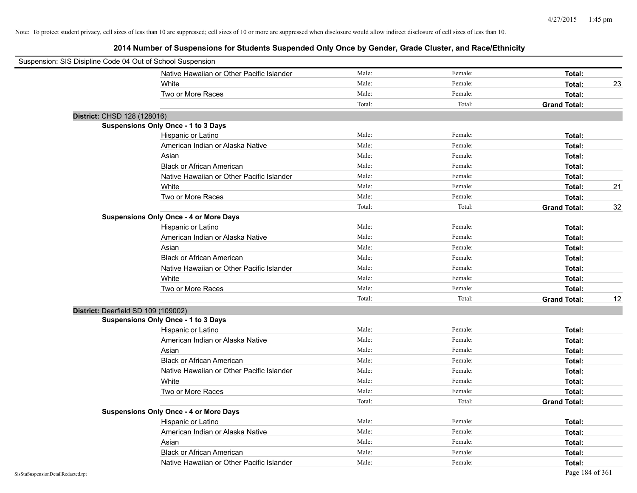| Suspension: SIS Disipline Code 04 Out of School Suspension |                                               |        |         |                     |    |
|------------------------------------------------------------|-----------------------------------------------|--------|---------|---------------------|----|
|                                                            | Native Hawaiian or Other Pacific Islander     | Male:  | Female: | Total:              |    |
|                                                            | White                                         | Male:  | Female: | Total:              | 23 |
|                                                            | Two or More Races                             | Male:  | Female: | Total:              |    |
|                                                            |                                               | Total: | Total:  | <b>Grand Total:</b> |    |
| District: CHSD 128 (128016)                                |                                               |        |         |                     |    |
|                                                            | Suspensions Only Once - 1 to 3 Days           |        |         |                     |    |
|                                                            | Hispanic or Latino                            | Male:  | Female: | Total:              |    |
|                                                            | American Indian or Alaska Native              | Male:  | Female: | Total:              |    |
|                                                            | Asian                                         | Male:  | Female: | Total:              |    |
|                                                            | <b>Black or African American</b>              | Male:  | Female: | Total:              |    |
|                                                            | Native Hawaiian or Other Pacific Islander     | Male:  | Female: | Total:              |    |
|                                                            | White                                         | Male:  | Female: | Total:              | 21 |
|                                                            | Two or More Races                             | Male:  | Female: | Total:              |    |
|                                                            |                                               | Total: | Total:  | <b>Grand Total:</b> | 32 |
|                                                            | <b>Suspensions Only Once - 4 or More Days</b> |        |         |                     |    |
|                                                            | Hispanic or Latino                            | Male:  | Female: | Total:              |    |
|                                                            | American Indian or Alaska Native              | Male:  | Female: | Total:              |    |
|                                                            | Asian                                         | Male:  | Female: | Total:              |    |
|                                                            | <b>Black or African American</b>              | Male:  | Female: | Total:              |    |
|                                                            | Native Hawaiian or Other Pacific Islander     | Male:  | Female: | Total:              |    |
|                                                            | White                                         | Male:  | Female: | Total:              |    |
|                                                            | Two or More Races                             | Male:  | Female: | Total:              |    |
|                                                            |                                               | Total: | Total:  | <b>Grand Total:</b> | 12 |
| District: Deerfield SD 109 (109002)                        |                                               |        |         |                     |    |
|                                                            | Suspensions Only Once - 1 to 3 Days           |        |         |                     |    |
|                                                            | Hispanic or Latino                            | Male:  | Female: | Total:              |    |
|                                                            | American Indian or Alaska Native              | Male:  | Female: | Total:              |    |
|                                                            | Asian                                         | Male:  | Female: | Total:              |    |
|                                                            | <b>Black or African American</b>              | Male:  | Female: | Total:              |    |
|                                                            | Native Hawaiian or Other Pacific Islander     | Male:  | Female: | Total:              |    |
|                                                            | White                                         | Male:  | Female: | Total:              |    |
|                                                            | Two or More Races                             | Male:  | Female: | Total:              |    |
|                                                            |                                               | Total: | Total:  | <b>Grand Total:</b> |    |
|                                                            | <b>Suspensions Only Once - 4 or More Days</b> |        |         |                     |    |
|                                                            | Hispanic or Latino                            | Male:  | Female: | Total:              |    |
|                                                            | American Indian or Alaska Native              | Male:  | Female: | Total:              |    |
|                                                            | Asian                                         | Male:  | Female: | Total:              |    |
|                                                            | <b>Black or African American</b>              | Male:  | Female: | Total:              |    |
|                                                            | Native Hawaiian or Other Pacific Islander     | Male:  | Female: | Total:              |    |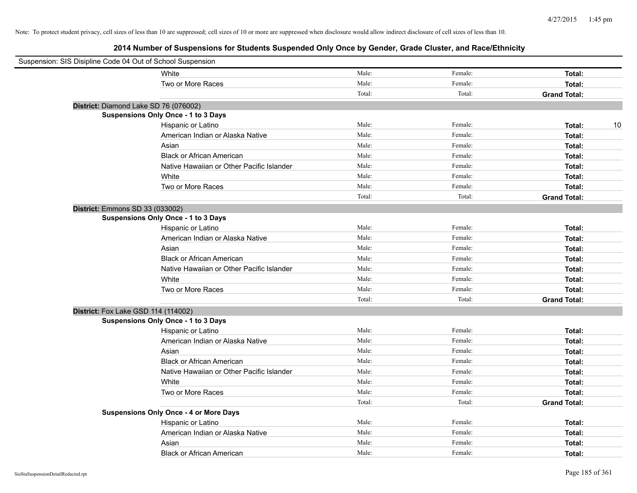| Suspension: SIS Disipline Code 04 Out of School Suspension |                                               |        |         |                     |
|------------------------------------------------------------|-----------------------------------------------|--------|---------|---------------------|
|                                                            | White                                         | Male:  | Female: | Total:              |
|                                                            | Two or More Races                             | Male:  | Female: | Total:              |
|                                                            |                                               | Total: | Total:  | <b>Grand Total:</b> |
| District: Diamond Lake SD 76 (076002)                      |                                               |        |         |                     |
|                                                            | <b>Suspensions Only Once - 1 to 3 Days</b>    |        |         |                     |
|                                                            | Hispanic or Latino                            | Male:  | Female: | 10<br>Total:        |
|                                                            | American Indian or Alaska Native              | Male:  | Female: | Total:              |
|                                                            | Asian                                         | Male:  | Female: | Total:              |
|                                                            | <b>Black or African American</b>              | Male:  | Female: | Total:              |
|                                                            | Native Hawaiian or Other Pacific Islander     | Male:  | Female: | Total:              |
|                                                            | White                                         | Male:  | Female: | Total:              |
|                                                            | Two or More Races                             | Male:  | Female: | Total:              |
|                                                            |                                               | Total: | Total:  | <b>Grand Total:</b> |
| District: Emmons SD 33 (033002)                            |                                               |        |         |                     |
|                                                            | <b>Suspensions Only Once - 1 to 3 Days</b>    |        |         |                     |
|                                                            | Hispanic or Latino                            | Male:  | Female: | Total:              |
|                                                            | American Indian or Alaska Native              | Male:  | Female: | Total:              |
|                                                            | Asian                                         | Male:  | Female: | Total:              |
|                                                            | <b>Black or African American</b>              | Male:  | Female: | Total:              |
|                                                            | Native Hawaiian or Other Pacific Islander     | Male:  | Female: | Total:              |
|                                                            | White                                         | Male:  | Female: | Total:              |
|                                                            | Two or More Races                             | Male:  | Female: | Total:              |
|                                                            |                                               | Total: | Total:  | <b>Grand Total:</b> |
| District: Fox Lake GSD 114 (114002)                        |                                               |        |         |                     |
|                                                            | <b>Suspensions Only Once - 1 to 3 Days</b>    |        |         |                     |
|                                                            | Hispanic or Latino                            | Male:  | Female: | Total:              |
|                                                            | American Indian or Alaska Native              | Male:  | Female: | Total:              |
|                                                            | Asian                                         | Male:  | Female: | Total:              |
|                                                            | <b>Black or African American</b>              | Male:  | Female: | Total:              |
|                                                            | Native Hawaiian or Other Pacific Islander     | Male:  | Female: | Total:              |
|                                                            | White                                         | Male:  | Female: | Total:              |
|                                                            | Two or More Races                             | Male:  | Female: | Total:              |
|                                                            |                                               | Total: | Total:  | <b>Grand Total:</b> |
|                                                            | <b>Suspensions Only Once - 4 or More Days</b> |        |         |                     |
|                                                            | Hispanic or Latino                            | Male:  | Female: | Total:              |
|                                                            | American Indian or Alaska Native              | Male:  | Female: | Total:              |
|                                                            | Asian                                         | Male:  | Female: | Total:              |
|                                                            | <b>Black or African American</b>              | Male:  | Female: | Total:              |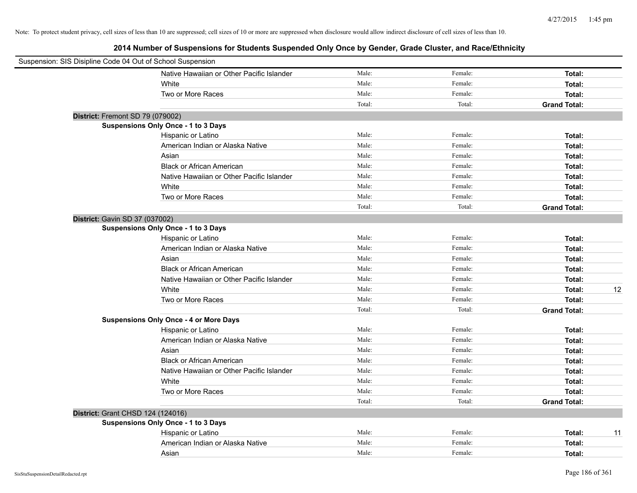| Suspension: SIS Disipline Code 04 Out of School Suspension |                                               |        |         |                     |    |
|------------------------------------------------------------|-----------------------------------------------|--------|---------|---------------------|----|
|                                                            | Native Hawaiian or Other Pacific Islander     | Male:  | Female: | Total:              |    |
|                                                            | White                                         | Male:  | Female: | Total:              |    |
|                                                            | Two or More Races                             | Male:  | Female: | Total:              |    |
|                                                            |                                               | Total: | Total:  | <b>Grand Total:</b> |    |
| District: Fremont SD 79 (079002)                           |                                               |        |         |                     |    |
|                                                            | Suspensions Only Once - 1 to 3 Days           |        |         |                     |    |
|                                                            | Hispanic or Latino                            | Male:  | Female: | Total:              |    |
|                                                            | American Indian or Alaska Native              | Male:  | Female: | Total:              |    |
|                                                            | Asian                                         | Male:  | Female: | Total:              |    |
|                                                            | <b>Black or African American</b>              | Male:  | Female: | Total:              |    |
|                                                            | Native Hawaiian or Other Pacific Islander     | Male:  | Female: | Total:              |    |
|                                                            | White                                         | Male:  | Female: | Total:              |    |
|                                                            | Two or More Races                             | Male:  | Female: | Total:              |    |
|                                                            |                                               | Total: | Total:  | <b>Grand Total:</b> |    |
| District: Gavin SD 37 (037002)                             |                                               |        |         |                     |    |
|                                                            | Suspensions Only Once - 1 to 3 Days           |        |         |                     |    |
|                                                            | Hispanic or Latino                            | Male:  | Female: | Total:              |    |
|                                                            | American Indian or Alaska Native              | Male:  | Female: | Total:              |    |
|                                                            | Asian                                         | Male:  | Female: | Total:              |    |
|                                                            | <b>Black or African American</b>              | Male:  | Female: | Total:              |    |
|                                                            | Native Hawaiian or Other Pacific Islander     | Male:  | Female: | Total:              |    |
|                                                            | White                                         | Male:  | Female: | Total:              | 12 |
|                                                            | Two or More Races                             | Male:  | Female: | Total:              |    |
|                                                            |                                               | Total: | Total:  | <b>Grand Total:</b> |    |
|                                                            | <b>Suspensions Only Once - 4 or More Days</b> |        |         |                     |    |
|                                                            | Hispanic or Latino                            | Male:  | Female: | Total:              |    |
|                                                            | American Indian or Alaska Native              | Male:  | Female: | Total:              |    |
|                                                            | Asian                                         | Male:  | Female: | Total:              |    |
|                                                            | <b>Black or African American</b>              | Male:  | Female: | Total:              |    |
|                                                            | Native Hawaiian or Other Pacific Islander     | Male:  | Female: | Total:              |    |
|                                                            | White                                         | Male:  | Female: | Total:              |    |
|                                                            | Two or More Races                             | Male:  | Female: | Total:              |    |
|                                                            |                                               | Total: | Total:  | <b>Grand Total:</b> |    |
| District: Grant CHSD 124 (124016)                          |                                               |        |         |                     |    |
|                                                            | Suspensions Only Once - 1 to 3 Days           |        |         |                     |    |
|                                                            | Hispanic or Latino                            | Male:  | Female: | Total:              | 11 |
|                                                            | American Indian or Alaska Native              | Male:  | Female: | Total:              |    |
|                                                            | Asian                                         | Male:  | Female: | Total:              |    |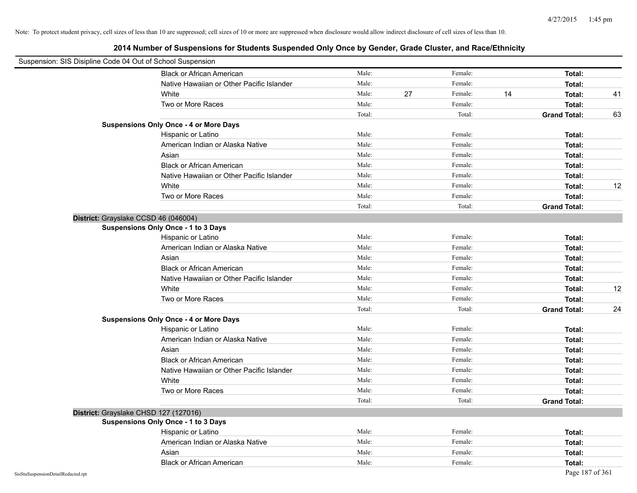|                                    | Suspension: SIS Disipline Code 04 Out of School Suspension |        |    |         |    |                     |    |
|------------------------------------|------------------------------------------------------------|--------|----|---------|----|---------------------|----|
|                                    | <b>Black or African American</b>                           | Male:  |    | Female: |    | Total:              |    |
|                                    | Native Hawaiian or Other Pacific Islander                  | Male:  |    | Female: |    | Total:              |    |
|                                    | White                                                      | Male:  | 27 | Female: | 14 | Total:              | 41 |
|                                    | Two or More Races                                          | Male:  |    | Female: |    | Total:              |    |
|                                    |                                                            | Total: |    | Total:  |    | <b>Grand Total:</b> | 63 |
|                                    | <b>Suspensions Only Once - 4 or More Days</b>              |        |    |         |    |                     |    |
|                                    | Hispanic or Latino                                         | Male:  |    | Female: |    | Total:              |    |
|                                    | American Indian or Alaska Native                           | Male:  |    | Female: |    | Total:              |    |
|                                    | Asian                                                      | Male:  |    | Female: |    | Total:              |    |
|                                    | <b>Black or African American</b>                           | Male:  |    | Female: |    | Total:              |    |
|                                    | Native Hawaiian or Other Pacific Islander                  | Male:  |    | Female: |    | Total:              |    |
|                                    | White                                                      | Male:  |    | Female: |    | Total:              | 12 |
|                                    | Two or More Races                                          | Male:  |    | Female: |    | Total:              |    |
|                                    |                                                            | Total: |    | Total:  |    | <b>Grand Total:</b> |    |
|                                    | District: Grayslake CCSD 46 (046004)                       |        |    |         |    |                     |    |
|                                    | <b>Suspensions Only Once - 1 to 3 Days</b>                 |        |    |         |    |                     |    |
|                                    | Hispanic or Latino                                         | Male:  |    | Female: |    | Total:              |    |
|                                    | American Indian or Alaska Native                           | Male:  |    | Female: |    | Total:              |    |
|                                    | Asian                                                      | Male:  |    | Female: |    | Total:              |    |
|                                    | <b>Black or African American</b>                           | Male:  |    | Female: |    | Total:              |    |
|                                    | Native Hawaiian or Other Pacific Islander                  | Male:  |    | Female: |    | Total:              |    |
|                                    | White                                                      | Male:  |    | Female: |    | Total:              | 12 |
|                                    | Two or More Races                                          | Male:  |    | Female: |    | Total:              |    |
|                                    |                                                            | Total: |    | Total:  |    | <b>Grand Total:</b> | 24 |
|                                    | <b>Suspensions Only Once - 4 or More Days</b>              |        |    |         |    |                     |    |
|                                    | Hispanic or Latino                                         | Male:  |    | Female: |    | Total:              |    |
|                                    | American Indian or Alaska Native                           | Male:  |    | Female: |    | Total:              |    |
|                                    | Asian                                                      | Male:  |    | Female: |    | Total:              |    |
|                                    | <b>Black or African American</b>                           | Male:  |    | Female: |    | Total:              |    |
|                                    | Native Hawaiian or Other Pacific Islander                  | Male:  |    | Female: |    | Total:              |    |
|                                    | White                                                      | Male:  |    | Female: |    | Total:              |    |
|                                    | Two or More Races                                          | Male:  |    | Female: |    | Total:              |    |
|                                    |                                                            | Total: |    | Total:  |    | <b>Grand Total:</b> |    |
|                                    | District: Grayslake CHSD 127 (127016)                      |        |    |         |    |                     |    |
|                                    | <b>Suspensions Only Once - 1 to 3 Days</b>                 |        |    |         |    |                     |    |
|                                    | Hispanic or Latino                                         | Male:  |    | Female: |    | Total:              |    |
|                                    | American Indian or Alaska Native                           | Male:  |    | Female: |    | Total:              |    |
|                                    | Asian                                                      | Male:  |    | Female: |    | Total:              |    |
|                                    | <b>Black or African American</b>                           | Male:  |    | Female: |    | Total:              |    |
| SisStuSuspensionDetailRedacted.rpt |                                                            |        |    |         |    | Page 187 of 361     |    |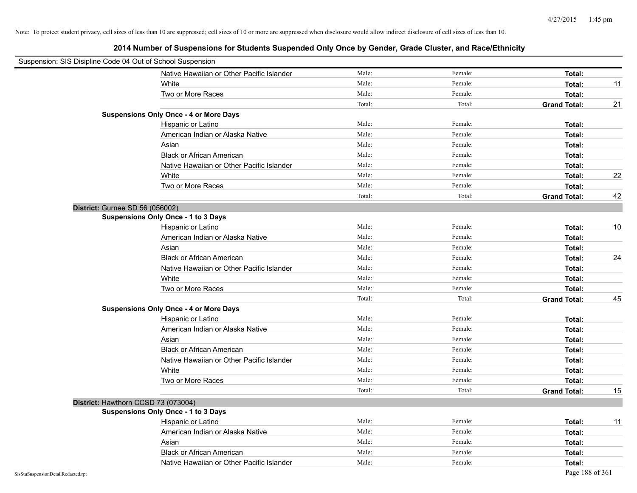|                                    | Suspension: SIS Disipline Code 04 Out of School Suspension |        |         |                     |    |
|------------------------------------|------------------------------------------------------------|--------|---------|---------------------|----|
|                                    | Native Hawaiian or Other Pacific Islander                  | Male:  | Female: | Total:              |    |
|                                    | White                                                      | Male:  | Female: | Total:              | 11 |
|                                    | Two or More Races                                          | Male:  | Female: | Total:              |    |
|                                    |                                                            | Total: | Total:  | <b>Grand Total:</b> | 21 |
|                                    | <b>Suspensions Only Once - 4 or More Days</b>              |        |         |                     |    |
|                                    | Hispanic or Latino                                         | Male:  | Female: | Total:              |    |
|                                    | American Indian or Alaska Native                           | Male:  | Female: | Total:              |    |
|                                    | Asian                                                      | Male:  | Female: | Total:              |    |
|                                    | <b>Black or African American</b>                           | Male:  | Female: | Total:              |    |
|                                    | Native Hawaiian or Other Pacific Islander                  | Male:  | Female: | Total:              |    |
|                                    | White                                                      | Male:  | Female: | Total:              | 22 |
|                                    | Two or More Races                                          | Male:  | Female: | Total:              |    |
|                                    |                                                            | Total: | Total:  | <b>Grand Total:</b> | 42 |
|                                    | District: Gurnee SD 56 (056002)                            |        |         |                     |    |
|                                    | <b>Suspensions Only Once - 1 to 3 Days</b>                 |        |         |                     |    |
|                                    | Hispanic or Latino                                         | Male:  | Female: | Total:              | 10 |
|                                    | American Indian or Alaska Native                           | Male:  | Female: | Total:              |    |
|                                    | Asian                                                      | Male:  | Female: | Total:              |    |
|                                    | <b>Black or African American</b>                           | Male:  | Female: | Total:              | 24 |
|                                    | Native Hawaiian or Other Pacific Islander                  | Male:  | Female: | Total:              |    |
|                                    | White                                                      | Male:  | Female: | Total:              |    |
|                                    | Two or More Races                                          | Male:  | Female: | Total:              |    |
|                                    |                                                            | Total: | Total:  | <b>Grand Total:</b> | 45 |
|                                    | <b>Suspensions Only Once - 4 or More Days</b>              |        |         |                     |    |
|                                    | Hispanic or Latino                                         | Male:  | Female: | Total:              |    |
|                                    | American Indian or Alaska Native                           | Male:  | Female: | Total:              |    |
|                                    | Asian                                                      | Male:  | Female: | Total:              |    |
|                                    | <b>Black or African American</b>                           | Male:  | Female: | Total:              |    |
|                                    | Native Hawaiian or Other Pacific Islander                  | Male:  | Female: | Total:              |    |
|                                    | White                                                      | Male:  | Female: | Total:              |    |
|                                    | Two or More Races                                          | Male:  | Female: | Total:              |    |
|                                    |                                                            | Total: | Total:  | <b>Grand Total:</b> | 15 |
|                                    | District: Hawthorn CCSD 73 (073004)                        |        |         |                     |    |
|                                    | <b>Suspensions Only Once - 1 to 3 Days</b>                 |        |         |                     |    |
|                                    | Hispanic or Latino                                         | Male:  | Female: | Total:              | 11 |
|                                    | American Indian or Alaska Native                           | Male:  | Female: | Total:              |    |
|                                    | Asian                                                      | Male:  | Female: | Total:              |    |
|                                    | <b>Black or African American</b>                           | Male:  | Female: | Total:              |    |
|                                    | Native Hawaiian or Other Pacific Islander                  | Male:  | Female: | Total:              |    |
| SisStuSuspensionDetailRedacted.rpt |                                                            |        |         | Page 188 of 361     |    |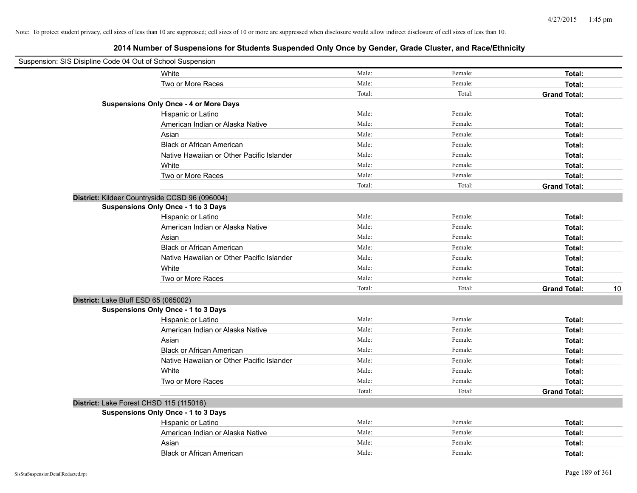|                                      | Suspension: SIS Disipline Code 04 Out of School Suspension |        |         |                     |    |
|--------------------------------------|------------------------------------------------------------|--------|---------|---------------------|----|
|                                      | White                                                      | Male:  | Female: | Total:              |    |
|                                      | Two or More Races                                          | Male:  | Female: | Total:              |    |
|                                      |                                                            | Total: | Total:  | <b>Grand Total:</b> |    |
|                                      | <b>Suspensions Only Once - 4 or More Days</b>              |        |         |                     |    |
|                                      | Hispanic or Latino                                         | Male:  | Female: | Total:              |    |
|                                      | American Indian or Alaska Native                           | Male:  | Female: | Total:              |    |
|                                      | Asian                                                      | Male:  | Female: | Total:              |    |
|                                      | <b>Black or African American</b>                           | Male:  | Female: | Total:              |    |
|                                      | Native Hawaiian or Other Pacific Islander                  | Male:  | Female: | Total:              |    |
|                                      | White                                                      | Male:  | Female: | Total:              |    |
|                                      | Two or More Races                                          | Male:  | Female: | Total:              |    |
|                                      |                                                            | Total: | Total:  | <b>Grand Total:</b> |    |
|                                      | District: Kildeer Countryside CCSD 96 (096004)             |        |         |                     |    |
|                                      | <b>Suspensions Only Once - 1 to 3 Days</b>                 |        |         |                     |    |
|                                      | Hispanic or Latino                                         | Male:  | Female: | Total:              |    |
|                                      | American Indian or Alaska Native                           | Male:  | Female: | Total:              |    |
|                                      | Asian                                                      | Male:  | Female: | Total:              |    |
|                                      | <b>Black or African American</b>                           | Male:  | Female: | Total:              |    |
|                                      | Native Hawaiian or Other Pacific Islander                  | Male:  | Female: | Total:              |    |
|                                      | White                                                      | Male:  | Female: | Total:              |    |
|                                      | Two or More Races                                          | Male:  | Female: | Total:              |    |
|                                      |                                                            | Total: | Total:  | <b>Grand Total:</b> | 10 |
| District: Lake Bluff ESD 65 (065002) |                                                            |        |         |                     |    |
|                                      | <b>Suspensions Only Once - 1 to 3 Days</b>                 |        |         |                     |    |
|                                      | Hispanic or Latino                                         | Male:  | Female: | Total:              |    |
|                                      | American Indian or Alaska Native                           | Male:  | Female: | Total:              |    |
|                                      | Asian                                                      | Male:  | Female: | Total:              |    |
|                                      | <b>Black or African American</b>                           | Male:  | Female: | Total:              |    |
|                                      | Native Hawaiian or Other Pacific Islander                  | Male:  | Female: | Total:              |    |
|                                      | White                                                      | Male:  | Female: | Total:              |    |
|                                      | Two or More Races                                          | Male:  | Female: | Total:              |    |
|                                      |                                                            | Total: | Total:  | <b>Grand Total:</b> |    |
|                                      | District: Lake Forest CHSD 115 (115016)                    |        |         |                     |    |
|                                      | <b>Suspensions Only Once - 1 to 3 Days</b>                 |        |         |                     |    |
|                                      | Hispanic or Latino                                         | Male:  | Female: | Total:              |    |
|                                      | American Indian or Alaska Native                           | Male:  | Female: | Total:              |    |
|                                      | Asian                                                      | Male:  | Female: | Total:              |    |
|                                      | <b>Black or African American</b>                           | Male:  | Female: | Total:              |    |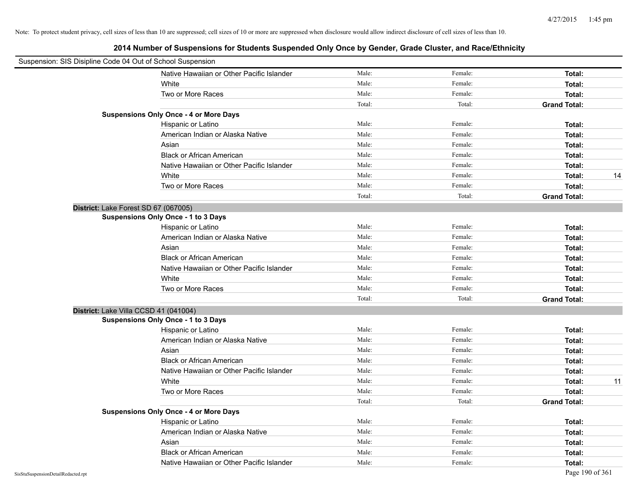| Suspension: SIS Disipline Code 04 Out of School Suspension |                                               |        |         |                     |
|------------------------------------------------------------|-----------------------------------------------|--------|---------|---------------------|
|                                                            | Native Hawaiian or Other Pacific Islander     | Male:  | Female: | Total:              |
|                                                            | White                                         | Male:  | Female: | Total:              |
|                                                            | Two or More Races                             | Male:  | Female: | Total:              |
|                                                            |                                               | Total: | Total:  | <b>Grand Total:</b> |
|                                                            | <b>Suspensions Only Once - 4 or More Days</b> |        |         |                     |
|                                                            | Hispanic or Latino                            | Male:  | Female: | Total:              |
|                                                            | American Indian or Alaska Native              | Male:  | Female: | Total:              |
|                                                            | Asian                                         | Male:  | Female: | Total:              |
|                                                            | <b>Black or African American</b>              | Male:  | Female: | Total:              |
|                                                            | Native Hawaiian or Other Pacific Islander     | Male:  | Female: | Total:              |
|                                                            | White                                         | Male:  | Female: | Total:<br>14        |
|                                                            | Two or More Races                             | Male:  | Female: | Total:              |
|                                                            |                                               | Total: | Total:  | <b>Grand Total:</b> |
| District: Lake Forest SD 67 (067005)                       |                                               |        |         |                     |
|                                                            | <b>Suspensions Only Once - 1 to 3 Days</b>    |        |         |                     |
|                                                            | Hispanic or Latino                            | Male:  | Female: | Total:              |
|                                                            | American Indian or Alaska Native              | Male:  | Female: | Total:              |
|                                                            | Asian                                         | Male:  | Female: | Total:              |
|                                                            | <b>Black or African American</b>              | Male:  | Female: | Total:              |
|                                                            | Native Hawaiian or Other Pacific Islander     | Male:  | Female: | Total:              |
|                                                            | White                                         | Male:  | Female: | Total:              |
|                                                            | Two or More Races                             | Male:  | Female: | Total:              |
|                                                            |                                               | Total: | Total:  | <b>Grand Total:</b> |
| District: Lake Villa CCSD 41 (041004)                      |                                               |        |         |                     |
|                                                            | <b>Suspensions Only Once - 1 to 3 Days</b>    |        |         |                     |
|                                                            | Hispanic or Latino                            | Male:  | Female: | Total:              |
|                                                            | American Indian or Alaska Native              | Male:  | Female: | Total:              |
|                                                            | Asian                                         | Male:  | Female: | Total:              |
|                                                            | <b>Black or African American</b>              | Male:  | Female: | Total:              |
|                                                            | Native Hawaiian or Other Pacific Islander     | Male:  | Female: | Total:              |
|                                                            | White                                         | Male:  | Female: | Total:<br>11        |
|                                                            | Two or More Races                             | Male:  | Female: | Total:              |
|                                                            |                                               | Total: | Total:  | <b>Grand Total:</b> |
|                                                            | <b>Suspensions Only Once - 4 or More Days</b> |        |         |                     |
|                                                            | Hispanic or Latino                            | Male:  | Female: | Total:              |
|                                                            | American Indian or Alaska Native              | Male:  | Female: | Total:              |
|                                                            | Asian                                         | Male:  | Female: | Total:              |
|                                                            | <b>Black or African American</b>              | Male:  | Female: | Total:              |
|                                                            | Native Hawaiian or Other Pacific Islander     | Male:  | Female: | Total:              |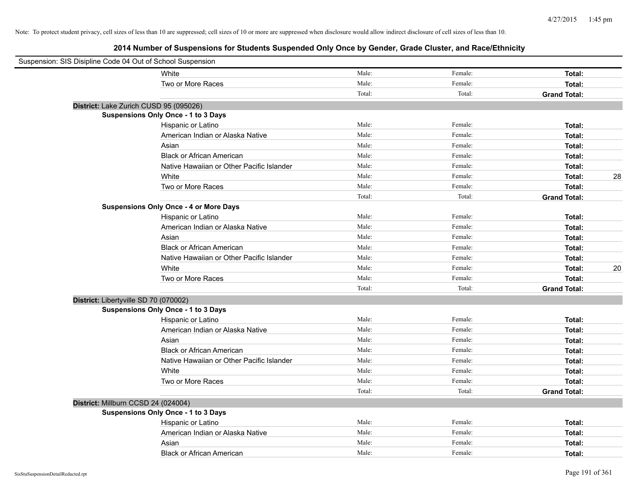| Suspension: SIS Disipline Code 04 Out of School Suspension |                                               |        |         |                     |
|------------------------------------------------------------|-----------------------------------------------|--------|---------|---------------------|
|                                                            | White                                         | Male:  | Female: | Total:              |
|                                                            | Two or More Races                             | Male:  | Female: | Total:              |
|                                                            |                                               | Total: | Total:  | <b>Grand Total:</b> |
|                                                            | District: Lake Zurich CUSD 95 (095026)        |        |         |                     |
|                                                            | Suspensions Only Once - 1 to 3 Days           |        |         |                     |
|                                                            | Hispanic or Latino                            | Male:  | Female: | Total:              |
|                                                            | American Indian or Alaska Native              | Male:  | Female: | Total:              |
|                                                            | Asian                                         | Male:  | Female: | Total:              |
|                                                            | <b>Black or African American</b>              | Male:  | Female: | Total:              |
|                                                            | Native Hawaiian or Other Pacific Islander     | Male:  | Female: | Total:              |
|                                                            | White                                         | Male:  | Female: | 28<br>Total:        |
|                                                            | Two or More Races                             | Male:  | Female: | Total:              |
|                                                            |                                               | Total: | Total:  | <b>Grand Total:</b> |
|                                                            | <b>Suspensions Only Once - 4 or More Days</b> |        |         |                     |
|                                                            | Hispanic or Latino                            | Male:  | Female: | Total:              |
|                                                            | American Indian or Alaska Native              | Male:  | Female: | Total:              |
|                                                            | Asian                                         | Male:  | Female: | Total:              |
|                                                            | <b>Black or African American</b>              | Male:  | Female: | Total:              |
|                                                            | Native Hawaiian or Other Pacific Islander     | Male:  | Female: | Total:              |
|                                                            | White                                         | Male:  | Female: | 20<br>Total:        |
|                                                            | Two or More Races                             | Male:  | Female: | Total:              |
|                                                            |                                               | Total: | Total:  | <b>Grand Total:</b> |
|                                                            | District: Libertyville SD 70 (070002)         |        |         |                     |
|                                                            | <b>Suspensions Only Once - 1 to 3 Days</b>    |        |         |                     |
|                                                            | Hispanic or Latino                            | Male:  | Female: | Total:              |
|                                                            | American Indian or Alaska Native              | Male:  | Female: | Total:              |
|                                                            | Asian                                         | Male:  | Female: | Total:              |
|                                                            | <b>Black or African American</b>              | Male:  | Female: | Total:              |
|                                                            | Native Hawaiian or Other Pacific Islander     | Male:  | Female: | Total:              |
|                                                            | White                                         | Male:  | Female: | Total:              |
|                                                            | Two or More Races                             | Male:  | Female: | <b>Total:</b>       |
|                                                            |                                               | Total: | Total:  | <b>Grand Total:</b> |
|                                                            | District: Millburn CCSD 24 (024004)           |        |         |                     |
|                                                            | <b>Suspensions Only Once - 1 to 3 Days</b>    |        |         |                     |
|                                                            | Hispanic or Latino                            | Male:  | Female: | Total:              |
|                                                            | American Indian or Alaska Native              | Male:  | Female: | Total:              |
|                                                            | Asian                                         | Male:  | Female: | <b>Total:</b>       |
|                                                            | <b>Black or African American</b>              | Male:  | Female: | Total:              |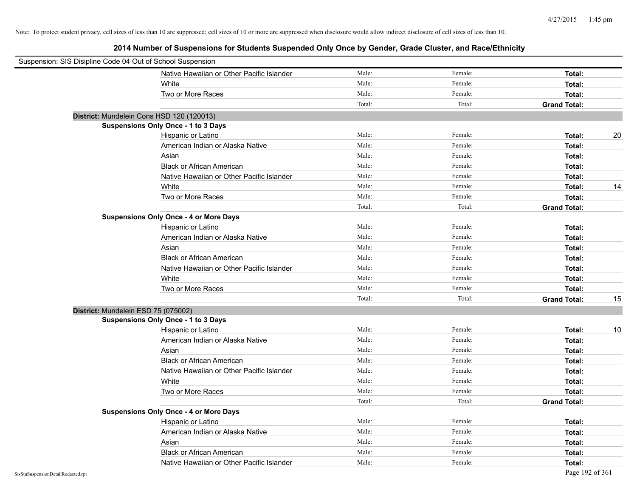| Suspension: SIS Disipline Code 04 Out of School Suspension |        |         |                           |
|------------------------------------------------------------|--------|---------|---------------------------|
| Native Hawaiian or Other Pacific Islander                  | Male:  | Female: | Total:                    |
| White                                                      | Male:  | Female: | Total:                    |
| Two or More Races                                          | Male:  | Female: | Total:                    |
|                                                            | Total: | Total:  | <b>Grand Total:</b>       |
| District: Mundelein Cons HSD 120 (120013)                  |        |         |                           |
| Suspensions Only Once - 1 to 3 Days                        |        |         |                           |
| Hispanic or Latino                                         | Male:  | Female: | 20<br>Total:              |
| American Indian or Alaska Native                           | Male:  | Female: | Total:                    |
| Asian                                                      | Male:  | Female: | Total:                    |
| <b>Black or African American</b>                           | Male:  | Female: | Total:                    |
| Native Hawaiian or Other Pacific Islander                  | Male:  | Female: | Total:                    |
| White                                                      | Male:  | Female: | 14<br>Total:              |
| Two or More Races                                          | Male:  | Female: | Total:                    |
|                                                            | Total: | Total:  | <b>Grand Total:</b>       |
| <b>Suspensions Only Once - 4 or More Days</b>              |        |         |                           |
| Hispanic or Latino                                         | Male:  | Female: | Total:                    |
| American Indian or Alaska Native                           | Male:  | Female: | Total:                    |
| Asian                                                      | Male:  | Female: | Total:                    |
| <b>Black or African American</b>                           | Male:  | Female: | Total:                    |
| Native Hawaiian or Other Pacific Islander                  | Male:  | Female: | Total:                    |
| White                                                      | Male:  | Female: | Total:                    |
| Two or More Races                                          | Male:  | Female: | Total:                    |
|                                                            | Total: | Total:  | <b>Grand Total:</b><br>15 |
| District: Mundelein ESD 75 (075002)                        |        |         |                           |
| <b>Suspensions Only Once - 1 to 3 Days</b>                 |        |         |                           |
| Hispanic or Latino                                         | Male:  | Female: | 10<br>Total:              |
| American Indian or Alaska Native                           | Male:  | Female: | Total:                    |
| Asian                                                      | Male:  | Female: | Total:                    |
| <b>Black or African American</b>                           | Male:  | Female: | Total:                    |
| Native Hawaiian or Other Pacific Islander                  | Male:  | Female: | Total:                    |
| White                                                      | Male:  | Female: | Total:                    |
| Two or More Races                                          | Male:  | Female: | Total:                    |
|                                                            | Total: | Total:  | <b>Grand Total:</b>       |
| <b>Suspensions Only Once - 4 or More Days</b>              |        |         |                           |
| Hispanic or Latino                                         | Male:  | Female: | Total:                    |
| American Indian or Alaska Native                           | Male:  | Female: | Total:                    |
| Asian                                                      | Male:  | Female: | Total:                    |
| <b>Black or African American</b>                           | Male:  | Female: | Total:                    |
| Native Hawaiian or Other Pacific Islander                  | Male:  | Female: | Total:                    |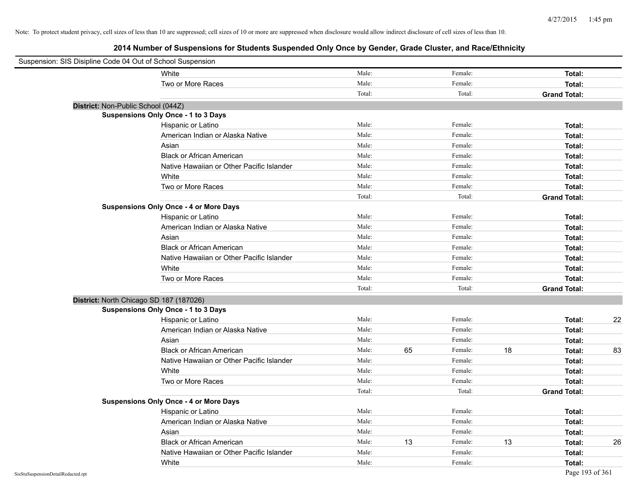| Suspension: SIS Disipline Code 04 Out of School Suspension |                                               |        |    |         |    |                     |    |
|------------------------------------------------------------|-----------------------------------------------|--------|----|---------|----|---------------------|----|
|                                                            | White                                         | Male:  |    | Female: |    | Total:              |    |
|                                                            | Two or More Races                             | Male:  |    | Female: |    | Total:              |    |
|                                                            |                                               | Total: |    | Total:  |    | <b>Grand Total:</b> |    |
| District: Non-Public School (044Z)                         |                                               |        |    |         |    |                     |    |
|                                                            | Suspensions Only Once - 1 to 3 Days           |        |    |         |    |                     |    |
|                                                            | Hispanic or Latino                            | Male:  |    | Female: |    | Total:              |    |
|                                                            | American Indian or Alaska Native              | Male:  |    | Female: |    | Total:              |    |
|                                                            | Asian                                         | Male:  |    | Female: |    | Total:              |    |
|                                                            | <b>Black or African American</b>              | Male:  |    | Female: |    | Total:              |    |
|                                                            | Native Hawaiian or Other Pacific Islander     | Male:  |    | Female: |    | Total:              |    |
|                                                            | White                                         | Male:  |    | Female: |    | Total:              |    |
|                                                            | Two or More Races                             | Male:  |    | Female: |    | Total:              |    |
|                                                            |                                               | Total: |    | Total:  |    | <b>Grand Total:</b> |    |
|                                                            | <b>Suspensions Only Once - 4 or More Days</b> |        |    |         |    |                     |    |
|                                                            | Hispanic or Latino                            | Male:  |    | Female: |    | Total:              |    |
|                                                            | American Indian or Alaska Native              | Male:  |    | Female: |    | Total:              |    |
|                                                            | Asian                                         | Male:  |    | Female: |    | Total:              |    |
|                                                            | <b>Black or African American</b>              | Male:  |    | Female: |    | Total:              |    |
|                                                            | Native Hawaiian or Other Pacific Islander     | Male:  |    | Female: |    | Total:              |    |
|                                                            | White                                         | Male:  |    | Female: |    | Total:              |    |
|                                                            | Two or More Races                             | Male:  |    | Female: |    | Total:              |    |
|                                                            |                                               | Total: |    | Total:  |    | <b>Grand Total:</b> |    |
| District: North Chicago SD 187 (187026)                    |                                               |        |    |         |    |                     |    |
|                                                            | Suspensions Only Once - 1 to 3 Days           |        |    |         |    |                     |    |
|                                                            | Hispanic or Latino                            | Male:  |    | Female: |    | Total:              | 22 |
|                                                            | American Indian or Alaska Native              | Male:  |    | Female: |    | Total:              |    |
|                                                            | Asian                                         | Male:  |    | Female: |    | Total:              |    |
|                                                            | <b>Black or African American</b>              | Male:  | 65 | Female: | 18 | Total:              | 83 |
|                                                            | Native Hawaiian or Other Pacific Islander     | Male:  |    | Female: |    | Total:              |    |
|                                                            | White                                         | Male:  |    | Female: |    | Total:              |    |
|                                                            | Two or More Races                             | Male:  |    | Female: |    | Total:              |    |
|                                                            |                                               | Total: |    | Total:  |    | <b>Grand Total:</b> |    |
|                                                            | <b>Suspensions Only Once - 4 or More Days</b> |        |    |         |    |                     |    |
|                                                            | Hispanic or Latino                            | Male:  |    | Female: |    | Total:              |    |
|                                                            | American Indian or Alaska Native              | Male:  |    | Female: |    | Total:              |    |
|                                                            | Asian                                         | Male:  |    | Female: |    | Total:              |    |
|                                                            | <b>Black or African American</b>              | Male:  | 13 | Female: | 13 | Total:              | 26 |
|                                                            | Native Hawaiian or Other Pacific Islander     | Male:  |    | Female: |    | Total:              |    |
|                                                            | White                                         | Male:  |    | Female: |    | Total:              |    |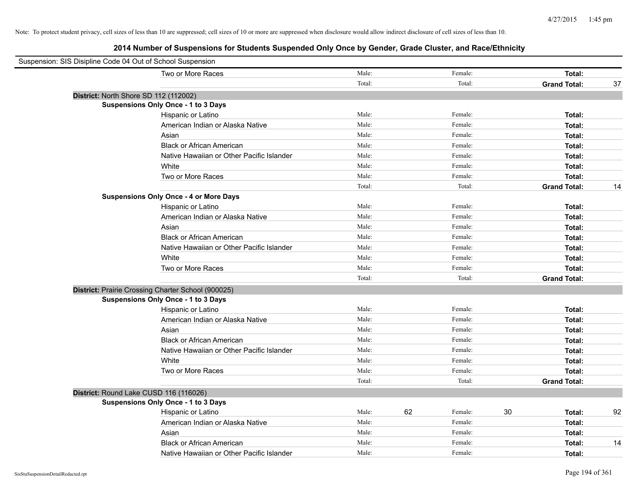| Suspension: SIS Disipline Code 04 Out of School Suspension |                                                    |        |    |         |    |                     |    |
|------------------------------------------------------------|----------------------------------------------------|--------|----|---------|----|---------------------|----|
|                                                            | Two or More Races                                  | Male:  |    | Female: |    | Total:              |    |
|                                                            |                                                    | Total: |    | Total:  |    | <b>Grand Total:</b> | 37 |
|                                                            | District: North Shore SD 112 (112002)              |        |    |         |    |                     |    |
|                                                            | Suspensions Only Once - 1 to 3 Days                |        |    |         |    |                     |    |
|                                                            | Hispanic or Latino                                 | Male:  |    | Female: |    | Total:              |    |
|                                                            | American Indian or Alaska Native                   | Male:  |    | Female: |    | Total:              |    |
|                                                            | Asian                                              | Male:  |    | Female: |    | Total:              |    |
|                                                            | <b>Black or African American</b>                   | Male:  |    | Female: |    | Total:              |    |
|                                                            | Native Hawaiian or Other Pacific Islander          | Male:  |    | Female: |    | Total:              |    |
|                                                            | White                                              | Male:  |    | Female: |    | Total:              |    |
|                                                            | Two or More Races                                  | Male:  |    | Female: |    | Total:              |    |
|                                                            |                                                    | Total: |    | Total:  |    | <b>Grand Total:</b> | 14 |
|                                                            | <b>Suspensions Only Once - 4 or More Days</b>      |        |    |         |    |                     |    |
|                                                            | Hispanic or Latino                                 | Male:  |    | Female: |    | Total:              |    |
|                                                            | American Indian or Alaska Native                   | Male:  |    | Female: |    | Total:              |    |
|                                                            | Asian                                              | Male:  |    | Female: |    | Total:              |    |
|                                                            | <b>Black or African American</b>                   | Male:  |    | Female: |    | Total:              |    |
|                                                            | Native Hawaiian or Other Pacific Islander          | Male:  |    | Female: |    | Total:              |    |
|                                                            | White                                              | Male:  |    | Female: |    | Total:              |    |
|                                                            | Two or More Races                                  | Male:  |    | Female: |    | Total:              |    |
|                                                            |                                                    | Total: |    | Total:  |    | <b>Grand Total:</b> |    |
|                                                            | District: Prairie Crossing Charter School (900025) |        |    |         |    |                     |    |
|                                                            | Suspensions Only Once - 1 to 3 Days                |        |    |         |    |                     |    |
|                                                            | Hispanic or Latino                                 | Male:  |    | Female: |    | Total:              |    |
|                                                            | American Indian or Alaska Native                   | Male:  |    | Female: |    | Total:              |    |
|                                                            | Asian                                              | Male:  |    | Female: |    | Total:              |    |
|                                                            | <b>Black or African American</b>                   | Male:  |    | Female: |    | Total:              |    |
|                                                            | Native Hawaiian or Other Pacific Islander          | Male:  |    | Female: |    | Total:              |    |
|                                                            | White                                              | Male:  |    | Female: |    | Total:              |    |
|                                                            | Two or More Races                                  | Male:  |    | Female: |    | Total:              |    |
|                                                            |                                                    | Total: |    | Total:  |    | <b>Grand Total:</b> |    |
|                                                            | District: Round Lake CUSD 116 (116026)             |        |    |         |    |                     |    |
|                                                            | Suspensions Only Once - 1 to 3 Days                |        |    |         |    |                     |    |
|                                                            | Hispanic or Latino                                 | Male:  | 62 | Female: | 30 | Total:              | 92 |
|                                                            | American Indian or Alaska Native                   | Male:  |    | Female: |    | Total:              |    |
|                                                            | Asian                                              | Male:  |    | Female: |    | Total:              |    |
|                                                            | <b>Black or African American</b>                   | Male:  |    | Female: |    | Total:              | 14 |
|                                                            | Native Hawaiian or Other Pacific Islander          | Male:  |    | Female: |    | Total:              |    |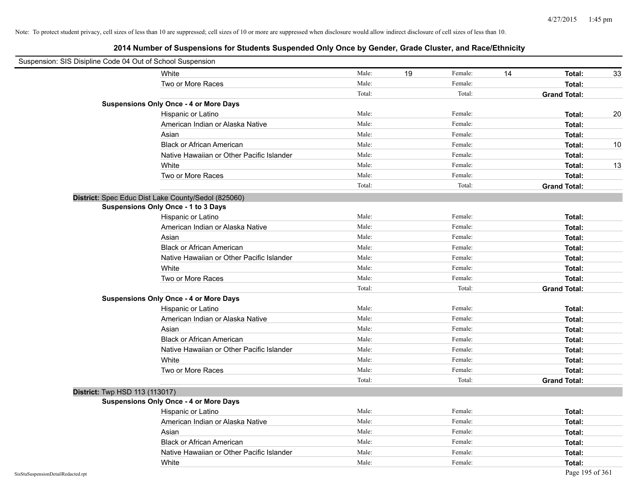| Suspension: SIS Disipline Code 04 Out of School Suspension |                                                     |        |    |         |    |                     |    |
|------------------------------------------------------------|-----------------------------------------------------|--------|----|---------|----|---------------------|----|
|                                                            | White                                               | Male:  | 19 | Female: | 14 | Total:              | 33 |
|                                                            | Two or More Races                                   | Male:  |    | Female: |    | Total:              |    |
|                                                            |                                                     | Total: |    | Total:  |    | <b>Grand Total:</b> |    |
|                                                            | <b>Suspensions Only Once - 4 or More Days</b>       |        |    |         |    |                     |    |
|                                                            | Hispanic or Latino                                  | Male:  |    | Female: |    | Total:              | 20 |
|                                                            | American Indian or Alaska Native                    | Male:  |    | Female: |    | Total:              |    |
|                                                            | Asian                                               | Male:  |    | Female: |    | Total:              |    |
|                                                            | <b>Black or African American</b>                    | Male:  |    | Female: |    | Total:              | 10 |
|                                                            | Native Hawaiian or Other Pacific Islander           | Male:  |    | Female: |    | Total:              |    |
|                                                            | White                                               | Male:  |    | Female: |    | Total:              | 13 |
|                                                            | Two or More Races                                   | Male:  |    | Female: |    | Total:              |    |
|                                                            |                                                     | Total: |    | Total:  |    | <b>Grand Total:</b> |    |
|                                                            | District: Spec Educ Dist Lake County/Sedol (825060) |        |    |         |    |                     |    |
|                                                            | <b>Suspensions Only Once - 1 to 3 Days</b>          |        |    |         |    |                     |    |
|                                                            | Hispanic or Latino                                  | Male:  |    | Female: |    | Total:              |    |
|                                                            | American Indian or Alaska Native                    | Male:  |    | Female: |    | Total:              |    |
|                                                            | Asian                                               | Male:  |    | Female: |    | Total:              |    |
|                                                            | <b>Black or African American</b>                    | Male:  |    | Female: |    | Total:              |    |
|                                                            | Native Hawaiian or Other Pacific Islander           | Male:  |    | Female: |    | Total:              |    |
|                                                            | White                                               | Male:  |    | Female: |    | Total:              |    |
|                                                            | Two or More Races                                   | Male:  |    | Female: |    | Total:              |    |
|                                                            |                                                     | Total: |    | Total:  |    | <b>Grand Total:</b> |    |
|                                                            | <b>Suspensions Only Once - 4 or More Days</b>       |        |    |         |    |                     |    |
|                                                            | Hispanic or Latino                                  | Male:  |    | Female: |    | Total:              |    |
|                                                            | American Indian or Alaska Native                    | Male:  |    | Female: |    | Total:              |    |
|                                                            | Asian                                               | Male:  |    | Female: |    | Total:              |    |
|                                                            | <b>Black or African American</b>                    | Male:  |    | Female: |    | Total:              |    |
|                                                            | Native Hawaiian or Other Pacific Islander           | Male:  |    | Female: |    | Total:              |    |
|                                                            | White                                               | Male:  |    | Female: |    | Total:              |    |
|                                                            | Two or More Races                                   | Male:  |    | Female: |    | Total:              |    |
|                                                            |                                                     | Total: |    | Total:  |    | <b>Grand Total:</b> |    |
| District: Twp HSD 113 (113017)                             |                                                     |        |    |         |    |                     |    |
|                                                            | <b>Suspensions Only Once - 4 or More Days</b>       |        |    |         |    |                     |    |
|                                                            | Hispanic or Latino                                  | Male:  |    | Female: |    | Total:              |    |
|                                                            | American Indian or Alaska Native                    | Male:  |    | Female: |    | Total:              |    |
|                                                            | Asian                                               | Male:  |    | Female: |    | Total:              |    |
|                                                            | <b>Black or African American</b>                    | Male:  |    | Female: |    | Total:              |    |
|                                                            | Native Hawaiian or Other Pacific Islander           | Male:  |    | Female: |    | Total:              |    |
|                                                            | White                                               | Male:  |    | Female: |    | Total:              |    |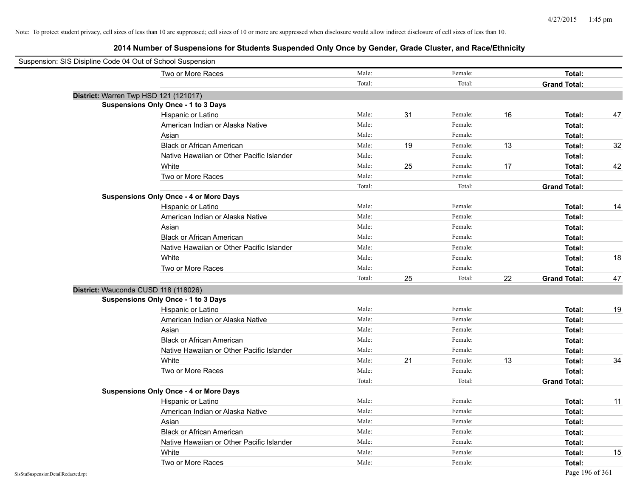| Suspension: SIS Disipline Code 04 Out of School Suspension |                                               |        |    |         |    |                     |    |
|------------------------------------------------------------|-----------------------------------------------|--------|----|---------|----|---------------------|----|
|                                                            | Two or More Races                             | Male:  |    | Female: |    | Total:              |    |
|                                                            |                                               | Total: |    | Total:  |    | <b>Grand Total:</b> |    |
| District: Warren Twp HSD 121 (121017)                      |                                               |        |    |         |    |                     |    |
|                                                            | <b>Suspensions Only Once - 1 to 3 Days</b>    |        |    |         |    |                     |    |
|                                                            | Hispanic or Latino                            | Male:  | 31 | Female: | 16 | Total:              | 47 |
|                                                            | American Indian or Alaska Native              | Male:  |    | Female: |    | Total:              |    |
|                                                            | Asian                                         | Male:  |    | Female: |    | Total:              |    |
|                                                            | <b>Black or African American</b>              | Male:  | 19 | Female: | 13 | Total:              | 32 |
|                                                            | Native Hawaiian or Other Pacific Islander     | Male:  |    | Female: |    | Total:              |    |
|                                                            | White                                         | Male:  | 25 | Female: | 17 | Total:              | 42 |
|                                                            | Two or More Races                             | Male:  |    | Female: |    | Total:              |    |
|                                                            |                                               | Total: |    | Total:  |    | <b>Grand Total:</b> |    |
|                                                            | <b>Suspensions Only Once - 4 or More Days</b> |        |    |         |    |                     |    |
|                                                            | Hispanic or Latino                            | Male:  |    | Female: |    | Total:              | 14 |
|                                                            | American Indian or Alaska Native              | Male:  |    | Female: |    | Total:              |    |
|                                                            | Asian                                         | Male:  |    | Female: |    | Total:              |    |
|                                                            | <b>Black or African American</b>              | Male:  |    | Female: |    | Total:              |    |
|                                                            | Native Hawaiian or Other Pacific Islander     | Male:  |    | Female: |    | Total:              |    |
|                                                            | White                                         | Male:  |    | Female: |    | Total:              | 18 |
|                                                            | Two or More Races                             | Male:  |    | Female: |    | Total:              |    |
|                                                            |                                               | Total: | 25 | Total:  | 22 | <b>Grand Total:</b> | 47 |
| District: Wauconda CUSD 118 (118026)                       |                                               |        |    |         |    |                     |    |
|                                                            | <b>Suspensions Only Once - 1 to 3 Days</b>    |        |    |         |    |                     |    |
|                                                            | Hispanic or Latino                            | Male:  |    | Female: |    | Total:              | 19 |
|                                                            | American Indian or Alaska Native              | Male:  |    | Female: |    | Total:              |    |
|                                                            | Asian                                         | Male:  |    | Female: |    | Total:              |    |
|                                                            | <b>Black or African American</b>              | Male:  |    | Female: |    | Total:              |    |
|                                                            | Native Hawaiian or Other Pacific Islander     | Male:  |    | Female: |    | Total:              |    |
|                                                            | White                                         | Male:  | 21 | Female: | 13 | Total:              | 34 |
|                                                            | Two or More Races                             | Male:  |    | Female: |    | Total:              |    |
|                                                            |                                               | Total: |    | Total:  |    | <b>Grand Total:</b> |    |
|                                                            | <b>Suspensions Only Once - 4 or More Days</b> |        |    |         |    |                     |    |
|                                                            | Hispanic or Latino                            | Male:  |    | Female: |    | Total:              | 11 |
|                                                            | American Indian or Alaska Native              | Male:  |    | Female: |    | Total:              |    |
|                                                            | Asian                                         | Male:  |    | Female: |    | Total:              |    |
|                                                            | <b>Black or African American</b>              | Male:  |    | Female: |    | Total:              |    |
|                                                            | Native Hawaiian or Other Pacific Islander     | Male:  |    | Female: |    | Total:              |    |
|                                                            | White                                         | Male:  |    | Female: |    | Total:              | 15 |
|                                                            | Two or More Races                             | Male:  |    | Female: |    | Total:              |    |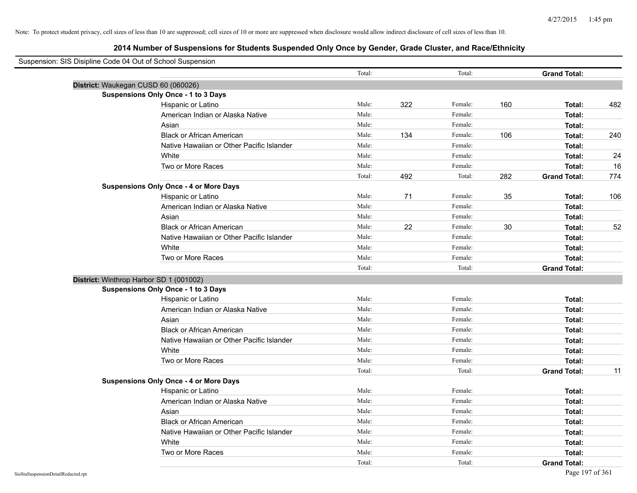| Suspension: SIS Disipline Code 04 Out of School Suspension |                                               |        |     |         |     |                     |     |
|------------------------------------------------------------|-----------------------------------------------|--------|-----|---------|-----|---------------------|-----|
|                                                            |                                               | Total: |     | Total:  |     | <b>Grand Total:</b> |     |
| District: Waukegan CUSD 60 (060026)                        |                                               |        |     |         |     |                     |     |
|                                                            | <b>Suspensions Only Once - 1 to 3 Days</b>    |        |     |         |     |                     |     |
|                                                            | Hispanic or Latino                            | Male:  | 322 | Female: | 160 | Total:              | 482 |
|                                                            | American Indian or Alaska Native              | Male:  |     | Female: |     | Total:              |     |
|                                                            | Asian                                         | Male:  |     | Female: |     | Total:              |     |
|                                                            | <b>Black or African American</b>              | Male:  | 134 | Female: | 106 | Total:              | 240 |
|                                                            | Native Hawaiian or Other Pacific Islander     | Male:  |     | Female: |     | Total:              |     |
|                                                            | White                                         | Male:  |     | Female: |     | Total:              | 24  |
|                                                            | Two or More Races                             | Male:  |     | Female: |     | Total:              | 16  |
|                                                            |                                               | Total: | 492 | Total:  | 282 | <b>Grand Total:</b> | 774 |
|                                                            | <b>Suspensions Only Once - 4 or More Days</b> |        |     |         |     |                     |     |
|                                                            | Hispanic or Latino                            | Male:  | 71  | Female: | 35  | Total:              | 106 |
|                                                            | American Indian or Alaska Native              | Male:  |     | Female: |     | Total:              |     |
|                                                            | Asian                                         | Male:  |     | Female: |     | Total:              |     |
|                                                            | <b>Black or African American</b>              | Male:  | 22  | Female: | 30  | Total:              | 52  |
|                                                            | Native Hawaiian or Other Pacific Islander     | Male:  |     | Female: |     | Total:              |     |
|                                                            | White                                         | Male:  |     | Female: |     | Total:              |     |
|                                                            | Two or More Races                             | Male:  |     | Female: |     | Total:              |     |
|                                                            |                                               | Total: |     | Total:  |     | <b>Grand Total:</b> |     |
| District: Winthrop Harbor SD 1 (001002)                    |                                               |        |     |         |     |                     |     |
|                                                            | <b>Suspensions Only Once - 1 to 3 Days</b>    |        |     |         |     |                     |     |
|                                                            | Hispanic or Latino                            | Male:  |     | Female: |     | Total:              |     |
|                                                            | American Indian or Alaska Native              | Male:  |     | Female: |     | Total:              |     |
|                                                            | Asian                                         | Male:  |     | Female: |     | Total:              |     |
|                                                            | <b>Black or African American</b>              | Male:  |     | Female: |     | Total:              |     |
|                                                            | Native Hawaiian or Other Pacific Islander     | Male:  |     | Female: |     | Total:              |     |
|                                                            | White                                         | Male:  |     | Female: |     | Total:              |     |
|                                                            | Two or More Races                             | Male:  |     | Female: |     | Total:              |     |
|                                                            |                                               | Total: |     | Total:  |     | <b>Grand Total:</b> | 11  |
|                                                            | <b>Suspensions Only Once - 4 or More Days</b> |        |     |         |     |                     |     |
|                                                            | Hispanic or Latino                            | Male:  |     | Female: |     | Total:              |     |
|                                                            | American Indian or Alaska Native              | Male:  |     | Female: |     | Total:              |     |
|                                                            | Asian                                         | Male:  |     | Female: |     | Total:              |     |
|                                                            | <b>Black or African American</b>              | Male:  |     | Female: |     | Total:              |     |
|                                                            | Native Hawaiian or Other Pacific Islander     | Male:  |     | Female: |     | Total:              |     |
|                                                            | White                                         | Male:  |     | Female: |     | Total:              |     |
|                                                            | Two or More Races                             | Male:  |     | Female: |     | Total:              |     |
|                                                            |                                               | Total: |     | Total:  |     | <b>Grand Total:</b> |     |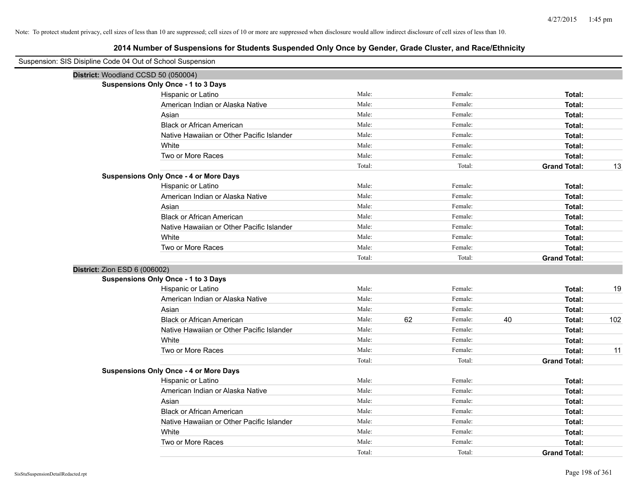| Suspension: SIS Disipline Code 04 Out of School Suspension |                                               |        |    |         |    |                     |     |
|------------------------------------------------------------|-----------------------------------------------|--------|----|---------|----|---------------------|-----|
|                                                            | District: Woodland CCSD 50 (050004)           |        |    |         |    |                     |     |
|                                                            | <b>Suspensions Only Once - 1 to 3 Days</b>    |        |    |         |    |                     |     |
|                                                            | Hispanic or Latino                            | Male:  |    | Female: |    | Total:              |     |
|                                                            | American Indian or Alaska Native              | Male:  |    | Female: |    | Total:              |     |
|                                                            | Asian                                         | Male:  |    | Female: |    | Total:              |     |
|                                                            | <b>Black or African American</b>              | Male:  |    | Female: |    | Total:              |     |
|                                                            | Native Hawaiian or Other Pacific Islander     | Male:  |    | Female: |    | Total:              |     |
|                                                            | White                                         | Male:  |    | Female: |    | Total:              |     |
|                                                            | Two or More Races                             | Male:  |    | Female: |    | Total:              |     |
|                                                            |                                               | Total: |    | Total:  |    | <b>Grand Total:</b> | 13  |
|                                                            | <b>Suspensions Only Once - 4 or More Days</b> |        |    |         |    |                     |     |
|                                                            | Hispanic or Latino                            | Male:  |    | Female: |    | Total:              |     |
|                                                            | American Indian or Alaska Native              | Male:  |    | Female: |    | Total:              |     |
|                                                            | Asian                                         | Male:  |    | Female: |    | Total:              |     |
|                                                            | <b>Black or African American</b>              | Male:  |    | Female: |    | Total:              |     |
|                                                            | Native Hawaiian or Other Pacific Islander     | Male:  |    | Female: |    | Total:              |     |
|                                                            | White                                         | Male:  |    | Female: |    | Total:              |     |
|                                                            | Two or More Races                             | Male:  |    | Female: |    | Total:              |     |
|                                                            |                                               | Total: |    | Total:  |    | <b>Grand Total:</b> |     |
|                                                            | District: Zion ESD 6 (006002)                 |        |    |         |    |                     |     |
|                                                            | <b>Suspensions Only Once - 1 to 3 Days</b>    |        |    |         |    |                     |     |
|                                                            | Hispanic or Latino                            | Male:  |    | Female: |    | Total:              | 19  |
|                                                            | American Indian or Alaska Native              | Male:  |    | Female: |    | Total:              |     |
|                                                            | Asian                                         | Male:  |    | Female: |    | Total:              |     |
|                                                            | <b>Black or African American</b>              | Male:  | 62 | Female: | 40 | Total:              | 102 |
|                                                            | Native Hawaiian or Other Pacific Islander     | Male:  |    | Female: |    | Total:              |     |
|                                                            | White                                         | Male:  |    | Female: |    | Total:              |     |
|                                                            | Two or More Races                             | Male:  |    | Female: |    | Total:              | 11  |
|                                                            |                                               | Total: |    | Total:  |    | <b>Grand Total:</b> |     |
|                                                            | <b>Suspensions Only Once - 4 or More Days</b> |        |    |         |    |                     |     |
|                                                            | Hispanic or Latino                            | Male:  |    | Female: |    | Total:              |     |
|                                                            | American Indian or Alaska Native              | Male:  |    | Female: |    | Total:              |     |
|                                                            | Asian                                         | Male:  |    | Female: |    | Total:              |     |
|                                                            | <b>Black or African American</b>              | Male:  |    | Female: |    | Total:              |     |
|                                                            | Native Hawaiian or Other Pacific Islander     | Male:  |    | Female: |    | Total:              |     |
|                                                            | White                                         | Male:  |    | Female: |    | Total:              |     |
|                                                            | Two or More Races                             | Male:  |    | Female: |    | Total:              |     |
|                                                            |                                               | Total: |    | Total:  |    | <b>Grand Total:</b> |     |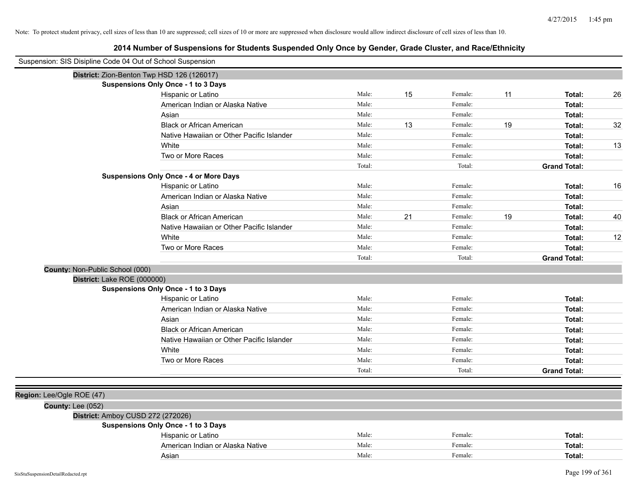| Suspension: SIS Disipline Code 04 Out of School Suspension |                                               |        |    |         |    |                     |    |
|------------------------------------------------------------|-----------------------------------------------|--------|----|---------|----|---------------------|----|
|                                                            | District: Zion-Benton Twp HSD 126 (126017)    |        |    |         |    |                     |    |
|                                                            | <b>Suspensions Only Once - 1 to 3 Days</b>    |        |    |         |    |                     |    |
|                                                            | Hispanic or Latino                            | Male:  | 15 | Female: | 11 | Total:              | 26 |
|                                                            | American Indian or Alaska Native              | Male:  |    | Female: |    | Total:              |    |
|                                                            | Asian                                         | Male:  |    | Female: |    | Total:              |    |
|                                                            | <b>Black or African American</b>              | Male:  | 13 | Female: | 19 | Total:              | 32 |
|                                                            | Native Hawaiian or Other Pacific Islander     | Male:  |    | Female: |    | Total:              |    |
|                                                            | White                                         | Male:  |    | Female: |    | Total:              | 13 |
|                                                            | Two or More Races                             | Male:  |    | Female: |    | Total:              |    |
|                                                            |                                               | Total: |    | Total:  |    | <b>Grand Total:</b> |    |
|                                                            | <b>Suspensions Only Once - 4 or More Days</b> |        |    |         |    |                     |    |
|                                                            | Hispanic or Latino                            | Male:  |    | Female: |    | Total:              | 16 |
|                                                            | American Indian or Alaska Native              | Male:  |    | Female: |    | Total:              |    |
|                                                            | Asian                                         | Male:  |    | Female: |    | Total:              |    |
|                                                            | <b>Black or African American</b>              | Male:  | 21 | Female: | 19 | Total:              | 40 |
|                                                            | Native Hawaiian or Other Pacific Islander     | Male:  |    | Female: |    | Total:              |    |
|                                                            | White                                         | Male:  |    | Female: |    | Total:              | 12 |
|                                                            | Two or More Races                             | Male:  |    | Female: |    | Total:              |    |
|                                                            |                                               | Total: |    | Total:  |    | <b>Grand Total:</b> |    |
| County: Non-Public School (000)                            |                                               |        |    |         |    |                     |    |
| District: Lake ROE (000000)                                |                                               |        |    |         |    |                     |    |
|                                                            | Suspensions Only Once - 1 to 3 Days           |        |    |         |    |                     |    |
|                                                            | Hispanic or Latino                            | Male:  |    | Female: |    | Total:              |    |
|                                                            | American Indian or Alaska Native              | Male:  |    | Female: |    | Total:              |    |
|                                                            | Asian                                         | Male:  |    | Female: |    | Total:              |    |
|                                                            | <b>Black or African American</b>              | Male:  |    | Female: |    | Total:              |    |
|                                                            | Native Hawaiian or Other Pacific Islander     | Male:  |    | Female: |    | Total:              |    |
|                                                            | White                                         | Male:  |    | Female: |    | Total:              |    |
|                                                            | Two or More Races                             | Male:  |    | Female: |    | Total:              |    |
|                                                            |                                               | Total: |    | Total:  |    | <b>Grand Total:</b> |    |
|                                                            |                                               |        |    |         |    |                     |    |
| Region: Lee/Ogle ROE (47)                                  |                                               |        |    |         |    |                     |    |
| <b>County: Lee (052)</b>                                   |                                               |        |    |         |    |                     |    |
| District: Amboy CUSD 272 (272026)                          |                                               |        |    |         |    |                     |    |
|                                                            | Suspensions Only Once - 1 to 3 Days           |        |    |         |    |                     |    |
|                                                            | Hispanic or Latino                            | Male:  |    | Female: |    | Total:              |    |
|                                                            | American Indian or Alaska Native              | Male:  |    | Female: |    | Total:              |    |
|                                                            | Asian                                         | Male:  |    | Female: |    | Total:              |    |
|                                                            |                                               |        |    |         |    |                     |    |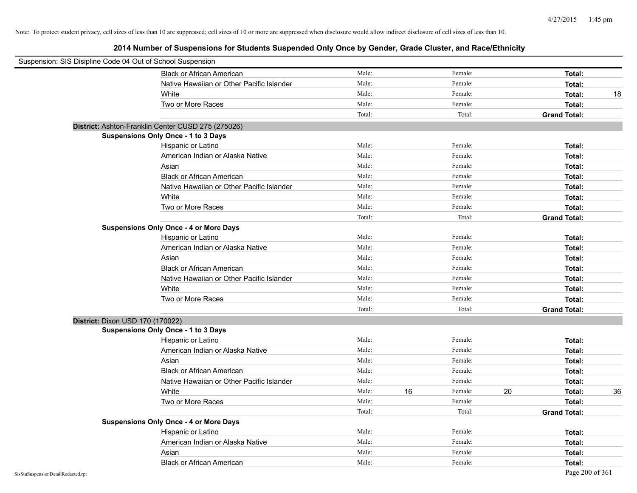| Suspension: SIS Disipline Code 04 Out of School Suspension |                                                    |        |    |         |    |                     |    |
|------------------------------------------------------------|----------------------------------------------------|--------|----|---------|----|---------------------|----|
|                                                            | <b>Black or African American</b>                   | Male:  |    | Female: |    | Total:              |    |
|                                                            | Native Hawaiian or Other Pacific Islander          | Male:  |    | Female: |    | Total:              |    |
|                                                            | White                                              | Male:  |    | Female: |    | Total:              | 18 |
|                                                            | Two or More Races                                  | Male:  |    | Female: |    | Total:              |    |
|                                                            |                                                    | Total: |    | Total:  |    | <b>Grand Total:</b> |    |
|                                                            | District: Ashton-Franklin Center CUSD 275 (275026) |        |    |         |    |                     |    |
|                                                            | Suspensions Only Once - 1 to 3 Days                |        |    |         |    |                     |    |
|                                                            | Hispanic or Latino                                 | Male:  |    | Female: |    | Total:              |    |
|                                                            | American Indian or Alaska Native                   | Male:  |    | Female: |    | Total:              |    |
|                                                            | Asian                                              | Male:  |    | Female: |    | Total:              |    |
|                                                            | <b>Black or African American</b>                   | Male:  |    | Female: |    | Total:              |    |
|                                                            | Native Hawaiian or Other Pacific Islander          | Male:  |    | Female: |    | Total:              |    |
|                                                            | White                                              | Male:  |    | Female: |    | Total:              |    |
|                                                            | Two or More Races                                  | Male:  |    | Female: |    | Total:              |    |
|                                                            |                                                    | Total: |    | Total:  |    | <b>Grand Total:</b> |    |
|                                                            | <b>Suspensions Only Once - 4 or More Days</b>      |        |    |         |    |                     |    |
|                                                            | Hispanic or Latino                                 | Male:  |    | Female: |    | Total:              |    |
|                                                            | American Indian or Alaska Native                   | Male:  |    | Female: |    | Total:              |    |
|                                                            | Asian                                              | Male:  |    | Female: |    | Total:              |    |
|                                                            | <b>Black or African American</b>                   | Male:  |    | Female: |    | Total:              |    |
|                                                            | Native Hawaiian or Other Pacific Islander          | Male:  |    | Female: |    | Total:              |    |
|                                                            | White                                              | Male:  |    | Female: |    | Total:              |    |
|                                                            | Two or More Races                                  | Male:  |    | Female: |    | Total:              |    |
|                                                            |                                                    | Total: |    | Total:  |    | <b>Grand Total:</b> |    |
| District: Dixon USD 170 (170022)                           |                                                    |        |    |         |    |                     |    |
|                                                            | Suspensions Only Once - 1 to 3 Days                |        |    |         |    |                     |    |
|                                                            | Hispanic or Latino                                 | Male:  |    | Female: |    | Total:              |    |
|                                                            | American Indian or Alaska Native                   | Male:  |    | Female: |    | Total:              |    |
|                                                            | Asian                                              | Male:  |    | Female: |    | Total:              |    |
|                                                            | <b>Black or African American</b>                   | Male:  |    | Female: |    | Total:              |    |
|                                                            | Native Hawaiian or Other Pacific Islander          | Male:  |    | Female: |    | Total:              |    |
|                                                            | White                                              | Male:  | 16 | Female: | 20 | Total:              | 36 |
|                                                            | Two or More Races                                  | Male:  |    | Female: |    | Total:              |    |
|                                                            |                                                    | Total: |    | Total:  |    | <b>Grand Total:</b> |    |
|                                                            | <b>Suspensions Only Once - 4 or More Days</b>      |        |    |         |    |                     |    |
|                                                            | Hispanic or Latino                                 | Male:  |    | Female: |    | Total:              |    |
|                                                            | American Indian or Alaska Native                   | Male:  |    | Female: |    | Total:              |    |
|                                                            | Asian                                              | Male:  |    | Female: |    | Total:              |    |
|                                                            | <b>Black or African American</b>                   | Male:  |    | Female: |    | Total:              |    |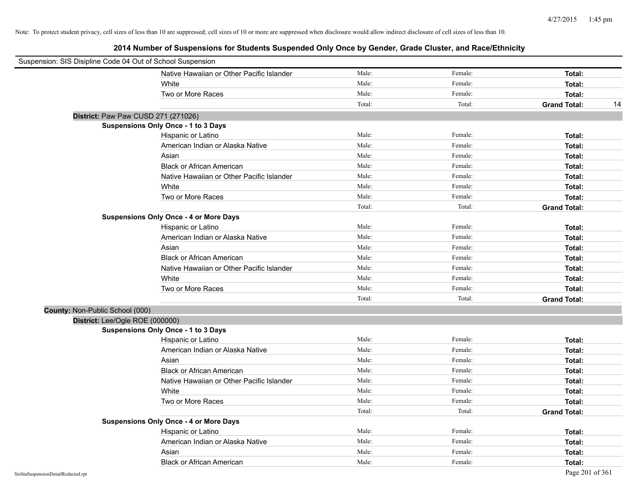| Suspension: SIS Disipline Code 04 Out of School Suspension |                                               |        |         |                           |
|------------------------------------------------------------|-----------------------------------------------|--------|---------|---------------------------|
|                                                            | Native Hawaiian or Other Pacific Islander     | Male:  | Female: | Total:                    |
|                                                            | White                                         | Male:  | Female: | Total:                    |
|                                                            | Two or More Races                             | Male:  | Female: | Total:                    |
|                                                            |                                               | Total: | Total:  | <b>Grand Total:</b><br>14 |
|                                                            | District: Paw Paw CUSD 271 (271026)           |        |         |                           |
|                                                            | <b>Suspensions Only Once - 1 to 3 Days</b>    |        |         |                           |
|                                                            | Hispanic or Latino                            | Male:  | Female: | Total:                    |
|                                                            | American Indian or Alaska Native              | Male:  | Female: | Total:                    |
|                                                            | Asian                                         | Male:  | Female: | Total:                    |
|                                                            | <b>Black or African American</b>              | Male:  | Female: | Total:                    |
|                                                            | Native Hawaiian or Other Pacific Islander     | Male:  | Female: | Total:                    |
|                                                            | White                                         | Male:  | Female: | Total:                    |
|                                                            | Two or More Races                             | Male:  | Female: | Total:                    |
|                                                            |                                               | Total: | Total:  | <b>Grand Total:</b>       |
|                                                            | <b>Suspensions Only Once - 4 or More Days</b> |        |         |                           |
|                                                            | Hispanic or Latino                            | Male:  | Female: | Total:                    |
|                                                            | American Indian or Alaska Native              | Male:  | Female: | Total:                    |
|                                                            | Asian                                         | Male:  | Female: | Total:                    |
|                                                            | <b>Black or African American</b>              | Male:  | Female: | Total:                    |
|                                                            | Native Hawaiian or Other Pacific Islander     | Male:  | Female: | Total:                    |
|                                                            | White                                         | Male:  | Female: | Total:                    |
|                                                            | Two or More Races                             | Male:  | Female: | Total:                    |
|                                                            |                                               | Total: | Total:  | <b>Grand Total:</b>       |
| County: Non-Public School (000)                            |                                               |        |         |                           |
| District: Lee/Ogle ROE (000000)                            |                                               |        |         |                           |
|                                                            | <b>Suspensions Only Once - 1 to 3 Days</b>    |        |         |                           |
|                                                            | Hispanic or Latino                            | Male:  | Female: | Total:                    |
|                                                            | American Indian or Alaska Native              | Male:  | Female: | Total:                    |
|                                                            | Asian                                         | Male:  | Female: | Total:                    |
|                                                            | <b>Black or African American</b>              | Male:  | Female: | Total:                    |
|                                                            | Native Hawaiian or Other Pacific Islander     | Male:  | Female: | Total:                    |
|                                                            | White                                         | Male:  | Female: | Total:                    |
|                                                            | Two or More Races                             | Male:  | Female: | Total:                    |
|                                                            |                                               | Total: | Total:  | <b>Grand Total:</b>       |
|                                                            | <b>Suspensions Only Once - 4 or More Days</b> |        |         |                           |
|                                                            | Hispanic or Latino                            | Male:  | Female: | Total:                    |
|                                                            | American Indian or Alaska Native              | Male:  | Female: | Total:                    |
|                                                            | Asian                                         | Male:  | Female: | Total:                    |
|                                                            | <b>Black or African American</b>              | Male:  | Female: | Total:                    |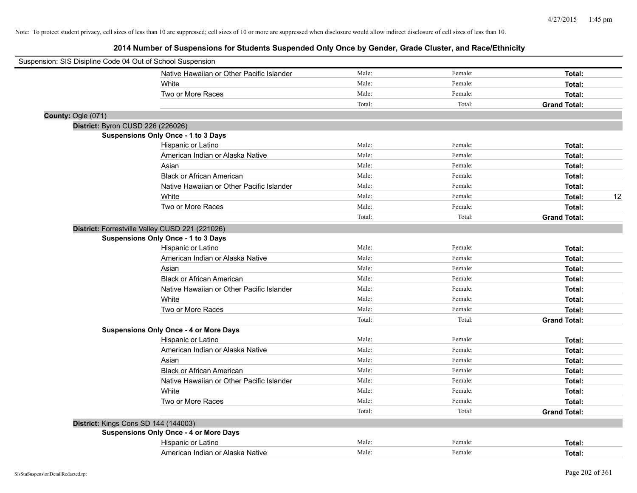|                    | Suspension: SIS Disipline Code 04 Out of School Suspension |        |         |                     |    |
|--------------------|------------------------------------------------------------|--------|---------|---------------------|----|
|                    | Native Hawaiian or Other Pacific Islander                  | Male:  | Female: | Total:              |    |
|                    | White                                                      | Male:  | Female: | Total:              |    |
|                    | Two or More Races                                          | Male:  | Female: | Total:              |    |
|                    |                                                            | Total: | Total:  | <b>Grand Total:</b> |    |
| County: Ogle (071) |                                                            |        |         |                     |    |
|                    | District: Byron CUSD 226 (226026)                          |        |         |                     |    |
|                    | Suspensions Only Once - 1 to 3 Days                        |        |         |                     |    |
|                    | Hispanic or Latino                                         | Male:  | Female: | Total:              |    |
|                    | American Indian or Alaska Native                           | Male:  | Female: | Total:              |    |
|                    | Asian                                                      | Male:  | Female: | Total:              |    |
|                    | <b>Black or African American</b>                           | Male:  | Female: | Total:              |    |
|                    | Native Hawaiian or Other Pacific Islander                  | Male:  | Female: | Total:              |    |
|                    | White                                                      | Male:  | Female: | Total:              | 12 |
|                    | Two or More Races                                          | Male:  | Female: | Total:              |    |
|                    |                                                            | Total: | Total:  | <b>Grand Total:</b> |    |
|                    | District: Forrestville Valley CUSD 221 (221026)            |        |         |                     |    |
|                    | Suspensions Only Once - 1 to 3 Days                        |        |         |                     |    |
|                    | Hispanic or Latino                                         | Male:  | Female: | Total:              |    |
|                    | American Indian or Alaska Native                           | Male:  | Female: | Total:              |    |
|                    | Asian                                                      | Male:  | Female: | Total:              |    |
|                    | <b>Black or African American</b>                           | Male:  | Female: | Total:              |    |
|                    | Native Hawaiian or Other Pacific Islander                  | Male:  | Female: | Total:              |    |
|                    | White                                                      | Male:  | Female: | Total:              |    |
|                    | Two or More Races                                          | Male:  | Female: | Total:              |    |
|                    |                                                            | Total: | Total:  | <b>Grand Total:</b> |    |
|                    | <b>Suspensions Only Once - 4 or More Days</b>              |        |         |                     |    |
|                    | Hispanic or Latino                                         | Male:  | Female: | Total:              |    |
|                    | American Indian or Alaska Native                           | Male:  | Female: | Total:              |    |
|                    | Asian                                                      | Male:  | Female: | Total:              |    |
|                    | <b>Black or African American</b>                           | Male:  | Female: | Total:              |    |
|                    | Native Hawaiian or Other Pacific Islander                  | Male:  | Female: | Total:              |    |
|                    | White                                                      | Male:  | Female: | Total:              |    |
|                    | Two or More Races                                          | Male:  | Female: | Total:              |    |
|                    |                                                            | Total: | Total:  | <b>Grand Total:</b> |    |
|                    | District: Kings Cons SD 144 (144003)                       |        |         |                     |    |
|                    | <b>Suspensions Only Once - 4 or More Days</b>              |        |         |                     |    |
|                    | Hispanic or Latino                                         | Male:  | Female: | Total:              |    |
|                    | American Indian or Alaska Native                           | Male:  | Female: | Total:              |    |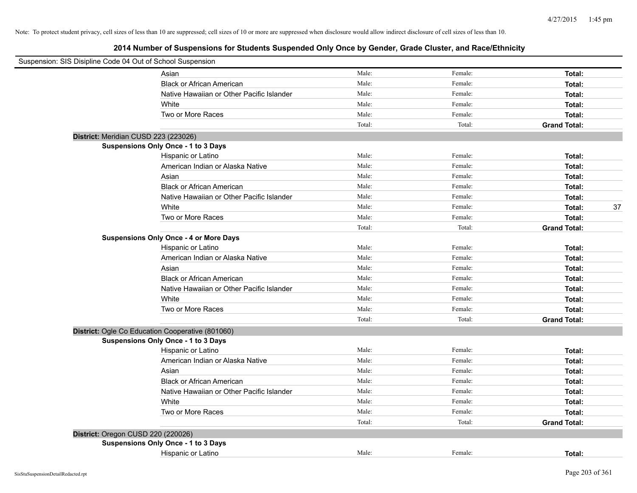| Suspension: SIS Disipline Code 04 Out of School Suspension |                                                  |        |         |                     |
|------------------------------------------------------------|--------------------------------------------------|--------|---------|---------------------|
|                                                            | Asian                                            | Male:  | Female: | Total:              |
|                                                            | <b>Black or African American</b>                 | Male:  | Female: | Total:              |
|                                                            | Native Hawaiian or Other Pacific Islander        | Male:  | Female: | Total:              |
|                                                            | White                                            | Male:  | Female: | Total:              |
|                                                            | Two or More Races                                | Male:  | Female: | Total:              |
|                                                            |                                                  | Total: | Total:  | <b>Grand Total:</b> |
| District: Meridian CUSD 223 (223026)                       |                                                  |        |         |                     |
|                                                            | Suspensions Only Once - 1 to 3 Days              |        |         |                     |
|                                                            | Hispanic or Latino                               | Male:  | Female: | Total:              |
|                                                            | American Indian or Alaska Native                 | Male:  | Female: | Total:              |
|                                                            | Asian                                            | Male:  | Female: | Total:              |
|                                                            | <b>Black or African American</b>                 | Male:  | Female: | Total:              |
|                                                            | Native Hawaiian or Other Pacific Islander        | Male:  | Female: | Total:              |
|                                                            | White                                            | Male:  | Female: | 37<br>Total:        |
|                                                            | Two or More Races                                | Male:  | Female: | Total:              |
|                                                            |                                                  | Total: | Total:  | <b>Grand Total:</b> |
|                                                            | <b>Suspensions Only Once - 4 or More Days</b>    |        |         |                     |
|                                                            | Hispanic or Latino                               | Male:  | Female: | Total:              |
|                                                            | American Indian or Alaska Native                 | Male:  | Female: | Total:              |
|                                                            | Asian                                            | Male:  | Female: | Total:              |
|                                                            | <b>Black or African American</b>                 | Male:  | Female: | Total:              |
|                                                            | Native Hawaiian or Other Pacific Islander        | Male:  | Female: | Total:              |
|                                                            | White                                            | Male:  | Female: | Total:              |
|                                                            | Two or More Races                                | Male:  | Female: | Total:              |
|                                                            |                                                  | Total: | Total:  | <b>Grand Total:</b> |
|                                                            | District: Ogle Co Education Cooperative (801060) |        |         |                     |
|                                                            | Suspensions Only Once - 1 to 3 Days              |        |         |                     |
|                                                            | Hispanic or Latino                               | Male:  | Female: | Total:              |
|                                                            | American Indian or Alaska Native                 | Male:  | Female: | Total:              |
|                                                            | Asian                                            | Male:  | Female: | Total:              |
|                                                            | <b>Black or African American</b>                 | Male:  | Female: | Total:              |
|                                                            | Native Hawaiian or Other Pacific Islander        | Male:  | Female: | Total:              |
|                                                            | White                                            | Male:  | Female: | Total:              |
|                                                            | Two or More Races                                | Male:  | Female: | Total:              |
|                                                            |                                                  | Total: | Total:  | <b>Grand Total:</b> |
| District: Oregon CUSD 220 (220026)                         |                                                  |        |         |                     |
|                                                            | Suspensions Only Once - 1 to 3 Days              |        |         |                     |
|                                                            | Hispanic or Latino                               | Male:  | Female: | Total:              |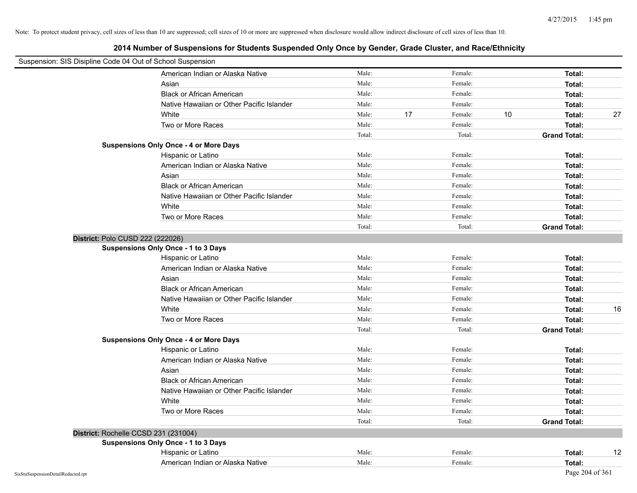| Suspension: SIS Disipline Code 04 Out of School Suspension |                                               |        |    |         |    |                     |    |
|------------------------------------------------------------|-----------------------------------------------|--------|----|---------|----|---------------------|----|
|                                                            | American Indian or Alaska Native              | Male:  |    | Female: |    | Total:              |    |
|                                                            | Asian                                         | Male:  |    | Female: |    | Total:              |    |
|                                                            | <b>Black or African American</b>              | Male:  |    | Female: |    | Total:              |    |
|                                                            | Native Hawaiian or Other Pacific Islander     | Male:  |    | Female: |    | Total:              |    |
|                                                            | White                                         | Male:  | 17 | Female: | 10 | Total:              | 27 |
|                                                            | Two or More Races                             | Male:  |    | Female: |    | Total:              |    |
|                                                            |                                               | Total: |    | Total:  |    | <b>Grand Total:</b> |    |
|                                                            | <b>Suspensions Only Once - 4 or More Days</b> |        |    |         |    |                     |    |
|                                                            | Hispanic or Latino                            | Male:  |    | Female: |    | Total:              |    |
|                                                            | American Indian or Alaska Native              | Male:  |    | Female: |    | Total:              |    |
|                                                            | Asian                                         | Male:  |    | Female: |    | Total:              |    |
|                                                            | <b>Black or African American</b>              | Male:  |    | Female: |    | Total:              |    |
|                                                            | Native Hawaiian or Other Pacific Islander     | Male:  |    | Female: |    | Total:              |    |
|                                                            | White                                         | Male:  |    | Female: |    | Total:              |    |
|                                                            | Two or More Races                             | Male:  |    | Female: |    | Total:              |    |
|                                                            |                                               | Total: |    | Total:  |    | <b>Grand Total:</b> |    |
|                                                            | District: Polo CUSD 222 (222026)              |        |    |         |    |                     |    |
|                                                            | Suspensions Only Once - 1 to 3 Days           |        |    |         |    |                     |    |
|                                                            | Hispanic or Latino                            | Male:  |    | Female: |    | Total:              |    |
|                                                            | American Indian or Alaska Native              | Male:  |    | Female: |    | Total:              |    |
|                                                            | Asian                                         | Male:  |    | Female: |    | Total:              |    |
|                                                            | <b>Black or African American</b>              | Male:  |    | Female: |    | Total:              |    |
|                                                            | Native Hawaiian or Other Pacific Islander     | Male:  |    | Female: |    | Total:              |    |
|                                                            | White                                         | Male:  |    | Female: |    | Total:              | 16 |
|                                                            | Two or More Races                             | Male:  |    | Female: |    | Total:              |    |
|                                                            |                                               | Total: |    | Total:  |    | <b>Grand Total:</b> |    |
|                                                            | <b>Suspensions Only Once - 4 or More Days</b> |        |    |         |    |                     |    |
|                                                            | Hispanic or Latino                            | Male:  |    | Female: |    | Total:              |    |
|                                                            | American Indian or Alaska Native              | Male:  |    | Female: |    | Total:              |    |
|                                                            | Asian                                         | Male:  |    | Female: |    | Total:              |    |
|                                                            | <b>Black or African American</b>              | Male:  |    | Female: |    | Total:              |    |
|                                                            | Native Hawaiian or Other Pacific Islander     | Male:  |    | Female: |    | Total:              |    |
|                                                            | White                                         | Male:  |    | Female: |    | Total:              |    |
|                                                            | Two or More Races                             | Male:  |    | Female: |    | Total:              |    |
|                                                            |                                               | Total: |    | Total:  |    | <b>Grand Total:</b> |    |
|                                                            | District: Rochelle CCSD 231 (231004)          |        |    |         |    |                     |    |
|                                                            | <b>Suspensions Only Once - 1 to 3 Days</b>    |        |    |         |    |                     |    |
|                                                            | Hispanic or Latino                            | Male:  |    | Female: |    | Total:              | 12 |
|                                                            | American Indian or Alaska Native              | Male:  |    | Female: |    | Total:              |    |
| SisStuSuspensionDetailRedacted.rpt                         |                                               |        |    |         |    | Page 204 of 361     |    |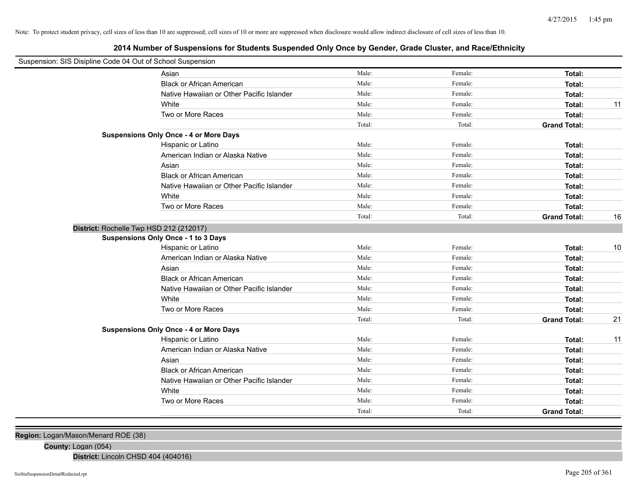# **2014 Number of Suspensions for Students Suspended Only Once by Gender, Grade Cluster, and Race/Ethnicity**

| Suspension: SIS Disipline Code 04 Out of School Suspension |                                               |        |         |                     |    |
|------------------------------------------------------------|-----------------------------------------------|--------|---------|---------------------|----|
|                                                            |                                               |        |         |                     |    |
|                                                            | Asian                                         | Male:  | Female: | Total:              |    |
|                                                            | <b>Black or African American</b>              | Male:  | Female: | Total:              |    |
|                                                            | Native Hawaiian or Other Pacific Islander     | Male:  | Female: | Total:              |    |
|                                                            | White                                         | Male:  | Female: | Total:              | 11 |
|                                                            | Two or More Races                             | Male:  | Female: | Total:              |    |
|                                                            |                                               | Total: | Total:  | <b>Grand Total:</b> |    |
|                                                            | <b>Suspensions Only Once - 4 or More Days</b> |        |         |                     |    |
|                                                            | Hispanic or Latino                            | Male:  | Female: | Total:              |    |
|                                                            | American Indian or Alaska Native              | Male:  | Female: | Total:              |    |
|                                                            | Asian                                         | Male:  | Female: | Total:              |    |
|                                                            | <b>Black or African American</b>              | Male:  | Female: | Total:              |    |
|                                                            | Native Hawaiian or Other Pacific Islander     | Male:  | Female: | Total:              |    |
|                                                            | White                                         | Male:  | Female: | Total:              |    |
|                                                            | Two or More Races                             | Male:  | Female: | Total:              |    |
|                                                            |                                               | Total: | Total:  | <b>Grand Total:</b> | 16 |
| District: Rochelle Twp HSD 212 (212017)                    |                                               |        |         |                     |    |
|                                                            | <b>Suspensions Only Once - 1 to 3 Days</b>    |        |         |                     |    |
|                                                            | Hispanic or Latino                            | Male:  | Female: | Total:              | 10 |
|                                                            | American Indian or Alaska Native              | Male:  | Female: | Total:              |    |
|                                                            | Asian                                         | Male:  | Female: | Total:              |    |
|                                                            | <b>Black or African American</b>              | Male:  | Female: | Total:              |    |
|                                                            | Native Hawaiian or Other Pacific Islander     | Male:  | Female: | Total:              |    |
|                                                            | White                                         | Male:  | Female: | Total:              |    |
|                                                            | Two or More Races                             | Male:  | Female: | Total:              |    |
|                                                            |                                               | Total: | Total:  | <b>Grand Total:</b> | 21 |
|                                                            | <b>Suspensions Only Once - 4 or More Days</b> |        |         |                     |    |
|                                                            | Hispanic or Latino                            | Male:  | Female: | Total:              | 11 |
|                                                            | American Indian or Alaska Native              | Male:  | Female: | Total:              |    |
|                                                            | Asian                                         | Male:  | Female: | Total:              |    |
|                                                            | <b>Black or African American</b>              | Male:  | Female: | Total:              |    |
|                                                            | Native Hawaiian or Other Pacific Islander     | Male:  | Female: | Total:              |    |
|                                                            | White                                         | Male:  | Female: | Total:              |    |
|                                                            |                                               |        |         |                     |    |
|                                                            | Two or More Races                             | Male:  | Female: | Total:              |    |
|                                                            |                                               | Total: | Total:  | <b>Grand Total:</b> |    |

**Region:** Logan/Mason/Menard ROE (38)

**County:** Logan (054)

**District:** Lincoln CHSD 404 (404016)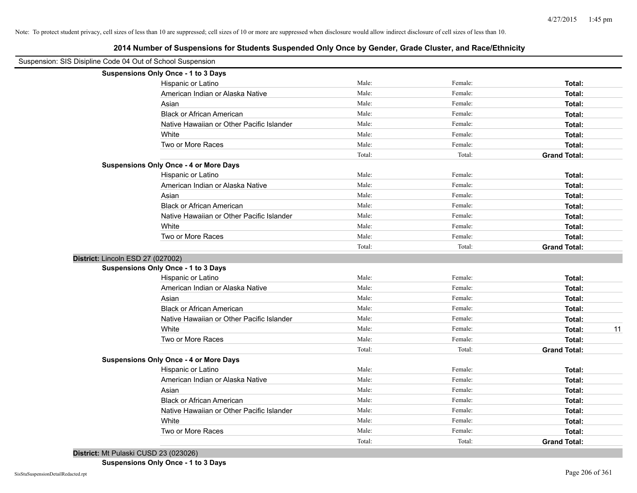**2014 Number of Suspensions for Students Suspended Only Once by Gender, Grade Cluster, and Race/Ethnicity**

| Suspension: SIS Disipline Code 04 Out of School Suspension |                                               |        |         |                     |    |
|------------------------------------------------------------|-----------------------------------------------|--------|---------|---------------------|----|
|                                                            | Suspensions Only Once - 1 to 3 Days           |        |         |                     |    |
|                                                            | Hispanic or Latino                            | Male:  | Female: | Total:              |    |
|                                                            | American Indian or Alaska Native              | Male:  | Female: | Total:              |    |
|                                                            | Asian                                         | Male:  | Female: | Total:              |    |
|                                                            | <b>Black or African American</b>              | Male:  | Female: | Total:              |    |
|                                                            | Native Hawaiian or Other Pacific Islander     | Male:  | Female: | Total:              |    |
|                                                            | White                                         | Male:  | Female: | Total:              |    |
|                                                            | Two or More Races                             | Male:  | Female: | Total:              |    |
|                                                            |                                               | Total: | Total:  | <b>Grand Total:</b> |    |
|                                                            | <b>Suspensions Only Once - 4 or More Days</b> |        |         |                     |    |
|                                                            | Hispanic or Latino                            | Male:  | Female: | Total:              |    |
|                                                            | American Indian or Alaska Native              | Male:  | Female: | Total:              |    |
|                                                            | Asian                                         | Male:  | Female: | Total:              |    |
|                                                            | <b>Black or African American</b>              | Male:  | Female: | Total:              |    |
|                                                            | Native Hawaiian or Other Pacific Islander     | Male:  | Female: | Total:              |    |
|                                                            | White                                         | Male:  | Female: | Total:              |    |
|                                                            | Two or More Races                             | Male:  | Female: | Total:              |    |
|                                                            |                                               | Total: | Total:  | <b>Grand Total:</b> |    |
|                                                            | District: Lincoln ESD 27 (027002)             |        |         |                     |    |
|                                                            | Suspensions Only Once - 1 to 3 Days           |        |         |                     |    |
|                                                            | Hispanic or Latino                            | Male:  | Female: | Total:              |    |
|                                                            | American Indian or Alaska Native              | Male:  | Female: | Total:              |    |
|                                                            | Asian                                         | Male:  | Female: | Total:              |    |
|                                                            | <b>Black or African American</b>              | Male:  | Female: | Total:              |    |
|                                                            | Native Hawaiian or Other Pacific Islander     | Male:  | Female: | Total:              |    |
|                                                            | White                                         | Male:  | Female: | Total:              | 11 |
|                                                            | Two or More Races                             | Male:  | Female: | Total:              |    |
|                                                            |                                               | Total: | Total:  | <b>Grand Total:</b> |    |
|                                                            | <b>Suspensions Only Once - 4 or More Days</b> |        |         |                     |    |
|                                                            | Hispanic or Latino                            | Male:  | Female: | Total:              |    |
|                                                            | American Indian or Alaska Native              | Male:  | Female: | Total:              |    |
|                                                            | Asian                                         | Male:  | Female: | Total:              |    |
|                                                            | <b>Black or African American</b>              | Male:  | Female: | Total:              |    |
|                                                            | Native Hawaiian or Other Pacific Islander     | Male:  | Female: | Total:              |    |
|                                                            | White                                         | Male:  | Female: | Total:              |    |
|                                                            | Two or More Races                             | Male:  | Female: | Total:              |    |
|                                                            |                                               | Total: | Total:  | <b>Grand Total:</b> |    |

**District:** Mt Pulaski CUSD 23 (023026)

**Suspensions Only Once - 1 to 3 Days**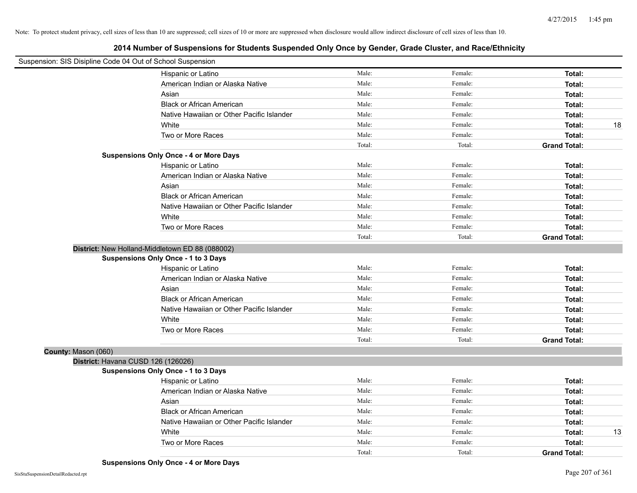|                     | Suspension: SIS Disipline Code 04 Out of School Suspension |        |         |                     |    |
|---------------------|------------------------------------------------------------|--------|---------|---------------------|----|
|                     | Hispanic or Latino                                         | Male:  | Female: | Total:              |    |
|                     | American Indian or Alaska Native                           | Male:  | Female: | Total:              |    |
|                     | Asian                                                      | Male:  | Female: | Total:              |    |
|                     | <b>Black or African American</b>                           | Male:  | Female: | Total:              |    |
|                     | Native Hawaiian or Other Pacific Islander                  | Male:  | Female: | Total:              |    |
|                     | White                                                      | Male:  | Female: | Total:              | 18 |
|                     | Two or More Races                                          | Male:  | Female: | Total:              |    |
|                     |                                                            | Total: | Total:  | <b>Grand Total:</b> |    |
|                     | <b>Suspensions Only Once - 4 or More Days</b>              |        |         |                     |    |
|                     | Hispanic or Latino                                         | Male:  | Female: | Total:              |    |
|                     | American Indian or Alaska Native                           | Male:  | Female: | Total:              |    |
|                     | Asian                                                      | Male:  | Female: | Total:              |    |
|                     | <b>Black or African American</b>                           | Male:  | Female: | Total:              |    |
|                     | Native Hawaiian or Other Pacific Islander                  | Male:  | Female: | Total:              |    |
|                     | White                                                      | Male:  | Female: | Total:              |    |
|                     | Two or More Races                                          | Male:  | Female: | Total:              |    |
|                     |                                                            | Total: | Total:  | <b>Grand Total:</b> |    |
|                     | District: New Holland-Middletown ED 88 (088002)            |        |         |                     |    |
|                     | Suspensions Only Once - 1 to 3 Days                        |        |         |                     |    |
|                     | Hispanic or Latino                                         | Male:  | Female: | Total:              |    |
|                     | American Indian or Alaska Native                           | Male:  | Female: | Total:              |    |
|                     | Asian                                                      | Male:  | Female: | Total:              |    |
|                     | <b>Black or African American</b>                           | Male:  | Female: | Total:              |    |
|                     | Native Hawaiian or Other Pacific Islander                  | Male:  | Female: | Total:              |    |
|                     | White                                                      | Male:  | Female: | Total:              |    |
|                     | Two or More Races                                          | Male:  | Female: | Total:              |    |
|                     |                                                            | Total: | Total:  | <b>Grand Total:</b> |    |
| County: Mason (060) |                                                            |        |         |                     |    |
|                     | District: Havana CUSD 126 (126026)                         |        |         |                     |    |
|                     | <b>Suspensions Only Once - 1 to 3 Days</b>                 |        |         |                     |    |
|                     | Hispanic or Latino                                         | Male:  | Female: | Total:              |    |
|                     | American Indian or Alaska Native                           | Male:  | Female: | Total:              |    |
|                     | Asian                                                      | Male:  | Female: | Total:              |    |
|                     | <b>Black or African American</b>                           | Male:  | Female: | Total:              |    |
|                     | Native Hawaiian or Other Pacific Islander                  | Male:  | Female: | Total:              |    |
|                     | White                                                      | Male:  | Female: | Total:              | 13 |
|                     | Two or More Races                                          | Male:  | Female: | Total:              |    |
|                     |                                                            | Total: | Total:  | <b>Grand Total:</b> |    |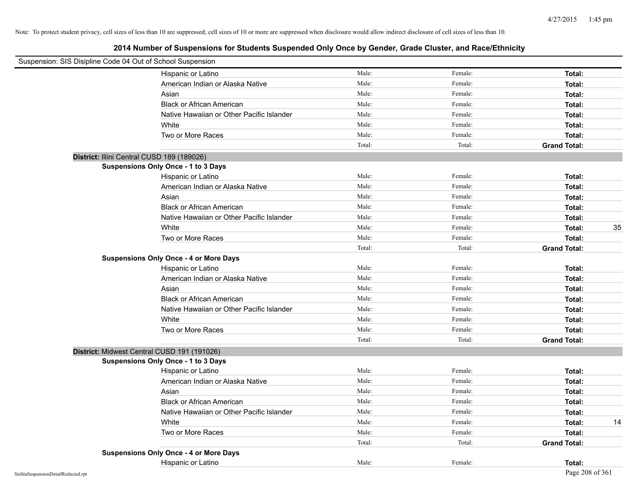| Suspension: SIS Disipline Code 04 Out of School Suspension |                                               |        |         |                     |    |
|------------------------------------------------------------|-----------------------------------------------|--------|---------|---------------------|----|
|                                                            | Hispanic or Latino                            | Male:  | Female: | Total:              |    |
|                                                            | American Indian or Alaska Native              | Male:  | Female: | Total:              |    |
|                                                            | Asian                                         | Male:  | Female: | Total:              |    |
|                                                            | <b>Black or African American</b>              | Male:  | Female: | Total:              |    |
|                                                            | Native Hawaiian or Other Pacific Islander     | Male:  | Female: | Total:              |    |
|                                                            | White                                         | Male:  | Female: | Total:              |    |
|                                                            | Two or More Races                             | Male:  | Female: | Total:              |    |
|                                                            |                                               | Total: | Total:  | <b>Grand Total:</b> |    |
| District: Illini Central CUSD 189 (189026)                 |                                               |        |         |                     |    |
|                                                            | Suspensions Only Once - 1 to 3 Days           |        |         |                     |    |
|                                                            | Hispanic or Latino                            | Male:  | Female: | Total:              |    |
|                                                            | American Indian or Alaska Native              | Male:  | Female: | Total:              |    |
|                                                            | Asian                                         | Male:  | Female: | Total:              |    |
|                                                            | <b>Black or African American</b>              | Male:  | Female: | Total:              |    |
|                                                            | Native Hawaiian or Other Pacific Islander     | Male:  | Female: | Total:              |    |
|                                                            | White                                         | Male:  | Female: | Total:              | 35 |
|                                                            | Two or More Races                             | Male:  | Female: | Total:              |    |
|                                                            |                                               | Total: | Total:  | <b>Grand Total:</b> |    |
|                                                            | <b>Suspensions Only Once - 4 or More Days</b> |        |         |                     |    |
|                                                            | Hispanic or Latino                            | Male:  | Female: | Total:              |    |
|                                                            | American Indian or Alaska Native              | Male:  | Female: | Total:              |    |
|                                                            | Asian                                         | Male:  | Female: | Total:              |    |
|                                                            | <b>Black or African American</b>              | Male:  | Female: | Total:              |    |
|                                                            | Native Hawaiian or Other Pacific Islander     | Male:  | Female: | Total:              |    |
|                                                            | White                                         | Male:  | Female: | Total:              |    |
|                                                            | Two or More Races                             | Male:  | Female: | Total:              |    |
|                                                            |                                               | Total: | Total:  | <b>Grand Total:</b> |    |
| District: Midwest Central CUSD 191 (191026)                |                                               |        |         |                     |    |
|                                                            | Suspensions Only Once - 1 to 3 Days           |        |         |                     |    |
|                                                            | Hispanic or Latino                            | Male:  | Female: | Total:              |    |
|                                                            | American Indian or Alaska Native              | Male:  | Female: | Total:              |    |
|                                                            | Asian                                         | Male:  | Female: | Total:              |    |
|                                                            | <b>Black or African American</b>              | Male:  | Female: | Total:              |    |
|                                                            | Native Hawaiian or Other Pacific Islander     | Male:  | Female: | Total:              |    |
|                                                            | White                                         | Male:  | Female: | Total:              | 14 |
|                                                            | Two or More Races                             | Male:  | Female: | Total:              |    |
|                                                            |                                               | Total: | Total:  | <b>Grand Total:</b> |    |
|                                                            | <b>Suspensions Only Once - 4 or More Days</b> |        |         |                     |    |
|                                                            | Hispanic or Latino                            | Male:  | Female: | Total:              |    |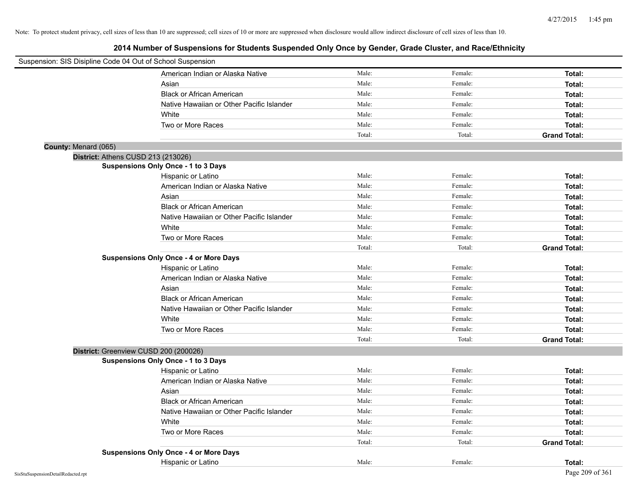| Suspension: SIS Disipline Code 04 Out of School Suspension |                                               |        |         |                     |
|------------------------------------------------------------|-----------------------------------------------|--------|---------|---------------------|
|                                                            | American Indian or Alaska Native              | Male:  | Female: | Total:              |
|                                                            | Asian                                         | Male:  | Female: | Total:              |
|                                                            | <b>Black or African American</b>              | Male:  | Female: | Total:              |
|                                                            | Native Hawaiian or Other Pacific Islander     | Male:  | Female: | Total:              |
|                                                            | White                                         | Male:  | Female: | Total:              |
|                                                            | Two or More Races                             | Male:  | Female: | Total:              |
|                                                            |                                               | Total: | Total:  | <b>Grand Total:</b> |
| County: Menard (065)                                       |                                               |        |         |                     |
| District: Athens CUSD 213 (213026)                         |                                               |        |         |                     |
|                                                            | Suspensions Only Once - 1 to 3 Days           |        |         |                     |
|                                                            | Hispanic or Latino                            | Male:  | Female: | Total:              |
|                                                            | American Indian or Alaska Native              | Male:  | Female: | Total:              |
|                                                            | Asian                                         | Male:  | Female: | Total:              |
|                                                            | <b>Black or African American</b>              | Male:  | Female: | Total:              |
|                                                            | Native Hawaiian or Other Pacific Islander     | Male:  | Female: | Total:              |
|                                                            | White                                         | Male:  | Female: | Total:              |
|                                                            | Two or More Races                             | Male:  | Female: | Total:              |
|                                                            |                                               | Total: | Total:  | <b>Grand Total:</b> |
|                                                            | <b>Suspensions Only Once - 4 or More Days</b> |        |         |                     |
|                                                            | Hispanic or Latino                            | Male:  | Female: | Total:              |
|                                                            | American Indian or Alaska Native              | Male:  | Female: | Total:              |
|                                                            | Asian                                         | Male:  | Female: | Total:              |
|                                                            | <b>Black or African American</b>              | Male:  | Female: | Total:              |
|                                                            | Native Hawaiian or Other Pacific Islander     | Male:  | Female: | Total:              |
|                                                            | White                                         | Male:  | Female: | Total:              |
|                                                            | Two or More Races                             | Male:  | Female: | Total:              |
|                                                            |                                               | Total: | Total:  | <b>Grand Total:</b> |
| District: Greenview CUSD 200 (200026)                      |                                               |        |         |                     |
|                                                            | <b>Suspensions Only Once - 1 to 3 Days</b>    |        |         |                     |
|                                                            | Hispanic or Latino                            | Male:  | Female: | Total:              |
|                                                            | American Indian or Alaska Native              | Male:  | Female: | Total:              |
|                                                            | Asian                                         | Male:  | Female: | Total:              |
|                                                            | <b>Black or African American</b>              | Male:  | Female: | Total:              |
|                                                            | Native Hawaiian or Other Pacific Islander     | Male:  | Female: | Total:              |
|                                                            | White                                         | Male:  | Female: | Total:              |
|                                                            | Two or More Races                             | Male:  | Female: | Total:              |
|                                                            |                                               | Total: | Total:  | <b>Grand Total:</b> |
|                                                            | <b>Suspensions Only Once - 4 or More Days</b> |        |         |                     |
|                                                            | Hispanic or Latino                            | Male:  | Female: | Total:              |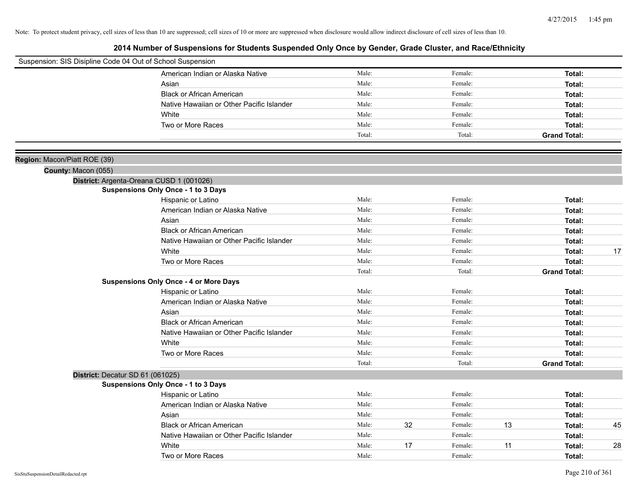| Suspension: SIS Disipline Code 04 Out of School Suspension |                                               |        |    |         |    |                     |    |
|------------------------------------------------------------|-----------------------------------------------|--------|----|---------|----|---------------------|----|
|                                                            | American Indian or Alaska Native              | Male:  |    | Female: |    | Total:              |    |
|                                                            | Asian                                         | Male:  |    | Female: |    | Total:              |    |
|                                                            | <b>Black or African American</b>              | Male:  |    | Female: |    | Total:              |    |
|                                                            | Native Hawaiian or Other Pacific Islander     | Male:  |    | Female: |    | Total:              |    |
|                                                            | White                                         | Male:  |    | Female: |    | Total:              |    |
|                                                            | Two or More Races                             | Male:  |    | Female: |    | Total:              |    |
|                                                            |                                               | Total: |    | Total:  |    | <b>Grand Total:</b> |    |
|                                                            |                                               |        |    |         |    |                     |    |
| Region: Macon/Piatt ROE (39)                               |                                               |        |    |         |    |                     |    |
| County: Macon (055)                                        |                                               |        |    |         |    |                     |    |
|                                                            | District: Argenta-Oreana CUSD 1 (001026)      |        |    |         |    |                     |    |
|                                                            | <b>Suspensions Only Once - 1 to 3 Days</b>    |        |    |         |    |                     |    |
|                                                            | Hispanic or Latino                            | Male:  |    | Female: |    | Total:              |    |
|                                                            | American Indian or Alaska Native              | Male:  |    | Female: |    | Total:              |    |
|                                                            | Asian                                         | Male:  |    | Female: |    | Total:              |    |
|                                                            | <b>Black or African American</b>              | Male:  |    | Female: |    | Total:              |    |
|                                                            | Native Hawaiian or Other Pacific Islander     | Male:  |    | Female: |    | Total:              |    |
|                                                            | White                                         | Male:  |    | Female: |    | Total:              | 17 |
|                                                            | Two or More Races                             | Male:  |    | Female: |    | Total:              |    |
|                                                            |                                               | Total: |    | Total:  |    | <b>Grand Total:</b> |    |
|                                                            | <b>Suspensions Only Once - 4 or More Days</b> |        |    |         |    |                     |    |
|                                                            | Hispanic or Latino                            | Male:  |    | Female: |    | Total:              |    |
|                                                            | American Indian or Alaska Native              | Male:  |    | Female: |    | Total:              |    |
|                                                            | Asian                                         | Male:  |    | Female: |    | Total:              |    |
|                                                            | <b>Black or African American</b>              | Male:  |    | Female: |    | Total:              |    |
|                                                            | Native Hawaiian or Other Pacific Islander     | Male:  |    | Female: |    | Total:              |    |
|                                                            | White                                         | Male:  |    | Female: |    | Total:              |    |
|                                                            | Two or More Races                             | Male:  |    | Female: |    | Total:              |    |
|                                                            |                                               | Total: |    | Total:  |    | <b>Grand Total:</b> |    |
| District: Decatur SD 61 (061025)                           |                                               |        |    |         |    |                     |    |
|                                                            | <b>Suspensions Only Once - 1 to 3 Days</b>    |        |    |         |    |                     |    |
|                                                            | Hispanic or Latino                            | Male:  |    | Female: |    | Total:              |    |
|                                                            | American Indian or Alaska Native              | Male:  |    | Female: |    | Total:              |    |
|                                                            | Asian                                         | Male:  |    | Female: |    | Total:              |    |
|                                                            | <b>Black or African American</b>              | Male:  | 32 | Female: | 13 | Total:              | 45 |
|                                                            | Native Hawaiian or Other Pacific Islander     | Male:  |    | Female: |    | Total:              |    |
|                                                            | White                                         | Male:  | 17 | Female: | 11 | Total:              | 28 |
|                                                            | Two or More Races                             | Male:  |    | Female: |    | Total:              |    |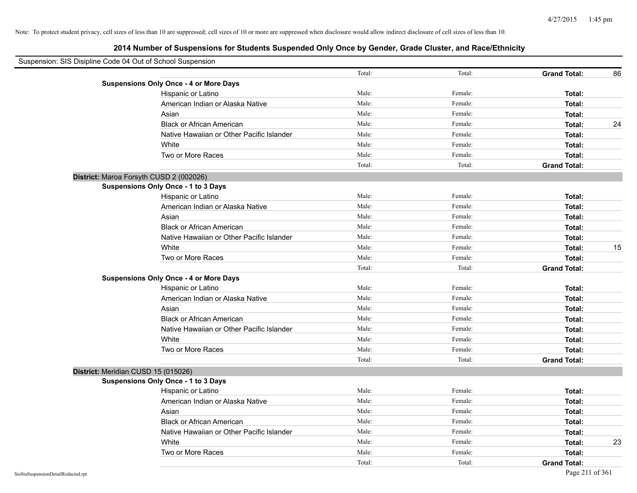| Suspension: SIS Disipline Code 04 Out of School Suspension |        |         |                     |    |
|------------------------------------------------------------|--------|---------|---------------------|----|
|                                                            | Total: | Total:  | <b>Grand Total:</b> | 86 |
| <b>Suspensions Only Once - 4 or More Days</b>              |        |         |                     |    |
| Hispanic or Latino                                         | Male:  | Female: | Total:              |    |
| American Indian or Alaska Native                           | Male:  | Female: | Total:              |    |
| Asian                                                      | Male:  | Female: | Total:              |    |
| <b>Black or African American</b>                           | Male:  | Female: | Total:              | 24 |
| Native Hawaiian or Other Pacific Islander                  | Male:  | Female: | Total:              |    |
| White                                                      | Male:  | Female: | Total:              |    |
| Two or More Races                                          | Male:  | Female: | Total:              |    |
|                                                            | Total: | Total:  | <b>Grand Total:</b> |    |
| District: Maroa Forsyth CUSD 2 (002026)                    |        |         |                     |    |
| <b>Suspensions Only Once - 1 to 3 Days</b>                 |        |         |                     |    |
| Hispanic or Latino                                         | Male:  | Female: | Total:              |    |
| American Indian or Alaska Native                           | Male:  | Female: | Total:              |    |
| Asian                                                      | Male:  | Female: | Total:              |    |
| <b>Black or African American</b>                           | Male:  | Female: | Total:              |    |
| Native Hawaiian or Other Pacific Islander                  | Male:  | Female: | Total:              |    |
| White                                                      | Male:  | Female: | Total:              | 15 |
| Two or More Races                                          | Male:  | Female: | Total:              |    |
|                                                            | Total: | Total:  | <b>Grand Total:</b> |    |
| <b>Suspensions Only Once - 4 or More Days</b>              |        |         |                     |    |
| Hispanic or Latino                                         | Male:  | Female: | Total:              |    |
| American Indian or Alaska Native                           | Male:  | Female: | Total:              |    |
| Asian                                                      | Male:  | Female: | Total:              |    |
| <b>Black or African American</b>                           | Male:  | Female: | Total:              |    |
| Native Hawaiian or Other Pacific Islander                  | Male:  | Female: | Total:              |    |
| White                                                      | Male:  | Female: | Total:              |    |
| Two or More Races                                          | Male:  | Female: | Total:              |    |
|                                                            | Total: | Total:  | <b>Grand Total:</b> |    |
| District: Meridian CUSD 15 (015026)                        |        |         |                     |    |
| Suspensions Only Once - 1 to 3 Days                        |        |         |                     |    |
| Hispanic or Latino                                         | Male:  | Female: | Total:              |    |
| American Indian or Alaska Native                           | Male:  | Female: | Total:              |    |
| Asian                                                      | Male:  | Female: | Total:              |    |
| <b>Black or African American</b>                           | Male:  | Female: | Total:              |    |
| Native Hawaiian or Other Pacific Islander                  | Male:  | Female: | Total:              |    |
| White                                                      | Male:  | Female: | Total:              | 23 |
| Two or More Races                                          | Male:  | Female: | Total:              |    |
|                                                            | Total: | Total:  | <b>Grand Total:</b> |    |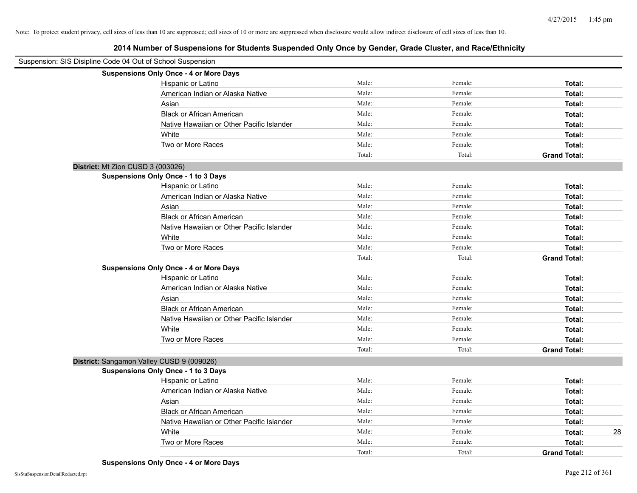| Suspension: SIS Disipline Code 04 Out of School Suspension |                                               |        |         |                     |
|------------------------------------------------------------|-----------------------------------------------|--------|---------|---------------------|
|                                                            | <b>Suspensions Only Once - 4 or More Days</b> |        |         |                     |
|                                                            | Hispanic or Latino                            | Male:  | Female: | Total:              |
|                                                            | American Indian or Alaska Native              | Male:  | Female: | Total:              |
|                                                            | Asian                                         | Male:  | Female: | Total:              |
|                                                            | <b>Black or African American</b>              | Male:  | Female: | Total:              |
|                                                            | Native Hawaiian or Other Pacific Islander     | Male:  | Female: | Total:              |
|                                                            | White                                         | Male:  | Female: | Total:              |
|                                                            | Two or More Races                             | Male:  | Female: | Total:              |
|                                                            |                                               | Total: | Total:  | <b>Grand Total:</b> |
| District: Mt Zion CUSD 3 (003026)                          |                                               |        |         |                     |
|                                                            | Suspensions Only Once - 1 to 3 Days           |        |         |                     |
|                                                            | Hispanic or Latino                            | Male:  | Female: | Total:              |
|                                                            | American Indian or Alaska Native              | Male:  | Female: | Total:              |
|                                                            | Asian                                         | Male:  | Female: | Total:              |
|                                                            | <b>Black or African American</b>              | Male:  | Female: | Total:              |
|                                                            | Native Hawaiian or Other Pacific Islander     | Male:  | Female: | Total:              |
|                                                            | White                                         | Male:  | Female: | Total:              |
|                                                            | Two or More Races                             | Male:  | Female: | Total:              |
|                                                            |                                               | Total: | Total:  | <b>Grand Total:</b> |
|                                                            | <b>Suspensions Only Once - 4 or More Days</b> |        |         |                     |
|                                                            | Hispanic or Latino                            | Male:  | Female: | Total:              |
|                                                            | American Indian or Alaska Native              | Male:  | Female: | Total:              |
|                                                            | Asian                                         | Male:  | Female: | Total:              |
|                                                            | <b>Black or African American</b>              | Male:  | Female: | Total:              |
|                                                            | Native Hawaiian or Other Pacific Islander     | Male:  | Female: | Total:              |
|                                                            | White                                         | Male:  | Female: | Total:              |
|                                                            | Two or More Races                             | Male:  | Female: | Total:              |
|                                                            |                                               | Total: | Total:  | <b>Grand Total:</b> |
| District: Sangamon Valley CUSD 9 (009026)                  |                                               |        |         |                     |
|                                                            | Suspensions Only Once - 1 to 3 Days           |        |         |                     |
|                                                            | Hispanic or Latino                            | Male:  | Female: | Total:              |
|                                                            | American Indian or Alaska Native              | Male:  | Female: | Total:              |
|                                                            | Asian                                         | Male:  | Female: | Total:              |
|                                                            | <b>Black or African American</b>              | Male:  | Female: | Total:              |
|                                                            | Native Hawaiian or Other Pacific Islander     | Male:  | Female: | Total:              |
|                                                            | White                                         | Male:  | Female: | Total:<br>28        |
|                                                            | Two or More Races                             | Male:  | Female: | Total:              |
|                                                            |                                               | Total: | Total:  | <b>Grand Total:</b> |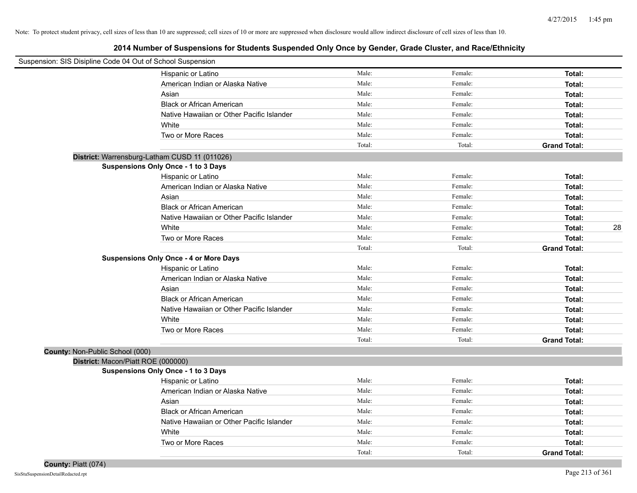|                                 | Suspension: SIS Disipline Code 04 Out of School Suspension |        |         |                     |
|---------------------------------|------------------------------------------------------------|--------|---------|---------------------|
|                                 | Hispanic or Latino                                         | Male:  | Female: | Total:              |
|                                 | American Indian or Alaska Native                           | Male:  | Female: | Total:              |
|                                 | Asian                                                      | Male:  | Female: | Total:              |
|                                 | <b>Black or African American</b>                           | Male:  | Female: | Total:              |
|                                 | Native Hawaiian or Other Pacific Islander                  | Male:  | Female: | Total:              |
|                                 | White                                                      | Male:  | Female: | Total:              |
|                                 | Two or More Races                                          | Male:  | Female: | Total:              |
|                                 |                                                            | Total: | Total:  | <b>Grand Total:</b> |
|                                 | District: Warrensburg-Latham CUSD 11 (011026)              |        |         |                     |
|                                 | Suspensions Only Once - 1 to 3 Days                        |        |         |                     |
|                                 | Hispanic or Latino                                         | Male:  | Female: | Total:              |
|                                 | American Indian or Alaska Native                           | Male:  | Female: | Total:              |
|                                 | Asian                                                      | Male:  | Female: | Total:              |
|                                 | <b>Black or African American</b>                           | Male:  | Female: | Total:              |
|                                 | Native Hawaiian or Other Pacific Islander                  | Male:  | Female: | Total:              |
|                                 | White                                                      | Male:  | Female: | 28<br>Total:        |
|                                 | Two or More Races                                          | Male:  | Female: | Total:              |
|                                 |                                                            | Total: | Total:  | <b>Grand Total:</b> |
|                                 | <b>Suspensions Only Once - 4 or More Days</b>              |        |         |                     |
|                                 | Hispanic or Latino                                         | Male:  | Female: | Total:              |
|                                 | American Indian or Alaska Native                           | Male:  | Female: | Total:              |
|                                 | Asian                                                      | Male:  | Female: | Total:              |
|                                 | <b>Black or African American</b>                           | Male:  | Female: | Total:              |
|                                 | Native Hawaiian or Other Pacific Islander                  | Male:  | Female: | Total:              |
|                                 | White                                                      | Male:  | Female: | Total:              |
|                                 | Two or More Races                                          | Male:  | Female: | Total:              |
|                                 |                                                            | Total: | Total:  | <b>Grand Total:</b> |
| County: Non-Public School (000) |                                                            |        |         |                     |
|                                 | District: Macon/Piatt ROE (000000)                         |        |         |                     |
|                                 | <b>Suspensions Only Once - 1 to 3 Days</b>                 |        |         |                     |
|                                 | Hispanic or Latino                                         | Male:  | Female: | Total:              |
|                                 | American Indian or Alaska Native                           | Male:  | Female: | Total:              |
|                                 | Asian                                                      | Male:  | Female: | Total:              |
|                                 | <b>Black or African American</b>                           | Male:  | Female: | Total:              |
|                                 | Native Hawaiian or Other Pacific Islander                  | Male:  | Female: | Total:              |
|                                 | White                                                      | Male:  | Female: | Total:              |
|                                 | Two or More Races                                          | Male:  | Female: | Total:              |
|                                 |                                                            | Total: | Total:  | <b>Grand Total:</b> |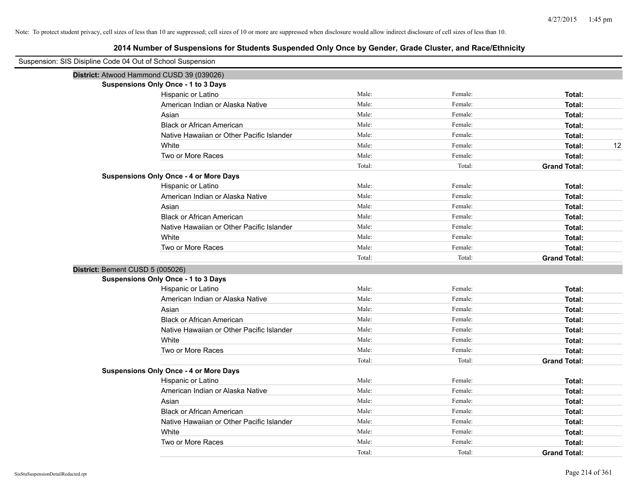| Suspension: SIS Disipline Code 04 Out of School Suspension |                                               |        |         |                     |
|------------------------------------------------------------|-----------------------------------------------|--------|---------|---------------------|
|                                                            | District: Atwood Hammond CUSD 39 (039026)     |        |         |                     |
|                                                            | <b>Suspensions Only Once - 1 to 3 Days</b>    |        |         |                     |
|                                                            | Hispanic or Latino                            | Male:  | Female: | Total:              |
|                                                            | American Indian or Alaska Native              | Male:  | Female: | Total:              |
|                                                            | Asian                                         | Male:  | Female: | Total:              |
|                                                            | <b>Black or African American</b>              | Male:  | Female: | Total:              |
|                                                            | Native Hawaiian or Other Pacific Islander     | Male:  | Female: | Total:              |
|                                                            | White                                         | Male:  | Female: | 12<br>Total:        |
|                                                            | Two or More Races                             | Male:  | Female: | Total:              |
|                                                            |                                               | Total: | Total:  | <b>Grand Total:</b> |
|                                                            | <b>Suspensions Only Once - 4 or More Days</b> |        |         |                     |
|                                                            | Hispanic or Latino                            | Male:  | Female: | Total:              |
|                                                            | American Indian or Alaska Native              | Male:  | Female: | Total:              |
|                                                            | Asian                                         | Male:  | Female: | Total:              |
|                                                            | <b>Black or African American</b>              | Male:  | Female: | Total:              |
|                                                            | Native Hawaiian or Other Pacific Islander     | Male:  | Female: | Total:              |
|                                                            | White                                         | Male:  | Female: | Total:              |
|                                                            | Two or More Races                             | Male:  | Female: | Total:              |
|                                                            |                                               | Total: | Total:  | <b>Grand Total:</b> |
| District: Bement CUSD 5 (005026)                           |                                               |        |         |                     |
|                                                            | <b>Suspensions Only Once - 1 to 3 Days</b>    |        |         |                     |
|                                                            | Hispanic or Latino                            | Male:  | Female: | Total:              |
|                                                            | American Indian or Alaska Native              | Male:  | Female: | Total:              |
|                                                            | Asian                                         | Male:  | Female: | Total:              |
|                                                            | <b>Black or African American</b>              | Male:  | Female: | Total:              |
|                                                            | Native Hawaiian or Other Pacific Islander     | Male:  | Female: | Total:              |
|                                                            | White                                         | Male:  | Female: | Total:              |
|                                                            | Two or More Races                             | Male:  | Female: | Total:              |
|                                                            |                                               | Total: | Total:  | <b>Grand Total:</b> |
|                                                            | <b>Suspensions Only Once - 4 or More Days</b> |        |         |                     |
|                                                            | Hispanic or Latino                            | Male:  | Female: | Total:              |
|                                                            | American Indian or Alaska Native              | Male:  | Female: | Total:              |
|                                                            | Asian                                         | Male:  | Female: | Total:              |
|                                                            | <b>Black or African American</b>              | Male:  | Female: | Total:              |
|                                                            | Native Hawaiian or Other Pacific Islander     | Male:  | Female: | Total:              |
|                                                            | White                                         | Male:  | Female: | Total:              |
|                                                            | Two or More Races                             | Male:  | Female: | Total:              |
|                                                            |                                               | Total: | Total:  | <b>Grand Total:</b> |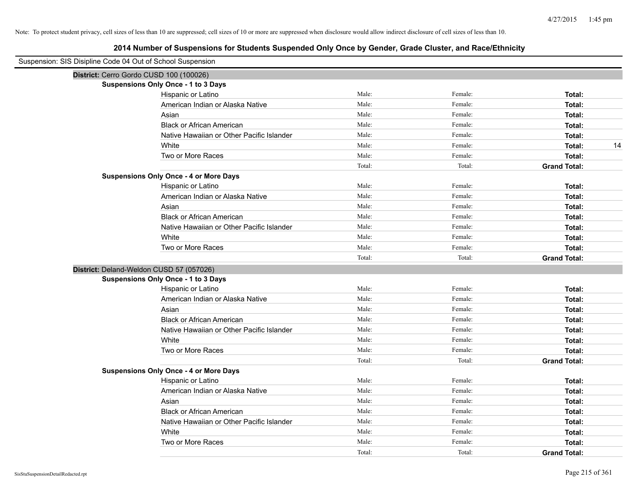| Suspension: SIS Disipline Code 04 Out of School Suspension |                                               |        |         |                     |
|------------------------------------------------------------|-----------------------------------------------|--------|---------|---------------------|
|                                                            | District: Cerro Gordo CUSD 100 (100026)       |        |         |                     |
|                                                            | <b>Suspensions Only Once - 1 to 3 Days</b>    |        |         |                     |
|                                                            | Hispanic or Latino                            | Male:  | Female: | Total:              |
|                                                            | American Indian or Alaska Native              | Male:  | Female: | Total:              |
|                                                            | Asian                                         | Male:  | Female: | Total:              |
|                                                            | <b>Black or African American</b>              | Male:  | Female: | Total:              |
|                                                            | Native Hawaiian or Other Pacific Islander     | Male:  | Female: | Total:              |
|                                                            | White                                         | Male:  | Female: | 14<br>Total:        |
|                                                            | Two or More Races                             | Male:  | Female: | Total:              |
|                                                            |                                               | Total: | Total:  | <b>Grand Total:</b> |
|                                                            | <b>Suspensions Only Once - 4 or More Days</b> |        |         |                     |
|                                                            | Hispanic or Latino                            | Male:  | Female: | Total:              |
|                                                            | American Indian or Alaska Native              | Male:  | Female: | Total:              |
|                                                            | Asian                                         | Male:  | Female: | Total:              |
|                                                            | <b>Black or African American</b>              | Male:  | Female: | Total:              |
|                                                            | Native Hawaiian or Other Pacific Islander     | Male:  | Female: | Total:              |
|                                                            | White                                         | Male:  | Female: | Total:              |
|                                                            | Two or More Races                             | Male:  | Female: | Total:              |
|                                                            |                                               | Total: | Total:  | <b>Grand Total:</b> |
|                                                            | District: Deland-Weldon CUSD 57 (057026)      |        |         |                     |
|                                                            | <b>Suspensions Only Once - 1 to 3 Days</b>    |        |         |                     |
|                                                            | Hispanic or Latino                            | Male:  | Female: | Total:              |
|                                                            | American Indian or Alaska Native              | Male:  | Female: | Total:              |
|                                                            | Asian                                         | Male:  | Female: | Total:              |
|                                                            | <b>Black or African American</b>              | Male:  | Female: | Total:              |
|                                                            | Native Hawaiian or Other Pacific Islander     | Male:  | Female: | Total:              |
|                                                            | White                                         | Male:  | Female: | Total:              |
|                                                            | Two or More Races                             | Male:  | Female: | Total:              |
|                                                            |                                               | Total: | Total:  | <b>Grand Total:</b> |
|                                                            | <b>Suspensions Only Once - 4 or More Days</b> |        |         |                     |
|                                                            | Hispanic or Latino                            | Male:  | Female: | Total:              |
|                                                            | American Indian or Alaska Native              | Male:  | Female: | Total:              |
|                                                            | Asian                                         | Male:  | Female: | Total:              |
|                                                            | <b>Black or African American</b>              | Male:  | Female: | Total:              |
|                                                            | Native Hawaiian or Other Pacific Islander     | Male:  | Female: | Total:              |
|                                                            | White                                         | Male:  | Female: | Total:              |
|                                                            | Two or More Races                             | Male:  | Female: | Total:              |
|                                                            |                                               | Total: | Total:  | <b>Grand Total:</b> |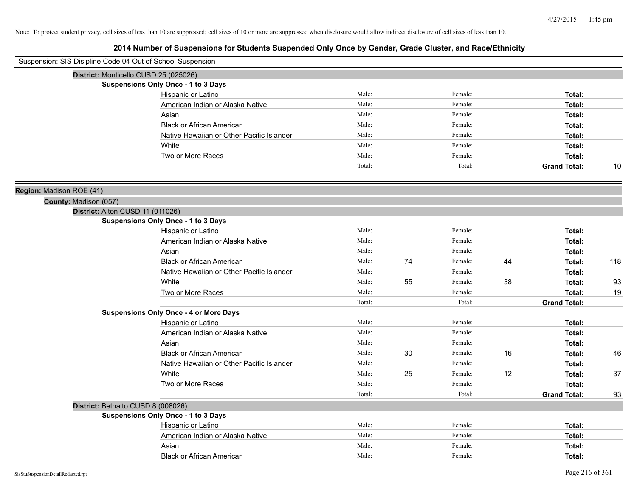| Suspension: SIS Disipline Code 04 Out of School Suspension |                                               |        |    |         |    |                     |     |
|------------------------------------------------------------|-----------------------------------------------|--------|----|---------|----|---------------------|-----|
| District: Monticello CUSD 25 (025026)                      |                                               |        |    |         |    |                     |     |
|                                                            | Suspensions Only Once - 1 to 3 Days           |        |    |         |    |                     |     |
|                                                            | Hispanic or Latino                            | Male:  |    | Female: |    | Total:              |     |
|                                                            | American Indian or Alaska Native              | Male:  |    | Female: |    | Total:              |     |
|                                                            | Asian                                         | Male:  |    | Female: |    | Total:              |     |
|                                                            | <b>Black or African American</b>              | Male:  |    | Female: |    | Total:              |     |
|                                                            | Native Hawaiian or Other Pacific Islander     | Male:  |    | Female: |    | Total:              |     |
|                                                            | White                                         | Male:  |    | Female: |    | Total:              |     |
|                                                            | Two or More Races                             | Male:  |    | Female: |    | Total:              |     |
|                                                            |                                               | Total: |    | Total:  |    | <b>Grand Total:</b> | 10  |
| Region: Madison ROE (41)                                   |                                               |        |    |         |    |                     |     |
| County: Madison (057)                                      |                                               |        |    |         |    |                     |     |
| District: Alton CUSD 11 (011026)                           |                                               |        |    |         |    |                     |     |
|                                                            | Suspensions Only Once - 1 to 3 Days           |        |    |         |    |                     |     |
|                                                            | Hispanic or Latino                            | Male:  |    | Female: |    | Total:              |     |
|                                                            | American Indian or Alaska Native              | Male:  |    | Female: |    | Total:              |     |
|                                                            | Asian                                         | Male:  |    | Female: |    | Total:              |     |
|                                                            | <b>Black or African American</b>              | Male:  | 74 | Female: | 44 | Total:              | 118 |
|                                                            | Native Hawaiian or Other Pacific Islander     | Male:  |    | Female: |    | Total:              |     |
|                                                            | White                                         | Male:  | 55 | Female: | 38 | Total:              | 93  |
|                                                            | Two or More Races                             | Male:  |    | Female: |    | Total:              | 19  |
|                                                            |                                               | Total: |    | Total:  |    | <b>Grand Total:</b> |     |
|                                                            | <b>Suspensions Only Once - 4 or More Days</b> |        |    |         |    |                     |     |
|                                                            | Hispanic or Latino                            | Male:  |    | Female: |    | Total:              |     |
|                                                            | American Indian or Alaska Native              | Male:  |    | Female: |    | Total:              |     |
|                                                            | Asian                                         | Male:  |    | Female: |    | Total:              |     |
|                                                            | <b>Black or African American</b>              | Male:  | 30 | Female: | 16 | Total:              | 46  |
|                                                            | Native Hawaiian or Other Pacific Islander     | Male:  |    | Female: |    | Total:              |     |
|                                                            | White                                         | Male:  | 25 | Female: | 12 | Total:              | 37  |
|                                                            | Two or More Races                             | Male:  |    | Female: |    | Total:              |     |
|                                                            |                                               | Total: |    | Total:  |    | <b>Grand Total:</b> | 93  |
| District: Bethalto CUSD 8 (008026)                         |                                               |        |    |         |    |                     |     |
|                                                            | Suspensions Only Once - 1 to 3 Days           |        |    |         |    |                     |     |
|                                                            | Hispanic or Latino                            | Male:  |    | Female: |    | Total:              |     |
|                                                            | American Indian or Alaska Native              | Male:  |    | Female: |    | Total:              |     |
|                                                            | Asian                                         | Male:  |    | Female: |    | Total:              |     |
|                                                            | <b>Black or African American</b>              | Male:  |    | Female: |    | Total:              |     |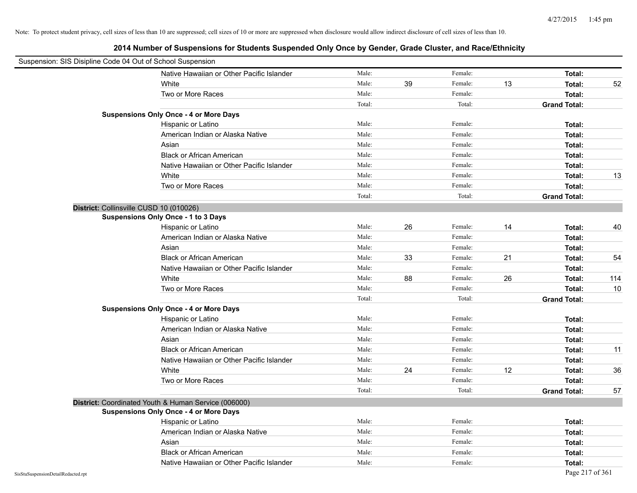| Suspension: SIS Disipline Code 04 Out of School Suspension |                                                      |        |    |         |    |                     |     |
|------------------------------------------------------------|------------------------------------------------------|--------|----|---------|----|---------------------|-----|
|                                                            | Native Hawaiian or Other Pacific Islander            | Male:  |    | Female: |    | Total:              |     |
|                                                            | White                                                | Male:  | 39 | Female: | 13 | Total:              | 52  |
|                                                            | Two or More Races                                    | Male:  |    | Female: |    | Total:              |     |
|                                                            |                                                      | Total: |    | Total:  |    | <b>Grand Total:</b> |     |
|                                                            | <b>Suspensions Only Once - 4 or More Days</b>        |        |    |         |    |                     |     |
|                                                            | Hispanic or Latino                                   | Male:  |    | Female: |    | Total:              |     |
|                                                            | American Indian or Alaska Native                     | Male:  |    | Female: |    | Total:              |     |
|                                                            | Asian                                                | Male:  |    | Female: |    | Total:              |     |
|                                                            | <b>Black or African American</b>                     | Male:  |    | Female: |    | Total:              |     |
|                                                            | Native Hawaiian or Other Pacific Islander            | Male:  |    | Female: |    | Total:              |     |
|                                                            | White                                                | Male:  |    | Female: |    | Total:              | 13  |
|                                                            | Two or More Races                                    | Male:  |    | Female: |    | Total:              |     |
|                                                            |                                                      | Total: |    | Total:  |    | <b>Grand Total:</b> |     |
|                                                            | District: Collinsville CUSD 10 (010026)              |        |    |         |    |                     |     |
|                                                            | Suspensions Only Once - 1 to 3 Days                  |        |    |         |    |                     |     |
|                                                            | Hispanic or Latino                                   | Male:  | 26 | Female: | 14 | Total:              | 40  |
|                                                            | American Indian or Alaska Native                     | Male:  |    | Female: |    | Total:              |     |
|                                                            | Asian                                                | Male:  |    | Female: |    | Total:              |     |
|                                                            | <b>Black or African American</b>                     | Male:  | 33 | Female: | 21 | Total:              | 54  |
|                                                            | Native Hawaiian or Other Pacific Islander            | Male:  |    | Female: |    | Total:              |     |
|                                                            | White                                                | Male:  | 88 | Female: | 26 | Total:              | 114 |
|                                                            | Two or More Races                                    | Male:  |    | Female: |    | Total:              | 10  |
|                                                            |                                                      | Total: |    | Total:  |    | <b>Grand Total:</b> |     |
|                                                            | <b>Suspensions Only Once - 4 or More Days</b>        |        |    |         |    |                     |     |
|                                                            | Hispanic or Latino                                   | Male:  |    | Female: |    | Total:              |     |
|                                                            | American Indian or Alaska Native                     | Male:  |    | Female: |    | Total:              |     |
|                                                            | Asian                                                | Male:  |    | Female: |    | Total:              |     |
|                                                            | <b>Black or African American</b>                     | Male:  |    | Female: |    | Total:              | 11  |
|                                                            | Native Hawaiian or Other Pacific Islander            | Male:  |    | Female: |    | Total:              |     |
|                                                            | White                                                | Male:  | 24 | Female: | 12 | Total:              | 36  |
|                                                            | Two or More Races                                    | Male:  |    | Female: |    | Total:              |     |
|                                                            |                                                      | Total: |    | Total:  |    | <b>Grand Total:</b> | 57  |
|                                                            | District: Coordinated Youth & Human Service (006000) |        |    |         |    |                     |     |
|                                                            | <b>Suspensions Only Once - 4 or More Days</b>        |        |    |         |    |                     |     |
|                                                            | Hispanic or Latino                                   | Male:  |    | Female: |    | Total:              |     |
|                                                            | American Indian or Alaska Native                     | Male:  |    | Female: |    | Total:              |     |
|                                                            | Asian                                                | Male:  |    | Female: |    | Total:              |     |
|                                                            | <b>Black or African American</b>                     | Male:  |    | Female: |    | Total:              |     |
|                                                            | Native Hawaiian or Other Pacific Islander            | Male:  |    | Female: |    | Total:              |     |
| SisStuSuspensionDetailRedacted.rpt                         |                                                      |        |    |         |    | Page 217 of 361     |     |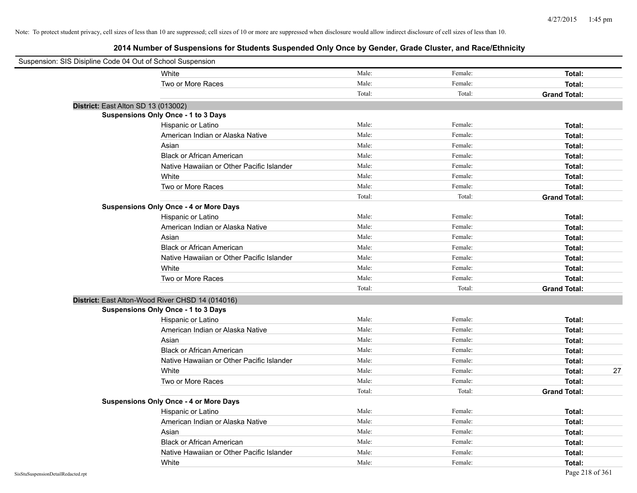| Suspension: SIS Disipline Code 04 Out of School Suspension |                                                  |        |         |                     |
|------------------------------------------------------------|--------------------------------------------------|--------|---------|---------------------|
|                                                            | White                                            | Male:  | Female: | Total:              |
|                                                            | Two or More Races                                | Male:  | Female: | Total:              |
|                                                            |                                                  | Total: | Total:  | <b>Grand Total:</b> |
| District: East Alton SD 13 (013002)                        |                                                  |        |         |                     |
|                                                            | Suspensions Only Once - 1 to 3 Days              |        |         |                     |
|                                                            | Hispanic or Latino                               | Male:  | Female: | Total:              |
|                                                            | American Indian or Alaska Native                 | Male:  | Female: | Total:              |
|                                                            | Asian                                            | Male:  | Female: | Total:              |
|                                                            | <b>Black or African American</b>                 | Male:  | Female: | Total:              |
|                                                            | Native Hawaiian or Other Pacific Islander        | Male:  | Female: | Total:              |
|                                                            | White                                            | Male:  | Female: | Total:              |
|                                                            | Two or More Races                                | Male:  | Female: | Total:              |
|                                                            |                                                  | Total: | Total:  | <b>Grand Total:</b> |
|                                                            | <b>Suspensions Only Once - 4 or More Days</b>    |        |         |                     |
|                                                            | Hispanic or Latino                               | Male:  | Female: | Total:              |
|                                                            | American Indian or Alaska Native                 | Male:  | Female: | Total:              |
|                                                            | Asian                                            | Male:  | Female: | Total:              |
|                                                            | <b>Black or African American</b>                 | Male:  | Female: | Total:              |
|                                                            | Native Hawaiian or Other Pacific Islander        | Male:  | Female: | Total:              |
|                                                            | White                                            | Male:  | Female: | Total:              |
|                                                            | Two or More Races                                | Male:  | Female: | Total:              |
|                                                            |                                                  | Total: | Total:  | <b>Grand Total:</b> |
|                                                            | District: East Alton-Wood River CHSD 14 (014016) |        |         |                     |
|                                                            | Suspensions Only Once - 1 to 3 Days              |        |         |                     |
|                                                            | Hispanic or Latino                               | Male:  | Female: | Total:              |
|                                                            | American Indian or Alaska Native                 | Male:  | Female: | Total:              |
|                                                            | Asian                                            | Male:  | Female: | Total:              |
|                                                            | <b>Black or African American</b>                 | Male:  | Female: | Total:              |
|                                                            | Native Hawaiian or Other Pacific Islander        | Male:  | Female: | Total:              |
|                                                            | White                                            | Male:  | Female: | 27<br>Total:        |
|                                                            | Two or More Races                                | Male:  | Female: | Total:              |
|                                                            |                                                  | Total: | Total:  | <b>Grand Total:</b> |
|                                                            | <b>Suspensions Only Once - 4 or More Days</b>    |        |         |                     |
|                                                            | Hispanic or Latino                               | Male:  | Female: | Total:              |
|                                                            | American Indian or Alaska Native                 | Male:  | Female: | Total:              |
|                                                            | Asian                                            | Male:  | Female: | Total:              |
|                                                            | <b>Black or African American</b>                 | Male:  | Female: | Total:              |
|                                                            | Native Hawaiian or Other Pacific Islander        | Male:  | Female: | Total:              |
|                                                            | White                                            | Male:  | Female: | Total:              |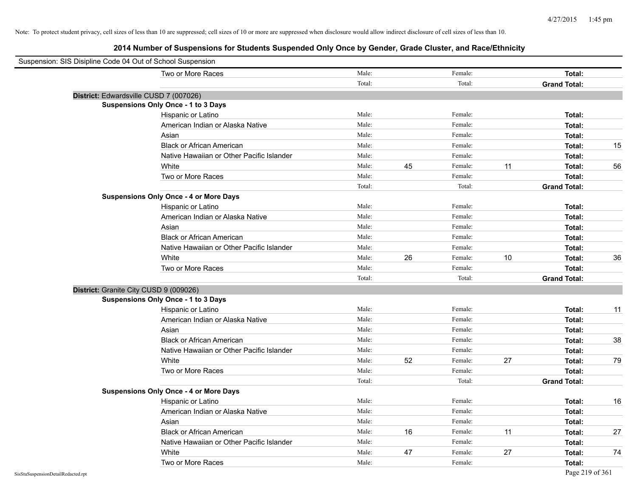| Suspension: SIS Disipline Code 04 Out of School Suspension |                                               |        |    |         |    |                     |    |
|------------------------------------------------------------|-----------------------------------------------|--------|----|---------|----|---------------------|----|
|                                                            | Two or More Races                             | Male:  |    | Female: |    | Total:              |    |
|                                                            |                                               | Total: |    | Total:  |    | <b>Grand Total:</b> |    |
| District: Edwardsville CUSD 7 (007026)                     |                                               |        |    |         |    |                     |    |
|                                                            | Suspensions Only Once - 1 to 3 Days           |        |    |         |    |                     |    |
|                                                            | Hispanic or Latino                            | Male:  |    | Female: |    | Total:              |    |
|                                                            | American Indian or Alaska Native              | Male:  |    | Female: |    | Total:              |    |
|                                                            | Asian                                         | Male:  |    | Female: |    | Total:              |    |
|                                                            | <b>Black or African American</b>              | Male:  |    | Female: |    | Total:              | 15 |
|                                                            | Native Hawaiian or Other Pacific Islander     | Male:  |    | Female: |    | Total:              |    |
|                                                            | White                                         | Male:  | 45 | Female: | 11 | Total:              | 56 |
|                                                            | Two or More Races                             | Male:  |    | Female: |    | Total:              |    |
|                                                            |                                               | Total: |    | Total:  |    | <b>Grand Total:</b> |    |
|                                                            | <b>Suspensions Only Once - 4 or More Days</b> |        |    |         |    |                     |    |
|                                                            | Hispanic or Latino                            | Male:  |    | Female: |    | Total:              |    |
|                                                            | American Indian or Alaska Native              | Male:  |    | Female: |    | Total:              |    |
|                                                            | Asian                                         | Male:  |    | Female: |    | Total:              |    |
|                                                            | <b>Black or African American</b>              | Male:  |    | Female: |    | Total:              |    |
|                                                            | Native Hawaiian or Other Pacific Islander     | Male:  |    | Female: |    | Total:              |    |
|                                                            | White                                         | Male:  | 26 | Female: | 10 | Total:              | 36 |
|                                                            | Two or More Races                             | Male:  |    | Female: |    | Total:              |    |
|                                                            |                                               | Total: |    | Total:  |    | <b>Grand Total:</b> |    |
| District: Granite City CUSD 9 (009026)                     |                                               |        |    |         |    |                     |    |
|                                                            | Suspensions Only Once - 1 to 3 Days           |        |    |         |    |                     |    |
|                                                            | Hispanic or Latino                            | Male:  |    | Female: |    | Total:              | 11 |
|                                                            | American Indian or Alaska Native              | Male:  |    | Female: |    | Total:              |    |
|                                                            | Asian                                         | Male:  |    | Female: |    | Total:              |    |
|                                                            | <b>Black or African American</b>              | Male:  |    | Female: |    | Total:              | 38 |
|                                                            | Native Hawaiian or Other Pacific Islander     | Male:  |    | Female: |    | Total:              |    |
|                                                            | White                                         | Male:  | 52 | Female: | 27 | Total:              | 79 |
|                                                            | Two or More Races                             | Male:  |    | Female: |    | Total:              |    |
|                                                            |                                               | Total: |    | Total:  |    | <b>Grand Total:</b> |    |
|                                                            | <b>Suspensions Only Once - 4 or More Days</b> |        |    |         |    |                     |    |
|                                                            | Hispanic or Latino                            | Male:  |    | Female: |    | Total:              | 16 |
|                                                            | American Indian or Alaska Native              | Male:  |    | Female: |    | Total:              |    |
|                                                            | Asian                                         | Male:  |    | Female: |    | Total:              |    |
|                                                            | <b>Black or African American</b>              | Male:  | 16 | Female: | 11 | Total:              | 27 |
|                                                            | Native Hawaiian or Other Pacific Islander     | Male:  |    | Female: |    | Total:              |    |
|                                                            | White                                         | Male:  | 47 | Female: | 27 | Total:              | 74 |
|                                                            | Two or More Races                             | Male:  |    | Female: |    | Total:              |    |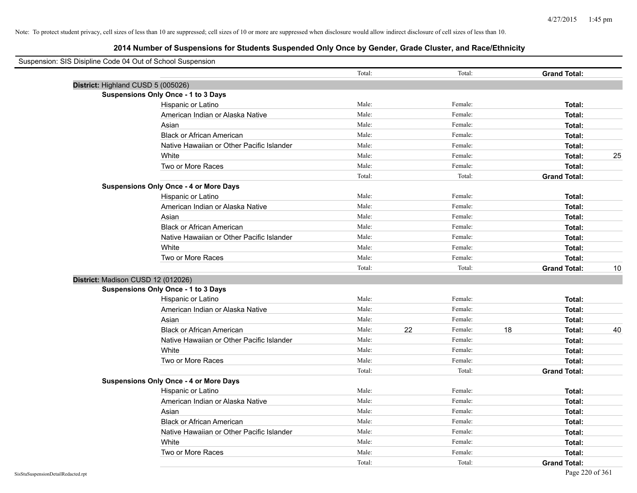| Suspension: SIS Disipline Code 04 Out of School Suspension |                                               |        |    |         |    |                     |    |
|------------------------------------------------------------|-----------------------------------------------|--------|----|---------|----|---------------------|----|
|                                                            |                                               | Total: |    | Total:  |    | <b>Grand Total:</b> |    |
| District: Highland CUSD 5 (005026)                         |                                               |        |    |         |    |                     |    |
|                                                            | <b>Suspensions Only Once - 1 to 3 Days</b>    |        |    |         |    |                     |    |
|                                                            | Hispanic or Latino                            | Male:  |    | Female: |    | Total:              |    |
|                                                            | American Indian or Alaska Native              | Male:  |    | Female: |    | Total:              |    |
|                                                            | Asian                                         | Male:  |    | Female: |    | Total:              |    |
|                                                            | <b>Black or African American</b>              | Male:  |    | Female: |    | Total:              |    |
|                                                            | Native Hawaiian or Other Pacific Islander     | Male:  |    | Female: |    | Total:              |    |
|                                                            | White                                         | Male:  |    | Female: |    | Total:              | 25 |
|                                                            | Two or More Races                             | Male:  |    | Female: |    | Total:              |    |
|                                                            |                                               | Total: |    | Total:  |    | <b>Grand Total:</b> |    |
|                                                            | <b>Suspensions Only Once - 4 or More Days</b> |        |    |         |    |                     |    |
|                                                            | Hispanic or Latino                            | Male:  |    | Female: |    | Total:              |    |
|                                                            | American Indian or Alaska Native              | Male:  |    | Female: |    | Total:              |    |
|                                                            | Asian                                         | Male:  |    | Female: |    | Total:              |    |
|                                                            | <b>Black or African American</b>              | Male:  |    | Female: |    | Total:              |    |
|                                                            | Native Hawaiian or Other Pacific Islander     | Male:  |    | Female: |    | Total:              |    |
|                                                            | White                                         | Male:  |    | Female: |    | Total:              |    |
|                                                            | Two or More Races                             | Male:  |    | Female: |    | Total:              |    |
|                                                            |                                               | Total: |    | Total:  |    | <b>Grand Total:</b> | 10 |
| District: Madison CUSD 12 (012026)                         |                                               |        |    |         |    |                     |    |
|                                                            | <b>Suspensions Only Once - 1 to 3 Days</b>    |        |    |         |    |                     |    |
|                                                            | Hispanic or Latino                            | Male:  |    | Female: |    | Total:              |    |
|                                                            | American Indian or Alaska Native              | Male:  |    | Female: |    | Total:              |    |
|                                                            | Asian                                         | Male:  |    | Female: |    | Total:              |    |
|                                                            | <b>Black or African American</b>              | Male:  | 22 | Female: | 18 | Total:              | 40 |
|                                                            | Native Hawaiian or Other Pacific Islander     | Male:  |    | Female: |    | Total:              |    |
|                                                            | White                                         | Male:  |    | Female: |    | Total:              |    |
|                                                            | Two or More Races                             | Male:  |    | Female: |    | Total:              |    |
|                                                            |                                               | Total: |    | Total:  |    | <b>Grand Total:</b> |    |
|                                                            | <b>Suspensions Only Once - 4 or More Days</b> |        |    |         |    |                     |    |
|                                                            | Hispanic or Latino                            | Male:  |    | Female: |    | Total:              |    |
|                                                            | American Indian or Alaska Native              | Male:  |    | Female: |    | Total:              |    |
|                                                            | Asian                                         | Male:  |    | Female: |    | Total:              |    |
|                                                            | <b>Black or African American</b>              | Male:  |    | Female: |    | Total:              |    |
|                                                            | Native Hawaiian or Other Pacific Islander     | Male:  |    | Female: |    | Total:              |    |
|                                                            | White                                         | Male:  |    | Female: |    | Total:              |    |
|                                                            | Two or More Races                             | Male:  |    | Female: |    | Total:              |    |
|                                                            |                                               | Total: |    | Total:  |    | <b>Grand Total:</b> |    |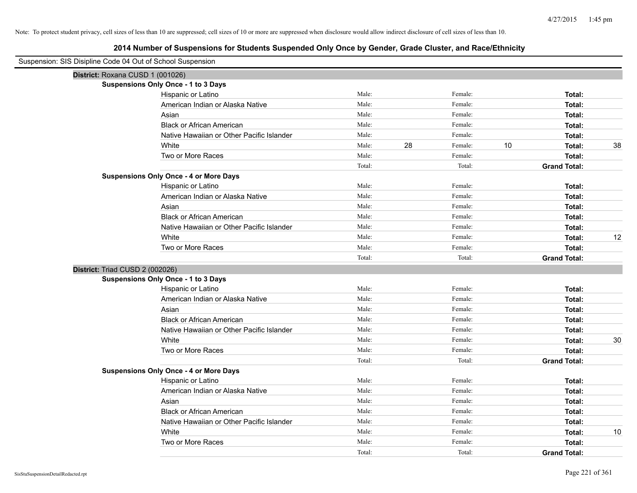| Suspension: SIS Disipline Code 04 Out of School Suspension |                                               |        |               |    |                     |    |
|------------------------------------------------------------|-----------------------------------------------|--------|---------------|----|---------------------|----|
|                                                            | District: Roxana CUSD 1 (001026)              |        |               |    |                     |    |
|                                                            | Suspensions Only Once - 1 to 3 Days           |        |               |    |                     |    |
|                                                            | Hispanic or Latino                            | Male:  | Female:       |    | Total:              |    |
|                                                            | American Indian or Alaska Native              | Male:  | Female:       |    | Total:              |    |
|                                                            | Asian                                         | Male:  | Female:       |    | Total:              |    |
|                                                            | <b>Black or African American</b>              | Male:  | Female:       |    | Total:              |    |
|                                                            | Native Hawaiian or Other Pacific Islander     | Male:  | Female:       |    | Total:              |    |
|                                                            | White                                         | Male:  | 28<br>Female: | 10 | Total:              | 38 |
|                                                            | Two or More Races                             | Male:  | Female:       |    | Total:              |    |
|                                                            |                                               | Total: | Total:        |    | <b>Grand Total:</b> |    |
|                                                            | <b>Suspensions Only Once - 4 or More Days</b> |        |               |    |                     |    |
|                                                            | Hispanic or Latino                            | Male:  | Female:       |    | Total:              |    |
|                                                            | American Indian or Alaska Native              | Male:  | Female:       |    | Total:              |    |
|                                                            | Asian                                         | Male:  | Female:       |    | Total:              |    |
|                                                            | <b>Black or African American</b>              | Male:  | Female:       |    | Total:              |    |
|                                                            | Native Hawaiian or Other Pacific Islander     | Male:  | Female:       |    | Total:              |    |
|                                                            | White                                         | Male:  | Female:       |    | Total:              | 12 |
|                                                            | Two or More Races                             | Male:  | Female:       |    | Total:              |    |
|                                                            |                                               | Total: | Total:        |    | <b>Grand Total:</b> |    |
| District: Triad CUSD 2 (002026)                            |                                               |        |               |    |                     |    |
|                                                            | <b>Suspensions Only Once - 1 to 3 Days</b>    |        |               |    |                     |    |
|                                                            | Hispanic or Latino                            | Male:  | Female:       |    | Total:              |    |
|                                                            | American Indian or Alaska Native              | Male:  | Female:       |    | Total:              |    |
|                                                            | Asian                                         | Male:  | Female:       |    | Total:              |    |
|                                                            | <b>Black or African American</b>              | Male:  | Female:       |    | Total:              |    |
|                                                            | Native Hawaiian or Other Pacific Islander     | Male:  | Female:       |    | Total:              |    |
|                                                            | White                                         | Male:  | Female:       |    | Total:              | 30 |
|                                                            | Two or More Races                             | Male:  | Female:       |    | Total:              |    |
|                                                            |                                               | Total: | Total:        |    | <b>Grand Total:</b> |    |
|                                                            | <b>Suspensions Only Once - 4 or More Days</b> |        |               |    |                     |    |
|                                                            | Hispanic or Latino                            | Male:  | Female:       |    | Total:              |    |
|                                                            | American Indian or Alaska Native              | Male:  | Female:       |    | Total:              |    |
|                                                            | Asian                                         | Male:  | Female:       |    | Total:              |    |
|                                                            | <b>Black or African American</b>              | Male:  | Female:       |    | Total:              |    |
|                                                            | Native Hawaiian or Other Pacific Islander     | Male:  | Female:       |    | Total:              |    |
|                                                            | White                                         | Male:  | Female:       |    | Total:              | 10 |
|                                                            | Two or More Races                             | Male:  | Female:       |    | Total:              |    |
|                                                            |                                               | Total: | Total:        |    | <b>Grand Total:</b> |    |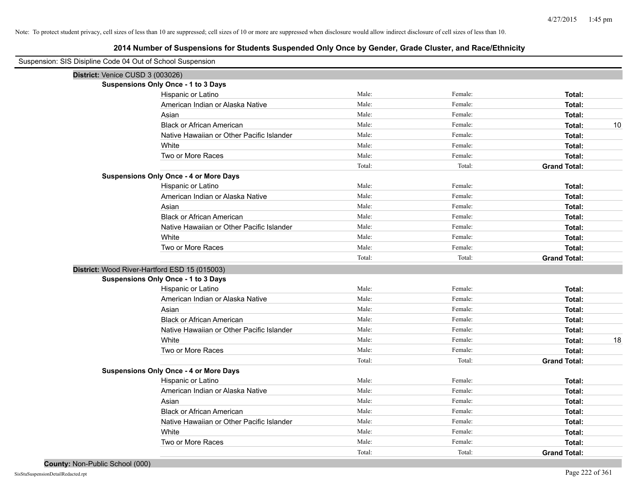| Suspension: SIS Disipline Code 04 Out of School Suspension |                                               |        |         |                     |
|------------------------------------------------------------|-----------------------------------------------|--------|---------|---------------------|
| District: Venice CUSD 3 (003026)                           |                                               |        |         |                     |
|                                                            | Suspensions Only Once - 1 to 3 Days           |        |         |                     |
|                                                            | Hispanic or Latino                            | Male:  | Female: | Total:              |
|                                                            | American Indian or Alaska Native              | Male:  | Female: | Total:              |
|                                                            | Asian                                         | Male:  | Female: | Total:              |
|                                                            | <b>Black or African American</b>              | Male:  | Female: | 10<br>Total:        |
|                                                            | Native Hawaiian or Other Pacific Islander     | Male:  | Female: | Total:              |
|                                                            | White                                         | Male:  | Female: | Total:              |
|                                                            | Two or More Races                             | Male:  | Female: | Total:              |
|                                                            |                                               | Total: | Total:  | <b>Grand Total:</b> |
|                                                            | <b>Suspensions Only Once - 4 or More Days</b> |        |         |                     |
|                                                            | Hispanic or Latino                            | Male:  | Female: | Total:              |
|                                                            | American Indian or Alaska Native              | Male:  | Female: | Total:              |
|                                                            | Asian                                         | Male:  | Female: | Total:              |
|                                                            | <b>Black or African American</b>              | Male:  | Female: | Total:              |
|                                                            | Native Hawaiian or Other Pacific Islander     | Male:  | Female: | Total:              |
|                                                            | White                                         | Male:  | Female: | Total:              |
|                                                            | Two or More Races                             | Male:  | Female: | Total:              |
|                                                            |                                               | Total: | Total:  | <b>Grand Total:</b> |
|                                                            | District: Wood River-Hartford ESD 15 (015003) |        |         |                     |
|                                                            | <b>Suspensions Only Once - 1 to 3 Days</b>    |        |         |                     |
|                                                            | Hispanic or Latino                            | Male:  | Female: | Total:              |
|                                                            | American Indian or Alaska Native              | Male:  | Female: | Total:              |
|                                                            | Asian                                         | Male:  | Female: | Total:              |
|                                                            | <b>Black or African American</b>              | Male:  | Female: | Total:              |
|                                                            | Native Hawaiian or Other Pacific Islander     | Male:  | Female: | Total:              |
|                                                            | White                                         | Male:  | Female: | 18<br>Total:        |
|                                                            | Two or More Races                             | Male:  | Female: | Total:              |
|                                                            |                                               | Total: | Total:  | <b>Grand Total:</b> |
|                                                            | <b>Suspensions Only Once - 4 or More Days</b> |        |         |                     |
|                                                            | Hispanic or Latino                            | Male:  | Female: | Total:              |
|                                                            | American Indian or Alaska Native              | Male:  | Female: | Total:              |
|                                                            | Asian                                         | Male:  | Female: | Total:              |
|                                                            | <b>Black or African American</b>              | Male:  | Female: | Total:              |
|                                                            | Native Hawaiian or Other Pacific Islander     | Male:  | Female: | Total:              |
|                                                            | White                                         | Male:  | Female: | Total:              |
|                                                            | Two or More Races                             | Male:  | Female: | Total:              |
|                                                            |                                               | Total: | Total:  | <b>Grand Total:</b> |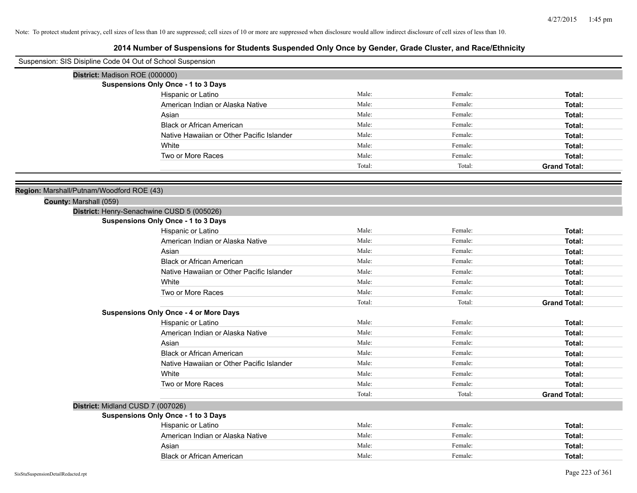| Suspension: SIS Disipline Code 04 Out of School Suspension |                                               |        |         |                     |
|------------------------------------------------------------|-----------------------------------------------|--------|---------|---------------------|
| District: Madison ROE (000000)                             |                                               |        |         |                     |
|                                                            | <b>Suspensions Only Once - 1 to 3 Days</b>    |        |         |                     |
|                                                            | Hispanic or Latino                            | Male:  | Female: | Total:              |
|                                                            | American Indian or Alaska Native              | Male:  | Female: | Total:              |
|                                                            | Asian                                         | Male:  | Female: | Total:              |
|                                                            | <b>Black or African American</b>              | Male:  | Female: | Total:              |
|                                                            | Native Hawaiian or Other Pacific Islander     | Male:  | Female: | Total:              |
|                                                            | White                                         | Male:  | Female: | Total:              |
|                                                            | Two or More Races                             | Male:  | Female: | Total:              |
|                                                            |                                               | Total: | Total:  | <b>Grand Total:</b> |
|                                                            |                                               |        |         |                     |
| Region: Marshall/Putnam/Woodford ROE (43)                  |                                               |        |         |                     |
| County: Marshall (059)                                     |                                               |        |         |                     |
|                                                            | District: Henry-Senachwine CUSD 5 (005026)    |        |         |                     |
|                                                            | <b>Suspensions Only Once - 1 to 3 Days</b>    |        |         |                     |
|                                                            | Hispanic or Latino                            | Male:  | Female: | Total:              |
|                                                            | American Indian or Alaska Native              | Male:  | Female: | Total:              |
|                                                            | Asian                                         | Male:  | Female: | Total:              |
|                                                            | <b>Black or African American</b>              | Male:  | Female: | Total:              |
|                                                            | Native Hawaiian or Other Pacific Islander     | Male:  | Female: | Total:              |
|                                                            | White                                         | Male:  | Female: | Total:              |
|                                                            | Two or More Races                             | Male:  | Female: | Total:              |
|                                                            |                                               | Total: | Total:  | <b>Grand Total:</b> |
|                                                            | <b>Suspensions Only Once - 4 or More Days</b> |        |         |                     |
|                                                            | Hispanic or Latino                            | Male:  | Female: | Total:              |
|                                                            | American Indian or Alaska Native              | Male:  | Female: | Total:              |
|                                                            | Asian                                         | Male:  | Female: | Total:              |
|                                                            | <b>Black or African American</b>              | Male:  | Female: | Total:              |
|                                                            | Native Hawaiian or Other Pacific Islander     | Male:  | Female: | Total:              |
|                                                            | White                                         | Male:  | Female: | Total:              |
|                                                            | Two or More Races                             | Male:  | Female: | Total:              |
|                                                            |                                               | Total: | Total:  | <b>Grand Total:</b> |
| District: Midland CUSD 7 (007026)                          |                                               |        |         |                     |
|                                                            | <b>Suspensions Only Once - 1 to 3 Days</b>    |        |         |                     |
|                                                            | Hispanic or Latino                            | Male:  | Female: | Total:              |
|                                                            | American Indian or Alaska Native              | Male:  | Female: | Total:              |
|                                                            | Asian                                         | Male:  | Female: | Total:              |
|                                                            | <b>Black or African American</b>              | Male:  | Female: | Total:              |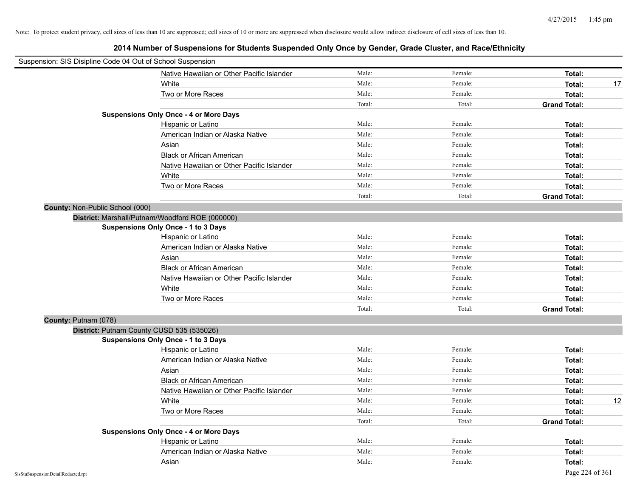| Suspension: SIS Disipline Code 04 Out of School Suspension |                                                 |        |         |                     |    |
|------------------------------------------------------------|-------------------------------------------------|--------|---------|---------------------|----|
|                                                            | Native Hawaiian or Other Pacific Islander       | Male:  | Female: | Total:              |    |
|                                                            | White                                           | Male:  | Female: | Total:              | 17 |
|                                                            | Two or More Races                               | Male:  | Female: | Total:              |    |
|                                                            |                                                 | Total: | Total:  | <b>Grand Total:</b> |    |
|                                                            | <b>Suspensions Only Once - 4 or More Days</b>   |        |         |                     |    |
|                                                            | Hispanic or Latino                              | Male:  | Female: | Total:              |    |
|                                                            | American Indian or Alaska Native                | Male:  | Female: | Total:              |    |
|                                                            | Asian                                           | Male:  | Female: | Total:              |    |
|                                                            | <b>Black or African American</b>                | Male:  | Female: | Total:              |    |
|                                                            | Native Hawaiian or Other Pacific Islander       | Male:  | Female: | Total:              |    |
|                                                            | White                                           | Male:  | Female: | Total:              |    |
|                                                            | Two or More Races                               | Male:  | Female: | Total:              |    |
|                                                            |                                                 | Total: | Total:  | <b>Grand Total:</b> |    |
| County: Non-Public School (000)                            |                                                 |        |         |                     |    |
|                                                            | District: Marshall/Putnam/Woodford ROE (000000) |        |         |                     |    |
|                                                            | <b>Suspensions Only Once - 1 to 3 Days</b>      |        |         |                     |    |
|                                                            | Hispanic or Latino                              | Male:  | Female: | Total:              |    |
|                                                            | American Indian or Alaska Native                | Male:  | Female: | Total:              |    |
|                                                            | Asian                                           | Male:  | Female: | Total:              |    |
|                                                            | <b>Black or African American</b>                | Male:  | Female: | Total:              |    |
|                                                            | Native Hawaiian or Other Pacific Islander       | Male:  | Female: | Total:              |    |
|                                                            | White                                           | Male:  | Female: | Total:              |    |
|                                                            | Two or More Races                               | Male:  | Female: | Total:              |    |
|                                                            |                                                 | Total: | Total:  | <b>Grand Total:</b> |    |
| County: Putnam (078)                                       |                                                 |        |         |                     |    |
|                                                            | District: Putnam County CUSD 535 (535026)       |        |         |                     |    |
|                                                            | <b>Suspensions Only Once - 1 to 3 Days</b>      |        |         |                     |    |
|                                                            | Hispanic or Latino                              | Male:  | Female: | Total:              |    |
|                                                            | American Indian or Alaska Native                | Male:  | Female: | Total:              |    |
|                                                            | Asian                                           | Male:  | Female: | Total:              |    |
|                                                            | <b>Black or African American</b>                | Male:  | Female: | Total:              |    |
|                                                            | Native Hawaiian or Other Pacific Islander       | Male:  | Female: | Total:              |    |
|                                                            | White                                           | Male:  | Female: | Total:              | 12 |
|                                                            | Two or More Races                               | Male:  | Female: | Total:              |    |
|                                                            |                                                 | Total: | Total:  | <b>Grand Total:</b> |    |
|                                                            | <b>Suspensions Only Once - 4 or More Days</b>   |        |         |                     |    |
|                                                            | Hispanic or Latino                              | Male:  | Female: | Total:              |    |
|                                                            | American Indian or Alaska Native                | Male:  | Female: | Total:              |    |
|                                                            | Asian                                           | Male:  | Female: | Total:              |    |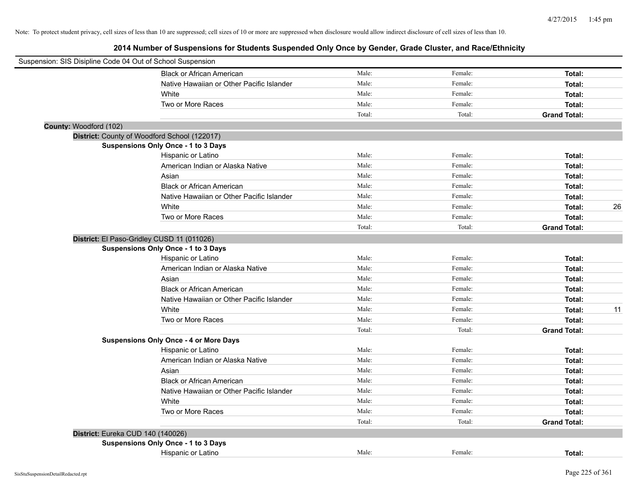| Suspension: SIS Disipline Code 04 Out of School Suspension |                                               |        |         |                     |    |
|------------------------------------------------------------|-----------------------------------------------|--------|---------|---------------------|----|
|                                                            | <b>Black or African American</b>              | Male:  | Female: | Total:              |    |
|                                                            | Native Hawaiian or Other Pacific Islander     | Male:  | Female: | Total:              |    |
|                                                            | White                                         | Male:  | Female: | Total:              |    |
|                                                            | Two or More Races                             | Male:  | Female: | Total:              |    |
|                                                            |                                               | Total: | Total:  | <b>Grand Total:</b> |    |
| County: Woodford (102)                                     |                                               |        |         |                     |    |
| District: County of Woodford School (122017)               |                                               |        |         |                     |    |
|                                                            | <b>Suspensions Only Once - 1 to 3 Days</b>    |        |         |                     |    |
|                                                            | Hispanic or Latino                            | Male:  | Female: | Total:              |    |
|                                                            | American Indian or Alaska Native              | Male:  | Female: | Total:              |    |
|                                                            | Asian                                         | Male:  | Female: | Total:              |    |
|                                                            | <b>Black or African American</b>              | Male:  | Female: | Total:              |    |
|                                                            | Native Hawaiian or Other Pacific Islander     | Male:  | Female: | Total:              |    |
|                                                            | White                                         | Male:  | Female: | Total:              | 26 |
|                                                            | Two or More Races                             | Male:  | Female: | Total:              |    |
|                                                            |                                               | Total: | Total:  | <b>Grand Total:</b> |    |
| District: El Paso-Gridley CUSD 11 (011026)                 |                                               |        |         |                     |    |
|                                                            | <b>Suspensions Only Once - 1 to 3 Days</b>    |        |         |                     |    |
|                                                            | Hispanic or Latino                            | Male:  | Female: | Total:              |    |
|                                                            | American Indian or Alaska Native              | Male:  | Female: | Total:              |    |
|                                                            | Asian                                         | Male:  | Female: | Total:              |    |
|                                                            | <b>Black or African American</b>              | Male:  | Female: | Total:              |    |
|                                                            | Native Hawaiian or Other Pacific Islander     | Male:  | Female: | Total:              |    |
|                                                            | White                                         | Male:  | Female: | Total:              | 11 |
|                                                            | Two or More Races                             | Male:  | Female: | Total:              |    |
|                                                            |                                               | Total: | Total:  | <b>Grand Total:</b> |    |
|                                                            | <b>Suspensions Only Once - 4 or More Days</b> |        |         |                     |    |
|                                                            | Hispanic or Latino                            | Male:  | Female: | Total:              |    |
|                                                            | American Indian or Alaska Native              | Male:  | Female: | Total:              |    |
|                                                            | Asian                                         | Male:  | Female: | Total:              |    |
|                                                            | <b>Black or African American</b>              | Male:  | Female: | Total:              |    |
|                                                            | Native Hawaiian or Other Pacific Islander     | Male:  | Female: | Total:              |    |
|                                                            | White                                         | Male:  | Female: | Total:              |    |
|                                                            | Two or More Races                             | Male:  | Female: | Total:              |    |
|                                                            |                                               | Total: | Total:  | <b>Grand Total:</b> |    |
| District: Eureka CUD 140 (140026)                          |                                               |        |         |                     |    |
|                                                            | <b>Suspensions Only Once - 1 to 3 Days</b>    |        |         |                     |    |
|                                                            | Hispanic or Latino                            | Male:  | Female: | Total:              |    |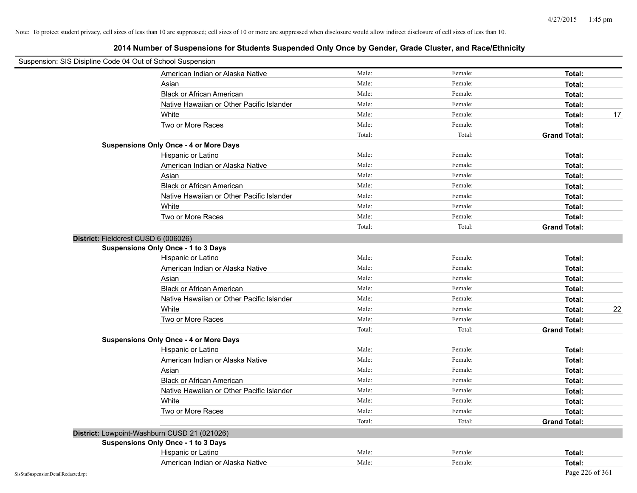| Suspension: SIS Disipline Code 04 Out of School Suspension |                                               |        |         |                     |
|------------------------------------------------------------|-----------------------------------------------|--------|---------|---------------------|
|                                                            | American Indian or Alaska Native              | Male:  | Female: | Total:              |
|                                                            | Asian                                         | Male:  | Female: | Total:              |
|                                                            | <b>Black or African American</b>              | Male:  | Female: | Total:              |
|                                                            | Native Hawaiian or Other Pacific Islander     | Male:  | Female: | Total:              |
|                                                            | White                                         | Male:  | Female: | Total:<br>17        |
|                                                            | Two or More Races                             | Male:  | Female: | Total:              |
|                                                            |                                               | Total: | Total:  | <b>Grand Total:</b> |
|                                                            | <b>Suspensions Only Once - 4 or More Days</b> |        |         |                     |
|                                                            | Hispanic or Latino                            | Male:  | Female: | Total:              |
|                                                            | American Indian or Alaska Native              | Male:  | Female: | Total:              |
|                                                            | Asian                                         | Male:  | Female: | Total:              |
|                                                            | <b>Black or African American</b>              | Male:  | Female: | Total:              |
|                                                            | Native Hawaiian or Other Pacific Islander     | Male:  | Female: | Total:              |
|                                                            | White                                         | Male:  | Female: | Total:              |
|                                                            | Two or More Races                             | Male:  | Female: | Total:              |
|                                                            |                                               | Total: | Total:  | <b>Grand Total:</b> |
|                                                            | District: Fieldcrest CUSD 6 (006026)          |        |         |                     |
|                                                            | <b>Suspensions Only Once - 1 to 3 Days</b>    |        |         |                     |
|                                                            | Hispanic or Latino                            | Male:  | Female: | Total:              |
|                                                            | American Indian or Alaska Native              | Male:  | Female: | Total:              |
|                                                            | Asian                                         | Male:  | Female: | Total:              |
|                                                            | <b>Black or African American</b>              | Male:  | Female: | Total:              |
|                                                            | Native Hawaiian or Other Pacific Islander     | Male:  | Female: | Total:              |
|                                                            | White                                         | Male:  | Female: | 22<br>Total:        |
|                                                            | Two or More Races                             | Male:  | Female: | Total:              |
|                                                            |                                               | Total: | Total:  | <b>Grand Total:</b> |
|                                                            | <b>Suspensions Only Once - 4 or More Days</b> |        |         |                     |
|                                                            | Hispanic or Latino                            | Male:  | Female: | Total:              |
|                                                            | American Indian or Alaska Native              | Male:  | Female: | Total:              |
|                                                            | Asian                                         | Male:  | Female: | Total:              |
|                                                            | <b>Black or African American</b>              | Male:  | Female: | Total:              |
|                                                            | Native Hawaiian or Other Pacific Islander     | Male:  | Female: | Total:              |
|                                                            | White                                         | Male:  | Female: | Total:              |
|                                                            | Two or More Races                             | Male:  | Female: | Total:              |
|                                                            |                                               | Total: | Total:  | <b>Grand Total:</b> |
|                                                            | District: Lowpoint-Washburn CUSD 21 (021026)  |        |         |                     |
|                                                            | <b>Suspensions Only Once - 1 to 3 Days</b>    |        |         |                     |
|                                                            | Hispanic or Latino                            | Male:  | Female: | Total:              |
|                                                            | American Indian or Alaska Native              | Male:  | Female: | Total:              |
| SisStuSuspensionDetailRedacted.rpt                         |                                               |        |         | Page 226 of 361     |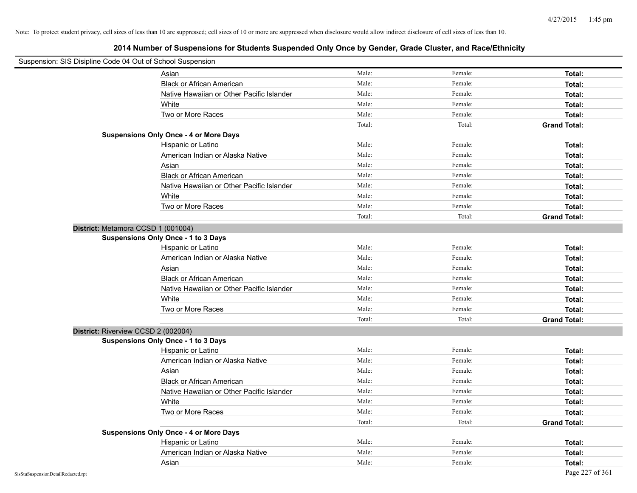| Suspension: SIS Disipline Code 04 Out of School Suspension |                                               |        |         |                     |
|------------------------------------------------------------|-----------------------------------------------|--------|---------|---------------------|
|                                                            | Asian                                         | Male:  | Female: | Total:              |
|                                                            | <b>Black or African American</b>              | Male:  | Female: | Total:              |
|                                                            | Native Hawaiian or Other Pacific Islander     | Male:  | Female: | Total:              |
|                                                            | White                                         | Male:  | Female: | Total:              |
|                                                            | Two or More Races                             | Male:  | Female: | Total:              |
|                                                            |                                               | Total: | Total:  | <b>Grand Total:</b> |
|                                                            | <b>Suspensions Only Once - 4 or More Days</b> |        |         |                     |
|                                                            | Hispanic or Latino                            | Male:  | Female: | Total:              |
|                                                            | American Indian or Alaska Native              | Male:  | Female: | Total:              |
|                                                            | Asian                                         | Male:  | Female: | Total:              |
|                                                            | <b>Black or African American</b>              | Male:  | Female: | Total:              |
|                                                            | Native Hawaiian or Other Pacific Islander     | Male:  | Female: | Total:              |
|                                                            | White                                         | Male:  | Female: | Total:              |
|                                                            | Two or More Races                             | Male:  | Female: | Total:              |
|                                                            |                                               | Total: | Total:  | <b>Grand Total:</b> |
| District: Metamora CCSD 1 (001004)                         |                                               |        |         |                     |
|                                                            | Suspensions Only Once - 1 to 3 Days           |        |         |                     |
|                                                            | Hispanic or Latino                            | Male:  | Female: | Total:              |
|                                                            | American Indian or Alaska Native              | Male:  | Female: | Total:              |
|                                                            | Asian                                         | Male:  | Female: | Total:              |
|                                                            | <b>Black or African American</b>              | Male:  | Female: | Total:              |
|                                                            | Native Hawaiian or Other Pacific Islander     | Male:  | Female: | Total:              |
|                                                            | White                                         | Male:  | Female: | Total:              |
|                                                            | Two or More Races                             | Male:  | Female: | Total:              |
|                                                            |                                               | Total: | Total:  | <b>Grand Total:</b> |
| District: Riverview CCSD 2 (002004)                        |                                               |        |         |                     |
|                                                            | <b>Suspensions Only Once - 1 to 3 Days</b>    |        |         |                     |
|                                                            | Hispanic or Latino                            | Male:  | Female: | Total:              |
|                                                            | American Indian or Alaska Native              | Male:  | Female: | Total:              |
|                                                            | Asian                                         | Male:  | Female: | Total:              |
|                                                            | <b>Black or African American</b>              | Male:  | Female: | Total:              |
|                                                            | Native Hawaiian or Other Pacific Islander     | Male:  | Female: | Total:              |
|                                                            | White                                         | Male:  | Female: | Total:              |
|                                                            | Two or More Races                             | Male:  | Female: | Total:              |
|                                                            |                                               | Total: | Total:  | <b>Grand Total:</b> |
|                                                            | <b>Suspensions Only Once - 4 or More Days</b> |        |         |                     |
|                                                            | Hispanic or Latino                            | Male:  | Female: | Total:              |
|                                                            | American Indian or Alaska Native              | Male:  | Female: | Total:              |
|                                                            | Asian                                         | Male:  | Female: | Total:              |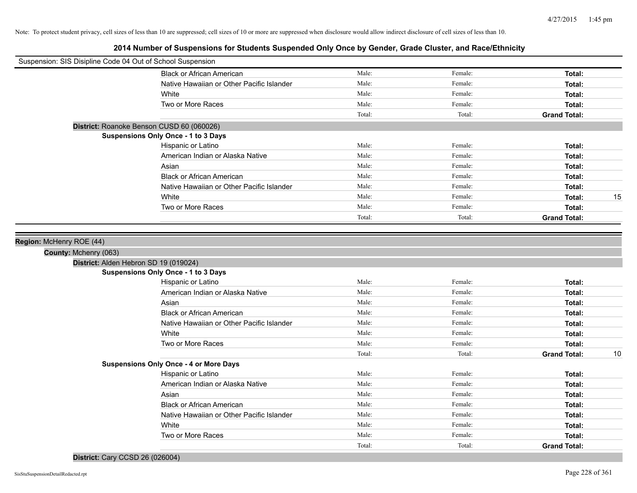**2014 Number of Suspensions for Students Suspended Only Once by Gender, Grade Cluster, and Race/Ethnicity**

| Suspension: SIS Disipline Code 04 Out of School Suspension |                                                                              |        |         |                           |
|------------------------------------------------------------|------------------------------------------------------------------------------|--------|---------|---------------------------|
|                                                            | <b>Black or African American</b>                                             | Male:  | Female: | Total:                    |
|                                                            | Native Hawaiian or Other Pacific Islander                                    | Male:  | Female: | Total:                    |
|                                                            | White                                                                        | Male:  | Female: | Total:                    |
|                                                            | Two or More Races                                                            | Male:  | Female: | Total:                    |
|                                                            |                                                                              | Total: | Total:  | <b>Grand Total:</b>       |
|                                                            | District: Roanoke Benson CUSD 60 (060026)                                    |        |         |                           |
|                                                            | Suspensions Only Once - 1 to 3 Days                                          |        |         |                           |
|                                                            | Hispanic or Latino                                                           | Male:  | Female: | Total:                    |
|                                                            | American Indian or Alaska Native                                             | Male:  | Female: | Total:                    |
|                                                            | Asian                                                                        | Male:  | Female: | Total:                    |
|                                                            | <b>Black or African American</b>                                             | Male:  | Female: | Total:                    |
|                                                            | Native Hawaiian or Other Pacific Islander                                    | Male:  | Female: | Total:                    |
|                                                            | White                                                                        | Male:  | Female: | 15<br>Total:              |
|                                                            | Two or More Races                                                            | Male:  | Female: | Total:                    |
|                                                            |                                                                              | Total: | Total:  | <b>Grand Total:</b>       |
|                                                            |                                                                              |        |         |                           |
| County: Mchenry (063)                                      | District: Alden Hebron SD 19 (019024)<br>Suspensions Only Once - 1 to 3 Days |        |         |                           |
|                                                            | Hispanic or Latino                                                           | Male:  | Female: | Total:                    |
|                                                            | American Indian or Alaska Native                                             | Male:  | Female: | Total:                    |
|                                                            | Asian                                                                        | Male:  | Female: | Total:                    |
|                                                            | <b>Black or African American</b>                                             | Male:  | Female: | Total:                    |
|                                                            | Native Hawaiian or Other Pacific Islander                                    | Male:  | Female: | Total:                    |
|                                                            | White                                                                        | Male:  | Female: | Total:                    |
|                                                            | Two or More Races                                                            | Male:  | Female: | Total:                    |
|                                                            |                                                                              | Total: | Total:  | <b>Grand Total:</b><br>10 |
|                                                            | <b>Suspensions Only Once - 4 or More Days</b>                                |        |         |                           |
|                                                            | Hispanic or Latino                                                           | Male:  | Female: | Total:                    |
|                                                            | American Indian or Alaska Native                                             | Male:  | Female: | Total:                    |
|                                                            | Asian                                                                        | Male:  | Female: | Total:                    |
|                                                            | <b>Black or African American</b>                                             | Male:  | Female: | Total:                    |
|                                                            | Native Hawaiian or Other Pacific Islander                                    | Male:  | Female: | Total:                    |
|                                                            | White                                                                        | Male:  | Female: | Total:                    |
|                                                            | Two or More Races                                                            | Male:  | Female: | Total:                    |
|                                                            |                                                                              | Total: | Total:  | <b>Grand Total:</b>       |

# **District:** Cary CCSD 26 (026004)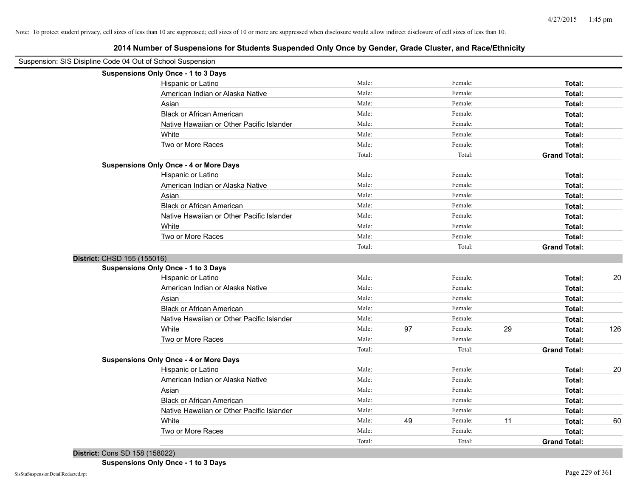**2014 Number of Suspensions for Students Suspended Only Once by Gender, Grade Cluster, and Race/Ethnicity**

| Suspension: SIS Disipline Code 04 Out of School Suspension |                                               |        |    |         |    |                     |     |
|------------------------------------------------------------|-----------------------------------------------|--------|----|---------|----|---------------------|-----|
|                                                            | Suspensions Only Once - 1 to 3 Days           |        |    |         |    |                     |     |
|                                                            | Hispanic or Latino                            | Male:  |    | Female: |    | Total:              |     |
|                                                            | American Indian or Alaska Native              | Male:  |    | Female: |    | Total:              |     |
|                                                            | Asian                                         | Male:  |    | Female: |    | Total:              |     |
|                                                            | <b>Black or African American</b>              | Male:  |    | Female: |    | Total:              |     |
|                                                            | Native Hawaiian or Other Pacific Islander     | Male:  |    | Female: |    | Total:              |     |
|                                                            | White                                         | Male:  |    | Female: |    | Total:              |     |
|                                                            | Two or More Races                             | Male:  |    | Female: |    | Total:              |     |
|                                                            |                                               | Total: |    | Total:  |    | <b>Grand Total:</b> |     |
|                                                            | <b>Suspensions Only Once - 4 or More Days</b> |        |    |         |    |                     |     |
|                                                            | Hispanic or Latino                            | Male:  |    | Female: |    | Total:              |     |
|                                                            | American Indian or Alaska Native              | Male:  |    | Female: |    | Total:              |     |
|                                                            | Asian                                         | Male:  |    | Female: |    | Total:              |     |
|                                                            | <b>Black or African American</b>              | Male:  |    | Female: |    | Total:              |     |
|                                                            | Native Hawaiian or Other Pacific Islander     | Male:  |    | Female: |    | Total:              |     |
|                                                            | White                                         | Male:  |    | Female: |    | Total:              |     |
|                                                            | Two or More Races                             | Male:  |    | Female: |    | Total:              |     |
|                                                            |                                               | Total: |    | Total:  |    | <b>Grand Total:</b> |     |
| District: CHSD 155 (155016)                                |                                               |        |    |         |    |                     |     |
|                                                            | Suspensions Only Once - 1 to 3 Days           |        |    |         |    |                     |     |
|                                                            | Hispanic or Latino                            | Male:  |    | Female: |    | Total:              | 20  |
|                                                            | American Indian or Alaska Native              | Male:  |    | Female: |    | Total:              |     |
|                                                            | Asian                                         | Male:  |    | Female: |    | Total:              |     |
|                                                            | <b>Black or African American</b>              | Male:  |    | Female: |    | Total:              |     |
|                                                            | Native Hawaiian or Other Pacific Islander     | Male:  |    | Female: |    | Total:              |     |
|                                                            | White                                         | Male:  | 97 | Female: | 29 | Total:              | 126 |
|                                                            | Two or More Races                             | Male:  |    | Female: |    | Total:              |     |
|                                                            |                                               | Total: |    | Total:  |    | <b>Grand Total:</b> |     |
|                                                            | <b>Suspensions Only Once - 4 or More Days</b> |        |    |         |    |                     |     |
|                                                            | Hispanic or Latino                            | Male:  |    | Female: |    | Total:              | 20  |
|                                                            | American Indian or Alaska Native              | Male:  |    | Female: |    | Total:              |     |
|                                                            | Asian                                         | Male:  |    | Female: |    | Total:              |     |
|                                                            | <b>Black or African American</b>              | Male:  |    | Female: |    | Total:              |     |
|                                                            | Native Hawaiian or Other Pacific Islander     | Male:  |    | Female: |    | Total:              |     |
|                                                            | White                                         | Male:  | 49 | Female: | 11 | Total:              | 60  |
|                                                            | Two or More Races                             | Male:  |    | Female: |    | Total:              |     |
|                                                            |                                               | Total: |    | Total:  |    | <b>Grand Total:</b> |     |

**District:** Cons SD 158 (158022)

**Suspensions Only Once - 1 to 3 Days**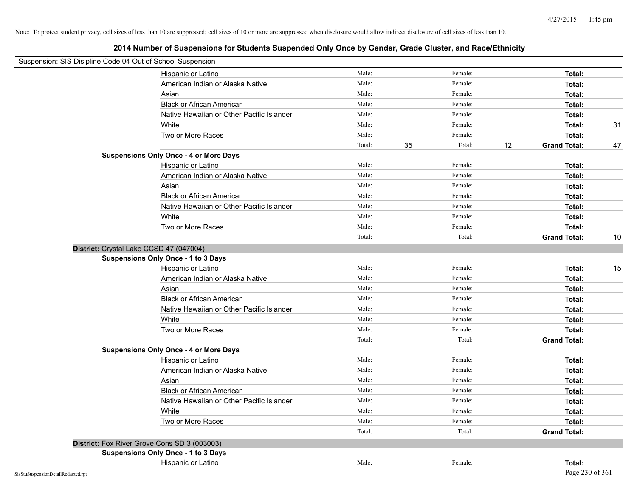| Suspension: SIS Disipline Code 04 Out of School Suspension |                                               |        |              |    |                     |    |
|------------------------------------------------------------|-----------------------------------------------|--------|--------------|----|---------------------|----|
|                                                            | Hispanic or Latino                            | Male:  | Female:      |    | Total:              |    |
|                                                            | American Indian or Alaska Native              | Male:  | Female:      |    | Total:              |    |
|                                                            | Asian                                         | Male:  | Female:      |    | Total:              |    |
|                                                            | <b>Black or African American</b>              | Male:  | Female:      |    | Total:              |    |
|                                                            | Native Hawaiian or Other Pacific Islander     | Male:  | Female:      |    | Total:              |    |
|                                                            | White                                         | Male:  | Female:      |    | Total:              | 31 |
|                                                            | Two or More Races                             | Male:  | Female:      |    | Total:              |    |
|                                                            |                                               | Total: | 35<br>Total: | 12 | <b>Grand Total:</b> | 47 |
|                                                            | <b>Suspensions Only Once - 4 or More Days</b> |        |              |    |                     |    |
|                                                            | Hispanic or Latino                            | Male:  | Female:      |    | Total:              |    |
|                                                            | American Indian or Alaska Native              | Male:  | Female:      |    | Total:              |    |
|                                                            | Asian                                         | Male:  | Female:      |    | Total:              |    |
|                                                            | <b>Black or African American</b>              | Male:  | Female:      |    | Total:              |    |
|                                                            | Native Hawaiian or Other Pacific Islander     | Male:  | Female:      |    | Total:              |    |
|                                                            | White                                         | Male:  | Female:      |    | Total:              |    |
|                                                            | Two or More Races                             | Male:  | Female:      |    | Total:              |    |
|                                                            |                                               | Total: | Total:       |    | <b>Grand Total:</b> | 10 |
|                                                            | District: Crystal Lake CCSD 47 (047004)       |        |              |    |                     |    |
|                                                            | <b>Suspensions Only Once - 1 to 3 Days</b>    |        |              |    |                     |    |
|                                                            | Hispanic or Latino                            | Male:  | Female:      |    | Total:              | 15 |
|                                                            | American Indian or Alaska Native              | Male:  | Female:      |    | Total:              |    |
|                                                            | Asian                                         | Male:  | Female:      |    | Total:              |    |
|                                                            | <b>Black or African American</b>              | Male:  | Female:      |    | Total:              |    |
|                                                            | Native Hawaiian or Other Pacific Islander     | Male:  | Female:      |    | Total:              |    |
|                                                            | White                                         | Male:  | Female:      |    | Total:              |    |
|                                                            | Two or More Races                             | Male:  | Female:      |    | Total:              |    |
|                                                            |                                               | Total: | Total:       |    | <b>Grand Total:</b> |    |
|                                                            | <b>Suspensions Only Once - 4 or More Days</b> |        |              |    |                     |    |
|                                                            | Hispanic or Latino                            | Male:  | Female:      |    | Total:              |    |
|                                                            | American Indian or Alaska Native              | Male:  | Female:      |    | Total:              |    |
|                                                            | Asian                                         | Male:  | Female:      |    | Total:              |    |
|                                                            | <b>Black or African American</b>              | Male:  | Female:      |    | Total:              |    |
|                                                            | Native Hawaiian or Other Pacific Islander     | Male:  | Female:      |    | Total:              |    |
|                                                            | White                                         | Male:  | Female:      |    | Total:              |    |
|                                                            | Two or More Races                             | Male:  | Female:      |    | Total:              |    |
|                                                            |                                               | Total: | Total:       |    | <b>Grand Total:</b> |    |
|                                                            | District: Fox River Grove Cons SD 3 (003003)  |        |              |    |                     |    |
|                                                            | <b>Suspensions Only Once - 1 to 3 Days</b>    |        |              |    |                     |    |
|                                                            | Hispanic or Latino                            | Male:  | Female:      |    | Total:              |    |
| SisStuSuspensionDetailRedacted.rpt                         |                                               |        |              |    | Page 230 of 361     |    |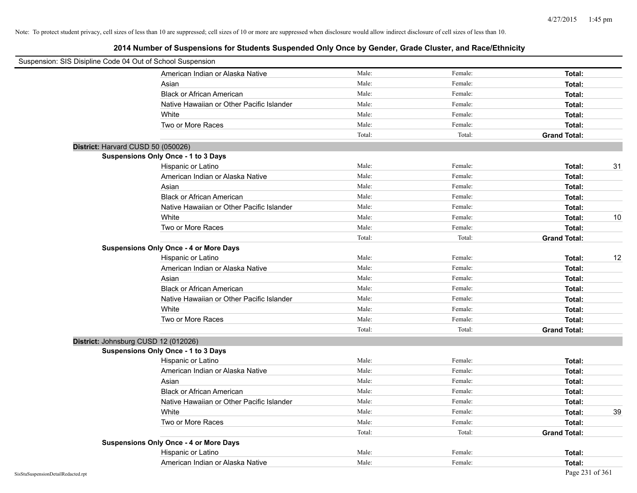| Suspension: SIS Disipline Code 04 Out of School Suspension |                                               |        |         |                     |    |
|------------------------------------------------------------|-----------------------------------------------|--------|---------|---------------------|----|
|                                                            | American Indian or Alaska Native              | Male:  | Female: | Total:              |    |
|                                                            | Asian                                         | Male:  | Female: | Total:              |    |
|                                                            | <b>Black or African American</b>              | Male:  | Female: | Total:              |    |
|                                                            | Native Hawaiian or Other Pacific Islander     | Male:  | Female: | Total:              |    |
|                                                            | White                                         | Male:  | Female: | Total:              |    |
|                                                            | Two or More Races                             | Male:  | Female: | Total:              |    |
|                                                            |                                               | Total: | Total:  | <b>Grand Total:</b> |    |
| District: Harvard CUSD 50 (050026)                         |                                               |        |         |                     |    |
|                                                            | Suspensions Only Once - 1 to 3 Days           |        |         |                     |    |
|                                                            | Hispanic or Latino                            | Male:  | Female: | Total:              | 31 |
|                                                            | American Indian or Alaska Native              | Male:  | Female: | Total:              |    |
|                                                            | Asian                                         | Male:  | Female: | Total:              |    |
|                                                            | <b>Black or African American</b>              | Male:  | Female: | Total:              |    |
|                                                            | Native Hawaiian or Other Pacific Islander     | Male:  | Female: | Total:              |    |
|                                                            | White                                         | Male:  | Female: | Total:              | 10 |
|                                                            | Two or More Races                             | Male:  | Female: | Total:              |    |
|                                                            |                                               | Total: | Total:  | <b>Grand Total:</b> |    |
|                                                            | <b>Suspensions Only Once - 4 or More Days</b> |        |         |                     |    |
|                                                            | Hispanic or Latino                            | Male:  | Female: | Total:              | 12 |
|                                                            | American Indian or Alaska Native              | Male:  | Female: | Total:              |    |
|                                                            | Asian                                         | Male:  | Female: | Total:              |    |
|                                                            | <b>Black or African American</b>              | Male:  | Female: | Total:              |    |
|                                                            | Native Hawaiian or Other Pacific Islander     | Male:  | Female: | Total:              |    |
|                                                            | White                                         | Male:  | Female: | Total:              |    |
|                                                            | Two or More Races                             | Male:  | Female: | Total:              |    |
|                                                            |                                               | Total: | Total:  | <b>Grand Total:</b> |    |
| District: Johnsburg CUSD 12 (012026)                       |                                               |        |         |                     |    |
|                                                            | <b>Suspensions Only Once - 1 to 3 Days</b>    |        |         |                     |    |
|                                                            | Hispanic or Latino                            | Male:  | Female: | Total:              |    |
|                                                            | American Indian or Alaska Native              | Male:  | Female: | Total:              |    |
|                                                            | Asian                                         | Male:  | Female: | Total:              |    |
|                                                            | <b>Black or African American</b>              | Male:  | Female: | Total:              |    |
|                                                            | Native Hawaiian or Other Pacific Islander     | Male:  | Female: | Total:              |    |
|                                                            | White                                         | Male:  | Female: | Total:              | 39 |
|                                                            | Two or More Races                             | Male:  | Female: | Total:              |    |
|                                                            |                                               | Total: | Total:  | <b>Grand Total:</b> |    |
|                                                            | <b>Suspensions Only Once - 4 or More Days</b> |        |         |                     |    |
|                                                            | Hispanic or Latino                            | Male:  | Female: | Total:              |    |
|                                                            | American Indian or Alaska Native              | Male:  | Female: | Total:              |    |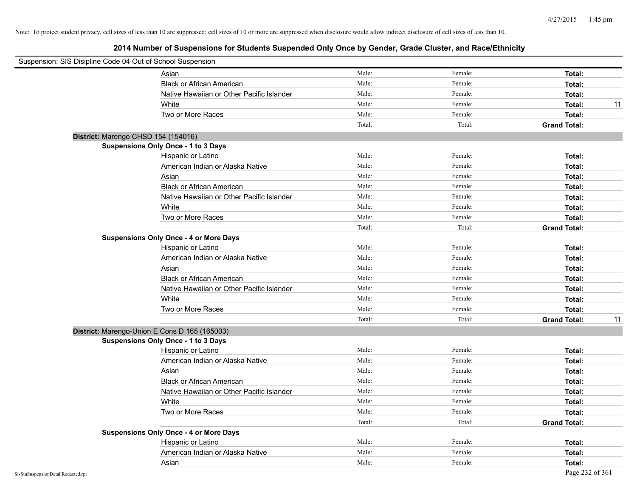| Suspension: SIS Disipline Code 04 Out of School Suspension |                                               |        |         |                     |    |
|------------------------------------------------------------|-----------------------------------------------|--------|---------|---------------------|----|
|                                                            | Asian                                         | Male:  | Female: | Total:              |    |
|                                                            | <b>Black or African American</b>              | Male:  | Female: | Total:              |    |
|                                                            | Native Hawaiian or Other Pacific Islander     | Male:  | Female: | Total:              |    |
|                                                            | White                                         | Male:  | Female: | Total:              | 11 |
|                                                            | Two or More Races                             | Male:  | Female: | Total:              |    |
|                                                            |                                               | Total: | Total:  | <b>Grand Total:</b> |    |
|                                                            | District: Marengo CHSD 154 (154016)           |        |         |                     |    |
|                                                            | Suspensions Only Once - 1 to 3 Days           |        |         |                     |    |
|                                                            | Hispanic or Latino                            | Male:  | Female: | Total:              |    |
|                                                            | American Indian or Alaska Native              | Male:  | Female: | Total:              |    |
|                                                            | Asian                                         | Male:  | Female: | Total:              |    |
|                                                            | <b>Black or African American</b>              | Male:  | Female: | Total:              |    |
|                                                            | Native Hawaiian or Other Pacific Islander     | Male:  | Female: | Total:              |    |
|                                                            | White                                         | Male:  | Female: | Total:              |    |
|                                                            | Two or More Races                             | Male:  | Female: | Total:              |    |
|                                                            |                                               | Total: | Total:  | <b>Grand Total:</b> |    |
|                                                            | <b>Suspensions Only Once - 4 or More Days</b> |        |         |                     |    |
|                                                            | Hispanic or Latino                            | Male:  | Female: | Total:              |    |
|                                                            | American Indian or Alaska Native              | Male:  | Female: | Total:              |    |
|                                                            | Asian                                         | Male:  | Female: | Total:              |    |
|                                                            | <b>Black or African American</b>              | Male:  | Female: | Total:              |    |
|                                                            | Native Hawaiian or Other Pacific Islander     | Male:  | Female: | Total:              |    |
|                                                            | White                                         | Male:  | Female: | Total:              |    |
|                                                            | Two or More Races                             | Male:  | Female: | Total:              |    |
|                                                            |                                               | Total: | Total:  | <b>Grand Total:</b> | 11 |
|                                                            | District: Marengo-Union E Cons D 165 (165003) |        |         |                     |    |
|                                                            | Suspensions Only Once - 1 to 3 Days           |        |         |                     |    |
|                                                            | Hispanic or Latino                            | Male:  | Female: | Total:              |    |
|                                                            | American Indian or Alaska Native              | Male:  | Female: | Total:              |    |
|                                                            | Asian                                         | Male:  | Female: | Total:              |    |
|                                                            | <b>Black or African American</b>              | Male:  | Female: | Total:              |    |
|                                                            | Native Hawaiian or Other Pacific Islander     | Male:  | Female: | Total:              |    |
|                                                            | White                                         | Male:  | Female: | Total:              |    |
|                                                            | Two or More Races                             | Male:  | Female: | Total:              |    |
|                                                            |                                               | Total: | Total:  | <b>Grand Total:</b> |    |
|                                                            | <b>Suspensions Only Once - 4 or More Days</b> |        |         |                     |    |
|                                                            | Hispanic or Latino                            | Male:  | Female: | Total:              |    |
|                                                            | American Indian or Alaska Native              | Male:  | Female: | Total:              |    |
|                                                            | Asian                                         | Male:  | Female: | Total:              |    |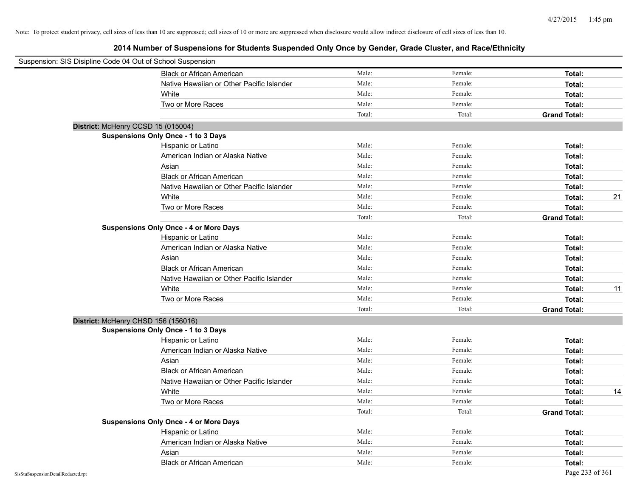| Suspension: SIS Disipline Code 04 Out of School Suspension |                                               |        |         |                     |    |
|------------------------------------------------------------|-----------------------------------------------|--------|---------|---------------------|----|
|                                                            | <b>Black or African American</b>              | Male:  | Female: | Total:              |    |
|                                                            | Native Hawaiian or Other Pacific Islander     | Male:  | Female: | Total:              |    |
|                                                            | White                                         | Male:  | Female: | Total:              |    |
|                                                            | Two or More Races                             | Male:  | Female: | Total:              |    |
|                                                            |                                               | Total: | Total:  | <b>Grand Total:</b> |    |
| District: McHenry CCSD 15 (015004)                         |                                               |        |         |                     |    |
|                                                            | <b>Suspensions Only Once - 1 to 3 Days</b>    |        |         |                     |    |
|                                                            | Hispanic or Latino                            | Male:  | Female: | Total:              |    |
|                                                            | American Indian or Alaska Native              | Male:  | Female: | Total:              |    |
|                                                            | Asian                                         | Male:  | Female: | Total:              |    |
|                                                            | <b>Black or African American</b>              | Male:  | Female: | Total:              |    |
|                                                            | Native Hawaiian or Other Pacific Islander     | Male:  | Female: | Total:              |    |
|                                                            | White                                         | Male:  | Female: | Total:              | 21 |
|                                                            | Two or More Races                             | Male:  | Female: | Total:              |    |
|                                                            |                                               | Total: | Total:  | <b>Grand Total:</b> |    |
|                                                            | <b>Suspensions Only Once - 4 or More Days</b> |        |         |                     |    |
|                                                            | Hispanic or Latino                            | Male:  | Female: | Total:              |    |
|                                                            | American Indian or Alaska Native              | Male:  | Female: | Total:              |    |
|                                                            | Asian                                         | Male:  | Female: | Total:              |    |
|                                                            | <b>Black or African American</b>              | Male:  | Female: | Total:              |    |
|                                                            | Native Hawaiian or Other Pacific Islander     | Male:  | Female: | Total:              |    |
|                                                            | White                                         | Male:  | Female: | Total:              | 11 |
|                                                            | Two or More Races                             | Male:  | Female: | Total:              |    |
|                                                            |                                               | Total: | Total:  | <b>Grand Total:</b> |    |
| District: McHenry CHSD 156 (156016)                        |                                               |        |         |                     |    |
|                                                            | <b>Suspensions Only Once - 1 to 3 Days</b>    |        |         |                     |    |
|                                                            | Hispanic or Latino                            | Male:  | Female: | Total:              |    |
|                                                            | American Indian or Alaska Native              | Male:  | Female: | Total:              |    |
|                                                            | Asian                                         | Male:  | Female: | Total:              |    |
|                                                            | <b>Black or African American</b>              | Male:  | Female: | Total:              |    |
|                                                            | Native Hawaiian or Other Pacific Islander     | Male:  | Female: | Total:              |    |
|                                                            | White                                         | Male:  | Female: | Total:              | 14 |
|                                                            | Two or More Races                             | Male:  | Female: | Total:              |    |
|                                                            |                                               | Total: | Total:  | <b>Grand Total:</b> |    |
|                                                            | <b>Suspensions Only Once - 4 or More Days</b> |        |         |                     |    |
|                                                            | Hispanic or Latino                            | Male:  | Female: | Total:              |    |
|                                                            | American Indian or Alaska Native              | Male:  | Female: | Total:              |    |
|                                                            | Asian                                         | Male:  | Female: | Total:              |    |
|                                                            | <b>Black or African American</b>              | Male:  | Female: | Total:              |    |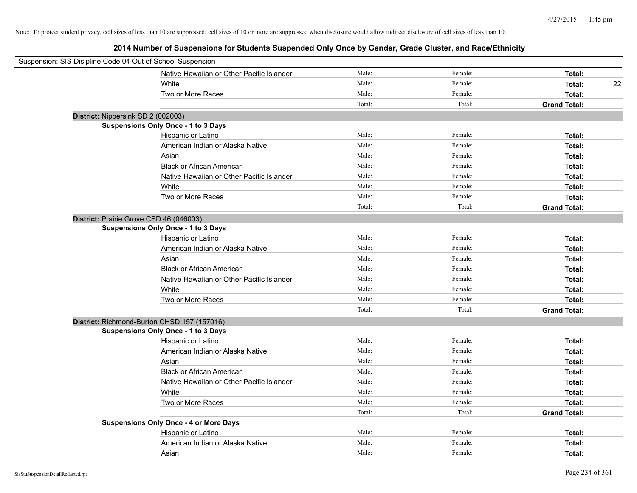| Suspension: SIS Disipline Code 04 Out of School Suspension |        |         |                     |
|------------------------------------------------------------|--------|---------|---------------------|
| Native Hawaiian or Other Pacific Islander                  | Male:  | Female: | Total:              |
| White                                                      | Male:  | Female: | Total:<br>22        |
| Two or More Races                                          | Male:  | Female: | Total:              |
|                                                            | Total: | Total:  | <b>Grand Total:</b> |
| District: Nippersink SD 2 (002003)                         |        |         |                     |
| Suspensions Only Once - 1 to 3 Days                        |        |         |                     |
| Hispanic or Latino                                         | Male:  | Female: | Total:              |
| American Indian or Alaska Native                           | Male:  | Female: | Total:              |
| Asian                                                      | Male:  | Female: | Total:              |
| <b>Black or African American</b>                           | Male:  | Female: | Total:              |
| Native Hawaiian or Other Pacific Islander                  | Male:  | Female: | Total:              |
| White                                                      | Male:  | Female: | Total:              |
| Two or More Races                                          | Male:  | Female: | Total:              |
|                                                            | Total: | Total:  | <b>Grand Total:</b> |
| District: Prairie Grove CSD 46 (046003)                    |        |         |                     |
| <b>Suspensions Only Once - 1 to 3 Days</b>                 |        |         |                     |
| Hispanic or Latino                                         | Male:  | Female: | Total:              |
| American Indian or Alaska Native                           | Male:  | Female: | Total:              |
| Asian                                                      | Male:  | Female: | Total:              |
| <b>Black or African American</b>                           | Male:  | Female: | Total:              |
| Native Hawaiian or Other Pacific Islander                  | Male:  | Female: | Total:              |
| White                                                      | Male:  | Female: | Total:              |
| Two or More Races                                          | Male:  | Female: | Total:              |
|                                                            | Total: | Total:  | <b>Grand Total:</b> |
| District: Richmond-Burton CHSD 157 (157016)                |        |         |                     |
| Suspensions Only Once - 1 to 3 Days                        |        |         |                     |
| Hispanic or Latino                                         | Male:  | Female: | Total:              |
| American Indian or Alaska Native                           | Male:  | Female: | Total:              |
| Asian                                                      | Male:  | Female: | Total:              |
| <b>Black or African American</b>                           | Male:  | Female: | Total:              |
| Native Hawaiian or Other Pacific Islander                  | Male:  | Female: | Total:              |
| White                                                      | Male:  | Female: | Total:              |
| Two or More Races                                          | Male:  | Female: | Total:              |
|                                                            | Total: | Total:  | <b>Grand Total:</b> |
| <b>Suspensions Only Once - 4 or More Days</b>              |        |         |                     |
| Hispanic or Latino                                         | Male:  | Female: | Total:              |
| American Indian or Alaska Native                           | Male:  | Female: | Total:              |
| Asian                                                      | Male:  | Female: | Total:              |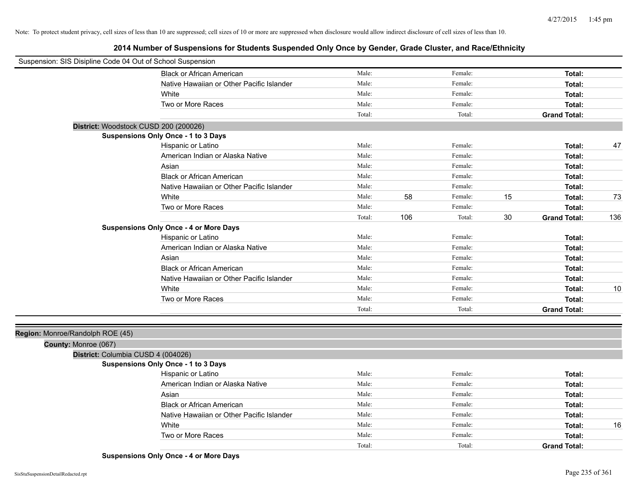**2014 Number of Suspensions for Students Suspended Only Once by Gender, Grade Cluster, and Race/Ethnicity**

| Suspension: SIS Disipline Code 04 Out of School Suspension |                                               |        |     |         |    |                     |     |
|------------------------------------------------------------|-----------------------------------------------|--------|-----|---------|----|---------------------|-----|
|                                                            | <b>Black or African American</b>              | Male:  |     | Female: |    | Total:              |     |
|                                                            | Native Hawaiian or Other Pacific Islander     | Male:  |     | Female: |    | Total:              |     |
|                                                            | White                                         | Male:  |     | Female: |    | Total:              |     |
|                                                            | Two or More Races                             | Male:  |     | Female: |    | Total:              |     |
|                                                            |                                               | Total: |     | Total:  |    | <b>Grand Total:</b> |     |
|                                                            | District: Woodstock CUSD 200 (200026)         |        |     |         |    |                     |     |
|                                                            | Suspensions Only Once - 1 to 3 Days           |        |     |         |    |                     |     |
|                                                            | Hispanic or Latino                            | Male:  |     | Female: |    | Total:              | 47  |
|                                                            | American Indian or Alaska Native              | Male:  |     | Female: |    | Total:              |     |
|                                                            | Asian                                         | Male:  |     | Female: |    | Total:              |     |
|                                                            | <b>Black or African American</b>              | Male:  |     | Female: |    | Total:              |     |
|                                                            | Native Hawaiian or Other Pacific Islander     | Male:  |     | Female: |    | Total:              |     |
|                                                            | White                                         | Male:  | 58  | Female: | 15 | Total:              | 73  |
|                                                            | Two or More Races                             | Male:  |     | Female: |    | Total:              |     |
|                                                            |                                               | Total: | 106 | Total:  | 30 | <b>Grand Total:</b> | 136 |
|                                                            | <b>Suspensions Only Once - 4 or More Days</b> |        |     |         |    |                     |     |
|                                                            | Hispanic or Latino                            | Male:  |     | Female: |    | Total:              |     |
|                                                            | American Indian or Alaska Native              | Male:  |     | Female: |    | Total:              |     |
|                                                            | Asian                                         | Male:  |     | Female: |    | Total:              |     |
|                                                            | <b>Black or African American</b>              | Male:  |     | Female: |    | Total:              |     |
|                                                            | Native Hawaiian or Other Pacific Islander     | Male:  |     | Female: |    | Total:              |     |
|                                                            | White                                         | Male:  |     | Female: |    | Total:              | 10  |
|                                                            | Two or More Races                             | Male:  |     | Female: |    | Total:              |     |
|                                                            |                                               | Total: |     | Total:  |    | <b>Grand Total:</b> |     |
| Region: Monroe/Randolph ROE (45)                           |                                               |        |     |         |    |                     |     |
| County: Monroe (067)                                       |                                               |        |     |         |    |                     |     |
| District: Columbia CUSD 4 (004026)                         |                                               |        |     |         |    |                     |     |
|                                                            | Suspensions Only Once - 1 to 3 Days           |        |     |         |    |                     |     |
|                                                            | Hispanic or Latino                            | Male:  |     | Female: |    | Total:              |     |
|                                                            | American Indian or Alaska Native              | Male:  |     | Female: |    | Total:              |     |
|                                                            | Asian                                         | Male:  |     | Female: |    | Total:              |     |
|                                                            | <b>Black or African American</b>              | Male:  |     | Female: |    | Total:              |     |
|                                                            | Native Hawaiian or Other Pacific Islander     | Male:  |     | Female: |    | Total:              |     |
|                                                            | White                                         | Male:  |     | Female: |    | Total:              | 16  |
|                                                            | Two or More Races                             | Male:  |     | Female: |    | Total:              |     |
|                                                            |                                               | Total: |     | Total:  |    | <b>Grand Total:</b> |     |

**Suspensions Only Once - 4 or More Days**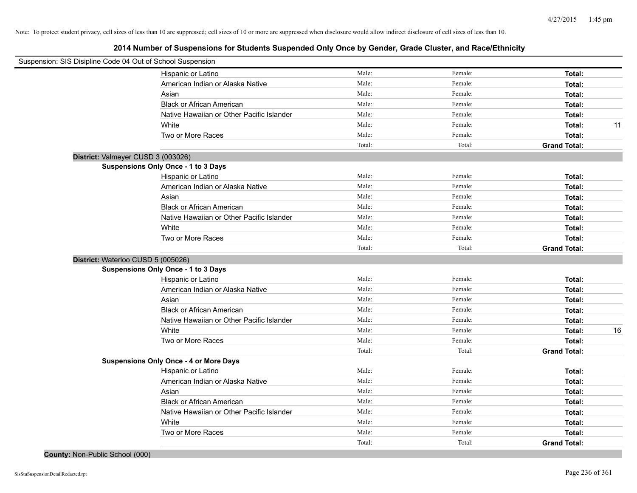| Suspension: SIS Disipline Code 04 Out of School Suspension |                                               |        |         |                     |    |
|------------------------------------------------------------|-----------------------------------------------|--------|---------|---------------------|----|
|                                                            | Hispanic or Latino                            | Male:  | Female: | Total:              |    |
|                                                            | American Indian or Alaska Native              | Male:  | Female: | Total:              |    |
|                                                            | Asian                                         | Male:  | Female: | Total:              |    |
|                                                            | <b>Black or African American</b>              | Male:  | Female: | Total:              |    |
|                                                            | Native Hawaiian or Other Pacific Islander     | Male:  | Female: | Total:              |    |
|                                                            | White                                         | Male:  | Female: | Total:              | 11 |
|                                                            | Two or More Races                             | Male:  | Female: | Total:              |    |
|                                                            |                                               | Total: | Total:  | <b>Grand Total:</b> |    |
| District: Valmeyer CUSD 3 (003026)                         |                                               |        |         |                     |    |
|                                                            | <b>Suspensions Only Once - 1 to 3 Days</b>    |        |         |                     |    |
|                                                            | Hispanic or Latino                            | Male:  | Female: | Total:              |    |
|                                                            | American Indian or Alaska Native              | Male:  | Female: | Total:              |    |
|                                                            | Asian                                         | Male:  | Female: | Total:              |    |
|                                                            | <b>Black or African American</b>              | Male:  | Female: | Total:              |    |
|                                                            | Native Hawaiian or Other Pacific Islander     | Male:  | Female: | Total:              |    |
|                                                            | White                                         | Male:  | Female: | Total:              |    |
|                                                            | Two or More Races                             | Male:  | Female: | Total:              |    |
|                                                            |                                               | Total: | Total:  | <b>Grand Total:</b> |    |
| District: Waterloo CUSD 5 (005026)                         |                                               |        |         |                     |    |
|                                                            | Suspensions Only Once - 1 to 3 Days           |        |         |                     |    |
|                                                            | Hispanic or Latino                            | Male:  | Female: | Total:              |    |
|                                                            | American Indian or Alaska Native              | Male:  | Female: | Total:              |    |
|                                                            | Asian                                         | Male:  | Female: | Total:              |    |
|                                                            | <b>Black or African American</b>              | Male:  | Female: | Total:              |    |
|                                                            | Native Hawaiian or Other Pacific Islander     | Male:  | Female: | Total:              |    |
|                                                            | White                                         | Male:  | Female: | Total:              | 16 |
|                                                            | Two or More Races                             | Male:  | Female: | Total:              |    |
|                                                            |                                               | Total: | Total:  | <b>Grand Total:</b> |    |
|                                                            | <b>Suspensions Only Once - 4 or More Days</b> |        |         |                     |    |
|                                                            | Hispanic or Latino                            | Male:  | Female: | Total:              |    |
|                                                            | American Indian or Alaska Native              | Male:  | Female: | Total:              |    |
|                                                            | Asian                                         | Male:  | Female: | Total:              |    |
|                                                            | <b>Black or African American</b>              | Male:  | Female: | Total:              |    |
|                                                            | Native Hawaiian or Other Pacific Islander     | Male:  | Female: | Total:              |    |
|                                                            | White                                         | Male:  | Female: | Total:              |    |
|                                                            | Two or More Races                             | Male:  | Female: | Total:              |    |
|                                                            |                                               | Total: | Total:  | <b>Grand Total:</b> |    |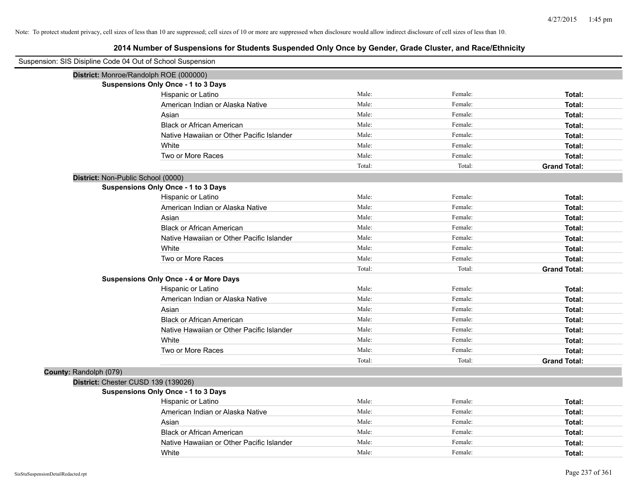| Suspension: SIS Disipline Code 04 Out of School Suspension |                                               |        |         |                     |
|------------------------------------------------------------|-----------------------------------------------|--------|---------|---------------------|
| District: Monroe/Randolph ROE (000000)                     |                                               |        |         |                     |
|                                                            | Suspensions Only Once - 1 to 3 Days           |        |         |                     |
|                                                            | Hispanic or Latino                            | Male:  | Female: | Total:              |
|                                                            | American Indian or Alaska Native              | Male:  | Female: | Total:              |
|                                                            | Asian                                         | Male:  | Female: | Total:              |
|                                                            | <b>Black or African American</b>              | Male:  | Female: | Total:              |
|                                                            | Native Hawaiian or Other Pacific Islander     | Male:  | Female: | Total:              |
|                                                            | White                                         | Male:  | Female: | Total:              |
|                                                            | Two or More Races                             | Male:  | Female: | Total:              |
|                                                            |                                               | Total: | Total:  | <b>Grand Total:</b> |
| District: Non-Public School (0000)                         |                                               |        |         |                     |
|                                                            | <b>Suspensions Only Once - 1 to 3 Days</b>    |        |         |                     |
|                                                            | Hispanic or Latino                            | Male:  | Female: | Total:              |
|                                                            | American Indian or Alaska Native              | Male:  | Female: | Total:              |
|                                                            | Asian                                         | Male:  | Female: | Total:              |
|                                                            | <b>Black or African American</b>              | Male:  | Female: | Total:              |
|                                                            | Native Hawaiian or Other Pacific Islander     | Male:  | Female: | Total:              |
|                                                            | White                                         | Male:  | Female: | Total:              |
|                                                            | Two or More Races                             | Male:  | Female: | Total:              |
|                                                            |                                               | Total: | Total:  | <b>Grand Total:</b> |
|                                                            | <b>Suspensions Only Once - 4 or More Days</b> |        |         |                     |
|                                                            | Hispanic or Latino                            | Male:  | Female: | Total:              |
|                                                            | American Indian or Alaska Native              | Male:  | Female: | Total:              |
|                                                            | Asian                                         | Male:  | Female: | Total:              |
|                                                            | <b>Black or African American</b>              | Male:  | Female: | Total:              |
|                                                            | Native Hawaiian or Other Pacific Islander     | Male:  | Female: | Total:              |
|                                                            | White                                         | Male:  | Female: | Total:              |
|                                                            | Two or More Races                             | Male:  | Female: | Total:              |
|                                                            |                                               | Total: | Total:  | <b>Grand Total:</b> |
| County: Randolph (079)                                     |                                               |        |         |                     |
| District: Chester CUSD 139 (139026)                        |                                               |        |         |                     |
|                                                            | <b>Suspensions Only Once - 1 to 3 Days</b>    |        |         |                     |
|                                                            | Hispanic or Latino                            | Male:  | Female: | Total:              |
|                                                            | American Indian or Alaska Native              | Male:  | Female: | Total:              |
|                                                            | Asian                                         | Male:  | Female: | Total:              |
|                                                            | <b>Black or African American</b>              | Male:  | Female: | Total:              |
|                                                            | Native Hawaiian or Other Pacific Islander     | Male:  | Female: | Total:              |
|                                                            | White                                         | Male:  | Female: | Total:              |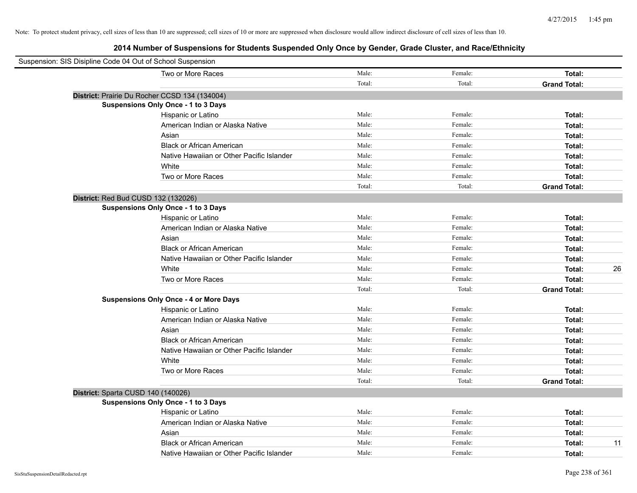| Suspension: SIS Disipline Code 04 Out of School Suspension |        |         |                     |
|------------------------------------------------------------|--------|---------|---------------------|
| Two or More Races                                          | Male:  | Female: | Total:              |
|                                                            | Total: | Total:  | <b>Grand Total:</b> |
| District: Prairie Du Rocher CCSD 134 (134004)              |        |         |                     |
| Suspensions Only Once - 1 to 3 Days                        |        |         |                     |
| Hispanic or Latino                                         | Male:  | Female: | Total:              |
| American Indian or Alaska Native                           | Male:  | Female: | Total:              |
| Asian                                                      | Male:  | Female: | Total:              |
| <b>Black or African American</b>                           | Male:  | Female: | Total:              |
| Native Hawaiian or Other Pacific Islander                  | Male:  | Female: | Total:              |
| White                                                      | Male:  | Female: | Total:              |
| Two or More Races                                          | Male:  | Female: | Total:              |
|                                                            | Total: | Total:  | <b>Grand Total:</b> |
| District: Red Bud CUSD 132 (132026)                        |        |         |                     |
| Suspensions Only Once - 1 to 3 Days                        |        |         |                     |
| Hispanic or Latino                                         | Male:  | Female: | Total:              |
| American Indian or Alaska Native                           | Male:  | Female: | Total:              |
| Asian                                                      | Male:  | Female: | Total:              |
| <b>Black or African American</b>                           | Male:  | Female: | Total:              |
| Native Hawaiian or Other Pacific Islander                  | Male:  | Female: | Total:              |
| White                                                      | Male:  | Female: | Total:<br>26        |
| Two or More Races                                          | Male:  | Female: | Total:              |
|                                                            | Total: | Total:  | <b>Grand Total:</b> |
| <b>Suspensions Only Once - 4 or More Days</b>              |        |         |                     |
| Hispanic or Latino                                         | Male:  | Female: | Total:              |
| American Indian or Alaska Native                           | Male:  | Female: | Total:              |
| Asian                                                      | Male:  | Female: | Total:              |
| <b>Black or African American</b>                           | Male:  | Female: | Total:              |
| Native Hawaiian or Other Pacific Islander                  | Male:  | Female: | Total:              |
| White                                                      | Male:  | Female: | Total:              |
| Two or More Races                                          | Male:  | Female: | Total:              |
|                                                            | Total: | Total:  | <b>Grand Total:</b> |
| District: Sparta CUSD 140 (140026)                         |        |         |                     |
| <b>Suspensions Only Once - 1 to 3 Days</b>                 |        |         |                     |
| Hispanic or Latino                                         | Male:  | Female: | Total:              |
| American Indian or Alaska Native                           | Male:  | Female: | Total:              |
| Asian                                                      | Male:  | Female: | Total:              |
| <b>Black or African American</b>                           | Male:  | Female: | 11<br>Total:        |
| Native Hawaiian or Other Pacific Islander                  | Male:  | Female: | Total:              |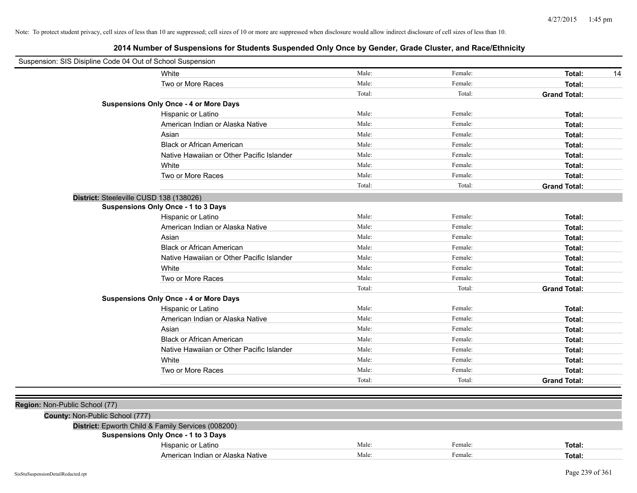| White<br>Two or More Races<br><b>Suspensions Only Once - 4 or More Days</b> | Male:<br>Male:<br>Total: | Female:<br>Female: | Total:<br>14<br>Total: |
|-----------------------------------------------------------------------------|--------------------------|--------------------|------------------------|
|                                                                             |                          |                    |                        |
|                                                                             |                          |                    |                        |
|                                                                             |                          | Total:             | <b>Grand Total:</b>    |
|                                                                             |                          |                    |                        |
| Hispanic or Latino                                                          | Male:                    | Female:            | Total:                 |
| American Indian or Alaska Native                                            | Male:                    | Female:            | Total:                 |
| Asian                                                                       | Male:                    | Female:            | Total:                 |
| <b>Black or African American</b>                                            | Male:                    | Female:            | Total:                 |
| Native Hawaiian or Other Pacific Islander                                   | Male:                    | Female:            | Total:                 |
| White                                                                       | Male:                    | Female:            | Total:                 |
| Two or More Races                                                           | Male:                    | Female:            | Total:                 |
|                                                                             | Total:                   | Total:             | <b>Grand Total:</b>    |
| District: Steeleville CUSD 138 (138026)                                     |                          |                    |                        |
| <b>Suspensions Only Once - 1 to 3 Days</b>                                  |                          |                    |                        |
| Hispanic or Latino                                                          | Male:                    | Female:            | Total:                 |
| American Indian or Alaska Native                                            | Male:                    | Female:            | Total:                 |
| Asian                                                                       | Male:                    | Female:            | Total:                 |
| <b>Black or African American</b>                                            | Male:                    | Female:            | Total:                 |
| Native Hawaiian or Other Pacific Islander                                   | Male:                    | Female:            | Total:                 |
| White                                                                       | Male:                    | Female:            | Total:                 |
| Two or More Races                                                           | Male:                    | Female:            | Total:                 |
|                                                                             | Total:                   | Total:             | <b>Grand Total:</b>    |
| <b>Suspensions Only Once - 4 or More Days</b>                               |                          |                    |                        |
| Hispanic or Latino                                                          | Male:                    | Female:            | Total:                 |
| American Indian or Alaska Native                                            | Male:                    | Female:            | Total:                 |
| Asian                                                                       | Male:                    | Female:            | Total:                 |
| <b>Black or African American</b>                                            | Male:                    | Female:            | Total:                 |
| Native Hawaiian or Other Pacific Islander                                   | Male:                    | Female:            | Total:                 |
| White                                                                       | Male:                    | Female:            | Total:                 |
| Two or More Races                                                           | Male:                    | Female:            | Total:                 |
|                                                                             | Total:                   | Total:             | <b>Grand Total:</b>    |
|                                                                             |                          |                    |                        |
| Region: Non-Public School (77)                                              |                          |                    |                        |
| County: Non-Public School (777)                                             |                          |                    |                        |
| District: Epworth Child & Family Services (008200)                          |                          |                    |                        |
| <b>Suspensions Only Once - 1 to 3 Days</b>                                  |                          |                    |                        |
| Hispanic or Latino                                                          | Male:                    | Female:            | Total:                 |
| American Indian or Alaska Native                                            | Male:                    | Female:            | Total:                 |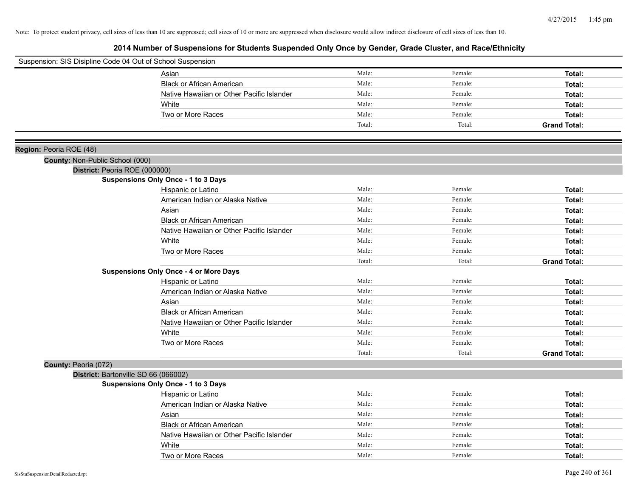| Suspension: SIS Disipline Code 04 Out of School Suspension |                                               |        |         |                     |
|------------------------------------------------------------|-----------------------------------------------|--------|---------|---------------------|
|                                                            | Asian                                         | Male:  | Female: | Total:              |
|                                                            | <b>Black or African American</b>              | Male:  | Female: | Total:              |
|                                                            | Native Hawaiian or Other Pacific Islander     | Male:  | Female: | Total:              |
|                                                            | White                                         | Male:  | Female: | Total:              |
|                                                            | Two or More Races                             | Male:  | Female: | Total:              |
|                                                            |                                               | Total: | Total:  | <b>Grand Total:</b> |
|                                                            |                                               |        |         |                     |
| Region: Peoria ROE (48)                                    |                                               |        |         |                     |
| County: Non-Public School (000)                            |                                               |        |         |                     |
| District: Peoria ROE (000000)                              |                                               |        |         |                     |
|                                                            | <b>Suspensions Only Once - 1 to 3 Days</b>    |        |         |                     |
|                                                            | Hispanic or Latino                            | Male:  | Female: | Total:              |
|                                                            | American Indian or Alaska Native              | Male:  | Female: | Total:              |
|                                                            | Asian                                         | Male:  | Female: | Total:              |
|                                                            | <b>Black or African American</b>              | Male:  | Female: | Total:              |
|                                                            | Native Hawaiian or Other Pacific Islander     | Male:  | Female: | Total:              |
|                                                            | White                                         | Male:  | Female: | Total:              |
|                                                            | Two or More Races                             | Male:  | Female: | Total:              |
|                                                            |                                               | Total: | Total:  | <b>Grand Total:</b> |
|                                                            | <b>Suspensions Only Once - 4 or More Days</b> |        |         |                     |
|                                                            | Hispanic or Latino                            | Male:  | Female: | Total:              |
|                                                            | American Indian or Alaska Native              | Male:  | Female: | Total:              |
|                                                            | Asian                                         | Male:  | Female: | Total:              |
|                                                            | <b>Black or African American</b>              | Male:  | Female: | Total:              |
|                                                            | Native Hawaiian or Other Pacific Islander     | Male:  | Female: | Total:              |
|                                                            | White                                         | Male:  | Female: | Total:              |
|                                                            | Two or More Races                             | Male:  | Female: | Total:              |
|                                                            |                                               | Total: | Total:  | <b>Grand Total:</b> |
| County: Peoria (072)                                       |                                               |        |         |                     |
| District: Bartonville SD 66 (066002)                       |                                               |        |         |                     |
|                                                            | Suspensions Only Once - 1 to 3 Days           |        |         |                     |
|                                                            | Hispanic or Latino                            | Male:  | Female: | Total:              |
|                                                            | American Indian or Alaska Native              | Male:  | Female: | Total:              |
|                                                            | Asian                                         | Male:  | Female: | Total:              |
|                                                            | <b>Black or African American</b>              | Male:  | Female: | Total:              |
|                                                            | Native Hawaiian or Other Pacific Islander     | Male:  | Female: | Total:              |
|                                                            | White                                         | Male:  | Female: | Total:              |
|                                                            | Two or More Races                             | Male:  | Female: | Total:              |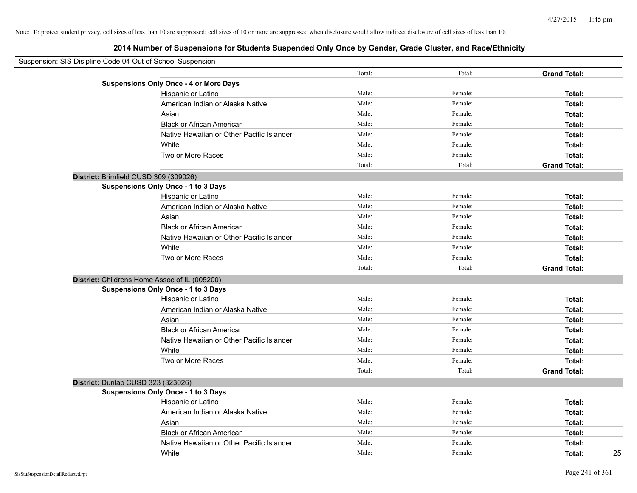| Suspension: SIS Disipline Code 04 Out of School Suspension |        |         |                     |
|------------------------------------------------------------|--------|---------|---------------------|
|                                                            | Total: | Total:  | <b>Grand Total:</b> |
| <b>Suspensions Only Once - 4 or More Days</b>              |        |         |                     |
| Hispanic or Latino                                         | Male:  | Female: | Total:              |
| American Indian or Alaska Native                           | Male:  | Female: | Total:              |
| Asian                                                      | Male:  | Female: | Total:              |
| <b>Black or African American</b>                           | Male:  | Female: | Total:              |
| Native Hawaiian or Other Pacific Islander                  | Male:  | Female: | Total:              |
| White                                                      | Male:  | Female: | Total:              |
| Two or More Races                                          | Male:  | Female: | Total:              |
|                                                            | Total: | Total:  | <b>Grand Total:</b> |
| District: Brimfield CUSD 309 (309026)                      |        |         |                     |
| Suspensions Only Once - 1 to 3 Days                        |        |         |                     |
| Hispanic or Latino                                         | Male:  | Female: | Total:              |
| American Indian or Alaska Native                           | Male:  | Female: | Total:              |
| Asian                                                      | Male:  | Female: | Total:              |
| <b>Black or African American</b>                           | Male:  | Female: | Total:              |
| Native Hawaiian or Other Pacific Islander                  | Male:  | Female: | Total:              |
| White                                                      | Male:  | Female: | Total:              |
| Two or More Races                                          | Male:  | Female: | Total:              |
|                                                            | Total: | Total:  | <b>Grand Total:</b> |
| District: Childrens Home Assoc of IL (005200)              |        |         |                     |
| <b>Suspensions Only Once - 1 to 3 Days</b>                 |        |         |                     |
| Hispanic or Latino                                         | Male:  | Female: | Total:              |
| American Indian or Alaska Native                           | Male:  | Female: | Total:              |
| Asian                                                      | Male:  | Female: | Total:              |
| <b>Black or African American</b>                           | Male:  | Female: | Total:              |
| Native Hawaiian or Other Pacific Islander                  | Male:  | Female: | Total:              |
| White                                                      | Male:  | Female: | Total:              |
| Two or More Races                                          | Male:  | Female: | Total:              |
|                                                            | Total: | Total:  | <b>Grand Total:</b> |
| District: Dunlap CUSD 323 (323026)                         |        |         |                     |
| <b>Suspensions Only Once - 1 to 3 Days</b>                 |        |         |                     |
| Hispanic or Latino                                         | Male:  | Female: | Total:              |
| American Indian or Alaska Native                           | Male:  | Female: | Total:              |
| Asian                                                      | Male:  | Female: | Total:              |
| <b>Black or African American</b>                           | Male:  | Female: | Total:              |
| Native Hawaiian or Other Pacific Islander                  | Male:  | Female: | Total:              |
| White                                                      | Male:  | Female: | 25<br>Total:        |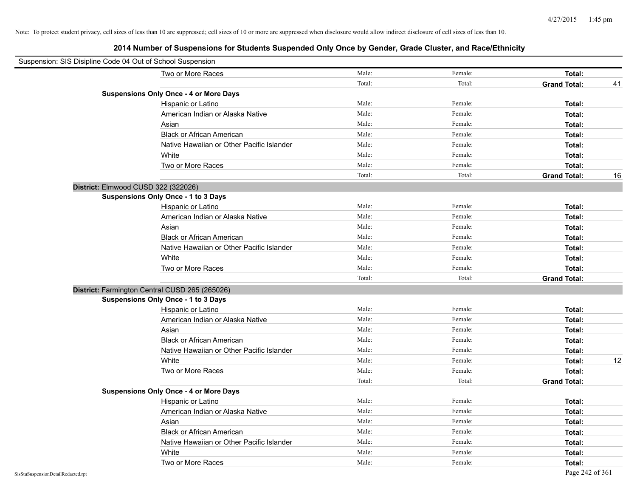| Suspension: SIS Disipline Code 04 Out of School Suspension |                                                |        |         |                     |    |
|------------------------------------------------------------|------------------------------------------------|--------|---------|---------------------|----|
|                                                            | Two or More Races                              | Male:  | Female: | Total:              |    |
|                                                            |                                                | Total: | Total:  | <b>Grand Total:</b> | 41 |
|                                                            | <b>Suspensions Only Once - 4 or More Days</b>  |        |         |                     |    |
|                                                            | Hispanic or Latino                             | Male:  | Female: | Total:              |    |
|                                                            | American Indian or Alaska Native               | Male:  | Female: | Total:              |    |
|                                                            | Asian                                          | Male:  | Female: | Total:              |    |
|                                                            | <b>Black or African American</b>               | Male:  | Female: | Total:              |    |
|                                                            | Native Hawaiian or Other Pacific Islander      | Male:  | Female: | Total:              |    |
|                                                            | White                                          | Male:  | Female: | Total:              |    |
|                                                            | Two or More Races                              | Male:  | Female: | Total:              |    |
|                                                            |                                                | Total: | Total:  | <b>Grand Total:</b> | 16 |
| District: Elmwood CUSD 322 (322026)                        |                                                |        |         |                     |    |
|                                                            | Suspensions Only Once - 1 to 3 Days            |        |         |                     |    |
|                                                            | Hispanic or Latino                             | Male:  | Female: | Total:              |    |
|                                                            | American Indian or Alaska Native               | Male:  | Female: | Total:              |    |
|                                                            | Asian                                          | Male:  | Female: | Total:              |    |
|                                                            | <b>Black or African American</b>               | Male:  | Female: | Total:              |    |
|                                                            | Native Hawaiian or Other Pacific Islander      | Male:  | Female: | Total:              |    |
|                                                            | White                                          | Male:  | Female: | Total:              |    |
|                                                            | Two or More Races                              | Male:  | Female: | Total:              |    |
|                                                            |                                                | Total: | Total:  | <b>Grand Total:</b> |    |
|                                                            | District: Farmington Central CUSD 265 (265026) |        |         |                     |    |
|                                                            | <b>Suspensions Only Once - 1 to 3 Days</b>     |        |         |                     |    |
|                                                            | Hispanic or Latino                             | Male:  | Female: | Total:              |    |
|                                                            | American Indian or Alaska Native               | Male:  | Female: | Total:              |    |
|                                                            | Asian                                          | Male:  | Female: | Total:              |    |
|                                                            | <b>Black or African American</b>               | Male:  | Female: | Total:              |    |
|                                                            | Native Hawaiian or Other Pacific Islander      | Male:  | Female: | Total:              |    |
|                                                            | White                                          | Male:  | Female: | Total:              | 12 |
|                                                            | Two or More Races                              | Male:  | Female: | Total:              |    |
|                                                            |                                                | Total: | Total:  | <b>Grand Total:</b> |    |
|                                                            | <b>Suspensions Only Once - 4 or More Days</b>  |        |         |                     |    |
|                                                            | Hispanic or Latino                             | Male:  | Female: | Total:              |    |
|                                                            | American Indian or Alaska Native               | Male:  | Female: | Total:              |    |
|                                                            | Asian                                          | Male:  | Female: | Total:              |    |
|                                                            | <b>Black or African American</b>               | Male:  | Female: | Total:              |    |
|                                                            | Native Hawaiian or Other Pacific Islander      | Male:  | Female: | Total:              |    |
|                                                            | White                                          | Male:  | Female: | Total:              |    |
|                                                            | Two or More Races                              | Male:  | Female: | Total:              |    |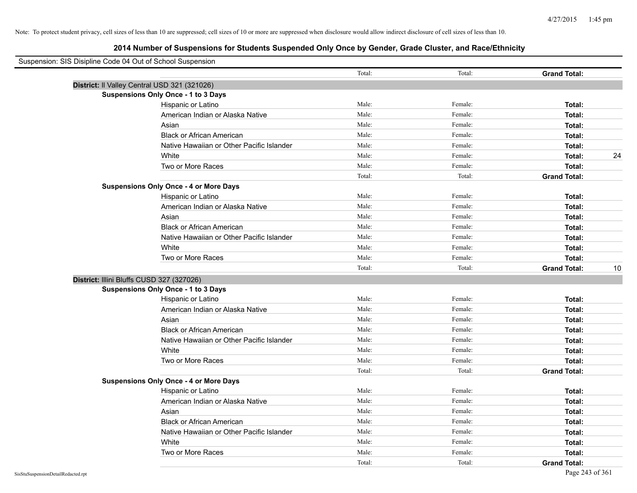| Suspension: SIS Disipline Code 04 Out of School Suspension |                                               |        |         |                     |    |
|------------------------------------------------------------|-----------------------------------------------|--------|---------|---------------------|----|
|                                                            |                                               | Total: | Total:  | <b>Grand Total:</b> |    |
|                                                            | District: Il Valley Central USD 321 (321026)  |        |         |                     |    |
|                                                            | Suspensions Only Once - 1 to 3 Days           |        |         |                     |    |
|                                                            | Hispanic or Latino                            | Male:  | Female: | Total:              |    |
|                                                            | American Indian or Alaska Native              | Male:  | Female: | Total:              |    |
|                                                            | Asian                                         | Male:  | Female: | Total:              |    |
|                                                            | <b>Black or African American</b>              | Male:  | Female: | Total:              |    |
|                                                            | Native Hawaiian or Other Pacific Islander     | Male:  | Female: | Total:              |    |
|                                                            | White                                         | Male:  | Female: | Total:              | 24 |
|                                                            | Two or More Races                             | Male:  | Female: | Total:              |    |
|                                                            |                                               | Total: | Total:  | <b>Grand Total:</b> |    |
|                                                            | <b>Suspensions Only Once - 4 or More Days</b> |        |         |                     |    |
|                                                            | Hispanic or Latino                            | Male:  | Female: | Total:              |    |
|                                                            | American Indian or Alaska Native              | Male:  | Female: | Total:              |    |
|                                                            | Asian                                         | Male:  | Female: | Total:              |    |
|                                                            | <b>Black or African American</b>              | Male:  | Female: | Total:              |    |
|                                                            | Native Hawaiian or Other Pacific Islander     | Male:  | Female: | Total:              |    |
|                                                            | White                                         | Male:  | Female: | Total:              |    |
|                                                            | Two or More Races                             | Male:  | Female: | Total:              |    |
|                                                            |                                               | Total: | Total:  | <b>Grand Total:</b> | 10 |
|                                                            | District: Illini Bluffs CUSD 327 (327026)     |        |         |                     |    |
|                                                            | Suspensions Only Once - 1 to 3 Days           |        |         |                     |    |
|                                                            | Hispanic or Latino                            | Male:  | Female: | Total:              |    |
|                                                            | American Indian or Alaska Native              | Male:  | Female: | Total:              |    |
|                                                            | Asian                                         | Male:  | Female: | Total:              |    |
|                                                            | <b>Black or African American</b>              | Male:  | Female: | Total:              |    |
|                                                            | Native Hawaiian or Other Pacific Islander     | Male:  | Female: | Total:              |    |
|                                                            | White                                         | Male:  | Female: | Total:              |    |
|                                                            | Two or More Races                             | Male:  | Female: | Total:              |    |
|                                                            |                                               | Total: | Total:  | <b>Grand Total:</b> |    |
|                                                            | <b>Suspensions Only Once - 4 or More Days</b> |        |         |                     |    |
|                                                            | Hispanic or Latino                            | Male:  | Female: | Total:              |    |
|                                                            | American Indian or Alaska Native              | Male:  | Female: | Total:              |    |
|                                                            | Asian                                         | Male:  | Female: | Total:              |    |
|                                                            | <b>Black or African American</b>              | Male:  | Female: | Total:              |    |
|                                                            | Native Hawaiian or Other Pacific Islander     | Male:  | Female: | Total:              |    |
|                                                            | White                                         | Male:  | Female: | Total:              |    |
|                                                            | Two or More Races                             | Male:  | Female: | Total:              |    |
|                                                            |                                               | Total: | Total:  | <b>Grand Total:</b> |    |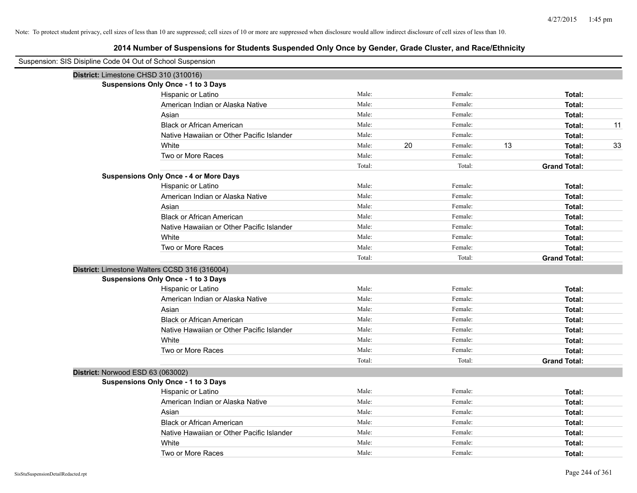| Suspension: SIS Disipline Code 04 Out of School Suspension |                                               |        |    |         |    |                     |    |
|------------------------------------------------------------|-----------------------------------------------|--------|----|---------|----|---------------------|----|
| District: Limestone CHSD 310 (310016)                      |                                               |        |    |         |    |                     |    |
|                                                            | <b>Suspensions Only Once - 1 to 3 Days</b>    |        |    |         |    |                     |    |
|                                                            | Hispanic or Latino                            | Male:  |    | Female: |    | Total:              |    |
|                                                            | American Indian or Alaska Native              | Male:  |    | Female: |    | Total:              |    |
|                                                            | Asian                                         | Male:  |    | Female: |    | Total:              |    |
|                                                            | <b>Black or African American</b>              | Male:  |    | Female: |    | Total:              | 11 |
|                                                            | Native Hawaiian or Other Pacific Islander     | Male:  |    | Female: |    | Total:              |    |
|                                                            | White                                         | Male:  | 20 | Female: | 13 | Total:              | 33 |
|                                                            | Two or More Races                             | Male:  |    | Female: |    | Total:              |    |
|                                                            |                                               | Total: |    | Total:  |    | <b>Grand Total:</b> |    |
|                                                            | <b>Suspensions Only Once - 4 or More Days</b> |        |    |         |    |                     |    |
|                                                            | Hispanic or Latino                            | Male:  |    | Female: |    | Total:              |    |
|                                                            | American Indian or Alaska Native              | Male:  |    | Female: |    | Total:              |    |
|                                                            | Asian                                         | Male:  |    | Female: |    | Total:              |    |
|                                                            | <b>Black or African American</b>              | Male:  |    | Female: |    | Total:              |    |
|                                                            | Native Hawaiian or Other Pacific Islander     | Male:  |    | Female: |    | Total:              |    |
|                                                            | White                                         | Male:  |    | Female: |    | Total:              |    |
|                                                            | Two or More Races                             | Male:  |    | Female: |    | Total:              |    |
|                                                            |                                               | Total: |    | Total:  |    | <b>Grand Total:</b> |    |
|                                                            | District: Limestone Walters CCSD 316 (316004) |        |    |         |    |                     |    |
|                                                            | <b>Suspensions Only Once - 1 to 3 Days</b>    |        |    |         |    |                     |    |
|                                                            | Hispanic or Latino                            | Male:  |    | Female: |    | Total:              |    |
|                                                            | American Indian or Alaska Native              | Male:  |    | Female: |    | Total:              |    |
|                                                            | Asian                                         | Male:  |    | Female: |    | Total:              |    |
|                                                            | <b>Black or African American</b>              | Male:  |    | Female: |    | Total:              |    |
|                                                            | Native Hawaiian or Other Pacific Islander     | Male:  |    | Female: |    | Total:              |    |
|                                                            | White                                         | Male:  |    | Female: |    | Total:              |    |
|                                                            | Two or More Races                             | Male:  |    | Female: |    | Total:              |    |
|                                                            |                                               | Total: |    | Total:  |    | <b>Grand Total:</b> |    |
| District: Norwood ESD 63 (063002)                          |                                               |        |    |         |    |                     |    |
|                                                            | <b>Suspensions Only Once - 1 to 3 Days</b>    |        |    |         |    |                     |    |
|                                                            | Hispanic or Latino                            | Male:  |    | Female: |    | Total:              |    |
|                                                            | American Indian or Alaska Native              | Male:  |    | Female: |    | Total:              |    |
|                                                            | Asian                                         | Male:  |    | Female: |    | Total:              |    |
|                                                            | <b>Black or African American</b>              | Male:  |    | Female: |    | Total:              |    |
|                                                            | Native Hawaiian or Other Pacific Islander     | Male:  |    | Female: |    | Total:              |    |
|                                                            | White                                         | Male:  |    | Female: |    | Total:              |    |
|                                                            | Two or More Races                             | Male:  |    | Female: |    | Total:              |    |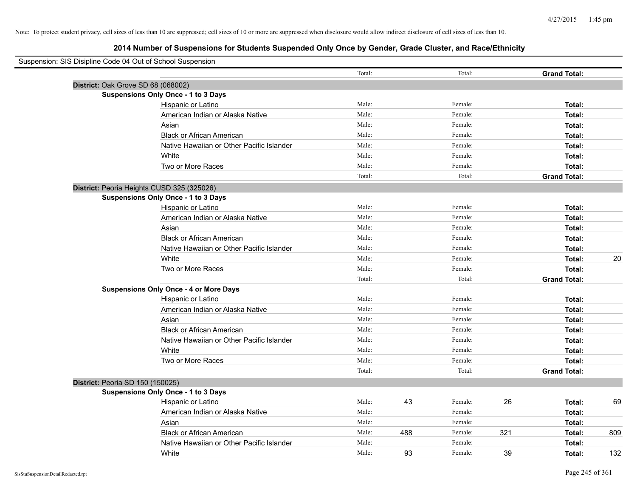| Suspension: SIS Disipline Code 04 Out of School Suspension |        |     |         |     |                     |     |
|------------------------------------------------------------|--------|-----|---------|-----|---------------------|-----|
|                                                            | Total: |     | Total:  |     | <b>Grand Total:</b> |     |
| District: Oak Grove SD 68 (068002)                         |        |     |         |     |                     |     |
| Suspensions Only Once - 1 to 3 Days                        |        |     |         |     |                     |     |
| Hispanic or Latino                                         | Male:  |     | Female: |     | Total:              |     |
| American Indian or Alaska Native                           | Male:  |     | Female: |     | Total:              |     |
| Asian                                                      | Male:  |     | Female: |     | Total:              |     |
| <b>Black or African American</b>                           | Male:  |     | Female: |     | Total:              |     |
| Native Hawaiian or Other Pacific Islander                  | Male:  |     | Female: |     | Total:              |     |
| White                                                      | Male:  |     | Female: |     | Total:              |     |
| Two or More Races                                          | Male:  |     | Female: |     | Total:              |     |
|                                                            | Total: |     | Total:  |     | <b>Grand Total:</b> |     |
| District: Peoria Heights CUSD 325 (325026)                 |        |     |         |     |                     |     |
| Suspensions Only Once - 1 to 3 Days                        |        |     |         |     |                     |     |
| Hispanic or Latino                                         | Male:  |     | Female: |     | Total:              |     |
| American Indian or Alaska Native                           | Male:  |     | Female: |     | Total:              |     |
| Asian                                                      | Male:  |     | Female: |     | Total:              |     |
| <b>Black or African American</b>                           | Male:  |     | Female: |     | Total:              |     |
| Native Hawaiian or Other Pacific Islander                  | Male:  |     | Female: |     | Total:              |     |
| White                                                      | Male:  |     | Female: |     | Total:              | 20  |
| Two or More Races                                          | Male:  |     | Female: |     | Total:              |     |
|                                                            | Total: |     | Total:  |     | <b>Grand Total:</b> |     |
| <b>Suspensions Only Once - 4 or More Days</b>              |        |     |         |     |                     |     |
| Hispanic or Latino                                         | Male:  |     | Female: |     | Total:              |     |
| American Indian or Alaska Native                           | Male:  |     | Female: |     | Total:              |     |
| Asian                                                      | Male:  |     | Female: |     | Total:              |     |
| <b>Black or African American</b>                           | Male:  |     | Female: |     | Total:              |     |
| Native Hawaiian or Other Pacific Islander                  | Male:  |     | Female: |     | Total:              |     |
| White                                                      | Male:  |     | Female: |     | Total:              |     |
| Two or More Races                                          | Male:  |     | Female: |     | Total:              |     |
|                                                            | Total: |     | Total:  |     | <b>Grand Total:</b> |     |
| District: Peoria SD 150 (150025)                           |        |     |         |     |                     |     |
| <b>Suspensions Only Once - 1 to 3 Days</b>                 |        |     |         |     |                     |     |
| Hispanic or Latino                                         | Male:  | 43  | Female: | 26  | Total:              | 69  |
| American Indian or Alaska Native                           | Male:  |     | Female: |     | Total:              |     |
| Asian                                                      | Male:  |     | Female: |     | Total:              |     |
| <b>Black or African American</b>                           | Male:  | 488 | Female: | 321 | Total:              | 809 |
| Native Hawaiian or Other Pacific Islander                  | Male:  |     | Female: |     | Total:              |     |
| White                                                      | Male:  | 93  | Female: | 39  | Total:              | 132 |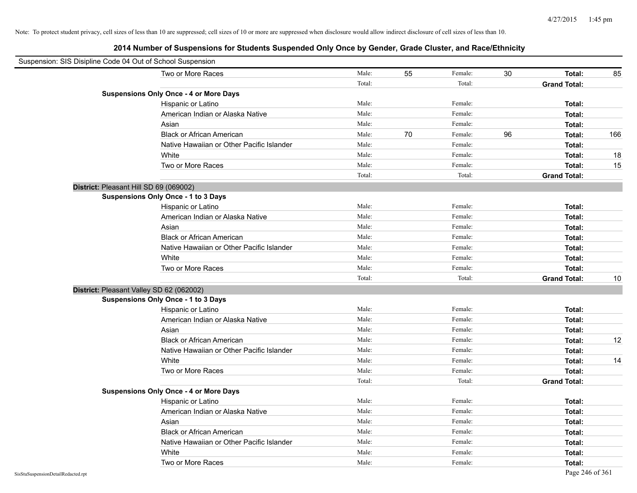| Suspension: SIS Disipline Code 04 Out of School Suspension |                                               |        |    |         |    |                     |     |
|------------------------------------------------------------|-----------------------------------------------|--------|----|---------|----|---------------------|-----|
|                                                            | Two or More Races                             | Male:  | 55 | Female: | 30 | Total:              | 85  |
|                                                            |                                               | Total: |    | Total:  |    | <b>Grand Total:</b> |     |
|                                                            | <b>Suspensions Only Once - 4 or More Days</b> |        |    |         |    |                     |     |
|                                                            | Hispanic or Latino                            | Male:  |    | Female: |    | Total:              |     |
|                                                            | American Indian or Alaska Native              | Male:  |    | Female: |    | Total:              |     |
|                                                            | Asian                                         | Male:  |    | Female: |    | Total:              |     |
|                                                            | <b>Black or African American</b>              | Male:  | 70 | Female: | 96 | Total:              | 166 |
|                                                            | Native Hawaiian or Other Pacific Islander     | Male:  |    | Female: |    | Total:              |     |
|                                                            | White                                         | Male:  |    | Female: |    | Total:              | 18  |
|                                                            | Two or More Races                             | Male:  |    | Female: |    | Total:              | 15  |
|                                                            |                                               | Total: |    | Total:  |    | <b>Grand Total:</b> |     |
| District: Pleasant Hill SD 69 (069002)                     |                                               |        |    |         |    |                     |     |
|                                                            | Suspensions Only Once - 1 to 3 Days           |        |    |         |    |                     |     |
|                                                            | Hispanic or Latino                            | Male:  |    | Female: |    | Total:              |     |
|                                                            | American Indian or Alaska Native              | Male:  |    | Female: |    | Total:              |     |
|                                                            | Asian                                         | Male:  |    | Female: |    | Total:              |     |
|                                                            | <b>Black or African American</b>              | Male:  |    | Female: |    | Total:              |     |
|                                                            | Native Hawaiian or Other Pacific Islander     | Male:  |    | Female: |    | Total:              |     |
|                                                            | White                                         | Male:  |    | Female: |    | Total:              |     |
|                                                            | Two or More Races                             | Male:  |    | Female: |    | Total:              |     |
|                                                            |                                               | Total: |    | Total:  |    | <b>Grand Total:</b> | 10  |
| District: Pleasant Valley SD 62 (062002)                   |                                               |        |    |         |    |                     |     |
|                                                            | Suspensions Only Once - 1 to 3 Days           |        |    |         |    |                     |     |
|                                                            | Hispanic or Latino                            | Male:  |    | Female: |    | Total:              |     |
|                                                            | American Indian or Alaska Native              | Male:  |    | Female: |    | Total:              |     |
|                                                            | Asian                                         | Male:  |    | Female: |    | Total:              |     |
|                                                            | <b>Black or African American</b>              | Male:  |    | Female: |    | Total:              | 12  |
|                                                            | Native Hawaiian or Other Pacific Islander     | Male:  |    | Female: |    | Total:              |     |
|                                                            | White                                         | Male:  |    | Female: |    | Total:              | 14  |
|                                                            | Two or More Races                             | Male:  |    | Female: |    | Total:              |     |
|                                                            |                                               | Total: |    | Total:  |    | <b>Grand Total:</b> |     |
|                                                            | <b>Suspensions Only Once - 4 or More Days</b> |        |    |         |    |                     |     |
|                                                            | Hispanic or Latino                            | Male:  |    | Female: |    | Total:              |     |
|                                                            | American Indian or Alaska Native              | Male:  |    | Female: |    | Total:              |     |
|                                                            | Asian                                         | Male:  |    | Female: |    | Total:              |     |
|                                                            | <b>Black or African American</b>              | Male:  |    | Female: |    | Total:              |     |
|                                                            | Native Hawaiian or Other Pacific Islander     | Male:  |    | Female: |    | Total:              |     |
|                                                            | White                                         | Male:  |    | Female: |    | Total:              |     |
|                                                            | Two or More Races                             | Male:  |    | Female: |    | Total:              |     |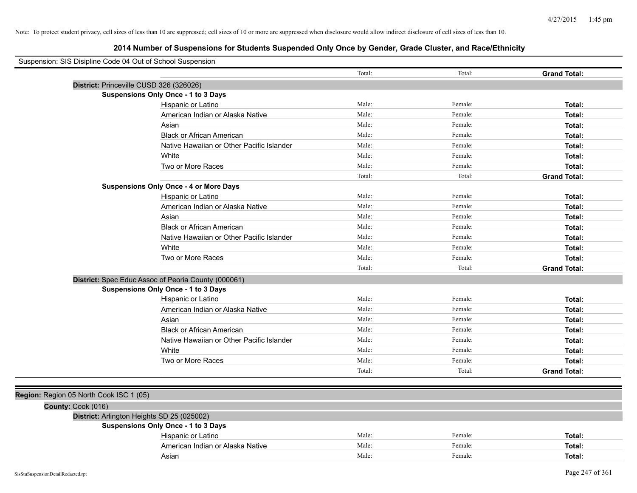| Suspension: SIS Disipline Code 04 Out of School Suspension |                                                     |        |         |                     |
|------------------------------------------------------------|-----------------------------------------------------|--------|---------|---------------------|
|                                                            |                                                     | Total: | Total:  | <b>Grand Total:</b> |
|                                                            | District: Princeville CUSD 326 (326026)             |        |         |                     |
|                                                            | Suspensions Only Once - 1 to 3 Days                 |        |         |                     |
|                                                            | Hispanic or Latino                                  | Male:  | Female: | Total:              |
|                                                            | American Indian or Alaska Native                    | Male:  | Female: | Total:              |
|                                                            | Asian                                               | Male:  | Female: | Total:              |
|                                                            | <b>Black or African American</b>                    | Male:  | Female: | Total:              |
|                                                            | Native Hawaiian or Other Pacific Islander           | Male:  | Female: | Total:              |
|                                                            | White                                               | Male:  | Female: | Total:              |
|                                                            | Two or More Races                                   | Male:  | Female: | Total:              |
|                                                            |                                                     | Total: | Total:  | <b>Grand Total:</b> |
|                                                            | <b>Suspensions Only Once - 4 or More Days</b>       |        |         |                     |
|                                                            | Hispanic or Latino                                  | Male:  | Female: | Total:              |
|                                                            | American Indian or Alaska Native                    | Male:  | Female: | Total:              |
|                                                            | Asian                                               | Male:  | Female: | Total:              |
|                                                            | <b>Black or African American</b>                    | Male:  | Female: | Total:              |
|                                                            | Native Hawaiian or Other Pacific Islander           | Male:  | Female: | Total:              |
|                                                            | White                                               | Male:  | Female: | Total:              |
|                                                            | Two or More Races                                   | Male:  | Female: | Total:              |
|                                                            |                                                     | Total: | Total:  | <b>Grand Total:</b> |
|                                                            | District: Spec Educ Assoc of Peoria County (000061) |        |         |                     |
|                                                            | <b>Suspensions Only Once - 1 to 3 Days</b>          |        |         |                     |
|                                                            | Hispanic or Latino                                  | Male:  | Female: | Total:              |
|                                                            | American Indian or Alaska Native                    | Male:  | Female: | Total:              |
|                                                            | Asian                                               | Male:  | Female: | Total:              |
|                                                            | <b>Black or African American</b>                    | Male:  | Female: | Total:              |
|                                                            | Native Hawaiian or Other Pacific Islander           | Male:  | Female: | Total:              |
|                                                            | White                                               | Male:  | Female: | Total:              |
|                                                            | Two or More Races                                   | Male:  | Female: | Total:              |
|                                                            |                                                     | Total: | Total:  | <b>Grand Total:</b> |
|                                                            |                                                     |        |         |                     |
| Region: Region 05 North Cook ISC 1 (05)                    |                                                     |        |         |                     |
| County: Cook (016)                                         |                                                     |        |         |                     |
|                                                            | District: Arlington Heights SD 25 (025002)          |        |         |                     |
|                                                            | <b>Suspensions Only Once - 1 to 3 Days</b>          |        |         |                     |
|                                                            | Hispanic or Latino                                  | Male:  | Female: | Total:              |
|                                                            | American Indian or Alaska Native                    | Male:  | Female: | Total:              |
|                                                            | Asian                                               | Male:  | Female: | Total:              |
| SisStuSuspensionDetailRedacted.rpt                         |                                                     |        |         | Page 247 of 361     |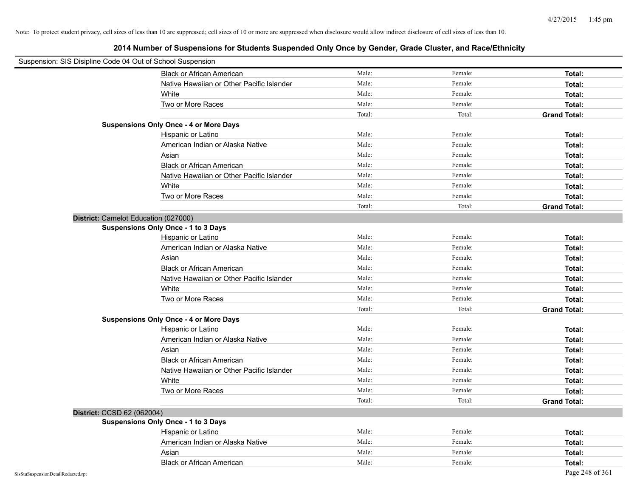| Suspension: SIS Disipline Code 04 Out of School Suspension |                                               |        |         |                     |
|------------------------------------------------------------|-----------------------------------------------|--------|---------|---------------------|
|                                                            | <b>Black or African American</b>              | Male:  | Female: | Total:              |
|                                                            | Native Hawaiian or Other Pacific Islander     | Male:  | Female: | Total:              |
|                                                            | White                                         | Male:  | Female: | Total:              |
|                                                            | Two or More Races                             | Male:  | Female: | Total:              |
|                                                            |                                               | Total: | Total:  | <b>Grand Total:</b> |
|                                                            | <b>Suspensions Only Once - 4 or More Days</b> |        |         |                     |
|                                                            | Hispanic or Latino                            | Male:  | Female: | Total:              |
|                                                            | American Indian or Alaska Native              | Male:  | Female: | Total:              |
|                                                            | Asian                                         | Male:  | Female: | Total:              |
|                                                            | <b>Black or African American</b>              | Male:  | Female: | Total:              |
|                                                            | Native Hawaiian or Other Pacific Islander     | Male:  | Female: | Total:              |
|                                                            | White                                         | Male:  | Female: | Total:              |
|                                                            | Two or More Races                             | Male:  | Female: | Total:              |
|                                                            |                                               | Total: | Total:  | <b>Grand Total:</b> |
|                                                            | District: Camelot Education (027000)          |        |         |                     |
|                                                            | <b>Suspensions Only Once - 1 to 3 Days</b>    |        |         |                     |
|                                                            | Hispanic or Latino                            | Male:  | Female: | Total:              |
|                                                            | American Indian or Alaska Native              | Male:  | Female: | Total:              |
|                                                            | Asian                                         | Male:  | Female: | Total:              |
|                                                            | <b>Black or African American</b>              | Male:  | Female: | Total:              |
|                                                            | Native Hawaiian or Other Pacific Islander     | Male:  | Female: | Total:              |
|                                                            | White                                         | Male:  | Female: | Total:              |
|                                                            | Two or More Races                             | Male:  | Female: | Total:              |
|                                                            |                                               | Total: | Total:  | <b>Grand Total:</b> |
|                                                            | <b>Suspensions Only Once - 4 or More Days</b> |        |         |                     |
|                                                            | Hispanic or Latino                            | Male:  | Female: | Total:              |
|                                                            | American Indian or Alaska Native              | Male:  | Female: | Total:              |
|                                                            | Asian                                         | Male:  | Female: | Total:              |
|                                                            | <b>Black or African American</b>              | Male:  | Female: | Total:              |
|                                                            | Native Hawaiian or Other Pacific Islander     | Male:  | Female: | Total:              |
|                                                            | White                                         | Male:  | Female: | Total:              |
|                                                            | Two or More Races                             | Male:  | Female: | Total:              |
|                                                            |                                               | Total: | Total:  | <b>Grand Total:</b> |
| District: CCSD 62 (062004)                                 |                                               |        |         |                     |
|                                                            | <b>Suspensions Only Once - 1 to 3 Days</b>    |        |         |                     |
|                                                            | Hispanic or Latino                            | Male:  | Female: | Total:              |
|                                                            | American Indian or Alaska Native              | Male:  | Female: | Total:              |
|                                                            | Asian                                         | Male:  | Female: | Total:              |
|                                                            | <b>Black or African American</b>              | Male:  | Female: | Total:              |
| SisStuSuspensionDetailRedacted.rpt                         |                                               |        |         | Page 248 of 361     |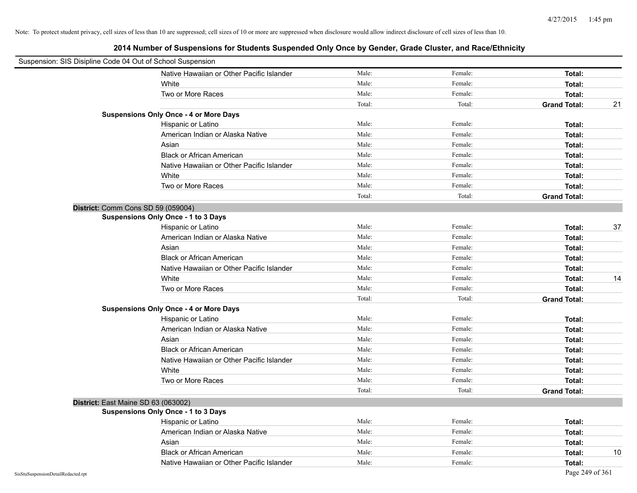|                                    | Suspension: SIS Disipline Code 04 Out of School Suspension |        |         |                           |
|------------------------------------|------------------------------------------------------------|--------|---------|---------------------------|
|                                    | Native Hawaiian or Other Pacific Islander                  | Male:  | Female: | Total:                    |
|                                    | White                                                      | Male:  | Female: | Total:                    |
|                                    | Two or More Races                                          | Male:  | Female: | Total:                    |
|                                    |                                                            | Total: | Total:  | <b>Grand Total:</b><br>21 |
|                                    | <b>Suspensions Only Once - 4 or More Days</b>              |        |         |                           |
|                                    | Hispanic or Latino                                         | Male:  | Female: | Total:                    |
|                                    | American Indian or Alaska Native                           | Male:  | Female: | Total:                    |
|                                    | Asian                                                      | Male:  | Female: | Total:                    |
|                                    | <b>Black or African American</b>                           | Male:  | Female: | Total:                    |
|                                    | Native Hawaiian or Other Pacific Islander                  | Male:  | Female: | Total:                    |
|                                    | White                                                      | Male:  | Female: | Total:                    |
|                                    | Two or More Races                                          | Male:  | Female: | Total:                    |
|                                    |                                                            | Total: | Total:  | <b>Grand Total:</b>       |
|                                    | District: Comm Cons SD 59 (059004)                         |        |         |                           |
|                                    | <b>Suspensions Only Once - 1 to 3 Days</b>                 |        |         |                           |
|                                    | Hispanic or Latino                                         | Male:  | Female: | 37<br>Total:              |
|                                    | American Indian or Alaska Native                           | Male:  | Female: | Total:                    |
|                                    | Asian                                                      | Male:  | Female: | Total:                    |
|                                    | <b>Black or African American</b>                           | Male:  | Female: | Total:                    |
|                                    | Native Hawaiian or Other Pacific Islander                  | Male:  | Female: | Total:                    |
|                                    | White                                                      | Male:  | Female: | Total:<br>14              |
|                                    | Two or More Races                                          | Male:  | Female: | Total:                    |
|                                    |                                                            | Total: | Total:  | <b>Grand Total:</b>       |
|                                    | <b>Suspensions Only Once - 4 or More Days</b>              |        |         |                           |
|                                    | Hispanic or Latino                                         | Male:  | Female: | Total:                    |
|                                    | American Indian or Alaska Native                           | Male:  | Female: | Total:                    |
|                                    | Asian                                                      | Male:  | Female: | Total:                    |
|                                    | <b>Black or African American</b>                           | Male:  | Female: | Total:                    |
|                                    | Native Hawaiian or Other Pacific Islander                  | Male:  | Female: | Total:                    |
|                                    | White                                                      | Male:  | Female: | Total:                    |
|                                    | Two or More Races                                          | Male:  | Female: | Total:                    |
|                                    |                                                            | Total: | Total:  | <b>Grand Total:</b>       |
|                                    | District: East Maine SD 63 (063002)                        |        |         |                           |
|                                    | <b>Suspensions Only Once - 1 to 3 Days</b>                 |        |         |                           |
|                                    | Hispanic or Latino                                         | Male:  | Female: | Total:                    |
|                                    | American Indian or Alaska Native                           | Male:  | Female: | Total:                    |
|                                    | Asian                                                      | Male:  | Female: | Total:                    |
|                                    | <b>Black or African American</b>                           | Male:  | Female: | 10<br>Total:              |
|                                    | Native Hawaiian or Other Pacific Islander                  | Male:  | Female: | Total:                    |
| SisStuSuspensionDetailRedacted.rpt |                                                            |        |         | Page 249 of 361           |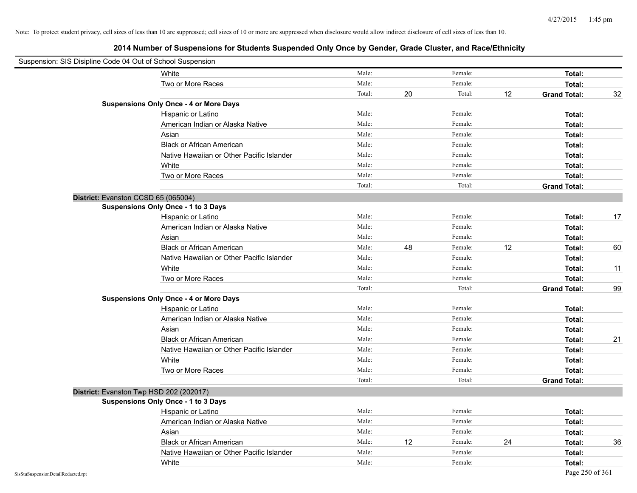| Suspension: SIS Disipline Code 04 Out of School Suspension |                                               |        |    |         |    |                     |    |
|------------------------------------------------------------|-----------------------------------------------|--------|----|---------|----|---------------------|----|
|                                                            | White                                         | Male:  |    | Female: |    | Total:              |    |
|                                                            | Two or More Races                             | Male:  |    | Female: |    | Total:              |    |
|                                                            |                                               | Total: | 20 | Total:  | 12 | <b>Grand Total:</b> | 32 |
|                                                            | <b>Suspensions Only Once - 4 or More Days</b> |        |    |         |    |                     |    |
|                                                            | Hispanic or Latino                            | Male:  |    | Female: |    | Total:              |    |
|                                                            | American Indian or Alaska Native              | Male:  |    | Female: |    | Total:              |    |
|                                                            | Asian                                         | Male:  |    | Female: |    | Total:              |    |
|                                                            | <b>Black or African American</b>              | Male:  |    | Female: |    | Total:              |    |
|                                                            | Native Hawaiian or Other Pacific Islander     | Male:  |    | Female: |    | Total:              |    |
|                                                            | White                                         | Male:  |    | Female: |    | Total:              |    |
|                                                            | Two or More Races                             | Male:  |    | Female: |    | Total:              |    |
|                                                            |                                               | Total: |    | Total:  |    | <b>Grand Total:</b> |    |
| District: Evanston CCSD 65 (065004)                        |                                               |        |    |         |    |                     |    |
|                                                            | Suspensions Only Once - 1 to 3 Days           |        |    |         |    |                     |    |
|                                                            | Hispanic or Latino                            | Male:  |    | Female: |    | Total:              | 17 |
|                                                            | American Indian or Alaska Native              | Male:  |    | Female: |    | Total:              |    |
|                                                            | Asian                                         | Male:  |    | Female: |    | Total:              |    |
|                                                            | <b>Black or African American</b>              | Male:  | 48 | Female: | 12 | Total:              | 60 |
|                                                            | Native Hawaiian or Other Pacific Islander     | Male:  |    | Female: |    | Total:              |    |
|                                                            | White                                         | Male:  |    | Female: |    | Total:              | 11 |
|                                                            | Two or More Races                             | Male:  |    | Female: |    | Total:              |    |
|                                                            |                                               | Total: |    | Total:  |    | <b>Grand Total:</b> | 99 |
|                                                            | <b>Suspensions Only Once - 4 or More Days</b> |        |    |         |    |                     |    |
|                                                            | Hispanic or Latino                            | Male:  |    | Female: |    | Total:              |    |
|                                                            | American Indian or Alaska Native              | Male:  |    | Female: |    | Total:              |    |
|                                                            | Asian                                         | Male:  |    | Female: |    | Total:              |    |
|                                                            | <b>Black or African American</b>              | Male:  |    | Female: |    | Total:              | 21 |
|                                                            | Native Hawaiian or Other Pacific Islander     | Male:  |    | Female: |    | Total:              |    |
|                                                            | White                                         | Male:  |    | Female: |    | Total:              |    |
|                                                            | Two or More Races                             | Male:  |    | Female: |    | Total:              |    |
|                                                            |                                               | Total: |    | Total:  |    | <b>Grand Total:</b> |    |
| District: Evanston Twp HSD 202 (202017)                    |                                               |        |    |         |    |                     |    |
|                                                            | <b>Suspensions Only Once - 1 to 3 Days</b>    |        |    |         |    |                     |    |
|                                                            | Hispanic or Latino                            | Male:  |    | Female: |    | Total:              |    |
|                                                            | American Indian or Alaska Native              | Male:  |    | Female: |    | Total:              |    |
|                                                            | Asian                                         | Male:  |    | Female: |    | Total:              |    |
|                                                            | <b>Black or African American</b>              | Male:  | 12 | Female: | 24 | Total:              | 36 |
|                                                            | Native Hawaiian or Other Pacific Islander     | Male:  |    | Female: |    | Total:              |    |
|                                                            | White                                         | Male:  |    | Female: |    | Total:              |    |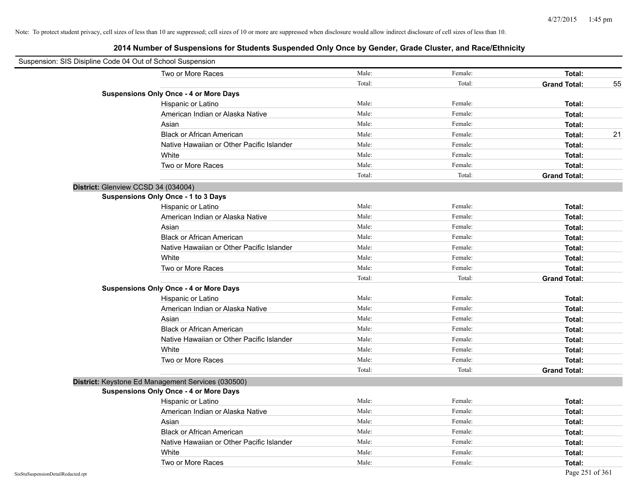| Suspension: SIS Disipline Code 04 Out of School Suspension |                                                    |        |         |                     |    |
|------------------------------------------------------------|----------------------------------------------------|--------|---------|---------------------|----|
|                                                            | Two or More Races                                  | Male:  | Female: | Total:              |    |
|                                                            |                                                    | Total: | Total:  | <b>Grand Total:</b> | 55 |
|                                                            | <b>Suspensions Only Once - 4 or More Days</b>      |        |         |                     |    |
|                                                            | Hispanic or Latino                                 | Male:  | Female: | Total:              |    |
|                                                            | American Indian or Alaska Native                   | Male:  | Female: | Total:              |    |
|                                                            | Asian                                              | Male:  | Female: | Total:              |    |
|                                                            | <b>Black or African American</b>                   | Male:  | Female: | Total:              | 21 |
|                                                            | Native Hawaiian or Other Pacific Islander          | Male:  | Female: | Total:              |    |
|                                                            | White                                              | Male:  | Female: | Total:              |    |
|                                                            | Two or More Races                                  | Male:  | Female: | Total:              |    |
|                                                            |                                                    | Total: | Total:  | <b>Grand Total:</b> |    |
| District: Glenview CCSD 34 (034004)                        |                                                    |        |         |                     |    |
|                                                            | Suspensions Only Once - 1 to 3 Days                |        |         |                     |    |
|                                                            | Hispanic or Latino                                 | Male:  | Female: | Total:              |    |
|                                                            | American Indian or Alaska Native                   | Male:  | Female: | Total:              |    |
|                                                            | Asian                                              | Male:  | Female: | Total:              |    |
|                                                            | <b>Black or African American</b>                   | Male:  | Female: | Total:              |    |
|                                                            | Native Hawaiian or Other Pacific Islander          | Male:  | Female: | Total:              |    |
|                                                            | White                                              | Male:  | Female: | Total:              |    |
|                                                            | Two or More Races                                  | Male:  | Female: | Total:              |    |
|                                                            |                                                    | Total: | Total:  | <b>Grand Total:</b> |    |
|                                                            | <b>Suspensions Only Once - 4 or More Days</b>      |        |         |                     |    |
|                                                            | Hispanic or Latino                                 | Male:  | Female: | Total:              |    |
|                                                            | American Indian or Alaska Native                   | Male:  | Female: | Total:              |    |
|                                                            | Asian                                              | Male:  | Female: | Total:              |    |
|                                                            | <b>Black or African American</b>                   | Male:  | Female: | Total:              |    |
|                                                            | Native Hawaiian or Other Pacific Islander          | Male:  | Female: | Total:              |    |
|                                                            | White                                              | Male:  | Female: | Total:              |    |
|                                                            | Two or More Races                                  | Male:  | Female: | Total:              |    |
|                                                            |                                                    | Total: | Total:  | <b>Grand Total:</b> |    |
|                                                            | District: Keystone Ed Management Services (030500) |        |         |                     |    |
|                                                            | <b>Suspensions Only Once - 4 or More Days</b>      |        |         |                     |    |
|                                                            | Hispanic or Latino                                 | Male:  | Female: | Total:              |    |
|                                                            | American Indian or Alaska Native                   | Male:  | Female: | Total:              |    |
|                                                            | Asian                                              | Male:  | Female: | Total:              |    |
|                                                            | <b>Black or African American</b>                   | Male:  | Female: | Total:              |    |
|                                                            | Native Hawaiian or Other Pacific Islander          | Male:  | Female: | Total:              |    |
|                                                            | White                                              | Male:  | Female: | Total:              |    |
|                                                            | Two or More Races                                  | Male:  | Female: | Total:              |    |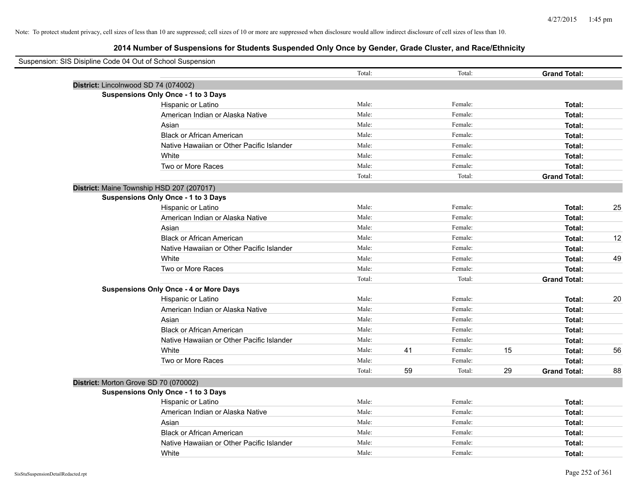| Suspension: SIS Disipline Code 04 Out of School Suspension |        |    |         |    |                     |    |
|------------------------------------------------------------|--------|----|---------|----|---------------------|----|
|                                                            | Total: |    | Total:  |    | <b>Grand Total:</b> |    |
| District: Lincolnwood SD 74 (074002)                       |        |    |         |    |                     |    |
| Suspensions Only Once - 1 to 3 Days                        |        |    |         |    |                     |    |
| Hispanic or Latino                                         | Male:  |    | Female: |    | Total:              |    |
| American Indian or Alaska Native                           | Male:  |    | Female: |    | Total:              |    |
| Asian                                                      | Male:  |    | Female: |    | Total:              |    |
| <b>Black or African American</b>                           | Male:  |    | Female: |    | Total:              |    |
| Native Hawaiian or Other Pacific Islander                  | Male:  |    | Female: |    | Total:              |    |
| White                                                      | Male:  |    | Female: |    | Total:              |    |
| Two or More Races                                          | Male:  |    | Female: |    | Total:              |    |
|                                                            | Total: |    | Total:  |    | <b>Grand Total:</b> |    |
| District: Maine Township HSD 207 (207017)                  |        |    |         |    |                     |    |
| Suspensions Only Once - 1 to 3 Days                        |        |    |         |    |                     |    |
| Hispanic or Latino                                         | Male:  |    | Female: |    | Total:              | 25 |
| American Indian or Alaska Native                           | Male:  |    | Female: |    | Total:              |    |
| Asian                                                      | Male:  |    | Female: |    | Total:              |    |
| <b>Black or African American</b>                           | Male:  |    | Female: |    | Total:              | 12 |
| Native Hawaiian or Other Pacific Islander                  | Male:  |    | Female: |    | Total:              |    |
| White                                                      | Male:  |    | Female: |    | Total:              | 49 |
| Two or More Races                                          | Male:  |    | Female: |    | Total:              |    |
|                                                            | Total: |    | Total:  |    | <b>Grand Total:</b> |    |
| <b>Suspensions Only Once - 4 or More Days</b>              |        |    |         |    |                     |    |
| Hispanic or Latino                                         | Male:  |    | Female: |    | Total:              | 20 |
| American Indian or Alaska Native                           | Male:  |    | Female: |    | Total:              |    |
| Asian                                                      | Male:  |    | Female: |    | Total:              |    |
| <b>Black or African American</b>                           | Male:  |    | Female: |    | Total:              |    |
| Native Hawaiian or Other Pacific Islander                  | Male:  |    | Female: |    | Total:              |    |
| White                                                      | Male:  | 41 | Female: | 15 | Total:              | 56 |
| Two or More Races                                          | Male:  |    | Female: |    | Total:              |    |
|                                                            | Total: | 59 | Total:  | 29 | <b>Grand Total:</b> | 88 |
| District: Morton Grove SD 70 (070002)                      |        |    |         |    |                     |    |
| <b>Suspensions Only Once - 1 to 3 Days</b>                 |        |    |         |    |                     |    |
| Hispanic or Latino                                         | Male:  |    | Female: |    | Total:              |    |
| American Indian or Alaska Native                           | Male:  |    | Female: |    | Total:              |    |
| Asian                                                      | Male:  |    | Female: |    | Total:              |    |
| <b>Black or African American</b>                           | Male:  |    | Female: |    | Total:              |    |
| Native Hawaiian or Other Pacific Islander                  | Male:  |    | Female: |    | Total:              |    |
| White                                                      | Male:  |    | Female: |    | Total:              |    |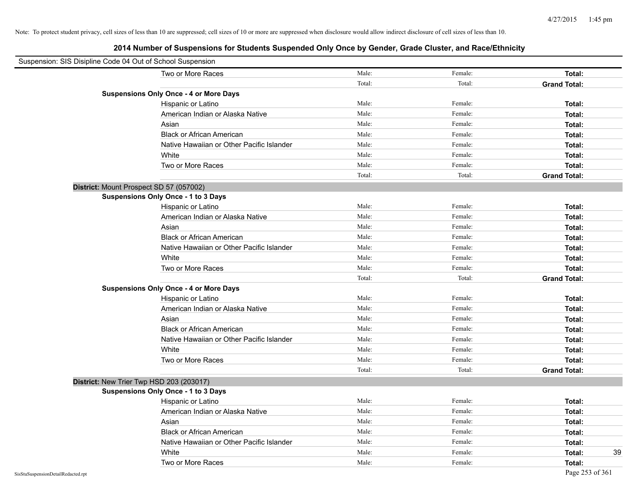| Suspension: SIS Disipline Code 04 Out of School Suspension |                                               |        |         |                     |
|------------------------------------------------------------|-----------------------------------------------|--------|---------|---------------------|
|                                                            | Two or More Races                             | Male:  | Female: | Total:              |
|                                                            |                                               | Total: | Total:  | <b>Grand Total:</b> |
|                                                            | <b>Suspensions Only Once - 4 or More Days</b> |        |         |                     |
|                                                            | Hispanic or Latino                            | Male:  | Female: | Total:              |
|                                                            | American Indian or Alaska Native              | Male:  | Female: | Total:              |
|                                                            | Asian                                         | Male:  | Female: | Total:              |
|                                                            | <b>Black or African American</b>              | Male:  | Female: | Total:              |
|                                                            | Native Hawaiian or Other Pacific Islander     | Male:  | Female: | Total:              |
|                                                            | White                                         | Male:  | Female: | Total:              |
|                                                            | Two or More Races                             | Male:  | Female: | Total:              |
|                                                            |                                               | Total: | Total:  | <b>Grand Total:</b> |
| District: Mount Prospect SD 57 (057002)                    |                                               |        |         |                     |
|                                                            | <b>Suspensions Only Once - 1 to 3 Days</b>    |        |         |                     |
|                                                            | Hispanic or Latino                            | Male:  | Female: | Total:              |
|                                                            | American Indian or Alaska Native              | Male:  | Female: | Total:              |
|                                                            | Asian                                         | Male:  | Female: | Total:              |
|                                                            | <b>Black or African American</b>              | Male:  | Female: | Total:              |
|                                                            | Native Hawaiian or Other Pacific Islander     | Male:  | Female: | Total:              |
|                                                            | White                                         | Male:  | Female: | Total:              |
|                                                            | Two or More Races                             | Male:  | Female: | Total:              |
|                                                            |                                               | Total: | Total:  | <b>Grand Total:</b> |
|                                                            | <b>Suspensions Only Once - 4 or More Days</b> |        |         |                     |
|                                                            | Hispanic or Latino                            | Male:  | Female: | Total:              |
|                                                            | American Indian or Alaska Native              | Male:  | Female: | Total:              |
|                                                            | Asian                                         | Male:  | Female: | Total:              |
|                                                            | <b>Black or African American</b>              | Male:  | Female: | Total:              |
|                                                            | Native Hawaiian or Other Pacific Islander     | Male:  | Female: | Total:              |
|                                                            | White                                         | Male:  | Female: | Total:              |
|                                                            | Two or More Races                             | Male:  | Female: | Total:              |
|                                                            |                                               | Total: | Total:  | <b>Grand Total:</b> |
| District: New Trier Twp HSD 203 (203017)                   |                                               |        |         |                     |
|                                                            | <b>Suspensions Only Once - 1 to 3 Days</b>    |        |         |                     |
|                                                            | Hispanic or Latino                            | Male:  | Female: | Total:              |
|                                                            | American Indian or Alaska Native              | Male:  | Female: | Total:              |
|                                                            | Asian                                         | Male:  | Female: | Total:              |
|                                                            | <b>Black or African American</b>              | Male:  | Female: | Total:              |
|                                                            | Native Hawaiian or Other Pacific Islander     | Male:  | Female: | Total:              |
|                                                            | White                                         | Male:  | Female: | 39<br>Total:        |
|                                                            | Two or More Races                             | Male:  | Female: | Total:              |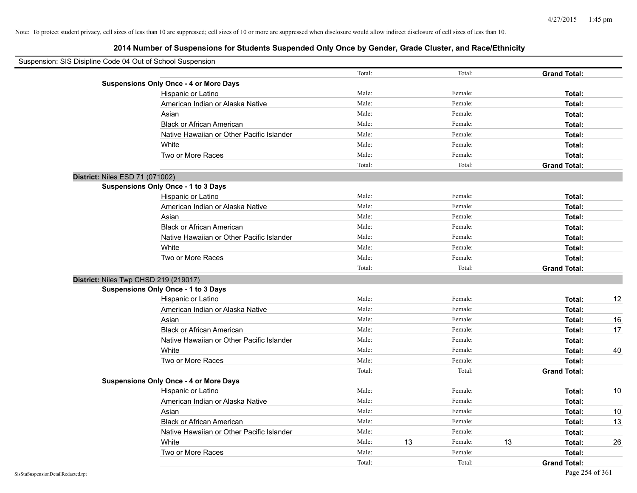| Suspension: SIS Disipline Code 04 Out of School Suspension |                                               |        |    |         |    |                     |      |
|------------------------------------------------------------|-----------------------------------------------|--------|----|---------|----|---------------------|------|
|                                                            |                                               | Total: |    | Total:  |    | <b>Grand Total:</b> |      |
|                                                            | <b>Suspensions Only Once - 4 or More Days</b> |        |    |         |    |                     |      |
|                                                            | Hispanic or Latino                            | Male:  |    | Female: |    | Total:              |      |
|                                                            | American Indian or Alaska Native              | Male:  |    | Female: |    | Total:              |      |
|                                                            | Asian                                         | Male:  |    | Female: |    | Total:              |      |
|                                                            | <b>Black or African American</b>              | Male:  |    | Female: |    | Total:              |      |
|                                                            | Native Hawaiian or Other Pacific Islander     | Male:  |    | Female: |    | Total:              |      |
|                                                            | White                                         | Male:  |    | Female: |    | Total:              |      |
|                                                            | Two or More Races                             | Male:  |    | Female: |    | Total:              |      |
|                                                            |                                               | Total: |    | Total:  |    | <b>Grand Total:</b> |      |
| District: Niles ESD 71 (071002)                            |                                               |        |    |         |    |                     |      |
|                                                            | <b>Suspensions Only Once - 1 to 3 Days</b>    |        |    |         |    |                     |      |
|                                                            | Hispanic or Latino                            | Male:  |    | Female: |    | Total:              |      |
|                                                            | American Indian or Alaska Native              | Male:  |    | Female: |    | Total:              |      |
|                                                            | Asian                                         | Male:  |    | Female: |    | Total:              |      |
|                                                            | <b>Black or African American</b>              | Male:  |    | Female: |    | Total:              |      |
|                                                            | Native Hawaiian or Other Pacific Islander     | Male:  |    | Female: |    | Total:              |      |
|                                                            | White                                         | Male:  |    | Female: |    | Total:              |      |
|                                                            | Two or More Races                             | Male:  |    | Female: |    | Total:              |      |
|                                                            |                                               | Total: |    | Total:  |    | <b>Grand Total:</b> |      |
|                                                            | District: Niles Twp CHSD 219 (219017)         |        |    |         |    |                     |      |
|                                                            | Suspensions Only Once - 1 to 3 Days           |        |    |         |    |                     |      |
|                                                            | Hispanic or Latino                            | Male:  |    | Female: |    | Total:              | 12   |
|                                                            | American Indian or Alaska Native              | Male:  |    | Female: |    | Total:              |      |
|                                                            | Asian                                         | Male:  |    | Female: |    | Total:              | 16   |
|                                                            | <b>Black or African American</b>              | Male:  |    | Female: |    | Total:              | 17   |
|                                                            | Native Hawaiian or Other Pacific Islander     | Male:  |    | Female: |    | Total:              |      |
|                                                            | White                                         | Male:  |    | Female: |    | Total:              | 40   |
|                                                            | Two or More Races                             | Male:  |    | Female: |    | Total:              |      |
|                                                            |                                               | Total: |    | Total:  |    | <b>Grand Total:</b> |      |
|                                                            | <b>Suspensions Only Once - 4 or More Days</b> |        |    |         |    |                     |      |
|                                                            | Hispanic or Latino                            | Male:  |    | Female: |    | Total:              | 10   |
|                                                            | American Indian or Alaska Native              | Male:  |    | Female: |    | Total:              |      |
|                                                            | Asian                                         | Male:  |    | Female: |    | Total:              | $10$ |
|                                                            | <b>Black or African American</b>              | Male:  |    | Female: |    | Total:              | 13   |
|                                                            | Native Hawaiian or Other Pacific Islander     | Male:  |    | Female: |    | Total:              |      |
|                                                            | White                                         | Male:  | 13 | Female: | 13 | Total:              | 26   |
|                                                            | Two or More Races                             | Male:  |    | Female: |    | Total:              |      |
|                                                            |                                               | Total: |    | Total:  |    | <b>Grand Total:</b> |      |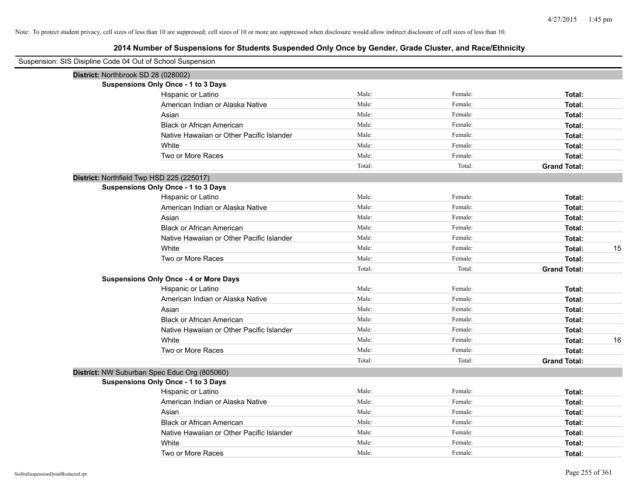| Suspension: SIS Disipline Code 04 Out of School Suspension |                                               |        |         |                     |
|------------------------------------------------------------|-----------------------------------------------|--------|---------|---------------------|
|                                                            | District: Northbrook SD 28 (028002)           |        |         |                     |
|                                                            | <b>Suspensions Only Once - 1 to 3 Days</b>    |        |         |                     |
|                                                            | Hispanic or Latino                            | Male:  | Female: | Total:              |
|                                                            | American Indian or Alaska Native              | Male:  | Female: | Total:              |
|                                                            | Asian                                         | Male:  | Female: | Total:              |
|                                                            | <b>Black or African American</b>              | Male:  | Female: | Total:              |
|                                                            | Native Hawaiian or Other Pacific Islander     | Male:  | Female: | Total:              |
|                                                            | White                                         | Male:  | Female: | Total:              |
|                                                            | Two or More Races                             | Male:  | Female: | Total:              |
|                                                            |                                               | Total: | Total:  | <b>Grand Total:</b> |
|                                                            | District: Northfield Twp HSD 225 (225017)     |        |         |                     |
|                                                            | <b>Suspensions Only Once - 1 to 3 Days</b>    |        |         |                     |
|                                                            | Hispanic or Latino                            | Male:  | Female: | Total:              |
|                                                            | American Indian or Alaska Native              | Male:  | Female: | Total:              |
|                                                            | Asian                                         | Male:  | Female: | Total:              |
|                                                            | <b>Black or African American</b>              | Male:  | Female: | Total:              |
|                                                            | Native Hawaiian or Other Pacific Islander     | Male:  | Female: | Total:              |
|                                                            | White                                         | Male:  | Female: | Total:<br>15        |
|                                                            | Two or More Races                             | Male:  | Female: | Total:              |
|                                                            |                                               | Total: | Total:  | <b>Grand Total:</b> |
|                                                            | <b>Suspensions Only Once - 4 or More Days</b> |        |         |                     |
|                                                            | Hispanic or Latino                            | Male:  | Female: | Total:              |
|                                                            | American Indian or Alaska Native              | Male:  | Female: | Total:              |
|                                                            | Asian                                         | Male:  | Female: | Total:              |
|                                                            | <b>Black or African American</b>              | Male:  | Female: | Total:              |
|                                                            | Native Hawaiian or Other Pacific Islander     | Male:  | Female: | Total:              |
|                                                            | White                                         | Male:  | Female: | Total:<br>16        |
|                                                            | Two or More Races                             | Male:  | Female: | Total:              |
|                                                            |                                               | Total: | Total:  | <b>Grand Total:</b> |
|                                                            | District: NW Suburban Spec Educ Org (805060)  |        |         |                     |
|                                                            | <b>Suspensions Only Once - 1 to 3 Days</b>    |        |         |                     |
|                                                            | Hispanic or Latino                            | Male:  | Female: | Total:              |
|                                                            | American Indian or Alaska Native              | Male:  | Female: | Total:              |
|                                                            | Asian                                         | Male:  | Female: | Total:              |
|                                                            | <b>Black or African American</b>              | Male:  | Female: | Total:              |
|                                                            | Native Hawaiian or Other Pacific Islander     | Male:  | Female: | Total:              |
|                                                            | White                                         | Male:  | Female: | Total:              |
|                                                            | Two or More Races                             | Male:  | Female: | Total:              |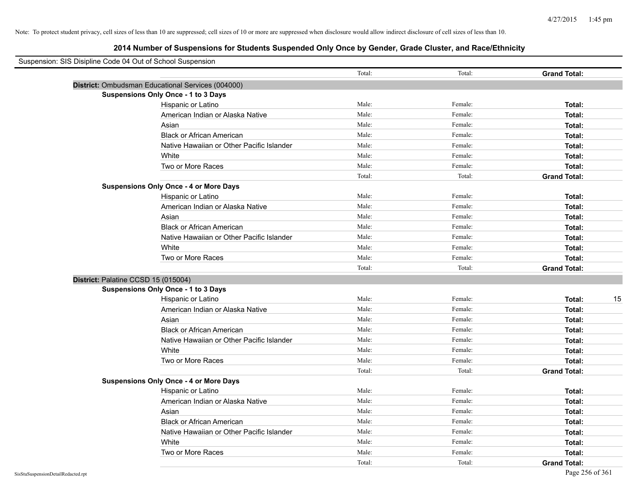| Suspension: SIS Disipline Code 04 Out of School Suspension |                                                   |        |         |                     |
|------------------------------------------------------------|---------------------------------------------------|--------|---------|---------------------|
|                                                            |                                                   | Total: | Total:  | <b>Grand Total:</b> |
|                                                            | District: Ombudsman Educational Services (004000) |        |         |                     |
|                                                            | Suspensions Only Once - 1 to 3 Days               |        |         |                     |
|                                                            | Hispanic or Latino                                | Male:  | Female: | Total:              |
|                                                            | American Indian or Alaska Native                  | Male:  | Female: | Total:              |
|                                                            | Asian                                             | Male:  | Female: | Total:              |
|                                                            | <b>Black or African American</b>                  | Male:  | Female: | Total:              |
|                                                            | Native Hawaiian or Other Pacific Islander         | Male:  | Female: | Total:              |
|                                                            | White                                             | Male:  | Female: | Total:              |
|                                                            | Two or More Races                                 | Male:  | Female: | Total:              |
|                                                            |                                                   | Total: | Total:  | <b>Grand Total:</b> |
|                                                            | <b>Suspensions Only Once - 4 or More Days</b>     |        |         |                     |
|                                                            | Hispanic or Latino                                | Male:  | Female: | Total:              |
|                                                            | American Indian or Alaska Native                  | Male:  | Female: | Total:              |
|                                                            | Asian                                             | Male:  | Female: | Total:              |
|                                                            | <b>Black or African American</b>                  | Male:  | Female: | Total:              |
|                                                            | Native Hawaiian or Other Pacific Islander         | Male:  | Female: | Total:              |
|                                                            | White                                             | Male:  | Female: | Total:              |
|                                                            | Two or More Races                                 | Male:  | Female: | Total:              |
|                                                            |                                                   | Total: | Total:  | <b>Grand Total:</b> |
| District: Palatine CCSD 15 (015004)                        |                                                   |        |         |                     |
|                                                            | <b>Suspensions Only Once - 1 to 3 Days</b>        |        |         |                     |
|                                                            | Hispanic or Latino                                | Male:  | Female: | Total:<br>15        |
|                                                            | American Indian or Alaska Native                  | Male:  | Female: | Total:              |
|                                                            | Asian                                             | Male:  | Female: | Total:              |
|                                                            | <b>Black or African American</b>                  | Male:  | Female: | Total:              |
|                                                            | Native Hawaiian or Other Pacific Islander         | Male:  | Female: | Total:              |
|                                                            | White                                             | Male:  | Female: | Total:              |
|                                                            | Two or More Races                                 | Male:  | Female: | Total:              |
|                                                            |                                                   | Total: | Total:  | <b>Grand Total:</b> |
|                                                            | <b>Suspensions Only Once - 4 or More Days</b>     |        |         |                     |
|                                                            | Hispanic or Latino                                | Male:  | Female: | Total:              |
|                                                            | American Indian or Alaska Native                  | Male:  | Female: | Total:              |
|                                                            | Asian                                             | Male:  | Female: | Total:              |
|                                                            | <b>Black or African American</b>                  | Male:  | Female: | Total:              |
|                                                            | Native Hawaiian or Other Pacific Islander         | Male:  | Female: | Total:              |
|                                                            | White                                             | Male:  | Female: | Total:              |
|                                                            | Two or More Races                                 | Male:  | Female: | Total:              |
|                                                            |                                                   | Total: | Total:  | <b>Grand Total:</b> |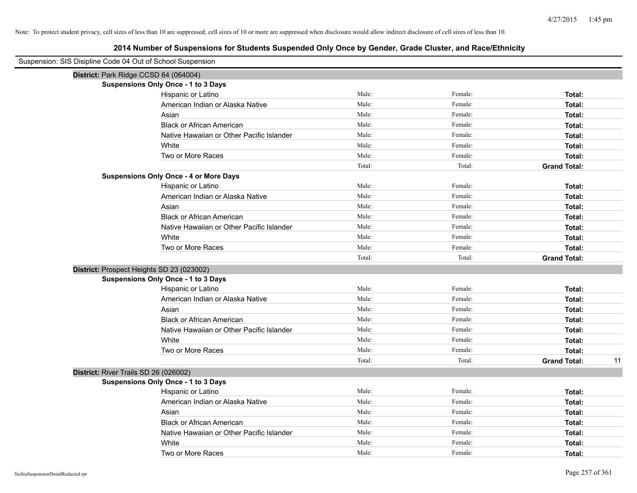| Suspension: SIS Disipline Code 04 Out of School Suspension |        |         |                           |
|------------------------------------------------------------|--------|---------|---------------------------|
| District: Park Ridge CCSD 64 (064004)                      |        |         |                           |
| <b>Suspensions Only Once - 1 to 3 Days</b>                 |        |         |                           |
| Hispanic or Latino                                         | Male:  | Female: | Total:                    |
| American Indian or Alaska Native                           | Male:  | Female: | Total:                    |
| Asian                                                      | Male:  | Female: | Total:                    |
| <b>Black or African American</b>                           | Male:  | Female: | Total:                    |
| Native Hawaiian or Other Pacific Islander                  | Male:  | Female: | Total:                    |
| White                                                      | Male:  | Female: | Total:                    |
| Two or More Races                                          | Male:  | Female: | Total:                    |
|                                                            | Total: | Total:  | <b>Grand Total:</b>       |
| <b>Suspensions Only Once - 4 or More Days</b>              |        |         |                           |
| Hispanic or Latino                                         | Male:  | Female: | Total:                    |
| American Indian or Alaska Native                           | Male:  | Female: | Total:                    |
| Asian                                                      | Male:  | Female: | Total:                    |
| <b>Black or African American</b>                           | Male:  | Female: | Total:                    |
| Native Hawaiian or Other Pacific Islander                  | Male:  | Female: | Total:                    |
| White                                                      | Male:  | Female: | Total:                    |
| Two or More Races                                          | Male:  | Female: | Total:                    |
|                                                            | Total: | Total:  | <b>Grand Total:</b>       |
| District: Prospect Heights SD 23 (023002)                  |        |         |                           |
| <b>Suspensions Only Once - 1 to 3 Days</b>                 |        |         |                           |
| Hispanic or Latino                                         | Male:  | Female: | Total:                    |
| American Indian or Alaska Native                           | Male:  | Female: | Total:                    |
| Asian                                                      | Male:  | Female: | Total:                    |
| <b>Black or African American</b>                           | Male:  | Female: | Total:                    |
| Native Hawaiian or Other Pacific Islander                  | Male:  | Female: | Total:                    |
| White                                                      | Male:  | Female: | Total:                    |
| Two or More Races                                          | Male:  | Female: | Total:                    |
|                                                            | Total: | Total:  | <b>Grand Total:</b><br>11 |
| District: River Trails SD 26 (026002)                      |        |         |                           |
| <b>Suspensions Only Once - 1 to 3 Days</b>                 |        |         |                           |
| Hispanic or Latino                                         | Male:  | Female: | Total:                    |
| American Indian or Alaska Native                           | Male:  | Female: | Total:                    |
| Asian                                                      | Male:  | Female: | Total:                    |
| <b>Black or African American</b>                           | Male:  | Female: | Total:                    |
| Native Hawaiian or Other Pacific Islander                  | Male:  | Female: | Total:                    |
| White                                                      | Male:  | Female: | Total:                    |
| Two or More Races                                          | Male:  | Female: | Total:                    |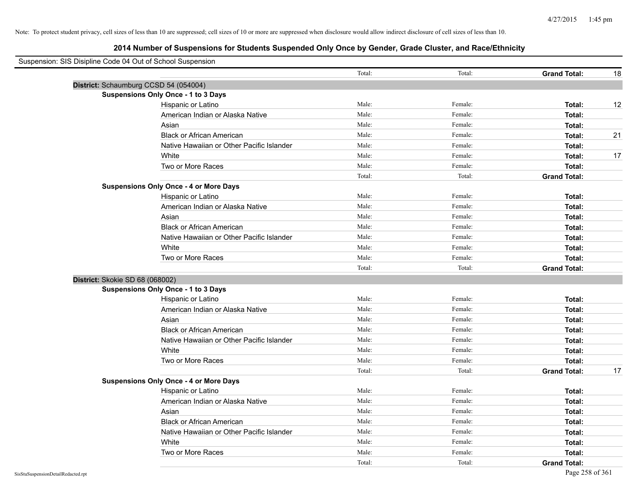| Suspension: SIS Disipline Code 04 Out of School Suspension |                                               |        |         |                     |    |
|------------------------------------------------------------|-----------------------------------------------|--------|---------|---------------------|----|
|                                                            |                                               | Total: | Total:  | <b>Grand Total:</b> | 18 |
| District: Schaumburg CCSD 54 (054004)                      |                                               |        |         |                     |    |
|                                                            | <b>Suspensions Only Once - 1 to 3 Days</b>    |        |         |                     |    |
|                                                            | Hispanic or Latino                            | Male:  | Female: | Total:              | 12 |
|                                                            | American Indian or Alaska Native              | Male:  | Female: | Total:              |    |
|                                                            | Asian                                         | Male:  | Female: | Total:              |    |
|                                                            | <b>Black or African American</b>              | Male:  | Female: | Total:              | 21 |
|                                                            | Native Hawaiian or Other Pacific Islander     | Male:  | Female: | Total:              |    |
|                                                            | White                                         | Male:  | Female: | Total:              | 17 |
|                                                            | Two or More Races                             | Male:  | Female: | Total:              |    |
|                                                            |                                               | Total: | Total:  | <b>Grand Total:</b> |    |
|                                                            | <b>Suspensions Only Once - 4 or More Days</b> |        |         |                     |    |
|                                                            | Hispanic or Latino                            | Male:  | Female: | Total:              |    |
|                                                            | American Indian or Alaska Native              | Male:  | Female: | Total:              |    |
|                                                            | Asian                                         | Male:  | Female: | Total:              |    |
|                                                            | <b>Black or African American</b>              | Male:  | Female: | Total:              |    |
|                                                            | Native Hawaiian or Other Pacific Islander     | Male:  | Female: | Total:              |    |
|                                                            | White                                         | Male:  | Female: | Total:              |    |
|                                                            | Two or More Races                             | Male:  | Female: | Total:              |    |
|                                                            |                                               | Total: | Total:  | <b>Grand Total:</b> |    |
| District: Skokie SD 68 (068002)                            |                                               |        |         |                     |    |
|                                                            | <b>Suspensions Only Once - 1 to 3 Days</b>    |        |         |                     |    |
|                                                            | Hispanic or Latino                            | Male:  | Female: | Total:              |    |
|                                                            | American Indian or Alaska Native              | Male:  | Female: | Total:              |    |
|                                                            | Asian                                         | Male:  | Female: | Total:              |    |
|                                                            | <b>Black or African American</b>              | Male:  | Female: | Total:              |    |
|                                                            | Native Hawaiian or Other Pacific Islander     | Male:  | Female: | Total:              |    |
|                                                            | White                                         | Male:  | Female: | Total:              |    |
|                                                            | Two or More Races                             | Male:  | Female: | Total:              |    |
|                                                            |                                               | Total: | Total:  | <b>Grand Total:</b> | 17 |
|                                                            | <b>Suspensions Only Once - 4 or More Days</b> |        |         |                     |    |
|                                                            | Hispanic or Latino                            | Male:  | Female: | Total:              |    |
|                                                            | American Indian or Alaska Native              | Male:  | Female: | Total:              |    |
|                                                            | Asian                                         | Male:  | Female: | Total:              |    |
|                                                            | <b>Black or African American</b>              | Male:  | Female: | Total:              |    |
|                                                            | Native Hawaiian or Other Pacific Islander     | Male:  | Female: | Total:              |    |
|                                                            | White                                         | Male:  | Female: | Total:              |    |
|                                                            | Two or More Races                             | Male:  | Female: | Total:              |    |
|                                                            |                                               | Total: | Total:  | <b>Grand Total:</b> |    |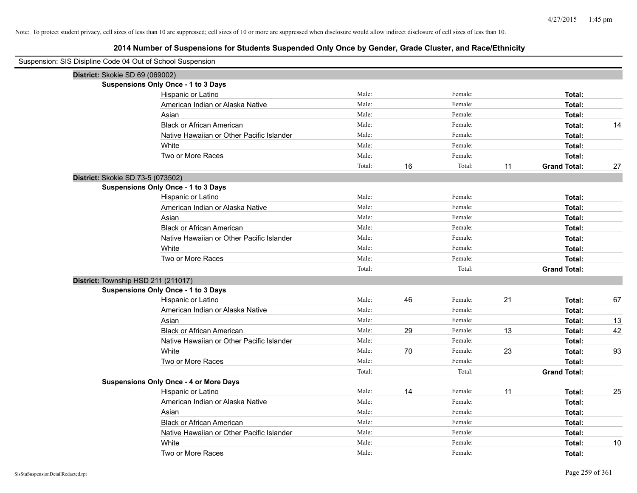| Suspension: SIS Disipline Code 04 Out of School Suspension |        |    |         |    |                     |    |
|------------------------------------------------------------|--------|----|---------|----|---------------------|----|
| District: Skokie SD 69 (069002)                            |        |    |         |    |                     |    |
| <b>Suspensions Only Once - 1 to 3 Days</b>                 |        |    |         |    |                     |    |
| Hispanic or Latino                                         | Male:  |    | Female: |    | Total:              |    |
| American Indian or Alaska Native                           | Male:  |    | Female: |    | Total:              |    |
| Asian                                                      | Male:  |    | Female: |    | Total:              |    |
| <b>Black or African American</b>                           | Male:  |    | Female: |    | Total:              | 14 |
| Native Hawaiian or Other Pacific Islander                  | Male:  |    | Female: |    | Total:              |    |
| White                                                      | Male:  |    | Female: |    | Total:              |    |
| Two or More Races                                          | Male:  |    | Female: |    | Total:              |    |
|                                                            | Total: | 16 | Total:  | 11 | <b>Grand Total:</b> | 27 |
| District: Skokie SD 73-5 (073502)                          |        |    |         |    |                     |    |
| <b>Suspensions Only Once - 1 to 3 Days</b>                 |        |    |         |    |                     |    |
| Hispanic or Latino                                         | Male:  |    | Female: |    | Total:              |    |
| American Indian or Alaska Native                           | Male:  |    | Female: |    | Total:              |    |
| Asian                                                      | Male:  |    | Female: |    | Total:              |    |
| <b>Black or African American</b>                           | Male:  |    | Female: |    | Total:              |    |
| Native Hawaiian or Other Pacific Islander                  | Male:  |    | Female: |    | Total:              |    |
| White                                                      | Male:  |    | Female: |    | Total:              |    |
| Two or More Races                                          | Male:  |    | Female: |    | Total:              |    |
|                                                            | Total: |    | Total:  |    | <b>Grand Total:</b> |    |
| District: Township HSD 211 (211017)                        |        |    |         |    |                     |    |
| <b>Suspensions Only Once - 1 to 3 Days</b>                 |        |    |         |    |                     |    |
| Hispanic or Latino                                         | Male:  | 46 | Female: | 21 | Total:              | 67 |
| American Indian or Alaska Native                           | Male:  |    | Female: |    | Total:              |    |
| Asian                                                      | Male:  |    | Female: |    | Total:              | 13 |
| <b>Black or African American</b>                           | Male:  | 29 | Female: | 13 | Total:              | 42 |
| Native Hawaiian or Other Pacific Islander                  | Male:  |    | Female: |    | Total:              |    |
| White                                                      | Male:  | 70 | Female: | 23 | Total:              | 93 |
| Two or More Races                                          | Male:  |    | Female: |    | Total:              |    |
|                                                            | Total: |    | Total:  |    | <b>Grand Total:</b> |    |
| <b>Suspensions Only Once - 4 or More Days</b>              |        |    |         |    |                     |    |
| Hispanic or Latino                                         | Male:  | 14 | Female: | 11 | Total:              | 25 |
| American Indian or Alaska Native                           | Male:  |    | Female: |    | Total:              |    |
| Asian                                                      | Male:  |    | Female: |    | Total:              |    |
| <b>Black or African American</b>                           | Male:  |    | Female: |    | Total:              |    |
| Native Hawaiian or Other Pacific Islander                  | Male:  |    | Female: |    | Total:              |    |
| White                                                      | Male:  |    | Female: |    | Total:              | 10 |
| Two or More Races                                          | Male:  |    | Female: |    | Total:              |    |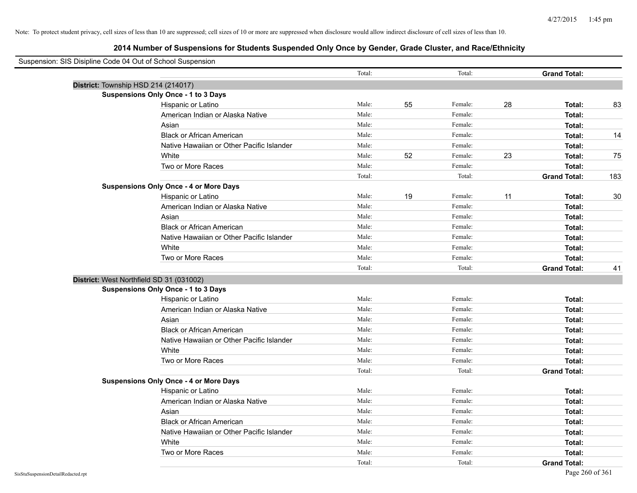| Suspension: SIS Disipline Code 04 Out of School Suspension |                                               |        |    |         |    |                     |     |
|------------------------------------------------------------|-----------------------------------------------|--------|----|---------|----|---------------------|-----|
|                                                            |                                               | Total: |    | Total:  |    | <b>Grand Total:</b> |     |
| District: Township HSD 214 (214017)                        |                                               |        |    |         |    |                     |     |
|                                                            | <b>Suspensions Only Once - 1 to 3 Days</b>    |        |    |         |    |                     |     |
|                                                            | Hispanic or Latino                            | Male:  | 55 | Female: | 28 | Total:              | 83  |
|                                                            | American Indian or Alaska Native              | Male:  |    | Female: |    | Total:              |     |
|                                                            | Asian                                         | Male:  |    | Female: |    | Total:              |     |
|                                                            | <b>Black or African American</b>              | Male:  |    | Female: |    | Total:              | 14  |
|                                                            | Native Hawaiian or Other Pacific Islander     | Male:  |    | Female: |    | Total:              |     |
|                                                            | White                                         | Male:  | 52 | Female: | 23 | Total:              | 75  |
|                                                            | Two or More Races                             | Male:  |    | Female: |    | Total:              |     |
|                                                            |                                               | Total: |    | Total:  |    | <b>Grand Total:</b> | 183 |
|                                                            | <b>Suspensions Only Once - 4 or More Days</b> |        |    |         |    |                     |     |
|                                                            | Hispanic or Latino                            | Male:  | 19 | Female: | 11 | Total:              | 30  |
|                                                            | American Indian or Alaska Native              | Male:  |    | Female: |    | Total:              |     |
|                                                            | Asian                                         | Male:  |    | Female: |    | Total:              |     |
|                                                            | <b>Black or African American</b>              | Male:  |    | Female: |    | Total:              |     |
|                                                            | Native Hawaiian or Other Pacific Islander     | Male:  |    | Female: |    | Total:              |     |
|                                                            | White                                         | Male:  |    | Female: |    | Total:              |     |
|                                                            | Two or More Races                             | Male:  |    | Female: |    | Total:              |     |
|                                                            |                                               | Total: |    | Total:  |    | <b>Grand Total:</b> | 41  |
| District: West Northfield SD 31 (031002)                   |                                               |        |    |         |    |                     |     |
|                                                            | <b>Suspensions Only Once - 1 to 3 Days</b>    |        |    |         |    |                     |     |
|                                                            | Hispanic or Latino                            | Male:  |    | Female: |    | Total:              |     |
|                                                            | American Indian or Alaska Native              | Male:  |    | Female: |    | Total:              |     |
|                                                            | Asian                                         | Male:  |    | Female: |    | Total:              |     |
|                                                            | <b>Black or African American</b>              | Male:  |    | Female: |    | Total:              |     |
|                                                            | Native Hawaiian or Other Pacific Islander     | Male:  |    | Female: |    | Total:              |     |
|                                                            | White                                         | Male:  |    | Female: |    | Total:              |     |
|                                                            | Two or More Races                             | Male:  |    | Female: |    | Total:              |     |
|                                                            |                                               | Total: |    | Total:  |    | <b>Grand Total:</b> |     |
|                                                            | <b>Suspensions Only Once - 4 or More Days</b> |        |    |         |    |                     |     |
|                                                            | Hispanic or Latino                            | Male:  |    | Female: |    | Total:              |     |
|                                                            | American Indian or Alaska Native              | Male:  |    | Female: |    | Total:              |     |
|                                                            | Asian                                         | Male:  |    | Female: |    | Total:              |     |
|                                                            | <b>Black or African American</b>              | Male:  |    | Female: |    | Total:              |     |
|                                                            | Native Hawaiian or Other Pacific Islander     | Male:  |    | Female: |    | Total:              |     |
|                                                            | White                                         | Male:  |    | Female: |    | Total:              |     |
|                                                            | Two or More Races                             | Male:  |    | Female: |    | Total:              |     |
|                                                            |                                               | Total: |    | Total:  |    | <b>Grand Total:</b> |     |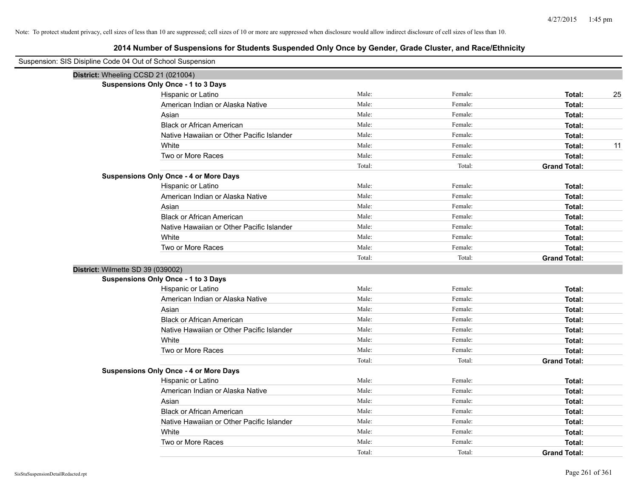| Suspension: SIS Disipline Code 04 Out of School Suspension |                                               |        |         |                     |
|------------------------------------------------------------|-----------------------------------------------|--------|---------|---------------------|
|                                                            | District: Wheeling CCSD 21 (021004)           |        |         |                     |
|                                                            | <b>Suspensions Only Once - 1 to 3 Days</b>    |        |         |                     |
|                                                            | Hispanic or Latino                            | Male:  | Female: | 25<br>Total:        |
|                                                            | American Indian or Alaska Native              | Male:  | Female: | Total:              |
|                                                            | Asian                                         | Male:  | Female: | Total:              |
|                                                            | <b>Black or African American</b>              | Male:  | Female: | Total:              |
|                                                            | Native Hawaiian or Other Pacific Islander     | Male:  | Female: | Total:              |
|                                                            | White                                         | Male:  | Female: | 11<br>Total:        |
|                                                            | Two or More Races                             | Male:  | Female: | Total:              |
|                                                            |                                               | Total: | Total:  | <b>Grand Total:</b> |
|                                                            | <b>Suspensions Only Once - 4 or More Days</b> |        |         |                     |
|                                                            | Hispanic or Latino                            | Male:  | Female: | Total:              |
|                                                            | American Indian or Alaska Native              | Male:  | Female: | Total:              |
|                                                            | Asian                                         | Male:  | Female: | Total:              |
|                                                            | <b>Black or African American</b>              | Male:  | Female: | Total:              |
|                                                            | Native Hawaiian or Other Pacific Islander     | Male:  | Female: | Total:              |
|                                                            | White                                         | Male:  | Female: | Total:              |
|                                                            | Two or More Races                             | Male:  | Female: | Total:              |
|                                                            |                                               | Total: | Total:  | <b>Grand Total:</b> |
| District: Wilmette SD 39 (039002)                          |                                               |        |         |                     |
|                                                            | <b>Suspensions Only Once - 1 to 3 Days</b>    |        |         |                     |
|                                                            | Hispanic or Latino                            | Male:  | Female: | Total:              |
|                                                            | American Indian or Alaska Native              | Male:  | Female: | Total:              |
|                                                            | Asian                                         | Male:  | Female: | Total:              |
|                                                            | <b>Black or African American</b>              | Male:  | Female: | Total:              |
|                                                            | Native Hawaiian or Other Pacific Islander     | Male:  | Female: | Total:              |
|                                                            | White                                         | Male:  | Female: | Total:              |
|                                                            | Two or More Races                             | Male:  | Female: | Total:              |
|                                                            |                                               | Total: | Total:  | <b>Grand Total:</b> |
|                                                            | <b>Suspensions Only Once - 4 or More Days</b> |        |         |                     |
|                                                            | Hispanic or Latino                            | Male:  | Female: | Total:              |
|                                                            | American Indian or Alaska Native              | Male:  | Female: | Total:              |
|                                                            | Asian                                         | Male:  | Female: | Total:              |
|                                                            | <b>Black or African American</b>              | Male:  | Female: | Total:              |
|                                                            | Native Hawaiian or Other Pacific Islander     | Male:  | Female: | Total:              |
|                                                            | White                                         | Male:  | Female: | Total:              |
|                                                            | Two or More Races                             | Male:  | Female: | Total:              |
|                                                            |                                               | Total: | Total:  | <b>Grand Total:</b> |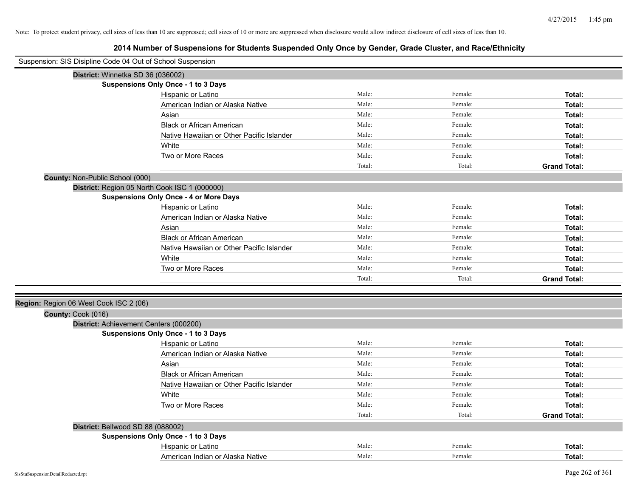| Suspension: SIS Disipline Code 04 Out of School Suspension |                                               |        |         |                     |
|------------------------------------------------------------|-----------------------------------------------|--------|---------|---------------------|
| District: Winnetka SD 36 (036002)                          |                                               |        |         |                     |
|                                                            | <b>Suspensions Only Once - 1 to 3 Days</b>    |        |         |                     |
|                                                            | Hispanic or Latino                            | Male:  | Female: | Total:              |
|                                                            | American Indian or Alaska Native              | Male:  | Female: | Total:              |
|                                                            | Asian                                         | Male:  | Female: | Total:              |
|                                                            | <b>Black or African American</b>              | Male:  | Female: | Total:              |
|                                                            | Native Hawaiian or Other Pacific Islander     | Male:  | Female: | Total:              |
|                                                            | White                                         | Male:  | Female: | Total:              |
|                                                            | Two or More Races                             | Male:  | Female: | Total:              |
|                                                            |                                               | Total: | Total:  | <b>Grand Total:</b> |
| County: Non-Public School (000)                            |                                               |        |         |                     |
| District: Region 05 North Cook ISC 1 (000000)              |                                               |        |         |                     |
|                                                            | <b>Suspensions Only Once - 4 or More Days</b> |        |         |                     |
|                                                            | Hispanic or Latino                            | Male:  | Female: | Total:              |
|                                                            | American Indian or Alaska Native              | Male:  | Female: | Total:              |
|                                                            | Asian                                         | Male:  | Female: | Total:              |
|                                                            | <b>Black or African American</b>              | Male:  | Female: | Total:              |
|                                                            | Native Hawaiian or Other Pacific Islander     | Male:  | Female: | Total:              |
|                                                            | White                                         | Male:  | Female: | Total:              |
|                                                            | Two or More Races                             | Male:  | Female: | Total:              |
|                                                            |                                               | Total: | Total:  | <b>Grand Total:</b> |
|                                                            |                                               |        |         |                     |
| Region: Region 06 West Cook ISC 2 (06)                     |                                               |        |         |                     |
| County: Cook (016)                                         |                                               |        |         |                     |
| District: Achievement Centers (000200)                     |                                               |        |         |                     |
|                                                            | Suspensions Only Once - 1 to 3 Days           |        |         |                     |
|                                                            | Hispanic or Latino                            | Male:  | Female: | Total:              |
|                                                            | American Indian or Alaska Native              | Male:  | Female: | Total:              |
|                                                            | Asian                                         | Male:  | Female: | Total:              |
|                                                            | <b>Black or African American</b>              | Male:  | Female: | Total:              |
|                                                            | Native Hawaiian or Other Pacific Islander     | Male:  | Female: | Total:              |
|                                                            | White                                         | Male:  | Female: | Total:              |
|                                                            | Two or More Races                             | Male:  | Female: | Total:              |
|                                                            |                                               | Total: | Total:  | <b>Grand Total:</b> |
| District: Bellwood SD 88 (088002)                          |                                               |        |         |                     |
|                                                            | Suspensions Only Once - 1 to 3 Days           |        |         |                     |
|                                                            | Hispanic or Latino                            | Male:  | Female: | Total:              |
|                                                            | American Indian or Alaska Native              | Male:  | Female: | Total:              |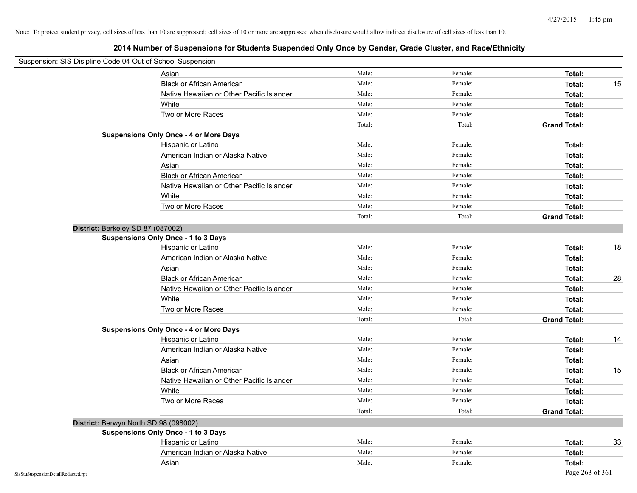| Suspension: SIS Disipline Code 04 Out of School Suspension |        |         |                     |    |
|------------------------------------------------------------|--------|---------|---------------------|----|
| Asian                                                      | Male:  | Female: | Total:              |    |
| <b>Black or African American</b>                           | Male:  | Female: | Total:              | 15 |
| Native Hawaiian or Other Pacific Islander                  | Male:  | Female: | Total:              |    |
| White                                                      | Male:  | Female: | Total:              |    |
| Two or More Races                                          | Male:  | Female: | Total:              |    |
|                                                            | Total: | Total:  | <b>Grand Total:</b> |    |
| <b>Suspensions Only Once - 4 or More Days</b>              |        |         |                     |    |
| Hispanic or Latino                                         | Male:  | Female: | Total:              |    |
| American Indian or Alaska Native                           | Male:  | Female: | Total:              |    |
| Asian                                                      | Male:  | Female: | Total:              |    |
| <b>Black or African American</b>                           | Male:  | Female: | Total:              |    |
| Native Hawaiian or Other Pacific Islander                  | Male:  | Female: | Total:              |    |
| White                                                      | Male:  | Female: | Total:              |    |
| Two or More Races                                          | Male:  | Female: | Total:              |    |
|                                                            | Total: | Total:  | <b>Grand Total:</b> |    |
| District: Berkeley SD 87 (087002)                          |        |         |                     |    |
| <b>Suspensions Only Once - 1 to 3 Days</b>                 |        |         |                     |    |
| Hispanic or Latino                                         | Male:  | Female: | Total:              | 18 |
| American Indian or Alaska Native                           | Male:  | Female: | Total:              |    |
| Asian                                                      | Male:  | Female: | Total:              |    |
| <b>Black or African American</b>                           | Male:  | Female: | Total:              | 28 |
| Native Hawaiian or Other Pacific Islander                  | Male:  | Female: | Total:              |    |
| White                                                      | Male:  | Female: | Total:              |    |
| Two or More Races                                          | Male:  | Female: | Total:              |    |
|                                                            | Total: | Total:  | <b>Grand Total:</b> |    |
| <b>Suspensions Only Once - 4 or More Days</b>              |        |         |                     |    |
| Hispanic or Latino                                         | Male:  | Female: | Total:              | 14 |
| American Indian or Alaska Native                           | Male:  | Female: | Total:              |    |
| Asian                                                      | Male:  | Female: | Total:              |    |
| <b>Black or African American</b>                           | Male:  | Female: | Total:              | 15 |
| Native Hawaiian or Other Pacific Islander                  | Male:  | Female: | Total:              |    |
| White                                                      | Male:  | Female: | Total:              |    |
| Two or More Races                                          | Male:  | Female: | Total:              |    |
|                                                            | Total: | Total:  | <b>Grand Total:</b> |    |
| District: Berwyn North SD 98 (098002)                      |        |         |                     |    |
| Suspensions Only Once - 1 to 3 Days                        |        |         |                     |    |
| Hispanic or Latino                                         | Male:  | Female: | Total:              | 33 |
| American Indian or Alaska Native                           | Male:  | Female: | Total:              |    |
| Asian                                                      | Male:  | Female: | Total:              |    |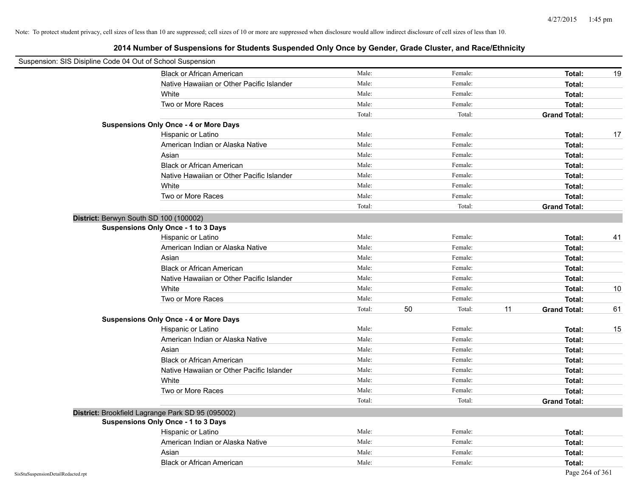| Suspension: SIS Disipline Code 04 Out of School Suspension |                                                   |        |              |                           |    |
|------------------------------------------------------------|---------------------------------------------------|--------|--------------|---------------------------|----|
|                                                            | <b>Black or African American</b>                  | Male:  | Female:      | Total:                    | 19 |
|                                                            | Native Hawaiian or Other Pacific Islander         | Male:  | Female:      | Total:                    |    |
|                                                            | White                                             | Male:  | Female:      | Total:                    |    |
|                                                            | Two or More Races                                 | Male:  | Female:      | Total:                    |    |
|                                                            |                                                   | Total: | Total:       | <b>Grand Total:</b>       |    |
|                                                            | <b>Suspensions Only Once - 4 or More Days</b>     |        |              |                           |    |
|                                                            | Hispanic or Latino                                | Male:  | Female:      | Total:                    | 17 |
|                                                            | American Indian or Alaska Native                  | Male:  | Female:      | Total:                    |    |
|                                                            | Asian                                             | Male:  | Female:      | Total:                    |    |
|                                                            | <b>Black or African American</b>                  | Male:  | Female:      | Total:                    |    |
|                                                            | Native Hawaiian or Other Pacific Islander         | Male:  | Female:      | Total:                    |    |
|                                                            | White                                             | Male:  | Female:      | Total:                    |    |
|                                                            | Two or More Races                                 | Male:  | Female:      | Total:                    |    |
|                                                            |                                                   | Total: | Total:       | <b>Grand Total:</b>       |    |
|                                                            | District: Berwyn South SD 100 (100002)            |        |              |                           |    |
|                                                            | Suspensions Only Once - 1 to 3 Days               |        |              |                           |    |
|                                                            | Hispanic or Latino                                | Male:  | Female:      | Total:                    | 41 |
|                                                            | American Indian or Alaska Native                  | Male:  | Female:      | Total:                    |    |
|                                                            | Asian                                             | Male:  | Female:      | Total:                    |    |
|                                                            | <b>Black or African American</b>                  | Male:  | Female:      | Total:                    |    |
|                                                            | Native Hawaiian or Other Pacific Islander         | Male:  | Female:      | Total:                    |    |
|                                                            | White                                             | Male:  | Female:      | Total:                    | 10 |
|                                                            | Two or More Races                                 | Male:  | Female:      | Total:                    |    |
|                                                            |                                                   | Total: | 50<br>Total: | 11<br><b>Grand Total:</b> | 61 |
|                                                            | <b>Suspensions Only Once - 4 or More Days</b>     |        |              |                           |    |
|                                                            | Hispanic or Latino                                | Male:  | Female:      | Total:                    | 15 |
|                                                            | American Indian or Alaska Native                  | Male:  | Female:      | Total:                    |    |
|                                                            | Asian                                             | Male:  | Female:      | Total:                    |    |
|                                                            | <b>Black or African American</b>                  | Male:  | Female:      | Total:                    |    |
|                                                            | Native Hawaiian or Other Pacific Islander         | Male:  | Female:      | Total:                    |    |
|                                                            | White                                             | Male:  | Female:      | Total:                    |    |
|                                                            | Two or More Races                                 | Male:  | Female:      | Total:                    |    |
|                                                            |                                                   | Total: | Total:       | <b>Grand Total:</b>       |    |
|                                                            | District: Brookfield Lagrange Park SD 95 (095002) |        |              |                           |    |
|                                                            | <b>Suspensions Only Once - 1 to 3 Days</b>        |        |              |                           |    |
|                                                            | Hispanic or Latino                                | Male:  | Female:      | Total:                    |    |
|                                                            | American Indian or Alaska Native                  | Male:  | Female:      | Total:                    |    |
|                                                            | Asian                                             | Male:  | Female:      | Total:                    |    |
|                                                            | <b>Black or African American</b>                  | Male:  | Female:      | Total:                    |    |
| SisStuSuspensionDetailRedacted.rpt                         |                                                   |        |              | Page 264 of 361           |    |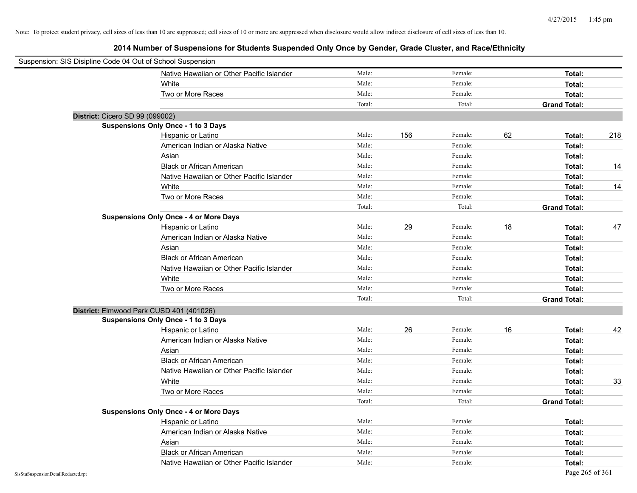| Suspension: SIS Disipline Code 04 Out of School Suspension |                                               |        |     |         |    |                     |     |
|------------------------------------------------------------|-----------------------------------------------|--------|-----|---------|----|---------------------|-----|
|                                                            | Native Hawaiian or Other Pacific Islander     | Male:  |     | Female: |    | Total:              |     |
|                                                            | White                                         | Male:  |     | Female: |    | Total:              |     |
|                                                            | Two or More Races                             | Male:  |     | Female: |    | Total:              |     |
|                                                            |                                               | Total: |     | Total:  |    | <b>Grand Total:</b> |     |
| District: Cicero SD 99 (099002)                            |                                               |        |     |         |    |                     |     |
|                                                            | Suspensions Only Once - 1 to 3 Days           |        |     |         |    |                     |     |
|                                                            | Hispanic or Latino                            | Male:  | 156 | Female: | 62 | Total:              | 218 |
|                                                            | American Indian or Alaska Native              | Male:  |     | Female: |    | Total:              |     |
|                                                            | Asian                                         | Male:  |     | Female: |    | Total:              |     |
|                                                            | <b>Black or African American</b>              | Male:  |     | Female: |    | Total:              | 14  |
|                                                            | Native Hawaiian or Other Pacific Islander     | Male:  |     | Female: |    | Total:              |     |
|                                                            | White                                         | Male:  |     | Female: |    | Total:              | 14  |
|                                                            | Two or More Races                             | Male:  |     | Female: |    | Total:              |     |
|                                                            |                                               | Total: |     | Total:  |    | <b>Grand Total:</b> |     |
|                                                            | <b>Suspensions Only Once - 4 or More Days</b> |        |     |         |    |                     |     |
|                                                            | Hispanic or Latino                            | Male:  | 29  | Female: | 18 | Total:              | 47  |
|                                                            | American Indian or Alaska Native              | Male:  |     | Female: |    | Total:              |     |
|                                                            | Asian                                         | Male:  |     | Female: |    | Total:              |     |
|                                                            | <b>Black or African American</b>              | Male:  |     | Female: |    | Total:              |     |
|                                                            | Native Hawaiian or Other Pacific Islander     | Male:  |     | Female: |    | Total:              |     |
|                                                            | White                                         | Male:  |     | Female: |    | Total:              |     |
|                                                            | Two or More Races                             | Male:  |     | Female: |    | Total:              |     |
|                                                            |                                               | Total: |     | Total:  |    | <b>Grand Total:</b> |     |
| District: Elmwood Park CUSD 401 (401026)                   |                                               |        |     |         |    |                     |     |
|                                                            | Suspensions Only Once - 1 to 3 Days           |        |     |         |    |                     |     |
|                                                            | Hispanic or Latino                            | Male:  | 26  | Female: | 16 | Total:              | 42  |
|                                                            | American Indian or Alaska Native              | Male:  |     | Female: |    | Total:              |     |
|                                                            | Asian                                         | Male:  |     | Female: |    | Total:              |     |
|                                                            | <b>Black or African American</b>              | Male:  |     | Female: |    | Total:              |     |
|                                                            | Native Hawaiian or Other Pacific Islander     | Male:  |     | Female: |    | Total:              |     |
|                                                            | White                                         | Male:  |     | Female: |    | Total:              | 33  |
|                                                            | Two or More Races                             | Male:  |     | Female: |    | Total:              |     |
|                                                            |                                               | Total: |     | Total:  |    | <b>Grand Total:</b> |     |
|                                                            | <b>Suspensions Only Once - 4 or More Days</b> |        |     |         |    |                     |     |
|                                                            | Hispanic or Latino                            | Male:  |     | Female: |    | Total:              |     |
|                                                            | American Indian or Alaska Native              | Male:  |     | Female: |    | Total:              |     |
|                                                            | Asian                                         | Male:  |     | Female: |    | Total:              |     |
|                                                            | <b>Black or African American</b>              | Male:  |     | Female: |    | Total:              |     |
|                                                            | Native Hawaiian or Other Pacific Islander     | Male:  |     | Female: |    | Total:              |     |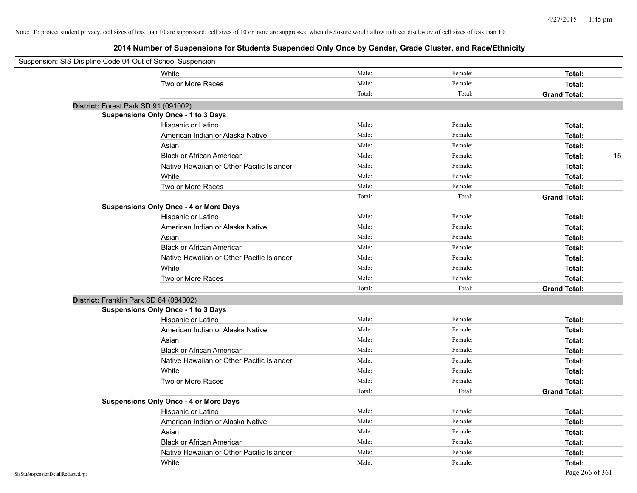| Suspension: SIS Disipline Code 04 Out of School Suspension |                                               |        |         |                     |
|------------------------------------------------------------|-----------------------------------------------|--------|---------|---------------------|
|                                                            | White                                         | Male:  | Female: | Total:              |
|                                                            | Two or More Races                             | Male:  | Female: | Total:              |
|                                                            |                                               | Total: | Total:  | <b>Grand Total:</b> |
| District: Forest Park SD 91 (091002)                       |                                               |        |         |                     |
|                                                            | Suspensions Only Once - 1 to 3 Days           |        |         |                     |
|                                                            | Hispanic or Latino                            | Male:  | Female: | Total:              |
|                                                            | American Indian or Alaska Native              | Male:  | Female: | Total:              |
|                                                            | Asian                                         | Male:  | Female: | Total:              |
|                                                            | <b>Black or African American</b>              | Male:  | Female: | 15<br>Total:        |
|                                                            | Native Hawaiian or Other Pacific Islander     | Male:  | Female: | Total:              |
|                                                            | White                                         | Male:  | Female: | Total:              |
|                                                            | Two or More Races                             | Male:  | Female: | Total:              |
|                                                            |                                               | Total: | Total:  | <b>Grand Total:</b> |
|                                                            | <b>Suspensions Only Once - 4 or More Days</b> |        |         |                     |
|                                                            | Hispanic or Latino                            | Male:  | Female: | Total:              |
|                                                            | American Indian or Alaska Native              | Male:  | Female: | Total:              |
|                                                            | Asian                                         | Male:  | Female: | Total:              |
|                                                            | <b>Black or African American</b>              | Male:  | Female: | Total:              |
|                                                            | Native Hawaiian or Other Pacific Islander     | Male:  | Female: | Total:              |
|                                                            | White                                         | Male:  | Female: | Total:              |
|                                                            | Two or More Races                             | Male:  | Female: | Total:              |
|                                                            |                                               | Total: | Total:  | <b>Grand Total:</b> |
| District: Franklin Park SD 84 (084002)                     |                                               |        |         |                     |
|                                                            | Suspensions Only Once - 1 to 3 Days           |        |         |                     |
|                                                            | Hispanic or Latino                            | Male:  | Female: | Total:              |
|                                                            | American Indian or Alaska Native              | Male:  | Female: | Total:              |
|                                                            | Asian                                         | Male:  | Female: | Total:              |
|                                                            | <b>Black or African American</b>              | Male:  | Female: | Total:              |
|                                                            | Native Hawaiian or Other Pacific Islander     | Male:  | Female: | Total:              |
|                                                            | White                                         | Male:  | Female: | Total:              |
|                                                            | Two or More Races                             | Male:  | Female: | Total:              |
|                                                            |                                               | Total: | Total:  | <b>Grand Total:</b> |
|                                                            | <b>Suspensions Only Once - 4 or More Days</b> |        |         |                     |
|                                                            | Hispanic or Latino                            | Male:  | Female: | Total:              |
|                                                            | American Indian or Alaska Native              | Male:  | Female: | Total:              |
|                                                            | Asian                                         | Male:  | Female: | Total:              |
|                                                            | <b>Black or African American</b>              | Male:  | Female: | Total:              |
|                                                            | Native Hawaiian or Other Pacific Islander     | Male:  | Female: | Total:              |
|                                                            | White                                         | Male:  | Female: | Total:              |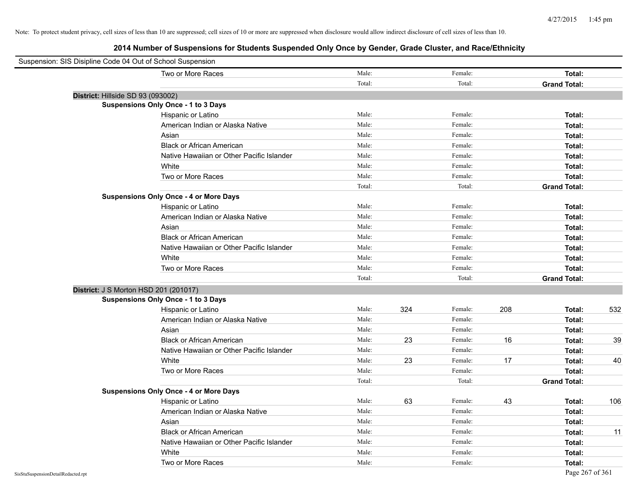| Suspension: SIS Disipline Code 04 Out of School Suspension |                                               |        |     |         |     |                     |     |
|------------------------------------------------------------|-----------------------------------------------|--------|-----|---------|-----|---------------------|-----|
|                                                            | Two or More Races                             | Male:  |     | Female: |     | Total:              |     |
|                                                            |                                               | Total: |     | Total:  |     | <b>Grand Total:</b> |     |
| District: Hillside SD 93 (093002)                          |                                               |        |     |         |     |                     |     |
|                                                            | <b>Suspensions Only Once - 1 to 3 Days</b>    |        |     |         |     |                     |     |
|                                                            | Hispanic or Latino                            | Male:  |     | Female: |     | Total:              |     |
|                                                            | American Indian or Alaska Native              | Male:  |     | Female: |     | Total:              |     |
|                                                            | Asian                                         | Male:  |     | Female: |     | Total:              |     |
|                                                            | <b>Black or African American</b>              | Male:  |     | Female: |     | Total:              |     |
|                                                            | Native Hawaiian or Other Pacific Islander     | Male:  |     | Female: |     | Total:              |     |
|                                                            | White                                         | Male:  |     | Female: |     | Total:              |     |
|                                                            | Two or More Races                             | Male:  |     | Female: |     | Total:              |     |
|                                                            |                                               | Total: |     | Total:  |     | <b>Grand Total:</b> |     |
|                                                            | <b>Suspensions Only Once - 4 or More Days</b> |        |     |         |     |                     |     |
|                                                            | Hispanic or Latino                            | Male:  |     | Female: |     | Total:              |     |
|                                                            | American Indian or Alaska Native              | Male:  |     | Female: |     | Total:              |     |
|                                                            | Asian                                         | Male:  |     | Female: |     | Total:              |     |
|                                                            | <b>Black or African American</b>              | Male:  |     | Female: |     | Total:              |     |
|                                                            | Native Hawaiian or Other Pacific Islander     | Male:  |     | Female: |     | Total:              |     |
|                                                            | White                                         | Male:  |     | Female: |     | Total:              |     |
|                                                            | Two or More Races                             | Male:  |     | Female: |     | Total:              |     |
|                                                            |                                               | Total: |     | Total:  |     | <b>Grand Total:</b> |     |
| District: J S Morton HSD 201 (201017)                      |                                               |        |     |         |     |                     |     |
|                                                            | <b>Suspensions Only Once - 1 to 3 Days</b>    |        |     |         |     |                     |     |
|                                                            | Hispanic or Latino                            | Male:  | 324 | Female: | 208 | Total:              | 532 |
|                                                            | American Indian or Alaska Native              | Male:  |     | Female: |     | Total:              |     |
|                                                            | Asian                                         | Male:  |     | Female: |     | Total:              |     |
|                                                            | <b>Black or African American</b>              | Male:  | 23  | Female: | 16  | Total:              | 39  |
|                                                            | Native Hawaiian or Other Pacific Islander     | Male:  |     | Female: |     | Total:              |     |
|                                                            | White                                         | Male:  | 23  | Female: | 17  | Total:              | 40  |
|                                                            | Two or More Races                             | Male:  |     | Female: |     | Total:              |     |
|                                                            |                                               | Total: |     | Total:  |     | <b>Grand Total:</b> |     |
|                                                            | <b>Suspensions Only Once - 4 or More Days</b> |        |     |         |     |                     |     |
|                                                            | Hispanic or Latino                            | Male:  | 63  | Female: | 43  | Total:              | 106 |
|                                                            | American Indian or Alaska Native              | Male:  |     | Female: |     | Total:              |     |
|                                                            | Asian                                         | Male:  |     | Female: |     | Total:              |     |
|                                                            | <b>Black or African American</b>              | Male:  |     | Female: |     | Total:              | 11  |
|                                                            | Native Hawaiian or Other Pacific Islander     | Male:  |     | Female: |     | Total:              |     |
|                                                            | White                                         | Male:  |     | Female: |     | Total:              |     |
|                                                            | Two or More Races                             | Male:  |     | Female: |     | Total:              |     |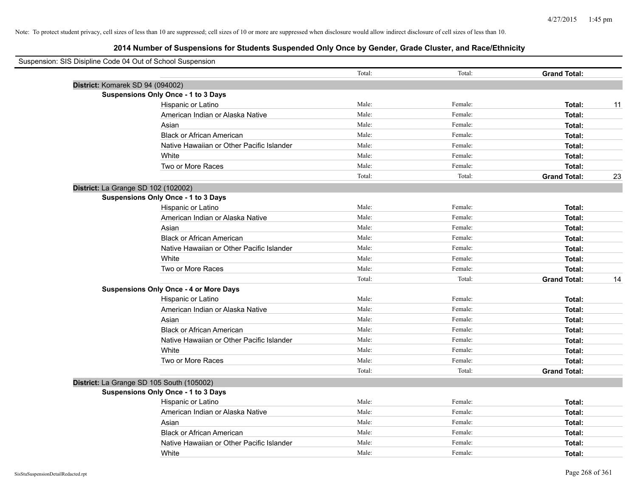| Suspension: SIS Disipline Code 04 Out of School Suspension |                                               |        |         |                     |    |
|------------------------------------------------------------|-----------------------------------------------|--------|---------|---------------------|----|
|                                                            |                                               | Total: | Total:  | <b>Grand Total:</b> |    |
|                                                            | District: Komarek SD 94 (094002)              |        |         |                     |    |
|                                                            | <b>Suspensions Only Once - 1 to 3 Days</b>    |        |         |                     |    |
|                                                            | Hispanic or Latino                            | Male:  | Female: | Total:              | 11 |
|                                                            | American Indian or Alaska Native              | Male:  | Female: | Total:              |    |
|                                                            | Asian                                         | Male:  | Female: | Total:              |    |
|                                                            | <b>Black or African American</b>              | Male:  | Female: | Total:              |    |
|                                                            | Native Hawaiian or Other Pacific Islander     | Male:  | Female: | Total:              |    |
|                                                            | White                                         | Male:  | Female: | Total:              |    |
|                                                            | Two or More Races                             | Male:  | Female: | Total:              |    |
|                                                            |                                               | Total: | Total:  | <b>Grand Total:</b> | 23 |
|                                                            | District: La Grange SD 102 (102002)           |        |         |                     |    |
|                                                            | Suspensions Only Once - 1 to 3 Days           |        |         |                     |    |
|                                                            | Hispanic or Latino                            | Male:  | Female: | Total:              |    |
|                                                            | American Indian or Alaska Native              | Male:  | Female: | Total:              |    |
|                                                            | Asian                                         | Male:  | Female: | Total:              |    |
|                                                            | <b>Black or African American</b>              | Male:  | Female: | Total:              |    |
|                                                            | Native Hawaiian or Other Pacific Islander     | Male:  | Female: | Total:              |    |
|                                                            | White                                         | Male:  | Female: | Total:              |    |
|                                                            | Two or More Races                             | Male:  | Female: | Total:              |    |
|                                                            |                                               | Total: | Total:  | <b>Grand Total:</b> | 14 |
|                                                            | <b>Suspensions Only Once - 4 or More Days</b> |        |         |                     |    |
|                                                            | Hispanic or Latino                            | Male:  | Female: | Total:              |    |
|                                                            | American Indian or Alaska Native              | Male:  | Female: | Total:              |    |
|                                                            | Asian                                         | Male:  | Female: | Total:              |    |
|                                                            | <b>Black or African American</b>              | Male:  | Female: | Total:              |    |
|                                                            | Native Hawaiian or Other Pacific Islander     | Male:  | Female: | Total:              |    |
|                                                            | White                                         | Male:  | Female: | Total:              |    |
|                                                            | Two or More Races                             | Male:  | Female: | Total:              |    |
|                                                            |                                               | Total: | Total:  | <b>Grand Total:</b> |    |
|                                                            | District: La Grange SD 105 South (105002)     |        |         |                     |    |
|                                                            | <b>Suspensions Only Once - 1 to 3 Days</b>    |        |         |                     |    |
|                                                            | Hispanic or Latino                            | Male:  | Female: | Total:              |    |
|                                                            | American Indian or Alaska Native              | Male:  | Female: | Total:              |    |
|                                                            | Asian                                         | Male:  | Female: | Total:              |    |
|                                                            | <b>Black or African American</b>              | Male:  | Female: | Total:              |    |
|                                                            | Native Hawaiian or Other Pacific Islander     | Male:  | Female: | Total:              |    |
|                                                            | White                                         | Male:  | Female: | Total:              |    |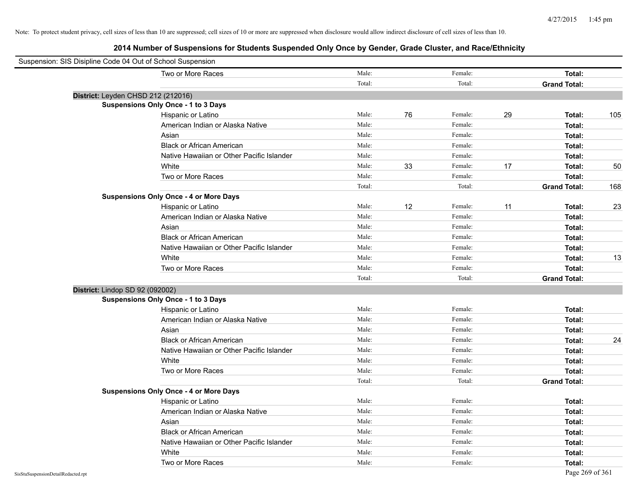| Suspension: SIS Disipline Code 04 Out of School Suspension |                                               |        |    |         |    |                     |     |
|------------------------------------------------------------|-----------------------------------------------|--------|----|---------|----|---------------------|-----|
|                                                            | Two or More Races                             | Male:  |    | Female: |    | Total:              |     |
|                                                            |                                               | Total: |    | Total:  |    | <b>Grand Total:</b> |     |
| District: Leyden CHSD 212 (212016)                         |                                               |        |    |         |    |                     |     |
|                                                            | <b>Suspensions Only Once - 1 to 3 Days</b>    |        |    |         |    |                     |     |
|                                                            | Hispanic or Latino                            | Male:  | 76 | Female: | 29 | Total:              | 105 |
|                                                            | American Indian or Alaska Native              | Male:  |    | Female: |    | Total:              |     |
|                                                            | Asian                                         | Male:  |    | Female: |    | Total:              |     |
|                                                            | <b>Black or African American</b>              | Male:  |    | Female: |    | Total:              |     |
|                                                            | Native Hawaiian or Other Pacific Islander     | Male:  |    | Female: |    | Total:              |     |
|                                                            | White                                         | Male:  | 33 | Female: | 17 | Total:              | 50  |
|                                                            | Two or More Races                             | Male:  |    | Female: |    | Total:              |     |
|                                                            |                                               | Total: |    | Total:  |    | <b>Grand Total:</b> | 168 |
|                                                            | <b>Suspensions Only Once - 4 or More Days</b> |        |    |         |    |                     |     |
|                                                            | Hispanic or Latino                            | Male:  | 12 | Female: | 11 | Total:              | 23  |
|                                                            | American Indian or Alaska Native              | Male:  |    | Female: |    | Total:              |     |
|                                                            | Asian                                         | Male:  |    | Female: |    | Total:              |     |
|                                                            | <b>Black or African American</b>              | Male:  |    | Female: |    | Total:              |     |
|                                                            | Native Hawaiian or Other Pacific Islander     | Male:  |    | Female: |    | Total:              |     |
|                                                            | White                                         | Male:  |    | Female: |    | Total:              | 13  |
|                                                            | Two or More Races                             | Male:  |    | Female: |    | Total:              |     |
|                                                            |                                               | Total: |    | Total:  |    | <b>Grand Total:</b> |     |
| District: Lindop SD 92 (092002)                            |                                               |        |    |         |    |                     |     |
|                                                            | <b>Suspensions Only Once - 1 to 3 Days</b>    |        |    |         |    |                     |     |
|                                                            | Hispanic or Latino                            | Male:  |    | Female: |    | Total:              |     |
|                                                            | American Indian or Alaska Native              | Male:  |    | Female: |    | Total:              |     |
|                                                            | Asian                                         | Male:  |    | Female: |    | Total:              |     |
|                                                            | <b>Black or African American</b>              | Male:  |    | Female: |    | Total:              | 24  |
|                                                            | Native Hawaiian or Other Pacific Islander     | Male:  |    | Female: |    | Total:              |     |
|                                                            | White                                         | Male:  |    | Female: |    | Total:              |     |
|                                                            | Two or More Races                             | Male:  |    | Female: |    | Total:              |     |
|                                                            |                                               | Total: |    | Total:  |    | <b>Grand Total:</b> |     |
|                                                            | <b>Suspensions Only Once - 4 or More Days</b> |        |    |         |    |                     |     |
|                                                            | Hispanic or Latino                            | Male:  |    | Female: |    | Total:              |     |
|                                                            | American Indian or Alaska Native              | Male:  |    | Female: |    | Total:              |     |
|                                                            | Asian                                         | Male:  |    | Female: |    | Total:              |     |
|                                                            | <b>Black or African American</b>              | Male:  |    | Female: |    | Total:              |     |
|                                                            | Native Hawaiian or Other Pacific Islander     | Male:  |    | Female: |    | Total:              |     |
|                                                            | White                                         | Male:  |    | Female: |    | Total:              |     |
|                                                            | Two or More Races                             | Male:  |    | Female: |    | Total:              |     |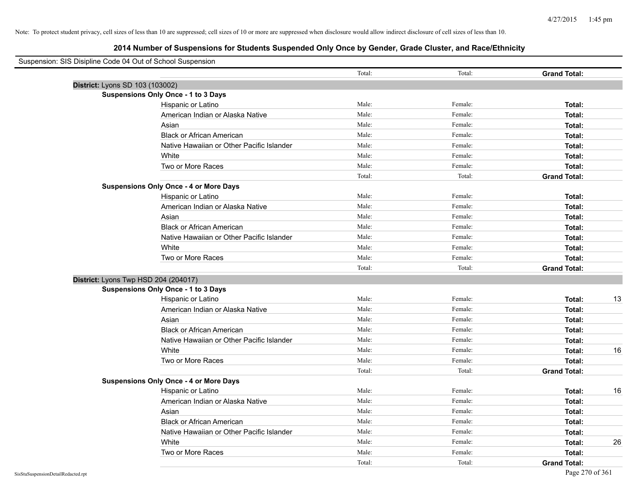| Suspension: SIS Disipline Code 04 Out of School Suspension |                                               |        |         |                     |    |
|------------------------------------------------------------|-----------------------------------------------|--------|---------|---------------------|----|
|                                                            |                                               | Total: | Total:  | <b>Grand Total:</b> |    |
| District: Lyons SD 103 (103002)                            |                                               |        |         |                     |    |
|                                                            | <b>Suspensions Only Once - 1 to 3 Days</b>    |        |         |                     |    |
|                                                            | Hispanic or Latino                            | Male:  | Female: | Total:              |    |
|                                                            | American Indian or Alaska Native              | Male:  | Female: | Total:              |    |
|                                                            | Asian                                         | Male:  | Female: | Total:              |    |
|                                                            | <b>Black or African American</b>              | Male:  | Female: | Total:              |    |
|                                                            | Native Hawaiian or Other Pacific Islander     | Male:  | Female: | Total:              |    |
|                                                            | White                                         | Male:  | Female: | Total:              |    |
|                                                            | Two or More Races                             | Male:  | Female: | Total:              |    |
|                                                            |                                               | Total: | Total:  | <b>Grand Total:</b> |    |
|                                                            | <b>Suspensions Only Once - 4 or More Days</b> |        |         |                     |    |
|                                                            | Hispanic or Latino                            | Male:  | Female: | Total:              |    |
|                                                            | American Indian or Alaska Native              | Male:  | Female: | Total:              |    |
|                                                            | Asian                                         | Male:  | Female: | Total:              |    |
|                                                            | <b>Black or African American</b>              | Male:  | Female: | Total:              |    |
|                                                            | Native Hawaiian or Other Pacific Islander     | Male:  | Female: | Total:              |    |
|                                                            | White                                         | Male:  | Female: | Total:              |    |
|                                                            | Two or More Races                             | Male:  | Female: | Total:              |    |
|                                                            |                                               | Total: | Total:  | <b>Grand Total:</b> |    |
| District: Lyons Twp HSD 204 (204017)                       |                                               |        |         |                     |    |
|                                                            | <b>Suspensions Only Once - 1 to 3 Days</b>    |        |         |                     |    |
|                                                            | Hispanic or Latino                            | Male:  | Female: | Total:              | 13 |
|                                                            | American Indian or Alaska Native              | Male:  | Female: | Total:              |    |
|                                                            | Asian                                         | Male:  | Female: | Total:              |    |
|                                                            | <b>Black or African American</b>              | Male:  | Female: | Total:              |    |
|                                                            | Native Hawaiian or Other Pacific Islander     | Male:  | Female: | Total:              |    |
|                                                            | White                                         | Male:  | Female: | Total:              | 16 |
|                                                            | Two or More Races                             | Male:  | Female: | Total:              |    |
|                                                            |                                               | Total: | Total:  | <b>Grand Total:</b> |    |
|                                                            | <b>Suspensions Only Once - 4 or More Days</b> |        |         |                     |    |
|                                                            | Hispanic or Latino                            | Male:  | Female: | Total:              | 16 |
|                                                            | American Indian or Alaska Native              | Male:  | Female: | Total:              |    |
|                                                            | Asian                                         | Male:  | Female: | Total:              |    |
|                                                            | <b>Black or African American</b>              | Male:  | Female: | Total:              |    |
|                                                            | Native Hawaiian or Other Pacific Islander     | Male:  | Female: | Total:              |    |
|                                                            | White                                         | Male:  | Female: | Total:              | 26 |
|                                                            | Two or More Races                             | Male:  | Female: | Total:              |    |
|                                                            |                                               | Total: | Total:  | <b>Grand Total:</b> |    |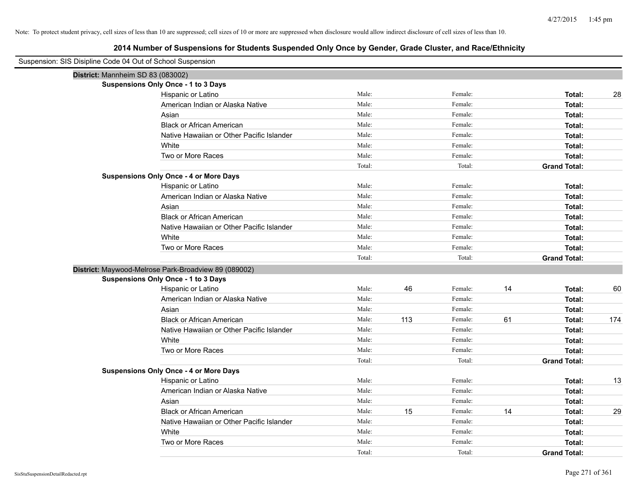| Suspension: SIS Disipline Code 04 Out of School Suspension |        |     |         |    |                     |     |
|------------------------------------------------------------|--------|-----|---------|----|---------------------|-----|
| District: Mannheim SD 83 (083002)                          |        |     |         |    |                     |     |
| Suspensions Only Once - 1 to 3 Days                        |        |     |         |    |                     |     |
| Hispanic or Latino                                         | Male:  |     | Female: |    | Total:              | 28  |
| American Indian or Alaska Native                           | Male:  |     | Female: |    | Total:              |     |
| Asian                                                      | Male:  |     | Female: |    | Total:              |     |
| <b>Black or African American</b>                           | Male:  |     | Female: |    | Total:              |     |
| Native Hawaiian or Other Pacific Islander                  | Male:  |     | Female: |    | Total:              |     |
| White                                                      | Male:  |     | Female: |    | Total:              |     |
| Two or More Races                                          | Male:  |     | Female: |    | Total:              |     |
|                                                            | Total: |     | Total:  |    | <b>Grand Total:</b> |     |
| <b>Suspensions Only Once - 4 or More Days</b>              |        |     |         |    |                     |     |
| Hispanic or Latino                                         | Male:  |     | Female: |    | Total:              |     |
| American Indian or Alaska Native                           | Male:  |     | Female: |    | Total:              |     |
| Asian                                                      | Male:  |     | Female: |    | Total:              |     |
| <b>Black or African American</b>                           | Male:  |     | Female: |    | Total:              |     |
| Native Hawaiian or Other Pacific Islander                  | Male:  |     | Female: |    | Total:              |     |
| White                                                      | Male:  |     | Female: |    | Total:              |     |
| Two or More Races                                          | Male:  |     | Female: |    | Total:              |     |
|                                                            | Total: |     | Total:  |    | <b>Grand Total:</b> |     |
| District: Maywood-Melrose Park-Broadview 89 (089002)       |        |     |         |    |                     |     |
| <b>Suspensions Only Once - 1 to 3 Days</b>                 |        |     |         |    |                     |     |
| Hispanic or Latino                                         | Male:  | 46  | Female: | 14 | Total:              | 60  |
| American Indian or Alaska Native                           | Male:  |     | Female: |    | Total:              |     |
| Asian                                                      | Male:  |     | Female: |    | Total:              |     |
| <b>Black or African American</b>                           | Male:  | 113 | Female: | 61 | Total:              | 174 |
| Native Hawaiian or Other Pacific Islander                  | Male:  |     | Female: |    | Total:              |     |
| White                                                      | Male:  |     | Female: |    | Total:              |     |
| Two or More Races                                          | Male:  |     | Female: |    | Total:              |     |
|                                                            | Total: |     | Total:  |    | <b>Grand Total:</b> |     |
| <b>Suspensions Only Once - 4 or More Days</b>              |        |     |         |    |                     |     |
| Hispanic or Latino                                         | Male:  |     | Female: |    | Total:              | 13  |
| American Indian or Alaska Native                           | Male:  |     | Female: |    | Total:              |     |
| Asian                                                      | Male:  |     | Female: |    | Total:              |     |
| <b>Black or African American</b>                           | Male:  | 15  | Female: | 14 | Total:              | 29  |
| Native Hawaiian or Other Pacific Islander                  | Male:  |     | Female: |    | Total:              |     |
| White                                                      | Male:  |     | Female: |    | Total:              |     |
| Two or More Races                                          | Male:  |     | Female: |    | Total:              |     |
|                                                            | Total: |     | Total:  |    | <b>Grand Total:</b> |     |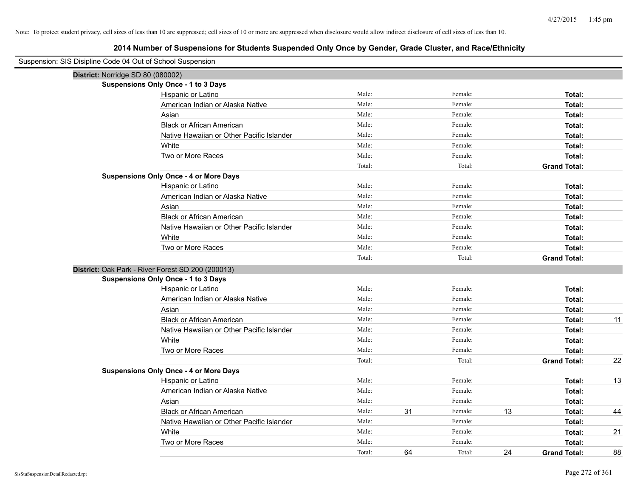| Suspension: SIS Disipline Code 04 Out of School Suspension |                                                   |        |    |         |    |                     |    |
|------------------------------------------------------------|---------------------------------------------------|--------|----|---------|----|---------------------|----|
| District: Norridge SD 80 (080002)                          |                                                   |        |    |         |    |                     |    |
|                                                            | <b>Suspensions Only Once - 1 to 3 Days</b>        |        |    |         |    |                     |    |
|                                                            | Hispanic or Latino                                | Male:  |    | Female: |    | Total:              |    |
|                                                            | American Indian or Alaska Native                  | Male:  |    | Female: |    | Total:              |    |
|                                                            | Asian                                             | Male:  |    | Female: |    | Total:              |    |
|                                                            | <b>Black or African American</b>                  | Male:  |    | Female: |    | Total:              |    |
|                                                            | Native Hawaiian or Other Pacific Islander         | Male:  |    | Female: |    | Total:              |    |
|                                                            | White                                             | Male:  |    | Female: |    | Total:              |    |
|                                                            | Two or More Races                                 | Male:  |    | Female: |    | Total:              |    |
|                                                            |                                                   | Total: |    | Total:  |    | <b>Grand Total:</b> |    |
|                                                            | <b>Suspensions Only Once - 4 or More Days</b>     |        |    |         |    |                     |    |
|                                                            | Hispanic or Latino                                | Male:  |    | Female: |    | Total:              |    |
|                                                            | American Indian or Alaska Native                  | Male:  |    | Female: |    | Total:              |    |
|                                                            | Asian                                             | Male:  |    | Female: |    | Total:              |    |
|                                                            | <b>Black or African American</b>                  | Male:  |    | Female: |    | Total:              |    |
|                                                            | Native Hawaiian or Other Pacific Islander         | Male:  |    | Female: |    | Total:              |    |
|                                                            | White                                             | Male:  |    | Female: |    | Total:              |    |
|                                                            | Two or More Races                                 | Male:  |    | Female: |    | Total:              |    |
|                                                            |                                                   | Total: |    | Total:  |    | <b>Grand Total:</b> |    |
|                                                            | District: Oak Park - River Forest SD 200 (200013) |        |    |         |    |                     |    |
|                                                            | <b>Suspensions Only Once - 1 to 3 Days</b>        |        |    |         |    |                     |    |
|                                                            | Hispanic or Latino                                | Male:  |    | Female: |    | Total:              |    |
|                                                            | American Indian or Alaska Native                  | Male:  |    | Female: |    | Total:              |    |
|                                                            | Asian                                             | Male:  |    | Female: |    | Total:              |    |
|                                                            | <b>Black or African American</b>                  | Male:  |    | Female: |    | Total:              | 11 |
|                                                            | Native Hawaiian or Other Pacific Islander         | Male:  |    | Female: |    | Total:              |    |
|                                                            | White                                             | Male:  |    | Female: |    | Total:              |    |
|                                                            | Two or More Races                                 | Male:  |    | Female: |    | Total:              |    |
|                                                            |                                                   | Total: |    | Total:  |    | <b>Grand Total:</b> | 22 |
|                                                            | <b>Suspensions Only Once - 4 or More Days</b>     |        |    |         |    |                     |    |
|                                                            | Hispanic or Latino                                | Male:  |    | Female: |    | Total:              | 13 |
|                                                            | American Indian or Alaska Native                  | Male:  |    | Female: |    | Total:              |    |
|                                                            | Asian                                             | Male:  |    | Female: |    | Total:              |    |
|                                                            | <b>Black or African American</b>                  | Male:  | 31 | Female: | 13 | Total:              | 44 |
|                                                            | Native Hawaiian or Other Pacific Islander         | Male:  |    | Female: |    | Total:              |    |
|                                                            | White                                             | Male:  |    | Female: |    | Total:              | 21 |
|                                                            | Two or More Races                                 | Male:  |    | Female: |    | Total:              |    |
|                                                            |                                                   | Total: | 64 | Total:  | 24 | <b>Grand Total:</b> | 88 |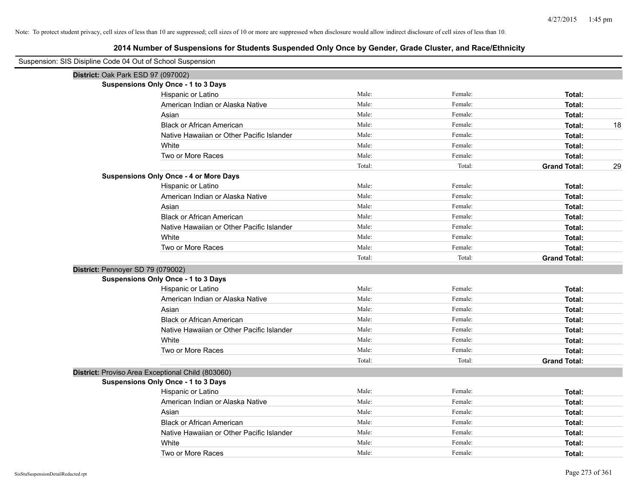| Suspension: SIS Disipline Code 04 Out of School Suspension |                                                   |        |         |                           |
|------------------------------------------------------------|---------------------------------------------------|--------|---------|---------------------------|
|                                                            | District: Oak Park ESD 97 (097002)                |        |         |                           |
|                                                            | <b>Suspensions Only Once - 1 to 3 Days</b>        |        |         |                           |
|                                                            | Hispanic or Latino                                | Male:  | Female: | Total:                    |
|                                                            | American Indian or Alaska Native                  | Male:  | Female: | Total:                    |
|                                                            | Asian                                             | Male:  | Female: | Total:                    |
|                                                            | <b>Black or African American</b>                  | Male:  | Female: | 18<br>Total:              |
|                                                            | Native Hawaiian or Other Pacific Islander         | Male:  | Female: | Total:                    |
|                                                            | White                                             | Male:  | Female: | Total:                    |
|                                                            | Two or More Races                                 | Male:  | Female: | Total:                    |
|                                                            |                                                   | Total: | Total:  | 29<br><b>Grand Total:</b> |
|                                                            | <b>Suspensions Only Once - 4 or More Days</b>     |        |         |                           |
|                                                            | Hispanic or Latino                                | Male:  | Female: | Total:                    |
|                                                            | American Indian or Alaska Native                  | Male:  | Female: | Total:                    |
|                                                            | Asian                                             | Male:  | Female: | Total:                    |
|                                                            | <b>Black or African American</b>                  | Male:  | Female: | Total:                    |
|                                                            | Native Hawaiian or Other Pacific Islander         | Male:  | Female: | Total:                    |
|                                                            | White                                             | Male:  | Female: | Total:                    |
|                                                            | Two or More Races                                 | Male:  | Female: | Total:                    |
|                                                            |                                                   | Total: | Total:  | <b>Grand Total:</b>       |
|                                                            | District: Pennoyer SD 79 (079002)                 |        |         |                           |
|                                                            | <b>Suspensions Only Once - 1 to 3 Days</b>        |        |         |                           |
|                                                            | Hispanic or Latino                                | Male:  | Female: | Total:                    |
|                                                            | American Indian or Alaska Native                  | Male:  | Female: | Total:                    |
|                                                            | Asian                                             | Male:  | Female: | Total:                    |
|                                                            | <b>Black or African American</b>                  | Male:  | Female: | Total:                    |
|                                                            | Native Hawaiian or Other Pacific Islander         | Male:  | Female: | Total:                    |
|                                                            | White                                             | Male:  | Female: | Total:                    |
|                                                            | Two or More Races                                 | Male:  | Female: | Total:                    |
|                                                            |                                                   | Total: | Total:  | <b>Grand Total:</b>       |
|                                                            | District: Proviso Area Exceptional Child (803060) |        |         |                           |
|                                                            | <b>Suspensions Only Once - 1 to 3 Days</b>        |        |         |                           |
|                                                            | Hispanic or Latino                                | Male:  | Female: | Total:                    |
|                                                            | American Indian or Alaska Native                  | Male:  | Female: | Total:                    |
|                                                            | Asian                                             | Male:  | Female: | Total:                    |
|                                                            | <b>Black or African American</b>                  | Male:  | Female: | Total:                    |
|                                                            | Native Hawaiian or Other Pacific Islander         | Male:  | Female: | Total:                    |
|                                                            | White                                             | Male:  | Female: | Total:                    |
|                                                            | Two or More Races                                 | Male:  | Female: | Total:                    |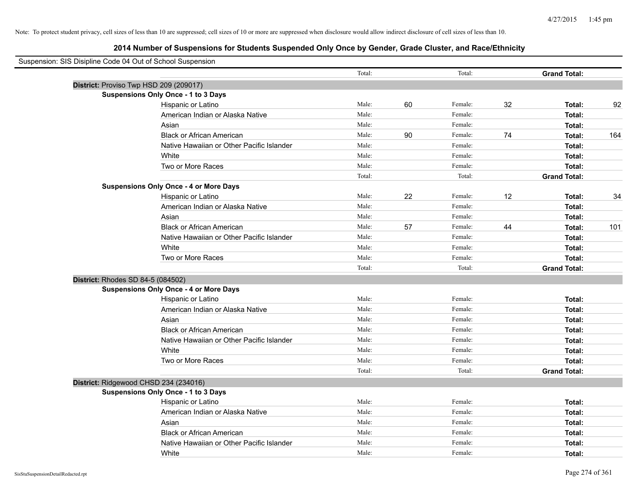| Suspension: SIS Disipline Code 04 Out of School Suspension |                                               |        |    |         |    |                     |     |
|------------------------------------------------------------|-----------------------------------------------|--------|----|---------|----|---------------------|-----|
|                                                            |                                               | Total: |    | Total:  |    | <b>Grand Total:</b> |     |
|                                                            | District: Proviso Twp HSD 209 (209017)        |        |    |         |    |                     |     |
|                                                            | <b>Suspensions Only Once - 1 to 3 Days</b>    |        |    |         |    |                     |     |
|                                                            | Hispanic or Latino                            | Male:  | 60 | Female: | 32 | Total:              | 92  |
|                                                            | American Indian or Alaska Native              | Male:  |    | Female: |    | Total:              |     |
|                                                            | Asian                                         | Male:  |    | Female: |    | Total:              |     |
|                                                            | <b>Black or African American</b>              | Male:  | 90 | Female: | 74 | Total:              | 164 |
|                                                            | Native Hawaiian or Other Pacific Islander     | Male:  |    | Female: |    | Total:              |     |
|                                                            | White                                         | Male:  |    | Female: |    | Total:              |     |
|                                                            | Two or More Races                             | Male:  |    | Female: |    | Total:              |     |
|                                                            |                                               | Total: |    | Total:  |    | <b>Grand Total:</b> |     |
|                                                            | <b>Suspensions Only Once - 4 or More Days</b> |        |    |         |    |                     |     |
|                                                            | Hispanic or Latino                            | Male:  | 22 | Female: | 12 | Total:              | 34  |
|                                                            | American Indian or Alaska Native              | Male:  |    | Female: |    | Total:              |     |
|                                                            | Asian                                         | Male:  |    | Female: |    | Total:              |     |
|                                                            | <b>Black or African American</b>              | Male:  | 57 | Female: | 44 | Total:              | 101 |
|                                                            | Native Hawaiian or Other Pacific Islander     | Male:  |    | Female: |    | Total:              |     |
|                                                            | White                                         | Male:  |    | Female: |    | Total:              |     |
|                                                            | Two or More Races                             | Male:  |    | Female: |    | Total:              |     |
|                                                            |                                               | Total: |    | Total:  |    | <b>Grand Total:</b> |     |
| District: Rhodes SD 84-5 (084502)                          |                                               |        |    |         |    |                     |     |
|                                                            | <b>Suspensions Only Once - 4 or More Days</b> |        |    |         |    |                     |     |
|                                                            | Hispanic or Latino                            | Male:  |    | Female: |    | Total:              |     |
|                                                            | American Indian or Alaska Native              | Male:  |    | Female: |    | Total:              |     |
|                                                            | Asian                                         | Male:  |    | Female: |    | Total:              |     |
|                                                            | <b>Black or African American</b>              | Male:  |    | Female: |    | Total:              |     |
|                                                            | Native Hawaiian or Other Pacific Islander     | Male:  |    | Female: |    | Total:              |     |
|                                                            | White                                         | Male:  |    | Female: |    | Total:              |     |
|                                                            | Two or More Races                             | Male:  |    | Female: |    | Total:              |     |
|                                                            |                                               | Total: |    | Total:  |    | <b>Grand Total:</b> |     |
|                                                            | District: Ridgewood CHSD 234 (234016)         |        |    |         |    |                     |     |
|                                                            | <b>Suspensions Only Once - 1 to 3 Days</b>    |        |    |         |    |                     |     |
|                                                            | Hispanic or Latino                            | Male:  |    | Female: |    | Total:              |     |
|                                                            | American Indian or Alaska Native              | Male:  |    | Female: |    | Total:              |     |
|                                                            | Asian                                         | Male:  |    | Female: |    | Total:              |     |
|                                                            | <b>Black or African American</b>              | Male:  |    | Female: |    | Total:              |     |
|                                                            | Native Hawaiian or Other Pacific Islander     | Male:  |    | Female: |    | Total:              |     |
|                                                            | White                                         | Male:  |    | Female: |    | Total:              |     |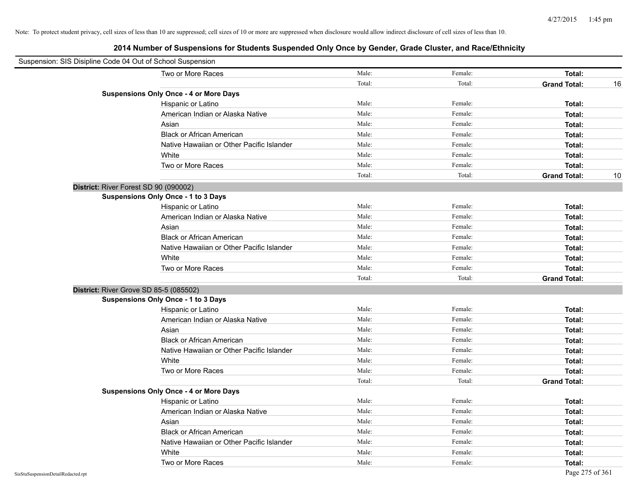| Suspension: SIS Disipline Code 04 Out of School Suspension |                                               |        |         |                     |    |
|------------------------------------------------------------|-----------------------------------------------|--------|---------|---------------------|----|
|                                                            | Two or More Races                             | Male:  | Female: | Total:              |    |
|                                                            |                                               | Total: | Total:  | <b>Grand Total:</b> | 16 |
|                                                            | <b>Suspensions Only Once - 4 or More Days</b> |        |         |                     |    |
|                                                            | Hispanic or Latino                            | Male:  | Female: | Total:              |    |
|                                                            | American Indian or Alaska Native              | Male:  | Female: | Total:              |    |
|                                                            | Asian                                         | Male:  | Female: | Total:              |    |
|                                                            | <b>Black or African American</b>              | Male:  | Female: | Total:              |    |
|                                                            | Native Hawaiian or Other Pacific Islander     | Male:  | Female: | Total:              |    |
|                                                            | White                                         | Male:  | Female: | Total:              |    |
|                                                            | Two or More Races                             | Male:  | Female: | Total:              |    |
|                                                            |                                               | Total: | Total:  | <b>Grand Total:</b> | 10 |
| District: River Forest SD 90 (090002)                      |                                               |        |         |                     |    |
|                                                            | Suspensions Only Once - 1 to 3 Days           |        |         |                     |    |
|                                                            | Hispanic or Latino                            | Male:  | Female: | Total:              |    |
|                                                            | American Indian or Alaska Native              | Male:  | Female: | Total:              |    |
|                                                            | Asian                                         | Male:  | Female: | Total:              |    |
|                                                            | <b>Black or African American</b>              | Male:  | Female: | Total:              |    |
|                                                            | Native Hawaiian or Other Pacific Islander     | Male:  | Female: | Total:              |    |
|                                                            | White                                         | Male:  | Female: | Total:              |    |
|                                                            | Two or More Races                             | Male:  | Female: | Total:              |    |
|                                                            |                                               | Total: | Total:  | <b>Grand Total:</b> |    |
| District: River Grove SD 85-5 (085502)                     |                                               |        |         |                     |    |
|                                                            | Suspensions Only Once - 1 to 3 Days           |        |         |                     |    |
|                                                            | Hispanic or Latino                            | Male:  | Female: | Total:              |    |
|                                                            | American Indian or Alaska Native              | Male:  | Female: | Total:              |    |
|                                                            | Asian                                         | Male:  | Female: | Total:              |    |
|                                                            | <b>Black or African American</b>              | Male:  | Female: | Total:              |    |
|                                                            | Native Hawaiian or Other Pacific Islander     | Male:  | Female: | Total:              |    |
|                                                            | White                                         | Male:  | Female: | Total:              |    |
|                                                            | Two or More Races                             | Male:  | Female: | Total:              |    |
|                                                            |                                               | Total: | Total:  | <b>Grand Total:</b> |    |
|                                                            | <b>Suspensions Only Once - 4 or More Days</b> |        |         |                     |    |
|                                                            | Hispanic or Latino                            | Male:  | Female: | Total:              |    |
|                                                            | American Indian or Alaska Native              | Male:  | Female: | Total:              |    |
|                                                            | Asian                                         | Male:  | Female: | Total:              |    |
|                                                            | <b>Black or African American</b>              | Male:  | Female: | Total:              |    |
|                                                            | Native Hawaiian or Other Pacific Islander     | Male:  | Female: | Total:              |    |
|                                                            | White                                         | Male:  | Female: | Total:              |    |
|                                                            | Two or More Races                             | Male:  | Female: | Total:              |    |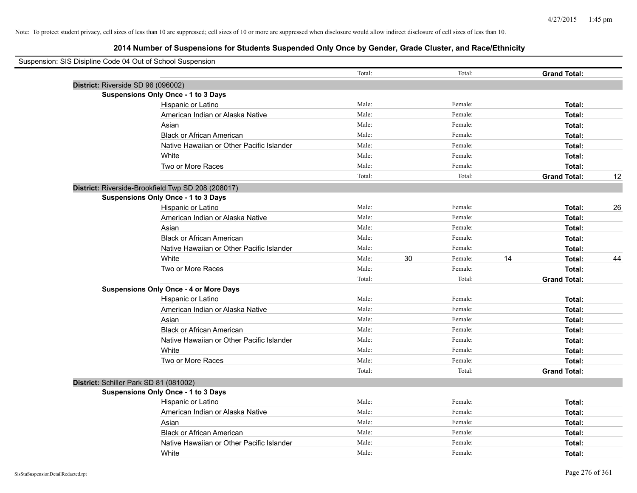| Suspension: SIS Disipline Code 04 Out of School Suspension |                                                    |        |               |                     |    |
|------------------------------------------------------------|----------------------------------------------------|--------|---------------|---------------------|----|
|                                                            |                                                    | Total: | Total:        | <b>Grand Total:</b> |    |
|                                                            | District: Riverside SD 96 (096002)                 |        |               |                     |    |
|                                                            | <b>Suspensions Only Once - 1 to 3 Days</b>         |        |               |                     |    |
|                                                            | Hispanic or Latino                                 | Male:  | Female:       | Total:              |    |
|                                                            | American Indian or Alaska Native                   | Male:  | Female:       | Total:              |    |
|                                                            | Asian                                              | Male:  | Female:       | Total:              |    |
|                                                            | <b>Black or African American</b>                   | Male:  | Female:       | Total:              |    |
|                                                            | Native Hawaiian or Other Pacific Islander          | Male:  | Female:       | Total:              |    |
|                                                            | White                                              | Male:  | Female:       | Total:              |    |
|                                                            | Two or More Races                                  | Male:  | Female:       | Total:              |    |
|                                                            |                                                    | Total: | Total:        | <b>Grand Total:</b> | 12 |
|                                                            | District: Riverside-Brookfield Twp SD 208 (208017) |        |               |                     |    |
|                                                            | Suspensions Only Once - 1 to 3 Days                |        |               |                     |    |
|                                                            | Hispanic or Latino                                 | Male:  | Female:       | Total:              | 26 |
|                                                            | American Indian or Alaska Native                   | Male:  | Female:       | Total:              |    |
|                                                            | Asian                                              | Male:  | Female:       | Total:              |    |
|                                                            | <b>Black or African American</b>                   | Male:  | Female:       | Total:              |    |
|                                                            | Native Hawaiian or Other Pacific Islander          | Male:  | Female:       | Total:              |    |
|                                                            | White                                              | Male:  | 30<br>Female: | 14<br>Total:        | 44 |
|                                                            | Two or More Races                                  | Male:  | Female:       | Total:              |    |
|                                                            |                                                    | Total: | Total:        | <b>Grand Total:</b> |    |
|                                                            | <b>Suspensions Only Once - 4 or More Days</b>      |        |               |                     |    |
|                                                            | Hispanic or Latino                                 | Male:  | Female:       | Total:              |    |
|                                                            | American Indian or Alaska Native                   | Male:  | Female:       | Total:              |    |
|                                                            | Asian                                              | Male:  | Female:       | Total:              |    |
|                                                            | <b>Black or African American</b>                   | Male:  | Female:       | Total:              |    |
|                                                            | Native Hawaiian or Other Pacific Islander          | Male:  | Female:       | Total:              |    |
|                                                            | White                                              | Male:  | Female:       | Total:              |    |
|                                                            | Two or More Races                                  | Male:  | Female:       | Total:              |    |
|                                                            |                                                    | Total: | Total:        | <b>Grand Total:</b> |    |
|                                                            | District: Schiller Park SD 81 (081002)             |        |               |                     |    |
|                                                            | <b>Suspensions Only Once - 1 to 3 Days</b>         |        |               |                     |    |
|                                                            | Hispanic or Latino                                 | Male:  | Female:       | Total:              |    |
|                                                            | American Indian or Alaska Native                   | Male:  | Female:       | Total:              |    |
|                                                            | Asian                                              | Male:  | Female:       | Total:              |    |
|                                                            | <b>Black or African American</b>                   | Male:  | Female:       | Total:              |    |
|                                                            | Native Hawaiian or Other Pacific Islander          | Male:  | Female:       | Total:              |    |
|                                                            | White                                              | Male:  | Female:       | Total:              |    |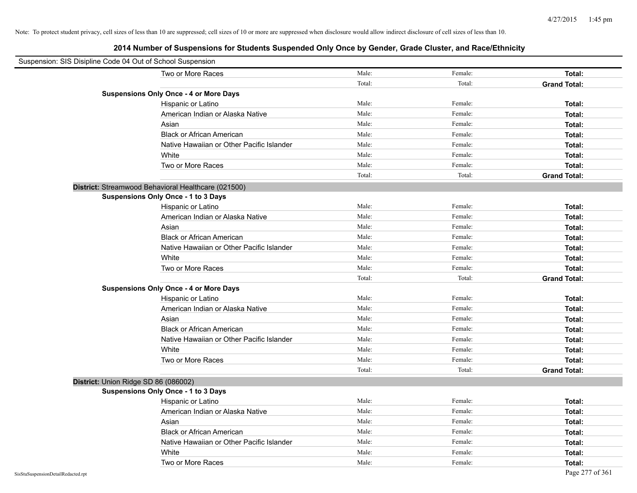| Suspension: SIS Disipline Code 04 Out of School Suspension |                                                     |        |         |                     |
|------------------------------------------------------------|-----------------------------------------------------|--------|---------|---------------------|
|                                                            | Two or More Races                                   | Male:  | Female: | Total:              |
|                                                            |                                                     | Total: | Total:  | <b>Grand Total:</b> |
|                                                            | <b>Suspensions Only Once - 4 or More Days</b>       |        |         |                     |
|                                                            | Hispanic or Latino                                  | Male:  | Female: | Total:              |
|                                                            | American Indian or Alaska Native                    | Male:  | Female: | Total:              |
|                                                            | Asian                                               | Male:  | Female: | Total:              |
|                                                            | <b>Black or African American</b>                    | Male:  | Female: | Total:              |
|                                                            | Native Hawaiian or Other Pacific Islander           | Male:  | Female: | Total:              |
|                                                            | White                                               | Male:  | Female: | Total:              |
|                                                            | Two or More Races                                   | Male:  | Female: | Total:              |
|                                                            |                                                     | Total: | Total:  | <b>Grand Total:</b> |
|                                                            | District: Streamwood Behavioral Healthcare (021500) |        |         |                     |
|                                                            | Suspensions Only Once - 1 to 3 Days                 |        |         |                     |
|                                                            | Hispanic or Latino                                  | Male:  | Female: | Total:              |
|                                                            | American Indian or Alaska Native                    | Male:  | Female: | Total:              |
|                                                            | Asian                                               | Male:  | Female: | Total:              |
|                                                            | <b>Black or African American</b>                    | Male:  | Female: | Total:              |
|                                                            | Native Hawaiian or Other Pacific Islander           | Male:  | Female: | Total:              |
|                                                            | White                                               | Male:  | Female: | Total:              |
|                                                            | Two or More Races                                   | Male:  | Female: | Total:              |
|                                                            |                                                     | Total: | Total:  | <b>Grand Total:</b> |
|                                                            | <b>Suspensions Only Once - 4 or More Days</b>       |        |         |                     |
|                                                            | Hispanic or Latino                                  | Male:  | Female: | Total:              |
|                                                            | American Indian or Alaska Native                    | Male:  | Female: | Total:              |
|                                                            | Asian                                               | Male:  | Female: | Total:              |
|                                                            | <b>Black or African American</b>                    | Male:  | Female: | Total:              |
|                                                            | Native Hawaiian or Other Pacific Islander           | Male:  | Female: | Total:              |
|                                                            | White                                               | Male:  | Female: | Total:              |
|                                                            | Two or More Races                                   | Male:  | Female: | Total:              |
|                                                            |                                                     | Total: | Total:  | <b>Grand Total:</b> |
| District: Union Ridge SD 86 (086002)                       |                                                     |        |         |                     |
|                                                            | Suspensions Only Once - 1 to 3 Days                 |        |         |                     |
|                                                            | Hispanic or Latino                                  | Male:  | Female: | Total:              |
|                                                            | American Indian or Alaska Native                    | Male:  | Female: | Total:              |
|                                                            | Asian                                               | Male:  | Female: | Total:              |
|                                                            | <b>Black or African American</b>                    | Male:  | Female: | Total:              |
|                                                            | Native Hawaiian or Other Pacific Islander           | Male:  | Female: | Total:              |
|                                                            | White                                               | Male:  | Female: | Total:              |
|                                                            | Two or More Races                                   | Male:  | Female: | Total:              |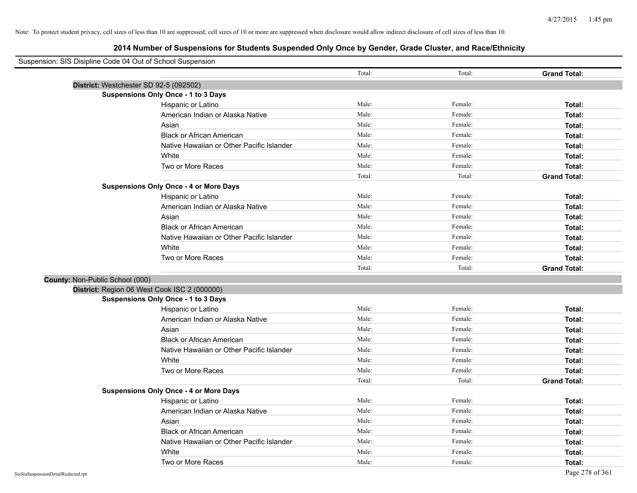| Suspension: SIS Disipline Code 04 Out of School Suspension |                                               |        |         |                     |
|------------------------------------------------------------|-----------------------------------------------|--------|---------|---------------------|
|                                                            |                                               | Total: | Total:  | <b>Grand Total:</b> |
| District: Westchester SD 92-5 (092502)                     |                                               |        |         |                     |
|                                                            | <b>Suspensions Only Once - 1 to 3 Days</b>    |        |         |                     |
|                                                            | Hispanic or Latino                            | Male:  | Female: | Total:              |
|                                                            | American Indian or Alaska Native              | Male:  | Female: | Total:              |
|                                                            | Asian                                         | Male:  | Female: | Total:              |
|                                                            | <b>Black or African American</b>              | Male:  | Female: | Total:              |
|                                                            | Native Hawaiian or Other Pacific Islander     | Male:  | Female: | Total:              |
|                                                            | White                                         | Male:  | Female: | Total:              |
|                                                            | Two or More Races                             | Male:  | Female: | Total:              |
|                                                            |                                               | Total: | Total:  | <b>Grand Total:</b> |
|                                                            | <b>Suspensions Only Once - 4 or More Days</b> |        |         |                     |
|                                                            | Hispanic or Latino                            | Male:  | Female: | Total:              |
|                                                            | American Indian or Alaska Native              | Male:  | Female: | Total:              |
|                                                            | Asian                                         | Male:  | Female: | Total:              |
|                                                            | <b>Black or African American</b>              | Male:  | Female: | Total:              |
|                                                            | Native Hawaiian or Other Pacific Islander     | Male:  | Female: | Total:              |
|                                                            | White                                         | Male:  | Female: | Total:              |
|                                                            | Two or More Races                             | Male:  | Female: | Total:              |
|                                                            |                                               | Total: | Total:  | <b>Grand Total:</b> |
| County: Non-Public School (000)                            |                                               |        |         |                     |
| District: Region 06 West Cook ISC 2 (000000)               |                                               |        |         |                     |
|                                                            | <b>Suspensions Only Once - 1 to 3 Days</b>    |        |         |                     |
|                                                            | Hispanic or Latino                            | Male:  | Female: | Total:              |
|                                                            | American Indian or Alaska Native              | Male:  | Female: | Total:              |
|                                                            | Asian                                         | Male:  | Female: | Total:              |
|                                                            | <b>Black or African American</b>              | Male:  | Female: | Total:              |
|                                                            | Native Hawaiian or Other Pacific Islander     | Male:  | Female: | Total:              |
|                                                            | White                                         | Male:  | Female: | Total:              |
|                                                            | Two or More Races                             | Male:  | Female: | Total:              |
|                                                            |                                               | Total: | Total:  | <b>Grand Total:</b> |
|                                                            | <b>Suspensions Only Once - 4 or More Days</b> |        |         |                     |
|                                                            | Hispanic or Latino                            | Male:  | Female: | Total:              |
|                                                            | American Indian or Alaska Native              | Male:  | Female: | Total:              |
|                                                            | Asian                                         | Male:  | Female: | Total:              |
|                                                            | <b>Black or African American</b>              | Male:  | Female: | Total:              |
|                                                            | Native Hawaiian or Other Pacific Islander     | Male:  | Female: | Total:              |
|                                                            | White                                         | Male:  | Female: | Total:              |
|                                                            | Two or More Races                             | Male:  | Female: | Total:              |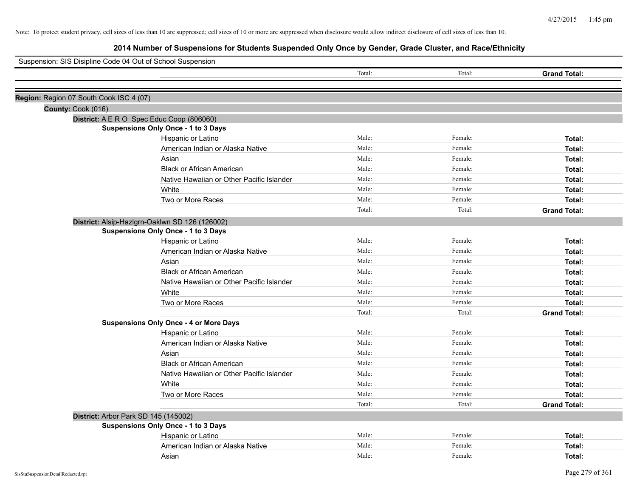| Suspension: SIS Disipline Code 04 Out of School Suspension |                                                |        |         |                     |
|------------------------------------------------------------|------------------------------------------------|--------|---------|---------------------|
|                                                            |                                                | Total: | Total:  | <b>Grand Total:</b> |
|                                                            |                                                |        |         |                     |
| Region: Region 07 South Cook ISC 4 (07)                    |                                                |        |         |                     |
| County: Cook (016)                                         |                                                |        |         |                     |
|                                                            | District: A E R O Spec Educ Coop (806060)      |        |         |                     |
|                                                            | Suspensions Only Once - 1 to 3 Days            |        |         |                     |
|                                                            | Hispanic or Latino                             | Male:  | Female: | Total:              |
|                                                            | American Indian or Alaska Native               | Male:  | Female: | Total:              |
|                                                            | Asian                                          | Male:  | Female: | Total:              |
|                                                            | <b>Black or African American</b>               | Male:  | Female: | Total:              |
|                                                            | Native Hawaiian or Other Pacific Islander      | Male:  | Female: | Total:              |
|                                                            | White                                          | Male:  | Female: | Total:              |
|                                                            | Two or More Races                              | Male:  | Female: | Total:              |
|                                                            |                                                | Total: | Total:  | <b>Grand Total:</b> |
|                                                            | District: Alsip-Hazlgrn-Oaklwn SD 126 (126002) |        |         |                     |
|                                                            | Suspensions Only Once - 1 to 3 Days            |        |         |                     |
|                                                            | Hispanic or Latino                             | Male:  | Female: | Total:              |
|                                                            | American Indian or Alaska Native               | Male:  | Female: | Total:              |
|                                                            | Asian                                          | Male:  | Female: | Total:              |
|                                                            | <b>Black or African American</b>               | Male:  | Female: | Total:              |
|                                                            | Native Hawaiian or Other Pacific Islander      | Male:  | Female: | Total:              |
|                                                            | White                                          | Male:  | Female: | Total:              |
|                                                            | Two or More Races                              | Male:  | Female: | Total:              |
|                                                            |                                                | Total: | Total:  | <b>Grand Total:</b> |
|                                                            | <b>Suspensions Only Once - 4 or More Days</b>  |        |         |                     |
|                                                            | Hispanic or Latino                             | Male:  | Female: | Total:              |
|                                                            | American Indian or Alaska Native               | Male:  | Female: | Total:              |
|                                                            | Asian                                          | Male:  | Female: | Total:              |
|                                                            | <b>Black or African American</b>               | Male:  | Female: | Total:              |
|                                                            | Native Hawaiian or Other Pacific Islander      | Male:  | Female: | Total:              |
|                                                            | White                                          | Male:  | Female: | Total:              |
|                                                            | Two or More Races                              | Male:  | Female: | Total:              |
|                                                            |                                                | Total: | Total:  | <b>Grand Total:</b> |
|                                                            | District: Arbor Park SD 145 (145002)           |        |         |                     |
|                                                            | <b>Suspensions Only Once - 1 to 3 Days</b>     |        |         |                     |
|                                                            | Hispanic or Latino                             | Male:  | Female: | Total:              |
|                                                            | American Indian or Alaska Native               | Male:  | Female: | Total:              |
|                                                            | Asian                                          | Male:  | Female: | Total:              |
|                                                            |                                                |        |         |                     |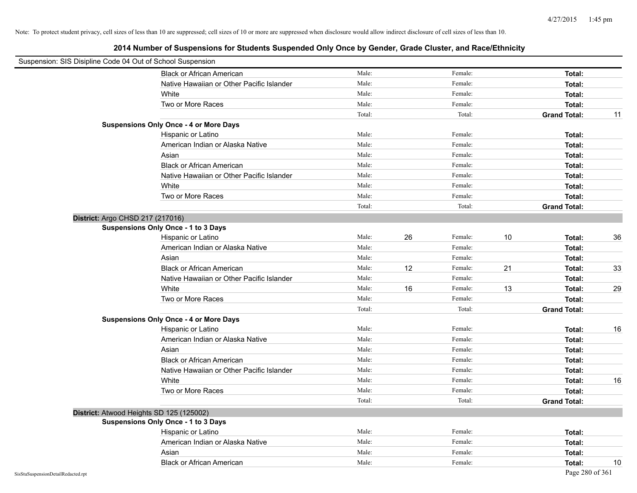| Suspension: SIS Disipline Code 04 Out of School Suspension |                                               |        |    |         |    |                     |    |
|------------------------------------------------------------|-----------------------------------------------|--------|----|---------|----|---------------------|----|
|                                                            | <b>Black or African American</b>              | Male:  |    | Female: |    | Total:              |    |
|                                                            | Native Hawaiian or Other Pacific Islander     | Male:  |    | Female: |    | Total:              |    |
|                                                            | White                                         | Male:  |    | Female: |    | Total:              |    |
|                                                            | Two or More Races                             | Male:  |    | Female: |    | Total:              |    |
|                                                            |                                               | Total: |    | Total:  |    | <b>Grand Total:</b> | 11 |
|                                                            | <b>Suspensions Only Once - 4 or More Days</b> |        |    |         |    |                     |    |
|                                                            | Hispanic or Latino                            | Male:  |    | Female: |    | Total:              |    |
|                                                            | American Indian or Alaska Native              | Male:  |    | Female: |    | Total:              |    |
|                                                            | Asian                                         | Male:  |    | Female: |    | Total:              |    |
|                                                            | <b>Black or African American</b>              | Male:  |    | Female: |    | Total:              |    |
|                                                            | Native Hawaiian or Other Pacific Islander     | Male:  |    | Female: |    | Total:              |    |
|                                                            | White                                         | Male:  |    | Female: |    | Total:              |    |
|                                                            | Two or More Races                             | Male:  |    | Female: |    | Total:              |    |
|                                                            |                                               | Total: |    | Total:  |    | <b>Grand Total:</b> |    |
|                                                            | District: Argo CHSD 217 (217016)              |        |    |         |    |                     |    |
|                                                            | <b>Suspensions Only Once - 1 to 3 Days</b>    |        |    |         |    |                     |    |
|                                                            | Hispanic or Latino                            | Male:  | 26 | Female: | 10 | Total:              | 36 |
|                                                            | American Indian or Alaska Native              | Male:  |    | Female: |    | Total:              |    |
|                                                            | Asian                                         | Male:  |    | Female: |    | Total:              |    |
|                                                            | <b>Black or African American</b>              | Male:  | 12 | Female: | 21 | Total:              | 33 |
|                                                            | Native Hawaiian or Other Pacific Islander     | Male:  |    | Female: |    | Total:              |    |
|                                                            | White                                         | Male:  | 16 | Female: | 13 | Total:              | 29 |
|                                                            | Two or More Races                             | Male:  |    | Female: |    | Total:              |    |
|                                                            |                                               | Total: |    | Total:  |    | <b>Grand Total:</b> |    |
|                                                            | <b>Suspensions Only Once - 4 or More Days</b> |        |    |         |    |                     |    |
|                                                            | Hispanic or Latino                            | Male:  |    | Female: |    | Total:              | 16 |
|                                                            | American Indian or Alaska Native              | Male:  |    | Female: |    | Total:              |    |
|                                                            | Asian                                         | Male:  |    | Female: |    | Total:              |    |
|                                                            | <b>Black or African American</b>              | Male:  |    | Female: |    | Total:              |    |
|                                                            | Native Hawaiian or Other Pacific Islander     | Male:  |    | Female: |    | Total:              |    |
|                                                            | White                                         | Male:  |    | Female: |    | Total:              | 16 |
|                                                            | Two or More Races                             | Male:  |    | Female: |    | Total:              |    |
|                                                            |                                               | Total: |    | Total:  |    | <b>Grand Total:</b> |    |
|                                                            | District: Atwood Heights SD 125 (125002)      |        |    |         |    |                     |    |
|                                                            | <b>Suspensions Only Once - 1 to 3 Days</b>    |        |    |         |    |                     |    |
|                                                            | Hispanic or Latino                            | Male:  |    | Female: |    | Total:              |    |
|                                                            | American Indian or Alaska Native              | Male:  |    | Female: |    | Total:              |    |
|                                                            | Asian                                         | Male:  |    | Female: |    | Total:              |    |
|                                                            | <b>Black or African American</b>              | Male:  |    | Female: |    | Total:              | 10 |
| SisStuSuspensionDetailRedacted.rpt                         |                                               |        |    |         |    | Page 280 of 361     |    |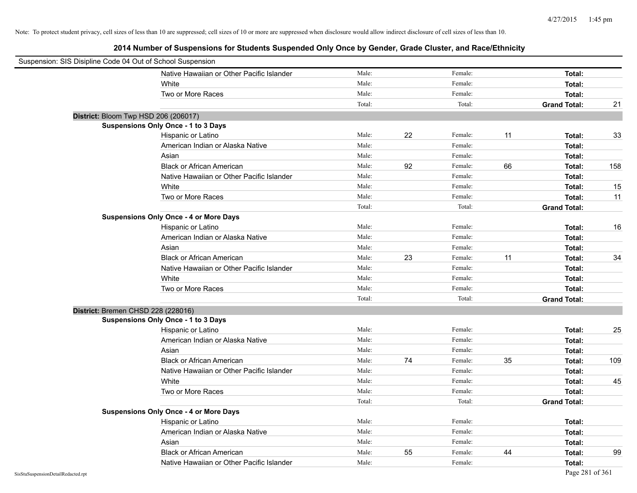| Suspension: SIS Disipline Code 04 Out of School Suspension |                                               |        |    |         |    |                     |     |
|------------------------------------------------------------|-----------------------------------------------|--------|----|---------|----|---------------------|-----|
|                                                            | Native Hawaiian or Other Pacific Islander     | Male:  |    | Female: |    | Total:              |     |
|                                                            | White                                         | Male:  |    | Female: |    | Total:              |     |
|                                                            | Two or More Races                             | Male:  |    | Female: |    | Total:              |     |
|                                                            |                                               | Total: |    | Total:  |    | <b>Grand Total:</b> | 21  |
|                                                            | District: Bloom Twp HSD 206 (206017)          |        |    |         |    |                     |     |
|                                                            | Suspensions Only Once - 1 to 3 Days           |        |    |         |    |                     |     |
|                                                            | Hispanic or Latino                            | Male:  | 22 | Female: | 11 | Total:              | 33  |
|                                                            | American Indian or Alaska Native              | Male:  |    | Female: |    | Total:              |     |
|                                                            | Asian                                         | Male:  |    | Female: |    | Total:              |     |
|                                                            | <b>Black or African American</b>              | Male:  | 92 | Female: | 66 | Total:              | 158 |
|                                                            | Native Hawaiian or Other Pacific Islander     | Male:  |    | Female: |    | Total:              |     |
|                                                            | White                                         | Male:  |    | Female: |    | Total:              | 15  |
|                                                            | Two or More Races                             | Male:  |    | Female: |    | Total:              | 11  |
|                                                            |                                               | Total: |    | Total:  |    | <b>Grand Total:</b> |     |
|                                                            | <b>Suspensions Only Once - 4 or More Days</b> |        |    |         |    |                     |     |
|                                                            | Hispanic or Latino                            | Male:  |    | Female: |    | Total:              | 16  |
|                                                            | American Indian or Alaska Native              | Male:  |    | Female: |    | Total:              |     |
|                                                            | Asian                                         | Male:  |    | Female: |    | Total:              |     |
|                                                            | <b>Black or African American</b>              | Male:  | 23 | Female: | 11 | Total:              | 34  |
|                                                            | Native Hawaiian or Other Pacific Islander     | Male:  |    | Female: |    | Total:              |     |
|                                                            | White                                         | Male:  |    | Female: |    | Total:              |     |
|                                                            | Two or More Races                             | Male:  |    | Female: |    | Total:              |     |
|                                                            |                                               | Total: |    | Total:  |    | <b>Grand Total:</b> |     |
|                                                            | District: Bremen CHSD 228 (228016)            |        |    |         |    |                     |     |
|                                                            | Suspensions Only Once - 1 to 3 Days           |        |    |         |    |                     |     |
|                                                            | Hispanic or Latino                            | Male:  |    | Female: |    | Total:              | 25  |
|                                                            | American Indian or Alaska Native              | Male:  |    | Female: |    | Total:              |     |
|                                                            | Asian                                         | Male:  |    | Female: |    | Total:              |     |
|                                                            | <b>Black or African American</b>              | Male:  | 74 | Female: | 35 | Total:              | 109 |
|                                                            | Native Hawaiian or Other Pacific Islander     | Male:  |    | Female: |    | Total:              |     |
|                                                            | White                                         | Male:  |    | Female: |    | Total:              | 45  |
|                                                            | Two or More Races                             | Male:  |    | Female: |    | Total:              |     |
|                                                            |                                               | Total: |    | Total:  |    | <b>Grand Total:</b> |     |
|                                                            | <b>Suspensions Only Once - 4 or More Days</b> |        |    |         |    |                     |     |
|                                                            | Hispanic or Latino                            | Male:  |    | Female: |    | Total:              |     |
|                                                            | American Indian or Alaska Native              | Male:  |    | Female: |    | Total:              |     |
|                                                            | Asian                                         | Male:  |    | Female: |    | Total:              |     |
|                                                            | <b>Black or African American</b>              | Male:  | 55 | Female: | 44 | Total:              | 99  |
|                                                            | Native Hawaiian or Other Pacific Islander     | Male:  |    | Female: |    | Total:              |     |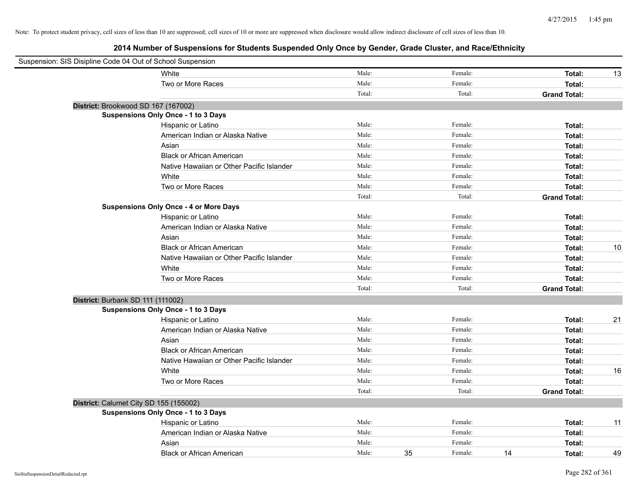| Suspension: SIS Disipline Code 04 Out of School Suspension |                                               |        |    |         |    |                     |    |
|------------------------------------------------------------|-----------------------------------------------|--------|----|---------|----|---------------------|----|
|                                                            | White                                         | Male:  |    | Female: |    | Total:              | 13 |
|                                                            | Two or More Races                             | Male:  |    | Female: |    | Total:              |    |
|                                                            |                                               | Total: |    | Total:  |    | <b>Grand Total:</b> |    |
| District: Brookwood SD 167 (167002)                        |                                               |        |    |         |    |                     |    |
|                                                            | Suspensions Only Once - 1 to 3 Days           |        |    |         |    |                     |    |
|                                                            | Hispanic or Latino                            | Male:  |    | Female: |    | Total:              |    |
|                                                            | American Indian or Alaska Native              | Male:  |    | Female: |    | Total:              |    |
|                                                            | Asian                                         | Male:  |    | Female: |    | Total:              |    |
|                                                            | <b>Black or African American</b>              | Male:  |    | Female: |    | Total:              |    |
|                                                            | Native Hawaiian or Other Pacific Islander     | Male:  |    | Female: |    | Total:              |    |
|                                                            | White                                         | Male:  |    | Female: |    | Total:              |    |
|                                                            | Two or More Races                             | Male:  |    | Female: |    | Total:              |    |
|                                                            |                                               | Total: |    | Total:  |    | <b>Grand Total:</b> |    |
|                                                            | <b>Suspensions Only Once - 4 or More Days</b> |        |    |         |    |                     |    |
|                                                            | Hispanic or Latino                            | Male:  |    | Female: |    | Total:              |    |
|                                                            | American Indian or Alaska Native              | Male:  |    | Female: |    | Total:              |    |
|                                                            | Asian                                         | Male:  |    | Female: |    | Total:              |    |
|                                                            | <b>Black or African American</b>              | Male:  |    | Female: |    | Total:              | 10 |
|                                                            | Native Hawaiian or Other Pacific Islander     | Male:  |    | Female: |    | Total:              |    |
|                                                            | White                                         | Male:  |    | Female: |    | Total:              |    |
|                                                            | Two or More Races                             | Male:  |    | Female: |    | Total:              |    |
|                                                            |                                               | Total: |    | Total:  |    | <b>Grand Total:</b> |    |
| District: Burbank SD 111 (111002)                          |                                               |        |    |         |    |                     |    |
|                                                            | Suspensions Only Once - 1 to 3 Days           |        |    |         |    |                     |    |
|                                                            | Hispanic or Latino                            | Male:  |    | Female: |    | Total:              | 21 |
|                                                            | American Indian or Alaska Native              | Male:  |    | Female: |    | Total:              |    |
|                                                            | Asian                                         | Male:  |    | Female: |    | Total:              |    |
|                                                            | <b>Black or African American</b>              | Male:  |    | Female: |    | Total:              |    |
|                                                            | Native Hawaiian or Other Pacific Islander     | Male:  |    | Female: |    | Total:              |    |
|                                                            | White                                         | Male:  |    | Female: |    | Total:              | 16 |
|                                                            | Two or More Races                             | Male:  |    | Female: |    | Total:              |    |
|                                                            |                                               | Total: |    | Total:  |    | <b>Grand Total:</b> |    |
|                                                            | District: Calumet City SD 155 (155002)        |        |    |         |    |                     |    |
|                                                            | <b>Suspensions Only Once - 1 to 3 Days</b>    |        |    |         |    |                     |    |
|                                                            | Hispanic or Latino                            | Male:  |    | Female: |    | Total:              | 11 |
|                                                            | American Indian or Alaska Native              | Male:  |    | Female: |    | Total:              |    |
|                                                            | Asian                                         | Male:  |    | Female: |    | Total:              |    |
|                                                            | <b>Black or African American</b>              | Male:  | 35 | Female: | 14 | Total:              | 49 |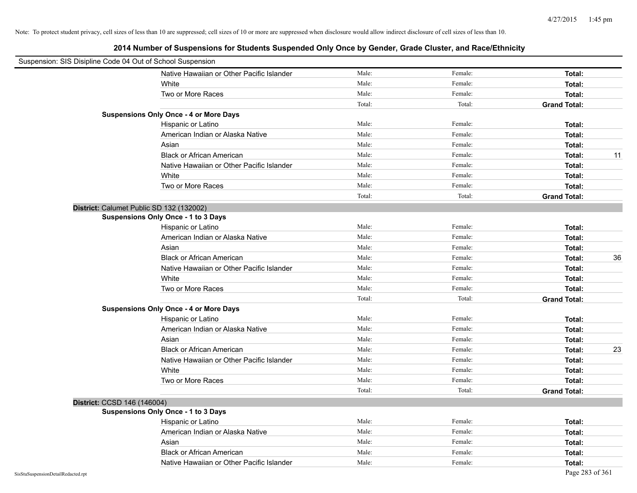|                                    | Suspension: SIS Disipline Code 04 Out of School Suspension |        |         |                     |
|------------------------------------|------------------------------------------------------------|--------|---------|---------------------|
|                                    | Native Hawaiian or Other Pacific Islander                  | Male:  | Female: | Total:              |
|                                    | White                                                      | Male:  | Female: | Total:              |
|                                    | Two or More Races                                          | Male:  | Female: | Total:              |
|                                    |                                                            | Total: | Total:  | <b>Grand Total:</b> |
|                                    | <b>Suspensions Only Once - 4 or More Days</b>              |        |         |                     |
|                                    | Hispanic or Latino                                         | Male:  | Female: | Total:              |
|                                    | American Indian or Alaska Native                           | Male:  | Female: | Total:              |
|                                    | Asian                                                      | Male:  | Female: | Total:              |
|                                    | <b>Black or African American</b>                           | Male:  | Female: | Total:<br>11        |
|                                    | Native Hawaiian or Other Pacific Islander                  | Male:  | Female: | Total:              |
|                                    | White                                                      | Male:  | Female: | Total:              |
|                                    | Two or More Races                                          | Male:  | Female: | Total:              |
|                                    |                                                            | Total: | Total:  | <b>Grand Total:</b> |
|                                    | District: Calumet Public SD 132 (132002)                   |        |         |                     |
|                                    | <b>Suspensions Only Once - 1 to 3 Days</b>                 |        |         |                     |
|                                    | Hispanic or Latino                                         | Male:  | Female: | Total:              |
|                                    | American Indian or Alaska Native                           | Male:  | Female: | Total:              |
|                                    | Asian                                                      | Male:  | Female: | Total:              |
|                                    | <b>Black or African American</b>                           | Male:  | Female: | 36<br>Total:        |
|                                    | Native Hawaiian or Other Pacific Islander                  | Male:  | Female: | Total:              |
|                                    | White                                                      | Male:  | Female: | Total:              |
|                                    | Two or More Races                                          | Male:  | Female: | Total:              |
|                                    |                                                            | Total: | Total:  | <b>Grand Total:</b> |
|                                    | <b>Suspensions Only Once - 4 or More Days</b>              |        |         |                     |
|                                    | Hispanic or Latino                                         | Male:  | Female: | Total:              |
|                                    | American Indian or Alaska Native                           | Male:  | Female: | Total:              |
|                                    | Asian                                                      | Male:  | Female: | Total:              |
|                                    | <b>Black or African American</b>                           | Male:  | Female: | 23<br>Total:        |
|                                    | Native Hawaiian or Other Pacific Islander                  | Male:  | Female: | Total:              |
|                                    | White                                                      | Male:  | Female: | Total:              |
|                                    | Two or More Races                                          | Male:  | Female: | Total:              |
|                                    |                                                            | Total: | Total:  | <b>Grand Total:</b> |
|                                    | District: CCSD 146 (146004)                                |        |         |                     |
|                                    | <b>Suspensions Only Once - 1 to 3 Days</b>                 |        |         |                     |
|                                    | Hispanic or Latino                                         | Male:  | Female: | Total:              |
|                                    | American Indian or Alaska Native                           | Male:  | Female: | Total:              |
|                                    | Asian                                                      | Male:  | Female: | Total:              |
|                                    | <b>Black or African American</b>                           | Male:  | Female: | Total:              |
|                                    | Native Hawaiian or Other Pacific Islander                  | Male:  | Female: | Total:              |
| SisStuSuspensionDetailRedacted.rpt |                                                            |        |         | Page 283 of 361     |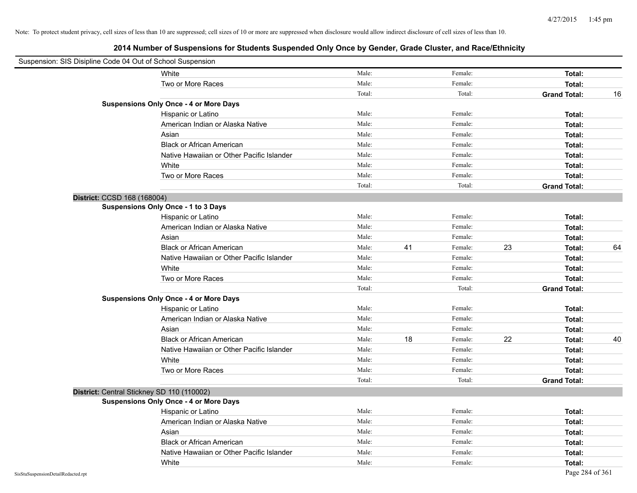| Suspension: SIS Disipline Code 04 Out of School Suspension |                                               |        |    |         |    |                     |    |
|------------------------------------------------------------|-----------------------------------------------|--------|----|---------|----|---------------------|----|
|                                                            | White                                         | Male:  |    | Female: |    | Total:              |    |
|                                                            | Two or More Races                             | Male:  |    | Female: |    | Total:              |    |
|                                                            |                                               | Total: |    | Total:  |    | <b>Grand Total:</b> | 16 |
|                                                            | <b>Suspensions Only Once - 4 or More Days</b> |        |    |         |    |                     |    |
|                                                            | Hispanic or Latino                            | Male:  |    | Female: |    | Total:              |    |
|                                                            | American Indian or Alaska Native              | Male:  |    | Female: |    | Total:              |    |
|                                                            | Asian                                         | Male:  |    | Female: |    | Total:              |    |
|                                                            | <b>Black or African American</b>              | Male:  |    | Female: |    | Total:              |    |
|                                                            | Native Hawaiian or Other Pacific Islander     | Male:  |    | Female: |    | Total:              |    |
|                                                            | White                                         | Male:  |    | Female: |    | Total:              |    |
|                                                            | Two or More Races                             | Male:  |    | Female: |    | Total:              |    |
|                                                            |                                               | Total: |    | Total:  |    | <b>Grand Total:</b> |    |
| District: CCSD 168 (168004)                                |                                               |        |    |         |    |                     |    |
|                                                            | Suspensions Only Once - 1 to 3 Days           |        |    |         |    |                     |    |
|                                                            | Hispanic or Latino                            | Male:  |    | Female: |    | Total:              |    |
|                                                            | American Indian or Alaska Native              | Male:  |    | Female: |    | Total:              |    |
|                                                            | Asian                                         | Male:  |    | Female: |    | Total:              |    |
|                                                            | <b>Black or African American</b>              | Male:  | 41 | Female: | 23 | Total:              | 64 |
|                                                            | Native Hawaiian or Other Pacific Islander     | Male:  |    | Female: |    | Total:              |    |
|                                                            | White                                         | Male:  |    | Female: |    | Total:              |    |
|                                                            | Two or More Races                             | Male:  |    | Female: |    | Total:              |    |
|                                                            |                                               | Total: |    | Total:  |    | <b>Grand Total:</b> |    |
|                                                            | <b>Suspensions Only Once - 4 or More Days</b> |        |    |         |    |                     |    |
|                                                            | Hispanic or Latino                            | Male:  |    | Female: |    | Total:              |    |
|                                                            | American Indian or Alaska Native              | Male:  |    | Female: |    | Total:              |    |
|                                                            | Asian                                         | Male:  |    | Female: |    | Total:              |    |
|                                                            | <b>Black or African American</b>              | Male:  | 18 | Female: | 22 | Total:              | 40 |
|                                                            | Native Hawaiian or Other Pacific Islander     | Male:  |    | Female: |    | Total:              |    |
|                                                            | White                                         | Male:  |    | Female: |    | Total:              |    |
|                                                            | Two or More Races                             | Male:  |    | Female: |    | Total:              |    |
|                                                            |                                               | Total: |    | Total:  |    | <b>Grand Total:</b> |    |
| District: Central Stickney SD 110 (110002)                 |                                               |        |    |         |    |                     |    |
|                                                            | <b>Suspensions Only Once - 4 or More Days</b> |        |    |         |    |                     |    |
|                                                            | Hispanic or Latino                            | Male:  |    | Female: |    | Total:              |    |
|                                                            | American Indian or Alaska Native              | Male:  |    | Female: |    | Total:              |    |
|                                                            | Asian                                         | Male:  |    | Female: |    | Total:              |    |
|                                                            | <b>Black or African American</b>              | Male:  |    | Female: |    | Total:              |    |
|                                                            | Native Hawaiian or Other Pacific Islander     | Male:  |    | Female: |    | Total:              |    |
|                                                            | White                                         | Male:  |    | Female: |    | Total:              |    |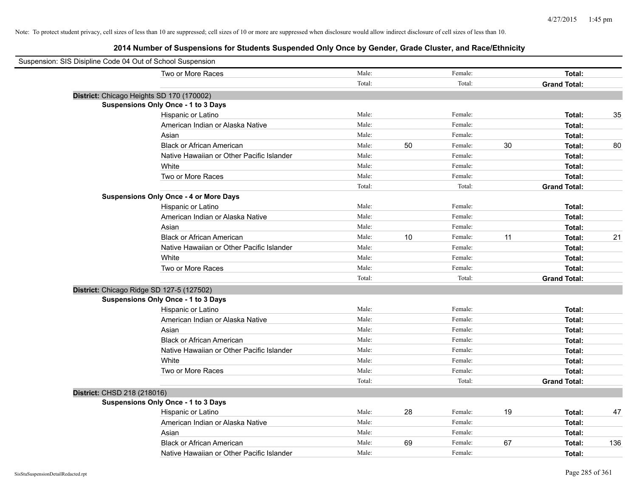| Suspension: SIS Disipline Code 04 Out of School Suspension |                                               |        |    |         |    |                     |     |
|------------------------------------------------------------|-----------------------------------------------|--------|----|---------|----|---------------------|-----|
|                                                            | Two or More Races                             | Male:  |    | Female: |    | Total:              |     |
|                                                            |                                               | Total: |    | Total:  |    | <b>Grand Total:</b> |     |
|                                                            | District: Chicago Heights SD 170 (170002)     |        |    |         |    |                     |     |
|                                                            | <b>Suspensions Only Once - 1 to 3 Days</b>    |        |    |         |    |                     |     |
|                                                            | Hispanic or Latino                            | Male:  |    | Female: |    | Total:              | 35  |
|                                                            | American Indian or Alaska Native              | Male:  |    | Female: |    | Total:              |     |
|                                                            | Asian                                         | Male:  |    | Female: |    | Total:              |     |
|                                                            | <b>Black or African American</b>              | Male:  | 50 | Female: | 30 | Total:              | 80  |
|                                                            | Native Hawaiian or Other Pacific Islander     | Male:  |    | Female: |    | Total:              |     |
|                                                            | White                                         | Male:  |    | Female: |    | Total:              |     |
|                                                            | Two or More Races                             | Male:  |    | Female: |    | Total:              |     |
|                                                            |                                               | Total: |    | Total:  |    | <b>Grand Total:</b> |     |
|                                                            | <b>Suspensions Only Once - 4 or More Days</b> |        |    |         |    |                     |     |
|                                                            | Hispanic or Latino                            | Male:  |    | Female: |    | Total:              |     |
|                                                            | American Indian or Alaska Native              | Male:  |    | Female: |    | Total:              |     |
|                                                            | Asian                                         | Male:  |    | Female: |    | Total:              |     |
|                                                            | <b>Black or African American</b>              | Male:  | 10 | Female: | 11 | Total:              | 21  |
|                                                            | Native Hawaiian or Other Pacific Islander     | Male:  |    | Female: |    | Total:              |     |
|                                                            | White                                         | Male:  |    | Female: |    | Total:              |     |
|                                                            | Two or More Races                             | Male:  |    | Female: |    | Total:              |     |
|                                                            |                                               | Total: |    | Total:  |    | <b>Grand Total:</b> |     |
|                                                            | District: Chicago Ridge SD 127-5 (127502)     |        |    |         |    |                     |     |
|                                                            | <b>Suspensions Only Once - 1 to 3 Days</b>    |        |    |         |    |                     |     |
|                                                            | Hispanic or Latino                            | Male:  |    | Female: |    | Total:              |     |
|                                                            | American Indian or Alaska Native              | Male:  |    | Female: |    | Total:              |     |
|                                                            | Asian                                         | Male:  |    | Female: |    | Total:              |     |
|                                                            | <b>Black or African American</b>              | Male:  |    | Female: |    | Total:              |     |
|                                                            | Native Hawaiian or Other Pacific Islander     | Male:  |    | Female: |    | Total:              |     |
|                                                            | White                                         | Male:  |    | Female: |    | Total:              |     |
|                                                            | Two or More Races                             | Male:  |    | Female: |    | Total:              |     |
|                                                            |                                               | Total: |    | Total:  |    | <b>Grand Total:</b> |     |
| District: CHSD 218 (218016)                                |                                               |        |    |         |    |                     |     |
|                                                            | Suspensions Only Once - 1 to 3 Days           |        |    |         |    |                     |     |
|                                                            | Hispanic or Latino                            | Male:  | 28 | Female: | 19 | Total:              | 47  |
|                                                            | American Indian or Alaska Native              | Male:  |    | Female: |    | Total:              |     |
|                                                            | Asian                                         | Male:  |    | Female: |    | Total:              |     |
|                                                            | <b>Black or African American</b>              | Male:  | 69 | Female: | 67 | Total:              | 136 |
|                                                            | Native Hawaiian or Other Pacific Islander     | Male:  |    | Female: |    | Total:              |     |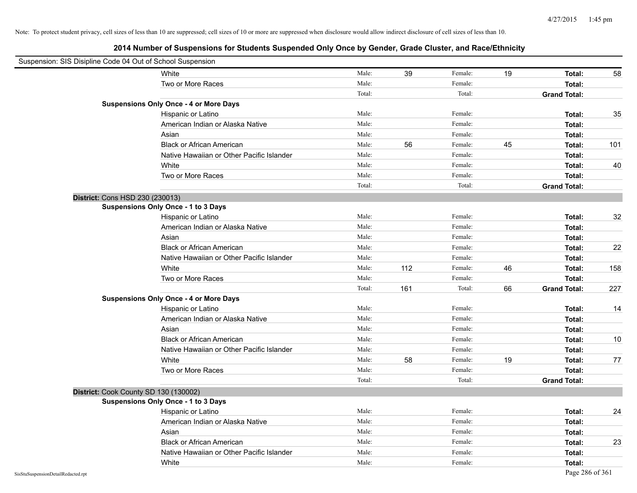| Suspension: SIS Disipline Code 04 Out of School Suspension |                                               |        |     |         |    |                     |     |
|------------------------------------------------------------|-----------------------------------------------|--------|-----|---------|----|---------------------|-----|
|                                                            | White                                         | Male:  | 39  | Female: | 19 | Total:              | 58  |
|                                                            | Two or More Races                             | Male:  |     | Female: |    | Total:              |     |
|                                                            |                                               | Total: |     | Total:  |    | <b>Grand Total:</b> |     |
|                                                            | <b>Suspensions Only Once - 4 or More Days</b> |        |     |         |    |                     |     |
|                                                            | Hispanic or Latino                            | Male:  |     | Female: |    | Total:              | 35  |
|                                                            | American Indian or Alaska Native              | Male:  |     | Female: |    | Total:              |     |
|                                                            | Asian                                         | Male:  |     | Female: |    | Total:              |     |
|                                                            | <b>Black or African American</b>              | Male:  | 56  | Female: | 45 | Total:              | 101 |
|                                                            | Native Hawaiian or Other Pacific Islander     | Male:  |     | Female: |    | Total:              |     |
|                                                            | White                                         | Male:  |     | Female: |    | Total:              | 40  |
|                                                            | Two or More Races                             | Male:  |     | Female: |    | Total:              |     |
|                                                            |                                               | Total: |     | Total:  |    | <b>Grand Total:</b> |     |
|                                                            | District: Cons HSD 230 (230013)               |        |     |         |    |                     |     |
|                                                            | Suspensions Only Once - 1 to 3 Days           |        |     |         |    |                     |     |
|                                                            | Hispanic or Latino                            | Male:  |     | Female: |    | Total:              | 32  |
|                                                            | American Indian or Alaska Native              | Male:  |     | Female: |    | Total:              |     |
|                                                            | Asian                                         | Male:  |     | Female: |    | Total:              |     |
|                                                            | <b>Black or African American</b>              | Male:  |     | Female: |    | Total:              | 22  |
|                                                            | Native Hawaiian or Other Pacific Islander     | Male:  |     | Female: |    | Total:              |     |
|                                                            | White                                         | Male:  | 112 | Female: | 46 | Total:              | 158 |
|                                                            | Two or More Races                             | Male:  |     | Female: |    | Total:              |     |
|                                                            |                                               | Total: | 161 | Total:  | 66 | <b>Grand Total:</b> | 227 |
|                                                            | <b>Suspensions Only Once - 4 or More Days</b> |        |     |         |    |                     |     |
|                                                            | Hispanic or Latino                            | Male:  |     | Female: |    | Total:              | 14  |
|                                                            | American Indian or Alaska Native              | Male:  |     | Female: |    | Total:              |     |
|                                                            | Asian                                         | Male:  |     | Female: |    | Total:              |     |
|                                                            | <b>Black or African American</b>              | Male:  |     | Female: |    | Total:              | 10  |
|                                                            | Native Hawaiian or Other Pacific Islander     | Male:  |     | Female: |    | Total:              |     |
|                                                            | White                                         | Male:  | 58  | Female: | 19 | Total:              | 77  |
|                                                            | Two or More Races                             | Male:  |     | Female: |    | Total:              |     |
|                                                            |                                               | Total: |     | Total:  |    | <b>Grand Total:</b> |     |
|                                                            | District: Cook County SD 130 (130002)         |        |     |         |    |                     |     |
|                                                            | <b>Suspensions Only Once - 1 to 3 Days</b>    |        |     |         |    |                     |     |
|                                                            | Hispanic or Latino                            | Male:  |     | Female: |    | Total:              | 24  |
|                                                            | American Indian or Alaska Native              | Male:  |     | Female: |    | Total:              |     |
|                                                            | Asian                                         | Male:  |     | Female: |    | Total:              |     |
|                                                            | <b>Black or African American</b>              | Male:  |     | Female: |    | Total:              | 23  |
|                                                            | Native Hawaiian or Other Pacific Islander     | Male:  |     | Female: |    | Total:              |     |
|                                                            | White                                         | Male:  |     | Female: |    | Total:              |     |
| SisStuSuspensionDetailRedacted.rpt                         |                                               |        |     |         |    | Page 286 of 361     |     |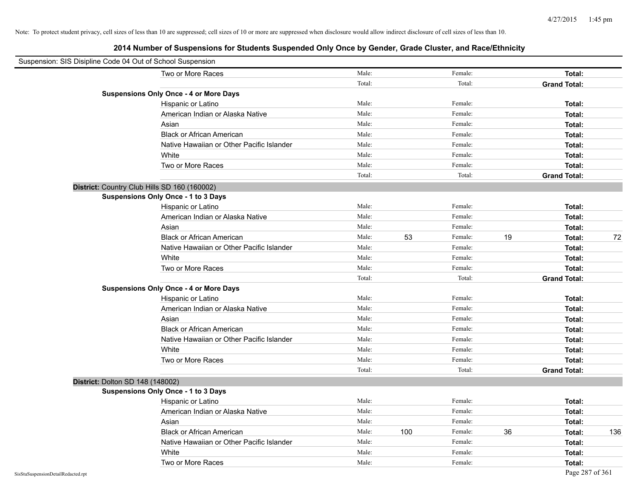| Suspension: SIS Disipline Code 04 Out of School Suspension |                                               |        |     |         |    |                     |     |
|------------------------------------------------------------|-----------------------------------------------|--------|-----|---------|----|---------------------|-----|
|                                                            | Two or More Races                             | Male:  |     | Female: |    | Total:              |     |
|                                                            |                                               | Total: |     | Total:  |    | <b>Grand Total:</b> |     |
|                                                            | <b>Suspensions Only Once - 4 or More Days</b> |        |     |         |    |                     |     |
|                                                            | Hispanic or Latino                            | Male:  |     | Female: |    | Total:              |     |
|                                                            | American Indian or Alaska Native              | Male:  |     | Female: |    | Total:              |     |
|                                                            | Asian                                         | Male:  |     | Female: |    | Total:              |     |
|                                                            | <b>Black or African American</b>              | Male:  |     | Female: |    | Total:              |     |
|                                                            | Native Hawaiian or Other Pacific Islander     | Male:  |     | Female: |    | Total:              |     |
|                                                            | White                                         | Male:  |     | Female: |    | Total:              |     |
|                                                            | Two or More Races                             | Male:  |     | Female: |    | Total:              |     |
|                                                            |                                               | Total: |     | Total:  |    | <b>Grand Total:</b> |     |
|                                                            | District: Country Club Hills SD 160 (160002)  |        |     |         |    |                     |     |
|                                                            | Suspensions Only Once - 1 to 3 Days           |        |     |         |    |                     |     |
|                                                            | Hispanic or Latino                            | Male:  |     | Female: |    | Total:              |     |
|                                                            | American Indian or Alaska Native              | Male:  |     | Female: |    | Total:              |     |
|                                                            | Asian                                         | Male:  |     | Female: |    | Total:              |     |
|                                                            | <b>Black or African American</b>              | Male:  | 53  | Female: | 19 | Total:              | 72  |
|                                                            | Native Hawaiian or Other Pacific Islander     | Male:  |     | Female: |    | Total:              |     |
|                                                            | White                                         | Male:  |     | Female: |    | Total:              |     |
|                                                            | Two or More Races                             | Male:  |     | Female: |    | Total:              |     |
|                                                            |                                               | Total: |     | Total:  |    | <b>Grand Total:</b> |     |
|                                                            | <b>Suspensions Only Once - 4 or More Days</b> |        |     |         |    |                     |     |
|                                                            | Hispanic or Latino                            | Male:  |     | Female: |    | Total:              |     |
|                                                            | American Indian or Alaska Native              | Male:  |     | Female: |    | Total:              |     |
|                                                            | Asian                                         | Male:  |     | Female: |    | Total:              |     |
|                                                            | <b>Black or African American</b>              | Male:  |     | Female: |    | Total:              |     |
|                                                            | Native Hawaiian or Other Pacific Islander     | Male:  |     | Female: |    | Total:              |     |
|                                                            | White                                         | Male:  |     | Female: |    | Total:              |     |
|                                                            | Two or More Races                             | Male:  |     | Female: |    | Total:              |     |
|                                                            |                                               | Total: |     | Total:  |    | <b>Grand Total:</b> |     |
| District: Dolton SD 148 (148002)                           |                                               |        |     |         |    |                     |     |
|                                                            | Suspensions Only Once - 1 to 3 Days           |        |     |         |    |                     |     |
|                                                            | Hispanic or Latino                            | Male:  |     | Female: |    | Total:              |     |
|                                                            | American Indian or Alaska Native              | Male:  |     | Female: |    | Total:              |     |
|                                                            | Asian                                         | Male:  |     | Female: |    | Total:              |     |
|                                                            | <b>Black or African American</b>              | Male:  | 100 | Female: | 36 | Total:              | 136 |
|                                                            | Native Hawaiian or Other Pacific Islander     | Male:  |     | Female: |    | Total:              |     |
|                                                            | White                                         | Male:  |     | Female: |    | Total:              |     |
|                                                            | Two or More Races                             | Male:  |     | Female: |    | Total:              |     |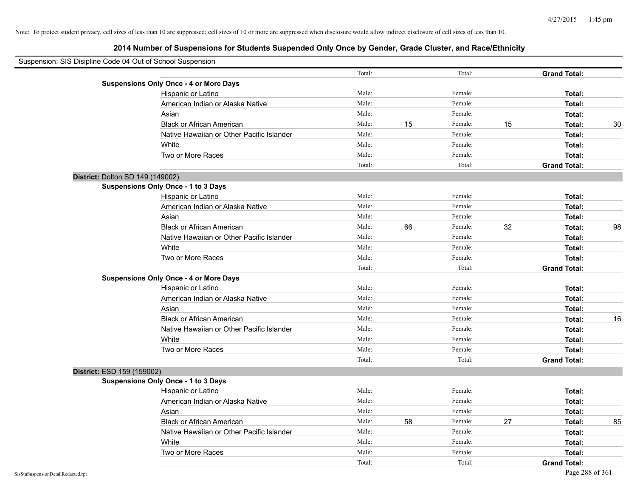| Suspension: SIS Disipline Code 04 Out of School Suspension |                                               |        |    |         |    |                     |    |
|------------------------------------------------------------|-----------------------------------------------|--------|----|---------|----|---------------------|----|
|                                                            |                                               | Total: |    | Total:  |    | <b>Grand Total:</b> |    |
|                                                            | <b>Suspensions Only Once - 4 or More Days</b> |        |    |         |    |                     |    |
|                                                            | Hispanic or Latino                            | Male:  |    | Female: |    | Total:              |    |
|                                                            | American Indian or Alaska Native              | Male:  |    | Female: |    | Total:              |    |
|                                                            | Asian                                         | Male:  |    | Female: |    | Total:              |    |
|                                                            | <b>Black or African American</b>              | Male:  | 15 | Female: | 15 | Total:              | 30 |
|                                                            | Native Hawaiian or Other Pacific Islander     | Male:  |    | Female: |    | Total:              |    |
|                                                            | White                                         | Male:  |    | Female: |    | Total:              |    |
|                                                            | Two or More Races                             | Male:  |    | Female: |    | Total:              |    |
|                                                            |                                               | Total: |    | Total:  |    | <b>Grand Total:</b> |    |
| District: Dolton SD 149 (149002)                           |                                               |        |    |         |    |                     |    |
|                                                            | Suspensions Only Once - 1 to 3 Days           |        |    |         |    |                     |    |
|                                                            | Hispanic or Latino                            | Male:  |    | Female: |    | Total:              |    |
|                                                            | American Indian or Alaska Native              | Male:  |    | Female: |    | Total:              |    |
|                                                            | Asian                                         | Male:  |    | Female: |    | Total:              |    |
|                                                            | <b>Black or African American</b>              | Male:  | 66 | Female: | 32 | Total:              | 98 |
|                                                            | Native Hawaiian or Other Pacific Islander     | Male:  |    | Female: |    | Total:              |    |
|                                                            | White                                         | Male:  |    | Female: |    | Total:              |    |
|                                                            | Two or More Races                             | Male:  |    | Female: |    | Total:              |    |
|                                                            |                                               | Total: |    | Total:  |    | <b>Grand Total:</b> |    |
|                                                            | <b>Suspensions Only Once - 4 or More Days</b> |        |    |         |    |                     |    |
|                                                            | Hispanic or Latino                            | Male:  |    | Female: |    | Total:              |    |
|                                                            | American Indian or Alaska Native              | Male:  |    | Female: |    | Total:              |    |
|                                                            | Asian                                         | Male:  |    | Female: |    | Total:              |    |
|                                                            | <b>Black or African American</b>              | Male:  |    | Female: |    | Total:              | 16 |
|                                                            | Native Hawaiian or Other Pacific Islander     | Male:  |    | Female: |    | Total:              |    |
|                                                            | White                                         | Male:  |    | Female: |    | Total:              |    |
|                                                            | Two or More Races                             | Male:  |    | Female: |    | Total:              |    |
|                                                            |                                               | Total: |    | Total:  |    | <b>Grand Total:</b> |    |
| District: ESD 159 (159002)                                 |                                               |        |    |         |    |                     |    |
|                                                            | <b>Suspensions Only Once - 1 to 3 Days</b>    |        |    |         |    |                     |    |
|                                                            | Hispanic or Latino                            | Male:  |    | Female: |    | Total:              |    |
|                                                            | American Indian or Alaska Native              | Male:  |    | Female: |    | Total:              |    |
|                                                            | Asian                                         | Male:  |    | Female: |    | Total:              |    |
|                                                            | <b>Black or African American</b>              | Male:  | 58 | Female: | 27 | Total:              | 85 |
|                                                            | Native Hawaiian or Other Pacific Islander     | Male:  |    | Female: |    | Total:              |    |
|                                                            | White                                         | Male:  |    | Female: |    | Total:              |    |
|                                                            | Two or More Races                             | Male:  |    | Female: |    | Total:              |    |
|                                                            |                                               | Total: |    | Total:  |    | <b>Grand Total:</b> |    |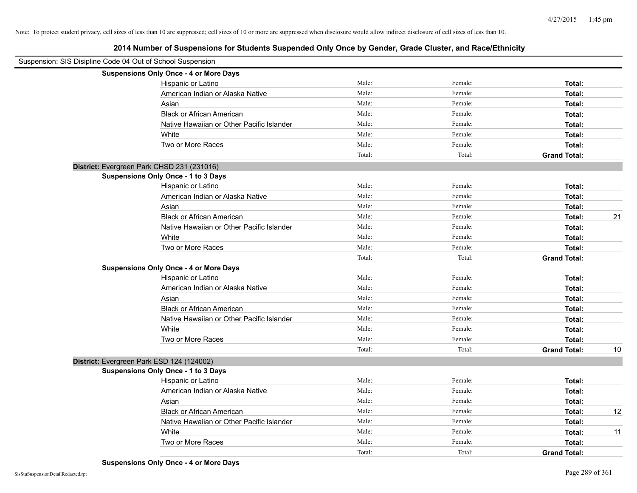| Suspension: SIS Disipline Code 04 Out of School Suspension |                                               |        |         |                     |    |
|------------------------------------------------------------|-----------------------------------------------|--------|---------|---------------------|----|
|                                                            | <b>Suspensions Only Once - 4 or More Days</b> |        |         |                     |    |
|                                                            | Hispanic or Latino                            | Male:  | Female: | Total:              |    |
|                                                            | American Indian or Alaska Native              | Male:  | Female: | Total:              |    |
|                                                            | Asian                                         | Male:  | Female: | Total:              |    |
|                                                            | <b>Black or African American</b>              | Male:  | Female: | Total:              |    |
|                                                            | Native Hawaiian or Other Pacific Islander     | Male:  | Female: | Total:              |    |
|                                                            | White                                         | Male:  | Female: | Total:              |    |
|                                                            | Two or More Races                             | Male:  | Female: | Total:              |    |
|                                                            |                                               | Total: | Total:  | <b>Grand Total:</b> |    |
|                                                            | District: Evergreen Park CHSD 231 (231016)    |        |         |                     |    |
|                                                            | Suspensions Only Once - 1 to 3 Days           |        |         |                     |    |
|                                                            | Hispanic or Latino                            | Male:  | Female: | Total:              |    |
|                                                            | American Indian or Alaska Native              | Male:  | Female: | Total:              |    |
|                                                            | Asian                                         | Male:  | Female: | Total:              |    |
|                                                            | <b>Black or African American</b>              | Male:  | Female: | Total:              | 21 |
|                                                            | Native Hawaiian or Other Pacific Islander     | Male:  | Female: | Total:              |    |
|                                                            | White                                         | Male:  | Female: | Total:              |    |
|                                                            | Two or More Races                             | Male:  | Female: | Total:              |    |
|                                                            |                                               | Total: | Total:  | <b>Grand Total:</b> |    |
|                                                            | <b>Suspensions Only Once - 4 or More Days</b> |        |         |                     |    |
|                                                            | Hispanic or Latino                            | Male:  | Female: | Total:              |    |
|                                                            | American Indian or Alaska Native              | Male:  | Female: | Total:              |    |
|                                                            | Asian                                         | Male:  | Female: | Total:              |    |
|                                                            | <b>Black or African American</b>              | Male:  | Female: | Total:              |    |
|                                                            | Native Hawaiian or Other Pacific Islander     | Male:  | Female: | Total:              |    |
|                                                            | White                                         | Male:  | Female: | Total:              |    |
|                                                            | Two or More Races                             | Male:  | Female: | Total:              |    |
|                                                            |                                               | Total: | Total:  | <b>Grand Total:</b> | 10 |
|                                                            | District: Evergreen Park ESD 124 (124002)     |        |         |                     |    |
|                                                            | <b>Suspensions Only Once - 1 to 3 Days</b>    |        |         |                     |    |
|                                                            | Hispanic or Latino                            | Male:  | Female: | Total:              |    |
|                                                            | American Indian or Alaska Native              | Male:  | Female: | Total:              |    |
|                                                            | Asian                                         | Male:  | Female: | Total:              |    |
|                                                            | <b>Black or African American</b>              | Male:  | Female: | Total:              | 12 |
|                                                            | Native Hawaiian or Other Pacific Islander     | Male:  | Female: | Total:              |    |
|                                                            | White                                         | Male:  | Female: | Total:              | 11 |
|                                                            | Two or More Races                             | Male:  | Female: | Total:              |    |
|                                                            |                                               | Total: | Total:  | <b>Grand Total:</b> |    |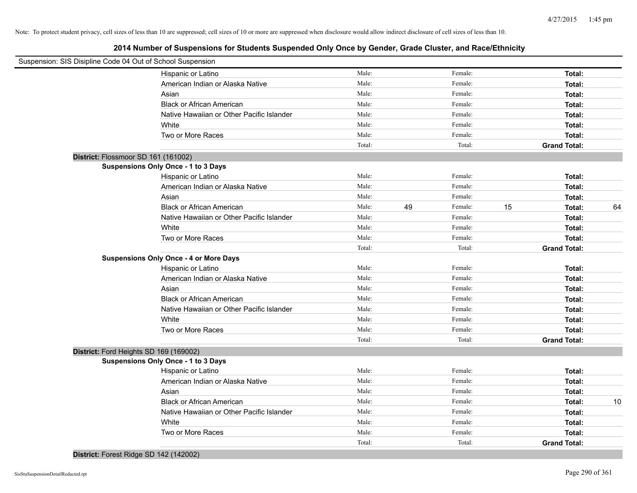**2014 Number of Suspensions for Students Suspended Only Once by Gender, Grade Cluster, and Race/Ethnicity**

| Suspension: SIS Disipline Code 04 Out of School Suspension |        |    |         |    |                     |    |
|------------------------------------------------------------|--------|----|---------|----|---------------------|----|
| Hispanic or Latino                                         | Male:  |    | Female: |    | Total:              |    |
| American Indian or Alaska Native                           | Male:  |    | Female: |    | Total:              |    |
| Asian                                                      | Male:  |    | Female: |    | Total:              |    |
| <b>Black or African American</b>                           | Male:  |    | Female: |    | Total:              |    |
| Native Hawaiian or Other Pacific Islander                  | Male:  |    | Female: |    | Total:              |    |
| White                                                      | Male:  |    | Female: |    | Total:              |    |
| Two or More Races                                          | Male:  |    | Female: |    | Total:              |    |
|                                                            | Total: |    | Total:  |    | <b>Grand Total:</b> |    |
| District: Flossmoor SD 161 (161002)                        |        |    |         |    |                     |    |
| Suspensions Only Once - 1 to 3 Days                        |        |    |         |    |                     |    |
| Hispanic or Latino                                         | Male:  |    | Female: |    | Total:              |    |
| American Indian or Alaska Native                           | Male:  |    | Female: |    | Total:              |    |
| Asian                                                      | Male:  |    | Female: |    | Total:              |    |
| <b>Black or African American</b>                           | Male:  | 49 | Female: | 15 | Total:              | 64 |
| Native Hawaiian or Other Pacific Islander                  | Male:  |    | Female: |    | Total:              |    |
| White                                                      | Male:  |    | Female: |    | Total:              |    |
| Two or More Races                                          | Male:  |    | Female: |    | Total:              |    |
|                                                            | Total: |    | Total:  |    | <b>Grand Total:</b> |    |
| <b>Suspensions Only Once - 4 or More Days</b>              |        |    |         |    |                     |    |
| Hispanic or Latino                                         | Male:  |    | Female: |    | Total:              |    |
| American Indian or Alaska Native                           | Male:  |    | Female: |    | Total:              |    |
| Asian                                                      | Male:  |    | Female: |    | Total:              |    |
| <b>Black or African American</b>                           | Male:  |    | Female: |    | Total:              |    |
| Native Hawaiian or Other Pacific Islander                  | Male:  |    | Female: |    | Total:              |    |
| White                                                      | Male:  |    | Female: |    | Total:              |    |
| Two or More Races                                          | Male:  |    | Female: |    | Total:              |    |
|                                                            | Total: |    | Total:  |    | <b>Grand Total:</b> |    |
| District: Ford Heights SD 169 (169002)                     |        |    |         |    |                     |    |
| Suspensions Only Once - 1 to 3 Days                        |        |    |         |    |                     |    |
| Hispanic or Latino                                         | Male:  |    | Female: |    | Total:              |    |
| American Indian or Alaska Native                           | Male:  |    | Female: |    | Total:              |    |
| Asian                                                      | Male:  |    | Female: |    | Total:              |    |
| <b>Black or African American</b>                           | Male:  |    | Female: |    | Total:              | 10 |
| Native Hawaiian or Other Pacific Islander                  | Male:  |    | Female: |    | Total:              |    |
| White                                                      | Male:  |    | Female: |    | Total:              |    |
| Two or More Races                                          | Male:  |    | Female: |    | Total:              |    |
|                                                            | Total: |    | Total:  |    | <b>Grand Total:</b> |    |

**District:** Forest Ridge SD 142 (142002)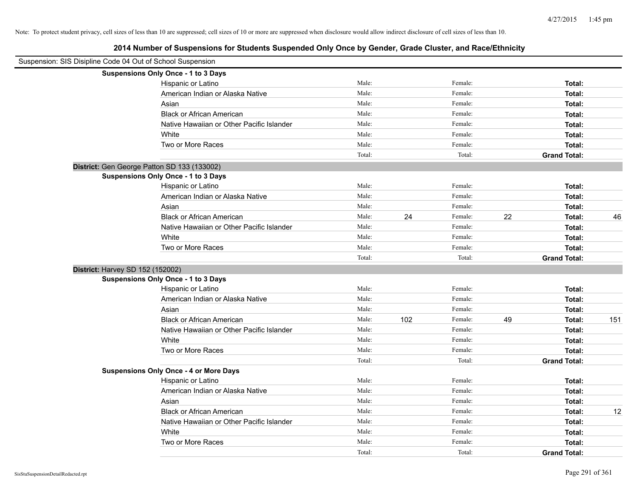| Suspension: SIS Disipline Code 04 Out of School Suspension |                                               |                |     |                    |    |                               |     |
|------------------------------------------------------------|-----------------------------------------------|----------------|-----|--------------------|----|-------------------------------|-----|
|                                                            | Suspensions Only Once - 1 to 3 Days           |                |     |                    |    |                               |     |
|                                                            | Hispanic or Latino                            | Male:          |     | Female:            |    | Total:                        |     |
|                                                            | American Indian or Alaska Native              | Male:          |     | Female:            |    | Total:                        |     |
|                                                            | Asian                                         | Male:          |     | Female:            |    | Total:                        |     |
|                                                            | <b>Black or African American</b>              | Male:          |     | Female:            |    | Total:                        |     |
|                                                            | Native Hawaiian or Other Pacific Islander     | Male:          |     | Female:            |    | Total:                        |     |
|                                                            | White                                         | Male:          |     | Female:            |    | Total:                        |     |
|                                                            | Two or More Races                             | Male:          |     | Female:            |    | Total:                        |     |
|                                                            |                                               | Total:         |     | Total:             |    | <b>Grand Total:</b>           |     |
|                                                            | District: Gen George Patton SD 133 (133002)   |                |     |                    |    |                               |     |
|                                                            | Suspensions Only Once - 1 to 3 Days           |                |     |                    |    |                               |     |
|                                                            | Hispanic or Latino                            | Male:          |     | Female:            |    | Total:                        |     |
|                                                            | American Indian or Alaska Native              | Male:          |     | Female:            |    | Total:                        |     |
|                                                            | Asian                                         | Male:          |     | Female:            |    | Total:                        |     |
|                                                            | <b>Black or African American</b>              | Male:          | 24  | Female:            | 22 | Total:                        | 46  |
|                                                            | Native Hawaiian or Other Pacific Islander     | Male:          |     | Female:            |    | Total:                        |     |
|                                                            | White                                         | Male:          |     | Female:            |    | Total:                        |     |
|                                                            | Two or More Races                             | Male:          |     | Female:            |    | Total:                        |     |
|                                                            |                                               | Total:         |     | Total:             |    | <b>Grand Total:</b>           |     |
|                                                            | District: Harvey SD 152 (152002)              |                |     |                    |    |                               |     |
|                                                            | <b>Suspensions Only Once - 1 to 3 Days</b>    |                |     |                    |    |                               |     |
|                                                            | Hispanic or Latino                            | Male:          |     | Female:            |    | Total:                        |     |
|                                                            | American Indian or Alaska Native              | Male:          |     | Female:            |    | Total:                        |     |
|                                                            | Asian                                         | Male:          |     | Female:            |    | Total:                        |     |
|                                                            | <b>Black or African American</b>              | Male:          | 102 | Female:            | 49 | Total:                        | 151 |
|                                                            | Native Hawaiian or Other Pacific Islander     | Male:          |     | Female:            |    | Total:                        |     |
|                                                            | White                                         | Male:          |     | Female:            |    | Total:                        |     |
|                                                            | Two or More Races                             | Male:          |     | Female:            |    | Total:                        |     |
|                                                            |                                               | Total:         |     | Total:             |    | <b>Grand Total:</b>           |     |
|                                                            | <b>Suspensions Only Once - 4 or More Days</b> |                |     |                    |    |                               |     |
|                                                            | Hispanic or Latino                            | Male:          |     | Female:            |    | Total:                        |     |
|                                                            | American Indian or Alaska Native              | Male:<br>Male: |     | Female:            |    | Total:                        |     |
|                                                            | Asian                                         |                |     | Female:            |    | Total:                        |     |
|                                                            | <b>Black or African American</b>              | Male:          |     | Female:            |    | Total:                        | 12  |
|                                                            | Native Hawaiian or Other Pacific Islander     | Male:<br>Male: |     | Female:<br>Female: |    | Total:                        |     |
|                                                            | White                                         | Male:          |     | Female:            |    | Total:                        |     |
|                                                            | Two or More Races                             | Total:         |     | Total:             |    | Total:<br><b>Grand Total:</b> |     |
|                                                            |                                               |                |     |                    |    |                               |     |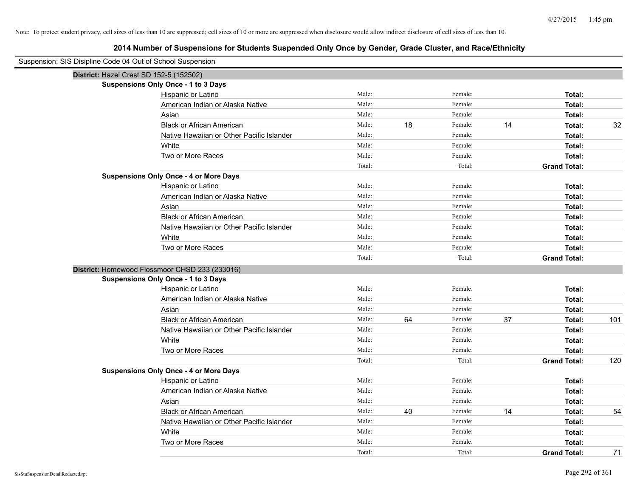| Suspension: SIS Disipline Code 04 Out of School Suspension |                                                |        |    |         |    |                     |     |
|------------------------------------------------------------|------------------------------------------------|--------|----|---------|----|---------------------|-----|
| District: Hazel Crest SD 152-5 (152502)                    |                                                |        |    |         |    |                     |     |
|                                                            | <b>Suspensions Only Once - 1 to 3 Days</b>     |        |    |         |    |                     |     |
|                                                            | Hispanic or Latino                             | Male:  |    | Female: |    | Total:              |     |
|                                                            | American Indian or Alaska Native               | Male:  |    | Female: |    | Total:              |     |
|                                                            | Asian                                          | Male:  |    | Female: |    | Total:              |     |
|                                                            | <b>Black or African American</b>               | Male:  | 18 | Female: | 14 | Total:              | 32  |
|                                                            | Native Hawaiian or Other Pacific Islander      | Male:  |    | Female: |    | Total:              |     |
|                                                            | White                                          | Male:  |    | Female: |    | Total:              |     |
|                                                            | Two or More Races                              | Male:  |    | Female: |    | Total:              |     |
|                                                            |                                                | Total: |    | Total:  |    | <b>Grand Total:</b> |     |
|                                                            | <b>Suspensions Only Once - 4 or More Days</b>  |        |    |         |    |                     |     |
|                                                            | Hispanic or Latino                             | Male:  |    | Female: |    | Total:              |     |
|                                                            | American Indian or Alaska Native               | Male:  |    | Female: |    | Total:              |     |
|                                                            | Asian                                          | Male:  |    | Female: |    | Total:              |     |
|                                                            | <b>Black or African American</b>               | Male:  |    | Female: |    | Total:              |     |
|                                                            | Native Hawaiian or Other Pacific Islander      | Male:  |    | Female: |    | Total:              |     |
|                                                            | White                                          | Male:  |    | Female: |    | Total:              |     |
|                                                            | Two or More Races                              | Male:  |    | Female: |    | Total:              |     |
|                                                            |                                                | Total: |    | Total:  |    | <b>Grand Total:</b> |     |
|                                                            | District: Homewood Flossmoor CHSD 233 (233016) |        |    |         |    |                     |     |
|                                                            | <b>Suspensions Only Once - 1 to 3 Days</b>     |        |    |         |    |                     |     |
|                                                            | Hispanic or Latino                             | Male:  |    | Female: |    | Total:              |     |
|                                                            | American Indian or Alaska Native               | Male:  |    | Female: |    | Total:              |     |
|                                                            | Asian                                          | Male:  |    | Female: |    | Total:              |     |
|                                                            | <b>Black or African American</b>               | Male:  | 64 | Female: | 37 | Total:              | 101 |
|                                                            | Native Hawaiian or Other Pacific Islander      | Male:  |    | Female: |    | Total:              |     |
|                                                            | White                                          | Male:  |    | Female: |    | Total:              |     |
|                                                            | Two or More Races                              | Male:  |    | Female: |    | Total:              |     |
|                                                            |                                                | Total: |    | Total:  |    | <b>Grand Total:</b> | 120 |
|                                                            | <b>Suspensions Only Once - 4 or More Days</b>  |        |    |         |    |                     |     |
|                                                            | Hispanic or Latino                             | Male:  |    | Female: |    | Total:              |     |
|                                                            | American Indian or Alaska Native               | Male:  |    | Female: |    | Total:              |     |
|                                                            | Asian                                          | Male:  |    | Female: |    | Total:              |     |
|                                                            | <b>Black or African American</b>               | Male:  | 40 | Female: | 14 | Total:              | 54  |
|                                                            | Native Hawaiian or Other Pacific Islander      | Male:  |    | Female: |    | Total:              |     |
|                                                            | White                                          | Male:  |    | Female: |    | Total:              |     |
|                                                            | Two or More Races                              | Male:  |    | Female: |    | Total:              |     |
|                                                            |                                                | Total: |    | Total:  |    | <b>Grand Total:</b> | 71  |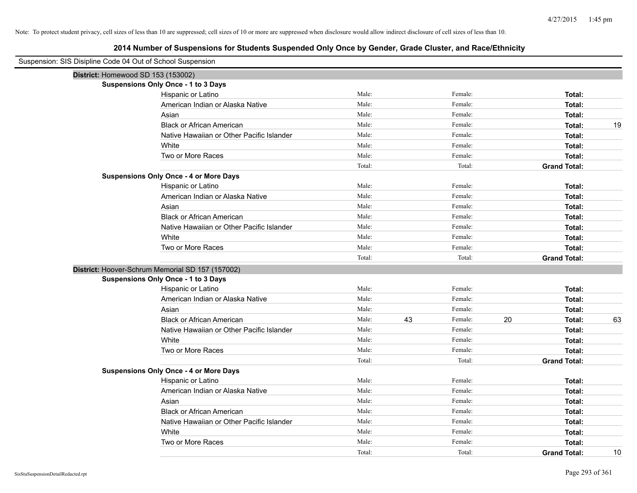| Suspension: SIS Disipline Code 04 Out of School Suspension |                                                  |        |    |         |    |                     |    |
|------------------------------------------------------------|--------------------------------------------------|--------|----|---------|----|---------------------|----|
|                                                            | District: Homewood SD 153 (153002)               |        |    |         |    |                     |    |
|                                                            | <b>Suspensions Only Once - 1 to 3 Days</b>       |        |    |         |    |                     |    |
|                                                            | Hispanic or Latino                               | Male:  |    | Female: |    | Total:              |    |
|                                                            | American Indian or Alaska Native                 | Male:  |    | Female: |    | Total:              |    |
|                                                            | Asian                                            | Male:  |    | Female: |    | Total:              |    |
|                                                            | <b>Black or African American</b>                 | Male:  |    | Female: |    | Total:              | 19 |
|                                                            | Native Hawaiian or Other Pacific Islander        | Male:  |    | Female: |    | Total:              |    |
|                                                            | White                                            | Male:  |    | Female: |    | Total:              |    |
|                                                            | Two or More Races                                | Male:  |    | Female: |    | Total:              |    |
|                                                            |                                                  | Total: |    | Total:  |    | <b>Grand Total:</b> |    |
|                                                            | <b>Suspensions Only Once - 4 or More Days</b>    |        |    |         |    |                     |    |
|                                                            | Hispanic or Latino                               | Male:  |    | Female: |    | Total:              |    |
|                                                            | American Indian or Alaska Native                 | Male:  |    | Female: |    | Total:              |    |
|                                                            | Asian                                            | Male:  |    | Female: |    | Total:              |    |
|                                                            | <b>Black or African American</b>                 | Male:  |    | Female: |    | Total:              |    |
|                                                            | Native Hawaiian or Other Pacific Islander        | Male:  |    | Female: |    | Total:              |    |
|                                                            | White                                            | Male:  |    | Female: |    | Total:              |    |
|                                                            | Two or More Races                                | Male:  |    | Female: |    | Total:              |    |
|                                                            |                                                  | Total: |    | Total:  |    | <b>Grand Total:</b> |    |
|                                                            | District: Hoover-Schrum Memorial SD 157 (157002) |        |    |         |    |                     |    |
|                                                            | <b>Suspensions Only Once - 1 to 3 Days</b>       |        |    |         |    |                     |    |
|                                                            | Hispanic or Latino                               | Male:  |    | Female: |    | Total:              |    |
|                                                            | American Indian or Alaska Native                 | Male:  |    | Female: |    | Total:              |    |
|                                                            | Asian                                            | Male:  |    | Female: |    | Total:              |    |
|                                                            | <b>Black or African American</b>                 | Male:  | 43 | Female: | 20 | Total:              | 63 |
|                                                            | Native Hawaiian or Other Pacific Islander        | Male:  |    | Female: |    | Total:              |    |
|                                                            | White                                            | Male:  |    | Female: |    | Total:              |    |
|                                                            | Two or More Races                                | Male:  |    | Female: |    | Total:              |    |
|                                                            |                                                  | Total: |    | Total:  |    | <b>Grand Total:</b> |    |
|                                                            | <b>Suspensions Only Once - 4 or More Days</b>    |        |    |         |    |                     |    |
|                                                            | Hispanic or Latino                               | Male:  |    | Female: |    | Total:              |    |
|                                                            | American Indian or Alaska Native                 | Male:  |    | Female: |    | Total:              |    |
|                                                            | Asian                                            | Male:  |    | Female: |    | Total:              |    |
|                                                            | <b>Black or African American</b>                 | Male:  |    | Female: |    | Total:              |    |
|                                                            | Native Hawaiian or Other Pacific Islander        | Male:  |    | Female: |    | Total:              |    |
|                                                            | White                                            | Male:  |    | Female: |    | Total:              |    |
|                                                            | Two or More Races                                | Male:  |    | Female: |    | Total:              |    |
|                                                            |                                                  | Total: |    | Total:  |    | <b>Grand Total:</b> | 10 |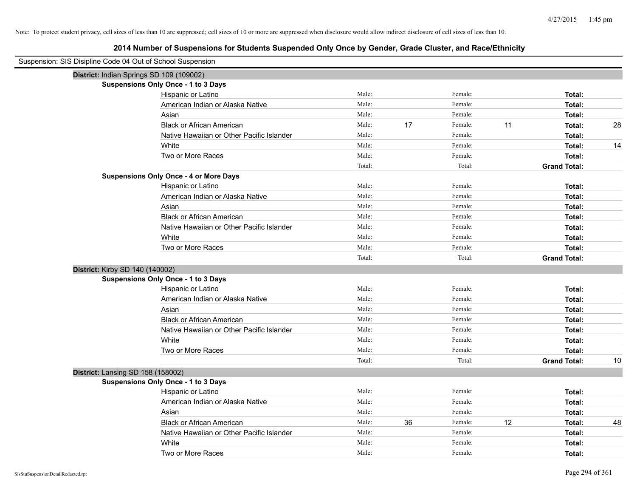| Suspension: SIS Disipline Code 04 Out of School Suspension |                                               |        |    |         |    |                     |    |
|------------------------------------------------------------|-----------------------------------------------|--------|----|---------|----|---------------------|----|
|                                                            | District: Indian Springs SD 109 (109002)      |        |    |         |    |                     |    |
|                                                            | <b>Suspensions Only Once - 1 to 3 Days</b>    |        |    |         |    |                     |    |
|                                                            | Hispanic or Latino                            | Male:  |    | Female: |    | Total:              |    |
|                                                            | American Indian or Alaska Native              | Male:  |    | Female: |    | Total:              |    |
|                                                            | Asian                                         | Male:  |    | Female: |    | Total:              |    |
|                                                            | <b>Black or African American</b>              | Male:  | 17 | Female: | 11 | Total:              | 28 |
|                                                            | Native Hawaiian or Other Pacific Islander     | Male:  |    | Female: |    | Total:              |    |
|                                                            | White                                         | Male:  |    | Female: |    | Total:              | 14 |
|                                                            | Two or More Races                             | Male:  |    | Female: |    | Total:              |    |
|                                                            |                                               | Total: |    | Total:  |    | <b>Grand Total:</b> |    |
|                                                            | <b>Suspensions Only Once - 4 or More Days</b> |        |    |         |    |                     |    |
|                                                            | Hispanic or Latino                            | Male:  |    | Female: |    | Total:              |    |
|                                                            | American Indian or Alaska Native              | Male:  |    | Female: |    | Total:              |    |
|                                                            | Asian                                         | Male:  |    | Female: |    | Total:              |    |
|                                                            | <b>Black or African American</b>              | Male:  |    | Female: |    | Total:              |    |
|                                                            | Native Hawaiian or Other Pacific Islander     | Male:  |    | Female: |    | Total:              |    |
|                                                            | White                                         | Male:  |    | Female: |    | Total:              |    |
|                                                            | Two or More Races                             | Male:  |    | Female: |    | Total:              |    |
|                                                            |                                               | Total: |    | Total:  |    | <b>Grand Total:</b> |    |
| District: Kirby SD 140 (140002)                            |                                               |        |    |         |    |                     |    |
|                                                            | <b>Suspensions Only Once - 1 to 3 Days</b>    |        |    |         |    |                     |    |
|                                                            | Hispanic or Latino                            | Male:  |    | Female: |    | Total:              |    |
|                                                            | American Indian or Alaska Native              | Male:  |    | Female: |    | Total:              |    |
|                                                            | Asian                                         | Male:  |    | Female: |    | Total:              |    |
|                                                            | <b>Black or African American</b>              | Male:  |    | Female: |    | Total:              |    |
|                                                            | Native Hawaiian or Other Pacific Islander     | Male:  |    | Female: |    | Total:              |    |
|                                                            | White                                         | Male:  |    | Female: |    | Total:              |    |
|                                                            | Two or More Races                             | Male:  |    | Female: |    | Total:              |    |
|                                                            |                                               | Total: |    | Total:  |    | <b>Grand Total:</b> | 10 |
| District: Lansing SD 158 (158002)                          |                                               |        |    |         |    |                     |    |
|                                                            | <b>Suspensions Only Once - 1 to 3 Days</b>    |        |    |         |    |                     |    |
|                                                            | Hispanic or Latino                            | Male:  |    | Female: |    | Total:              |    |
|                                                            | American Indian or Alaska Native              | Male:  |    | Female: |    | Total:              |    |
|                                                            | Asian                                         | Male:  |    | Female: |    | Total:              |    |
|                                                            | <b>Black or African American</b>              | Male:  | 36 | Female: | 12 | Total:              | 48 |
|                                                            | Native Hawaiian or Other Pacific Islander     | Male:  |    | Female: |    | Total:              |    |
|                                                            | White                                         | Male:  |    | Female: |    | Total:              |    |
|                                                            | Two or More Races                             | Male:  |    | Female: |    | Total:              |    |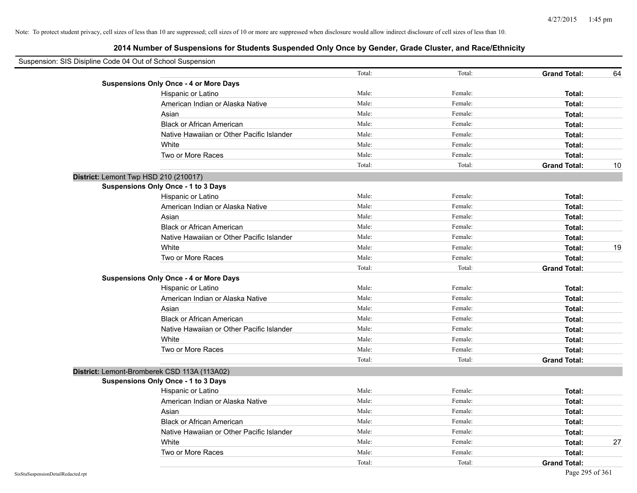| Suspension: SIS Disipline Code 04 Out of School Suspension |                                               |        |         |                     |    |
|------------------------------------------------------------|-----------------------------------------------|--------|---------|---------------------|----|
|                                                            |                                               | Total: | Total:  | <b>Grand Total:</b> | 64 |
|                                                            | <b>Suspensions Only Once - 4 or More Days</b> |        |         |                     |    |
|                                                            | Hispanic or Latino                            | Male:  | Female: | Total:              |    |
|                                                            | American Indian or Alaska Native              | Male:  | Female: | Total:              |    |
|                                                            | Asian                                         | Male:  | Female: | Total:              |    |
|                                                            | <b>Black or African American</b>              | Male:  | Female: | Total:              |    |
|                                                            | Native Hawaiian or Other Pacific Islander     | Male:  | Female: | Total:              |    |
|                                                            | White                                         | Male:  | Female: | Total:              |    |
|                                                            | Two or More Races                             | Male:  | Female: | Total:              |    |
|                                                            |                                               | Total: | Total:  | <b>Grand Total:</b> | 10 |
|                                                            | District: Lemont Twp HSD 210 (210017)         |        |         |                     |    |
|                                                            | Suspensions Only Once - 1 to 3 Days           |        |         |                     |    |
|                                                            | Hispanic or Latino                            | Male:  | Female: | Total:              |    |
|                                                            | American Indian or Alaska Native              | Male:  | Female: | Total:              |    |
|                                                            | Asian                                         | Male:  | Female: | Total:              |    |
|                                                            | <b>Black or African American</b>              | Male:  | Female: | Total:              |    |
|                                                            | Native Hawaiian or Other Pacific Islander     | Male:  | Female: | Total:              |    |
|                                                            | White                                         | Male:  | Female: | Total:              | 19 |
|                                                            | Two or More Races                             | Male:  | Female: | Total:              |    |
|                                                            |                                               | Total: | Total:  | <b>Grand Total:</b> |    |
|                                                            | <b>Suspensions Only Once - 4 or More Days</b> |        |         |                     |    |
|                                                            | Hispanic or Latino                            | Male:  | Female: | Total:              |    |
|                                                            | American Indian or Alaska Native              | Male:  | Female: | Total:              |    |
|                                                            | Asian                                         | Male:  | Female: | Total:              |    |
|                                                            | <b>Black or African American</b>              | Male:  | Female: | Total:              |    |
|                                                            | Native Hawaiian or Other Pacific Islander     | Male:  | Female: | Total:              |    |
|                                                            | White                                         | Male:  | Female: | Total:              |    |
|                                                            | Two or More Races                             | Male:  | Female: | Total:              |    |
|                                                            |                                               | Total: | Total:  | <b>Grand Total:</b> |    |
|                                                            | District: Lemont-Bromberek CSD 113A (113A02)  |        |         |                     |    |
|                                                            | Suspensions Only Once - 1 to 3 Days           |        |         |                     |    |
|                                                            | Hispanic or Latino                            | Male:  | Female: | Total:              |    |
|                                                            | American Indian or Alaska Native              | Male:  | Female: | Total:              |    |
|                                                            | Asian                                         | Male:  | Female: | Total:              |    |
|                                                            | <b>Black or African American</b>              | Male:  | Female: | Total:              |    |
|                                                            | Native Hawaiian or Other Pacific Islander     | Male:  | Female: | Total:              |    |
|                                                            | White                                         | Male:  | Female: | Total:              | 27 |
|                                                            | Two or More Races                             | Male:  | Female: | Total:              |    |
|                                                            |                                               | Total: | Total:  | <b>Grand Total:</b> |    |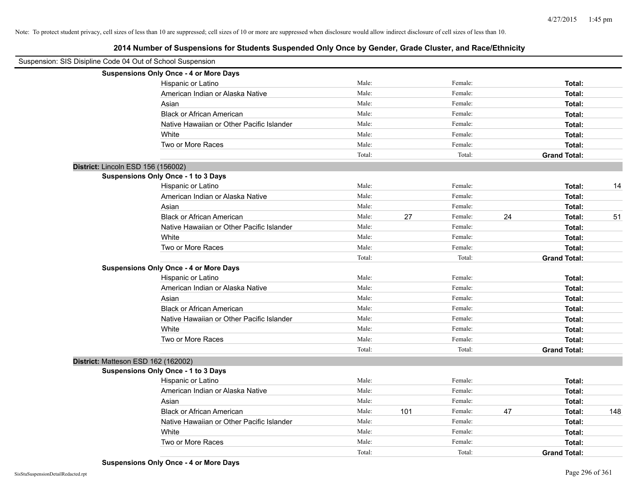| Suspension: SIS Disipline Code 04 Out of School Suspension |                                               |        |     |         |    |                     |     |
|------------------------------------------------------------|-----------------------------------------------|--------|-----|---------|----|---------------------|-----|
|                                                            | <b>Suspensions Only Once - 4 or More Days</b> |        |     |         |    |                     |     |
|                                                            | Hispanic or Latino                            | Male:  |     | Female: |    | Total:              |     |
|                                                            | American Indian or Alaska Native              | Male:  |     | Female: |    | Total:              |     |
|                                                            | Asian                                         | Male:  |     | Female: |    | Total:              |     |
|                                                            | <b>Black or African American</b>              | Male:  |     | Female: |    | Total:              |     |
|                                                            | Native Hawaiian or Other Pacific Islander     | Male:  |     | Female: |    | Total:              |     |
|                                                            | White                                         | Male:  |     | Female: |    | Total:              |     |
|                                                            | Two or More Races                             | Male:  |     | Female: |    | Total:              |     |
|                                                            |                                               | Total: |     | Total:  |    | <b>Grand Total:</b> |     |
| District: Lincoln ESD 156 (156002)                         |                                               |        |     |         |    |                     |     |
|                                                            | Suspensions Only Once - 1 to 3 Days           |        |     |         |    |                     |     |
|                                                            | Hispanic or Latino                            | Male:  |     | Female: |    | Total:              | 14  |
|                                                            | American Indian or Alaska Native              | Male:  |     | Female: |    | Total:              |     |
|                                                            | Asian                                         | Male:  |     | Female: |    | Total:              |     |
|                                                            | <b>Black or African American</b>              | Male:  | 27  | Female: | 24 | Total:              | 51  |
|                                                            | Native Hawaiian or Other Pacific Islander     | Male:  |     | Female: |    | Total:              |     |
|                                                            | White                                         | Male:  |     | Female: |    | Total:              |     |
|                                                            | Two or More Races                             | Male:  |     | Female: |    | Total:              |     |
|                                                            |                                               | Total: |     | Total:  |    | <b>Grand Total:</b> |     |
|                                                            | <b>Suspensions Only Once - 4 or More Days</b> |        |     |         |    |                     |     |
|                                                            | Hispanic or Latino                            | Male:  |     | Female: |    | Total:              |     |
|                                                            | American Indian or Alaska Native              | Male:  |     | Female: |    | Total:              |     |
|                                                            | Asian                                         | Male:  |     | Female: |    | Total:              |     |
|                                                            | <b>Black or African American</b>              | Male:  |     | Female: |    | Total:              |     |
|                                                            | Native Hawaiian or Other Pacific Islander     | Male:  |     | Female: |    | Total:              |     |
|                                                            | White                                         | Male:  |     | Female: |    | Total:              |     |
|                                                            | Two or More Races                             | Male:  |     | Female: |    | Total:              |     |
|                                                            |                                               | Total: |     | Total:  |    | <b>Grand Total:</b> |     |
| District: Matteson ESD 162 (162002)                        |                                               |        |     |         |    |                     |     |
|                                                            | <b>Suspensions Only Once - 1 to 3 Days</b>    |        |     |         |    |                     |     |
|                                                            | Hispanic or Latino                            | Male:  |     | Female: |    | Total:              |     |
|                                                            | American Indian or Alaska Native              | Male:  |     | Female: |    | Total:              |     |
|                                                            | Asian                                         | Male:  |     | Female: |    | Total:              |     |
|                                                            | <b>Black or African American</b>              | Male:  | 101 | Female: | 47 | Total:              | 148 |
|                                                            | Native Hawaiian or Other Pacific Islander     | Male:  |     | Female: |    | Total:              |     |
|                                                            | White                                         | Male:  |     | Female: |    | Total:              |     |
|                                                            | Two or More Races                             | Male:  |     | Female: |    | Total:              |     |
|                                                            |                                               | Total: |     | Total:  |    | <b>Grand Total:</b> |     |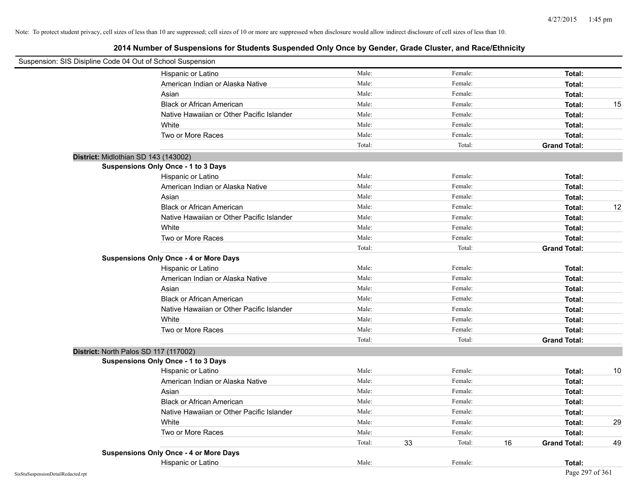| Suspension: SIS Disipline Code 04 Out of School Suspension |                                               |        |    |         |    |                     |    |
|------------------------------------------------------------|-----------------------------------------------|--------|----|---------|----|---------------------|----|
|                                                            | Hispanic or Latino                            | Male:  |    | Female: |    | Total:              |    |
|                                                            | American Indian or Alaska Native              | Male:  |    | Female: |    | Total:              |    |
|                                                            | Asian                                         | Male:  |    | Female: |    | Total:              |    |
|                                                            | <b>Black or African American</b>              | Male:  |    | Female: |    | Total:              | 15 |
|                                                            | Native Hawaiian or Other Pacific Islander     | Male:  |    | Female: |    | Total:              |    |
|                                                            | White                                         | Male:  |    | Female: |    | Total:              |    |
|                                                            | Two or More Races                             | Male:  |    | Female: |    | Total:              |    |
|                                                            |                                               | Total: |    | Total:  |    | <b>Grand Total:</b> |    |
| District: Midlothian SD 143 (143002)                       |                                               |        |    |         |    |                     |    |
|                                                            | <b>Suspensions Only Once - 1 to 3 Days</b>    |        |    |         |    |                     |    |
|                                                            | Hispanic or Latino                            | Male:  |    | Female: |    | Total:              |    |
|                                                            | American Indian or Alaska Native              | Male:  |    | Female: |    | Total:              |    |
|                                                            | Asian                                         | Male:  |    | Female: |    | Total:              |    |
|                                                            | <b>Black or African American</b>              | Male:  |    | Female: |    | Total:              | 12 |
|                                                            | Native Hawaiian or Other Pacific Islander     | Male:  |    | Female: |    | Total:              |    |
|                                                            | White                                         | Male:  |    | Female: |    | Total:              |    |
|                                                            | Two or More Races                             | Male:  |    | Female: |    | Total:              |    |
|                                                            |                                               | Total: |    | Total:  |    | <b>Grand Total:</b> |    |
|                                                            | <b>Suspensions Only Once - 4 or More Days</b> |        |    |         |    |                     |    |
|                                                            | Hispanic or Latino                            | Male:  |    | Female: |    | Total:              |    |
|                                                            | American Indian or Alaska Native              | Male:  |    | Female: |    | Total:              |    |
|                                                            | Asian                                         | Male:  |    | Female: |    | Total:              |    |
|                                                            | <b>Black or African American</b>              | Male:  |    | Female: |    | Total:              |    |
|                                                            | Native Hawaiian or Other Pacific Islander     | Male:  |    | Female: |    | Total:              |    |
|                                                            | White                                         | Male:  |    | Female: |    | Total:              |    |
|                                                            | Two or More Races                             | Male:  |    | Female: |    | Total:              |    |
|                                                            |                                               | Total: |    | Total:  |    | <b>Grand Total:</b> |    |
| District: North Palos SD 117 (117002)                      |                                               |        |    |         |    |                     |    |
|                                                            | <b>Suspensions Only Once - 1 to 3 Days</b>    |        |    |         |    |                     |    |
|                                                            | Hispanic or Latino                            | Male:  |    | Female: |    | Total:              | 10 |
|                                                            | American Indian or Alaska Native              | Male:  |    | Female: |    | Total:              |    |
|                                                            | Asian                                         | Male:  |    | Female: |    | Total:              |    |
|                                                            | <b>Black or African American</b>              | Male:  |    | Female: |    | Total:              |    |
|                                                            | Native Hawaiian or Other Pacific Islander     | Male:  |    | Female: |    | Total:              |    |
|                                                            | White                                         | Male:  |    | Female: |    | Total:              | 29 |
|                                                            | Two or More Races                             | Male:  |    | Female: |    | Total:              |    |
|                                                            |                                               | Total: | 33 | Total:  | 16 | <b>Grand Total:</b> | 49 |
|                                                            | <b>Suspensions Only Once - 4 or More Days</b> |        |    |         |    |                     |    |
|                                                            | Hispanic or Latino                            | Male:  |    | Female: |    | Total:              |    |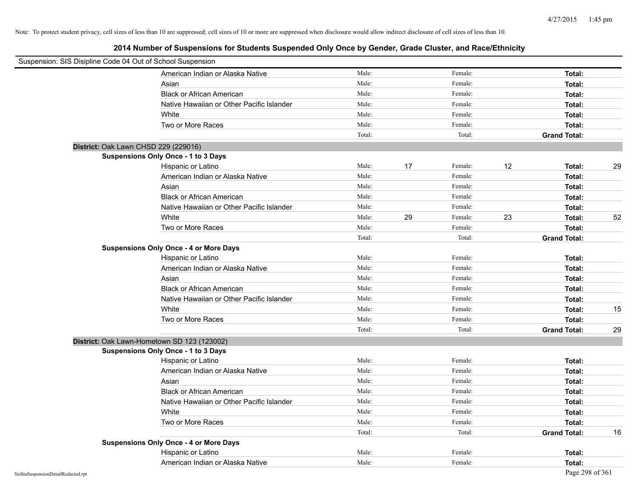| Suspension: SIS Disipline Code 04 Out of School Suspension |                                               |        |    |         |    |                     |    |
|------------------------------------------------------------|-----------------------------------------------|--------|----|---------|----|---------------------|----|
|                                                            | American Indian or Alaska Native              | Male:  |    | Female: |    | Total:              |    |
|                                                            | Asian                                         | Male:  |    | Female: |    | Total:              |    |
|                                                            | <b>Black or African American</b>              | Male:  |    | Female: |    | Total:              |    |
|                                                            | Native Hawaiian or Other Pacific Islander     | Male:  |    | Female: |    | Total:              |    |
|                                                            | White                                         | Male:  |    | Female: |    | Total:              |    |
|                                                            | Two or More Races                             | Male:  |    | Female: |    | Total:              |    |
|                                                            |                                               | Total: |    | Total:  |    | <b>Grand Total:</b> |    |
| District: Oak Lawn CHSD 229 (229016)                       |                                               |        |    |         |    |                     |    |
|                                                            | <b>Suspensions Only Once - 1 to 3 Days</b>    |        |    |         |    |                     |    |
|                                                            | Hispanic or Latino                            | Male:  | 17 | Female: | 12 | Total:              | 29 |
|                                                            | American Indian or Alaska Native              | Male:  |    | Female: |    | Total:              |    |
|                                                            | Asian                                         | Male:  |    | Female: |    | Total:              |    |
|                                                            | <b>Black or African American</b>              | Male:  |    | Female: |    | Total:              |    |
|                                                            | Native Hawaiian or Other Pacific Islander     | Male:  |    | Female: |    | Total:              |    |
|                                                            | White                                         | Male:  | 29 | Female: | 23 | Total:              | 52 |
|                                                            | Two or More Races                             | Male:  |    | Female: |    | Total:              |    |
|                                                            |                                               | Total: |    | Total:  |    | <b>Grand Total:</b> |    |
|                                                            | <b>Suspensions Only Once - 4 or More Days</b> |        |    |         |    |                     |    |
|                                                            | Hispanic or Latino                            | Male:  |    | Female: |    | Total:              |    |
|                                                            | American Indian or Alaska Native              | Male:  |    | Female: |    | Total:              |    |
|                                                            | Asian                                         | Male:  |    | Female: |    | Total:              |    |
|                                                            | <b>Black or African American</b>              | Male:  |    | Female: |    | Total:              |    |
|                                                            | Native Hawaiian or Other Pacific Islander     | Male:  |    | Female: |    | Total:              |    |
|                                                            | White                                         | Male:  |    | Female: |    | Total:              | 15 |
|                                                            | Two or More Races                             | Male:  |    | Female: |    | Total:              |    |
|                                                            |                                               | Total: |    | Total:  |    | <b>Grand Total:</b> | 29 |
| District: Oak Lawn-Hometown SD 123 (123002)                |                                               |        |    |         |    |                     |    |
|                                                            | <b>Suspensions Only Once - 1 to 3 Days</b>    |        |    |         |    |                     |    |
|                                                            | Hispanic or Latino                            | Male:  |    | Female: |    | Total:              |    |
|                                                            | American Indian or Alaska Native              | Male:  |    | Female: |    | Total:              |    |
|                                                            | Asian                                         | Male:  |    | Female: |    | Total:              |    |
|                                                            | <b>Black or African American</b>              | Male:  |    | Female: |    | Total:              |    |
|                                                            | Native Hawaiian or Other Pacific Islander     | Male:  |    | Female: |    | Total:              |    |
|                                                            | White                                         | Male:  |    | Female: |    | Total:              |    |
|                                                            | Two or More Races                             | Male:  |    | Female: |    | Total:              |    |
|                                                            |                                               | Total: |    | Total:  |    | <b>Grand Total:</b> | 16 |
|                                                            | <b>Suspensions Only Once - 4 or More Days</b> |        |    |         |    |                     |    |
|                                                            | Hispanic or Latino                            | Male:  |    | Female: |    | Total:              |    |
|                                                            | American Indian or Alaska Native              | Male:  |    | Female: |    | Total:              |    |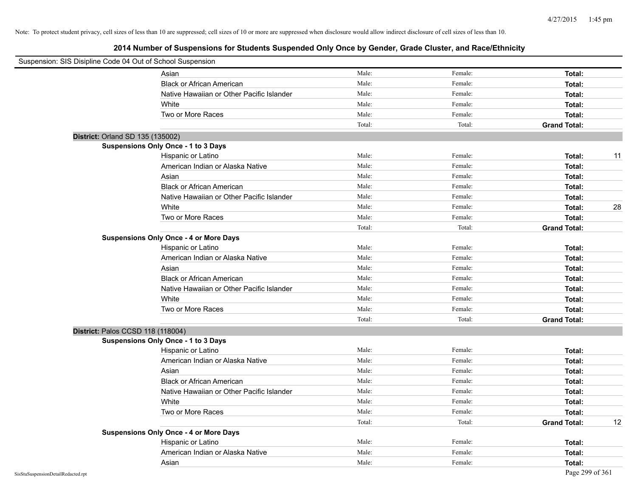| Suspension: SIS Disipline Code 04 Out of School Suspension |                                               |        |         |                     |    |
|------------------------------------------------------------|-----------------------------------------------|--------|---------|---------------------|----|
|                                                            | Asian                                         | Male:  | Female: | Total:              |    |
|                                                            | <b>Black or African American</b>              | Male:  | Female: | Total:              |    |
|                                                            | Native Hawaiian or Other Pacific Islander     | Male:  | Female: | Total:              |    |
|                                                            | White                                         | Male:  | Female: | Total:              |    |
|                                                            | Two or More Races                             | Male:  | Female: | Total:              |    |
|                                                            |                                               | Total: | Total:  | <b>Grand Total:</b> |    |
| District: Orland SD 135 (135002)                           |                                               |        |         |                     |    |
|                                                            | Suspensions Only Once - 1 to 3 Days           |        |         |                     |    |
|                                                            | Hispanic or Latino                            | Male:  | Female: | Total:              | 11 |
|                                                            | American Indian or Alaska Native              | Male:  | Female: | Total:              |    |
|                                                            | Asian                                         | Male:  | Female: | Total:              |    |
|                                                            | <b>Black or African American</b>              | Male:  | Female: | Total:              |    |
|                                                            | Native Hawaiian or Other Pacific Islander     | Male:  | Female: | Total:              |    |
|                                                            | White                                         | Male:  | Female: | Total:              | 28 |
|                                                            | Two or More Races                             | Male:  | Female: | Total:              |    |
|                                                            |                                               | Total: | Total:  | <b>Grand Total:</b> |    |
|                                                            | <b>Suspensions Only Once - 4 or More Days</b> |        |         |                     |    |
|                                                            | Hispanic or Latino                            | Male:  | Female: | Total:              |    |
|                                                            | American Indian or Alaska Native              | Male:  | Female: | Total:              |    |
|                                                            | Asian                                         | Male:  | Female: | Total:              |    |
|                                                            | <b>Black or African American</b>              | Male:  | Female: | Total:              |    |
|                                                            | Native Hawaiian or Other Pacific Islander     | Male:  | Female: | Total:              |    |
|                                                            | White                                         | Male:  | Female: | Total:              |    |
|                                                            | Two or More Races                             | Male:  | Female: | Total:              |    |
|                                                            |                                               | Total: | Total:  | <b>Grand Total:</b> |    |
| District: Palos CCSD 118 (118004)                          |                                               |        |         |                     |    |
|                                                            | Suspensions Only Once - 1 to 3 Days           |        |         |                     |    |
|                                                            | Hispanic or Latino                            | Male:  | Female: | Total:              |    |
|                                                            | American Indian or Alaska Native              | Male:  | Female: | Total:              |    |
|                                                            | Asian                                         | Male:  | Female: | Total:              |    |
|                                                            | <b>Black or African American</b>              | Male:  | Female: | Total:              |    |
|                                                            | Native Hawaiian or Other Pacific Islander     | Male:  | Female: | Total:              |    |
|                                                            | White                                         | Male:  | Female: | Total:              |    |
|                                                            | Two or More Races                             | Male:  | Female: | Total:              |    |
|                                                            |                                               | Total: | Total:  | <b>Grand Total:</b> | 12 |
|                                                            | <b>Suspensions Only Once - 4 or More Days</b> |        |         |                     |    |
|                                                            | Hispanic or Latino                            | Male:  | Female: | Total:              |    |
|                                                            | American Indian or Alaska Native              | Male:  | Female: | Total:              |    |
|                                                            | Asian                                         | Male:  | Female: | Total:              |    |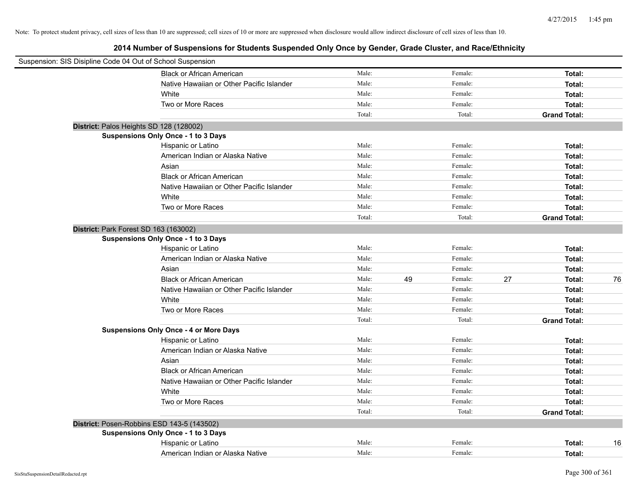| Suspension: SIS Disipline Code 04 Out of School Suspension |                                               |        |    |         |    |                     |    |
|------------------------------------------------------------|-----------------------------------------------|--------|----|---------|----|---------------------|----|
|                                                            | <b>Black or African American</b>              | Male:  |    | Female: |    | Total:              |    |
|                                                            | Native Hawaiian or Other Pacific Islander     | Male:  |    | Female: |    | Total:              |    |
|                                                            | White                                         | Male:  |    | Female: |    | Total:              |    |
|                                                            | Two or More Races                             | Male:  |    | Female: |    | Total:              |    |
|                                                            |                                               | Total: |    | Total:  |    | <b>Grand Total:</b> |    |
| District: Palos Heights SD 128 (128002)                    |                                               |        |    |         |    |                     |    |
|                                                            | <b>Suspensions Only Once - 1 to 3 Days</b>    |        |    |         |    |                     |    |
|                                                            | Hispanic or Latino                            | Male:  |    | Female: |    | Total:              |    |
|                                                            | American Indian or Alaska Native              | Male:  |    | Female: |    | Total:              |    |
|                                                            | Asian                                         | Male:  |    | Female: |    | Total:              |    |
|                                                            | <b>Black or African American</b>              | Male:  |    | Female: |    | Total:              |    |
|                                                            | Native Hawaiian or Other Pacific Islander     | Male:  |    | Female: |    | Total:              |    |
|                                                            | White                                         | Male:  |    | Female: |    | Total:              |    |
|                                                            | Two or More Races                             | Male:  |    | Female: |    | Total:              |    |
|                                                            |                                               | Total: |    | Total:  |    | <b>Grand Total:</b> |    |
| District: Park Forest SD 163 (163002)                      |                                               |        |    |         |    |                     |    |
|                                                            | <b>Suspensions Only Once - 1 to 3 Days</b>    |        |    |         |    |                     |    |
|                                                            | Hispanic or Latino                            | Male:  |    | Female: |    | Total:              |    |
|                                                            | American Indian or Alaska Native              | Male:  |    | Female: |    | Total:              |    |
|                                                            | Asian                                         | Male:  |    | Female: |    | Total:              |    |
|                                                            | <b>Black or African American</b>              | Male:  | 49 | Female: | 27 | Total:              | 76 |
|                                                            | Native Hawaiian or Other Pacific Islander     | Male:  |    | Female: |    | Total:              |    |
|                                                            | White                                         | Male:  |    | Female: |    | Total:              |    |
|                                                            | Two or More Races                             | Male:  |    | Female: |    | Total:              |    |
|                                                            |                                               | Total: |    | Total:  |    | <b>Grand Total:</b> |    |
|                                                            | <b>Suspensions Only Once - 4 or More Days</b> |        |    |         |    |                     |    |
|                                                            | Hispanic or Latino                            | Male:  |    | Female: |    | Total:              |    |
|                                                            | American Indian or Alaska Native              | Male:  |    | Female: |    | Total:              |    |
|                                                            | Asian                                         | Male:  |    | Female: |    | Total:              |    |
|                                                            | <b>Black or African American</b>              | Male:  |    | Female: |    | Total:              |    |
|                                                            | Native Hawaiian or Other Pacific Islander     | Male:  |    | Female: |    | Total:              |    |
|                                                            | White                                         | Male:  |    | Female: |    | Total:              |    |
|                                                            | Two or More Races                             | Male:  |    | Female: |    | Total:              |    |
|                                                            |                                               | Total: |    | Total:  |    | <b>Grand Total:</b> |    |
| District: Posen-Robbins ESD 143-5 (143502)                 |                                               |        |    |         |    |                     |    |
|                                                            | <b>Suspensions Only Once - 1 to 3 Days</b>    |        |    |         |    |                     |    |
|                                                            | Hispanic or Latino                            | Male:  |    | Female: |    | Total:              | 16 |
|                                                            | American Indian or Alaska Native              | Male:  |    | Female: |    | Total:              |    |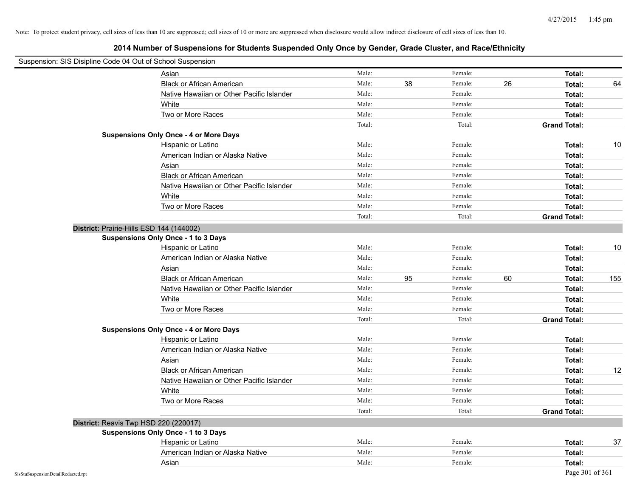| Suspension: SIS Disipline Code 04 Out of School Suspension |                                               |        |    |         |    |                     |     |
|------------------------------------------------------------|-----------------------------------------------|--------|----|---------|----|---------------------|-----|
|                                                            | Asian                                         | Male:  |    | Female: |    | Total:              |     |
|                                                            | <b>Black or African American</b>              | Male:  | 38 | Female: | 26 | Total:              | 64  |
|                                                            | Native Hawaiian or Other Pacific Islander     | Male:  |    | Female: |    | Total:              |     |
|                                                            | White                                         | Male:  |    | Female: |    | Total:              |     |
|                                                            | Two or More Races                             | Male:  |    | Female: |    | Total:              |     |
|                                                            |                                               | Total: |    | Total:  |    | <b>Grand Total:</b> |     |
|                                                            | <b>Suspensions Only Once - 4 or More Days</b> |        |    |         |    |                     |     |
|                                                            | Hispanic or Latino                            | Male:  |    | Female: |    | Total:              | 10  |
|                                                            | American Indian or Alaska Native              | Male:  |    | Female: |    | Total:              |     |
|                                                            | Asian                                         | Male:  |    | Female: |    | Total:              |     |
|                                                            | <b>Black or African American</b>              | Male:  |    | Female: |    | Total:              |     |
|                                                            | Native Hawaiian or Other Pacific Islander     | Male:  |    | Female: |    | Total:              |     |
|                                                            | White                                         | Male:  |    | Female: |    | Total:              |     |
|                                                            | Two or More Races                             | Male:  |    | Female: |    | Total:              |     |
|                                                            |                                               | Total: |    | Total:  |    | <b>Grand Total:</b> |     |
|                                                            | District: Prairie-Hills ESD 144 (144002)      |        |    |         |    |                     |     |
|                                                            | <b>Suspensions Only Once - 1 to 3 Days</b>    |        |    |         |    |                     |     |
|                                                            | Hispanic or Latino                            | Male:  |    | Female: |    | Total:              | 10  |
|                                                            | American Indian or Alaska Native              | Male:  |    | Female: |    | Total:              |     |
|                                                            | Asian                                         | Male:  |    | Female: |    | Total:              |     |
|                                                            | <b>Black or African American</b>              | Male:  | 95 | Female: | 60 | Total:              | 155 |
|                                                            | Native Hawaiian or Other Pacific Islander     | Male:  |    | Female: |    | Total:              |     |
|                                                            | White                                         | Male:  |    | Female: |    | Total:              |     |
|                                                            | Two or More Races                             | Male:  |    | Female: |    | Total:              |     |
|                                                            |                                               | Total: |    | Total:  |    | <b>Grand Total:</b> |     |
|                                                            | <b>Suspensions Only Once - 4 or More Days</b> |        |    |         |    |                     |     |
|                                                            | Hispanic or Latino                            | Male:  |    | Female: |    | Total:              |     |
|                                                            | American Indian or Alaska Native              | Male:  |    | Female: |    | Total:              |     |
|                                                            | Asian                                         | Male:  |    | Female: |    | Total:              |     |
|                                                            | <b>Black or African American</b>              | Male:  |    | Female: |    | Total:              | 12  |
|                                                            | Native Hawaiian or Other Pacific Islander     | Male:  |    | Female: |    | Total:              |     |
|                                                            | White                                         | Male:  |    | Female: |    | Total:              |     |
|                                                            | Two or More Races                             | Male:  |    | Female: |    | Total:              |     |
|                                                            |                                               | Total: |    | Total:  |    | <b>Grand Total:</b> |     |
|                                                            | District: Reavis Twp HSD 220 (220017)         |        |    |         |    |                     |     |
|                                                            | <b>Suspensions Only Once - 1 to 3 Days</b>    |        |    |         |    |                     |     |
|                                                            | Hispanic or Latino                            | Male:  |    | Female: |    | Total:              | 37  |
|                                                            | American Indian or Alaska Native              | Male:  |    | Female: |    | Total:              |     |
|                                                            | Asian                                         | Male:  |    | Female: |    | Total:              |     |
| SisStuSuspensionDetailRedacted.rpt                         |                                               |        |    |         |    | Page 301 of 361     |     |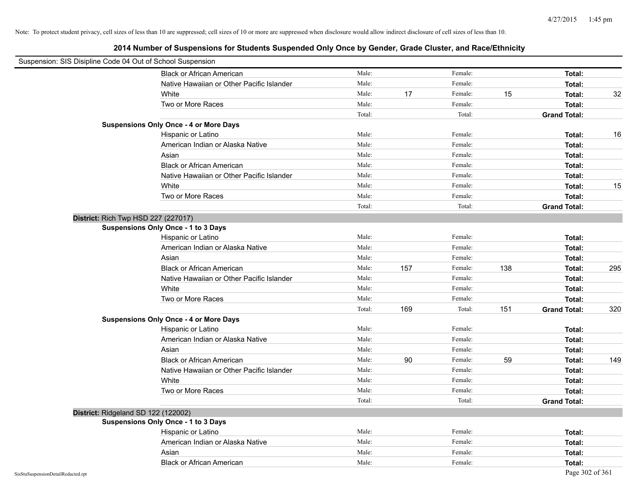| Suspension: SIS Disipline Code 04 Out of School Suspension |                                               |        |     |         |     |                     |     |
|------------------------------------------------------------|-----------------------------------------------|--------|-----|---------|-----|---------------------|-----|
|                                                            | <b>Black or African American</b>              | Male:  |     | Female: |     | Total:              |     |
|                                                            | Native Hawaiian or Other Pacific Islander     | Male:  |     | Female: |     | Total:              |     |
|                                                            | White                                         | Male:  | 17  | Female: | 15  | Total:              | 32  |
|                                                            | Two or More Races                             | Male:  |     | Female: |     | Total:              |     |
|                                                            |                                               | Total: |     | Total:  |     | <b>Grand Total:</b> |     |
|                                                            | <b>Suspensions Only Once - 4 or More Days</b> |        |     |         |     |                     |     |
|                                                            | Hispanic or Latino                            | Male:  |     | Female: |     | Total:              | 16  |
|                                                            | American Indian or Alaska Native              | Male:  |     | Female: |     | Total:              |     |
|                                                            | Asian                                         | Male:  |     | Female: |     | Total:              |     |
|                                                            | <b>Black or African American</b>              | Male:  |     | Female: |     | Total:              |     |
|                                                            | Native Hawaiian or Other Pacific Islander     | Male:  |     | Female: |     | Total:              |     |
|                                                            | White                                         | Male:  |     | Female: |     | Total:              | 15  |
|                                                            | Two or More Races                             | Male:  |     | Female: |     | Total:              |     |
|                                                            |                                               | Total: |     | Total:  |     | <b>Grand Total:</b> |     |
|                                                            | District: Rich Twp HSD 227 (227017)           |        |     |         |     |                     |     |
|                                                            | <b>Suspensions Only Once - 1 to 3 Days</b>    |        |     |         |     |                     |     |
|                                                            | Hispanic or Latino                            | Male:  |     | Female: |     | Total:              |     |
|                                                            | American Indian or Alaska Native              | Male:  |     | Female: |     | Total:              |     |
|                                                            | Asian                                         | Male:  |     | Female: |     | Total:              |     |
|                                                            | <b>Black or African American</b>              | Male:  | 157 | Female: | 138 | Total:              | 295 |
|                                                            | Native Hawaiian or Other Pacific Islander     | Male:  |     | Female: |     | Total:              |     |
|                                                            | White                                         | Male:  |     | Female: |     | Total:              |     |
|                                                            | Two or More Races                             | Male:  |     | Female: |     | Total:              |     |
|                                                            |                                               | Total: | 169 | Total:  | 151 | <b>Grand Total:</b> | 320 |
|                                                            | <b>Suspensions Only Once - 4 or More Days</b> |        |     |         |     |                     |     |
|                                                            | Hispanic or Latino                            | Male:  |     | Female: |     | Total:              |     |
|                                                            | American Indian or Alaska Native              | Male:  |     | Female: |     | Total:              |     |
|                                                            | Asian                                         | Male:  |     | Female: |     | Total:              |     |
|                                                            | <b>Black or African American</b>              | Male:  | 90  | Female: | 59  | Total:              | 149 |
|                                                            | Native Hawaiian or Other Pacific Islander     | Male:  |     | Female: |     | Total:              |     |
|                                                            | White                                         | Male:  |     | Female: |     | Total:              |     |
|                                                            | Two or More Races                             | Male:  |     | Female: |     | Total:              |     |
|                                                            |                                               | Total: |     | Total:  |     | <b>Grand Total:</b> |     |
|                                                            | District: Ridgeland SD 122 (122002)           |        |     |         |     |                     |     |
|                                                            | <b>Suspensions Only Once - 1 to 3 Days</b>    |        |     |         |     |                     |     |
|                                                            | Hispanic or Latino                            | Male:  |     | Female: |     | Total:              |     |
|                                                            | American Indian or Alaska Native              | Male:  |     | Female: |     | Total:              |     |
|                                                            | Asian                                         | Male:  |     | Female: |     | Total:              |     |
|                                                            | <b>Black or African American</b>              | Male:  |     | Female: |     | Total:              |     |
| SisStuSuspensionDetailRedacted.rpt                         |                                               |        |     |         |     | Page 302 of 361     |     |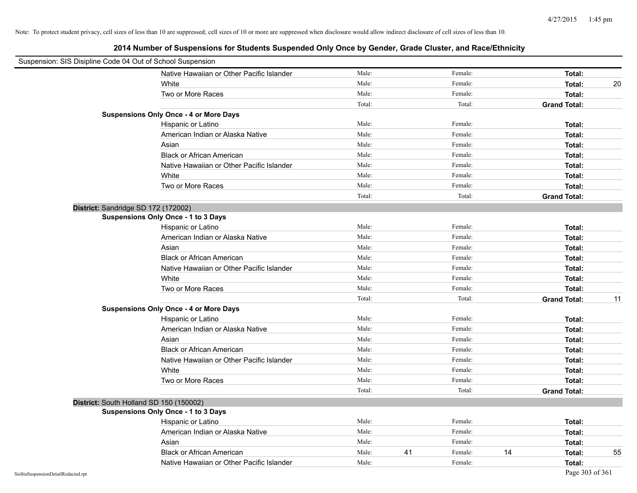| Suspension: SIS Disipline Code 04 Out of School Suspension |                                               |        |    |         |    |                     |    |
|------------------------------------------------------------|-----------------------------------------------|--------|----|---------|----|---------------------|----|
|                                                            | Native Hawaiian or Other Pacific Islander     | Male:  |    | Female: |    | Total:              |    |
|                                                            | White                                         | Male:  |    | Female: |    | Total:              | 20 |
|                                                            | Two or More Races                             | Male:  |    | Female: |    | Total:              |    |
|                                                            |                                               | Total: |    | Total:  |    | <b>Grand Total:</b> |    |
|                                                            | <b>Suspensions Only Once - 4 or More Days</b> |        |    |         |    |                     |    |
|                                                            | Hispanic or Latino                            | Male:  |    | Female: |    | Total:              |    |
|                                                            | American Indian or Alaska Native              | Male:  |    | Female: |    | Total:              |    |
|                                                            | Asian                                         | Male:  |    | Female: |    | Total:              |    |
|                                                            | <b>Black or African American</b>              | Male:  |    | Female: |    | Total:              |    |
|                                                            | Native Hawaiian or Other Pacific Islander     | Male:  |    | Female: |    | Total:              |    |
|                                                            | White                                         | Male:  |    | Female: |    | Total:              |    |
|                                                            | Two or More Races                             | Male:  |    | Female: |    | Total:              |    |
|                                                            |                                               | Total: |    | Total:  |    | <b>Grand Total:</b> |    |
|                                                            | District: Sandridge SD 172 (172002)           |        |    |         |    |                     |    |
|                                                            | <b>Suspensions Only Once - 1 to 3 Days</b>    |        |    |         |    |                     |    |
|                                                            | Hispanic or Latino                            | Male:  |    | Female: |    | Total:              |    |
|                                                            | American Indian or Alaska Native              | Male:  |    | Female: |    | Total:              |    |
|                                                            | Asian                                         | Male:  |    | Female: |    | Total:              |    |
|                                                            | <b>Black or African American</b>              | Male:  |    | Female: |    | Total:              |    |
|                                                            | Native Hawaiian or Other Pacific Islander     | Male:  |    | Female: |    | Total:              |    |
|                                                            | White                                         | Male:  |    | Female: |    | Total:              |    |
|                                                            | Two or More Races                             | Male:  |    | Female: |    | Total:              |    |
|                                                            |                                               | Total: |    | Total:  |    | <b>Grand Total:</b> | 11 |
|                                                            | <b>Suspensions Only Once - 4 or More Days</b> |        |    |         |    |                     |    |
|                                                            | Hispanic or Latino                            | Male:  |    | Female: |    | Total:              |    |
|                                                            | American Indian or Alaska Native              | Male:  |    | Female: |    | Total:              |    |
|                                                            | Asian                                         | Male:  |    | Female: |    | Total:              |    |
|                                                            | <b>Black or African American</b>              | Male:  |    | Female: |    | Total:              |    |
|                                                            | Native Hawaiian or Other Pacific Islander     | Male:  |    | Female: |    | Total:              |    |
|                                                            | White                                         | Male:  |    | Female: |    | Total:              |    |
|                                                            | Two or More Races                             | Male:  |    | Female: |    | Total:              |    |
|                                                            |                                               | Total: |    | Total:  |    | <b>Grand Total:</b> |    |
|                                                            | District: South Holland SD 150 (150002)       |        |    |         |    |                     |    |
|                                                            | <b>Suspensions Only Once - 1 to 3 Days</b>    |        |    |         |    |                     |    |
|                                                            | Hispanic or Latino                            | Male:  |    | Female: |    | Total:              |    |
|                                                            | American Indian or Alaska Native              | Male:  |    | Female: |    | Total:              |    |
|                                                            | Asian                                         | Male:  |    | Female: |    | Total:              |    |
|                                                            | <b>Black or African American</b>              | Male:  | 41 | Female: | 14 | Total:              | 55 |
|                                                            | Native Hawaiian or Other Pacific Islander     | Male:  |    | Female: |    | Total:              |    |
| SisStuSuspensionDetailRedacted.rpt                         |                                               |        |    |         |    | Page 303 of 361     |    |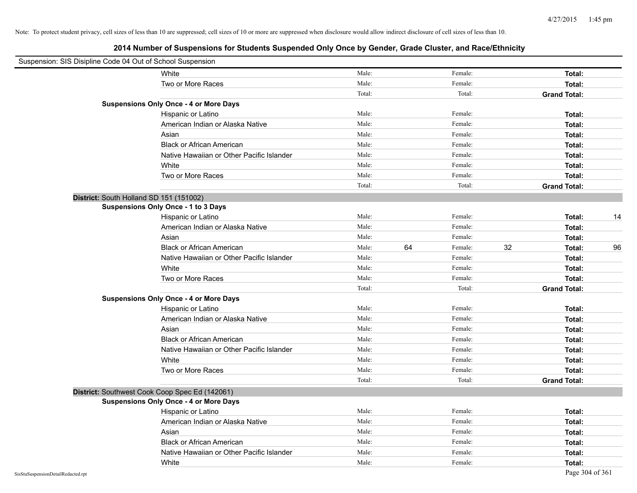| Suspension: SIS Disipline Code 04 Out of School Suspension |                                                |        |    |         |    |                     |    |
|------------------------------------------------------------|------------------------------------------------|--------|----|---------|----|---------------------|----|
|                                                            | White                                          | Male:  |    | Female: |    | Total:              |    |
|                                                            | Two or More Races                              | Male:  |    | Female: |    | Total:              |    |
|                                                            |                                                | Total: |    | Total:  |    | <b>Grand Total:</b> |    |
|                                                            | <b>Suspensions Only Once - 4 or More Days</b>  |        |    |         |    |                     |    |
|                                                            | Hispanic or Latino                             | Male:  |    | Female: |    | Total:              |    |
|                                                            | American Indian or Alaska Native               | Male:  |    | Female: |    | Total:              |    |
|                                                            | Asian                                          | Male:  |    | Female: |    | Total:              |    |
|                                                            | <b>Black or African American</b>               | Male:  |    | Female: |    | Total:              |    |
|                                                            | Native Hawaiian or Other Pacific Islander      | Male:  |    | Female: |    | Total:              |    |
|                                                            | White                                          | Male:  |    | Female: |    | Total:              |    |
|                                                            | Two or More Races                              | Male:  |    | Female: |    | Total:              |    |
|                                                            |                                                | Total: |    | Total:  |    | <b>Grand Total:</b> |    |
|                                                            | District: South Holland SD 151 (151002)        |        |    |         |    |                     |    |
|                                                            | <b>Suspensions Only Once - 1 to 3 Days</b>     |        |    |         |    |                     |    |
|                                                            | Hispanic or Latino                             | Male:  |    | Female: |    | Total:              | 14 |
|                                                            | American Indian or Alaska Native               | Male:  |    | Female: |    | Total:              |    |
|                                                            | Asian                                          | Male:  |    | Female: |    | Total:              |    |
|                                                            | <b>Black or African American</b>               | Male:  | 64 | Female: | 32 | Total:              | 96 |
|                                                            | Native Hawaiian or Other Pacific Islander      | Male:  |    | Female: |    | Total:              |    |
|                                                            | White                                          | Male:  |    | Female: |    | Total:              |    |
|                                                            | Two or More Races                              | Male:  |    | Female: |    | Total:              |    |
|                                                            |                                                | Total: |    | Total:  |    | <b>Grand Total:</b> |    |
|                                                            | <b>Suspensions Only Once - 4 or More Days</b>  |        |    |         |    |                     |    |
|                                                            | Hispanic or Latino                             | Male:  |    | Female: |    | Total:              |    |
|                                                            | American Indian or Alaska Native               | Male:  |    | Female: |    | Total:              |    |
|                                                            | Asian                                          | Male:  |    | Female: |    | Total:              |    |
|                                                            | <b>Black or African American</b>               | Male:  |    | Female: |    | Total:              |    |
|                                                            | Native Hawaiian or Other Pacific Islander      | Male:  |    | Female: |    | Total:              |    |
|                                                            | White                                          | Male:  |    | Female: |    | Total:              |    |
|                                                            | Two or More Races                              | Male:  |    | Female: |    | Total:              |    |
|                                                            |                                                | Total: |    | Total:  |    | <b>Grand Total:</b> |    |
|                                                            | District: Southwest Cook Coop Spec Ed (142061) |        |    |         |    |                     |    |
|                                                            | <b>Suspensions Only Once - 4 or More Days</b>  |        |    |         |    |                     |    |
|                                                            | Hispanic or Latino                             | Male:  |    | Female: |    | Total:              |    |
|                                                            | American Indian or Alaska Native               | Male:  |    | Female: |    | Total:              |    |
|                                                            | Asian                                          | Male:  |    | Female: |    | Total:              |    |
|                                                            | <b>Black or African American</b>               | Male:  |    | Female: |    | Total:              |    |
|                                                            | Native Hawaiian or Other Pacific Islander      | Male:  |    | Female: |    | Total:              |    |
|                                                            | White                                          | Male:  |    | Female: |    | Total:              |    |
| SisStuSuspensionDetailRedacted.rpt                         |                                                |        |    |         |    | Page 304 of 361     |    |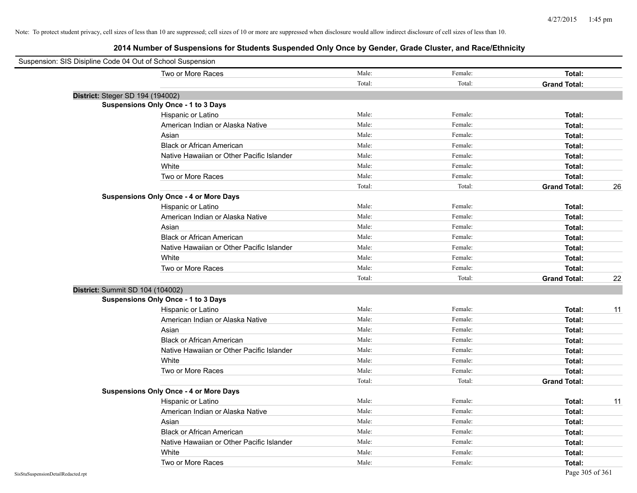| Suspension: SIS Disipline Code 04 Out of School Suspension |                                               |        |         |                     |    |
|------------------------------------------------------------|-----------------------------------------------|--------|---------|---------------------|----|
|                                                            | Two or More Races                             | Male:  | Female: | Total:              |    |
|                                                            |                                               | Total: | Total:  | <b>Grand Total:</b> |    |
| District: Steger SD 194 (194002)                           |                                               |        |         |                     |    |
|                                                            | <b>Suspensions Only Once - 1 to 3 Days</b>    |        |         |                     |    |
|                                                            | Hispanic or Latino                            | Male:  | Female: | Total:              |    |
|                                                            | American Indian or Alaska Native              | Male:  | Female: | Total:              |    |
|                                                            | Asian                                         | Male:  | Female: | Total:              |    |
|                                                            | <b>Black or African American</b>              | Male:  | Female: | Total:              |    |
|                                                            | Native Hawaiian or Other Pacific Islander     | Male:  | Female: | Total:              |    |
|                                                            | White                                         | Male:  | Female: | Total:              |    |
|                                                            | Two or More Races                             | Male:  | Female: | Total:              |    |
|                                                            |                                               | Total: | Total:  | <b>Grand Total:</b> | 26 |
|                                                            | <b>Suspensions Only Once - 4 or More Days</b> |        |         |                     |    |
|                                                            | Hispanic or Latino                            | Male:  | Female: | Total:              |    |
|                                                            | American Indian or Alaska Native              | Male:  | Female: | Total:              |    |
|                                                            | Asian                                         | Male:  | Female: | Total:              |    |
|                                                            | <b>Black or African American</b>              | Male:  | Female: | Total:              |    |
|                                                            | Native Hawaiian or Other Pacific Islander     | Male:  | Female: | Total:              |    |
|                                                            | White                                         | Male:  | Female: | Total:              |    |
|                                                            | Two or More Races                             | Male:  | Female: | Total:              |    |
|                                                            |                                               | Total: | Total:  | <b>Grand Total:</b> | 22 |
| District: Summit SD 104 (104002)                           |                                               |        |         |                     |    |
|                                                            | <b>Suspensions Only Once - 1 to 3 Days</b>    |        |         |                     |    |
|                                                            | Hispanic or Latino                            | Male:  | Female: | Total:              | 11 |
|                                                            | American Indian or Alaska Native              | Male:  | Female: | Total:              |    |
|                                                            | Asian                                         | Male:  | Female: | Total:              |    |
|                                                            | <b>Black or African American</b>              | Male:  | Female: | Total:              |    |
|                                                            | Native Hawaiian or Other Pacific Islander     | Male:  | Female: | Total:              |    |
|                                                            | White                                         | Male:  | Female: | Total:              |    |
|                                                            | Two or More Races                             | Male:  | Female: | Total:              |    |
|                                                            |                                               | Total: | Total:  | <b>Grand Total:</b> |    |
|                                                            | <b>Suspensions Only Once - 4 or More Days</b> |        |         |                     |    |
|                                                            | Hispanic or Latino                            | Male:  | Female: | Total:              | 11 |
|                                                            | American Indian or Alaska Native              | Male:  | Female: | Total:              |    |
|                                                            | Asian                                         | Male:  | Female: | Total:              |    |
|                                                            | <b>Black or African American</b>              | Male:  | Female: | Total:              |    |
|                                                            | Native Hawaiian or Other Pacific Islander     | Male:  | Female: | Total:              |    |
|                                                            | White                                         | Male:  | Female: | Total:              |    |
|                                                            | Two or More Races                             | Male:  | Female: | Total:              |    |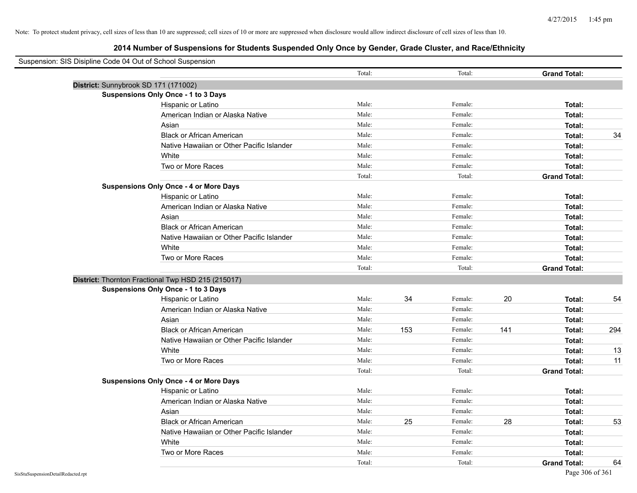| Suspension: SIS Disipline Code 04 Out of School Suspension |                                                    |        |     |         |     |                     |     |
|------------------------------------------------------------|----------------------------------------------------|--------|-----|---------|-----|---------------------|-----|
|                                                            |                                                    | Total: |     | Total:  |     | <b>Grand Total:</b> |     |
| District: Sunnybrook SD 171 (171002)                       |                                                    |        |     |         |     |                     |     |
|                                                            | <b>Suspensions Only Once - 1 to 3 Days</b>         |        |     |         |     |                     |     |
|                                                            | Hispanic or Latino                                 | Male:  |     | Female: |     | Total:              |     |
|                                                            | American Indian or Alaska Native                   | Male:  |     | Female: |     | Total:              |     |
|                                                            | Asian                                              | Male:  |     | Female: |     | Total:              |     |
|                                                            | <b>Black or African American</b>                   | Male:  |     | Female: |     | Total:              | 34  |
|                                                            | Native Hawaiian or Other Pacific Islander          | Male:  |     | Female: |     | Total:              |     |
|                                                            | White                                              | Male:  |     | Female: |     | Total:              |     |
|                                                            | Two or More Races                                  | Male:  |     | Female: |     | Total:              |     |
|                                                            |                                                    | Total: |     | Total:  |     | <b>Grand Total:</b> |     |
|                                                            | <b>Suspensions Only Once - 4 or More Days</b>      |        |     |         |     |                     |     |
|                                                            | Hispanic or Latino                                 | Male:  |     | Female: |     | Total:              |     |
|                                                            | American Indian or Alaska Native                   | Male:  |     | Female: |     | Total:              |     |
|                                                            | Asian                                              | Male:  |     | Female: |     | Total:              |     |
|                                                            | <b>Black or African American</b>                   | Male:  |     | Female: |     | Total:              |     |
|                                                            | Native Hawaiian or Other Pacific Islander          | Male:  |     | Female: |     | Total:              |     |
|                                                            | White                                              | Male:  |     | Female: |     | Total:              |     |
|                                                            | Two or More Races                                  | Male:  |     | Female: |     | Total:              |     |
|                                                            |                                                    | Total: |     | Total:  |     | <b>Grand Total:</b> |     |
|                                                            | District: Thornton Fractional Twp HSD 215 (215017) |        |     |         |     |                     |     |
|                                                            | <b>Suspensions Only Once - 1 to 3 Days</b>         |        |     |         |     |                     |     |
|                                                            | Hispanic or Latino                                 | Male:  | 34  | Female: | 20  | Total:              | 54  |
|                                                            | American Indian or Alaska Native                   | Male:  |     | Female: |     | Total:              |     |
|                                                            | Asian                                              | Male:  |     | Female: |     | Total:              |     |
|                                                            | <b>Black or African American</b>                   | Male:  | 153 | Female: | 141 | Total:              | 294 |
|                                                            | Native Hawaiian or Other Pacific Islander          | Male:  |     | Female: |     | Total:              |     |
|                                                            | White                                              | Male:  |     | Female: |     | Total:              | 13  |
|                                                            | Two or More Races                                  | Male:  |     | Female: |     | Total:              | 11  |
|                                                            |                                                    | Total: |     | Total:  |     | <b>Grand Total:</b> |     |
|                                                            | <b>Suspensions Only Once - 4 or More Days</b>      |        |     |         |     |                     |     |
|                                                            | Hispanic or Latino                                 | Male:  |     | Female: |     | Total:              |     |
|                                                            | American Indian or Alaska Native                   | Male:  |     | Female: |     | Total:              |     |
|                                                            | Asian                                              | Male:  |     | Female: |     | Total:              |     |
|                                                            | <b>Black or African American</b>                   | Male:  | 25  | Female: | 28  | Total:              | 53  |
|                                                            | Native Hawaiian or Other Pacific Islander          | Male:  |     | Female: |     | Total:              |     |
|                                                            | White                                              | Male:  |     | Female: |     | Total:              |     |
|                                                            | Two or More Races                                  | Male:  |     | Female: |     | Total:              |     |
|                                                            |                                                    | Total: |     | Total:  |     | <b>Grand Total:</b> | 64  |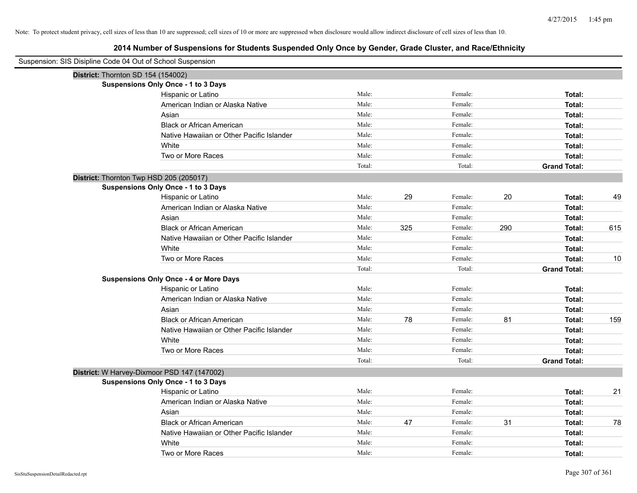| Suspension: SIS Disipline Code 04 Out of School Suspension |                                               |        |     |         |     |                     |     |
|------------------------------------------------------------|-----------------------------------------------|--------|-----|---------|-----|---------------------|-----|
| District: Thornton SD 154 (154002)                         |                                               |        |     |         |     |                     |     |
|                                                            | Suspensions Only Once - 1 to 3 Days           |        |     |         |     |                     |     |
|                                                            | Hispanic or Latino                            | Male:  |     | Female: |     | Total:              |     |
|                                                            | American Indian or Alaska Native              | Male:  |     | Female: |     | Total:              |     |
|                                                            | Asian                                         | Male:  |     | Female: |     | Total:              |     |
|                                                            | <b>Black or African American</b>              | Male:  |     | Female: |     | Total:              |     |
|                                                            | Native Hawaiian or Other Pacific Islander     | Male:  |     | Female: |     | Total:              |     |
|                                                            | White                                         | Male:  |     | Female: |     | Total:              |     |
|                                                            | Two or More Races                             | Male:  |     | Female: |     | Total:              |     |
|                                                            |                                               | Total: |     | Total:  |     | <b>Grand Total:</b> |     |
| District: Thornton Twp HSD 205 (205017)                    |                                               |        |     |         |     |                     |     |
|                                                            | Suspensions Only Once - 1 to 3 Days           |        |     |         |     |                     |     |
|                                                            | Hispanic or Latino                            | Male:  | 29  | Female: | 20  | Total:              | 49  |
|                                                            | American Indian or Alaska Native              | Male:  |     | Female: |     | Total:              |     |
|                                                            | Asian                                         | Male:  |     | Female: |     | Total:              |     |
|                                                            | <b>Black or African American</b>              | Male:  | 325 | Female: | 290 | Total:              | 615 |
|                                                            | Native Hawaiian or Other Pacific Islander     | Male:  |     | Female: |     | Total:              |     |
|                                                            | White                                         | Male:  |     | Female: |     | Total:              |     |
|                                                            | Two or More Races                             | Male:  |     | Female: |     | Total:              | 10  |
|                                                            |                                               | Total: |     | Total:  |     | <b>Grand Total:</b> |     |
|                                                            | <b>Suspensions Only Once - 4 or More Days</b> |        |     |         |     |                     |     |
|                                                            | Hispanic or Latino                            | Male:  |     | Female: |     | Total:              |     |
|                                                            | American Indian or Alaska Native              | Male:  |     | Female: |     | Total:              |     |
|                                                            | Asian                                         | Male:  |     | Female: |     | Total:              |     |
|                                                            | <b>Black or African American</b>              | Male:  | 78  | Female: | 81  | Total:              | 159 |
|                                                            | Native Hawaiian or Other Pacific Islander     | Male:  |     | Female: |     | Total:              |     |
|                                                            | White                                         | Male:  |     | Female: |     | Total:              |     |
|                                                            | Two or More Races                             | Male:  |     | Female: |     | Total:              |     |
|                                                            |                                               | Total: |     | Total:  |     | <b>Grand Total:</b> |     |
|                                                            | District: W Harvey-Dixmoor PSD 147 (147002)   |        |     |         |     |                     |     |
|                                                            | Suspensions Only Once - 1 to 3 Days           |        |     |         |     |                     |     |
|                                                            | Hispanic or Latino                            | Male:  |     | Female: |     | Total:              | 21  |
|                                                            | American Indian or Alaska Native              | Male:  |     | Female: |     | Total:              |     |
|                                                            | Asian                                         | Male:  |     | Female: |     | Total:              |     |
|                                                            | <b>Black or African American</b>              | Male:  | 47  | Female: | 31  | Total:              | 78  |
|                                                            | Native Hawaiian or Other Pacific Islander     | Male:  |     | Female: |     | Total:              |     |
|                                                            | White                                         | Male:  |     | Female: |     | Total:              |     |
|                                                            | Two or More Races                             | Male:  |     | Female: |     | Total:              |     |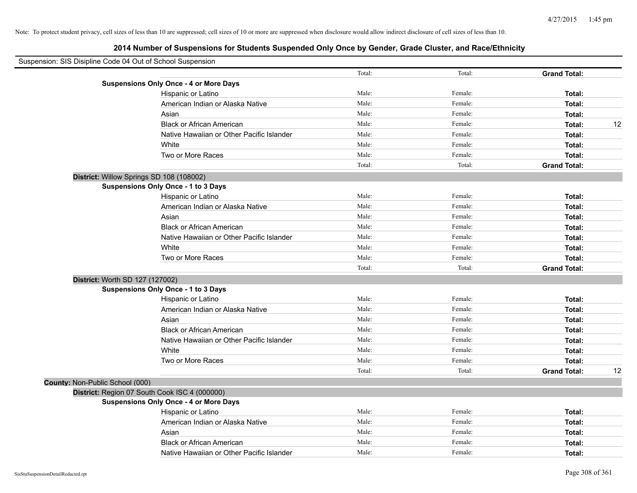|                                 | Suspension: SIS Disipline Code 04 Out of School Suspension |        |         |                     |    |
|---------------------------------|------------------------------------------------------------|--------|---------|---------------------|----|
|                                 |                                                            | Total: | Total:  | <b>Grand Total:</b> |    |
|                                 | <b>Suspensions Only Once - 4 or More Days</b>              |        |         |                     |    |
|                                 | Hispanic or Latino                                         | Male:  | Female: | Total:              |    |
|                                 | American Indian or Alaska Native                           | Male:  | Female: | Total:              |    |
|                                 | Asian                                                      | Male:  | Female: | Total:              |    |
|                                 | <b>Black or African American</b>                           | Male:  | Female: | Total:              | 12 |
|                                 | Native Hawaiian or Other Pacific Islander                  | Male:  | Female: | Total:              |    |
|                                 | White                                                      | Male:  | Female: | Total:              |    |
|                                 | Two or More Races                                          | Male:  | Female: | Total:              |    |
|                                 |                                                            | Total: | Total:  | <b>Grand Total:</b> |    |
|                                 | District: Willow Springs SD 108 (108002)                   |        |         |                     |    |
|                                 | Suspensions Only Once - 1 to 3 Days                        |        |         |                     |    |
|                                 | Hispanic or Latino                                         | Male:  | Female: | Total:              |    |
|                                 | American Indian or Alaska Native                           | Male:  | Female: | Total:              |    |
|                                 | Asian                                                      | Male:  | Female: | Total:              |    |
|                                 | <b>Black or African American</b>                           | Male:  | Female: | Total:              |    |
|                                 | Native Hawaiian or Other Pacific Islander                  | Male:  | Female: | Total:              |    |
|                                 | White                                                      | Male:  | Female: | Total:              |    |
|                                 | Two or More Races                                          | Male:  | Female: | Total:              |    |
|                                 |                                                            | Total: | Total:  | <b>Grand Total:</b> |    |
|                                 | District: Worth SD 127 (127002)                            |        |         |                     |    |
|                                 | <b>Suspensions Only Once - 1 to 3 Days</b>                 |        |         |                     |    |
|                                 | Hispanic or Latino                                         | Male:  | Female: | Total:              |    |
|                                 | American Indian or Alaska Native                           | Male:  | Female: | Total:              |    |
|                                 | Asian                                                      | Male:  | Female: | Total:              |    |
|                                 | <b>Black or African American</b>                           | Male:  | Female: | Total:              |    |
|                                 | Native Hawaiian or Other Pacific Islander                  | Male:  | Female: | Total:              |    |
|                                 | White                                                      | Male:  | Female: | Total:              |    |
|                                 | Two or More Races                                          | Male:  | Female: | Total:              |    |
|                                 |                                                            | Total: | Total:  | <b>Grand Total:</b> | 12 |
| County: Non-Public School (000) |                                                            |        |         |                     |    |
|                                 | District: Region 07 South Cook ISC 4 (000000)              |        |         |                     |    |
|                                 | <b>Suspensions Only Once - 4 or More Days</b>              |        |         |                     |    |
|                                 | Hispanic or Latino                                         | Male:  | Female: | Total:              |    |
|                                 | American Indian or Alaska Native                           | Male:  | Female: | Total:              |    |
|                                 | Asian                                                      | Male:  | Female: | Total:              |    |
|                                 | <b>Black or African American</b>                           | Male:  | Female: | Total:              |    |
|                                 | Native Hawaiian or Other Pacific Islander                  | Male:  | Female: | Total:              |    |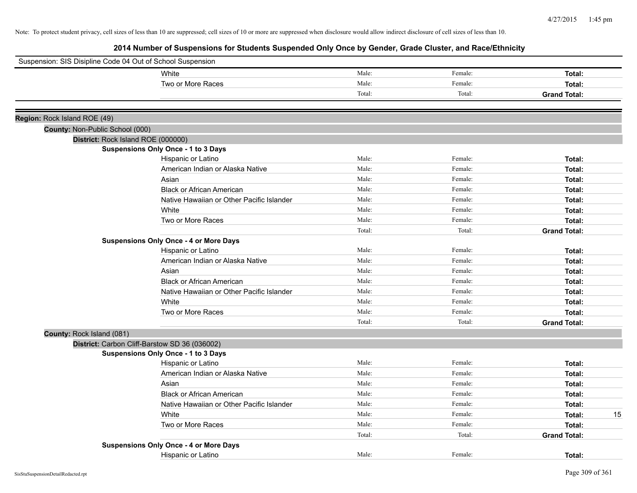| Suspension: SIS Disipline Code 04 Out of School Suspension |        |         |                     |
|------------------------------------------------------------|--------|---------|---------------------|
| White                                                      | Male:  | Female: | Total:              |
| Two or More Races                                          | Male:  | Female: | Total:              |
|                                                            | Total: | Total:  | <b>Grand Total:</b> |
|                                                            |        |         |                     |
| Region: Rock Island ROE (49)                               |        |         |                     |
| County: Non-Public School (000)                            |        |         |                     |
| District: Rock Island ROE (000000)                         |        |         |                     |
| <b>Suspensions Only Once - 1 to 3 Days</b>                 |        |         |                     |
| Hispanic or Latino                                         | Male:  | Female: | Total:              |
| American Indian or Alaska Native                           | Male:  | Female: | Total:              |
| Asian                                                      | Male:  | Female: | Total:              |
| <b>Black or African American</b>                           | Male:  | Female: | Total:              |
| Native Hawaiian or Other Pacific Islander                  | Male:  | Female: | Total:              |
| White                                                      | Male:  | Female: | Total:              |
| Two or More Races                                          | Male:  | Female: | Total:              |
|                                                            | Total: | Total:  | <b>Grand Total:</b> |
| <b>Suspensions Only Once - 4 or More Days</b>              |        |         |                     |
| Hispanic or Latino                                         | Male:  | Female: | Total:              |
| American Indian or Alaska Native                           | Male:  | Female: | Total:              |
| Asian                                                      | Male:  | Female: | Total:              |
| <b>Black or African American</b>                           | Male:  | Female: | Total:              |
| Native Hawaiian or Other Pacific Islander                  | Male:  | Female: | Total:              |
| White                                                      | Male:  | Female: | Total:              |
| Two or More Races                                          | Male:  | Female: | Total:              |
|                                                            | Total: | Total:  | <b>Grand Total:</b> |
| County: Rock Island (081)                                  |        |         |                     |
| District: Carbon Cliff-Barstow SD 36 (036002)              |        |         |                     |
| <b>Suspensions Only Once - 1 to 3 Days</b>                 |        |         |                     |
| Hispanic or Latino                                         | Male:  | Female: | Total:              |
| American Indian or Alaska Native                           | Male:  | Female: | Total:              |
| Asian                                                      | Male:  | Female: | Total:              |
| <b>Black or African American</b>                           | Male:  | Female: | Total:              |
| Native Hawaiian or Other Pacific Islander                  | Male:  | Female: | Total:              |
| White                                                      | Male:  | Female: | 15<br>Total:        |
| Two or More Races                                          | Male:  | Female: | Total:              |
|                                                            | Total: | Total:  | <b>Grand Total:</b> |
| <b>Suspensions Only Once - 4 or More Days</b>              |        |         |                     |
| Hispanic or Latino                                         | Male:  | Female: | Total:              |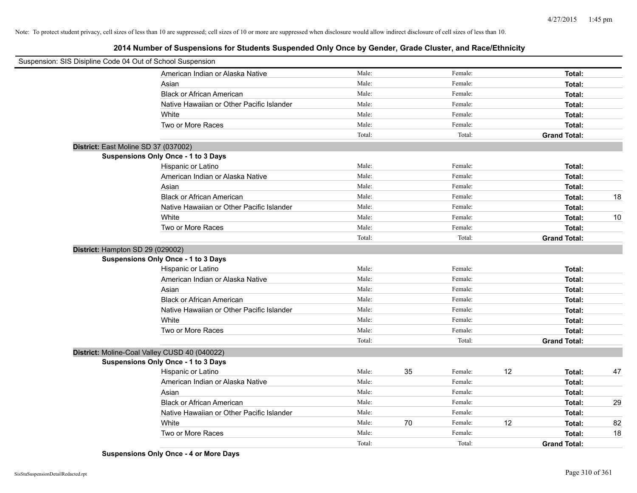**2014 Number of Suspensions for Students Suspended Only Once by Gender, Grade Cluster, and Race/Ethnicity**

| Suspension: SIS Disipline Code 04 Out of School Suspension |                                           |        |    |         |    |                     |    |
|------------------------------------------------------------|-------------------------------------------|--------|----|---------|----|---------------------|----|
|                                                            | American Indian or Alaska Native          | Male:  |    | Female: |    | Total:              |    |
|                                                            | Asian                                     | Male:  |    | Female: |    | Total:              |    |
|                                                            | <b>Black or African American</b>          | Male:  |    | Female: |    | Total:              |    |
|                                                            | Native Hawaiian or Other Pacific Islander | Male:  |    | Female: |    | Total:              |    |
|                                                            | White                                     | Male:  |    | Female: |    | Total:              |    |
|                                                            | Two or More Races                         | Male:  |    | Female: |    | Total:              |    |
|                                                            |                                           | Total: |    | Total:  |    | <b>Grand Total:</b> |    |
| District: East Moline SD 37 (037002)                       |                                           |        |    |         |    |                     |    |
|                                                            | Suspensions Only Once - 1 to 3 Days       |        |    |         |    |                     |    |
|                                                            | Hispanic or Latino                        | Male:  |    | Female: |    | Total:              |    |
|                                                            | American Indian or Alaska Native          | Male:  |    | Female: |    | Total:              |    |
|                                                            | Asian                                     | Male:  |    | Female: |    | Total:              |    |
|                                                            | <b>Black or African American</b>          | Male:  |    | Female: |    | Total:              | 18 |
|                                                            | Native Hawaiian or Other Pacific Islander | Male:  |    | Female: |    | Total:              |    |
|                                                            | White                                     | Male:  |    | Female: |    | Total:              | 10 |
|                                                            | Two or More Races                         | Male:  |    | Female: |    | Total:              |    |
|                                                            |                                           | Total: |    | Total:  |    | <b>Grand Total:</b> |    |
| District: Hampton SD 29 (029002)                           |                                           |        |    |         |    |                     |    |
|                                                            | Suspensions Only Once - 1 to 3 Days       |        |    |         |    |                     |    |
|                                                            | Hispanic or Latino                        | Male:  |    | Female: |    | Total:              |    |
|                                                            | American Indian or Alaska Native          | Male:  |    | Female: |    | Total:              |    |
|                                                            | Asian                                     | Male:  |    | Female: |    | Total:              |    |
|                                                            | <b>Black or African American</b>          | Male:  |    | Female: |    | Total:              |    |
|                                                            | Native Hawaiian or Other Pacific Islander | Male:  |    | Female: |    | Total:              |    |
|                                                            | White                                     | Male:  |    | Female: |    | Total:              |    |
|                                                            | Two or More Races                         | Male:  |    | Female: |    | Total:              |    |
|                                                            |                                           | Total: |    | Total:  |    | <b>Grand Total:</b> |    |
| District: Moline-Coal Valley CUSD 40 (040022)              |                                           |        |    |         |    |                     |    |
|                                                            | Suspensions Only Once - 1 to 3 Days       |        |    |         |    |                     |    |
|                                                            | Hispanic or Latino                        | Male:  | 35 | Female: | 12 | Total:              | 47 |
|                                                            | American Indian or Alaska Native          | Male:  |    | Female: |    | Total:              |    |
|                                                            | Asian                                     | Male:  |    | Female: |    | Total:              |    |
|                                                            | <b>Black or African American</b>          | Male:  |    | Female: |    | Total:              | 29 |
|                                                            | Native Hawaiian or Other Pacific Islander | Male:  |    | Female: |    | Total:              |    |
|                                                            | White                                     | Male:  | 70 | Female: | 12 | Total:              | 82 |
|                                                            | Two or More Races                         | Male:  |    | Female: |    | Total:              | 18 |
|                                                            |                                           | Total: |    | Total:  |    | <b>Grand Total:</b> |    |

**Suspensions Only Once - 4 or More Days**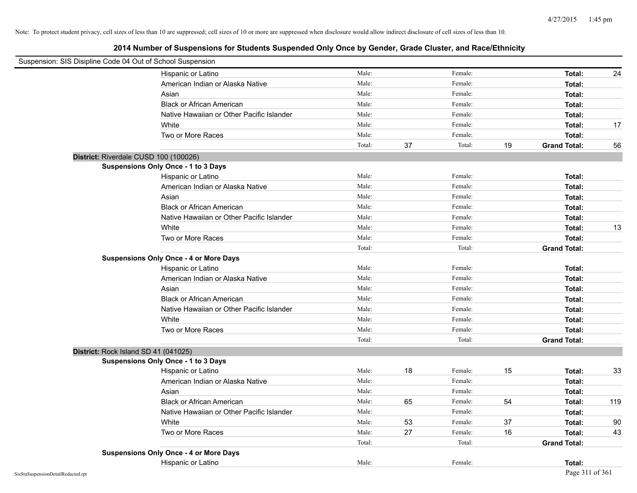| Suspension: SIS Disipline Code 04 Out of School Suspension |                                               |        |    |         |    |                     |     |
|------------------------------------------------------------|-----------------------------------------------|--------|----|---------|----|---------------------|-----|
|                                                            | Hispanic or Latino                            | Male:  |    | Female: |    | Total:              | 24  |
|                                                            | American Indian or Alaska Native              | Male:  |    | Female: |    | Total:              |     |
|                                                            | Asian                                         | Male:  |    | Female: |    | Total:              |     |
|                                                            | <b>Black or African American</b>              | Male:  |    | Female: |    | Total:              |     |
|                                                            | Native Hawaiian or Other Pacific Islander     | Male:  |    | Female: |    | Total:              |     |
|                                                            | White                                         | Male:  |    | Female: |    | Total:              | 17  |
|                                                            | Two or More Races                             | Male:  |    | Female: |    | Total:              |     |
|                                                            |                                               | Total: | 37 | Total:  | 19 | <b>Grand Total:</b> | 56  |
| District: Riverdale CUSD 100 (100026)                      |                                               |        |    |         |    |                     |     |
|                                                            | <b>Suspensions Only Once - 1 to 3 Days</b>    |        |    |         |    |                     |     |
|                                                            | Hispanic or Latino                            | Male:  |    | Female: |    | Total:              |     |
|                                                            | American Indian or Alaska Native              | Male:  |    | Female: |    | Total:              |     |
|                                                            | Asian                                         | Male:  |    | Female: |    | Total:              |     |
|                                                            | <b>Black or African American</b>              | Male:  |    | Female: |    | Total:              |     |
|                                                            | Native Hawaiian or Other Pacific Islander     | Male:  |    | Female: |    | Total:              |     |
|                                                            | White                                         | Male:  |    | Female: |    | Total:              | 13  |
|                                                            | Two or More Races                             | Male:  |    | Female: |    | Total:              |     |
|                                                            |                                               | Total: |    | Total:  |    | <b>Grand Total:</b> |     |
|                                                            | <b>Suspensions Only Once - 4 or More Days</b> |        |    |         |    |                     |     |
|                                                            | Hispanic or Latino                            | Male:  |    | Female: |    | Total:              |     |
|                                                            | American Indian or Alaska Native              | Male:  |    | Female: |    | Total:              |     |
|                                                            | Asian                                         | Male:  |    | Female: |    | Total:              |     |
|                                                            | <b>Black or African American</b>              | Male:  |    | Female: |    | Total:              |     |
|                                                            | Native Hawaiian or Other Pacific Islander     | Male:  |    | Female: |    | Total:              |     |
|                                                            | White                                         | Male:  |    | Female: |    | Total:              |     |
|                                                            | Two or More Races                             | Male:  |    | Female: |    | Total:              |     |
|                                                            |                                               | Total: |    | Total:  |    | <b>Grand Total:</b> |     |
| District: Rock Island SD 41 (041025)                       |                                               |        |    |         |    |                     |     |
|                                                            | <b>Suspensions Only Once - 1 to 3 Days</b>    |        |    |         |    |                     |     |
|                                                            | Hispanic or Latino                            | Male:  | 18 | Female: | 15 | Total:              | 33  |
|                                                            | American Indian or Alaska Native              | Male:  |    | Female: |    | Total:              |     |
|                                                            | Asian                                         | Male:  |    | Female: |    | Total:              |     |
|                                                            | <b>Black or African American</b>              | Male:  | 65 | Female: | 54 | Total:              | 119 |
|                                                            | Native Hawaiian or Other Pacific Islander     | Male:  |    | Female: |    | Total:              |     |
|                                                            | White                                         | Male:  | 53 | Female: | 37 | Total:              | 90  |
|                                                            | Two or More Races                             | Male:  | 27 | Female: | 16 | Total:              | 43  |
|                                                            |                                               | Total: |    | Total:  |    | <b>Grand Total:</b> |     |
|                                                            | <b>Suspensions Only Once - 4 or More Days</b> |        |    |         |    |                     |     |
|                                                            | Hispanic or Latino                            | Male:  |    | Female: |    | Total:              |     |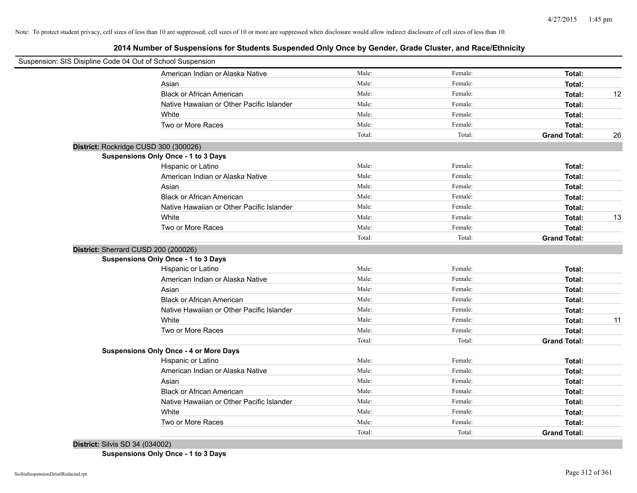**2014 Number of Suspensions for Students Suspended Only Once by Gender, Grade Cluster, and Race/Ethnicity**

| Suspension: SIS Disipline Code 04 Out of School Suspension |        |         |                     |    |
|------------------------------------------------------------|--------|---------|---------------------|----|
| American Indian or Alaska Native                           | Male:  | Female: | Total:              |    |
| Asian                                                      | Male:  | Female: | Total:              |    |
| <b>Black or African American</b>                           | Male:  | Female: | Total:              | 12 |
| Native Hawaiian or Other Pacific Islander                  | Male:  | Female: | Total:              |    |
| White                                                      | Male:  | Female: | Total:              |    |
| Two or More Races                                          | Male:  | Female: | Total:              |    |
|                                                            | Total: | Total:  | <b>Grand Total:</b> | 26 |
| District: Rockridge CUSD 300 (300026)                      |        |         |                     |    |
| <b>Suspensions Only Once - 1 to 3 Days</b>                 |        |         |                     |    |
| Hispanic or Latino                                         | Male:  | Female: | Total:              |    |
| American Indian or Alaska Native                           | Male:  | Female: | Total:              |    |
| Asian                                                      | Male:  | Female: | Total:              |    |
| <b>Black or African American</b>                           | Male:  | Female: | Total:              |    |
| Native Hawaiian or Other Pacific Islander                  | Male:  | Female: | Total:              |    |
| White                                                      | Male:  | Female: | Total:              | 13 |
| Two or More Races                                          | Male:  | Female: | Total:              |    |
|                                                            | Total: | Total:  | <b>Grand Total:</b> |    |
| District: Sherrard CUSD 200 (200026)                       |        |         |                     |    |
| <b>Suspensions Only Once - 1 to 3 Days</b>                 |        |         |                     |    |
| Hispanic or Latino                                         | Male:  | Female: | Total:              |    |
| American Indian or Alaska Native                           | Male:  | Female: | Total:              |    |
| Asian                                                      | Male:  | Female: | Total:              |    |
| <b>Black or African American</b>                           | Male:  | Female: | Total:              |    |
| Native Hawaiian or Other Pacific Islander                  | Male:  | Female: | Total:              |    |
| White                                                      | Male:  | Female: | Total:              | 11 |
| Two or More Races                                          | Male:  | Female: | Total:              |    |
|                                                            | Total: | Total:  | <b>Grand Total:</b> |    |
| <b>Suspensions Only Once - 4 or More Days</b>              |        |         |                     |    |
| Hispanic or Latino                                         | Male:  | Female: | Total:              |    |
| American Indian or Alaska Native                           | Male:  | Female: | Total:              |    |
| Asian                                                      | Male:  | Female: | Total:              |    |
| <b>Black or African American</b>                           | Male:  | Female: | Total:              |    |
| Native Hawaiian or Other Pacific Islander                  | Male:  | Female: | Total:              |    |
| White                                                      | Male:  | Female: | Total:              |    |
| Two or More Races                                          | Male:  | Female: | Total:              |    |
|                                                            | Total: | Total:  | <b>Grand Total:</b> |    |
| District: Silvis SD 34 (034002)                            |        |         |                     |    |

**Suspensions Only Once - 1 to 3 Days**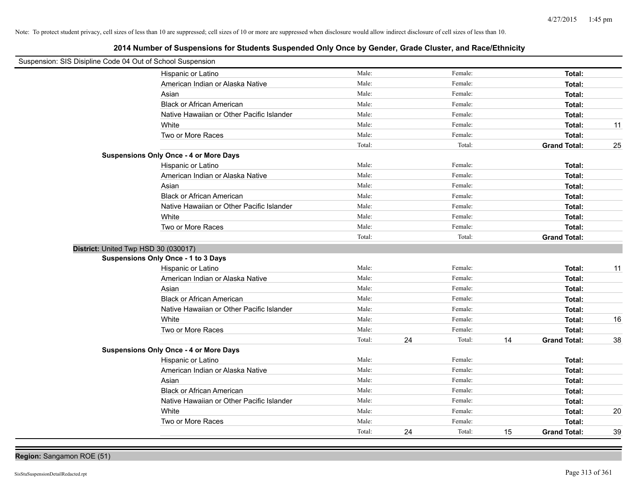**2014 Number of Suspensions for Students Suspended Only Once by Gender, Grade Cluster, and Race/Ethnicity**

| Suspension: SIS Disipline Code 04 Out of School Suspension |                                               |        |    |         |    |                     |    |
|------------------------------------------------------------|-----------------------------------------------|--------|----|---------|----|---------------------|----|
|                                                            | Hispanic or Latino                            | Male:  |    | Female: |    | Total:              |    |
|                                                            | American Indian or Alaska Native              | Male:  |    | Female: |    | Total:              |    |
|                                                            | Asian                                         | Male:  |    | Female: |    | Total:              |    |
|                                                            | <b>Black or African American</b>              | Male:  |    | Female: |    | Total:              |    |
|                                                            | Native Hawaiian or Other Pacific Islander     | Male:  |    | Female: |    | Total:              |    |
|                                                            | White                                         | Male:  |    | Female: |    | Total:              | 11 |
|                                                            | Two or More Races                             | Male:  |    | Female: |    | Total:              |    |
|                                                            |                                               | Total: |    | Total:  |    | <b>Grand Total:</b> | 25 |
|                                                            | <b>Suspensions Only Once - 4 or More Days</b> |        |    |         |    |                     |    |
|                                                            | Hispanic or Latino                            | Male:  |    | Female: |    | Total:              |    |
|                                                            | American Indian or Alaska Native              | Male:  |    | Female: |    | Total:              |    |
|                                                            | Asian                                         | Male:  |    | Female: |    | Total:              |    |
|                                                            | <b>Black or African American</b>              | Male:  |    | Female: |    | Total:              |    |
|                                                            | Native Hawaiian or Other Pacific Islander     | Male:  |    | Female: |    | Total:              |    |
|                                                            | White                                         | Male:  |    | Female: |    | Total:              |    |
|                                                            | Two or More Races                             | Male:  |    | Female: |    | Total:              |    |
|                                                            |                                               | Total: |    | Total:  |    | <b>Grand Total:</b> |    |
| District: United Twp HSD 30 (030017)                       |                                               |        |    |         |    |                     |    |
|                                                            | <b>Suspensions Only Once - 1 to 3 Days</b>    |        |    |         |    |                     |    |
|                                                            | Hispanic or Latino                            | Male:  |    | Female: |    | Total:              | 11 |
|                                                            | American Indian or Alaska Native              | Male:  |    | Female: |    | Total:              |    |
|                                                            | Asian                                         | Male:  |    | Female: |    | Total:              |    |
|                                                            | <b>Black or African American</b>              | Male:  |    | Female: |    | Total:              |    |
|                                                            | Native Hawaiian or Other Pacific Islander     | Male:  |    | Female: |    | Total:              |    |
|                                                            | White                                         | Male:  |    | Female: |    | Total:              | 16 |
|                                                            | Two or More Races                             | Male:  |    | Female: |    | Total:              |    |
|                                                            |                                               | Total: | 24 | Total:  | 14 | <b>Grand Total:</b> | 38 |
|                                                            | <b>Suspensions Only Once - 4 or More Days</b> |        |    |         |    |                     |    |
|                                                            | Hispanic or Latino                            | Male:  |    | Female: |    | Total:              |    |
|                                                            | American Indian or Alaska Native              | Male:  |    | Female: |    | Total:              |    |
|                                                            | Asian                                         | Male:  |    | Female: |    | Total:              |    |
|                                                            | <b>Black or African American</b>              | Male:  |    | Female: |    | Total:              |    |
|                                                            | Native Hawaiian or Other Pacific Islander     | Male:  |    | Female: |    | Total:              |    |
|                                                            | White                                         | Male:  |    | Female: |    | Total:              | 20 |
|                                                            | Two or More Races                             | Male:  |    | Female: |    | Total:              |    |
|                                                            |                                               | Total: | 24 | Total:  | 15 | <b>Grand Total:</b> | 39 |

**Region:** Sangamon ROE (51)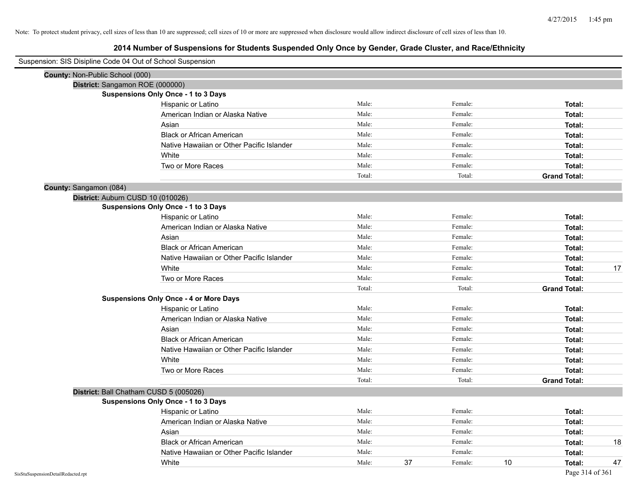| Suspension: SIS Disipline Code 04 Out of School Suspension |                                               |        |    |         |    |                     |    |
|------------------------------------------------------------|-----------------------------------------------|--------|----|---------|----|---------------------|----|
| County: Non-Public School (000)                            |                                               |        |    |         |    |                     |    |
| District: Sangamon ROE (000000)                            |                                               |        |    |         |    |                     |    |
|                                                            | <b>Suspensions Only Once - 1 to 3 Days</b>    |        |    |         |    |                     |    |
|                                                            | Hispanic or Latino                            | Male:  |    | Female: |    | Total:              |    |
|                                                            | American Indian or Alaska Native              | Male:  |    | Female: |    | Total:              |    |
|                                                            | Asian                                         | Male:  |    | Female: |    | Total:              |    |
|                                                            | <b>Black or African American</b>              | Male:  |    | Female: |    | Total:              |    |
|                                                            | Native Hawaiian or Other Pacific Islander     | Male:  |    | Female: |    | Total:              |    |
|                                                            | White                                         | Male:  |    | Female: |    | Total:              |    |
|                                                            | Two or More Races                             | Male:  |    | Female: |    | Total:              |    |
|                                                            |                                               | Total: |    | Total:  |    | <b>Grand Total:</b> |    |
| County: Sangamon (084)                                     |                                               |        |    |         |    |                     |    |
| District: Auburn CUSD 10 (010026)                          |                                               |        |    |         |    |                     |    |
|                                                            | <b>Suspensions Only Once - 1 to 3 Days</b>    |        |    |         |    |                     |    |
|                                                            | Hispanic or Latino                            | Male:  |    | Female: |    | Total:              |    |
|                                                            | American Indian or Alaska Native              | Male:  |    | Female: |    | Total:              |    |
|                                                            | Asian                                         | Male:  |    | Female: |    | Total:              |    |
|                                                            | <b>Black or African American</b>              | Male:  |    | Female: |    | Total:              |    |
|                                                            | Native Hawaiian or Other Pacific Islander     | Male:  |    | Female: |    | Total:              |    |
|                                                            | White                                         | Male:  |    | Female: |    | Total:              | 17 |
|                                                            | Two or More Races                             | Male:  |    | Female: |    | Total:              |    |
|                                                            |                                               | Total: |    | Total:  |    | <b>Grand Total:</b> |    |
|                                                            | <b>Suspensions Only Once - 4 or More Days</b> |        |    |         |    |                     |    |
|                                                            | Hispanic or Latino                            | Male:  |    | Female: |    | Total:              |    |
|                                                            | American Indian or Alaska Native              | Male:  |    | Female: |    | Total:              |    |
|                                                            | Asian                                         | Male:  |    | Female: |    | Total:              |    |
|                                                            | <b>Black or African American</b>              | Male:  |    | Female: |    | Total:              |    |
|                                                            | Native Hawaiian or Other Pacific Islander     | Male:  |    | Female: |    | Total:              |    |
|                                                            | White                                         | Male:  |    | Female: |    | Total:              |    |
|                                                            | Two or More Races                             | Male:  |    | Female: |    | Total:              |    |
|                                                            |                                               | Total: |    | Total:  |    | <b>Grand Total:</b> |    |
|                                                            | District: Ball Chatham CUSD 5 (005026)        |        |    |         |    |                     |    |
|                                                            | <b>Suspensions Only Once - 1 to 3 Days</b>    |        |    |         |    |                     |    |
|                                                            | Hispanic or Latino                            | Male:  |    | Female: |    | Total:              |    |
|                                                            | American Indian or Alaska Native              | Male:  |    | Female: |    | Total:              |    |
|                                                            | Asian                                         | Male:  |    | Female: |    | Total:              |    |
|                                                            | <b>Black or African American</b>              | Male:  |    | Female: |    | Total:              | 18 |
|                                                            | Native Hawaiian or Other Pacific Islander     | Male:  |    | Female: |    | Total:              |    |
|                                                            | White                                         | Male:  | 37 | Female: | 10 | Total:              | 47 |
|                                                            |                                               |        |    |         |    |                     |    |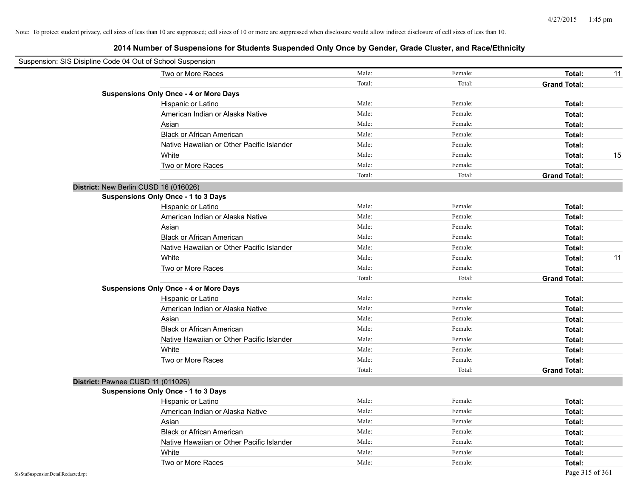| Suspension: SIS Disipline Code 04 Out of School Suspension |                                               |        |         |                     |    |
|------------------------------------------------------------|-----------------------------------------------|--------|---------|---------------------|----|
|                                                            | Two or More Races                             | Male:  | Female: | Total:              | 11 |
|                                                            |                                               | Total: | Total:  | <b>Grand Total:</b> |    |
|                                                            | <b>Suspensions Only Once - 4 or More Days</b> |        |         |                     |    |
|                                                            | Hispanic or Latino                            | Male:  | Female: | Total:              |    |
|                                                            | American Indian or Alaska Native              | Male:  | Female: | Total:              |    |
|                                                            | Asian                                         | Male:  | Female: | Total:              |    |
|                                                            | <b>Black or African American</b>              | Male:  | Female: | Total:              |    |
|                                                            | Native Hawaiian or Other Pacific Islander     | Male:  | Female: | Total:              |    |
|                                                            | White                                         | Male:  | Female: | Total:              | 15 |
|                                                            | Two or More Races                             | Male:  | Female: | Total:              |    |
|                                                            |                                               | Total: | Total:  | <b>Grand Total:</b> |    |
| District: New Berlin CUSD 16 (016026)                      |                                               |        |         |                     |    |
|                                                            | <b>Suspensions Only Once - 1 to 3 Days</b>    |        |         |                     |    |
|                                                            | Hispanic or Latino                            | Male:  | Female: | Total:              |    |
|                                                            | American Indian or Alaska Native              | Male:  | Female: | Total:              |    |
|                                                            | Asian                                         | Male:  | Female: | Total:              |    |
|                                                            | <b>Black or African American</b>              | Male:  | Female: | Total:              |    |
|                                                            | Native Hawaiian or Other Pacific Islander     | Male:  | Female: | Total:              |    |
|                                                            | White                                         | Male:  | Female: | Total:              | 11 |
|                                                            | Two or More Races                             | Male:  | Female: | Total:              |    |
|                                                            |                                               | Total: | Total:  | <b>Grand Total:</b> |    |
|                                                            | <b>Suspensions Only Once - 4 or More Days</b> |        |         |                     |    |
|                                                            | Hispanic or Latino                            | Male:  | Female: | Total:              |    |
|                                                            | American Indian or Alaska Native              | Male:  | Female: | Total:              |    |
|                                                            | Asian                                         | Male:  | Female: | Total:              |    |
|                                                            | <b>Black or African American</b>              | Male:  | Female: | Total:              |    |
|                                                            | Native Hawaiian or Other Pacific Islander     | Male:  | Female: | Total:              |    |
|                                                            | White                                         | Male:  | Female: | Total:              |    |
|                                                            | Two or More Races                             | Male:  | Female: | Total:              |    |
|                                                            |                                               | Total: | Total:  | <b>Grand Total:</b> |    |
| District: Pawnee CUSD 11 (011026)                          |                                               |        |         |                     |    |
|                                                            | <b>Suspensions Only Once - 1 to 3 Days</b>    |        |         |                     |    |
|                                                            | Hispanic or Latino                            | Male:  | Female: | Total:              |    |
|                                                            | American Indian or Alaska Native              | Male:  | Female: | Total:              |    |
|                                                            | Asian                                         | Male:  | Female: | Total:              |    |
|                                                            | <b>Black or African American</b>              | Male:  | Female: | Total:              |    |
|                                                            | Native Hawaiian or Other Pacific Islander     | Male:  | Female: | Total:              |    |
|                                                            | White                                         | Male:  | Female: | Total:              |    |
|                                                            | Two or More Races                             | Male:  | Female: | Total:              |    |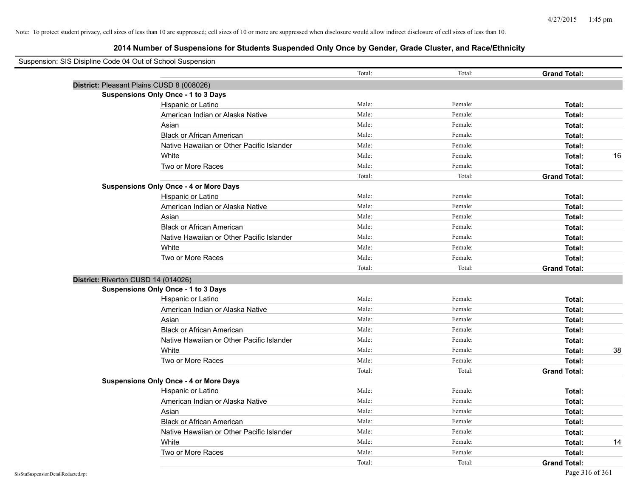| Suspension: SIS Disipline Code 04 Out of School Suspension |                                               |        |         |                     |    |
|------------------------------------------------------------|-----------------------------------------------|--------|---------|---------------------|----|
|                                                            |                                               | Total: | Total:  | <b>Grand Total:</b> |    |
|                                                            | District: Pleasant Plains CUSD 8 (008026)     |        |         |                     |    |
|                                                            | <b>Suspensions Only Once - 1 to 3 Days</b>    |        |         |                     |    |
|                                                            | Hispanic or Latino                            | Male:  | Female: | Total:              |    |
|                                                            | American Indian or Alaska Native              | Male:  | Female: | Total:              |    |
|                                                            | Asian                                         | Male:  | Female: | Total:              |    |
|                                                            | <b>Black or African American</b>              | Male:  | Female: | Total:              |    |
|                                                            | Native Hawaiian or Other Pacific Islander     | Male:  | Female: | Total:              |    |
|                                                            | White                                         | Male:  | Female: | Total:              | 16 |
|                                                            | Two or More Races                             | Male:  | Female: | Total:              |    |
|                                                            |                                               | Total: | Total:  | <b>Grand Total:</b> |    |
|                                                            | <b>Suspensions Only Once - 4 or More Days</b> |        |         |                     |    |
|                                                            | Hispanic or Latino                            | Male:  | Female: | Total:              |    |
|                                                            | American Indian or Alaska Native              | Male:  | Female: | Total:              |    |
|                                                            | Asian                                         | Male:  | Female: | Total:              |    |
|                                                            | <b>Black or African American</b>              | Male:  | Female: | Total:              |    |
|                                                            | Native Hawaiian or Other Pacific Islander     | Male:  | Female: | Total:              |    |
|                                                            | White                                         | Male:  | Female: | Total:              |    |
|                                                            | Two or More Races                             | Male:  | Female: | Total:              |    |
|                                                            |                                               | Total: | Total:  | <b>Grand Total:</b> |    |
| District: Riverton CUSD 14 (014026)                        |                                               |        |         |                     |    |
|                                                            | <b>Suspensions Only Once - 1 to 3 Days</b>    |        |         |                     |    |
|                                                            | Hispanic or Latino                            | Male:  | Female: | Total:              |    |
|                                                            | American Indian or Alaska Native              | Male:  | Female: | Total:              |    |
|                                                            | Asian                                         | Male:  | Female: | Total:              |    |
|                                                            | <b>Black or African American</b>              | Male:  | Female: | Total:              |    |
|                                                            | Native Hawaiian or Other Pacific Islander     | Male:  | Female: | Total:              |    |
|                                                            | White                                         | Male:  | Female: | Total:              | 38 |
|                                                            | Two or More Races                             | Male:  | Female: | Total:              |    |
|                                                            |                                               | Total: | Total:  | <b>Grand Total:</b> |    |
|                                                            | <b>Suspensions Only Once - 4 or More Days</b> |        |         |                     |    |
|                                                            | Hispanic or Latino                            | Male:  | Female: | Total:              |    |
|                                                            | American Indian or Alaska Native              | Male:  | Female: | Total:              |    |
|                                                            | Asian                                         | Male:  | Female: | Total:              |    |
|                                                            | <b>Black or African American</b>              | Male:  | Female: | Total:              |    |
|                                                            | Native Hawaiian or Other Pacific Islander     | Male:  | Female: | Total:              |    |
|                                                            | White                                         | Male:  | Female: | Total:              | 14 |
|                                                            | Two or More Races                             | Male:  | Female: | Total:              |    |
|                                                            |                                               | Total: | Total:  | <b>Grand Total:</b> |    |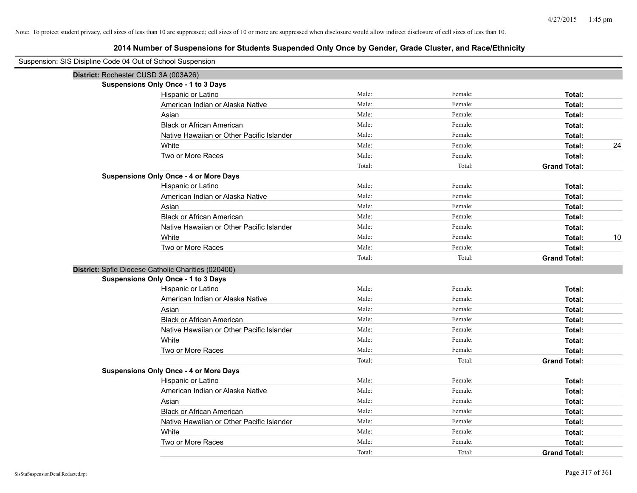| Suspension: SIS Disipline Code 04 Out of School Suspension |                                                     |        |         |                     |      |
|------------------------------------------------------------|-----------------------------------------------------|--------|---------|---------------------|------|
|                                                            | District: Rochester CUSD 3A (003A26)                |        |         |                     |      |
|                                                            | Suspensions Only Once - 1 to 3 Days                 |        |         |                     |      |
|                                                            | Hispanic or Latino                                  | Male:  | Female: | Total:              |      |
|                                                            | American Indian or Alaska Native                    | Male:  | Female: | Total:              |      |
|                                                            | Asian                                               | Male:  | Female: | Total:              |      |
|                                                            | <b>Black or African American</b>                    | Male:  | Female: | Total:              |      |
|                                                            | Native Hawaiian or Other Pacific Islander           | Male:  | Female: | Total:              |      |
|                                                            | White                                               | Male:  | Female: | Total:              | 24   |
|                                                            | Two or More Races                                   | Male:  | Female: | Total:              |      |
|                                                            |                                                     | Total: | Total:  | <b>Grand Total:</b> |      |
|                                                            | <b>Suspensions Only Once - 4 or More Days</b>       |        |         |                     |      |
|                                                            | Hispanic or Latino                                  | Male:  | Female: | Total:              |      |
|                                                            | American Indian or Alaska Native                    | Male:  | Female: | Total:              |      |
|                                                            | Asian                                               | Male:  | Female: | Total:              |      |
|                                                            | <b>Black or African American</b>                    | Male:  | Female: | Total:              |      |
|                                                            | Native Hawaiian or Other Pacific Islander           | Male:  | Female: | Total:              |      |
|                                                            | White                                               | Male:  | Female: | Total:              | $10$ |
|                                                            | Two or More Races                                   | Male:  | Female: | Total:              |      |
|                                                            |                                                     | Total: | Total:  | <b>Grand Total:</b> |      |
|                                                            | District: Spfld Diocese Catholic Charities (020400) |        |         |                     |      |
|                                                            | Suspensions Only Once - 1 to 3 Days                 |        |         |                     |      |
|                                                            | Hispanic or Latino                                  | Male:  | Female: | Total:              |      |
|                                                            | American Indian or Alaska Native                    | Male:  | Female: | Total:              |      |
|                                                            | Asian                                               | Male:  | Female: | Total:              |      |
|                                                            | <b>Black or African American</b>                    | Male:  | Female: | Total:              |      |
|                                                            | Native Hawaiian or Other Pacific Islander           | Male:  | Female: | Total:              |      |
|                                                            | White                                               | Male:  | Female: | Total:              |      |
|                                                            | Two or More Races                                   | Male:  | Female: | Total:              |      |
|                                                            |                                                     | Total: | Total:  | <b>Grand Total:</b> |      |
|                                                            | <b>Suspensions Only Once - 4 or More Days</b>       |        |         |                     |      |
|                                                            | Hispanic or Latino                                  | Male:  | Female: | Total:              |      |
|                                                            | American Indian or Alaska Native                    | Male:  | Female: | Total:              |      |
|                                                            | Asian                                               | Male:  | Female: | Total:              |      |
|                                                            | <b>Black or African American</b>                    | Male:  | Female: | Total:              |      |
|                                                            | Native Hawaiian or Other Pacific Islander           | Male:  | Female: | Total:              |      |
|                                                            | White                                               | Male:  | Female: | Total:              |      |
|                                                            | Two or More Races                                   | Male:  | Female: | Total:              |      |
|                                                            |                                                     | Total: | Total:  | <b>Grand Total:</b> |      |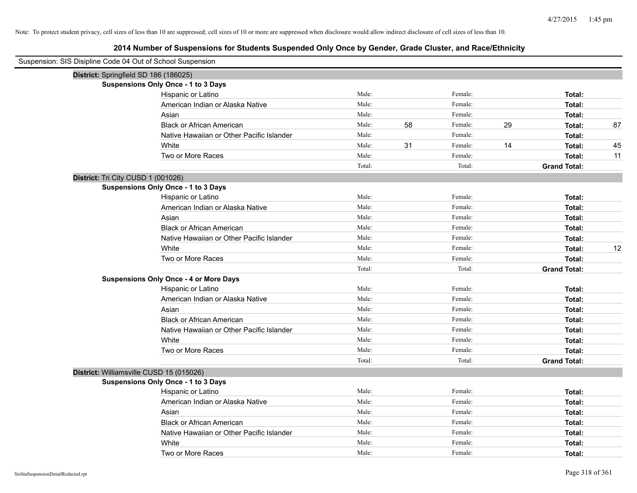| Suspension: SIS Disipline Code 04 Out of School Suspension |                                               |        |    |         |    |                     |    |
|------------------------------------------------------------|-----------------------------------------------|--------|----|---------|----|---------------------|----|
| District: Springfield SD 186 (186025)                      |                                               |        |    |         |    |                     |    |
|                                                            | <b>Suspensions Only Once - 1 to 3 Days</b>    |        |    |         |    |                     |    |
|                                                            | Hispanic or Latino                            | Male:  |    | Female: |    | Total:              |    |
|                                                            | American Indian or Alaska Native              | Male:  |    | Female: |    | Total:              |    |
|                                                            | Asian                                         | Male:  |    | Female: |    | Total:              |    |
|                                                            | <b>Black or African American</b>              | Male:  | 58 | Female: | 29 | Total:              | 87 |
|                                                            | Native Hawaiian or Other Pacific Islander     | Male:  |    | Female: |    | Total:              |    |
|                                                            | White                                         | Male:  | 31 | Female: | 14 | Total:              | 45 |
|                                                            | Two or More Races                             | Male:  |    | Female: |    | Total:              | 11 |
|                                                            |                                               | Total: |    | Total:  |    | <b>Grand Total:</b> |    |
| District: Tri City CUSD 1 (001026)                         |                                               |        |    |         |    |                     |    |
|                                                            | <b>Suspensions Only Once - 1 to 3 Days</b>    |        |    |         |    |                     |    |
|                                                            | Hispanic or Latino                            | Male:  |    | Female: |    | Total:              |    |
|                                                            | American Indian or Alaska Native              | Male:  |    | Female: |    | Total:              |    |
|                                                            | Asian                                         | Male:  |    | Female: |    | Total:              |    |
|                                                            | <b>Black or African American</b>              | Male:  |    | Female: |    | Total:              |    |
|                                                            | Native Hawaiian or Other Pacific Islander     | Male:  |    | Female: |    | Total:              |    |
|                                                            | White                                         | Male:  |    | Female: |    | Total:              | 12 |
|                                                            | Two or More Races                             | Male:  |    | Female: |    | Total:              |    |
|                                                            |                                               | Total: |    | Total:  |    | <b>Grand Total:</b> |    |
|                                                            | <b>Suspensions Only Once - 4 or More Days</b> |        |    |         |    |                     |    |
|                                                            | Hispanic or Latino                            | Male:  |    | Female: |    | Total:              |    |
|                                                            | American Indian or Alaska Native              | Male:  |    | Female: |    | Total:              |    |
|                                                            | Asian                                         | Male:  |    | Female: |    | Total:              |    |
|                                                            | <b>Black or African American</b>              | Male:  |    | Female: |    | Total:              |    |
|                                                            | Native Hawaiian or Other Pacific Islander     | Male:  |    | Female: |    | Total:              |    |
|                                                            | White                                         | Male:  |    | Female: |    | Total:              |    |
|                                                            | Two or More Races                             | Male:  |    | Female: |    | Total:              |    |
|                                                            |                                               | Total: |    | Total:  |    | <b>Grand Total:</b> |    |
| District: Williamsville CUSD 15 (015026)                   |                                               |        |    |         |    |                     |    |
|                                                            | <b>Suspensions Only Once - 1 to 3 Days</b>    |        |    |         |    |                     |    |
|                                                            | Hispanic or Latino                            | Male:  |    | Female: |    | Total:              |    |
|                                                            | American Indian or Alaska Native              | Male:  |    | Female: |    | Total:              |    |
|                                                            | Asian                                         | Male:  |    | Female: |    | Total:              |    |
|                                                            | <b>Black or African American</b>              | Male:  |    | Female: |    | Total:              |    |
|                                                            | Native Hawaiian or Other Pacific Islander     | Male:  |    | Female: |    | Total:              |    |
|                                                            | White                                         | Male:  |    | Female: |    | Total:              |    |
|                                                            | Two or More Races                             | Male:  |    | Female: |    | Total:              |    |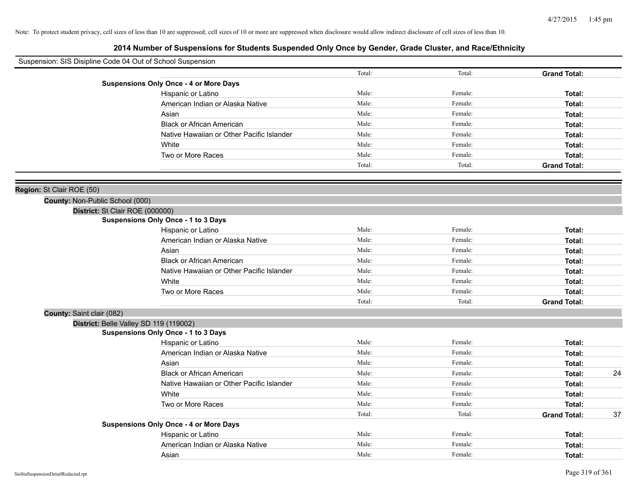| Suspension: SIS Disipline Code 04 Out of School Suspension |                                               |        |         |                     |
|------------------------------------------------------------|-----------------------------------------------|--------|---------|---------------------|
|                                                            |                                               | Total: | Total:  | <b>Grand Total:</b> |
|                                                            | <b>Suspensions Only Once - 4 or More Days</b> |        |         |                     |
|                                                            | Hispanic or Latino                            | Male:  | Female: | Total:              |
|                                                            | American Indian or Alaska Native              | Male:  | Female: | Total:              |
|                                                            | Asian                                         | Male:  | Female: | Total:              |
|                                                            | <b>Black or African American</b>              | Male:  | Female: | Total:              |
|                                                            | Native Hawaiian or Other Pacific Islander     | Male:  | Female: | Total:              |
|                                                            | White                                         | Male:  | Female: | Total:              |
|                                                            | Two or More Races                             | Male:  | Female: | Total:              |
|                                                            |                                               | Total: | Total:  | <b>Grand Total:</b> |
|                                                            |                                               |        |         |                     |
| Region: St Clair ROE (50)                                  |                                               |        |         |                     |
| County: Non-Public School (000)                            |                                               |        |         |                     |
| District: St Clair ROE (000000)                            |                                               |        |         |                     |
| <b>Suspensions Only Once - 1 to 3 Days</b>                 |                                               |        |         |                     |
|                                                            | Hispanic or Latino                            | Male:  | Female: | Total:              |
|                                                            | American Indian or Alaska Native              | Male:  | Female: | Total:              |
|                                                            | Asian                                         | Male:  | Female: | Total:              |
|                                                            | <b>Black or African American</b>              | Male:  | Female: | Total:              |
|                                                            | Native Hawaiian or Other Pacific Islander     | Male:  | Female: | Total:              |
|                                                            | White                                         | Male:  | Female: | Total:              |
|                                                            | Two or More Races                             | Male:  | Female: | Total:              |
|                                                            |                                               | Total: | Total:  | <b>Grand Total:</b> |
| County: Saint clair (082)                                  |                                               |        |         |                     |
| District: Belle Valley SD 119 (119002)                     |                                               |        |         |                     |
| <b>Suspensions Only Once - 1 to 3 Days</b>                 |                                               |        |         |                     |
|                                                            | Hispanic or Latino                            | Male:  | Female: | Total:              |
|                                                            | American Indian or Alaska Native              | Male:  | Female: | Total:              |
|                                                            | Asian                                         | Male:  | Female: | Total:              |
|                                                            | <b>Black or African American</b>              | Male:  | Female: | Total:              |
|                                                            | Native Hawaiian or Other Pacific Islander     | Male:  | Female: | Total:              |
|                                                            | White                                         | Male:  | Female: | Total:              |
|                                                            | Two or More Races                             | Male:  | Female: | Total:              |
|                                                            |                                               | Total: | Total:  | <b>Grand Total:</b> |
|                                                            | <b>Suspensions Only Once - 4 or More Days</b> |        |         |                     |
|                                                            | Hispanic or Latino                            | Male:  | Female: | Total:              |
|                                                            | American Indian or Alaska Native              | Male:  | Female: | Total:              |
|                                                            | Asian                                         | Male:  | Female: | Total:              |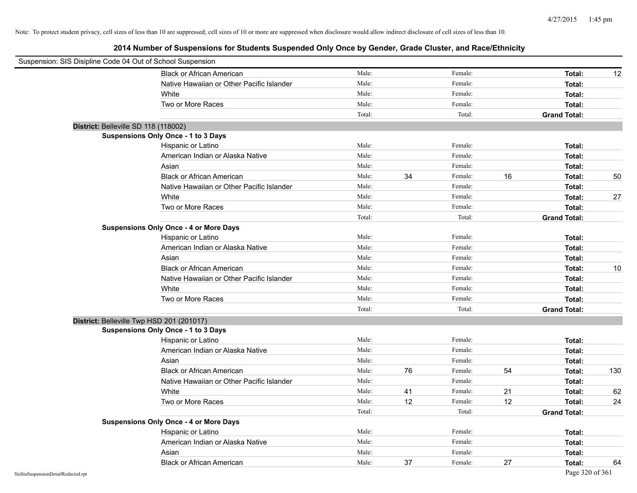| Suspension: SIS Disipline Code 04 Out of School Suspension |                                               |        |    |         |    |                     |     |
|------------------------------------------------------------|-----------------------------------------------|--------|----|---------|----|---------------------|-----|
|                                                            | <b>Black or African American</b>              | Male:  |    | Female: |    | Total:              | 12  |
|                                                            | Native Hawaiian or Other Pacific Islander     | Male:  |    | Female: |    | Total:              |     |
|                                                            | White                                         | Male:  |    | Female: |    | Total:              |     |
|                                                            | Two or More Races                             | Male:  |    | Female: |    | Total:              |     |
|                                                            |                                               | Total: |    | Total:  |    | <b>Grand Total:</b> |     |
|                                                            | District: Belleville SD 118 (118002)          |        |    |         |    |                     |     |
|                                                            | <b>Suspensions Only Once - 1 to 3 Days</b>    |        |    |         |    |                     |     |
|                                                            | Hispanic or Latino                            | Male:  |    | Female: |    | Total:              |     |
|                                                            | American Indian or Alaska Native              | Male:  |    | Female: |    | Total:              |     |
|                                                            | Asian                                         | Male:  |    | Female: |    | Total:              |     |
|                                                            | <b>Black or African American</b>              | Male:  | 34 | Female: | 16 | Total:              | 50  |
|                                                            | Native Hawaiian or Other Pacific Islander     | Male:  |    | Female: |    | Total:              |     |
|                                                            | White                                         | Male:  |    | Female: |    | Total:              | 27  |
|                                                            | Two or More Races                             | Male:  |    | Female: |    | Total:              |     |
|                                                            |                                               | Total: |    | Total:  |    | <b>Grand Total:</b> |     |
|                                                            | <b>Suspensions Only Once - 4 or More Days</b> |        |    |         |    |                     |     |
|                                                            | Hispanic or Latino                            | Male:  |    | Female: |    | Total:              |     |
|                                                            | American Indian or Alaska Native              | Male:  |    | Female: |    | Total:              |     |
|                                                            | Asian                                         | Male:  |    | Female: |    | Total:              |     |
|                                                            | <b>Black or African American</b>              | Male:  |    | Female: |    | Total:              | 10  |
|                                                            | Native Hawaiian or Other Pacific Islander     | Male:  |    | Female: |    | Total:              |     |
|                                                            | White                                         | Male:  |    | Female: |    | Total:              |     |
|                                                            | Two or More Races                             | Male:  |    | Female: |    | Total:              |     |
|                                                            |                                               | Total: |    | Total:  |    | <b>Grand Total:</b> |     |
|                                                            | District: Belleville Twp HSD 201 (201017)     |        |    |         |    |                     |     |
|                                                            | <b>Suspensions Only Once - 1 to 3 Days</b>    |        |    |         |    |                     |     |
|                                                            | Hispanic or Latino                            | Male:  |    | Female: |    | Total:              |     |
|                                                            | American Indian or Alaska Native              | Male:  |    | Female: |    | Total:              |     |
|                                                            | Asian                                         | Male:  |    | Female: |    | Total:              |     |
|                                                            | <b>Black or African American</b>              | Male:  | 76 | Female: | 54 | Total:              | 130 |
|                                                            | Native Hawaiian or Other Pacific Islander     | Male:  |    | Female: |    | Total:              |     |
|                                                            | White                                         | Male:  | 41 | Female: | 21 | Total:              | 62  |
|                                                            | Two or More Races                             | Male:  | 12 | Female: | 12 | Total:              | 24  |
|                                                            |                                               | Total: |    | Total:  |    | <b>Grand Total:</b> |     |
|                                                            | <b>Suspensions Only Once - 4 or More Days</b> |        |    |         |    |                     |     |
|                                                            | Hispanic or Latino                            | Male:  |    | Female: |    | Total:              |     |
|                                                            | American Indian or Alaska Native              | Male:  |    | Female: |    | Total:              |     |
|                                                            | Asian                                         | Male:  |    | Female: |    | Total:              |     |
|                                                            | <b>Black or African American</b>              | Male:  | 37 | Female: | 27 | Total:              | 64  |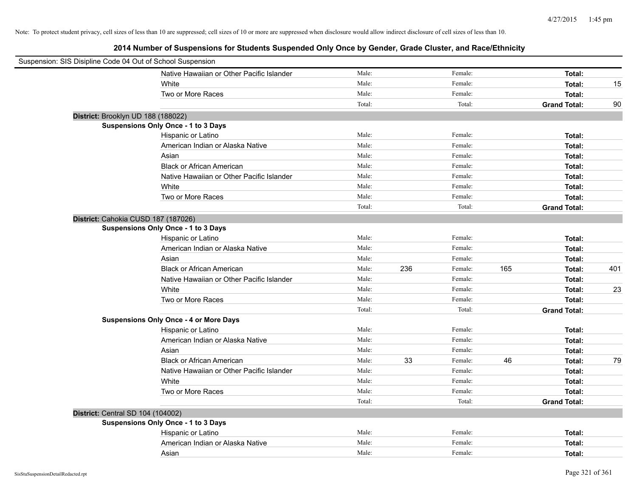| Suspension: SIS Disipline Code 04 Out of School Suspension |                                               |        |     |         |     |                     |     |
|------------------------------------------------------------|-----------------------------------------------|--------|-----|---------|-----|---------------------|-----|
|                                                            | Native Hawaiian or Other Pacific Islander     | Male:  |     | Female: |     | Total:              |     |
|                                                            | White                                         | Male:  |     | Female: |     | Total:              | 15  |
|                                                            | Two or More Races                             | Male:  |     | Female: |     | Total:              |     |
|                                                            |                                               | Total: |     | Total:  |     | <b>Grand Total:</b> | 90  |
| District: Brooklyn UD 188 (188022)                         |                                               |        |     |         |     |                     |     |
|                                                            | Suspensions Only Once - 1 to 3 Days           |        |     |         |     |                     |     |
|                                                            | Hispanic or Latino                            | Male:  |     | Female: |     | Total:              |     |
|                                                            | American Indian or Alaska Native              | Male:  |     | Female: |     | Total:              |     |
|                                                            | Asian                                         | Male:  |     | Female: |     | Total:              |     |
|                                                            | <b>Black or African American</b>              | Male:  |     | Female: |     | Total:              |     |
|                                                            | Native Hawaiian or Other Pacific Islander     | Male:  |     | Female: |     | Total:              |     |
|                                                            | White                                         | Male:  |     | Female: |     | Total:              |     |
|                                                            | Two or More Races                             | Male:  |     | Female: |     | Total:              |     |
|                                                            |                                               | Total: |     | Total:  |     | <b>Grand Total:</b> |     |
| District: Cahokia CUSD 187 (187026)                        |                                               |        |     |         |     |                     |     |
|                                                            | Suspensions Only Once - 1 to 3 Days           |        |     |         |     |                     |     |
|                                                            | Hispanic or Latino                            | Male:  |     | Female: |     | Total:              |     |
|                                                            | American Indian or Alaska Native              | Male:  |     | Female: |     | Total:              |     |
|                                                            | Asian                                         | Male:  |     | Female: |     | Total:              |     |
|                                                            | <b>Black or African American</b>              | Male:  | 236 | Female: | 165 | Total:              | 401 |
|                                                            | Native Hawaiian or Other Pacific Islander     | Male:  |     | Female: |     | Total:              |     |
|                                                            | White                                         | Male:  |     | Female: |     | Total:              | 23  |
|                                                            | Two or More Races                             | Male:  |     | Female: |     | Total:              |     |
|                                                            |                                               | Total: |     | Total:  |     | <b>Grand Total:</b> |     |
|                                                            | <b>Suspensions Only Once - 4 or More Days</b> |        |     |         |     |                     |     |
|                                                            | Hispanic or Latino                            | Male:  |     | Female: |     | Total:              |     |
|                                                            | American Indian or Alaska Native              | Male:  |     | Female: |     | Total:              |     |
|                                                            | Asian                                         | Male:  |     | Female: |     | Total:              |     |
|                                                            | <b>Black or African American</b>              | Male:  | 33  | Female: | 46  | Total:              | 79  |
|                                                            | Native Hawaiian or Other Pacific Islander     | Male:  |     | Female: |     | Total:              |     |
|                                                            | White                                         | Male:  |     | Female: |     | Total:              |     |
|                                                            | Two or More Races                             | Male:  |     | Female: |     | Total:              |     |
|                                                            |                                               | Total: |     | Total:  |     | <b>Grand Total:</b> |     |
| District: Central SD 104 (104002)                          |                                               |        |     |         |     |                     |     |
|                                                            | <b>Suspensions Only Once - 1 to 3 Days</b>    |        |     |         |     |                     |     |
|                                                            | Hispanic or Latino                            | Male:  |     | Female: |     | Total:              |     |
|                                                            | American Indian or Alaska Native              | Male:  |     | Female: |     | Total:              |     |
|                                                            | Asian                                         | Male:  |     | Female: |     | Total:              |     |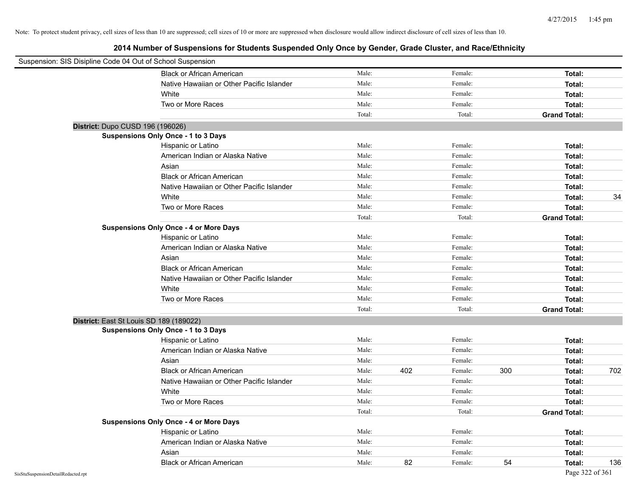| Suspension: SIS Disipline Code 04 Out of School Suspension |                                               |        |     |         |     |                     |     |
|------------------------------------------------------------|-----------------------------------------------|--------|-----|---------|-----|---------------------|-----|
|                                                            | <b>Black or African American</b>              | Male:  |     | Female: |     | Total:              |     |
|                                                            | Native Hawaiian or Other Pacific Islander     | Male:  |     | Female: |     | Total:              |     |
|                                                            | White                                         | Male:  |     | Female: |     | Total:              |     |
|                                                            | Two or More Races                             | Male:  |     | Female: |     | Total:              |     |
|                                                            |                                               | Total: |     | Total:  |     | <b>Grand Total:</b> |     |
|                                                            | District: Dupo CUSD 196 (196026)              |        |     |         |     |                     |     |
|                                                            | <b>Suspensions Only Once - 1 to 3 Days</b>    |        |     |         |     |                     |     |
|                                                            | Hispanic or Latino                            | Male:  |     | Female: |     | Total:              |     |
|                                                            | American Indian or Alaska Native              | Male:  |     | Female: |     | Total:              |     |
|                                                            | Asian                                         | Male:  |     | Female: |     | Total:              |     |
|                                                            | <b>Black or African American</b>              | Male:  |     | Female: |     | Total:              |     |
|                                                            | Native Hawaiian or Other Pacific Islander     | Male:  |     | Female: |     | Total:              |     |
|                                                            | White                                         | Male:  |     | Female: |     | Total:              | 34  |
|                                                            | Two or More Races                             | Male:  |     | Female: |     | Total:              |     |
|                                                            |                                               | Total: |     | Total:  |     | <b>Grand Total:</b> |     |
|                                                            | <b>Suspensions Only Once - 4 or More Days</b> |        |     |         |     |                     |     |
|                                                            | Hispanic or Latino                            | Male:  |     | Female: |     | Total:              |     |
|                                                            | American Indian or Alaska Native              | Male:  |     | Female: |     | Total:              |     |
|                                                            | Asian                                         | Male:  |     | Female: |     | Total:              |     |
|                                                            | <b>Black or African American</b>              | Male:  |     | Female: |     | Total:              |     |
|                                                            | Native Hawaiian or Other Pacific Islander     | Male:  |     | Female: |     | Total:              |     |
|                                                            | White                                         | Male:  |     | Female: |     | Total:              |     |
|                                                            | Two or More Races                             | Male:  |     | Female: |     | Total:              |     |
|                                                            |                                               | Total: |     | Total:  |     | <b>Grand Total:</b> |     |
|                                                            | District: East St Louis SD 189 (189022)       |        |     |         |     |                     |     |
|                                                            | <b>Suspensions Only Once - 1 to 3 Days</b>    |        |     |         |     |                     |     |
|                                                            | Hispanic or Latino                            | Male:  |     | Female: |     | Total:              |     |
|                                                            | American Indian or Alaska Native              | Male:  |     | Female: |     | Total:              |     |
|                                                            | Asian                                         | Male:  |     | Female: |     | Total:              |     |
|                                                            | <b>Black or African American</b>              | Male:  | 402 | Female: | 300 | Total:              | 702 |
|                                                            | Native Hawaiian or Other Pacific Islander     | Male:  |     | Female: |     | Total:              |     |
|                                                            | White                                         | Male:  |     | Female: |     | Total:              |     |
|                                                            | Two or More Races                             | Male:  |     | Female: |     | Total:              |     |
|                                                            |                                               | Total: |     | Total:  |     | <b>Grand Total:</b> |     |
|                                                            | <b>Suspensions Only Once - 4 or More Days</b> |        |     |         |     |                     |     |
|                                                            | Hispanic or Latino                            | Male:  |     | Female: |     | Total:              |     |
|                                                            | American Indian or Alaska Native              | Male:  |     | Female: |     | Total:              |     |
|                                                            | Asian                                         | Male:  |     | Female: |     | Total:              |     |
|                                                            | <b>Black or African American</b>              | Male:  | 82  | Female: | 54  | Total:              | 136 |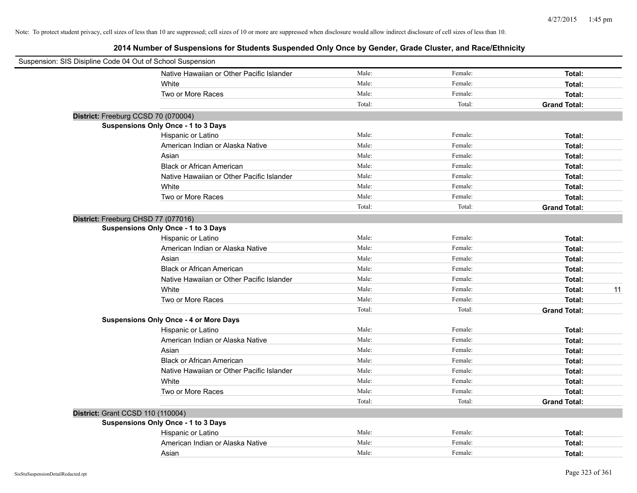| Suspension: SIS Disipline Code 04 Out of School Suspension |                                               |        |         |                     |
|------------------------------------------------------------|-----------------------------------------------|--------|---------|---------------------|
|                                                            | Native Hawaiian or Other Pacific Islander     | Male:  | Female: | Total:              |
|                                                            | White                                         | Male:  | Female: | Total:              |
|                                                            | Two or More Races                             | Male:  | Female: | Total:              |
|                                                            |                                               | Total: | Total:  | <b>Grand Total:</b> |
| District: Freeburg CCSD 70 (070004)                        |                                               |        |         |                     |
|                                                            | Suspensions Only Once - 1 to 3 Days           |        |         |                     |
|                                                            | Hispanic or Latino                            | Male:  | Female: | Total:              |
|                                                            | American Indian or Alaska Native              | Male:  | Female: | Total:              |
|                                                            | Asian                                         | Male:  | Female: | Total:              |
|                                                            | <b>Black or African American</b>              | Male:  | Female: | Total:              |
|                                                            | Native Hawaiian or Other Pacific Islander     | Male:  | Female: | Total:              |
|                                                            | White                                         | Male:  | Female: | Total:              |
|                                                            | Two or More Races                             | Male:  | Female: | Total:              |
|                                                            |                                               | Total: | Total:  | <b>Grand Total:</b> |
| District: Freeburg CHSD 77 (077016)                        |                                               |        |         |                     |
|                                                            | Suspensions Only Once - 1 to 3 Days           |        |         |                     |
|                                                            | Hispanic or Latino                            | Male:  | Female: | Total:              |
|                                                            | American Indian or Alaska Native              | Male:  | Female: | Total:              |
|                                                            | Asian                                         | Male:  | Female: | Total:              |
|                                                            | <b>Black or African American</b>              | Male:  | Female: | Total:              |
|                                                            | Native Hawaiian or Other Pacific Islander     | Male:  | Female: | Total:              |
|                                                            | White                                         | Male:  | Female: | 11<br>Total:        |
|                                                            | Two or More Races                             | Male:  | Female: | Total:              |
|                                                            |                                               | Total: | Total:  | <b>Grand Total:</b> |
|                                                            | <b>Suspensions Only Once - 4 or More Days</b> |        |         |                     |
|                                                            | Hispanic or Latino                            | Male:  | Female: | Total:              |
|                                                            | American Indian or Alaska Native              | Male:  | Female: | Total:              |
|                                                            | Asian                                         | Male:  | Female: | Total:              |
|                                                            | <b>Black or African American</b>              | Male:  | Female: | Total:              |
|                                                            | Native Hawaiian or Other Pacific Islander     | Male:  | Female: | Total:              |
|                                                            | White                                         | Male:  | Female: | Total:              |
|                                                            | Two or More Races                             | Male:  | Female: | Total:              |
|                                                            |                                               | Total: | Total:  | <b>Grand Total:</b> |
| District: Grant CCSD 110 (110004)                          |                                               |        |         |                     |
|                                                            | Suspensions Only Once - 1 to 3 Days           |        |         |                     |
|                                                            | Hispanic or Latino                            | Male:  | Female: | Total:              |
|                                                            | American Indian or Alaska Native              | Male:  | Female: | Total:              |
|                                                            | Asian                                         | Male:  | Female: | Total:              |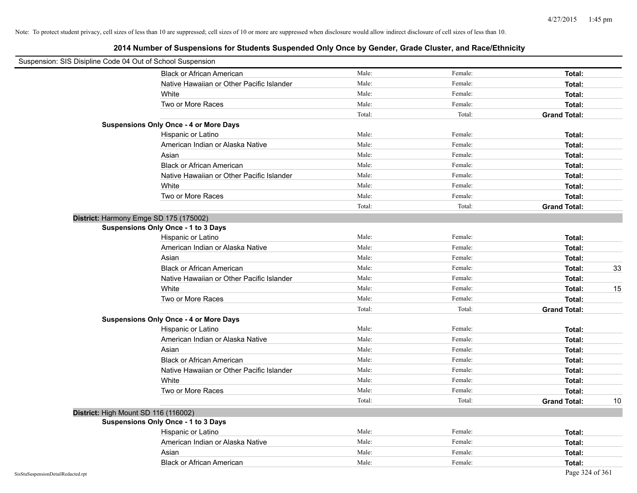| Suspension: SIS Disipline Code 04 Out of School Suspension |                                               |        |         |                           |
|------------------------------------------------------------|-----------------------------------------------|--------|---------|---------------------------|
|                                                            | <b>Black or African American</b>              | Male:  | Female: | Total:                    |
|                                                            | Native Hawaiian or Other Pacific Islander     | Male:  | Female: | Total:                    |
|                                                            | White                                         | Male:  | Female: | Total:                    |
|                                                            | Two or More Races                             | Male:  | Female: | Total:                    |
|                                                            |                                               | Total: | Total:  | <b>Grand Total:</b>       |
|                                                            | <b>Suspensions Only Once - 4 or More Days</b> |        |         |                           |
|                                                            | Hispanic or Latino                            | Male:  | Female: | Total:                    |
|                                                            | American Indian or Alaska Native              | Male:  | Female: | Total:                    |
|                                                            | Asian                                         | Male:  | Female: | Total:                    |
|                                                            | <b>Black or African American</b>              | Male:  | Female: | Total:                    |
|                                                            | Native Hawaiian or Other Pacific Islander     | Male:  | Female: | Total:                    |
|                                                            | White                                         | Male:  | Female: | Total:                    |
|                                                            | Two or More Races                             | Male:  | Female: | Total:                    |
|                                                            |                                               | Total: | Total:  | <b>Grand Total:</b>       |
|                                                            | District: Harmony Emge SD 175 (175002)        |        |         |                           |
|                                                            | <b>Suspensions Only Once - 1 to 3 Days</b>    |        |         |                           |
|                                                            | Hispanic or Latino                            | Male:  | Female: | Total:                    |
|                                                            | American Indian or Alaska Native              | Male:  | Female: | Total:                    |
|                                                            | Asian                                         | Male:  | Female: | Total:                    |
|                                                            | <b>Black or African American</b>              | Male:  | Female: | 33<br>Total:              |
|                                                            | Native Hawaiian or Other Pacific Islander     | Male:  | Female: | Total:                    |
|                                                            | White                                         | Male:  | Female: | 15<br>Total:              |
|                                                            | Two or More Races                             | Male:  | Female: | Total:                    |
|                                                            |                                               | Total: | Total:  | <b>Grand Total:</b>       |
|                                                            | <b>Suspensions Only Once - 4 or More Days</b> |        |         |                           |
|                                                            | Hispanic or Latino                            | Male:  | Female: | Total:                    |
|                                                            | American Indian or Alaska Native              | Male:  | Female: | Total:                    |
|                                                            | Asian                                         | Male:  | Female: | Total:                    |
|                                                            | <b>Black or African American</b>              | Male:  | Female: | Total:                    |
|                                                            | Native Hawaiian or Other Pacific Islander     | Male:  | Female: | Total:                    |
|                                                            | White                                         | Male:  | Female: | Total:                    |
|                                                            | Two or More Races                             | Male:  | Female: | Total:                    |
|                                                            |                                               | Total: | Total:  | <b>Grand Total:</b><br>10 |
|                                                            | District: High Mount SD 116 (116002)          |        |         |                           |
|                                                            | <b>Suspensions Only Once - 1 to 3 Days</b>    |        |         |                           |
|                                                            | Hispanic or Latino                            | Male:  | Female: | Total:                    |
|                                                            | American Indian or Alaska Native              | Male:  | Female: | Total:                    |
|                                                            | Asian                                         | Male:  | Female: | Total:                    |
|                                                            | <b>Black or African American</b>              | Male:  | Female: | Total:                    |
| SisStuSuspensionDetailRedacted.rpt                         |                                               |        |         | Page 324 of 361           |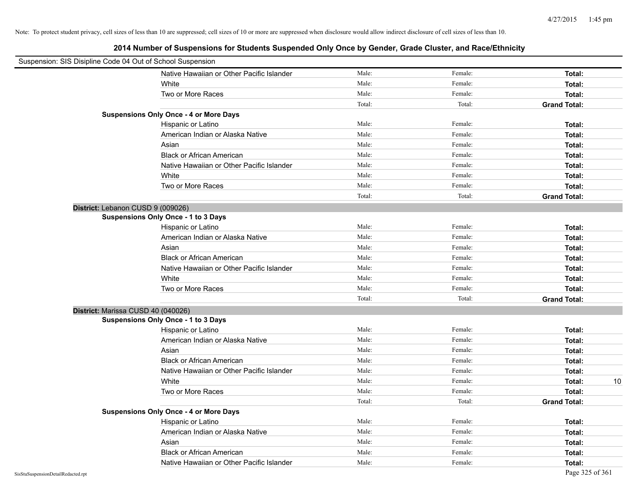| Suspension: SIS Disipline Code 04 Out of School Suspension |                                               |        |         |                     |
|------------------------------------------------------------|-----------------------------------------------|--------|---------|---------------------|
|                                                            | Native Hawaiian or Other Pacific Islander     | Male:  | Female: | Total:              |
|                                                            | White                                         | Male:  | Female: | Total:              |
|                                                            | Two or More Races                             | Male:  | Female: | Total:              |
|                                                            |                                               | Total: | Total:  | <b>Grand Total:</b> |
|                                                            | <b>Suspensions Only Once - 4 or More Days</b> |        |         |                     |
|                                                            | Hispanic or Latino                            | Male:  | Female: | Total:              |
|                                                            | American Indian or Alaska Native              | Male:  | Female: | Total:              |
|                                                            | Asian                                         | Male:  | Female: | Total:              |
|                                                            | <b>Black or African American</b>              | Male:  | Female: | Total:              |
|                                                            | Native Hawaiian or Other Pacific Islander     | Male:  | Female: | Total:              |
|                                                            | White                                         | Male:  | Female: | Total:              |
|                                                            | Two or More Races                             | Male:  | Female: | Total:              |
|                                                            |                                               | Total: | Total:  | <b>Grand Total:</b> |
| District: Lebanon CUSD 9 (009026)                          |                                               |        |         |                     |
|                                                            | <b>Suspensions Only Once - 1 to 3 Days</b>    |        |         |                     |
|                                                            | Hispanic or Latino                            | Male:  | Female: | Total:              |
|                                                            | American Indian or Alaska Native              | Male:  | Female: | Total:              |
|                                                            | Asian                                         | Male:  | Female: | Total:              |
|                                                            | <b>Black or African American</b>              | Male:  | Female: | Total:              |
|                                                            | Native Hawaiian or Other Pacific Islander     | Male:  | Female: | Total:              |
|                                                            | White                                         | Male:  | Female: | Total:              |
|                                                            | Two or More Races                             | Male:  | Female: | Total:              |
|                                                            |                                               | Total: | Total:  | <b>Grand Total:</b> |
| District: Marissa CUSD 40 (040026)                         |                                               |        |         |                     |
|                                                            | <b>Suspensions Only Once - 1 to 3 Days</b>    |        |         |                     |
|                                                            | Hispanic or Latino                            | Male:  | Female: | Total:              |
|                                                            | American Indian or Alaska Native              | Male:  | Female: | Total:              |
|                                                            | Asian                                         | Male:  | Female: | Total:              |
|                                                            | <b>Black or African American</b>              | Male:  | Female: | Total:              |
|                                                            | Native Hawaiian or Other Pacific Islander     | Male:  | Female: | Total:              |
|                                                            | White                                         | Male:  | Female: | Total:<br>10        |
|                                                            | Two or More Races                             | Male:  | Female: | Total:              |
|                                                            |                                               | Total: | Total:  | <b>Grand Total:</b> |
|                                                            | <b>Suspensions Only Once - 4 or More Days</b> |        |         |                     |
|                                                            | Hispanic or Latino                            | Male:  | Female: | Total:              |
|                                                            | American Indian or Alaska Native              | Male:  | Female: | Total:              |
|                                                            | Asian                                         | Male:  | Female: | Total:              |
|                                                            | <b>Black or African American</b>              | Male:  | Female: | Total:              |
|                                                            | Native Hawaiian or Other Pacific Islander     | Male:  | Female: | Total:              |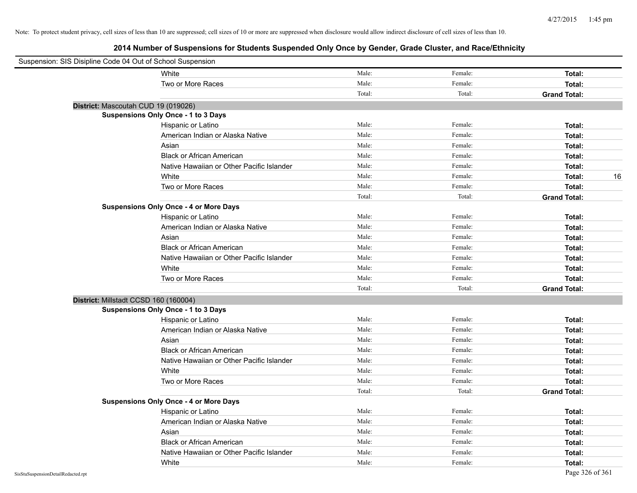| Suspension: SIS Disipline Code 04 Out of School Suspension |                                               |        |         |                     |
|------------------------------------------------------------|-----------------------------------------------|--------|---------|---------------------|
|                                                            | White                                         | Male:  | Female: | Total:              |
|                                                            | Two or More Races                             | Male:  | Female: | Total:              |
|                                                            |                                               | Total: | Total:  | <b>Grand Total:</b> |
|                                                            | District: Mascoutah CUD 19 (019026)           |        |         |                     |
|                                                            | Suspensions Only Once - 1 to 3 Days           |        |         |                     |
|                                                            | Hispanic or Latino                            | Male:  | Female: | Total:              |
|                                                            | American Indian or Alaska Native              | Male:  | Female: | Total:              |
|                                                            | Asian                                         | Male:  | Female: | Total:              |
|                                                            | <b>Black or African American</b>              | Male:  | Female: | Total:              |
|                                                            | Native Hawaiian or Other Pacific Islander     | Male:  | Female: | Total:              |
|                                                            | White                                         | Male:  | Female: | 16<br>Total:        |
|                                                            | Two or More Races                             | Male:  | Female: | Total:              |
|                                                            |                                               | Total: | Total:  | <b>Grand Total:</b> |
|                                                            | <b>Suspensions Only Once - 4 or More Days</b> |        |         |                     |
|                                                            | Hispanic or Latino                            | Male:  | Female: | Total:              |
|                                                            | American Indian or Alaska Native              | Male:  | Female: | Total:              |
|                                                            | Asian                                         | Male:  | Female: | Total:              |
|                                                            | <b>Black or African American</b>              | Male:  | Female: | Total:              |
|                                                            | Native Hawaiian or Other Pacific Islander     | Male:  | Female: | Total:              |
|                                                            | White                                         | Male:  | Female: | Total:              |
|                                                            | Two or More Races                             | Male:  | Female: | Total:              |
|                                                            |                                               | Total: | Total:  | <b>Grand Total:</b> |
|                                                            | District: Millstadt CCSD 160 (160004)         |        |         |                     |
|                                                            | Suspensions Only Once - 1 to 3 Days           |        |         |                     |
|                                                            | Hispanic or Latino                            | Male:  | Female: | Total:              |
|                                                            | American Indian or Alaska Native              | Male:  | Female: | Total:              |
|                                                            | Asian                                         | Male:  | Female: | Total:              |
|                                                            | <b>Black or African American</b>              | Male:  | Female: | Total:              |
|                                                            | Native Hawaiian or Other Pacific Islander     | Male:  | Female: | Total:              |
|                                                            | White                                         | Male:  | Female: | Total:              |
|                                                            | Two or More Races                             | Male:  | Female: | Total:              |
|                                                            |                                               | Total: | Total:  | <b>Grand Total:</b> |
|                                                            | <b>Suspensions Only Once - 4 or More Days</b> |        |         |                     |
|                                                            | Hispanic or Latino                            | Male:  | Female: | Total:              |
|                                                            | American Indian or Alaska Native              | Male:  | Female: | Total:              |
|                                                            | Asian                                         | Male:  | Female: | Total:              |
|                                                            | <b>Black or African American</b>              | Male:  | Female: | Total:              |
|                                                            | Native Hawaiian or Other Pacific Islander     | Male:  | Female: | Total:              |
|                                                            | White                                         | Male:  | Female: | Total:              |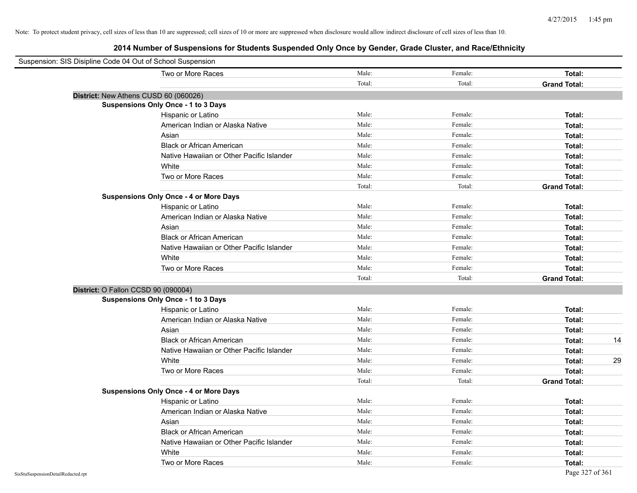| Suspension: SIS Disipline Code 04 Out of School Suspension |                                               |        |         |                     |
|------------------------------------------------------------|-----------------------------------------------|--------|---------|---------------------|
|                                                            | Two or More Races                             | Male:  | Female: | Total:              |
|                                                            |                                               | Total: | Total:  | <b>Grand Total:</b> |
| District: New Athens CUSD 60 (060026)                      |                                               |        |         |                     |
|                                                            | Suspensions Only Once - 1 to 3 Days           |        |         |                     |
|                                                            | Hispanic or Latino                            | Male:  | Female: | Total:              |
|                                                            | American Indian or Alaska Native              | Male:  | Female: | Total:              |
|                                                            | Asian                                         | Male:  | Female: | Total:              |
|                                                            | <b>Black or African American</b>              | Male:  | Female: | Total:              |
|                                                            | Native Hawaiian or Other Pacific Islander     | Male:  | Female: | Total:              |
|                                                            | White                                         | Male:  | Female: | Total:              |
|                                                            | Two or More Races                             | Male:  | Female: | Total:              |
|                                                            |                                               | Total: | Total:  | <b>Grand Total:</b> |
|                                                            | <b>Suspensions Only Once - 4 or More Days</b> |        |         |                     |
|                                                            | Hispanic or Latino                            | Male:  | Female: | Total:              |
|                                                            | American Indian or Alaska Native              | Male:  | Female: | Total:              |
|                                                            | Asian                                         | Male:  | Female: | Total:              |
|                                                            | <b>Black or African American</b>              | Male:  | Female: | Total:              |
|                                                            | Native Hawaiian or Other Pacific Islander     | Male:  | Female: | Total:              |
|                                                            | White                                         | Male:  | Female: | Total:              |
|                                                            | Two or More Races                             | Male:  | Female: | Total:              |
|                                                            |                                               | Total: | Total:  | <b>Grand Total:</b> |
| District: O Fallon CCSD 90 (090004)                        |                                               |        |         |                     |
|                                                            | <b>Suspensions Only Once - 1 to 3 Days</b>    |        |         |                     |
|                                                            | Hispanic or Latino                            | Male:  | Female: | Total:              |
|                                                            | American Indian or Alaska Native              | Male:  | Female: | Total:              |
|                                                            | Asian                                         | Male:  | Female: | Total:              |
|                                                            | <b>Black or African American</b>              | Male:  | Female: | 14<br>Total:        |
|                                                            | Native Hawaiian or Other Pacific Islander     | Male:  | Female: | Total:              |
|                                                            | White                                         | Male:  | Female: | 29<br>Total:        |
|                                                            | Two or More Races                             | Male:  | Female: | Total:              |
|                                                            |                                               | Total: | Total:  | <b>Grand Total:</b> |
|                                                            | <b>Suspensions Only Once - 4 or More Days</b> |        |         |                     |
|                                                            | Hispanic or Latino                            | Male:  | Female: | Total:              |
|                                                            | American Indian or Alaska Native              | Male:  | Female: | Total:              |
|                                                            | Asian                                         | Male:  | Female: | Total:              |
|                                                            | <b>Black or African American</b>              | Male:  | Female: | Total:              |
|                                                            | Native Hawaiian or Other Pacific Islander     | Male:  | Female: | Total:              |
|                                                            | White                                         | Male:  | Female: | Total:              |
|                                                            | Two or More Races                             | Male:  | Female: | Total:              |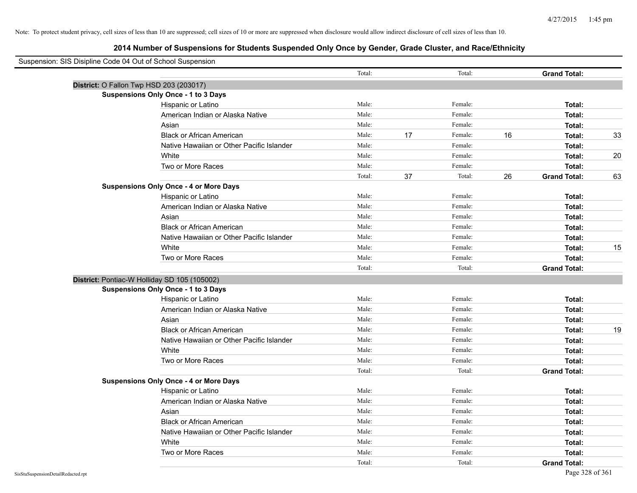| Suspension: SIS Disipline Code 04 Out of School Suspension |                                               |        |    |         |    |                     |    |
|------------------------------------------------------------|-----------------------------------------------|--------|----|---------|----|---------------------|----|
|                                                            |                                               | Total: |    | Total:  |    | <b>Grand Total:</b> |    |
| District: O Fallon Twp HSD 203 (203017)                    |                                               |        |    |         |    |                     |    |
|                                                            | <b>Suspensions Only Once - 1 to 3 Days</b>    |        |    |         |    |                     |    |
|                                                            | Hispanic or Latino                            | Male:  |    | Female: |    | Total:              |    |
|                                                            | American Indian or Alaska Native              | Male:  |    | Female: |    | Total:              |    |
|                                                            | Asian                                         | Male:  |    | Female: |    | Total:              |    |
|                                                            | <b>Black or African American</b>              | Male:  | 17 | Female: | 16 | Total:              | 33 |
|                                                            | Native Hawaiian or Other Pacific Islander     | Male:  |    | Female: |    | Total:              |    |
|                                                            | White                                         | Male:  |    | Female: |    | Total:              | 20 |
|                                                            | Two or More Races                             | Male:  |    | Female: |    | Total:              |    |
|                                                            |                                               | Total: | 37 | Total:  | 26 | <b>Grand Total:</b> | 63 |
|                                                            | <b>Suspensions Only Once - 4 or More Days</b> |        |    |         |    |                     |    |
|                                                            | Hispanic or Latino                            | Male:  |    | Female: |    | Total:              |    |
|                                                            | American Indian or Alaska Native              | Male:  |    | Female: |    | Total:              |    |
|                                                            | Asian                                         | Male:  |    | Female: |    | Total:              |    |
|                                                            | <b>Black or African American</b>              | Male:  |    | Female: |    | Total:              |    |
|                                                            | Native Hawaiian or Other Pacific Islander     | Male:  |    | Female: |    | Total:              |    |
|                                                            | White                                         | Male:  |    | Female: |    | Total:              | 15 |
|                                                            | Two or More Races                             | Male:  |    | Female: |    | Total:              |    |
|                                                            |                                               | Total: |    | Total:  |    | <b>Grand Total:</b> |    |
| District: Pontiac-W Holliday SD 105 (105002)               |                                               |        |    |         |    |                     |    |
|                                                            | Suspensions Only Once - 1 to 3 Days           |        |    |         |    |                     |    |
|                                                            | Hispanic or Latino                            | Male:  |    | Female: |    | Total:              |    |
|                                                            | American Indian or Alaska Native              | Male:  |    | Female: |    | Total:              |    |
|                                                            | Asian                                         | Male:  |    | Female: |    | Total:              |    |
|                                                            | <b>Black or African American</b>              | Male:  |    | Female: |    | Total:              | 19 |
|                                                            | Native Hawaiian or Other Pacific Islander     | Male:  |    | Female: |    | Total:              |    |
|                                                            | White                                         | Male:  |    | Female: |    | Total:              |    |
|                                                            | Two or More Races                             | Male:  |    | Female: |    | Total:              |    |
|                                                            |                                               | Total: |    | Total:  |    | <b>Grand Total:</b> |    |
|                                                            | <b>Suspensions Only Once - 4 or More Days</b> |        |    |         |    |                     |    |
|                                                            | Hispanic or Latino                            | Male:  |    | Female: |    | Total:              |    |
|                                                            | American Indian or Alaska Native              | Male:  |    | Female: |    | Total:              |    |
|                                                            | Asian                                         | Male:  |    | Female: |    | Total:              |    |
|                                                            | <b>Black or African American</b>              | Male:  |    | Female: |    | Total:              |    |
|                                                            | Native Hawaiian or Other Pacific Islander     | Male:  |    | Female: |    | Total:              |    |
|                                                            | White                                         | Male:  |    | Female: |    | Total:              |    |
|                                                            | Two or More Races                             | Male:  |    | Female: |    | Total:              |    |
|                                                            |                                               | Total: |    | Total:  |    | <b>Grand Total:</b> |    |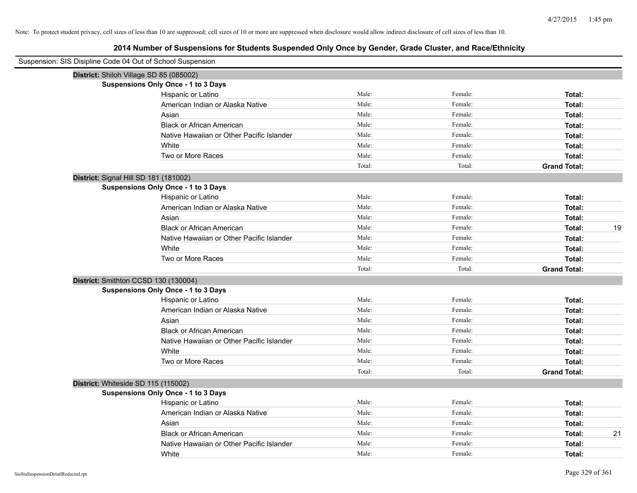| Suspension: SIS Disipline Code 04 Out of School Suspension |        |         |                     |    |
|------------------------------------------------------------|--------|---------|---------------------|----|
| District: Shiloh Village SD 85 (085002)                    |        |         |                     |    |
| <b>Suspensions Only Once - 1 to 3 Days</b>                 |        |         |                     |    |
| Hispanic or Latino                                         | Male:  | Female: | Total:              |    |
| American Indian or Alaska Native                           | Male:  | Female: | Total:              |    |
| Asian                                                      | Male:  | Female: | Total:              |    |
| <b>Black or African American</b>                           | Male:  | Female: | Total:              |    |
| Native Hawaiian or Other Pacific Islander                  | Male:  | Female: | Total:              |    |
| White                                                      | Male:  | Female: | Total:              |    |
| Two or More Races                                          | Male:  | Female: | Total:              |    |
|                                                            | Total: | Total:  | <b>Grand Total:</b> |    |
| District: Signal Hill SD 181 (181002)                      |        |         |                     |    |
| <b>Suspensions Only Once - 1 to 3 Days</b>                 |        |         |                     |    |
| Hispanic or Latino                                         | Male:  | Female: | Total:              |    |
| American Indian or Alaska Native                           | Male:  | Female: | Total:              |    |
| Asian                                                      | Male:  | Female: | Total:              |    |
| <b>Black or African American</b>                           | Male:  | Female: | Total:              | 19 |
| Native Hawaiian or Other Pacific Islander                  | Male:  | Female: | Total:              |    |
| White                                                      | Male:  | Female: | Total:              |    |
| Two or More Races                                          | Male:  | Female: | Total:              |    |
|                                                            | Total: | Total:  | <b>Grand Total:</b> |    |
| District: Smithton CCSD 130 (130004)                       |        |         |                     |    |
| <b>Suspensions Only Once - 1 to 3 Days</b>                 |        |         |                     |    |
| Hispanic or Latino                                         | Male:  | Female: | Total:              |    |
| American Indian or Alaska Native                           | Male:  | Female: | Total:              |    |
| Asian                                                      | Male:  | Female: | Total:              |    |
| <b>Black or African American</b>                           | Male:  | Female: | Total:              |    |
| Native Hawaiian or Other Pacific Islander                  | Male:  | Female: | Total:              |    |
| White                                                      | Male:  | Female: | Total:              |    |
| Two or More Races                                          | Male:  | Female: | Total:              |    |
|                                                            | Total: | Total:  | <b>Grand Total:</b> |    |
| District: Whiteside SD 115 (115002)                        |        |         |                     |    |
| <b>Suspensions Only Once - 1 to 3 Days</b>                 |        |         |                     |    |
| Hispanic or Latino                                         | Male:  | Female: | Total:              |    |
| American Indian or Alaska Native                           | Male:  | Female: | Total:              |    |
| Asian                                                      | Male:  | Female: | Total:              |    |
| <b>Black or African American</b>                           | Male:  | Female: | Total:              | 21 |
| Native Hawaiian or Other Pacific Islander                  | Male:  | Female: | Total:              |    |
| White                                                      | Male:  | Female: | Total:              |    |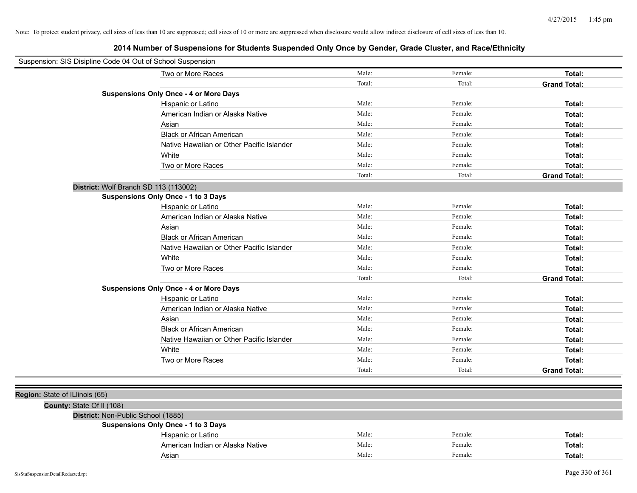| Suspension: SIS Disipline Code 04 Out of School Suspension |                                               |        |         |                     |
|------------------------------------------------------------|-----------------------------------------------|--------|---------|---------------------|
|                                                            | Two or More Races                             | Male:  | Female: | Total:              |
|                                                            |                                               | Total: | Total:  | <b>Grand Total:</b> |
|                                                            | <b>Suspensions Only Once - 4 or More Days</b> |        |         |                     |
|                                                            | Hispanic or Latino                            | Male:  | Female: | Total:              |
|                                                            | American Indian or Alaska Native              | Male:  | Female: | Total:              |
|                                                            | Asian                                         | Male:  | Female: | Total:              |
|                                                            | <b>Black or African American</b>              | Male:  | Female: | Total:              |
|                                                            | Native Hawaiian or Other Pacific Islander     | Male:  | Female: | Total:              |
|                                                            | White                                         | Male:  | Female: | Total:              |
|                                                            | Two or More Races                             | Male:  | Female: | Total:              |
|                                                            |                                               | Total: | Total:  | <b>Grand Total:</b> |
| District: Wolf Branch SD 113 (113002)                      |                                               |        |         |                     |
|                                                            | <b>Suspensions Only Once - 1 to 3 Days</b>    |        |         |                     |
|                                                            | Hispanic or Latino                            | Male:  | Female: | Total:              |
|                                                            | American Indian or Alaska Native              | Male:  | Female: | Total:              |
|                                                            | Asian                                         | Male:  | Female: | Total:              |
|                                                            | <b>Black or African American</b>              | Male:  | Female: | Total:              |
|                                                            | Native Hawaiian or Other Pacific Islander     | Male:  | Female: | Total:              |
|                                                            | White                                         | Male:  | Female: | Total:              |
|                                                            | Two or More Races                             | Male:  | Female: | Total:              |
|                                                            |                                               | Total: | Total:  | <b>Grand Total:</b> |
|                                                            | <b>Suspensions Only Once - 4 or More Days</b> |        |         |                     |
|                                                            | Hispanic or Latino                            | Male:  | Female: | Total:              |
|                                                            | American Indian or Alaska Native              | Male:  | Female: | Total:              |
|                                                            | Asian                                         | Male:  | Female: | Total:              |
|                                                            | <b>Black or African American</b>              | Male:  | Female: | Total:              |
|                                                            | Native Hawaiian or Other Pacific Islander     | Male:  | Female: | Total:              |
|                                                            | White                                         | Male:  | Female: | Total:              |
|                                                            | Two or More Races                             | Male:  | Female: | Total:              |
|                                                            |                                               | Total: | Total:  | <b>Grand Total:</b> |
|                                                            |                                               |        |         |                     |
| Region: State of ILlinois (65)                             |                                               |        |         |                     |
| County: State Of II (108)                                  |                                               |        |         |                     |
| District: Non-Public School (1885)                         |                                               |        |         |                     |
|                                                            | <b>Suspensions Only Once - 1 to 3 Days</b>    |        |         |                     |
|                                                            | Hispanic or Latino                            | Male:  | Female: | Total:              |
|                                                            | American Indian or Alaska Native              | Male:  | Female: | Total:              |
|                                                            | Asian                                         | Male:  | Female: | Total:              |
|                                                            |                                               |        |         |                     |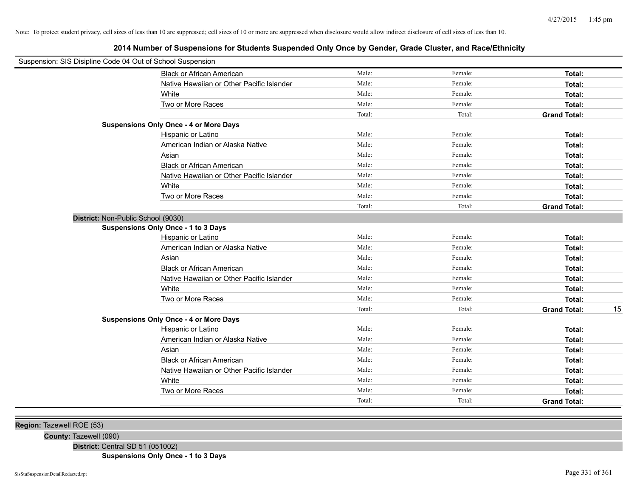**2014 Number of Suspensions for Students Suspended Only Once by Gender, Grade Cluster, and Race/Ethnicity**

| Suspension: SIS Disipline Code 04 Out of School Suspension |                                               |        |         |                     |    |
|------------------------------------------------------------|-----------------------------------------------|--------|---------|---------------------|----|
|                                                            | <b>Black or African American</b>              | Male:  | Female: | Total:              |    |
|                                                            | Native Hawaiian or Other Pacific Islander     | Male:  | Female: | Total:              |    |
|                                                            | White                                         | Male:  | Female: | Total:              |    |
|                                                            | Two or More Races                             | Male:  | Female: | Total:              |    |
|                                                            |                                               | Total: | Total:  | <b>Grand Total:</b> |    |
|                                                            | <b>Suspensions Only Once - 4 or More Days</b> |        |         |                     |    |
|                                                            | Hispanic or Latino                            | Male:  | Female: | Total:              |    |
|                                                            | American Indian or Alaska Native              | Male:  | Female: | Total:              |    |
|                                                            | Asian                                         | Male:  | Female: | Total:              |    |
|                                                            | <b>Black or African American</b>              | Male:  | Female: | Total:              |    |
|                                                            | Native Hawaiian or Other Pacific Islander     | Male:  | Female: | Total:              |    |
|                                                            | White                                         | Male:  | Female: | Total:              |    |
|                                                            | Two or More Races                             | Male:  | Female: | Total:              |    |
|                                                            |                                               | Total: | Total:  | <b>Grand Total:</b> |    |
| District: Non-Public School (9030)                         |                                               |        |         |                     |    |
|                                                            | <b>Suspensions Only Once - 1 to 3 Days</b>    |        |         |                     |    |
|                                                            | Hispanic or Latino                            | Male:  | Female: | Total:              |    |
|                                                            | American Indian or Alaska Native              | Male:  | Female: | Total:              |    |
|                                                            | Asian                                         | Male:  | Female: | Total:              |    |
|                                                            | <b>Black or African American</b>              | Male:  | Female: | Total:              |    |
|                                                            | Native Hawaiian or Other Pacific Islander     | Male:  | Female: | Total:              |    |
|                                                            | White                                         | Male:  | Female: | Total:              |    |
|                                                            | Two or More Races                             | Male:  | Female: | Total:              |    |
|                                                            |                                               | Total: | Total:  | <b>Grand Total:</b> | 15 |
|                                                            | <b>Suspensions Only Once - 4 or More Days</b> |        |         |                     |    |
|                                                            | Hispanic or Latino                            | Male:  | Female: | Total:              |    |
|                                                            | American Indian or Alaska Native              | Male:  | Female: | Total:              |    |
|                                                            | Asian                                         | Male:  | Female: | Total:              |    |
|                                                            | <b>Black or African American</b>              | Male:  | Female: | Total:              |    |
|                                                            | Native Hawaiian or Other Pacific Islander     | Male:  | Female: | Total:              |    |
|                                                            | White                                         | Male:  | Female: | Total:              |    |
|                                                            | Two or More Races                             | Male:  | Female: | Total:              |    |
|                                                            |                                               | Total: | Total:  | <b>Grand Total:</b> |    |
|                                                            |                                               |        |         |                     |    |

**Region:** Tazewell ROE (53)

**County:** Tazewell (090)

**District:** Central SD 51 (051002)

**Suspensions Only Once - 1 to 3 Days**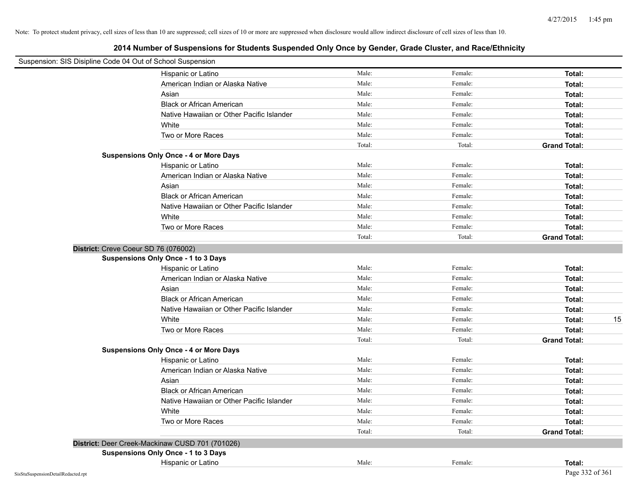| Suspension: SIS Disipline Code 04 Out of School Suspension |                                                 |        |         |                     |
|------------------------------------------------------------|-------------------------------------------------|--------|---------|---------------------|
|                                                            | Hispanic or Latino                              | Male:  | Female: | Total:              |
|                                                            | American Indian or Alaska Native                | Male:  | Female: | Total:              |
|                                                            | Asian                                           | Male:  | Female: | Total:              |
|                                                            | <b>Black or African American</b>                | Male:  | Female: | Total:              |
|                                                            | Native Hawaiian or Other Pacific Islander       | Male:  | Female: | Total:              |
|                                                            | White                                           | Male:  | Female: | Total:              |
|                                                            | Two or More Races                               | Male:  | Female: | Total:              |
|                                                            |                                                 | Total: | Total:  | <b>Grand Total:</b> |
|                                                            | <b>Suspensions Only Once - 4 or More Days</b>   |        |         |                     |
|                                                            | Hispanic or Latino                              | Male:  | Female: | Total:              |
|                                                            | American Indian or Alaska Native                | Male:  | Female: | Total:              |
|                                                            | Asian                                           | Male:  | Female: | Total:              |
|                                                            | <b>Black or African American</b>                | Male:  | Female: | Total:              |
|                                                            | Native Hawaiian or Other Pacific Islander       | Male:  | Female: | Total:              |
|                                                            | White                                           | Male:  | Female: | Total:              |
|                                                            | Two or More Races                               | Male:  | Female: | Total:              |
|                                                            |                                                 | Total: | Total:  | <b>Grand Total:</b> |
|                                                            | District: Creve Coeur SD 76 (076002)            |        |         |                     |
|                                                            | Suspensions Only Once - 1 to 3 Days             |        |         |                     |
|                                                            | Hispanic or Latino                              | Male:  | Female: | Total:              |
|                                                            | American Indian or Alaska Native                | Male:  | Female: | Total:              |
|                                                            | Asian                                           | Male:  | Female: | Total:              |
|                                                            | <b>Black or African American</b>                | Male:  | Female: | Total:              |
|                                                            | Native Hawaiian or Other Pacific Islander       | Male:  | Female: | Total:              |
|                                                            | White                                           | Male:  | Female: | 15<br>Total:        |
|                                                            | Two or More Races                               | Male:  | Female: | Total:              |
|                                                            |                                                 | Total: | Total:  | <b>Grand Total:</b> |
|                                                            | <b>Suspensions Only Once - 4 or More Days</b>   |        |         |                     |
|                                                            | Hispanic or Latino                              | Male:  | Female: | Total:              |
|                                                            | American Indian or Alaska Native                | Male:  | Female: | Total:              |
|                                                            | Asian                                           | Male:  | Female: | Total:              |
|                                                            | <b>Black or African American</b>                | Male:  | Female: | Total:              |
|                                                            | Native Hawaiian or Other Pacific Islander       | Male:  | Female: | Total:              |
|                                                            | White                                           | Male:  | Female: | Total:              |
|                                                            | Two or More Races                               | Male:  | Female: | Total:              |
|                                                            |                                                 | Total: | Total:  | <b>Grand Total:</b> |
|                                                            | District: Deer Creek-Mackinaw CUSD 701 (701026) |        |         |                     |
|                                                            | <b>Suspensions Only Once - 1 to 3 Days</b>      |        |         |                     |
|                                                            | Hispanic or Latino                              | Male:  | Female: | Total:              |
| SisStuSuspensionDetailRedacted.rpt                         |                                                 |        |         | Page 332 of 361     |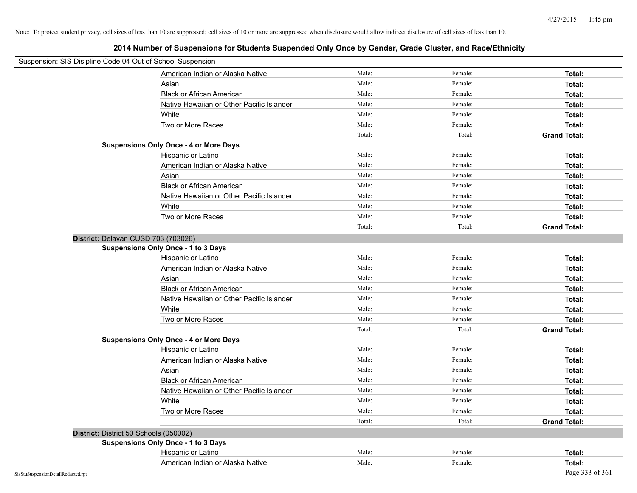| Suspension: SIS Disipline Code 04 Out of School Suspension |                                               |        |         |                     |
|------------------------------------------------------------|-----------------------------------------------|--------|---------|---------------------|
|                                                            | American Indian or Alaska Native              | Male:  | Female: | Total:              |
|                                                            | Asian                                         | Male:  | Female: | Total:              |
|                                                            | <b>Black or African American</b>              | Male:  | Female: | Total:              |
|                                                            | Native Hawaiian or Other Pacific Islander     | Male:  | Female: | Total:              |
|                                                            | White                                         | Male:  | Female: | Total:              |
|                                                            | Two or More Races                             | Male:  | Female: | Total:              |
|                                                            |                                               | Total: | Total:  | <b>Grand Total:</b> |
|                                                            | <b>Suspensions Only Once - 4 or More Days</b> |        |         |                     |
|                                                            | Hispanic or Latino                            | Male:  | Female: | Total:              |
|                                                            | American Indian or Alaska Native              | Male:  | Female: | Total:              |
|                                                            | Asian                                         | Male:  | Female: | Total:              |
|                                                            | Black or African American                     | Male:  | Female: | Total:              |
|                                                            | Native Hawaiian or Other Pacific Islander     | Male:  | Female: | Total:              |
|                                                            | White                                         | Male:  | Female: | Total:              |
|                                                            | Two or More Races                             | Male:  | Female: | Total:              |
|                                                            |                                               | Total: | Total:  | <b>Grand Total:</b> |
|                                                            | District: Delavan CUSD 703 (703026)           |        |         |                     |
|                                                            | Suspensions Only Once - 1 to 3 Days           |        |         |                     |
|                                                            | Hispanic or Latino                            | Male:  | Female: | Total:              |
|                                                            | American Indian or Alaska Native              | Male:  | Female: | Total:              |
|                                                            | Asian                                         | Male:  | Female: | Total:              |
|                                                            | <b>Black or African American</b>              | Male:  | Female: | Total:              |
|                                                            | Native Hawaiian or Other Pacific Islander     | Male:  | Female: | Total:              |
|                                                            | White                                         | Male:  | Female: | Total:              |
|                                                            | Two or More Races                             | Male:  | Female: | Total:              |
|                                                            |                                               | Total: | Total:  | <b>Grand Total:</b> |
|                                                            | <b>Suspensions Only Once - 4 or More Days</b> |        |         |                     |
|                                                            | Hispanic or Latino                            | Male:  | Female: | Total:              |
|                                                            | American Indian or Alaska Native              | Male:  | Female: | Total:              |
|                                                            | Asian                                         | Male:  | Female: | Total:              |
|                                                            | <b>Black or African American</b>              | Male:  | Female: | Total:              |
|                                                            | Native Hawaiian or Other Pacific Islander     | Male:  | Female: | Total:              |
|                                                            | White                                         | Male:  | Female: | Total:              |
|                                                            | Two or More Races                             | Male:  | Female: | Total:              |
|                                                            |                                               | Total: | Total:  | <b>Grand Total:</b> |
|                                                            | District: District 50 Schools (050002)        |        |         |                     |
|                                                            | <b>Suspensions Only Once - 1 to 3 Days</b>    |        |         |                     |
|                                                            | Hispanic or Latino                            | Male:  | Female: | Total:              |
|                                                            | American Indian or Alaska Native              | Male:  | Female: | Total:              |
| SisStuSuspensionDetailRedacted.rpt                         |                                               |        |         | Page 333 of 361     |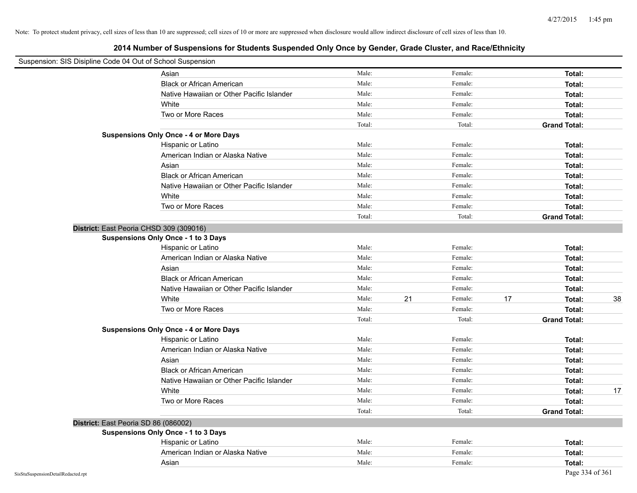| Suspension: SIS Disipline Code 04 Out of School Suspension |                                               |        |               |                     |    |
|------------------------------------------------------------|-----------------------------------------------|--------|---------------|---------------------|----|
|                                                            | Asian                                         | Male:  | Female:       | Total:              |    |
|                                                            | <b>Black or African American</b>              | Male:  | Female:       | Total:              |    |
|                                                            | Native Hawaiian or Other Pacific Islander     | Male:  | Female:       | Total:              |    |
|                                                            | White                                         | Male:  | Female:       | Total:              |    |
|                                                            | Two or More Races                             | Male:  | Female:       | Total:              |    |
|                                                            |                                               | Total: | Total:        | <b>Grand Total:</b> |    |
|                                                            | <b>Suspensions Only Once - 4 or More Days</b> |        |               |                     |    |
|                                                            | Hispanic or Latino                            | Male:  | Female:       | Total:              |    |
|                                                            | American Indian or Alaska Native              | Male:  | Female:       | Total:              |    |
|                                                            | Asian                                         | Male:  | Female:       | Total:              |    |
|                                                            | <b>Black or African American</b>              | Male:  | Female:       | Total:              |    |
|                                                            | Native Hawaiian or Other Pacific Islander     | Male:  | Female:       | Total:              |    |
|                                                            | White                                         | Male:  | Female:       | Total:              |    |
|                                                            | Two or More Races                             | Male:  | Female:       | Total:              |    |
|                                                            |                                               | Total: | Total:        | <b>Grand Total:</b> |    |
| District: East Peoria CHSD 309 (309016)                    |                                               |        |               |                     |    |
|                                                            | <b>Suspensions Only Once - 1 to 3 Days</b>    |        |               |                     |    |
|                                                            | Hispanic or Latino                            | Male:  | Female:       | Total:              |    |
|                                                            | American Indian or Alaska Native              | Male:  | Female:       | Total:              |    |
|                                                            | Asian                                         | Male:  | Female:       | Total:              |    |
|                                                            | <b>Black or African American</b>              | Male:  | Female:       | Total:              |    |
|                                                            | Native Hawaiian or Other Pacific Islander     | Male:  | Female:       | Total:              |    |
|                                                            | White                                         | Male:  | 21<br>Female: | 17<br>Total:        | 38 |
|                                                            | Two or More Races                             | Male:  | Female:       | Total:              |    |
|                                                            |                                               | Total: | Total:        | <b>Grand Total:</b> |    |
|                                                            | <b>Suspensions Only Once - 4 or More Days</b> |        |               |                     |    |
|                                                            | Hispanic or Latino                            | Male:  | Female:       | Total:              |    |
|                                                            | American Indian or Alaska Native              | Male:  | Female:       | Total:              |    |
|                                                            | Asian                                         | Male:  | Female:       | Total:              |    |
|                                                            | <b>Black or African American</b>              | Male:  | Female:       | Total:              |    |
|                                                            | Native Hawaiian or Other Pacific Islander     | Male:  | Female:       | Total:              |    |
|                                                            | White                                         | Male:  | Female:       | Total:              | 17 |
|                                                            | Two or More Races                             | Male:  | Female:       | Total:              |    |
|                                                            |                                               | Total: | Total:        | <b>Grand Total:</b> |    |
| District: East Peoria SD 86 (086002)                       |                                               |        |               |                     |    |
|                                                            | <b>Suspensions Only Once - 1 to 3 Days</b>    |        |               |                     |    |
|                                                            | Hispanic or Latino                            | Male:  | Female:       | Total:              |    |
|                                                            | American Indian or Alaska Native              | Male:  | Female:       | Total:              |    |
|                                                            | Asian                                         | Male:  | Female:       | Total:              |    |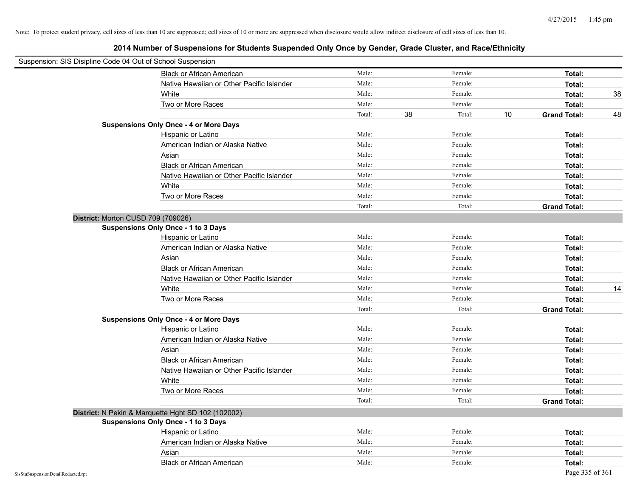| Suspension: SIS Disipline Code 04 Out of School Suspension |                                                    |        |    |         |    |                     |    |
|------------------------------------------------------------|----------------------------------------------------|--------|----|---------|----|---------------------|----|
|                                                            | <b>Black or African American</b>                   | Male:  |    | Female: |    | Total:              |    |
|                                                            | Native Hawaiian or Other Pacific Islander          | Male:  |    | Female: |    | Total:              |    |
|                                                            | White                                              | Male:  |    | Female: |    | Total:              | 38 |
|                                                            | Two or More Races                                  | Male:  |    | Female: |    | Total:              |    |
|                                                            |                                                    | Total: | 38 | Total:  | 10 | <b>Grand Total:</b> | 48 |
|                                                            | <b>Suspensions Only Once - 4 or More Days</b>      |        |    |         |    |                     |    |
|                                                            | Hispanic or Latino                                 | Male:  |    | Female: |    | Total:              |    |
|                                                            | American Indian or Alaska Native                   | Male:  |    | Female: |    | Total:              |    |
|                                                            | Asian                                              | Male:  |    | Female: |    | Total:              |    |
|                                                            | <b>Black or African American</b>                   | Male:  |    | Female: |    | Total:              |    |
|                                                            | Native Hawaiian or Other Pacific Islander          | Male:  |    | Female: |    | Total:              |    |
|                                                            | White                                              | Male:  |    | Female: |    | Total:              |    |
|                                                            | Two or More Races                                  | Male:  |    | Female: |    | Total:              |    |
|                                                            |                                                    | Total: |    | Total:  |    | <b>Grand Total:</b> |    |
|                                                            | District: Morton CUSD 709 (709026)                 |        |    |         |    |                     |    |
|                                                            | <b>Suspensions Only Once - 1 to 3 Days</b>         |        |    |         |    |                     |    |
|                                                            | Hispanic or Latino                                 | Male:  |    | Female: |    | Total:              |    |
|                                                            | American Indian or Alaska Native                   | Male:  |    | Female: |    | Total:              |    |
|                                                            | Asian                                              | Male:  |    | Female: |    | Total:              |    |
|                                                            | <b>Black or African American</b>                   | Male:  |    | Female: |    | Total:              |    |
|                                                            | Native Hawaiian or Other Pacific Islander          | Male:  |    | Female: |    | <b>Total:</b>       |    |
|                                                            | White                                              | Male:  |    | Female: |    | Total:              | 14 |
|                                                            | Two or More Races                                  | Male:  |    | Female: |    | Total:              |    |
|                                                            |                                                    | Total: |    | Total:  |    | <b>Grand Total:</b> |    |
|                                                            | <b>Suspensions Only Once - 4 or More Days</b>      |        |    |         |    |                     |    |
|                                                            | Hispanic or Latino                                 | Male:  |    | Female: |    | Total:              |    |
|                                                            | American Indian or Alaska Native                   | Male:  |    | Female: |    | Total:              |    |
|                                                            | Asian                                              | Male:  |    | Female: |    | Total:              |    |
|                                                            | <b>Black or African American</b>                   | Male:  |    | Female: |    | Total:              |    |
|                                                            | Native Hawaiian or Other Pacific Islander          | Male:  |    | Female: |    | Total:              |    |
|                                                            | White                                              | Male:  |    | Female: |    | Total:              |    |
|                                                            | Two or More Races                                  | Male:  |    | Female: |    | Total:              |    |
|                                                            |                                                    | Total: |    | Total:  |    | <b>Grand Total:</b> |    |
|                                                            | District: N Pekin & Marquette Hght SD 102 (102002) |        |    |         |    |                     |    |
|                                                            | <b>Suspensions Only Once - 1 to 3 Days</b>         |        |    |         |    |                     |    |
|                                                            | Hispanic or Latino                                 | Male:  |    | Female: |    | Total:              |    |
|                                                            | American Indian or Alaska Native                   | Male:  |    | Female: |    | Total:              |    |
|                                                            | Asian                                              | Male:  |    | Female: |    | Total:              |    |
|                                                            | <b>Black or African American</b>                   | Male:  |    | Female: |    | Total:              |    |
| SisStuSuspensionDetailRedacted.rpt                         |                                                    |        |    |         |    | Page 335 of 361     |    |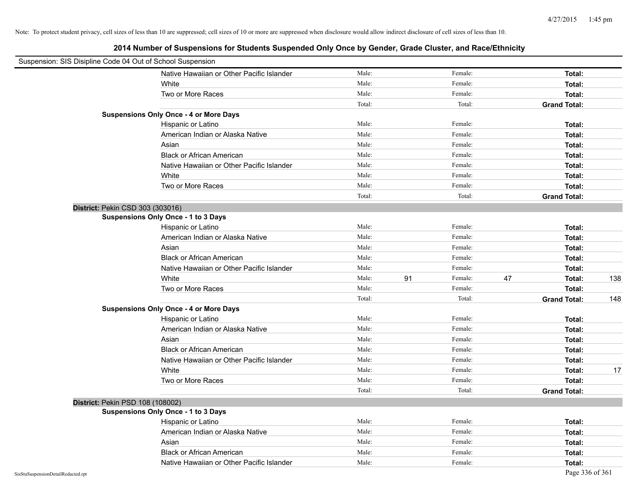|                                    | Suspension: SIS Disipline Code 04 Out of School Suspension |        |    |         |    |                     |     |
|------------------------------------|------------------------------------------------------------|--------|----|---------|----|---------------------|-----|
|                                    | Native Hawaiian or Other Pacific Islander                  | Male:  |    | Female: |    | Total:              |     |
|                                    | White                                                      | Male:  |    | Female: |    | Total:              |     |
|                                    | Two or More Races                                          | Male:  |    | Female: |    | Total:              |     |
|                                    |                                                            | Total: |    | Total:  |    | <b>Grand Total:</b> |     |
|                                    | <b>Suspensions Only Once - 4 or More Days</b>              |        |    |         |    |                     |     |
|                                    | Hispanic or Latino                                         | Male:  |    | Female: |    | Total:              |     |
|                                    | American Indian or Alaska Native                           | Male:  |    | Female: |    | Total:              |     |
|                                    | Asian                                                      | Male:  |    | Female: |    | Total:              |     |
|                                    | <b>Black or African American</b>                           | Male:  |    | Female: |    | Total:              |     |
|                                    | Native Hawaiian or Other Pacific Islander                  | Male:  |    | Female: |    | Total:              |     |
|                                    | White                                                      | Male:  |    | Female: |    | Total:              |     |
|                                    | Two or More Races                                          | Male:  |    | Female: |    | Total:              |     |
|                                    |                                                            | Total: |    | Total:  |    | <b>Grand Total:</b> |     |
|                                    | District: Pekin CSD 303 (303016)                           |        |    |         |    |                     |     |
|                                    | <b>Suspensions Only Once - 1 to 3 Days</b>                 |        |    |         |    |                     |     |
|                                    | Hispanic or Latino                                         | Male:  |    | Female: |    | Total:              |     |
|                                    | American Indian or Alaska Native                           | Male:  |    | Female: |    | Total:              |     |
|                                    | Asian                                                      | Male:  |    | Female: |    | Total:              |     |
|                                    | <b>Black or African American</b>                           | Male:  |    | Female: |    | Total:              |     |
|                                    | Native Hawaiian or Other Pacific Islander                  | Male:  |    | Female: |    | Total:              |     |
|                                    | White                                                      | Male:  | 91 | Female: | 47 | Total:              | 138 |
|                                    | Two or More Races                                          | Male:  |    | Female: |    | Total:              |     |
|                                    |                                                            | Total: |    | Total:  |    | <b>Grand Total:</b> | 148 |
|                                    | <b>Suspensions Only Once - 4 or More Days</b>              |        |    |         |    |                     |     |
|                                    | Hispanic or Latino                                         | Male:  |    | Female: |    | Total:              |     |
|                                    | American Indian or Alaska Native                           | Male:  |    | Female: |    | Total:              |     |
|                                    | Asian                                                      | Male:  |    | Female: |    | Total:              |     |
|                                    | <b>Black or African American</b>                           | Male:  |    | Female: |    | Total:              |     |
|                                    | Native Hawaiian or Other Pacific Islander                  | Male:  |    | Female: |    | Total:              |     |
|                                    | White                                                      | Male:  |    | Female: |    | Total:              | 17  |
|                                    | Two or More Races                                          | Male:  |    | Female: |    | Total:              |     |
|                                    |                                                            | Total: |    | Total:  |    | <b>Grand Total:</b> |     |
|                                    | District: Pekin PSD 108 (108002)                           |        |    |         |    |                     |     |
|                                    | <b>Suspensions Only Once - 1 to 3 Days</b>                 |        |    |         |    |                     |     |
|                                    | Hispanic or Latino                                         | Male:  |    | Female: |    | Total:              |     |
|                                    | American Indian or Alaska Native                           | Male:  |    | Female: |    | Total:              |     |
|                                    | Asian                                                      | Male:  |    | Female: |    | Total:              |     |
|                                    | <b>Black or African American</b>                           | Male:  |    | Female: |    | Total:              |     |
|                                    | Native Hawaiian or Other Pacific Islander                  | Male:  |    | Female: |    | Total:              |     |
| SisStuSuspensionDetailRedacted.rpt |                                                            |        |    |         |    | Page 336 of 361     |     |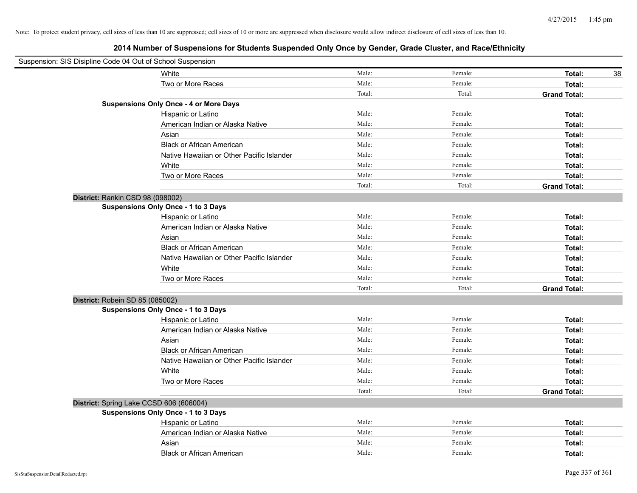| Suspension: SIS Disipline Code 04 Out of School Suspension |                                               |        |         |                     |
|------------------------------------------------------------|-----------------------------------------------|--------|---------|---------------------|
|                                                            | White                                         | Male:  | Female: | 38<br>Total:        |
|                                                            | Two or More Races                             | Male:  | Female: | Total:              |
|                                                            |                                               | Total: | Total:  | <b>Grand Total:</b> |
|                                                            | <b>Suspensions Only Once - 4 or More Days</b> |        |         |                     |
|                                                            | Hispanic or Latino                            | Male:  | Female: | Total:              |
|                                                            | American Indian or Alaska Native              | Male:  | Female: | Total:              |
|                                                            | Asian                                         | Male:  | Female: | Total:              |
|                                                            | <b>Black or African American</b>              | Male:  | Female: | Total:              |
|                                                            | Native Hawaiian or Other Pacific Islander     | Male:  | Female: | Total:              |
|                                                            | White                                         | Male:  | Female: | Total:              |
|                                                            | Two or More Races                             | Male:  | Female: | Total:              |
|                                                            |                                               | Total: | Total:  | <b>Grand Total:</b> |
| District: Rankin CSD 98 (098002)                           |                                               |        |         |                     |
|                                                            | Suspensions Only Once - 1 to 3 Days           |        |         |                     |
|                                                            | Hispanic or Latino                            | Male:  | Female: | Total:              |
|                                                            | American Indian or Alaska Native              | Male:  | Female: | Total:              |
|                                                            | Asian                                         | Male:  | Female: | Total:              |
|                                                            | <b>Black or African American</b>              | Male:  | Female: | Total:              |
|                                                            | Native Hawaiian or Other Pacific Islander     | Male:  | Female: | Total:              |
|                                                            | White                                         | Male:  | Female: | Total:              |
|                                                            | Two or More Races                             | Male:  | Female: | Total:              |
|                                                            |                                               | Total: | Total:  | <b>Grand Total:</b> |
| District: Robein SD 85 (085002)                            |                                               |        |         |                     |
|                                                            | Suspensions Only Once - 1 to 3 Days           |        |         |                     |
|                                                            | Hispanic or Latino                            | Male:  | Female: | Total:              |
|                                                            | American Indian or Alaska Native              | Male:  | Female: | Total:              |
|                                                            | Asian                                         | Male:  | Female: | Total:              |
|                                                            | <b>Black or African American</b>              | Male:  | Female: | Total:              |
|                                                            | Native Hawaiian or Other Pacific Islander     | Male:  | Female: | Total:              |
|                                                            | White                                         | Male:  | Female: | Total:              |
|                                                            | Two or More Races                             | Male:  | Female: | Total:              |
|                                                            |                                               | Total: | Total:  | <b>Grand Total:</b> |
|                                                            | District: Spring Lake CCSD 606 (606004)       |        |         |                     |
|                                                            | Suspensions Only Once - 1 to 3 Days           |        |         |                     |
|                                                            | Hispanic or Latino                            | Male:  | Female: | Total:              |
|                                                            | American Indian or Alaska Native              | Male:  | Female: | Total:              |
|                                                            | Asian                                         | Male:  | Female: | Total:              |
|                                                            | <b>Black or African American</b>              | Male:  | Female: | Total:              |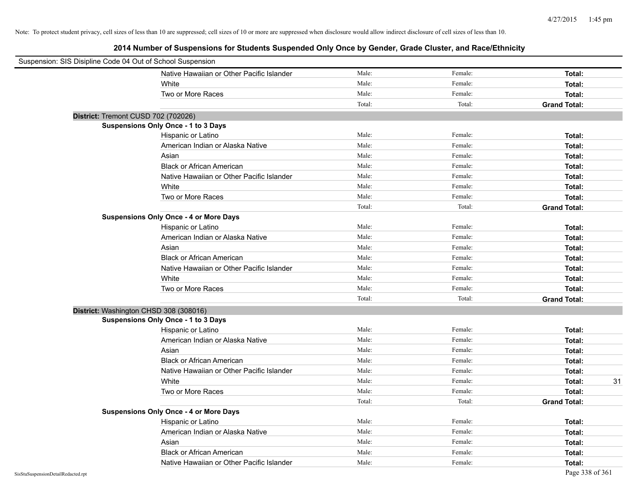| Suspension: SIS Disipline Code 04 Out of School Suspension |                                               |        |         |                     |
|------------------------------------------------------------|-----------------------------------------------|--------|---------|---------------------|
|                                                            | Native Hawaiian or Other Pacific Islander     | Male:  | Female: | Total:              |
|                                                            | White                                         | Male:  | Female: | Total:              |
|                                                            | Two or More Races                             | Male:  | Female: | Total:              |
|                                                            |                                               | Total: | Total:  | <b>Grand Total:</b> |
| District: Tremont CUSD 702 (702026)                        |                                               |        |         |                     |
|                                                            | <b>Suspensions Only Once - 1 to 3 Days</b>    |        |         |                     |
|                                                            | Hispanic or Latino                            | Male:  | Female: | Total:              |
|                                                            | American Indian or Alaska Native              | Male:  | Female: | Total:              |
|                                                            | Asian                                         | Male:  | Female: | Total:              |
|                                                            | <b>Black or African American</b>              | Male:  | Female: | Total:              |
|                                                            | Native Hawaiian or Other Pacific Islander     | Male:  | Female: | Total:              |
|                                                            | White                                         | Male:  | Female: | Total:              |
|                                                            | Two or More Races                             | Male:  | Female: | Total:              |
|                                                            |                                               | Total: | Total:  | <b>Grand Total:</b> |
|                                                            | <b>Suspensions Only Once - 4 or More Days</b> |        |         |                     |
|                                                            | Hispanic or Latino                            | Male:  | Female: | Total:              |
|                                                            | American Indian or Alaska Native              | Male:  | Female: | Total:              |
|                                                            | Asian                                         | Male:  | Female: | Total:              |
|                                                            | <b>Black or African American</b>              | Male:  | Female: | Total:              |
|                                                            | Native Hawaiian or Other Pacific Islander     | Male:  | Female: | Total:              |
|                                                            | White                                         | Male:  | Female: | Total:              |
|                                                            | Two or More Races                             | Male:  | Female: | Total:              |
|                                                            |                                               | Total: | Total:  | <b>Grand Total:</b> |
|                                                            | District: Washington CHSD 308 (308016)        |        |         |                     |
|                                                            | Suspensions Only Once - 1 to 3 Days           |        |         |                     |
|                                                            | Hispanic or Latino                            | Male:  | Female: | Total:              |
|                                                            | American Indian or Alaska Native              | Male:  | Female: | Total:              |
|                                                            | Asian                                         | Male:  | Female: | Total:              |
|                                                            | <b>Black or African American</b>              | Male:  | Female: | Total:              |
|                                                            | Native Hawaiian or Other Pacific Islander     | Male:  | Female: | Total:              |
|                                                            | White                                         | Male:  | Female: | Total:<br>31        |
|                                                            | Two or More Races                             | Male:  | Female: | Total:              |
|                                                            |                                               | Total: | Total:  | <b>Grand Total:</b> |
|                                                            | <b>Suspensions Only Once - 4 or More Days</b> |        |         |                     |
|                                                            | Hispanic or Latino                            | Male:  | Female: | Total:              |
|                                                            | American Indian or Alaska Native              | Male:  | Female: | Total:              |
|                                                            | Asian                                         | Male:  | Female: | Total:              |
|                                                            | <b>Black or African American</b>              | Male:  | Female: | Total:              |
|                                                            | Native Hawaiian or Other Pacific Islander     | Male:  | Female: | Total:              |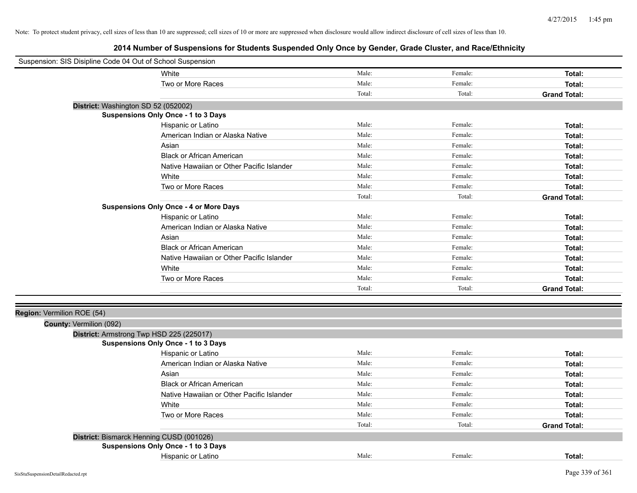| Suspension: SIS Disipline Code 04 Out of School Suspension |                                               |        |         |                     |
|------------------------------------------------------------|-----------------------------------------------|--------|---------|---------------------|
|                                                            | White                                         | Male:  | Female: | Total:              |
|                                                            | Two or More Races                             | Male:  | Female: | Total:              |
|                                                            |                                               | Total: | Total:  | <b>Grand Total:</b> |
| District: Washington SD 52 (052002)                        |                                               |        |         |                     |
|                                                            | <b>Suspensions Only Once - 1 to 3 Days</b>    |        |         |                     |
|                                                            | Hispanic or Latino                            | Male:  | Female: | Total:              |
|                                                            | American Indian or Alaska Native              | Male:  | Female: | Total:              |
|                                                            | Asian                                         | Male:  | Female: | Total:              |
|                                                            | <b>Black or African American</b>              | Male:  | Female: | Total:              |
|                                                            | Native Hawaiian or Other Pacific Islander     | Male:  | Female: | Total:              |
|                                                            | White                                         | Male:  | Female: | Total:              |
|                                                            | Two or More Races                             | Male:  | Female: | Total:              |
|                                                            |                                               | Total: | Total:  | <b>Grand Total:</b> |
|                                                            | <b>Suspensions Only Once - 4 or More Days</b> |        |         |                     |
|                                                            | Hispanic or Latino                            | Male:  | Female: | Total:              |
|                                                            | American Indian or Alaska Native              | Male:  | Female: | Total:              |
|                                                            | Asian                                         | Male:  | Female: | Total:              |
|                                                            | <b>Black or African American</b>              | Male:  | Female: | Total:              |
|                                                            | Native Hawaiian or Other Pacific Islander     | Male:  | Female: | Total:              |
|                                                            | White                                         | Male:  | Female: | Total:              |
|                                                            | Two or More Races                             | Male:  | Female: | Total:              |
|                                                            |                                               | Total: | Total:  | <b>Grand Total:</b> |
|                                                            |                                               |        |         |                     |
| Region: Vermilion ROE (54)                                 |                                               |        |         |                     |
| County: Vermilion (092)                                    |                                               |        |         |                     |
| District: Armstrong Twp HSD 225 (225017)                   |                                               |        |         |                     |
|                                                            | Suspensions Only Once - 1 to 3 Days           |        |         |                     |
|                                                            | Hispanic or Latino                            | Male:  | Female: | Total:              |
|                                                            | American Indian or Alaska Native              | Male:  | Female: | Total:              |
|                                                            | Asian                                         | Male:  | Female: | Total:              |
|                                                            | <b>Black or African American</b>              | Male:  | Female: | Total:              |
|                                                            | Native Hawaiian or Other Pacific Islander     | Male:  | Female: | Total:              |
|                                                            | White                                         | Male:  | Female: | Total:              |
|                                                            | Two or More Races                             | Male:  | Female: | Total:              |
|                                                            |                                               | Total: | Total:  | <b>Grand Total:</b> |
| District: Bismarck Henning CUSD (001026)                   |                                               |        |         |                     |
|                                                            | <b>Suspensions Only Once - 1 to 3 Days</b>    |        |         |                     |
|                                                            | Hispanic or Latino                            | Male:  | Female: | Total:              |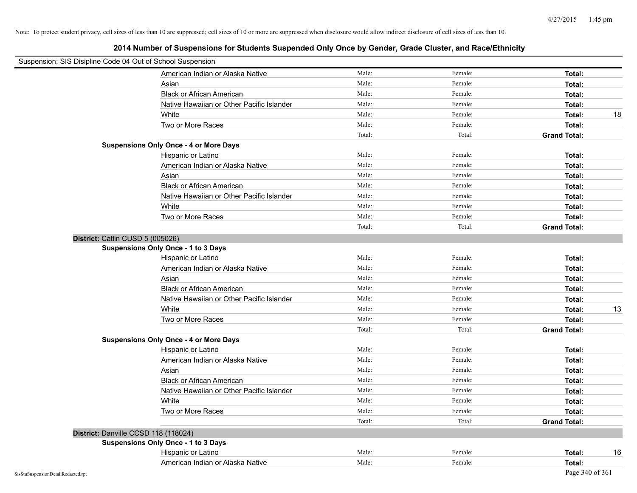| Suspension: SIS Disipline Code 04 Out of School Suspension |                                               |        |         |                     |
|------------------------------------------------------------|-----------------------------------------------|--------|---------|---------------------|
|                                                            | American Indian or Alaska Native              | Male:  | Female: | Total:              |
|                                                            | Asian                                         | Male:  | Female: | Total:              |
|                                                            | <b>Black or African American</b>              | Male:  | Female: | Total:              |
|                                                            | Native Hawaiian or Other Pacific Islander     | Male:  | Female: | Total:              |
|                                                            | White                                         | Male:  | Female: | 18<br>Total:        |
|                                                            | Two or More Races                             | Male:  | Female: | Total:              |
|                                                            |                                               | Total: | Total:  | <b>Grand Total:</b> |
|                                                            | <b>Suspensions Only Once - 4 or More Days</b> |        |         |                     |
|                                                            | Hispanic or Latino                            | Male:  | Female: | Total:              |
|                                                            | American Indian or Alaska Native              | Male:  | Female: | Total:              |
|                                                            | Asian                                         | Male:  | Female: | Total:              |
|                                                            | <b>Black or African American</b>              | Male:  | Female: | Total:              |
|                                                            | Native Hawaiian or Other Pacific Islander     | Male:  | Female: | Total:              |
|                                                            | White                                         | Male:  | Female: | Total:              |
|                                                            | Two or More Races                             | Male:  | Female: | Total:              |
|                                                            |                                               | Total: | Total:  | <b>Grand Total:</b> |
| District: Catlin CUSD 5 (005026)                           |                                               |        |         |                     |
|                                                            | <b>Suspensions Only Once - 1 to 3 Days</b>    |        |         |                     |
|                                                            | Hispanic or Latino                            | Male:  | Female: | Total:              |
|                                                            | American Indian or Alaska Native              | Male:  | Female: | Total:              |
|                                                            | Asian                                         | Male:  | Female: | Total:              |
|                                                            | <b>Black or African American</b>              | Male:  | Female: | Total:              |
|                                                            | Native Hawaiian or Other Pacific Islander     | Male:  | Female: | Total:              |
|                                                            | White                                         | Male:  | Female: | Total:<br>13        |
|                                                            | Two or More Races                             | Male:  | Female: | Total:              |
|                                                            |                                               | Total: | Total:  | <b>Grand Total:</b> |
|                                                            | <b>Suspensions Only Once - 4 or More Days</b> |        |         |                     |
|                                                            | Hispanic or Latino                            | Male:  | Female: | Total:              |
|                                                            | American Indian or Alaska Native              | Male:  | Female: | Total:              |
|                                                            | Asian                                         | Male:  | Female: | Total:              |
|                                                            | <b>Black or African American</b>              | Male:  | Female: | Total:              |
|                                                            | Native Hawaiian or Other Pacific Islander     | Male:  | Female: | Total:              |
|                                                            | White                                         | Male:  | Female: | Total:              |
|                                                            | Two or More Races                             | Male:  | Female: | Total:              |
|                                                            |                                               | Total: | Total:  | <b>Grand Total:</b> |
|                                                            | District: Danville CCSD 118 (118024)          |        |         |                     |
|                                                            | <b>Suspensions Only Once - 1 to 3 Days</b>    |        |         |                     |
|                                                            | Hispanic or Latino                            | Male:  | Female: | Total:<br>16        |
|                                                            | American Indian or Alaska Native              | Male:  | Female: | Total:              |
| SisStuSuspensionDetailRedacted.rpt                         |                                               |        |         | Page 340 of 361     |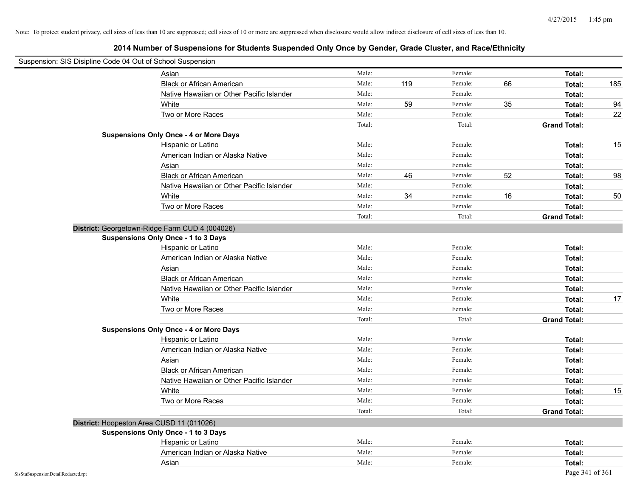| Suspension: SIS Disipline Code 04 Out of School Suspension |                                                |        |     |         |    |                     |     |
|------------------------------------------------------------|------------------------------------------------|--------|-----|---------|----|---------------------|-----|
|                                                            | Asian                                          | Male:  |     | Female: |    | Total:              |     |
|                                                            | <b>Black or African American</b>               | Male:  | 119 | Female: | 66 | Total:              | 185 |
|                                                            | Native Hawaiian or Other Pacific Islander      | Male:  |     | Female: |    | Total:              |     |
|                                                            | White                                          | Male:  | 59  | Female: | 35 | Total:              | 94  |
|                                                            | Two or More Races                              | Male:  |     | Female: |    | Total:              | 22  |
|                                                            |                                                | Total: |     | Total:  |    | <b>Grand Total:</b> |     |
|                                                            | <b>Suspensions Only Once - 4 or More Days</b>  |        |     |         |    |                     |     |
|                                                            | Hispanic or Latino                             | Male:  |     | Female: |    | Total:              | 15  |
|                                                            | American Indian or Alaska Native               | Male:  |     | Female: |    | Total:              |     |
|                                                            | Asian                                          | Male:  |     | Female: |    | Total:              |     |
|                                                            | <b>Black or African American</b>               | Male:  | 46  | Female: | 52 | Total:              | 98  |
|                                                            | Native Hawaiian or Other Pacific Islander      | Male:  |     | Female: |    | Total:              |     |
|                                                            | White                                          | Male:  | 34  | Female: | 16 | Total:              | 50  |
|                                                            | Two or More Races                              | Male:  |     | Female: |    | Total:              |     |
|                                                            |                                                | Total: |     | Total:  |    | <b>Grand Total:</b> |     |
|                                                            | District: Georgetown-Ridge Farm CUD 4 (004026) |        |     |         |    |                     |     |
|                                                            | Suspensions Only Once - 1 to 3 Days            |        |     |         |    |                     |     |
|                                                            | Hispanic or Latino                             | Male:  |     | Female: |    | Total:              |     |
|                                                            | American Indian or Alaska Native               | Male:  |     | Female: |    | Total:              |     |
|                                                            | Asian                                          | Male:  |     | Female: |    | Total:              |     |
|                                                            | <b>Black or African American</b>               | Male:  |     | Female: |    | Total:              |     |
|                                                            | Native Hawaiian or Other Pacific Islander      | Male:  |     | Female: |    | Total:              |     |
|                                                            | White                                          | Male:  |     | Female: |    | Total:              | 17  |
|                                                            | Two or More Races                              | Male:  |     | Female: |    | Total:              |     |
|                                                            |                                                | Total: |     | Total:  |    | <b>Grand Total:</b> |     |
|                                                            | <b>Suspensions Only Once - 4 or More Days</b>  |        |     |         |    |                     |     |
|                                                            | Hispanic or Latino                             | Male:  |     | Female: |    | Total:              |     |
|                                                            | American Indian or Alaska Native               | Male:  |     | Female: |    | Total:              |     |
|                                                            | Asian                                          | Male:  |     | Female: |    | Total:              |     |
|                                                            | <b>Black or African American</b>               | Male:  |     | Female: |    | Total:              |     |
|                                                            | Native Hawaiian or Other Pacific Islander      | Male:  |     | Female: |    | Total:              |     |
|                                                            | White                                          | Male:  |     | Female: |    | Total:              | 15  |
|                                                            | Two or More Races                              | Male:  |     | Female: |    | Total:              |     |
|                                                            |                                                | Total: |     | Total:  |    | <b>Grand Total:</b> |     |
| District: Hoopeston Area CUSD 11 (011026)                  |                                                |        |     |         |    |                     |     |
|                                                            | Suspensions Only Once - 1 to 3 Days            |        |     |         |    |                     |     |
|                                                            | Hispanic or Latino                             | Male:  |     | Female: |    | Total:              |     |
|                                                            | American Indian or Alaska Native               | Male:  |     | Female: |    | Total:              |     |
|                                                            | Asian                                          | Male:  |     | Female: |    | Total:              |     |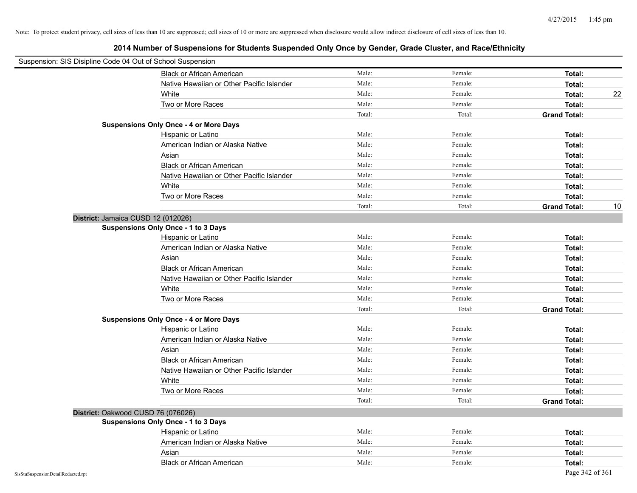| Suspension: SIS Disipline Code 04 Out of School Suspension |                                               |        |         |                           |
|------------------------------------------------------------|-----------------------------------------------|--------|---------|---------------------------|
|                                                            | <b>Black or African American</b>              | Male:  | Female: | Total:                    |
|                                                            | Native Hawaiian or Other Pacific Islander     | Male:  | Female: | Total:                    |
|                                                            | White                                         | Male:  | Female: | 22<br>Total:              |
|                                                            | Two or More Races                             | Male:  | Female: | Total:                    |
|                                                            |                                               | Total: | Total:  | <b>Grand Total:</b>       |
|                                                            | <b>Suspensions Only Once - 4 or More Days</b> |        |         |                           |
|                                                            | Hispanic or Latino                            | Male:  | Female: | Total:                    |
|                                                            | American Indian or Alaska Native              | Male:  | Female: | Total:                    |
|                                                            | Asian                                         | Male:  | Female: | Total:                    |
|                                                            | <b>Black or African American</b>              | Male:  | Female: | Total:                    |
|                                                            | Native Hawaiian or Other Pacific Islander     | Male:  | Female: | Total:                    |
|                                                            | White                                         | Male:  | Female: | Total:                    |
|                                                            | Two or More Races                             | Male:  | Female: | Total:                    |
|                                                            |                                               | Total: | Total:  | <b>Grand Total:</b><br>10 |
| District: Jamaica CUSD 12 (012026)                         |                                               |        |         |                           |
|                                                            | <b>Suspensions Only Once - 1 to 3 Days</b>    |        |         |                           |
|                                                            | Hispanic or Latino                            | Male:  | Female: | Total:                    |
|                                                            | American Indian or Alaska Native              | Male:  | Female: | Total:                    |
|                                                            | Asian                                         | Male:  | Female: | Total:                    |
|                                                            | <b>Black or African American</b>              | Male:  | Female: | Total:                    |
|                                                            | Native Hawaiian or Other Pacific Islander     | Male:  | Female: | Total:                    |
|                                                            | White                                         | Male:  | Female: | Total:                    |
|                                                            | Two or More Races                             | Male:  | Female: | Total:                    |
|                                                            |                                               | Total: | Total:  | <b>Grand Total:</b>       |
|                                                            | <b>Suspensions Only Once - 4 or More Days</b> |        |         |                           |
|                                                            | Hispanic or Latino                            | Male:  | Female: | Total:                    |
|                                                            | American Indian or Alaska Native              | Male:  | Female: | Total:                    |
|                                                            | Asian                                         | Male:  | Female: | Total:                    |
|                                                            | <b>Black or African American</b>              | Male:  | Female: | Total:                    |
|                                                            | Native Hawaiian or Other Pacific Islander     | Male:  | Female: | Total:                    |
|                                                            | White                                         | Male:  | Female: | Total:                    |
|                                                            | Two or More Races                             | Male:  | Female: | Total:                    |
|                                                            |                                               | Total: | Total:  | <b>Grand Total:</b>       |
| District: Oakwood CUSD 76 (076026)                         |                                               |        |         |                           |
|                                                            | Suspensions Only Once - 1 to 3 Days           |        |         |                           |
|                                                            | Hispanic or Latino                            | Male:  | Female: | Total:                    |
|                                                            | American Indian or Alaska Native              | Male:  | Female: | Total:                    |
|                                                            | Asian                                         | Male:  | Female: | Total:                    |
|                                                            | <b>Black or African American</b>              | Male:  | Female: | Total:                    |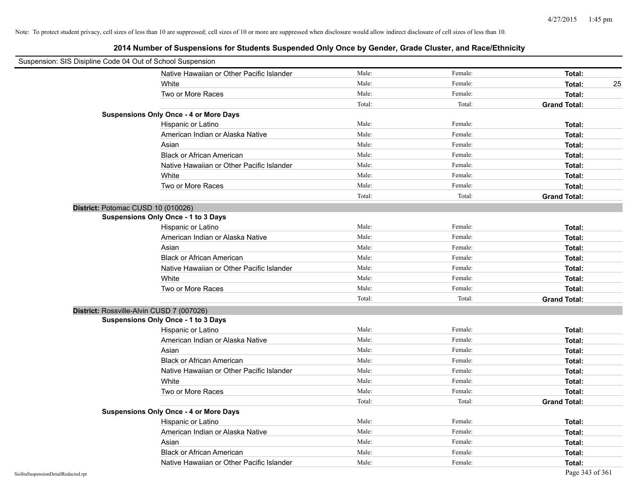| Suspension: SIS Disipline Code 04 Out of School Suspension |        |         |                     |
|------------------------------------------------------------|--------|---------|---------------------|
| Native Hawaiian or Other Pacific Islander                  | Male:  | Female: | Total:              |
| White                                                      | Male:  | Female: | Total:<br>25        |
| Two or More Races                                          | Male:  | Female: | Total:              |
|                                                            | Total: | Total:  | <b>Grand Total:</b> |
| <b>Suspensions Only Once - 4 or More Days</b>              |        |         |                     |
| Hispanic or Latino                                         | Male:  | Female: | Total:              |
| American Indian or Alaska Native                           | Male:  | Female: | Total:              |
| Asian                                                      | Male:  | Female: | Total:              |
| <b>Black or African American</b>                           | Male:  | Female: | Total:              |
| Native Hawaiian or Other Pacific Islander                  | Male:  | Female: | Total:              |
| White                                                      | Male:  | Female: | Total:              |
| Two or More Races                                          | Male:  | Female: | Total:              |
|                                                            | Total: | Total:  | <b>Grand Total:</b> |
| District: Potomac CUSD 10 (010026)                         |        |         |                     |
| Suspensions Only Once - 1 to 3 Days                        |        |         |                     |
| Hispanic or Latino                                         | Male:  | Female: | Total:              |
| American Indian or Alaska Native                           | Male:  | Female: | Total:              |
| Asian                                                      | Male:  | Female: | Total:              |
| <b>Black or African American</b>                           | Male:  | Female: | Total:              |
| Native Hawaiian or Other Pacific Islander                  | Male:  | Female: | Total:              |
| White                                                      | Male:  | Female: | Total:              |
| Two or More Races                                          | Male:  | Female: | Total:              |
|                                                            | Total: | Total:  | <b>Grand Total:</b> |
| District: Rossville-Alvin CUSD 7 (007026)                  |        |         |                     |
| Suspensions Only Once - 1 to 3 Days                        |        |         |                     |
| Hispanic or Latino                                         | Male:  | Female: | Total:              |
| American Indian or Alaska Native                           | Male:  | Female: | Total:              |
| Asian                                                      | Male:  | Female: | Total:              |
| <b>Black or African American</b>                           | Male:  | Female: | Total:              |
| Native Hawaiian or Other Pacific Islander                  | Male:  | Female: | Total:              |
| White                                                      | Male:  | Female: | Total:              |
| Two or More Races                                          | Male:  | Female: | Total:              |
|                                                            | Total: | Total:  | <b>Grand Total:</b> |
| <b>Suspensions Only Once - 4 or More Days</b>              |        |         |                     |
| Hispanic or Latino                                         | Male:  | Female: | Total:              |
| American Indian or Alaska Native                           | Male:  | Female: | Total:              |
| Asian                                                      | Male:  | Female: | Total:              |
| <b>Black or African American</b>                           | Male:  | Female: | Total:              |
| Native Hawaiian or Other Pacific Islander                  | Male:  | Female: | Total:              |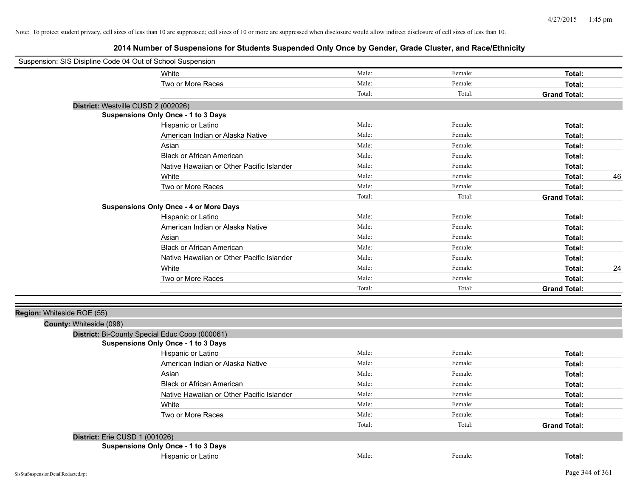| Suspension: SIS Disipline Code 04 Out of School Suspension |                                                |        |         |                     |    |
|------------------------------------------------------------|------------------------------------------------|--------|---------|---------------------|----|
|                                                            | White                                          | Male:  | Female: | Total:              |    |
|                                                            | Two or More Races                              | Male:  | Female: | Total:              |    |
|                                                            |                                                | Total: | Total:  | <b>Grand Total:</b> |    |
| District: Westville CUSD 2 (002026)                        |                                                |        |         |                     |    |
|                                                            | <b>Suspensions Only Once - 1 to 3 Days</b>     |        |         |                     |    |
|                                                            | Hispanic or Latino                             | Male:  | Female: | Total:              |    |
|                                                            | American Indian or Alaska Native               | Male:  | Female: | Total:              |    |
|                                                            | Asian                                          | Male:  | Female: | Total:              |    |
|                                                            | <b>Black or African American</b>               | Male:  | Female: | Total:              |    |
|                                                            | Native Hawaiian or Other Pacific Islander      | Male:  | Female: | Total:              |    |
|                                                            | White                                          | Male:  | Female: | Total:              | 46 |
|                                                            | Two or More Races                              | Male:  | Female: | Total:              |    |
|                                                            |                                                | Total: | Total:  | <b>Grand Total:</b> |    |
|                                                            | <b>Suspensions Only Once - 4 or More Days</b>  |        |         |                     |    |
|                                                            | Hispanic or Latino                             | Male:  | Female: | Total:              |    |
|                                                            | American Indian or Alaska Native               | Male:  | Female: | Total:              |    |
|                                                            | Asian                                          | Male:  | Female: | Total:              |    |
|                                                            | <b>Black or African American</b>               | Male:  | Female: | Total:              |    |
|                                                            | Native Hawaiian or Other Pacific Islander      | Male:  | Female: | Total:              |    |
|                                                            | White                                          | Male:  | Female: | Total:              | 24 |
|                                                            | Two or More Races                              | Male:  | Female: | Total:              |    |
|                                                            |                                                | Total: | Total:  | <b>Grand Total:</b> |    |
|                                                            |                                                |        |         |                     |    |
| Region: Whiteside ROE (55)                                 |                                                |        |         |                     |    |
| County: Whiteside (098)                                    |                                                |        |         |                     |    |
|                                                            | District: Bi-County Special Educ Coop (000061) |        |         |                     |    |
|                                                            | <b>Suspensions Only Once - 1 to 3 Days</b>     |        |         |                     |    |
|                                                            | Hispanic or Latino                             | Male:  | Female: | Total:              |    |
|                                                            | American Indian or Alaska Native               | Male:  | Female: | Total:              |    |
|                                                            | Asian                                          | Male:  | Female: | Total:              |    |
|                                                            | <b>Black or African American</b>               | Male:  | Female: | Total:              |    |
|                                                            | Native Hawaiian or Other Pacific Islander      | Male:  | Female: | Total:              |    |
|                                                            | White                                          | Male:  | Female: | Total:              |    |
|                                                            | Two or More Races                              | Male:  | Female: | Total:              |    |
|                                                            |                                                | Total: | Total:  | <b>Grand Total:</b> |    |
| District: Erie CUSD 1 (001026)                             |                                                |        |         |                     |    |
|                                                            | Suspensions Only Once - 1 to 3 Days            |        |         |                     |    |
|                                                            | Hispanic or Latino                             | Male:  | Female: | Total:              |    |
|                                                            |                                                |        |         |                     |    |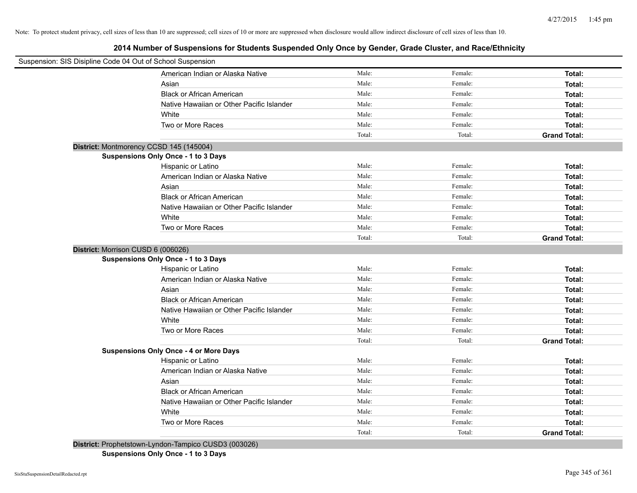**2014 Number of Suspensions for Students Suspended Only Once by Gender, Grade Cluster, and Race/Ethnicity**

| Suspension: SIS Disipline Code 04 Out of School Suspension |        |         |                     |
|------------------------------------------------------------|--------|---------|---------------------|
| American Indian or Alaska Native                           | Male:  | Female: | Total:              |
| Asian                                                      | Male:  | Female: | Total:              |
| <b>Black or African American</b>                           | Male:  | Female: | Total:              |
| Native Hawaiian or Other Pacific Islander                  | Male:  | Female: | Total:              |
| White                                                      | Male:  | Female: | Total:              |
| Two or More Races                                          | Male:  | Female: | Total:              |
|                                                            | Total: | Total:  | <b>Grand Total:</b> |
| District: Montmorency CCSD 145 (145004)                    |        |         |                     |
| <b>Suspensions Only Once - 1 to 3 Days</b>                 |        |         |                     |
| Hispanic or Latino                                         | Male:  | Female: | Total:              |
| American Indian or Alaska Native                           | Male:  | Female: | Total:              |
| Asian                                                      | Male:  | Female: | Total:              |
| <b>Black or African American</b>                           | Male:  | Female: | Total:              |
| Native Hawaiian or Other Pacific Islander                  | Male:  | Female: | Total:              |
| White                                                      | Male:  | Female: | Total:              |
| Two or More Races                                          | Male:  | Female: | Total:              |
|                                                            | Total: | Total:  | <b>Grand Total:</b> |
| District: Morrison CUSD 6 (006026)                         |        |         |                     |
| <b>Suspensions Only Once - 1 to 3 Days</b>                 |        |         |                     |
| Hispanic or Latino                                         | Male:  | Female: | Total:              |
| American Indian or Alaska Native                           | Male:  | Female: | Total:              |
| Asian                                                      | Male:  | Female: | Total:              |
| <b>Black or African American</b>                           | Male:  | Female: | Total:              |
| Native Hawaiian or Other Pacific Islander                  | Male:  | Female: | Total:              |
| White                                                      | Male:  | Female: | Total:              |
| Two or More Races                                          | Male:  | Female: | Total:              |
|                                                            | Total: | Total:  | <b>Grand Total:</b> |
| <b>Suspensions Only Once - 4 or More Days</b>              |        |         |                     |
| Hispanic or Latino                                         | Male:  | Female: | Total:              |
| American Indian or Alaska Native                           | Male:  | Female: | Total:              |
| Asian                                                      | Male:  | Female: | Total:              |
| <b>Black or African American</b>                           | Male:  | Female: | Total:              |
| Native Hawaiian or Other Pacific Islander                  | Male:  | Female: | Total:              |
| White                                                      | Male:  | Female: | Total:              |
| Two or More Races                                          | Male:  | Female: | Total:              |
|                                                            | Total: | Total:  | <b>Grand Total:</b> |
| District: Prophetstown-Lyndon-Tampico CUSD3 (003026)       |        |         |                     |

**Suspensions Only Once - 1 to 3 Days**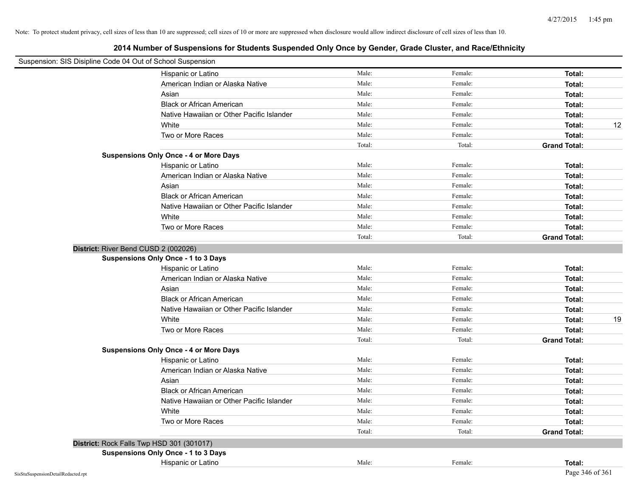| Suspension: SIS Disipline Code 04 Out of School Suspension |                                               |        |         |                     |
|------------------------------------------------------------|-----------------------------------------------|--------|---------|---------------------|
|                                                            | Hispanic or Latino                            | Male:  | Female: | Total:              |
|                                                            | American Indian or Alaska Native              | Male:  | Female: | Total:              |
|                                                            | Asian                                         | Male:  | Female: | Total:              |
|                                                            | <b>Black or African American</b>              | Male:  | Female: | Total:              |
|                                                            | Native Hawaiian or Other Pacific Islander     | Male:  | Female: | Total:              |
|                                                            | White                                         | Male:  | Female: | 12<br>Total:        |
|                                                            | Two or More Races                             | Male:  | Female: | Total:              |
|                                                            |                                               | Total: | Total:  | <b>Grand Total:</b> |
|                                                            | <b>Suspensions Only Once - 4 or More Days</b> |        |         |                     |
|                                                            | Hispanic or Latino                            | Male:  | Female: | Total:              |
|                                                            | American Indian or Alaska Native              | Male:  | Female: | Total:              |
|                                                            | Asian                                         | Male:  | Female: | Total:              |
|                                                            | <b>Black or African American</b>              | Male:  | Female: | Total:              |
|                                                            | Native Hawaiian or Other Pacific Islander     | Male:  | Female: | Total:              |
|                                                            | White                                         | Male:  | Female: | Total:              |
|                                                            | Two or More Races                             | Male:  | Female: | Total:              |
|                                                            |                                               | Total: | Total:  | <b>Grand Total:</b> |
|                                                            | District: River Bend CUSD 2 (002026)          |        |         |                     |
|                                                            | <b>Suspensions Only Once - 1 to 3 Days</b>    |        |         |                     |
|                                                            | Hispanic or Latino                            | Male:  | Female: | Total:              |
|                                                            | American Indian or Alaska Native              | Male:  | Female: | Total:              |
|                                                            | Asian                                         | Male:  | Female: | Total:              |
|                                                            | <b>Black or African American</b>              | Male:  | Female: | Total:              |
|                                                            | Native Hawaiian or Other Pacific Islander     | Male:  | Female: | Total:              |
|                                                            | White                                         | Male:  | Female: | 19<br>Total:        |
|                                                            | Two or More Races                             | Male:  | Female: | Total:              |
|                                                            |                                               | Total: | Total:  | <b>Grand Total:</b> |
|                                                            | <b>Suspensions Only Once - 4 or More Days</b> |        |         |                     |
|                                                            | Hispanic or Latino                            | Male:  | Female: | Total:              |
|                                                            | American Indian or Alaska Native              | Male:  | Female: | Total:              |
|                                                            | Asian                                         | Male:  | Female: | Total:              |
|                                                            | <b>Black or African American</b>              | Male:  | Female: | Total:              |
|                                                            | Native Hawaiian or Other Pacific Islander     | Male:  | Female: | Total:              |
|                                                            | White                                         | Male:  | Female: | Total:              |
|                                                            | Two or More Races                             | Male:  | Female: | Total:              |
|                                                            |                                               | Total: | Total:  | <b>Grand Total:</b> |
|                                                            | District: Rock Falls Twp HSD 301 (301017)     |        |         |                     |
|                                                            | <b>Suspensions Only Once - 1 to 3 Days</b>    |        |         |                     |
|                                                            | Hispanic or Latino                            | Male:  | Female: | Total:              |
| SisStuSuspensionDetailRedacted.rpt                         |                                               |        |         | Page 346 of 361     |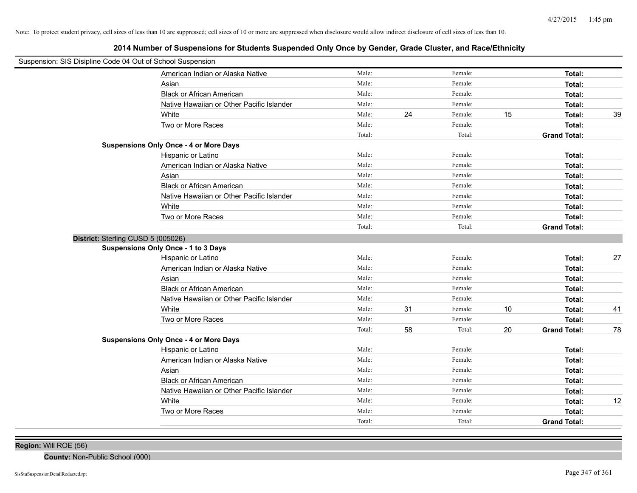**2014 Number of Suspensions for Students Suspended Only Once by Gender, Grade Cluster, and Race/Ethnicity**

| Suspension: SIS Disipline Code 04 Out of School Suspension |                                               |        |    |         |    |                     |    |
|------------------------------------------------------------|-----------------------------------------------|--------|----|---------|----|---------------------|----|
|                                                            | American Indian or Alaska Native              | Male:  |    | Female: |    | Total:              |    |
|                                                            | Asian                                         | Male:  |    | Female: |    | Total:              |    |
|                                                            | <b>Black or African American</b>              | Male:  |    | Female: |    | Total:              |    |
|                                                            | Native Hawaiian or Other Pacific Islander     | Male:  |    | Female: |    | Total:              |    |
|                                                            | White                                         | Male:  | 24 | Female: | 15 | Total:              | 39 |
|                                                            | Two or More Races                             | Male:  |    | Female: |    | Total:              |    |
|                                                            |                                               | Total: |    | Total:  |    | <b>Grand Total:</b> |    |
|                                                            | <b>Suspensions Only Once - 4 or More Days</b> |        |    |         |    |                     |    |
|                                                            | Hispanic or Latino                            | Male:  |    | Female: |    | Total:              |    |
|                                                            | American Indian or Alaska Native              | Male:  |    | Female: |    | Total:              |    |
|                                                            | Asian                                         | Male:  |    | Female: |    | Total:              |    |
|                                                            | <b>Black or African American</b>              | Male:  |    | Female: |    | Total:              |    |
|                                                            | Native Hawaiian or Other Pacific Islander     | Male:  |    | Female: |    | Total:              |    |
|                                                            | White                                         | Male:  |    | Female: |    | Total:              |    |
|                                                            | Two or More Races                             | Male:  |    | Female: |    | Total:              |    |
|                                                            |                                               | Total: |    | Total:  |    | <b>Grand Total:</b> |    |
| District: Sterling CUSD 5 (005026)                         |                                               |        |    |         |    |                     |    |
|                                                            | Suspensions Only Once - 1 to 3 Days           |        |    |         |    |                     |    |
|                                                            | Hispanic or Latino                            | Male:  |    | Female: |    | Total:              | 27 |
|                                                            | American Indian or Alaska Native              | Male:  |    | Female: |    | Total:              |    |
|                                                            | Asian                                         | Male:  |    | Female: |    | Total:              |    |
|                                                            | <b>Black or African American</b>              | Male:  |    | Female: |    | Total:              |    |
|                                                            | Native Hawaiian or Other Pacific Islander     | Male:  |    | Female: |    | Total:              |    |
|                                                            | White                                         | Male:  | 31 | Female: | 10 | Total:              | 41 |
|                                                            | Two or More Races                             | Male:  |    | Female: |    | Total:              |    |
|                                                            |                                               | Total: | 58 | Total:  | 20 | <b>Grand Total:</b> | 78 |
|                                                            | <b>Suspensions Only Once - 4 or More Days</b> |        |    |         |    |                     |    |
|                                                            | Hispanic or Latino                            | Male:  |    | Female: |    | Total:              |    |
|                                                            | American Indian or Alaska Native              | Male:  |    | Female: |    | Total:              |    |
|                                                            | Asian                                         | Male:  |    | Female: |    | Total:              |    |
|                                                            | <b>Black or African American</b>              | Male:  |    | Female: |    | Total:              |    |
|                                                            | Native Hawaiian or Other Pacific Islander     | Male:  |    | Female: |    | Total:              |    |
|                                                            | White                                         | Male:  |    | Female: |    | Total:              | 12 |
|                                                            | Two or More Races                             | Male:  |    | Female: |    | Total:              |    |
|                                                            |                                               | Total: |    | Total:  |    | <b>Grand Total:</b> |    |

**Region:** Will ROE (56)

**County:** Non-Public School (000)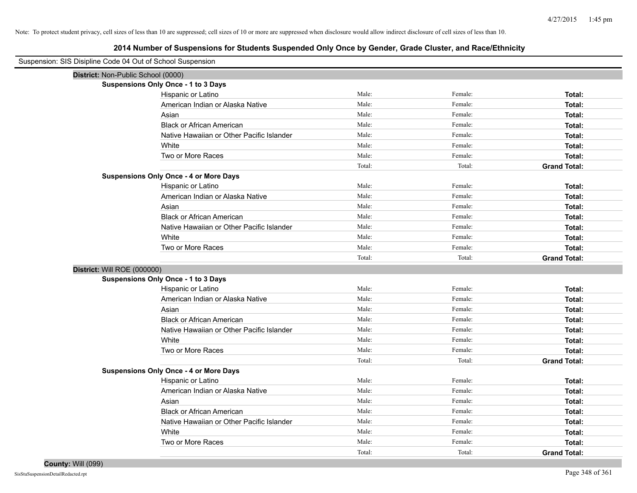| Suspension: SIS Disipline Code 04 Out of School Suspension |                                               |        |         |                     |
|------------------------------------------------------------|-----------------------------------------------|--------|---------|---------------------|
| District: Non-Public School (0000)                         |                                               |        |         |                     |
|                                                            | <b>Suspensions Only Once - 1 to 3 Days</b>    |        |         |                     |
|                                                            | Hispanic or Latino                            | Male:  | Female: | Total:              |
|                                                            | American Indian or Alaska Native              | Male:  | Female: | Total:              |
|                                                            | Asian                                         | Male:  | Female: | Total:              |
|                                                            | <b>Black or African American</b>              | Male:  | Female: | Total:              |
|                                                            | Native Hawaiian or Other Pacific Islander     | Male:  | Female: | Total:              |
|                                                            | White                                         | Male:  | Female: | Total:              |
|                                                            | Two or More Races                             | Male:  | Female: | Total:              |
|                                                            |                                               | Total: | Total:  | <b>Grand Total:</b> |
|                                                            | <b>Suspensions Only Once - 4 or More Days</b> |        |         |                     |
|                                                            | Hispanic or Latino                            | Male:  | Female: | Total:              |
|                                                            | American Indian or Alaska Native              | Male:  | Female: | Total:              |
|                                                            | Asian                                         | Male:  | Female: | Total:              |
|                                                            | <b>Black or African American</b>              | Male:  | Female: | Total:              |
|                                                            | Native Hawaiian or Other Pacific Islander     | Male:  | Female: | Total:              |
|                                                            | White                                         | Male:  | Female: | Total:              |
|                                                            | Two or More Races                             | Male:  | Female: | Total:              |
|                                                            |                                               | Total: | Total:  | <b>Grand Total:</b> |
| District: Will ROE (000000)                                |                                               |        |         |                     |
|                                                            | <b>Suspensions Only Once - 1 to 3 Days</b>    |        |         |                     |
|                                                            | Hispanic or Latino                            | Male:  | Female: | Total:              |
|                                                            | American Indian or Alaska Native              | Male:  | Female: | Total:              |
|                                                            | Asian                                         | Male:  | Female: | Total:              |
|                                                            | <b>Black or African American</b>              | Male:  | Female: | Total:              |
|                                                            | Native Hawaiian or Other Pacific Islander     | Male:  | Female: | Total:              |
|                                                            | White                                         | Male:  | Female: | Total:              |
|                                                            | Two or More Races                             | Male:  | Female: | Total:              |
|                                                            |                                               | Total: | Total:  | <b>Grand Total:</b> |
|                                                            | <b>Suspensions Only Once - 4 or More Days</b> |        |         |                     |
|                                                            | Hispanic or Latino                            | Male:  | Female: | Total:              |
|                                                            | American Indian or Alaska Native              | Male:  | Female: | Total:              |
|                                                            | Asian                                         | Male:  | Female: | Total:              |
|                                                            | <b>Black or African American</b>              | Male:  | Female: | Total:              |
|                                                            | Native Hawaiian or Other Pacific Islander     | Male:  | Female: | Total:              |
|                                                            | White                                         | Male:  | Female: | Total:              |
|                                                            | Two or More Races                             | Male:  | Female: | Total:              |
|                                                            |                                               | Total: | Total:  | <b>Grand Total:</b> |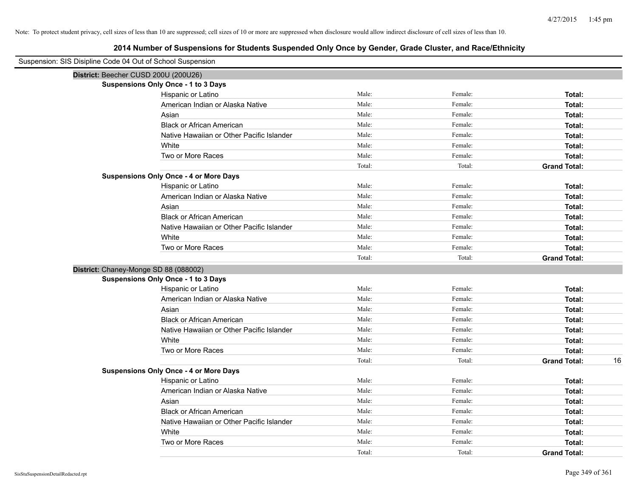| Suspension: SIS Disipline Code 04 Out of School Suspension |        |         |                     |    |
|------------------------------------------------------------|--------|---------|---------------------|----|
| District: Beecher CUSD 200U (200U26)                       |        |         |                     |    |
| <b>Suspensions Only Once - 1 to 3 Days</b>                 |        |         |                     |    |
| Hispanic or Latino                                         | Male:  | Female: | Total:              |    |
| American Indian or Alaska Native                           | Male:  | Female: | Total:              |    |
| Asian                                                      | Male:  | Female: | Total:              |    |
| <b>Black or African American</b>                           | Male:  | Female: | Total:              |    |
| Native Hawaiian or Other Pacific Islander                  | Male:  | Female: | Total:              |    |
| White                                                      | Male:  | Female: | Total:              |    |
| Two or More Races                                          | Male:  | Female: | Total:              |    |
|                                                            | Total: | Total:  | <b>Grand Total:</b> |    |
| <b>Suspensions Only Once - 4 or More Days</b>              |        |         |                     |    |
| Hispanic or Latino                                         | Male:  | Female: | Total:              |    |
| American Indian or Alaska Native                           | Male:  | Female: | Total:              |    |
| Asian                                                      | Male:  | Female: | Total:              |    |
| <b>Black or African American</b>                           | Male:  | Female: | Total:              |    |
| Native Hawaiian or Other Pacific Islander                  | Male:  | Female: | Total:              |    |
| White                                                      | Male:  | Female: | Total:              |    |
| Two or More Races                                          | Male:  | Female: | Total:              |    |
|                                                            | Total: | Total:  | <b>Grand Total:</b> |    |
| District: Chaney-Monge SD 88 (088002)                      |        |         |                     |    |
| <b>Suspensions Only Once - 1 to 3 Days</b>                 |        |         |                     |    |
| Hispanic or Latino                                         | Male:  | Female: | Total:              |    |
| American Indian or Alaska Native                           | Male:  | Female: | Total:              |    |
| Asian                                                      | Male:  | Female: | Total:              |    |
| <b>Black or African American</b>                           | Male:  | Female: | Total:              |    |
| Native Hawaiian or Other Pacific Islander                  | Male:  | Female: | Total:              |    |
| White                                                      | Male:  | Female: | Total:              |    |
| Two or More Races                                          | Male:  | Female: | Total:              |    |
|                                                            | Total: | Total:  | <b>Grand Total:</b> | 16 |
| <b>Suspensions Only Once - 4 or More Days</b>              |        |         |                     |    |
| Hispanic or Latino                                         | Male:  | Female: | Total:              |    |
| American Indian or Alaska Native                           | Male:  | Female: | Total:              |    |
| Asian                                                      | Male:  | Female: | Total:              |    |
| <b>Black or African American</b>                           | Male:  | Female: | Total:              |    |
| Native Hawaiian or Other Pacific Islander                  | Male:  | Female: | Total:              |    |
| White                                                      | Male:  | Female: | Total:              |    |
| Two or More Races                                          | Male:  | Female: | Total:              |    |
|                                                            | Total: | Total:  | <b>Grand Total:</b> |    |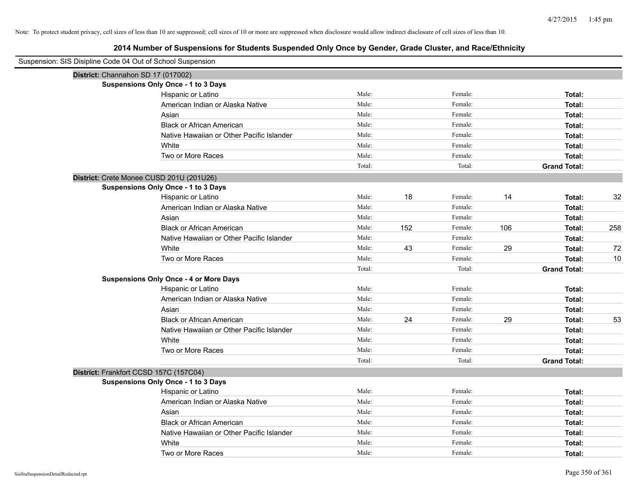| Suspension: SIS Disipline Code 04 Out of School Suspension |                                               |        |     |         |     |                     |     |
|------------------------------------------------------------|-----------------------------------------------|--------|-----|---------|-----|---------------------|-----|
| District: Channahon SD 17 (017002)                         |                                               |        |     |         |     |                     |     |
|                                                            | <b>Suspensions Only Once - 1 to 3 Days</b>    |        |     |         |     |                     |     |
|                                                            | Hispanic or Latino                            | Male:  |     | Female: |     | Total:              |     |
|                                                            | American Indian or Alaska Native              | Male:  |     | Female: |     | Total:              |     |
|                                                            | Asian                                         | Male:  |     | Female: |     | Total:              |     |
|                                                            | <b>Black or African American</b>              | Male:  |     | Female: |     | Total:              |     |
|                                                            | Native Hawaiian or Other Pacific Islander     | Male:  |     | Female: |     | Total:              |     |
|                                                            | White                                         | Male:  |     | Female: |     | Total:              |     |
|                                                            | Two or More Races                             | Male:  |     | Female: |     | Total:              |     |
|                                                            |                                               | Total: |     | Total:  |     | <b>Grand Total:</b> |     |
| District: Crete Monee CUSD 201U (201U26)                   |                                               |        |     |         |     |                     |     |
|                                                            | <b>Suspensions Only Once - 1 to 3 Days</b>    |        |     |         |     |                     |     |
|                                                            | Hispanic or Latino                            | Male:  | 18  | Female: | 14  | Total:              | 32  |
|                                                            | American Indian or Alaska Native              | Male:  |     | Female: |     | Total:              |     |
|                                                            | Asian                                         | Male:  |     | Female: |     | Total:              |     |
|                                                            | <b>Black or African American</b>              | Male:  | 152 | Female: | 106 | Total:              | 258 |
|                                                            | Native Hawaiian or Other Pacific Islander     | Male:  |     | Female: |     | Total:              |     |
|                                                            | White                                         | Male:  | 43  | Female: | 29  | Total:              | 72  |
|                                                            | Two or More Races                             | Male:  |     | Female: |     | Total:              | 10  |
|                                                            |                                               | Total: |     | Total:  |     | <b>Grand Total:</b> |     |
|                                                            | <b>Suspensions Only Once - 4 or More Days</b> |        |     |         |     |                     |     |
|                                                            | Hispanic or Latino                            | Male:  |     | Female: |     | Total:              |     |
|                                                            | American Indian or Alaska Native              | Male:  |     | Female: |     | Total:              |     |
|                                                            | Asian                                         | Male:  |     | Female: |     | Total:              |     |
|                                                            | <b>Black or African American</b>              | Male:  | 24  | Female: | 29  | Total:              | 53  |
|                                                            | Native Hawaiian or Other Pacific Islander     | Male:  |     | Female: |     | Total:              |     |
|                                                            | White                                         | Male:  |     | Female: |     | Total:              |     |
|                                                            | Two or More Races                             | Male:  |     | Female: |     | Total:              |     |
|                                                            |                                               | Total: |     | Total:  |     | <b>Grand Total:</b> |     |
| District: Frankfort CCSD 157C (157C04)                     |                                               |        |     |         |     |                     |     |
|                                                            | <b>Suspensions Only Once - 1 to 3 Days</b>    |        |     |         |     |                     |     |
|                                                            | Hispanic or Latino                            | Male:  |     | Female: |     | Total:              |     |
|                                                            | American Indian or Alaska Native              | Male:  |     | Female: |     | Total:              |     |
|                                                            | Asian                                         | Male:  |     | Female: |     | Total:              |     |
|                                                            | <b>Black or African American</b>              | Male:  |     | Female: |     | Total:              |     |
|                                                            | Native Hawaiian or Other Pacific Islander     | Male:  |     | Female: |     | Total:              |     |
|                                                            | White                                         | Male:  |     | Female: |     | Total:              |     |
|                                                            | Two or More Races                             | Male:  |     | Female: |     | Total:              |     |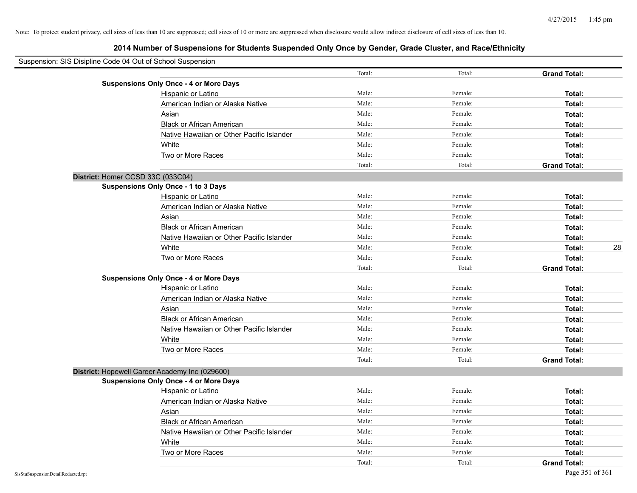| Suspension: SIS Disipline Code 04 Out of School Suspension |                                                |        |         |                     |
|------------------------------------------------------------|------------------------------------------------|--------|---------|---------------------|
|                                                            |                                                | Total: | Total:  | <b>Grand Total:</b> |
|                                                            | <b>Suspensions Only Once - 4 or More Days</b>  |        |         |                     |
|                                                            | Hispanic or Latino                             | Male:  | Female: | Total:              |
|                                                            | American Indian or Alaska Native               | Male:  | Female: | Total:              |
|                                                            | Asian                                          | Male:  | Female: | Total:              |
|                                                            | <b>Black or African American</b>               | Male:  | Female: | Total:              |
|                                                            | Native Hawaiian or Other Pacific Islander      | Male:  | Female: | Total:              |
|                                                            | White                                          | Male:  | Female: | Total:              |
|                                                            | Two or More Races                              | Male:  | Female: | Total:              |
|                                                            |                                                | Total: | Total:  | <b>Grand Total:</b> |
| District: Homer CCSD 33C (033C04)                          |                                                |        |         |                     |
|                                                            | Suspensions Only Once - 1 to 3 Days            |        |         |                     |
|                                                            | Hispanic or Latino                             | Male:  | Female: | Total:              |
|                                                            | American Indian or Alaska Native               | Male:  | Female: | Total:              |
|                                                            | Asian                                          | Male:  | Female: | Total:              |
|                                                            | <b>Black or African American</b>               | Male:  | Female: | Total:              |
|                                                            | Native Hawaiian or Other Pacific Islander      | Male:  | Female: | Total:              |
|                                                            | White                                          | Male:  | Female: | 28<br>Total:        |
|                                                            | Two or More Races                              | Male:  | Female: | Total:              |
|                                                            |                                                | Total: | Total:  | <b>Grand Total:</b> |
|                                                            | <b>Suspensions Only Once - 4 or More Days</b>  |        |         |                     |
|                                                            | Hispanic or Latino                             | Male:  | Female: | Total:              |
|                                                            | American Indian or Alaska Native               | Male:  | Female: | Total:              |
|                                                            | Asian                                          | Male:  | Female: | Total:              |
|                                                            | <b>Black or African American</b>               | Male:  | Female: | Total:              |
|                                                            | Native Hawaiian or Other Pacific Islander      | Male:  | Female: | Total:              |
|                                                            | White                                          | Male:  | Female: | Total:              |
|                                                            | Two or More Races                              | Male:  | Female: | Total:              |
|                                                            |                                                | Total: | Total:  | <b>Grand Total:</b> |
|                                                            | District: Hopewell Career Academy Inc (029600) |        |         |                     |
|                                                            | <b>Suspensions Only Once - 4 or More Days</b>  |        |         |                     |
|                                                            | Hispanic or Latino                             | Male:  | Female: | Total:              |
|                                                            | American Indian or Alaska Native               | Male:  | Female: | Total:              |
|                                                            | Asian                                          | Male:  | Female: | Total:              |
|                                                            | <b>Black or African American</b>               | Male:  | Female: | Total:              |
|                                                            | Native Hawaiian or Other Pacific Islander      | Male:  | Female: | Total:              |
|                                                            | White                                          | Male:  | Female: | Total:              |
|                                                            | Two or More Races                              | Male:  | Female: | Total:              |
|                                                            |                                                | Total: | Total:  | <b>Grand Total:</b> |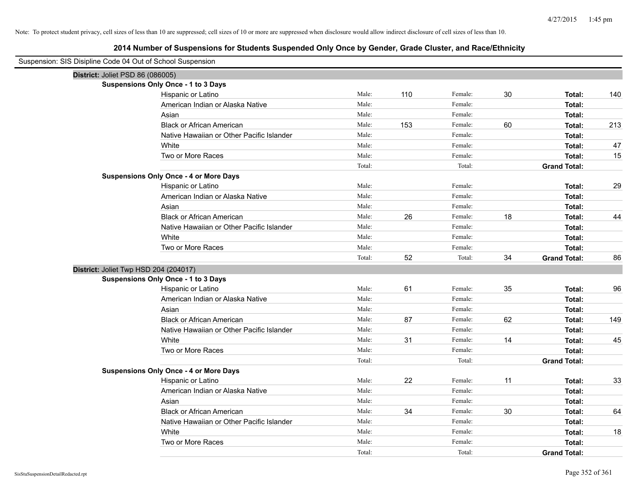**2014 Number of Suspensions for Students Suspended Only Once by Gender, Grade Cluster, and Race/Ethnicity**

| Suspension: SIS Disipline Code 04 Out of School Suspension |        |     |         |    |                     |     |
|------------------------------------------------------------|--------|-----|---------|----|---------------------|-----|
| District: Joliet PSD 86 (086005)                           |        |     |         |    |                     |     |
| <b>Suspensions Only Once - 1 to 3 Days</b>                 |        |     |         |    |                     |     |
| Hispanic or Latino                                         | Male:  | 110 | Female: | 30 | Total:              | 140 |
| American Indian or Alaska Native                           | Male:  |     | Female: |    | Total:              |     |
| Asian                                                      | Male:  |     | Female: |    | Total:              |     |
| <b>Black or African American</b>                           | Male:  | 153 | Female: | 60 | Total:              | 213 |
| Native Hawaiian or Other Pacific Islander                  | Male:  |     | Female: |    | Total:              |     |
| White                                                      | Male:  |     | Female: |    | Total:              | 47  |
| Two or More Races                                          | Male:  |     | Female: |    | Total:              | 15  |
|                                                            | Total: |     | Total:  |    | <b>Grand Total:</b> |     |
| <b>Suspensions Only Once - 4 or More Days</b>              |        |     |         |    |                     |     |
| Hispanic or Latino                                         | Male:  |     | Female: |    | Total:              | 29  |
| American Indian or Alaska Native                           | Male:  |     | Female: |    | Total:              |     |
| Asian                                                      | Male:  |     | Female: |    | Total:              |     |
| <b>Black or African American</b>                           | Male:  | 26  | Female: | 18 | Total:              | 44  |
| Native Hawaiian or Other Pacific Islander                  | Male:  |     | Female: |    | Total:              |     |
| White                                                      | Male:  |     | Female: |    | Total:              |     |
| Two or More Races                                          | Male:  |     | Female: |    | Total:              |     |
|                                                            | Total: | 52  | Total:  | 34 | <b>Grand Total:</b> | 86  |
| District: Joliet Twp HSD 204 (204017)                      |        |     |         |    |                     |     |
| <b>Suspensions Only Once - 1 to 3 Days</b>                 |        |     |         |    |                     |     |
| Hispanic or Latino                                         | Male:  | 61  | Female: | 35 | Total:              | 96  |
| American Indian or Alaska Native                           | Male:  |     | Female: |    | Total:              |     |
| Asian                                                      | Male:  |     | Female: |    | Total:              |     |
| <b>Black or African American</b>                           | Male:  | 87  | Female: | 62 | Total:              | 149 |
| Native Hawaiian or Other Pacific Islander                  | Male:  |     | Female: |    | Total:              |     |
| White                                                      | Male:  | 31  | Female: | 14 | Total:              | 45  |
| Two or More Races                                          | Male:  |     | Female: |    | Total:              |     |
|                                                            | Total: |     | Total:  |    | <b>Grand Total:</b> |     |
| <b>Suspensions Only Once - 4 or More Days</b>              |        |     |         |    |                     |     |
| Hispanic or Latino                                         | Male:  | 22  | Female: | 11 | Total:              | 33  |
| American Indian or Alaska Native                           | Male:  |     | Female: |    | Total:              |     |
| Asian                                                      | Male:  |     | Female: |    | Total:              |     |
| <b>Black or African American</b>                           | Male:  | 34  | Female: | 30 | Total:              | 64  |
| Native Hawaiian or Other Pacific Islander                  | Male:  |     | Female: |    | Total:              |     |
| White                                                      | Male:  |     | Female: |    | Total:              | 18  |
| Two or More Races                                          | Male:  |     | Female: |    | Total:              |     |
|                                                            | Total: |     | Total:  |    | <b>Grand Total:</b> |     |

 $\overline{\phantom{0}}$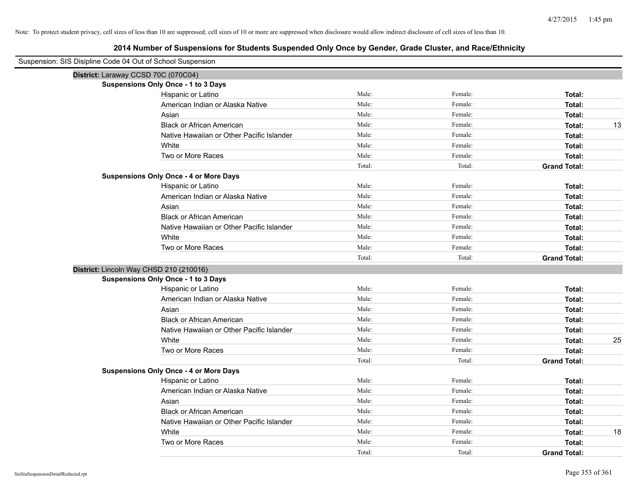| Suspension: SIS Disipline Code 04 Out of School Suspension |                                               |        |         |                     |
|------------------------------------------------------------|-----------------------------------------------|--------|---------|---------------------|
|                                                            | District: Laraway CCSD 70C (070C04)           |        |         |                     |
|                                                            | <b>Suspensions Only Once - 1 to 3 Days</b>    |        |         |                     |
|                                                            | Hispanic or Latino                            | Male:  | Female: | Total:              |
|                                                            | American Indian or Alaska Native              | Male:  | Female: | Total:              |
|                                                            | Asian                                         | Male:  | Female: | Total:              |
|                                                            | <b>Black or African American</b>              | Male:  | Female: | 13<br>Total:        |
|                                                            | Native Hawaiian or Other Pacific Islander     | Male:  | Female: | Total:              |
|                                                            | White                                         | Male:  | Female: | Total:              |
|                                                            | Two or More Races                             | Male:  | Female: | Total:              |
|                                                            |                                               | Total: | Total:  | <b>Grand Total:</b> |
|                                                            | <b>Suspensions Only Once - 4 or More Days</b> |        |         |                     |
|                                                            | Hispanic or Latino                            | Male:  | Female: | Total:              |
|                                                            | American Indian or Alaska Native              | Male:  | Female: | Total:              |
|                                                            | Asian                                         | Male:  | Female: | Total:              |
|                                                            | <b>Black or African American</b>              | Male:  | Female: | Total:              |
|                                                            | Native Hawaiian or Other Pacific Islander     | Male:  | Female: | Total:              |
|                                                            | White                                         | Male:  | Female: | Total:              |
|                                                            | Two or More Races                             | Male:  | Female: | Total:              |
|                                                            |                                               | Total: | Total:  | <b>Grand Total:</b> |
|                                                            | District: Lincoln Way CHSD 210 (210016)       |        |         |                     |
|                                                            | <b>Suspensions Only Once - 1 to 3 Days</b>    |        |         |                     |
|                                                            | Hispanic or Latino                            | Male:  | Female: | Total:              |
|                                                            | American Indian or Alaska Native              | Male:  | Female: | Total:              |
|                                                            | Asian                                         | Male:  | Female: | Total:              |
|                                                            | <b>Black or African American</b>              | Male:  | Female: | Total:              |
|                                                            | Native Hawaiian or Other Pacific Islander     | Male:  | Female: | Total:              |
|                                                            | White                                         | Male:  | Female: | 25<br>Total:        |
|                                                            | Two or More Races                             | Male:  | Female: | Total:              |
|                                                            |                                               | Total: | Total:  | <b>Grand Total:</b> |
|                                                            | <b>Suspensions Only Once - 4 or More Days</b> |        |         |                     |
|                                                            | Hispanic or Latino                            | Male:  | Female: | Total:              |
|                                                            | American Indian or Alaska Native              | Male:  | Female: | Total:              |
|                                                            | Asian                                         | Male:  | Female: | Total:              |
|                                                            | <b>Black or African American</b>              | Male:  | Female: | Total:              |
|                                                            | Native Hawaiian or Other Pacific Islander     | Male:  | Female: | Total:              |
|                                                            | White                                         | Male:  | Female: | 18<br>Total:        |
|                                                            | Two or More Races                             | Male:  | Female: | Total:              |
|                                                            |                                               | Total: | Total:  | <b>Grand Total:</b> |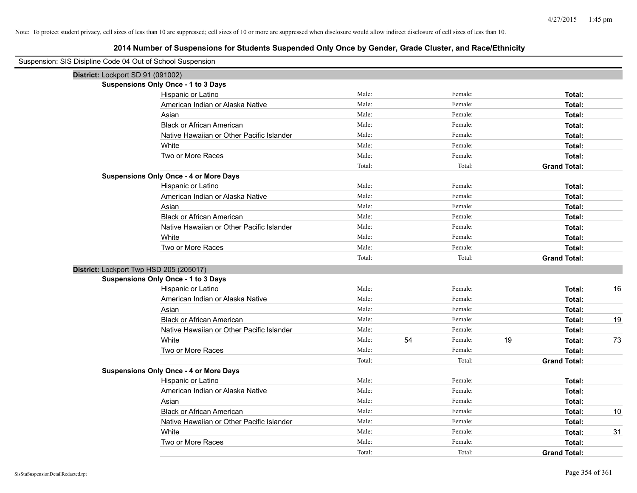| Suspension: SIS Disipline Code 04 Out of School Suspension |                                               |        |    |         |    |                     |    |
|------------------------------------------------------------|-----------------------------------------------|--------|----|---------|----|---------------------|----|
| District: Lockport SD 91 (091002)                          |                                               |        |    |         |    |                     |    |
|                                                            | <b>Suspensions Only Once - 1 to 3 Days</b>    |        |    |         |    |                     |    |
|                                                            | Hispanic or Latino                            | Male:  |    | Female: |    | Total:              |    |
|                                                            | American Indian or Alaska Native              | Male:  |    | Female: |    | Total:              |    |
|                                                            | Asian                                         | Male:  |    | Female: |    | Total:              |    |
|                                                            | <b>Black or African American</b>              | Male:  |    | Female: |    | Total:              |    |
|                                                            | Native Hawaiian or Other Pacific Islander     | Male:  |    | Female: |    | Total:              |    |
|                                                            | White                                         | Male:  |    | Female: |    | Total:              |    |
|                                                            | Two or More Races                             | Male:  |    | Female: |    | Total:              |    |
|                                                            |                                               | Total: |    | Total:  |    | <b>Grand Total:</b> |    |
|                                                            | <b>Suspensions Only Once - 4 or More Days</b> |        |    |         |    |                     |    |
|                                                            | Hispanic or Latino                            | Male:  |    | Female: |    | Total:              |    |
|                                                            | American Indian or Alaska Native              | Male:  |    | Female: |    | Total:              |    |
|                                                            | Asian                                         | Male:  |    | Female: |    | Total:              |    |
|                                                            | <b>Black or African American</b>              | Male:  |    | Female: |    | Total:              |    |
|                                                            | Native Hawaiian or Other Pacific Islander     | Male:  |    | Female: |    | Total:              |    |
|                                                            | White                                         | Male:  |    | Female: |    | Total:              |    |
|                                                            | Two or More Races                             | Male:  |    | Female: |    | Total:              |    |
|                                                            |                                               | Total: |    | Total:  |    | <b>Grand Total:</b> |    |
|                                                            | District: Lockport Twp HSD 205 (205017)       |        |    |         |    |                     |    |
|                                                            | <b>Suspensions Only Once - 1 to 3 Days</b>    |        |    |         |    |                     |    |
|                                                            | Hispanic or Latino                            | Male:  |    | Female: |    | Total:              | 16 |
|                                                            | American Indian or Alaska Native              | Male:  |    | Female: |    | Total:              |    |
|                                                            | Asian                                         | Male:  |    | Female: |    | Total:              |    |
|                                                            | <b>Black or African American</b>              | Male:  |    | Female: |    | Total:              | 19 |
|                                                            | Native Hawaiian or Other Pacific Islander     | Male:  |    | Female: |    | Total:              |    |
|                                                            | White                                         | Male:  | 54 | Female: | 19 | Total:              | 73 |
|                                                            | Two or More Races                             | Male:  |    | Female: |    | Total:              |    |
|                                                            |                                               | Total: |    | Total:  |    | <b>Grand Total:</b> |    |
|                                                            | <b>Suspensions Only Once - 4 or More Days</b> |        |    |         |    |                     |    |
|                                                            | Hispanic or Latino                            | Male:  |    | Female: |    | Total:              |    |
|                                                            | American Indian or Alaska Native              | Male:  |    | Female: |    | Total:              |    |
|                                                            | Asian                                         | Male:  |    | Female: |    | Total:              |    |
|                                                            | <b>Black or African American</b>              | Male:  |    | Female: |    | Total:              | 10 |
|                                                            | Native Hawaiian or Other Pacific Islander     | Male:  |    | Female: |    | Total:              |    |
|                                                            | White                                         | Male:  |    | Female: |    | Total:              | 31 |
|                                                            | Two or More Races                             | Male:  |    | Female: |    | Total:              |    |
|                                                            |                                               | Total: |    | Total:  |    | <b>Grand Total:</b> |    |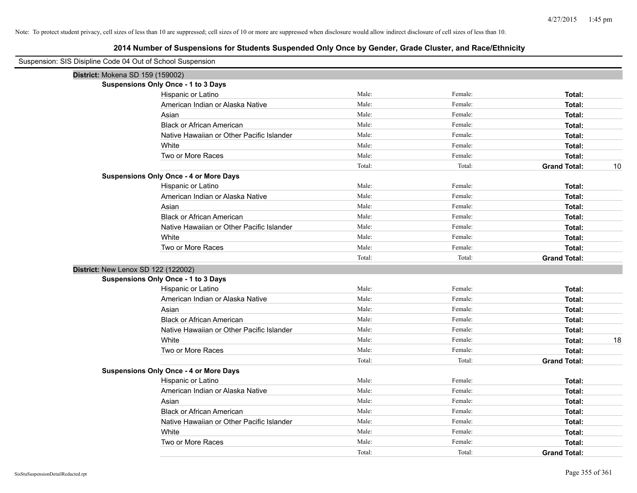| Suspension: SIS Disipline Code 04 Out of School Suspension |        |         |                           |
|------------------------------------------------------------|--------|---------|---------------------------|
| District: Mokena SD 159 (159002)                           |        |         |                           |
| <b>Suspensions Only Once - 1 to 3 Days</b>                 |        |         |                           |
| Hispanic or Latino                                         | Male:  | Female: | Total:                    |
| American Indian or Alaska Native                           | Male:  | Female: | Total:                    |
| Asian                                                      | Male:  | Female: | Total:                    |
| <b>Black or African American</b>                           | Male:  | Female: | Total:                    |
| Native Hawaiian or Other Pacific Islander                  | Male:  | Female: | Total:                    |
| White                                                      | Male:  | Female: | Total:                    |
| Two or More Races                                          | Male:  | Female: | Total:                    |
|                                                            | Total: | Total:  | 10<br><b>Grand Total:</b> |
| <b>Suspensions Only Once - 4 or More Days</b>              |        |         |                           |
| Hispanic or Latino                                         | Male:  | Female: | Total:                    |
| American Indian or Alaska Native                           | Male:  | Female: | Total:                    |
| Asian                                                      | Male:  | Female: | Total:                    |
| <b>Black or African American</b>                           | Male:  | Female: | Total:                    |
| Native Hawaiian or Other Pacific Islander                  | Male:  | Female: | Total:                    |
| White                                                      | Male:  | Female: | Total:                    |
| Two or More Races                                          | Male:  | Female: | Total:                    |
|                                                            | Total: | Total:  | <b>Grand Total:</b>       |
| District: New Lenox SD 122 (122002)                        |        |         |                           |
| <b>Suspensions Only Once - 1 to 3 Days</b>                 |        |         |                           |
| Hispanic or Latino                                         | Male:  | Female: | Total:                    |
| American Indian or Alaska Native                           | Male:  | Female: | Total:                    |
| Asian                                                      | Male:  | Female: | Total:                    |
| <b>Black or African American</b>                           | Male:  | Female: | Total:                    |
| Native Hawaiian or Other Pacific Islander                  | Male:  | Female: | Total:                    |
| White                                                      | Male:  | Female: | 18<br>Total:              |
| Two or More Races                                          | Male:  | Female: | Total:                    |
|                                                            | Total: | Total:  | <b>Grand Total:</b>       |
| <b>Suspensions Only Once - 4 or More Days</b>              |        |         |                           |
| Hispanic or Latino                                         | Male:  | Female: | Total:                    |
| American Indian or Alaska Native                           | Male:  | Female: | Total:                    |
| Asian                                                      | Male:  | Female: | Total:                    |
| <b>Black or African American</b>                           | Male:  | Female: | Total:                    |
| Native Hawaiian or Other Pacific Islander                  | Male:  | Female: | Total:                    |
| White                                                      | Male:  | Female: | Total:                    |
| Two or More Races                                          | Male:  | Female: | Total:                    |
|                                                            | Total: | Total:  | <b>Grand Total:</b>       |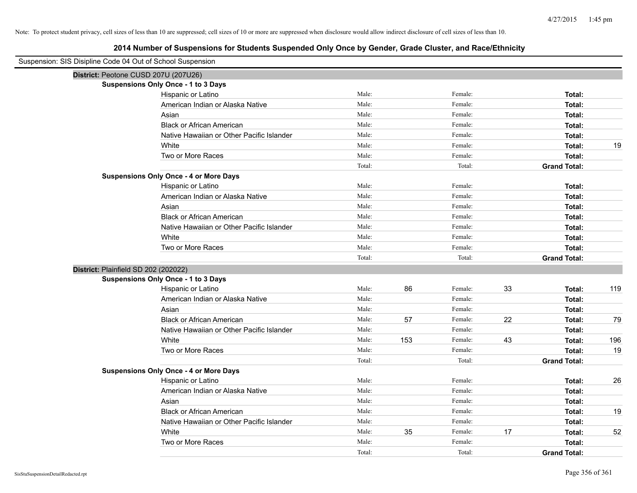| Suspension: SIS Disipline Code 04 Out of School Suspension |        |     |         |    |                     |     |
|------------------------------------------------------------|--------|-----|---------|----|---------------------|-----|
| District: Peotone CUSD 207U (207U26)                       |        |     |         |    |                     |     |
| <b>Suspensions Only Once - 1 to 3 Days</b>                 |        |     |         |    |                     |     |
| Hispanic or Latino                                         | Male:  |     | Female: |    | Total:              |     |
| American Indian or Alaska Native                           | Male:  |     | Female: |    | Total:              |     |
| Asian                                                      | Male:  |     | Female: |    | Total:              |     |
| <b>Black or African American</b>                           | Male:  |     | Female: |    | Total:              |     |
| Native Hawaiian or Other Pacific Islander                  | Male:  |     | Female: |    | Total:              |     |
| White                                                      | Male:  |     | Female: |    | Total:              | 19  |
| Two or More Races                                          | Male:  |     | Female: |    | Total:              |     |
|                                                            | Total: |     | Total:  |    | <b>Grand Total:</b> |     |
| <b>Suspensions Only Once - 4 or More Days</b>              |        |     |         |    |                     |     |
| Hispanic or Latino                                         | Male:  |     | Female: |    | Total:              |     |
| American Indian or Alaska Native                           | Male:  |     | Female: |    | Total:              |     |
| Asian                                                      | Male:  |     | Female: |    | Total:              |     |
| <b>Black or African American</b>                           | Male:  |     | Female: |    | Total:              |     |
| Native Hawaiian or Other Pacific Islander                  | Male:  |     | Female: |    | Total:              |     |
| White                                                      | Male:  |     | Female: |    | Total:              |     |
| Two or More Races                                          | Male:  |     | Female: |    | Total:              |     |
|                                                            | Total: |     | Total:  |    | <b>Grand Total:</b> |     |
| District: Plainfield SD 202 (202022)                       |        |     |         |    |                     |     |
| <b>Suspensions Only Once - 1 to 3 Days</b>                 |        |     |         |    |                     |     |
| Hispanic or Latino                                         | Male:  | 86  | Female: | 33 | Total:              | 119 |
| American Indian or Alaska Native                           | Male:  |     | Female: |    | Total:              |     |
| Asian                                                      | Male:  |     | Female: |    | Total:              |     |
| <b>Black or African American</b>                           | Male:  | 57  | Female: | 22 | Total:              | 79  |
| Native Hawaiian or Other Pacific Islander                  | Male:  |     | Female: |    | Total:              |     |
| White                                                      | Male:  | 153 | Female: | 43 | Total:              | 196 |
| Two or More Races                                          | Male:  |     | Female: |    | Total:              | 19  |
|                                                            | Total: |     | Total:  |    | <b>Grand Total:</b> |     |
| <b>Suspensions Only Once - 4 or More Days</b>              |        |     |         |    |                     |     |
| Hispanic or Latino                                         | Male:  |     | Female: |    | Total:              | 26  |
| American Indian or Alaska Native                           | Male:  |     | Female: |    | Total:              |     |
| Asian                                                      | Male:  |     | Female: |    | Total:              |     |
| <b>Black or African American</b>                           | Male:  |     | Female: |    | Total:              | 19  |
| Native Hawaiian or Other Pacific Islander                  | Male:  |     | Female: |    | Total:              |     |
| White                                                      | Male:  | 35  | Female: | 17 | Total:              | 52  |
| Two or More Races                                          | Male:  |     | Female: |    | Total:              |     |
|                                                            | Total: |     | Total:  |    | <b>Grand Total:</b> |     |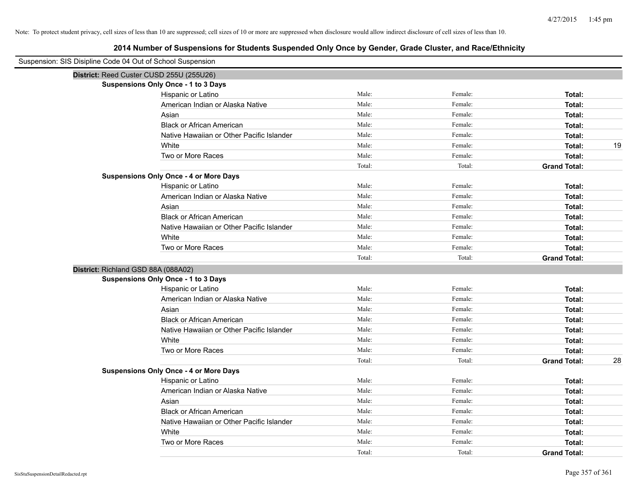| Suspension: SIS Disipline Code 04 Out of School Suspension |                                               |        |         |                           |
|------------------------------------------------------------|-----------------------------------------------|--------|---------|---------------------------|
|                                                            | District: Reed Custer CUSD 255U (255U26)      |        |         |                           |
|                                                            | Suspensions Only Once - 1 to 3 Days           |        |         |                           |
|                                                            | Hispanic or Latino                            | Male:  | Female: | Total:                    |
|                                                            | American Indian or Alaska Native              | Male:  | Female: | Total:                    |
|                                                            | Asian                                         | Male:  | Female: | Total:                    |
|                                                            | <b>Black or African American</b>              | Male:  | Female: | Total:                    |
|                                                            | Native Hawaiian or Other Pacific Islander     | Male:  | Female: | Total:                    |
|                                                            | White                                         | Male:  | Female: | 19<br>Total:              |
|                                                            | Two or More Races                             | Male:  | Female: | Total:                    |
|                                                            |                                               | Total: | Total:  | <b>Grand Total:</b>       |
|                                                            | <b>Suspensions Only Once - 4 or More Days</b> |        |         |                           |
|                                                            | Hispanic or Latino                            | Male:  | Female: | Total:                    |
|                                                            | American Indian or Alaska Native              | Male:  | Female: | Total:                    |
|                                                            | Asian                                         | Male:  | Female: | Total:                    |
|                                                            | <b>Black or African American</b>              | Male:  | Female: | Total:                    |
|                                                            | Native Hawaiian or Other Pacific Islander     | Male:  | Female: | Total:                    |
|                                                            | White                                         | Male:  | Female: | Total:                    |
|                                                            | Two or More Races                             | Male:  | Female: | Total:                    |
|                                                            |                                               | Total: | Total:  | <b>Grand Total:</b>       |
| District: Richland GSD 88A (088A02)                        |                                               |        |         |                           |
|                                                            | <b>Suspensions Only Once - 1 to 3 Days</b>    |        |         |                           |
|                                                            | Hispanic or Latino                            | Male:  | Female: | Total:                    |
|                                                            | American Indian or Alaska Native              | Male:  | Female: | Total:                    |
|                                                            | Asian                                         | Male:  | Female: | Total:                    |
|                                                            | <b>Black or African American</b>              | Male:  | Female: | Total:                    |
|                                                            | Native Hawaiian or Other Pacific Islander     | Male:  | Female: | Total:                    |
|                                                            | White                                         | Male:  | Female: | Total:                    |
|                                                            | Two or More Races                             | Male:  | Female: | Total:                    |
|                                                            |                                               | Total: | Total:  | <b>Grand Total:</b><br>28 |
|                                                            | <b>Suspensions Only Once - 4 or More Days</b> |        |         |                           |
|                                                            | Hispanic or Latino                            | Male:  | Female: | Total:                    |
|                                                            | American Indian or Alaska Native              | Male:  | Female: | Total:                    |
|                                                            | Asian                                         | Male:  | Female: | Total:                    |
|                                                            | <b>Black or African American</b>              | Male:  | Female: | Total:                    |
|                                                            | Native Hawaiian or Other Pacific Islander     | Male:  | Female: | Total:                    |
|                                                            | White                                         | Male:  | Female: | Total:                    |
|                                                            | Two or More Races                             | Male:  | Female: | Total:                    |
|                                                            |                                               | Total: | Total:  | <b>Grand Total:</b>       |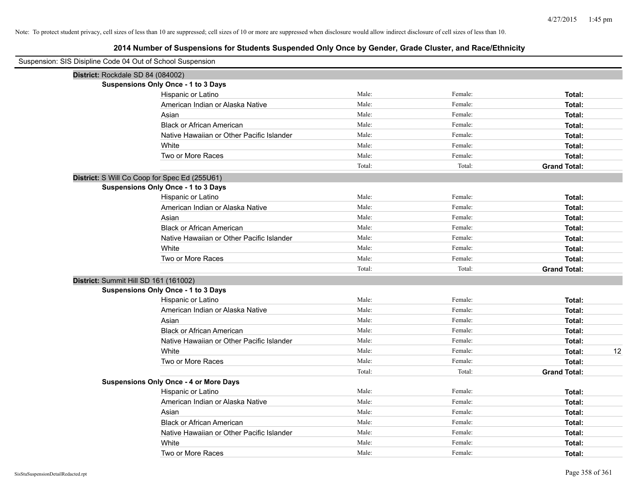| Suspension: SIS Disipline Code 04 Out of School Suspension |                                               |        |         |                     |
|------------------------------------------------------------|-----------------------------------------------|--------|---------|---------------------|
|                                                            | District: Rockdale SD 84 (084002)             |        |         |                     |
|                                                            | <b>Suspensions Only Once - 1 to 3 Days</b>    |        |         |                     |
|                                                            | Hispanic or Latino                            | Male:  | Female: | Total:              |
|                                                            | American Indian or Alaska Native              | Male:  | Female: | Total:              |
|                                                            | Asian                                         | Male:  | Female: | Total:              |
|                                                            | <b>Black or African American</b>              | Male:  | Female: | Total:              |
|                                                            | Native Hawaiian or Other Pacific Islander     | Male:  | Female: | Total:              |
|                                                            | White                                         | Male:  | Female: | Total:              |
|                                                            | Two or More Races                             | Male:  | Female: | Total:              |
|                                                            |                                               | Total: | Total:  | <b>Grand Total:</b> |
|                                                            | District: S Will Co Coop for Spec Ed (255U61) |        |         |                     |
|                                                            | Suspensions Only Once - 1 to 3 Days           |        |         |                     |
|                                                            | Hispanic or Latino                            | Male:  | Female: | Total:              |
|                                                            | American Indian or Alaska Native              | Male:  | Female: | Total:              |
|                                                            | Asian                                         | Male:  | Female: | Total:              |
|                                                            | <b>Black or African American</b>              | Male:  | Female: | Total:              |
|                                                            | Native Hawaiian or Other Pacific Islander     | Male:  | Female: | Total:              |
|                                                            | White                                         | Male:  | Female: | Total:              |
|                                                            | Two or More Races                             | Male:  | Female: | Total:              |
|                                                            |                                               | Total: | Total:  | <b>Grand Total:</b> |
|                                                            | District: Summit Hill SD 161 (161002)         |        |         |                     |
|                                                            | <b>Suspensions Only Once - 1 to 3 Days</b>    |        |         |                     |
|                                                            | Hispanic or Latino                            | Male:  | Female: | Total:              |
|                                                            | American Indian or Alaska Native              | Male:  | Female: | Total:              |
|                                                            | Asian                                         | Male:  | Female: | Total:              |
|                                                            | <b>Black or African American</b>              | Male:  | Female: | Total:              |
|                                                            | Native Hawaiian or Other Pacific Islander     | Male:  | Female: | Total:              |
|                                                            | White                                         | Male:  | Female: | 12<br>Total:        |
|                                                            | Two or More Races                             | Male:  | Female: | Total:              |
|                                                            |                                               | Total: | Total:  | <b>Grand Total:</b> |
|                                                            | <b>Suspensions Only Once - 4 or More Days</b> |        |         |                     |
|                                                            | Hispanic or Latino                            | Male:  | Female: | Total:              |
|                                                            | American Indian or Alaska Native              | Male:  | Female: | Total:              |
|                                                            | Asian                                         | Male:  | Female: | Total:              |
|                                                            | <b>Black or African American</b>              | Male:  | Female: | Total:              |
|                                                            | Native Hawaiian or Other Pacific Islander     | Male:  | Female: | Total:              |
|                                                            | White                                         | Male:  | Female: | Total:              |
|                                                            | Two or More Races                             | Male:  | Female: | Total:              |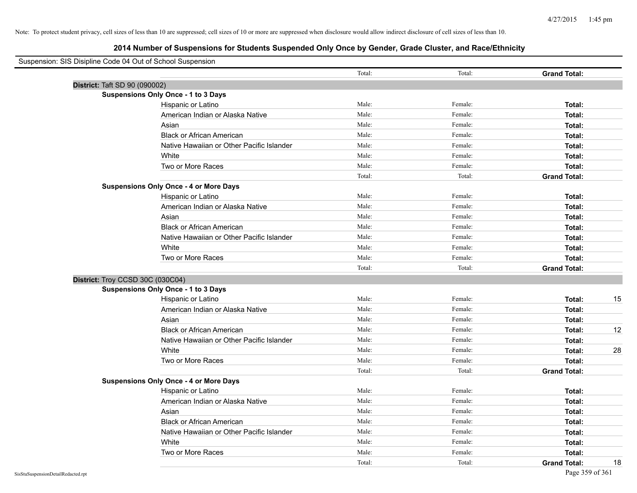| Suspension: SIS Disipline Code 04 Out of School Suspension |                                               |        |         |                           |
|------------------------------------------------------------|-----------------------------------------------|--------|---------|---------------------------|
|                                                            |                                               | Total: | Total:  | <b>Grand Total:</b>       |
| District: Taft SD 90 (090002)                              |                                               |        |         |                           |
|                                                            | Suspensions Only Once - 1 to 3 Days           |        |         |                           |
|                                                            | Hispanic or Latino                            | Male:  | Female: | Total:                    |
|                                                            | American Indian or Alaska Native              | Male:  | Female: | Total:                    |
|                                                            | Asian                                         | Male:  | Female: | Total:                    |
|                                                            | <b>Black or African American</b>              | Male:  | Female: | Total:                    |
|                                                            | Native Hawaiian or Other Pacific Islander     | Male:  | Female: | Total:                    |
|                                                            | White                                         | Male:  | Female: | Total:                    |
|                                                            | Two or More Races                             | Male:  | Female: | Total:                    |
|                                                            |                                               | Total: | Total:  | <b>Grand Total:</b>       |
|                                                            | <b>Suspensions Only Once - 4 or More Days</b> |        |         |                           |
|                                                            | Hispanic or Latino                            | Male:  | Female: | Total:                    |
|                                                            | American Indian or Alaska Native              | Male:  | Female: | Total:                    |
|                                                            | Asian                                         | Male:  | Female: | Total:                    |
|                                                            | <b>Black or African American</b>              | Male:  | Female: | Total:                    |
|                                                            | Native Hawaiian or Other Pacific Islander     | Male:  | Female: | Total:                    |
|                                                            | White                                         | Male:  | Female: | Total:                    |
|                                                            | Two or More Races                             | Male:  | Female: | Total:                    |
|                                                            |                                               | Total: | Total:  | <b>Grand Total:</b>       |
| District: Troy CCSD 30C (030C04)                           |                                               |        |         |                           |
|                                                            | <b>Suspensions Only Once - 1 to 3 Days</b>    |        |         |                           |
|                                                            | Hispanic or Latino                            | Male:  | Female: | Total:<br>15              |
|                                                            | American Indian or Alaska Native              | Male:  | Female: | Total:                    |
|                                                            | Asian                                         | Male:  | Female: | Total:                    |
|                                                            | <b>Black or African American</b>              | Male:  | Female: | 12<br>Total:              |
|                                                            | Native Hawaiian or Other Pacific Islander     | Male:  | Female: | Total:                    |
|                                                            | White                                         | Male:  | Female: | 28<br>Total:              |
|                                                            | Two or More Races                             | Male:  | Female: | Total:                    |
|                                                            |                                               | Total: | Total:  | <b>Grand Total:</b>       |
|                                                            | <b>Suspensions Only Once - 4 or More Days</b> |        |         |                           |
|                                                            | Hispanic or Latino                            | Male:  | Female: | Total:                    |
|                                                            | American Indian or Alaska Native              | Male:  | Female: | Total:                    |
|                                                            | Asian                                         | Male:  | Female: | Total:                    |
|                                                            | <b>Black or African American</b>              | Male:  | Female: | Total:                    |
|                                                            | Native Hawaiian or Other Pacific Islander     | Male:  | Female: | Total:                    |
|                                                            | White                                         | Male:  | Female: | Total:                    |
|                                                            | Two or More Races                             | Male:  | Female: | Total:                    |
|                                                            |                                               | Total: | Total:  | 18<br><b>Grand Total:</b> |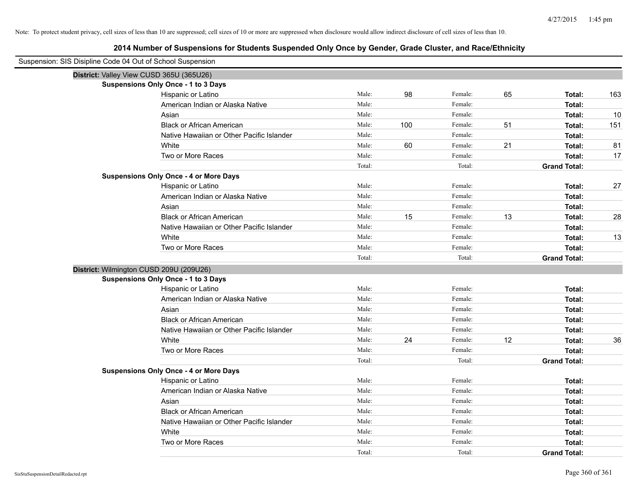| Suspension: SIS Disipline Code 04 Out of School Suspension |                                               |        |     |         |    |                     |     |
|------------------------------------------------------------|-----------------------------------------------|--------|-----|---------|----|---------------------|-----|
|                                                            | District: Valley View CUSD 365U (365U26)      |        |     |         |    |                     |     |
|                                                            | <b>Suspensions Only Once - 1 to 3 Days</b>    |        |     |         |    |                     |     |
|                                                            | Hispanic or Latino                            | Male:  | 98  | Female: | 65 | Total:              | 163 |
|                                                            | American Indian or Alaska Native              | Male:  |     | Female: |    | Total:              |     |
|                                                            | Asian                                         | Male:  |     | Female: |    | Total:              | 10  |
|                                                            | <b>Black or African American</b>              | Male:  | 100 | Female: | 51 | Total:              | 151 |
|                                                            | Native Hawaiian or Other Pacific Islander     | Male:  |     | Female: |    | Total:              |     |
|                                                            | White                                         | Male:  | 60  | Female: | 21 | Total:              | 81  |
|                                                            | Two or More Races                             | Male:  |     | Female: |    | Total:              | 17  |
|                                                            |                                               | Total: |     | Total:  |    | <b>Grand Total:</b> |     |
|                                                            | <b>Suspensions Only Once - 4 or More Days</b> |        |     |         |    |                     |     |
|                                                            | Hispanic or Latino                            | Male:  |     | Female: |    | Total:              | 27  |
|                                                            | American Indian or Alaska Native              | Male:  |     | Female: |    | Total:              |     |
|                                                            | Asian                                         | Male:  |     | Female: |    | Total:              |     |
|                                                            | <b>Black or African American</b>              | Male:  | 15  | Female: | 13 | Total:              | 28  |
|                                                            | Native Hawaiian or Other Pacific Islander     | Male:  |     | Female: |    | Total:              |     |
|                                                            | White                                         | Male:  |     | Female: |    | Total:              | 13  |
|                                                            | Two or More Races                             | Male:  |     | Female: |    | Total:              |     |
|                                                            |                                               | Total: |     | Total:  |    | <b>Grand Total:</b> |     |
|                                                            | District: Wilmington CUSD 209U (209U26)       |        |     |         |    |                     |     |
|                                                            | <b>Suspensions Only Once - 1 to 3 Days</b>    |        |     |         |    |                     |     |
|                                                            | Hispanic or Latino                            | Male:  |     | Female: |    | Total:              |     |
|                                                            | American Indian or Alaska Native              | Male:  |     | Female: |    | Total:              |     |
|                                                            | Asian                                         | Male:  |     | Female: |    | Total:              |     |
|                                                            | <b>Black or African American</b>              | Male:  |     | Female: |    | Total:              |     |
|                                                            | Native Hawaiian or Other Pacific Islander     | Male:  |     | Female: |    | Total:              |     |
|                                                            | White                                         | Male:  | 24  | Female: | 12 | Total:              | 36  |
|                                                            | Two or More Races                             | Male:  |     | Female: |    | Total:              |     |
|                                                            |                                               | Total: |     | Total:  |    | <b>Grand Total:</b> |     |
|                                                            | <b>Suspensions Only Once - 4 or More Days</b> |        |     |         |    |                     |     |
|                                                            | Hispanic or Latino                            | Male:  |     | Female: |    | Total:              |     |
|                                                            | American Indian or Alaska Native              | Male:  |     | Female: |    | Total:              |     |
|                                                            | Asian                                         | Male:  |     | Female: |    | Total:              |     |
|                                                            | <b>Black or African American</b>              | Male:  |     | Female: |    | Total:              |     |
|                                                            | Native Hawaiian or Other Pacific Islander     | Male:  |     | Female: |    | Total:              |     |
|                                                            | White                                         | Male:  |     | Female: |    | Total:              |     |
|                                                            | Two or More Races                             | Male:  |     | Female: |    | Total:              |     |
|                                                            |                                               | Total: |     | Total:  |    | <b>Grand Total:</b> |     |